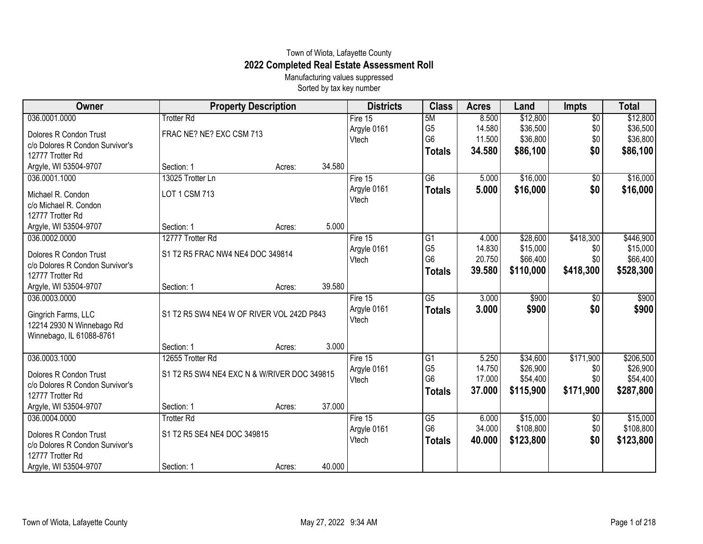## Town of Wiota, Lafayette County **2022 Completed Real Estate Assessment Roll**

Manufacturing values suppressed Sorted by tax key number

| 036.0001.0000<br>\$12,800<br>$\overline{60}$<br>\$12,800<br><b>Trotter Rd</b><br>5M<br>8.500<br>Fire 15<br>G <sub>5</sub><br>\$36,500<br>\$0<br>14.580<br>\$36,500<br>Argyle 0161<br>FRAC NE? NE? EXC CSM 713<br>Dolores R Condon Trust<br>G <sub>6</sub><br>\$36,800<br>\$0<br>11.500<br>\$36,800<br>Vtech<br>c/o Dolores R Condon Survivor's<br>\$0<br>\$86,100<br>\$86,100<br>34.580<br><b>Totals</b><br>12777 Trotter Rd<br>34.580<br>Argyle, WI 53504-9707<br>Section: 1<br>Acres:<br>$\overline{G6}$<br>\$16,000<br>\$16,000<br>036.0001.1000<br>13025 Trotter Ln<br>Fire 15<br>5.000<br>$\sqrt{$0}$<br>\$0<br>\$16,000<br>Argyle 0161<br>5.000<br><b>Totals</b><br>LOT 1 CSM 713<br>Michael R. Condon<br>Vtech<br>c/o Michael R. Condon<br>12777 Trotter Rd<br>5.000<br>Argyle, WI 53504-9707<br>Section: 1<br>Acres:<br>12777 Trotter Rd<br>\$28,600<br>\$418,300<br>\$446,900<br>036.0002.0000<br>Fire $15$<br>G1<br>4.000<br>G <sub>5</sub><br>\$15,000<br>14.830<br>\$0<br>Argyle 0161<br>S1 T2 R5 FRAC NW4 NE4 DOC 349814<br>Dolores R Condon Trust<br>G <sub>6</sub><br>\$0<br>20.750<br>\$66,400<br>Vtech<br>c/o Dolores R Condon Survivor's<br>\$110,000<br>\$418,300<br>39.580<br><b>Totals</b><br>12777 Trotter Rd<br>39.580<br>Argyle, WI 53504-9707<br>Section: 1<br>Acres:<br>$\overline{G5}$<br>3.000<br>\$900<br>036.0003.0000<br>Fire 15<br>\$900<br>\$0<br>Argyle 0161<br>\$0<br>\$900<br>3.000<br>\$900<br><b>Totals</b><br>S1 T2 R5 SW4 NE4 W OF RIVER VOL 242D P843<br>Gingrich Farms, LLC<br>Vtech<br>12214 2930 N Winnebago Rd<br>Winnebago, IL 61088-8761<br>3.000<br>Section: 1<br>Acres:<br>036.0003.1000<br>12655 Trotter Rd<br>\$171,900<br>\$206,500<br>Fire 15<br>G1<br>5.250<br>\$34,600<br>G <sub>5</sub><br>\$26,900<br>14.750<br>\$0<br>Argyle 0161<br>S1 T2 R5 SW4 NE4 EXC N & W/RIVER DOC 349815<br>Dolores R Condon Trust<br>G <sub>6</sub><br>\$0<br>17.000<br>\$54,400<br>Vtech<br>c/o Dolores R Condon Survivor's<br>\$171,900<br>37.000<br>\$115,900<br><b>Totals</b><br>12777 Trotter Rd<br>37.000<br>Argyle, WI 53504-9707<br>Section: 1<br>Acres:<br>036.0004.0000<br>\$15,000<br><b>Trotter Rd</b><br>Fire 15<br>G5<br>6.000<br>\$0<br>G <sub>6</sub><br>\$108,800<br>34.000<br>\$0<br>Argyle 0161<br>S1 T2 R5 SE4 NE4 DOC 349815<br>Dolores R Condon Trust<br>\$0<br>40.000<br>Vtech<br>\$123,800<br><b>Totals</b><br>c/o Dolores R Condon Survivor's<br>12777 Trotter Rd | Owner | <b>Property Description</b> | <b>Districts</b> | <b>Class</b> | <b>Acres</b> | Land | <b>Impts</b> | <b>Total</b> |
|-------------------------------------------------------------------------------------------------------------------------------------------------------------------------------------------------------------------------------------------------------------------------------------------------------------------------------------------------------------------------------------------------------------------------------------------------------------------------------------------------------------------------------------------------------------------------------------------------------------------------------------------------------------------------------------------------------------------------------------------------------------------------------------------------------------------------------------------------------------------------------------------------------------------------------------------------------------------------------------------------------------------------------------------------------------------------------------------------------------------------------------------------------------------------------------------------------------------------------------------------------------------------------------------------------------------------------------------------------------------------------------------------------------------------------------------------------------------------------------------------------------------------------------------------------------------------------------------------------------------------------------------------------------------------------------------------------------------------------------------------------------------------------------------------------------------------------------------------------------------------------------------------------------------------------------------------------------------------------------------------------------------------------------------------------------------------------------------------------------------------------------------------------------------------------------------------------------------------------------------------------------------------------------------------------------------------------------------------------------------------------------------------------------------------------|-------|-----------------------------|------------------|--------------|--------------|------|--------------|--------------|
|                                                                                                                                                                                                                                                                                                                                                                                                                                                                                                                                                                                                                                                                                                                                                                                                                                                                                                                                                                                                                                                                                                                                                                                                                                                                                                                                                                                                                                                                                                                                                                                                                                                                                                                                                                                                                                                                                                                                                                                                                                                                                                                                                                                                                                                                                                                                                                                                                               |       |                             |                  |              |              |      |              |              |
|                                                                                                                                                                                                                                                                                                                                                                                                                                                                                                                                                                                                                                                                                                                                                                                                                                                                                                                                                                                                                                                                                                                                                                                                                                                                                                                                                                                                                                                                                                                                                                                                                                                                                                                                                                                                                                                                                                                                                                                                                                                                                                                                                                                                                                                                                                                                                                                                                               |       |                             |                  |              |              |      |              |              |
|                                                                                                                                                                                                                                                                                                                                                                                                                                                                                                                                                                                                                                                                                                                                                                                                                                                                                                                                                                                                                                                                                                                                                                                                                                                                                                                                                                                                                                                                                                                                                                                                                                                                                                                                                                                                                                                                                                                                                                                                                                                                                                                                                                                                                                                                                                                                                                                                                               |       |                             |                  |              |              |      |              |              |
|                                                                                                                                                                                                                                                                                                                                                                                                                                                                                                                                                                                                                                                                                                                                                                                                                                                                                                                                                                                                                                                                                                                                                                                                                                                                                                                                                                                                                                                                                                                                                                                                                                                                                                                                                                                                                                                                                                                                                                                                                                                                                                                                                                                                                                                                                                                                                                                                                               |       |                             |                  |              |              |      |              |              |
|                                                                                                                                                                                                                                                                                                                                                                                                                                                                                                                                                                                                                                                                                                                                                                                                                                                                                                                                                                                                                                                                                                                                                                                                                                                                                                                                                                                                                                                                                                                                                                                                                                                                                                                                                                                                                                                                                                                                                                                                                                                                                                                                                                                                                                                                                                                                                                                                                               |       |                             |                  |              |              |      |              |              |
| \$16,000                                                                                                                                                                                                                                                                                                                                                                                                                                                                                                                                                                                                                                                                                                                                                                                                                                                                                                                                                                                                                                                                                                                                                                                                                                                                                                                                                                                                                                                                                                                                                                                                                                                                                                                                                                                                                                                                                                                                                                                                                                                                                                                                                                                                                                                                                                                                                                                                                      |       |                             |                  |              |              |      |              |              |
|                                                                                                                                                                                                                                                                                                                                                                                                                                                                                                                                                                                                                                                                                                                                                                                                                                                                                                                                                                                                                                                                                                                                                                                                                                                                                                                                                                                                                                                                                                                                                                                                                                                                                                                                                                                                                                                                                                                                                                                                                                                                                                                                                                                                                                                                                                                                                                                                                               |       |                             |                  |              |              |      |              |              |
|                                                                                                                                                                                                                                                                                                                                                                                                                                                                                                                                                                                                                                                                                                                                                                                                                                                                                                                                                                                                                                                                                                                                                                                                                                                                                                                                                                                                                                                                                                                                                                                                                                                                                                                                                                                                                                                                                                                                                                                                                                                                                                                                                                                                                                                                                                                                                                                                                               |       |                             |                  |              |              |      |              |              |
|                                                                                                                                                                                                                                                                                                                                                                                                                                                                                                                                                                                                                                                                                                                                                                                                                                                                                                                                                                                                                                                                                                                                                                                                                                                                                                                                                                                                                                                                                                                                                                                                                                                                                                                                                                                                                                                                                                                                                                                                                                                                                                                                                                                                                                                                                                                                                                                                                               |       |                             |                  |              |              |      |              |              |
|                                                                                                                                                                                                                                                                                                                                                                                                                                                                                                                                                                                                                                                                                                                                                                                                                                                                                                                                                                                                                                                                                                                                                                                                                                                                                                                                                                                                                                                                                                                                                                                                                                                                                                                                                                                                                                                                                                                                                                                                                                                                                                                                                                                                                                                                                                                                                                                                                               |       |                             |                  |              |              |      |              |              |
| \$15,000<br>\$66,400<br>\$528,300<br>\$26,900<br>\$54,400<br>\$287,800<br>\$15,000<br>\$108,800<br>\$123,800                                                                                                                                                                                                                                                                                                                                                                                                                                                                                                                                                                                                                                                                                                                                                                                                                                                                                                                                                                                                                                                                                                                                                                                                                                                                                                                                                                                                                                                                                                                                                                                                                                                                                                                                                                                                                                                                                                                                                                                                                                                                                                                                                                                                                                                                                                                  |       |                             |                  |              |              |      |              |              |
|                                                                                                                                                                                                                                                                                                                                                                                                                                                                                                                                                                                                                                                                                                                                                                                                                                                                                                                                                                                                                                                                                                                                                                                                                                                                                                                                                                                                                                                                                                                                                                                                                                                                                                                                                                                                                                                                                                                                                                                                                                                                                                                                                                                                                                                                                                                                                                                                                               |       |                             |                  |              |              |      |              |              |
|                                                                                                                                                                                                                                                                                                                                                                                                                                                                                                                                                                                                                                                                                                                                                                                                                                                                                                                                                                                                                                                                                                                                                                                                                                                                                                                                                                                                                                                                                                                                                                                                                                                                                                                                                                                                                                                                                                                                                                                                                                                                                                                                                                                                                                                                                                                                                                                                                               |       |                             |                  |              |              |      |              |              |
|                                                                                                                                                                                                                                                                                                                                                                                                                                                                                                                                                                                                                                                                                                                                                                                                                                                                                                                                                                                                                                                                                                                                                                                                                                                                                                                                                                                                                                                                                                                                                                                                                                                                                                                                                                                                                                                                                                                                                                                                                                                                                                                                                                                                                                                                                                                                                                                                                               |       |                             |                  |              |              |      |              |              |
|                                                                                                                                                                                                                                                                                                                                                                                                                                                                                                                                                                                                                                                                                                                                                                                                                                                                                                                                                                                                                                                                                                                                                                                                                                                                                                                                                                                                                                                                                                                                                                                                                                                                                                                                                                                                                                                                                                                                                                                                                                                                                                                                                                                                                                                                                                                                                                                                                               |       |                             |                  |              |              |      |              |              |
|                                                                                                                                                                                                                                                                                                                                                                                                                                                                                                                                                                                                                                                                                                                                                                                                                                                                                                                                                                                                                                                                                                                                                                                                                                                                                                                                                                                                                                                                                                                                                                                                                                                                                                                                                                                                                                                                                                                                                                                                                                                                                                                                                                                                                                                                                                                                                                                                                               |       |                             |                  |              |              |      |              |              |
|                                                                                                                                                                                                                                                                                                                                                                                                                                                                                                                                                                                                                                                                                                                                                                                                                                                                                                                                                                                                                                                                                                                                                                                                                                                                                                                                                                                                                                                                                                                                                                                                                                                                                                                                                                                                                                                                                                                                                                                                                                                                                                                                                                                                                                                                                                                                                                                                                               |       |                             |                  |              |              |      |              |              |
|                                                                                                                                                                                                                                                                                                                                                                                                                                                                                                                                                                                                                                                                                                                                                                                                                                                                                                                                                                                                                                                                                                                                                                                                                                                                                                                                                                                                                                                                                                                                                                                                                                                                                                                                                                                                                                                                                                                                                                                                                                                                                                                                                                                                                                                                                                                                                                                                                               |       |                             |                  |              |              |      |              |              |
|                                                                                                                                                                                                                                                                                                                                                                                                                                                                                                                                                                                                                                                                                                                                                                                                                                                                                                                                                                                                                                                                                                                                                                                                                                                                                                                                                                                                                                                                                                                                                                                                                                                                                                                                                                                                                                                                                                                                                                                                                                                                                                                                                                                                                                                                                                                                                                                                                               |       |                             |                  |              |              |      |              |              |
|                                                                                                                                                                                                                                                                                                                                                                                                                                                                                                                                                                                                                                                                                                                                                                                                                                                                                                                                                                                                                                                                                                                                                                                                                                                                                                                                                                                                                                                                                                                                                                                                                                                                                                                                                                                                                                                                                                                                                                                                                                                                                                                                                                                                                                                                                                                                                                                                                               |       |                             |                  |              |              |      |              |              |
|                                                                                                                                                                                                                                                                                                                                                                                                                                                                                                                                                                                                                                                                                                                                                                                                                                                                                                                                                                                                                                                                                                                                                                                                                                                                                                                                                                                                                                                                                                                                                                                                                                                                                                                                                                                                                                                                                                                                                                                                                                                                                                                                                                                                                                                                                                                                                                                                                               |       |                             |                  |              |              |      |              |              |
|                                                                                                                                                                                                                                                                                                                                                                                                                                                                                                                                                                                                                                                                                                                                                                                                                                                                                                                                                                                                                                                                                                                                                                                                                                                                                                                                                                                                                                                                                                                                                                                                                                                                                                                                                                                                                                                                                                                                                                                                                                                                                                                                                                                                                                                                                                                                                                                                                               |       |                             |                  |              |              |      |              |              |
|                                                                                                                                                                                                                                                                                                                                                                                                                                                                                                                                                                                                                                                                                                                                                                                                                                                                                                                                                                                                                                                                                                                                                                                                                                                                                                                                                                                                                                                                                                                                                                                                                                                                                                                                                                                                                                                                                                                                                                                                                                                                                                                                                                                                                                                                                                                                                                                                                               |       |                             |                  |              |              |      |              |              |
|                                                                                                                                                                                                                                                                                                                                                                                                                                                                                                                                                                                                                                                                                                                                                                                                                                                                                                                                                                                                                                                                                                                                                                                                                                                                                                                                                                                                                                                                                                                                                                                                                                                                                                                                                                                                                                                                                                                                                                                                                                                                                                                                                                                                                                                                                                                                                                                                                               |       |                             |                  |              |              |      |              |              |
|                                                                                                                                                                                                                                                                                                                                                                                                                                                                                                                                                                                                                                                                                                                                                                                                                                                                                                                                                                                                                                                                                                                                                                                                                                                                                                                                                                                                                                                                                                                                                                                                                                                                                                                                                                                                                                                                                                                                                                                                                                                                                                                                                                                                                                                                                                                                                                                                                               |       |                             |                  |              |              |      |              |              |
|                                                                                                                                                                                                                                                                                                                                                                                                                                                                                                                                                                                                                                                                                                                                                                                                                                                                                                                                                                                                                                                                                                                                                                                                                                                                                                                                                                                                                                                                                                                                                                                                                                                                                                                                                                                                                                                                                                                                                                                                                                                                                                                                                                                                                                                                                                                                                                                                                               |       |                             |                  |              |              |      |              |              |
|                                                                                                                                                                                                                                                                                                                                                                                                                                                                                                                                                                                                                                                                                                                                                                                                                                                                                                                                                                                                                                                                                                                                                                                                                                                                                                                                                                                                                                                                                                                                                                                                                                                                                                                                                                                                                                                                                                                                                                                                                                                                                                                                                                                                                                                                                                                                                                                                                               |       |                             |                  |              |              |      |              |              |
|                                                                                                                                                                                                                                                                                                                                                                                                                                                                                                                                                                                                                                                                                                                                                                                                                                                                                                                                                                                                                                                                                                                                                                                                                                                                                                                                                                                                                                                                                                                                                                                                                                                                                                                                                                                                                                                                                                                                                                                                                                                                                                                                                                                                                                                                                                                                                                                                                               |       |                             |                  |              |              |      |              |              |
|                                                                                                                                                                                                                                                                                                                                                                                                                                                                                                                                                                                                                                                                                                                                                                                                                                                                                                                                                                                                                                                                                                                                                                                                                                                                                                                                                                                                                                                                                                                                                                                                                                                                                                                                                                                                                                                                                                                                                                                                                                                                                                                                                                                                                                                                                                                                                                                                                               |       |                             |                  |              |              |      |              |              |
| 40.000<br>Argyle, WI 53504-9707<br>Section: 1<br>Acres:                                                                                                                                                                                                                                                                                                                                                                                                                                                                                                                                                                                                                                                                                                                                                                                                                                                                                                                                                                                                                                                                                                                                                                                                                                                                                                                                                                                                                                                                                                                                                                                                                                                                                                                                                                                                                                                                                                                                                                                                                                                                                                                                                                                                                                                                                                                                                                       |       |                             |                  |              |              |      |              |              |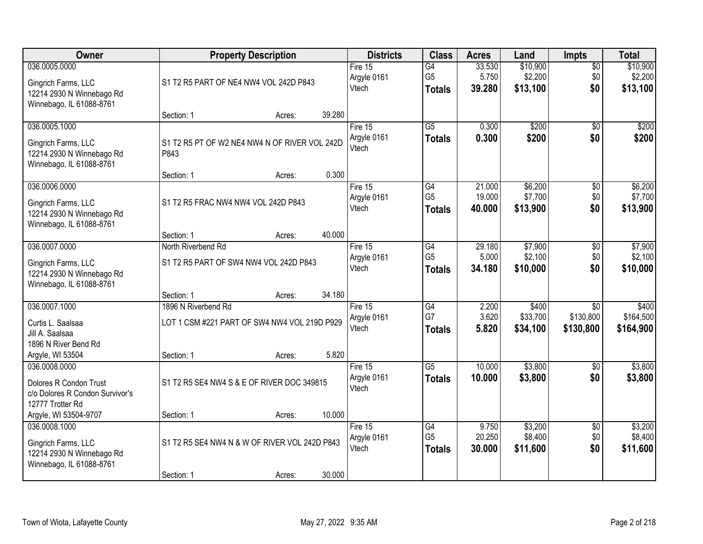| Owner                                                                                             | <b>Property Description</b>                                                       |        |        | <b>Districts</b>                  | <b>Class</b>                           | <b>Acres</b>              | Land                            | Impts                                     | <b>Total</b>                    |
|---------------------------------------------------------------------------------------------------|-----------------------------------------------------------------------------------|--------|--------|-----------------------------------|----------------------------------------|---------------------------|---------------------------------|-------------------------------------------|---------------------------------|
| 036.0005.0000<br>Gingrich Farms, LLC<br>12214 2930 N Winnebago Rd<br>Winnebago, IL 61088-8761     | S1 T2 R5 PART OF NE4 NW4 VOL 242D P843                                            |        |        | Fire $15$<br>Argyle 0161<br>Vtech | G4<br>G <sub>5</sub><br><b>Totals</b>  | 33.530<br>5.750<br>39.280 | \$10,900<br>\$2,200<br>\$13,100 | $\overline{50}$<br>\$0<br>\$0             | \$10,900<br>\$2,200<br>\$13,100 |
|                                                                                                   | Section: 1                                                                        | Acres: | 39.280 |                                   |                                        |                           |                                 |                                           |                                 |
| 036.0005.1000<br>Gingrich Farms, LLC<br>12214 2930 N Winnebago Rd<br>Winnebago, IL 61088-8761     | S1 T2 R5 PT OF W2 NE4 NW4 N OF RIVER VOL 242D<br>P843                             |        |        | Fire 15<br>Argyle 0161<br>Vtech   | $\overline{G5}$<br><b>Totals</b>       | 0.300<br>0.300            | \$200<br>\$200                  | $\overline{50}$<br>\$0                    | \$200<br>\$200                  |
| 036.0006.0000                                                                                     | Section: 1                                                                        | Acres: | 0.300  | Fire 15                           | G4                                     | 21.000                    | \$6,200                         | $\overline{50}$                           | \$6,200                         |
| Gingrich Farms, LLC<br>12214 2930 N Winnebago Rd<br>Winnebago, IL 61088-8761                      | S1 T2 R5 FRAC NW4 NW4 VOL 242D P843                                               |        |        | Argyle 0161<br>Vtech              | G <sub>5</sub><br><b>Totals</b>        | 19.000<br>40.000          | \$7,700<br>\$13,900             | \$0<br>\$0                                | \$7,700<br>\$13,900             |
|                                                                                                   | Section: 1                                                                        | Acres: | 40.000 |                                   |                                        |                           |                                 |                                           |                                 |
| 036.0007.0000<br>Gingrich Farms, LLC<br>12214 2930 N Winnebago Rd<br>Winnebago, IL 61088-8761     | North Riverbend Rd<br>S1 T2 R5 PART OF SW4 NW4 VOL 242D P843                      |        |        | Fire 15<br>Argyle 0161<br>Vtech   | G4<br>G <sub>5</sub><br><b>Totals</b>  | 29.180<br>5.000<br>34.180 | \$7,900<br>\$2,100<br>\$10,000  | \$0<br>\$0<br>\$0                         | \$7,900<br>\$2,100<br>\$10,000  |
|                                                                                                   | Section: 1                                                                        | Acres: | 34.180 |                                   |                                        |                           |                                 |                                           |                                 |
| 036.0007.1000<br>Curtis L. Saalsaa<br>Jill A. Saalsaa<br>1896 N River Bend Rd<br>Argyle, WI 53504 | 1896 N Riverbend Rd<br>LOT 1 CSM #221 PART OF SW4 NW4 VOL 219D P929<br>Section: 1 | Acres: | 5.820  | Fire 15<br>Argyle 0161<br>Vtech   | $\overline{G4}$<br>G7<br><b>Totals</b> | 2.200<br>3.620<br>5.820   | \$400<br>\$33,700<br>\$34,100   | $\overline{30}$<br>\$130,800<br>\$130,800 | \$400<br>\$164,500<br>\$164,900 |
| 036.0008.0000<br>Dolores R Condon Trust<br>c/o Dolores R Condon Survivor's<br>12777 Trotter Rd    | S1 T2 R5 SE4 NW4 S & E OF RIVER DOC 349815                                        |        |        | Fire 15<br>Argyle 0161<br>Vtech   | $\overline{G5}$<br><b>Totals</b>       | 10.000<br>10.000          | \$3,800<br>\$3,800              | $\overline{50}$<br>\$0                    | \$3,800<br>\$3,800              |
| Argyle, WI 53504-9707                                                                             | Section: 1                                                                        | Acres: | 10.000 |                                   |                                        |                           |                                 |                                           |                                 |
| 036.0008.1000<br>Gingrich Farms, LLC<br>12214 2930 N Winnebago Rd<br>Winnebago, IL 61088-8761     | S1 T2 R5 SE4 NW4 N & W OF RIVER VOL 242D P843<br>Section: 1                       |        | 30.000 | Fire 15<br>Argyle 0161<br>Vtech   | G4<br>G <sub>5</sub><br><b>Totals</b>  | 9.750<br>20.250<br>30.000 | \$3,200<br>\$8,400<br>\$11,600  | $\overline{50}$<br>\$0<br>\$0             | \$3,200<br>\$8,400<br>\$11,600  |
|                                                                                                   |                                                                                   | Acres: |        |                                   |                                        |                           |                                 |                                           |                                 |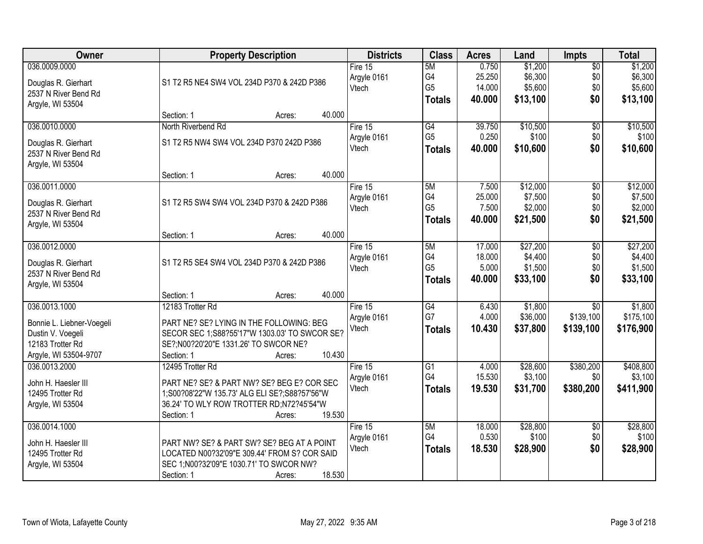| <b>Owner</b>              | <b>Property Description</b>                   | <b>Districts</b> | <b>Class</b>    | <b>Acres</b> | Land     | <b>Impts</b>    | <b>Total</b> |
|---------------------------|-----------------------------------------------|------------------|-----------------|--------------|----------|-----------------|--------------|
| 036.0009.0000             |                                               | Fire 15          | 5M              | 0.750        | \$1,200  | $\overline{50}$ | \$1,200      |
| Douglas R. Gierhart       | S1 T2 R5 NE4 SW4 VOL 234D P370 & 242D P386    | Argyle 0161      | G4              | 25.250       | \$6,300  | \$0             | \$6,300      |
| 2537 N River Bend Rd      |                                               | Vtech            | G <sub>5</sub>  | 14.000       | \$5,600  | \$0             | \$5,600      |
| Argyle, WI 53504          |                                               |                  | <b>Totals</b>   | 40.000       | \$13,100 | \$0             | \$13,100     |
|                           | 40.000<br>Section: 1<br>Acres:                |                  |                 |              |          |                 |              |
| 036.0010.0000             | North Riverbend Rd                            | Fire 15          | G4              | 39.750       | \$10,500 | $\overline{50}$ | \$10,500     |
| Douglas R. Gierhart       | S1 T2 R5 NW4 SW4 VOL 234D P370 242D P386      | Argyle 0161      | G <sub>5</sub>  | 0.250        | \$100    | \$0             | \$100        |
| 2537 N River Bend Rd      |                                               | Vtech            | <b>Totals</b>   | 40.000       | \$10,600 | \$0             | \$10,600     |
| Argyle, WI 53504          |                                               |                  |                 |              |          |                 |              |
|                           | 40.000<br>Section: 1<br>Acres:                |                  |                 |              |          |                 |              |
| 036.0011.0000             |                                               | Fire 15          | 5M              | 7.500        | \$12,000 | $\overline{50}$ | \$12,000     |
| Douglas R. Gierhart       | S1 T2 R5 SW4 SW4 VOL 234D P370 & 242D P386    | Argyle 0161      | G4              | 25.000       | \$7,500  | \$0             | \$7,500      |
| 2537 N River Bend Rd      |                                               | Vtech            | G <sub>5</sub>  | 7.500        | \$2,000  | \$0             | \$2,000      |
| Argyle, WI 53504          |                                               |                  | <b>Totals</b>   | 40.000       | \$21,500 | \$0             | \$21,500     |
|                           | 40.000<br>Section: 1<br>Acres:                |                  |                 |              |          |                 |              |
| 036.0012.0000             |                                               | Fire 15          | 5M              | 17.000       | \$27,200 | \$0             | \$27,200     |
| Douglas R. Gierhart       | S1 T2 R5 SE4 SW4 VOL 234D P370 & 242D P386    | Argyle 0161      | G4              | 18.000       | \$4,400  | \$0             | \$4,400      |
| 2537 N River Bend Rd      |                                               | Vtech            | G <sub>5</sub>  | 5.000        | \$1,500  | \$0             | \$1,500      |
| Argyle, WI 53504          |                                               |                  | <b>Totals</b>   | 40.000       | \$33,100 | \$0             | \$33,100     |
|                           | 40.000<br>Section: 1<br>Acres:                |                  |                 |              |          |                 |              |
| 036.0013.1000             | 12183 Trotter Rd                              | Fire 15          | G4              | 6.430        | \$1,800  | $\overline{30}$ | \$1,800      |
| Bonnie L. Liebner-Voegeli | PART NE? SE? LYING IN THE FOLLOWING: BEG      | Argyle 0161      | G7              | 4.000        | \$36,000 | \$139,100       | \$175,100    |
| Dustin V. Voegeli         | SECOR SEC 1;S88?55'17"W 1303.03' TO SWCOR SE? | Vtech            | <b>Totals</b>   | 10.430       | \$37,800 | \$139,100       | \$176,900    |
| 12183 Trotter Rd          | SE?;N00?20'20"E 1331.26' TO SWCOR NE?         |                  |                 |              |          |                 |              |
| Argyle, WI 53504-9707     | 10.430<br>Section: 1<br>Acres:                |                  |                 |              |          |                 |              |
| 036.0013.2000             | 12495 Trotter Rd                              | Fire 15          | $\overline{G1}$ | 4.000        | \$28,600 | \$380,200       | \$408,800    |
| John H. Haesler III       | PART NE? SE? & PART NW? SE? BEG E? COR SEC    | Argyle 0161      | G4              | 15.530       | \$3,100  | \$0             | \$3,100      |
| 12495 Trotter Rd          | 1;S00?08'22"W 135.73' ALG ELI SE?;S88?57'56"W | Vtech            | <b>Totals</b>   | 19.530       | \$31,700 | \$380,200       | \$411,900    |
| Argyle, WI 53504          | 36.24' TO WLY ROW TROTTER RD;N72?45'54"W      |                  |                 |              |          |                 |              |
|                           | 19.530<br>Section: 1<br>Acres:                |                  |                 |              |          |                 |              |
| 036.0014.1000             |                                               | Fire $15$        | 5M              | 18.000       | \$28,800 | $\overline{30}$ | \$28,800     |
| John H. Haesler III       | PART NW? SE? & PART SW? SE? BEG AT A POINT    | Argyle 0161      | G4              | 0.530        | \$100    | \$0             | \$100        |
| 12495 Trotter Rd          | LOCATED N00?32'09"E 309.44' FROM S? COR SAID  | Vtech            | <b>Totals</b>   | 18.530       | \$28,900 | \$0             | \$28,900     |
| Argyle, WI 53504          | SEC 1;N00?32'09"E 1030.71' TO SWCOR NW?       |                  |                 |              |          |                 |              |
|                           | 18.530<br>Section: 1<br>Acres:                |                  |                 |              |          |                 |              |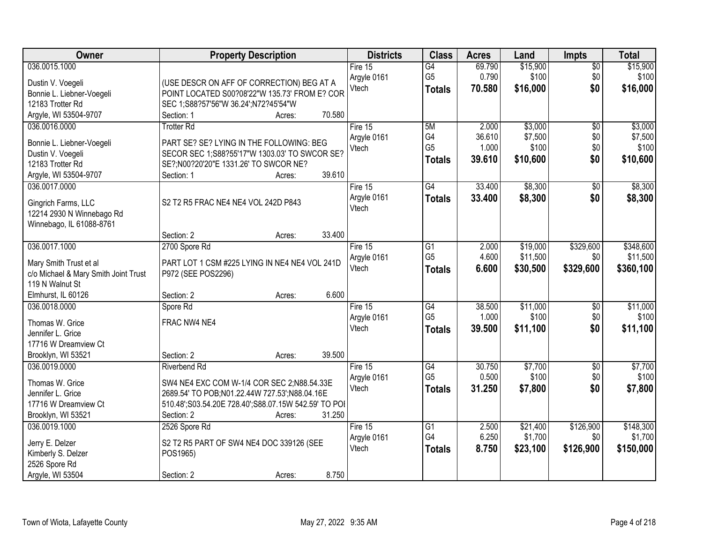| Owner                                | <b>Property Description</b>                          | <b>Districts</b> | <b>Class</b>    | <b>Acres</b> | Land     | <b>Impts</b>    | <b>Total</b> |
|--------------------------------------|------------------------------------------------------|------------------|-----------------|--------------|----------|-----------------|--------------|
| 036.0015.1000                        |                                                      | Fire 15          | $\overline{G4}$ | 69.790       | \$15,900 | \$0             | \$15,900     |
| Dustin V. Voegeli                    | (USE DESCR ON AFF OF CORRECTION) BEG AT A            | Argyle 0161      | G <sub>5</sub>  | 0.790        | \$100    | \$0             | \$100        |
| Bonnie L. Liebner-Voegeli            | POINT LOCATED S00?08'22"W 135.73' FROM E? COR        | Vtech            | <b>Totals</b>   | 70.580       | \$16,000 | \$0             | \$16,000     |
| 12183 Trotter Rd                     | SEC 1;S88?57'56"W 36.24';N72?45'54"W                 |                  |                 |              |          |                 |              |
| Argyle, WI 53504-9707                | 70.580<br>Section: 1<br>Acres:                       |                  |                 |              |          |                 |              |
| 036.0016.0000                        | <b>Trotter Rd</b>                                    | Fire 15          | 5M              | 2.000        | \$3,000  | \$0             | \$3,000      |
|                                      |                                                      | Argyle 0161      | G4              | 36.610       | \$7,500  | \$0             | \$7,500      |
| Bonnie L. Liebner-Voegeli            | PART SE? SE? LYING IN THE FOLLOWING: BEG             | Vtech            | G <sub>5</sub>  | 1.000        | \$100    | \$0             | \$100        |
| Dustin V. Voegeli                    | SECOR SEC 1;S88?55'17"W 1303.03' TO SWCOR SE?        |                  | <b>Totals</b>   | 39.610       | \$10,600 | \$0             | \$10,600     |
| 12183 Trotter Rd                     | SE?;N00?20'20"E 1331.26' TO SWCOR NE?                |                  |                 |              |          |                 |              |
| Argyle, WI 53504-9707                | 39.610<br>Section: 1<br>Acres:                       |                  |                 |              |          |                 |              |
| 036.0017.0000                        |                                                      | Fire 15          | G4              | 33.400       | \$8,300  | \$0             | \$8,300      |
| Gingrich Farms, LLC                  | S2 T2 R5 FRAC NE4 NE4 VOL 242D P843                  | Argyle 0161      | <b>Totals</b>   | 33.400       | \$8,300  | \$0             | \$8,300      |
| 12214 2930 N Winnebago Rd            |                                                      | Vtech            |                 |              |          |                 |              |
| Winnebago, IL 61088-8761             |                                                      |                  |                 |              |          |                 |              |
|                                      | 33.400<br>Section: 2<br>Acres:                       |                  |                 |              |          |                 |              |
| 036.0017.1000                        | 2700 Spore Rd                                        | Fire 15          | G1              | 2.000        | \$19,000 | \$329,600       | \$348,600    |
| Mary Smith Trust et al               | PART LOT 1 CSM #225 LYING IN NE4 NE4 VOL 241D        | Argyle 0161      | G <sub>5</sub>  | 4.600        | \$11,500 | \$0             | \$11,500     |
| c/o Michael & Mary Smith Joint Trust | P972 (SEE POS2296)                                   | Vtech            | <b>Totals</b>   | 6.600        | \$30,500 | \$329,600       | \$360,100    |
| 119 N Walnut St                      |                                                      |                  |                 |              |          |                 |              |
| Elmhurst, IL 60126                   | 6.600<br>Section: 2<br>Acres:                        |                  |                 |              |          |                 |              |
| 036.0018.0000                        | Spore Rd                                             | Fire 15          | $\overline{G4}$ | 38.500       | \$11,000 | $\overline{50}$ | \$11,000     |
|                                      |                                                      | Argyle 0161      | G <sub>5</sub>  | 1.000        | \$100    | \$0             | \$100        |
| Thomas W. Grice                      | FRAC NW4 NE4                                         | Vtech            | <b>Totals</b>   | 39.500       | \$11,100 | \$0             | \$11,100     |
| Jennifer L. Grice                    |                                                      |                  |                 |              |          |                 |              |
| 17716 W Dreamview Ct                 |                                                      |                  |                 |              |          |                 |              |
| Brooklyn, WI 53521                   | 39.500<br>Section: 2<br>Acres:                       |                  |                 |              |          |                 |              |
| 036.0019.0000                        | Riverbend Rd                                         | Fire 15          | G4              | 30.750       | \$7,700  | $\sqrt{6}$      | \$7,700      |
| Thomas W. Grice                      | SW4 NE4 EXC COM W-1/4 COR SEC 2:N88.54.33E           | Argyle 0161      | G <sub>5</sub>  | 0.500        | \$100    | \$0             | \$100        |
| Jennifer L. Grice                    | 2689.54' TO POB; N01.22.44W 727.53'; N88.04.16E      | Vtech            | <b>Totals</b>   | 31.250       | \$7,800  | \$0             | \$7,800      |
| 17716 W Dreamview Ct                 | 510.48';S03.54.20E 728.40';S88.07.15W 542.59' TO POI |                  |                 |              |          |                 |              |
| Brooklyn, WI 53521                   | 31.250<br>Section: 2<br>Acres:                       |                  |                 |              |          |                 |              |
| 036.0019.1000                        | 2526 Spore Rd                                        | Fire $15$        | $\overline{G1}$ | 2.500        | \$21,400 | \$126,900       | \$148,300    |
|                                      |                                                      | Argyle 0161      | G4              | 6.250        | \$1,700  | \$0             | \$1,700      |
| Jerry E. Delzer                      | S2 T2 R5 PART OF SW4 NE4 DOC 339126 (SEE             | Vtech            | <b>Totals</b>   | 8.750        | \$23,100 | \$126,900       | \$150,000    |
| Kimberly S. Delzer                   | POS1965)                                             |                  |                 |              |          |                 |              |
| 2526 Spore Rd                        |                                                      |                  |                 |              |          |                 |              |
| Argyle, WI 53504                     | 8.750<br>Section: 2<br>Acres:                        |                  |                 |              |          |                 |              |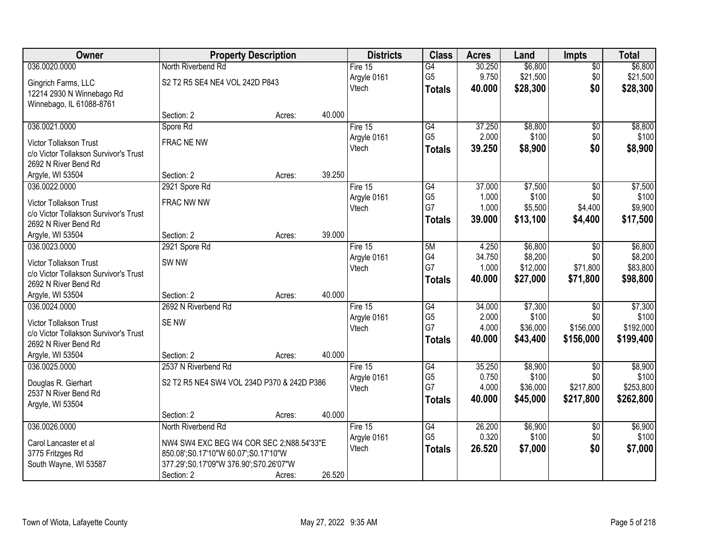| Owner                                 |                                            | <b>Property Description</b> |        | <b>Districts</b> | <b>Class</b>    | <b>Acres</b> | Land     | <b>Impts</b>    | <b>Total</b> |
|---------------------------------------|--------------------------------------------|-----------------------------|--------|------------------|-----------------|--------------|----------|-----------------|--------------|
| 036.0020.0000                         | North Riverbend Rd                         |                             |        | Fire $15$        | $\overline{G4}$ | 30.250       | \$6,800  | $\sqrt{$0}$     | \$6,800      |
| Gingrich Farms, LLC                   | S2 T2 R5 SE4 NE4 VOL 242D P843             |                             |        | Argyle 0161      | G <sub>5</sub>  | 9.750        | \$21,500 | \$0             | \$21,500     |
| 12214 2930 N Winnebago Rd             |                                            |                             |        | Vtech            | <b>Totals</b>   | 40.000       | \$28,300 | \$0             | \$28,300     |
| Winnebago, IL 61088-8761              |                                            |                             |        |                  |                 |              |          |                 |              |
|                                       | Section: 2                                 | Acres:                      | 40.000 |                  |                 |              |          |                 |              |
| 036.0021.0000                         | Spore Rd                                   |                             |        | Fire 15          | $\overline{G4}$ | 37.250       | \$8,800  | \$0             | \$8,800      |
| <b>Victor Tollakson Trust</b>         | FRAC NE NW                                 |                             |        | Argyle 0161      | G <sub>5</sub>  | 2.000        | \$100    | \$0             | \$100        |
| c/o Victor Tollakson Survivor's Trust |                                            |                             |        | Vtech            | <b>Totals</b>   | 39.250       | \$8,900  | \$0             | \$8,900      |
| 2692 N River Bend Rd                  |                                            |                             |        |                  |                 |              |          |                 |              |
| Argyle, WI 53504                      | Section: 2                                 | Acres:                      | 39.250 |                  |                 |              |          |                 |              |
| 036.0022.0000                         | 2921 Spore Rd                              |                             |        | Fire 15          | $\overline{G4}$ | 37.000       | \$7,500  | \$0             | \$7,500      |
| Victor Tollakson Trust                | FRAC NW NW                                 |                             |        | Argyle 0161      | G <sub>5</sub>  | 1.000        | \$100    | \$0             | \$100        |
| c/o Victor Tollakson Survivor's Trust |                                            |                             |        | Vtech            | G7              | 1.000        | \$5,500  | \$4,400         | \$9,900      |
| 2692 N River Bend Rd                  |                                            |                             |        |                  | <b>Totals</b>   | 39.000       | \$13,100 | \$4,400         | \$17,500     |
| Argyle, WI 53504                      | Section: 2                                 | Acres:                      | 39.000 |                  |                 |              |          |                 |              |
| 036.0023.0000                         | 2921 Spore Rd                              |                             |        | Fire 15          | 5M              | 4.250        | \$6,800  | $\sqrt[6]{3}$   | \$6,800      |
| <b>Victor Tollakson Trust</b>         | SW <sub>NW</sub>                           |                             |        | Argyle 0161      | G4              | 34.750       | \$8,200  | \$0             | \$8,200      |
| c/o Victor Tollakson Survivor's Trust |                                            |                             |        | Vtech            | G7              | 1.000        | \$12,000 | \$71,800        | \$83,800     |
| 2692 N River Bend Rd                  |                                            |                             |        |                  | <b>Totals</b>   | 40.000       | \$27,000 | \$71,800        | \$98,800     |
| Argyle, WI 53504                      | Section: 2                                 | Acres:                      | 40.000 |                  |                 |              |          |                 |              |
| 036.0024.0000                         | 2692 N Riverbend Rd                        |                             |        | Fire 15          | G4              | 34.000       | \$7,300  | $\overline{50}$ | \$7,300      |
| Victor Tollakson Trust                | <b>SENW</b>                                |                             |        | Argyle 0161      | G <sub>5</sub>  | 2.000        | \$100    | \$0             | \$100        |
| c/o Victor Tollakson Survivor's Trust |                                            |                             |        | Vtech            | G7              | 4.000        | \$36,000 | \$156,000       | \$192,000    |
| 2692 N River Bend Rd                  |                                            |                             |        |                  | <b>Totals</b>   | 40.000       | \$43,400 | \$156,000       | \$199,400    |
| Argyle, WI 53504                      | Section: 2                                 | Acres:                      | 40.000 |                  |                 |              |          |                 |              |
| 036.0025.0000                         | 2537 N Riverbend Rd                        |                             |        | Fire 15          | G4              | 35.250       | \$8,900  | $\overline{50}$ | \$8,900      |
| Douglas R. Gierhart                   | S2 T2 R5 NE4 SW4 VOL 234D P370 & 242D P386 |                             |        | Argyle 0161      | G <sub>5</sub>  | 0.750        | \$100    | \$0             | \$100        |
| 2537 N River Bend Rd                  |                                            |                             |        | Vtech            | G7              | 4.000        | \$36,000 | \$217,800       | \$253,800    |
| Argyle, WI 53504                      |                                            |                             |        |                  | <b>Totals</b>   | 40,000       | \$45,000 | \$217,800       | \$262,800    |
|                                       | Section: 2                                 | Acres:                      | 40.000 |                  |                 |              |          |                 |              |
| 036.0026.0000                         | North Riverbend Rd                         |                             |        | Fire $15$        | G4              | 26.200       | \$6,900  | $\overline{60}$ | \$6,900      |
| Carol Lancaster et al                 | NW4 SW4 EXC BEG W4 COR SEC 2;N88.54'33"E   |                             |        | Argyle 0161      | G <sub>5</sub>  | 0.320        | \$100    | \$0             | \$100        |
| 3775 Fritzges Rd                      | 850.08';S0.17'10"W 60.07';S0.17'10"W       |                             |        | Vtech            | <b>Totals</b>   | 26.520       | \$7,000  | \$0             | \$7,000      |
| South Wayne, WI 53587                 | 377.29';S0.17'09"W 376.90';S70.26'07"W     |                             |        |                  |                 |              |          |                 |              |
|                                       | Section: 2                                 | Acres:                      | 26.520 |                  |                 |              |          |                 |              |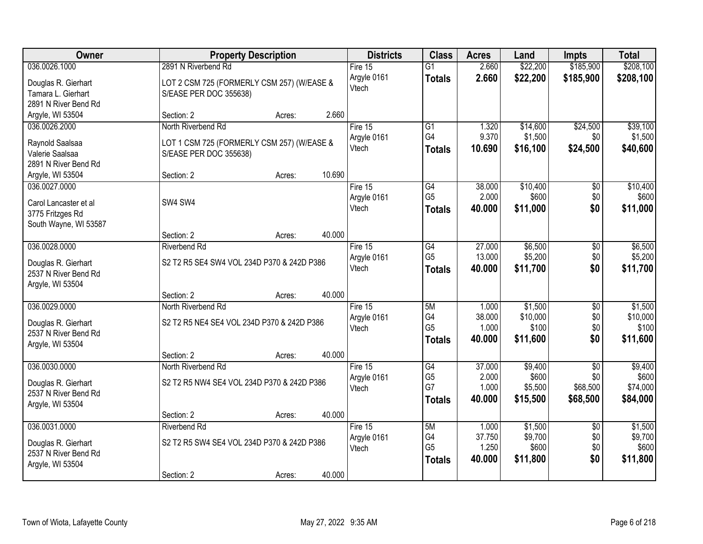| <b>Owner</b>                                                                        |                                                                      | <b>Property Description</b> |        | <b>Districts</b>                  | <b>Class</b>                                | <b>Acres</b>                       | Land                                    | <b>Impts</b>                                   | <b>Total</b>                             |
|-------------------------------------------------------------------------------------|----------------------------------------------------------------------|-----------------------------|--------|-----------------------------------|---------------------------------------------|------------------------------------|-----------------------------------------|------------------------------------------------|------------------------------------------|
| 036.0026.1000                                                                       | 2891 N Riverbend Rd                                                  |                             |        | Fire $15$                         | $\overline{G1}$                             | 2.660                              | \$22,200                                | \$185,900                                      | \$208,100                                |
| Douglas R. Gierhart<br>Tamara L. Gierhart<br>2891 N River Bend Rd                   | LOT 2 CSM 725 (FORMERLY CSM 257) (W/EASE &<br>S/EASE PER DOC 355638) |                             |        | Argyle 0161<br>Vtech              | <b>Totals</b>                               | 2.660                              | \$22,200                                | \$185,900                                      | \$208,100                                |
| Argyle, WI 53504                                                                    | Section: 2                                                           | Acres:                      | 2.660  |                                   |                                             |                                    |                                         |                                                |                                          |
| 036.0026.2000<br>Raynold Saalsaa                                                    | North Riverbend Rd<br>LOT 1 CSM 725 (FORMERLY CSM 257) (W/EASE &     |                             |        | Fire 15<br>Argyle 0161<br>Vtech   | $\overline{G1}$<br>G4<br><b>Totals</b>      | 1.320<br>9.370<br>10.690           | \$14,600<br>\$1,500<br>\$16,100         | \$24,500<br>\$0<br>\$24,500                    | \$39,100<br>\$1,500<br>\$40,600          |
| Valerie Saalsaa<br>2891 N River Bend Rd<br>Argyle, WI 53504                         | S/EASE PER DOC 355638)<br>Section: 2                                 | Acres:                      | 10.690 |                                   |                                             |                                    |                                         |                                                |                                          |
| 036.0027.0000<br>Carol Lancaster et al<br>3775 Fritzges Rd<br>South Wayne, WI 53587 | SW4 SW4                                                              |                             |        | Fire 15<br>Argyle 0161<br>Vtech   | G4<br>G <sub>5</sub><br><b>Totals</b>       | 38.000<br>2.000<br>40.000          | \$10,400<br>\$600<br>\$11,000           | \$0<br>\$0<br>\$0                              | \$10,400<br>\$600<br>\$11,000            |
|                                                                                     | Section: 2                                                           | Acres:                      | 40.000 |                                   |                                             |                                    |                                         |                                                |                                          |
| 036.0028.0000<br>Douglas R. Gierhart<br>2537 N River Bend Rd                        | <b>Riverbend Rd</b><br>S2 T2 R5 SE4 SW4 VOL 234D P370 & 242D P386    |                             |        | Fire 15<br>Argyle 0161<br>Vtech   | G4<br>G <sub>5</sub><br><b>Totals</b>       | 27.000<br>13.000<br>40.000         | \$6,500<br>\$5,200<br>\$11,700          | \$0<br>\$0<br>\$0                              | \$6,500<br>\$5,200<br>\$11,700           |
| Argyle, WI 53504                                                                    | Section: 2                                                           | Acres:                      | 40.000 |                                   |                                             |                                    |                                         |                                                |                                          |
| 036.0029.0000                                                                       | North Riverbend Rd                                                   |                             |        | Fire $15$<br>Argyle 0161          | 5M<br>G4                                    | 1.000<br>38.000                    | \$1,500<br>\$10,000                     | $\overline{50}$<br>\$0                         | \$1,500<br>\$10,000                      |
| Douglas R. Gierhart<br>2537 N River Bend Rd<br>Argyle, WI 53504                     | S2 T2 R5 NE4 SE4 VOL 234D P370 & 242D P386                           |                             |        | Vtech                             | G <sub>5</sub><br><b>Totals</b>             | 1.000<br>40.000                    | \$100<br>\$11,600                       | \$0<br>\$0                                     | \$100<br>\$11,600                        |
|                                                                                     | Section: 2                                                           | Acres:                      | 40.000 |                                   |                                             |                                    |                                         |                                                |                                          |
| 036.0030.0000<br>Douglas R. Gierhart<br>2537 N River Bend Rd<br>Argyle, WI 53504    | North Riverbend Rd<br>S2 T2 R5 NW4 SE4 VOL 234D P370 & 242D P386     |                             |        | Fire 15<br>Argyle 0161<br>Vtech   | G4<br>G <sub>5</sub><br>G7<br><b>Totals</b> | 37.000<br>2.000<br>1.000<br>40.000 | \$9,400<br>\$600<br>\$5,500<br>\$15,500 | $\overline{50}$<br>\$0<br>\$68,500<br>\$68,500 | \$9,400<br>\$600<br>\$74,000<br>\$84,000 |
|                                                                                     | Section: 2                                                           | Acres:                      | 40.000 |                                   |                                             |                                    |                                         |                                                |                                          |
| 036.0031.0000<br>Douglas R. Gierhart<br>2537 N River Bend Rd<br>Argyle, WI 53504    | <b>Riverbend Rd</b><br>S2 T2 R5 SW4 SE4 VOL 234D P370 & 242D P386    |                             |        | Fire $15$<br>Argyle 0161<br>Vtech | 5M<br>G4<br>G <sub>5</sub><br><b>Totals</b> | 1.000<br>37.750<br>1.250<br>40.000 | \$1,500<br>\$9,700<br>\$600<br>\$11,800 | $\overline{50}$<br>\$0<br>\$0<br>\$0           | \$1,500<br>\$9,700<br>\$600<br>\$11,800  |
|                                                                                     | Section: 2                                                           | Acres:                      | 40.000 |                                   |                                             |                                    |                                         |                                                |                                          |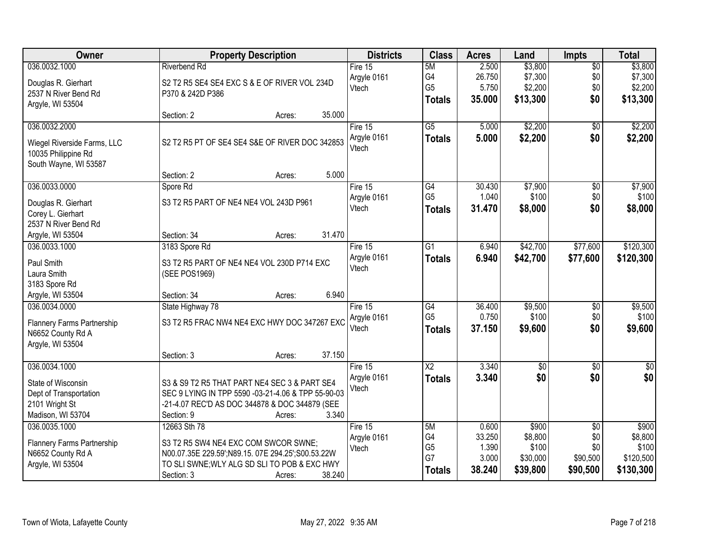| Owner                             |                                        | <b>Property Description</b>                        | <b>Districts</b> | <b>Class</b>    | <b>Acres</b> | Land            | <b>Impts</b>    | <b>Total</b> |
|-----------------------------------|----------------------------------------|----------------------------------------------------|------------------|-----------------|--------------|-----------------|-----------------|--------------|
| 036.0032.1000                     | <b>Riverbend Rd</b>                    |                                                    | Fire $15$        | 5M              | 2.500        | \$3,800         | $\overline{50}$ | \$3,800      |
| Douglas R. Gierhart               |                                        | S2 T2 R5 SE4 SE4 EXC S & E OF RIVER VOL 234D       | Argyle 0161      | G4              | 26.750       | \$7,300         | \$0             | \$7,300      |
| 2537 N River Bend Rd              | P370 & 242D P386                       |                                                    | Vtech            | G <sub>5</sub>  | 5.750        | \$2,200         | \$0             | \$2,200      |
| Argyle, WI 53504                  |                                        |                                                    |                  | <b>Totals</b>   | 35.000       | \$13,300        | \$0             | \$13,300     |
|                                   | Section: 2                             | 35.000<br>Acres:                                   |                  |                 |              |                 |                 |              |
| 036.0032.2000                     |                                        |                                                    | Fire 15          | $\overline{G5}$ | 5.000        | \$2,200         | $\overline{50}$ | \$2,200      |
| Wiegel Riverside Farms, LLC       |                                        | S2 T2 R5 PT OF SE4 SE4 S&E OF RIVER DOC 342853     | Argyle 0161      | <b>Totals</b>   | 5.000        | \$2,200         | \$0             | \$2,200      |
| 10035 Philippine Rd               |                                        |                                                    | Vtech            |                 |              |                 |                 |              |
| South Wayne, WI 53587             |                                        |                                                    |                  |                 |              |                 |                 |              |
|                                   | Section: 2                             | 5.000<br>Acres:                                    |                  |                 |              |                 |                 |              |
| 036.0033.0000                     | Spore Rd                               |                                                    | Fire 15          | G4              | 30.430       | \$7,900         | \$0             | \$7,900      |
| Douglas R. Gierhart               | S3 T2 R5 PART OF NE4 NE4 VOL 243D P961 |                                                    | Argyle 0161      | G <sub>5</sub>  | 1.040        | \$100           | \$0             | \$100        |
| Corey L. Gierhart                 |                                        |                                                    | Vtech            | <b>Totals</b>   | 31.470       | \$8,000         | \$0             | \$8,000      |
| 2537 N River Bend Rd              |                                        |                                                    |                  |                 |              |                 |                 |              |
| Argyle, WI 53504                  | Section: 34                            | 31.470<br>Acres:                                   |                  |                 |              |                 |                 |              |
| 036.0033.1000                     | 3183 Spore Rd                          |                                                    | Fire 15          | G1              | 6.940        | \$42,700        | \$77,600        | \$120,300    |
| Paul Smith                        |                                        | S3 T2 R5 PART OF NE4 NE4 VOL 230D P714 EXC         | Argyle 0161      | <b>Totals</b>   | 6.940        | \$42,700        | \$77,600        | \$120,300    |
| Laura Smith                       | (SEE POS1969)                          |                                                    | Vtech            |                 |              |                 |                 |              |
| 3183 Spore Rd                     |                                        |                                                    |                  |                 |              |                 |                 |              |
| Argyle, WI 53504                  | Section: 34                            | 6.940<br>Acres:                                    |                  |                 |              |                 |                 |              |
| 036.0034.0000                     | State Highway 78                       |                                                    | Fire 15          | $\overline{G4}$ | 36.400       | \$9,500         | \$0             | \$9,500      |
| <b>Flannery Farms Partnership</b> |                                        | S3 T2 R5 FRAC NW4 NE4 EXC HWY DOC 347267 EXC       | Argyle 0161      | G <sub>5</sub>  | 0.750        | \$100           | \$0             | \$100        |
| N6652 County Rd A                 |                                        |                                                    | Vtech            | <b>Totals</b>   | 37.150       | \$9,600         | \$0             | \$9,600      |
| Argyle, WI 53504                  |                                        |                                                    |                  |                 |              |                 |                 |              |
|                                   | Section: 3                             | 37.150<br>Acres:                                   |                  |                 |              |                 |                 |              |
| 036.0034.1000                     |                                        |                                                    | Fire 15          | $\overline{X2}$ | 3.340        | $\overline{50}$ | $\overline{50}$ | $\sqrt{50}$  |
| State of Wisconsin                |                                        | S3 & S9 T2 R5 THAT PART NE4 SEC 3 & PART SE4       | Argyle 0161      | <b>Totals</b>   | 3.340        | \$0             | \$0             | \$0          |
| Dept of Transportation            |                                        | SEC 9 LYING IN TPP 5590 -03-21-4.06 & TPP 55-90-03 | Vtech            |                 |              |                 |                 |              |
| 2101 Wright St                    |                                        | -21-4.07 REC'D AS DOC 344878 & DOC 344879 (SEE     |                  |                 |              |                 |                 |              |
| Madison, WI 53704                 | Section: 9                             | 3.340<br>Acres:                                    |                  |                 |              |                 |                 |              |
| 036.0035.1000                     | 12663 Sth 78                           |                                                    | Fire 15          | 5M              | 0.600        | \$900           | $\overline{50}$ | \$900        |
| Flannery Farms Partnership        | S3 T2 R5 SW4 NE4 EXC COM SWCOR SWNE;   |                                                    | Argyle 0161      | G4              | 33.250       | \$8,800         | \$0             | \$8,800      |
| N6652 County Rd A                 |                                        | N00.07.35E 229.59';N89.15. 07E 294.25';S00.53.22W  | Vtech            | G <sub>5</sub>  | 1.390        | \$100           | \$0             | \$100        |
| Argyle, WI 53504                  |                                        | TO SLI SWNE; WLY ALG SD SLI TO POB & EXC HWY       |                  | G7              | 3.000        | \$30,000        | \$90,500        | \$120,500    |
|                                   | Section: 3                             | 38.240<br>Acres:                                   |                  | Totals          | 38.240       | \$39,800        | \$90,500        | \$130,300    |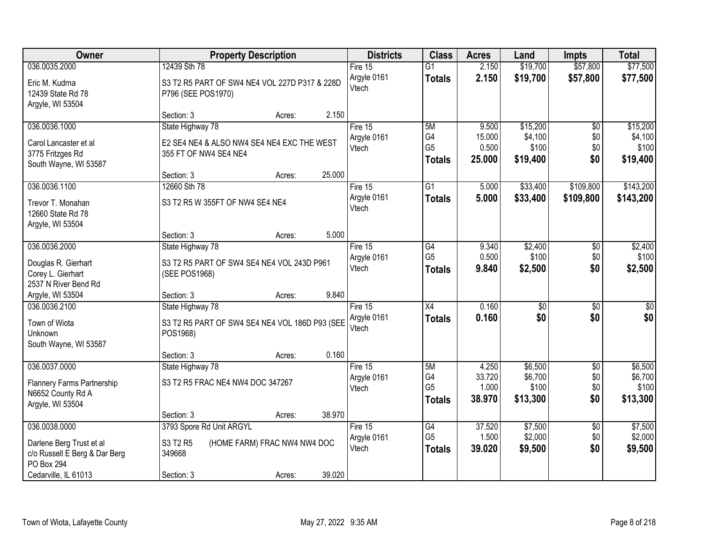| Owner                                                                                           | <b>Property Description</b>                                                             | <b>Districts</b>                | <b>Class</b>                                       | <b>Acres</b>              | Land                          | <b>Impts</b>                  | <b>Total</b>                  |
|-------------------------------------------------------------------------------------------------|-----------------------------------------------------------------------------------------|---------------------------------|----------------------------------------------------|---------------------------|-------------------------------|-------------------------------|-------------------------------|
| 036.0035.2000                                                                                   | 12439 Sth 78                                                                            | Fire 15                         | $\overline{G1}$                                    | 2.150                     | \$19,700                      | \$57,800                      | \$77,500                      |
| Eric M. Kudrna<br>12439 State Rd 78<br>Argyle, WI 53504                                         | S3 T2 R5 PART OF SW4 NE4 VOL 227D P317 & 228D<br>P796 (SEE POS1970)                     | Argyle 0161<br>Vtech            | <b>Totals</b>                                      | 2.150                     | \$19,700                      | \$57,800                      | \$77,500                      |
|                                                                                                 | 2.150<br>Section: 3<br>Acres:                                                           |                                 |                                                    |                           |                               |                               |                               |
| 036.0036.1000<br>Carol Lancaster et al<br>3775 Fritzges Rd                                      | State Highway 78<br>E2 SE4 NE4 & ALSO NW4 SE4 NE4 EXC THE WEST<br>355 FT OF NW4 SE4 NE4 | Fire 15<br>Argyle 0161<br>Vtech | 5M<br>G4<br>G <sub>5</sub>                         | 9.500<br>15.000<br>0.500  | \$15,200<br>\$4,100<br>\$100  | $\overline{50}$<br>\$0<br>\$0 | \$15,200<br>\$4,100<br>\$100  |
| South Wayne, WI 53587                                                                           | 25.000<br>Section: 3<br>Acres:                                                          |                                 | <b>Totals</b>                                      | 25.000                    | \$19,400                      | \$0                           | \$19,400                      |
| 036.0036.1100                                                                                   | 12660 Sth 78                                                                            | Fire 15                         | $\overline{G1}$                                    | 5.000                     | \$33,400                      | \$109,800                     | \$143,200                     |
| Trevor T. Monahan<br>12660 State Rd 78<br>Argyle, WI 53504                                      | S3 T2 R5 W 355FT OF NW4 SE4 NE4                                                         | Argyle 0161<br>Vtech            | <b>Totals</b>                                      | 5.000                     | \$33,400                      | \$109,800                     | \$143,200                     |
|                                                                                                 | Section: 3<br>5.000<br>Acres:                                                           |                                 |                                                    |                           |                               |                               |                               |
| 036.0036.2000                                                                                   | State Highway 78                                                                        | Fire 15                         | G4                                                 | 9.340                     | \$2,400                       | \$0                           | \$2,400                       |
| Douglas R. Gierhart<br>Corey L. Gierhart<br>2537 N River Bend Rd                                | S3 T2 R5 PART OF SW4 SE4 NE4 VOL 243D P961<br>(SEE POS1968)                             | Argyle 0161<br>Vtech            | G <sub>5</sub><br><b>Totals</b>                    | 0.500<br>9.840            | \$100<br>\$2,500              | \$0<br>\$0                    | \$100<br>\$2,500              |
| Argyle, WI 53504                                                                                | 9.840<br>Section: 3<br>Acres:                                                           |                                 |                                                    |                           |                               |                               |                               |
| 036.0036.2100<br>Town of Wiota<br>Unknown                                                       | State Highway 78<br>S3 T2 R5 PART OF SW4 SE4 NE4 VOL 186D P93 (SEE<br>POS1968)          | Fire 15<br>Argyle 0161<br>Vtech | $\overline{X4}$<br><b>Totals</b>                   | 0.160<br>0.160            | $\overline{30}$<br>\$0        | $\overline{30}$<br>\$0        | $\overline{30}$<br>\$0        |
| South Wayne, WI 53587                                                                           | 0.160<br>Section: 3<br>Acres:                                                           |                                 |                                                    |                           |                               |                               |                               |
| 036.0037.0000                                                                                   | State Highway 78                                                                        | Fire 15                         | 5M                                                 | 4.250                     | \$6,500                       | $\overline{60}$               | \$6,500                       |
| Flannery Farms Partnership<br>N6652 County Rd A<br>Argyle, WI 53504                             | S3 T2 R5 FRAC NE4 NW4 DOC 347267                                                        | Argyle 0161<br>Vtech            | G4<br>G <sub>5</sub><br><b>Totals</b>              | 33.720<br>1.000<br>38.970 | \$6,700<br>\$100<br>\$13,300  | \$0<br>\$0<br>\$0             | \$6,700<br>\$100<br>\$13,300  |
|                                                                                                 | 38.970<br>Section: 3<br>Acres:                                                          |                                 |                                                    |                           |                               |                               |                               |
| 036.0038.0000<br>Darlene Berg Trust et al<br>c/o Russell E Berg & Dar Berg<br><b>PO Box 294</b> | 3793 Spore Rd Unit ARGYL<br>S3 T2 R5<br>(HOME FARM) FRAC NW4 NW4 DOC<br>349668          | Fire 15<br>Argyle 0161<br>Vtech | $\overline{G4}$<br>G <sub>5</sub><br><b>Totals</b> | 37.520<br>1.500<br>39.020 | \$7,500<br>\$2,000<br>\$9,500 | $\overline{50}$<br>\$0<br>\$0 | \$7,500<br>\$2,000<br>\$9,500 |
| Cedarville, IL 61013                                                                            | 39.020<br>Section: 3<br>Acres:                                                          |                                 |                                                    |                           |                               |                               |                               |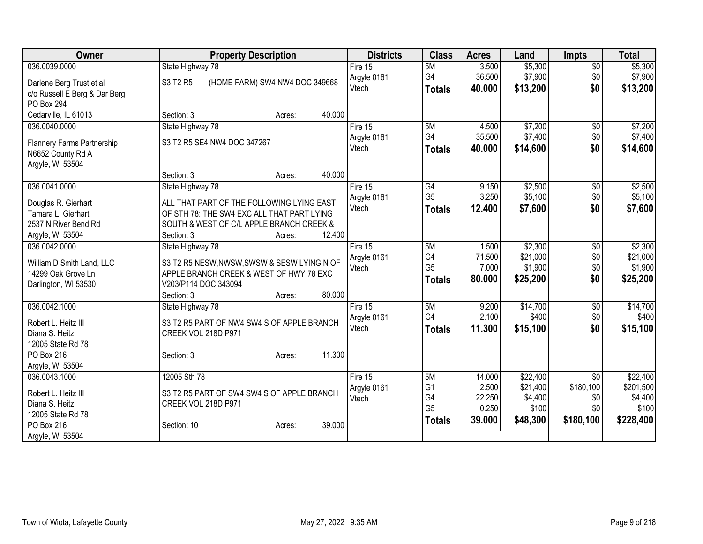| Owner                                           | <b>Property Description</b>                                                | <b>Districts</b> | <b>Class</b>   | <b>Acres</b> | Land     | <b>Impts</b>    | <b>Total</b> |
|-------------------------------------------------|----------------------------------------------------------------------------|------------------|----------------|--------------|----------|-----------------|--------------|
| 036.0039.0000                                   | State Highway 78                                                           | Fire $15$        | 5M             | 3.500        | \$5,300  | $\overline{50}$ | \$5,300      |
| Darlene Berg Trust et al                        | S3 T2 R5<br>(HOME FARM) SW4 NW4 DOC 349668                                 | Argyle 0161      | G4             | 36.500       | \$7,900  | \$0             | \$7,900      |
| c/o Russell E Berg & Dar Berg                   |                                                                            | Vtech            | <b>Totals</b>  | 40.000       | \$13,200 | \$0             | \$13,200     |
| <b>PO Box 294</b>                               |                                                                            |                  |                |              |          |                 |              |
| Cedarville, IL 61013                            | 40.000<br>Section: 3<br>Acres:                                             |                  |                |              |          |                 |              |
| 036.0040.0000                                   | State Highway 78                                                           | Fire 15          | 5M             | 4.500        | \$7,200  | $\sqrt{6}$      | \$7,200      |
|                                                 | S3 T2 R5 SE4 NW4 DOC 347267                                                | Argyle 0161      | G <sub>4</sub> | 35.500       | \$7,400  | \$0             | \$7,400      |
| Flannery Farms Partnership<br>N6652 County Rd A |                                                                            | Vtech            | <b>Totals</b>  | 40.000       | \$14,600 | \$0             | \$14,600     |
| Argyle, WI 53504                                |                                                                            |                  |                |              |          |                 |              |
|                                                 | 40.000<br>Section: 3<br>Acres:                                             |                  |                |              |          |                 |              |
| 036.0041.0000                                   | State Highway 78                                                           | Fire 15          | G4             | 9.150        | \$2,500  | \$0             | \$2,500      |
|                                                 |                                                                            | Argyle 0161      | G <sub>5</sub> | 3.250        | \$5,100  | \$0             | \$5,100      |
| Douglas R. Gierhart                             | ALL THAT PART OF THE FOLLOWING LYING EAST                                  | Vtech            | <b>Totals</b>  | 12.400       | \$7,600  | \$0             | \$7,600      |
| Tamara L. Gierhart                              | OF STH 78: THE SW4 EXC ALL THAT PART LYING                                 |                  |                |              |          |                 |              |
| 2537 N River Bend Rd                            | SOUTH & WEST OF C/L APPLE BRANCH CREEK &<br>12.400<br>Section: 3<br>Acres: |                  |                |              |          |                 |              |
| Argyle, WI 53504<br>036.0042.0000               | State Highway 78                                                           | Fire 15          | 5M             | 1.500        | \$2,300  | \$0             | \$2,300      |
|                                                 |                                                                            | Argyle 0161      | G4             | 71.500       | \$21,000 | \$0             | \$21,000     |
| William D Smith Land, LLC                       | S3 T2 R5 NESW, NWSW, SWSW & SESW LYING N OF                                | Vtech            | G <sub>5</sub> | 7.000        | \$1,900  | \$0             | \$1,900      |
| 14299 Oak Grove Ln                              | APPLE BRANCH CREEK & WEST OF HWY 78 EXC                                    |                  | <b>Totals</b>  | 80.000       | \$25,200 | \$0             | \$25,200     |
| Darlington, WI 53530                            | V203/P114 DOC 343094                                                       |                  |                |              |          |                 |              |
|                                                 | 80.000<br>Section: 3<br>Acres:                                             |                  |                |              |          |                 |              |
| 036.0042.1000                                   | State Highway 78                                                           | Fire 15          | 5M             | 9.200        | \$14,700 | \$0             | \$14,700     |
| Robert L. Heitz III                             | S3 T2 R5 PART OF NW4 SW4 S OF APPLE BRANCH                                 | Argyle 0161      | G4             | 2.100        | \$400    | \$0             | \$400        |
| Diana S. Heitz                                  | CREEK VOL 218D P971                                                        | Vtech            | <b>Totals</b>  | 11.300       | \$15,100 | \$0             | \$15,100     |
| 12005 State Rd 78                               |                                                                            |                  |                |              |          |                 |              |
| PO Box 216                                      | 11.300<br>Section: 3<br>Acres:                                             |                  |                |              |          |                 |              |
| Argyle, WI 53504                                |                                                                            |                  |                |              |          |                 |              |
| 036.0043.1000                                   | 12005 Sth 78                                                               | Fire $15$        | 5M             | 14.000       | \$22,400 | $\overline{50}$ | \$22,400     |
| Robert L. Heitz III                             | S3 T2 R5 PART OF SW4 SW4 S OF APPLE BRANCH                                 | Argyle 0161      | G <sub>1</sub> | 2.500        | \$21,400 | \$180,100       | \$201,500    |
| Diana S. Heitz                                  | CREEK VOL 218D P971                                                        | Vtech            | G4             | 22.250       | \$4,400  | \$0             | \$4,400      |
| 12005 State Rd 78                               |                                                                            |                  | G <sub>5</sub> | 0.250        | \$100    | \$0             | \$100        |
| PO Box 216                                      | 39.000<br>Section: 10<br>Acres:                                            |                  | <b>Totals</b>  | 39.000       | \$48,300 | \$180,100       | \$228,400    |
| Argyle, WI 53504                                |                                                                            |                  |                |              |          |                 |              |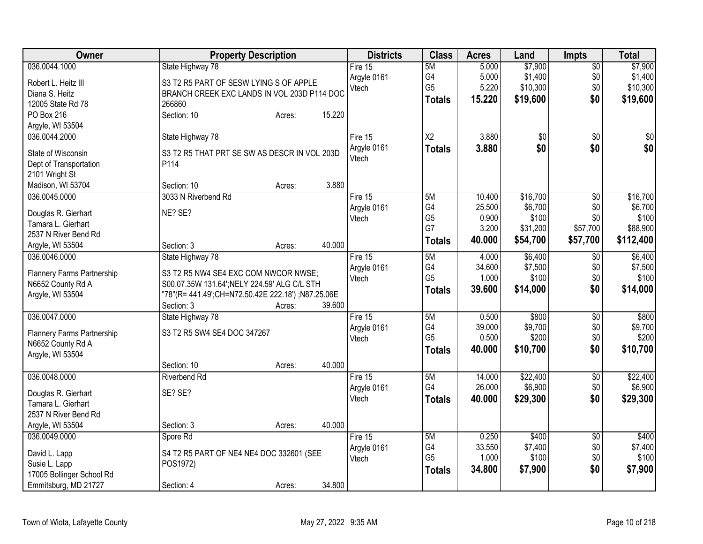| Owner                                           | <b>Property Description</b>                                                          |        | <b>Districts</b> | <b>Class</b>         | <b>Acres</b>    | Land             | <b>Impts</b>    | <b>Total</b>     |
|-------------------------------------------------|--------------------------------------------------------------------------------------|--------|------------------|----------------------|-----------------|------------------|-----------------|------------------|
| 036.0044.1000                                   | State Highway 78                                                                     |        | Fire 15          | 5M                   | 5.000           | \$7,900          | $\overline{50}$ | \$7,900          |
| Robert L. Heitz III                             | S3 T2 R5 PART OF SESW LYING S OF APPLE                                               |        | Argyle 0161      | G4                   | 5.000           | \$1,400          | \$0             | \$1,400          |
| Diana S. Heitz                                  | BRANCH CREEK EXC LANDS IN VOL 203D P114 DOC                                          |        | Vtech            | G <sub>5</sub>       | 5.220           | \$10,300         | \$0             | \$10,300         |
| 12005 State Rd 78                               | 266860                                                                               |        |                  | <b>Totals</b>        | 15.220          | \$19,600         | \$0             | \$19,600         |
| PO Box 216                                      | Section: 10<br>Acres:                                                                | 15.220 |                  |                      |                 |                  |                 |                  |
| Argyle, WI 53504                                |                                                                                      |        |                  |                      |                 |                  |                 |                  |
| 036.0044.2000                                   | State Highway 78                                                                     |        | Fire $15$        | $\overline{X2}$      | 3.880           | $\overline{50}$  | \$0             | \$0              |
|                                                 |                                                                                      |        | Argyle 0161      | <b>Totals</b>        | 3.880           | \$0              | \$0             | \$0              |
| State of Wisconsin                              | S3 T2 R5 THAT PRT SE SW AS DESCR IN VOL 203D                                         |        | Vtech            |                      |                 |                  |                 |                  |
| Dept of Transportation                          | P114                                                                                 |        |                  |                      |                 |                  |                 |                  |
| 2101 Wright St                                  |                                                                                      |        |                  |                      |                 |                  |                 |                  |
| Madison, WI 53704                               | Section: 10<br>Acres:                                                                | 3.880  |                  |                      |                 |                  |                 |                  |
| 036.0045.0000                                   | 3033 N Riverbend Rd                                                                  |        | Fire 15          | 5M                   | 10.400          | \$16,700         | $\overline{50}$ | \$16,700         |
| Douglas R. Gierhart                             | NE? SE?                                                                              |        | Argyle 0161      | G4<br>G <sub>5</sub> | 25.500<br>0.900 | \$6,700<br>\$100 | \$0<br>\$0      | \$6,700<br>\$100 |
| Tamara L. Gierhart                              |                                                                                      |        | Vtech            | G7                   | 3.200           | \$31,200         | \$57,700        | \$88,900         |
| 2537 N River Bend Rd                            |                                                                                      |        |                  |                      | 40.000          |                  |                 |                  |
| Argyle, WI 53504                                | Section: 3<br>Acres:                                                                 | 40.000 |                  | <b>Totals</b>        |                 | \$54,700         | \$57,700        | \$112,400        |
| 036.0046.0000                                   | State Highway 78                                                                     |        | Fire 15          | 5M                   | 4.000           | \$6,400          | \$0             | \$6,400          |
|                                                 |                                                                                      |        | Argyle 0161      | G4                   | 34.600          | \$7,500          | \$0             | \$7,500          |
| Flannery Farms Partnership<br>N6652 County Rd A | S3 T2 R5 NW4 SE4 EXC COM NWCOR NWSE;<br>S00.07.35W 131.64"; NELY 224.59" ALG C/L STH |        | Vtech            | G <sub>5</sub>       | 1.000           | \$100            | \$0             | \$100            |
| Argyle, WI 53504                                | "78"(R= 441.49";CH=N72.50.42E 222.18") ;N87.25.06E                                   |        |                  | <b>Totals</b>        | 39.600          | \$14,000         | \$0             | \$14,000         |
|                                                 | Section: 3<br>Acres:                                                                 | 39.600 |                  |                      |                 |                  |                 |                  |
| 036.0047.0000                                   | State Highway 78                                                                     |        | Fire 15          | 5M                   | 0.500           | \$800            | \$0             | \$800            |
|                                                 |                                                                                      |        | Argyle 0161      | G4                   | 39.000          | \$9,700          | \$0             | \$9,700          |
| Flannery Farms Partnership                      | S3 T2 R5 SW4 SE4 DOC 347267                                                          |        | Vtech            | G <sub>5</sub>       | 0.500           | \$200            | \$0             | \$200            |
| N6652 County Rd A                               |                                                                                      |        |                  | <b>Totals</b>        | 40.000          | \$10,700         | \$0             | \$10,700         |
| Argyle, WI 53504                                |                                                                                      |        |                  |                      |                 |                  |                 |                  |
|                                                 | Section: 10<br>Acres:                                                                | 40.000 |                  |                      |                 |                  |                 |                  |
| 036.0048.0000                                   | <b>Riverbend Rd</b>                                                                  |        | Fire $15$        | 5M                   | 14.000          | \$22,400         | $\overline{50}$ | \$22,400         |
| Douglas R. Gierhart                             | SE? SE?                                                                              |        | Argyle 0161      | G4                   | 26.000          | \$6,900          | \$0             | \$6,900          |
| Tamara L. Gierhart                              |                                                                                      |        | Vtech            | <b>Totals</b>        | 40.000          | \$29,300         | \$0             | \$29,300         |
| 2537 N River Bend Rd                            |                                                                                      |        |                  |                      |                 |                  |                 |                  |
| Argyle, WI 53504                                | Section: 3<br>Acres:                                                                 | 40.000 |                  |                      |                 |                  |                 |                  |
| 036.0049.0000                                   | Spore Rd                                                                             |        | Fire $15$        | 5M                   | 0.250           | \$400            | $\overline{50}$ | \$400            |
|                                                 |                                                                                      |        | Argyle 0161      | G4                   | 33.550          | \$7,400          | \$0             | \$7,400          |
| David L. Lapp                                   | S4 T2 R5 PART OF NE4 NE4 DOC 332601 (SEE                                             |        | Vtech            | G <sub>5</sub>       | 1.000           | \$100            | \$0             | \$100            |
| Susie L. Lapp                                   | POS1972)                                                                             |        |                  | <b>Totals</b>        | 34.800          | \$7,900          | \$0             | \$7,900          |
| 17005 Bollinger School Rd                       |                                                                                      |        |                  |                      |                 |                  |                 |                  |
| Emmitsburg, MD 21727                            | Section: 4<br>Acres:                                                                 | 34.800 |                  |                      |                 |                  |                 |                  |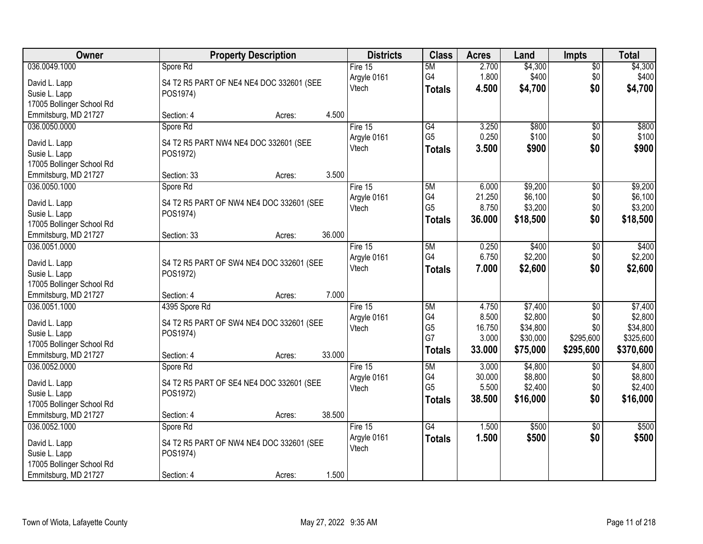| Owner                                             | <b>Property Description</b>              | <b>Districts</b>       | <b>Class</b>   | <b>Acres</b> | Land     | <b>Impts</b>    | <b>Total</b> |
|---------------------------------------------------|------------------------------------------|------------------------|----------------|--------------|----------|-----------------|--------------|
| 036.0049.1000                                     | Spore Rd                                 | Fire 15                | 5M             | 2.700        | \$4,300  | \$0             | \$4,300      |
| David L. Lapp                                     | S4 T2 R5 PART OF NE4 NE4 DOC 332601 (SEE | Argyle 0161            | G4             | 1.800        | \$400    | \$0             | \$400        |
| Susie L. Lapp                                     | POS1974)                                 | Vtech                  | <b>Totals</b>  | 4.500        | \$4,700  | \$0             | \$4,700      |
| 17005 Bollinger School Rd                         |                                          |                        |                |              |          |                 |              |
| Emmitsburg, MD 21727                              | 4.500<br>Section: 4<br>Acres:            |                        |                |              |          |                 |              |
| 036.0050.0000                                     | Spore Rd                                 | Fire 15                | G4             | 3.250        | \$800    | \$0             | \$800        |
|                                                   |                                          | Argyle 0161            | G <sub>5</sub> | 0.250        | \$100    | \$0             | \$100        |
| David L. Lapp                                     | S4 T2 R5 PART NW4 NE4 DOC 332601 (SEE    | Vtech                  | <b>Totals</b>  | 3.500        | \$900    | \$0             | \$900        |
| Susie L. Lapp                                     | POS1972)                                 |                        |                |              |          |                 |              |
| 17005 Bollinger School Rd<br>Emmitsburg, MD 21727 | 3.500<br>Section: 33<br>Acres:           |                        |                |              |          |                 |              |
| 036.0050.1000                                     | Spore Rd                                 | Fire 15                | 5M             | 6.000        | \$9,200  | $\overline{60}$ | \$9,200      |
|                                                   |                                          | Argyle 0161            | G4             | 21.250       | \$6,100  | \$0             | \$6,100      |
| David L. Lapp                                     | S4 T2 R5 PART OF NW4 NE4 DOC 332601 (SEE | Vtech                  | G <sub>5</sub> | 8.750        | \$3,200  | \$0             | \$3,200      |
| Susie L. Lapp                                     | POS1974)                                 |                        | <b>Totals</b>  | 36.000       | \$18,500 | \$0             | \$18,500     |
| 17005 Bollinger School Rd                         |                                          |                        |                |              |          |                 |              |
| Emmitsburg, MD 21727                              | 36.000<br>Section: 33<br>Acres:          |                        |                |              |          |                 |              |
| 036.0051.0000                                     |                                          | Fire 15                | 5M             | 0.250        | \$400    | \$0             | \$400        |
| David L. Lapp                                     | S4 T2 R5 PART OF SW4 NE4 DOC 332601 (SEE | Argyle 0161            | G4             | 6.750        | \$2,200  | \$0             | \$2,200      |
| Susie L. Lapp                                     | POS1972)                                 | Vtech                  | <b>Totals</b>  | 7.000        | \$2,600  | \$0             | \$2,600      |
| 17005 Bollinger School Rd                         |                                          |                        |                |              |          |                 |              |
| Emmitsburg, MD 21727                              | 7.000<br>Section: 4<br>Acres:            |                        |                |              |          |                 |              |
| 036.0051.1000                                     | 4395 Spore Rd                            | Fire 15                | 5M             | 4.750        | \$7,400  | $\overline{50}$ | \$7,400      |
|                                                   |                                          | Argyle 0161            | G4             | 8.500        | \$2,800  | \$0             | \$2,800      |
| David L. Lapp                                     | S4 T2 R5 PART OF SW4 NE4 DOC 332601 (SEE | Vtech                  | G <sub>5</sub> | 16.750       | \$34,800 | \$0             | \$34,800     |
| Susie L. Lapp                                     | POS1974)                                 |                        | G7             | 3.000        | \$30,000 | \$295,600       | \$325,600    |
| 17005 Bollinger School Rd<br>Emmitsburg, MD 21727 | 33.000                                   |                        | <b>Totals</b>  | 33.000       | \$75,000 | \$295,600       | \$370,600    |
| 036.0052.0000                                     | Section: 4<br>Acres:                     |                        | 5M             | 3.000        | \$4,800  |                 | \$4,800      |
|                                                   | Spore Rd                                 | Fire 15<br>Argyle 0161 | G4             | 30.000       | \$8,800  | \$0<br>\$0      | \$8,800      |
| David L. Lapp                                     | S4 T2 R5 PART OF SE4 NE4 DOC 332601 (SEE | Vtech                  | G <sub>5</sub> | 5.500        | \$2,400  | \$0             | \$2,400      |
| Susie L. Lapp                                     | POS1972)                                 |                        | <b>Totals</b>  | 38.500       | \$16,000 | \$0             | \$16,000     |
| 17005 Bollinger School Rd                         |                                          |                        |                |              |          |                 |              |
| Emmitsburg, MD 21727                              | 38.500<br>Section: 4<br>Acres:           |                        |                |              |          |                 |              |
| 036.0052.1000                                     | Spore Rd                                 | Fire $15$              | G4             | 1.500        | \$500    | $\overline{30}$ | \$500        |
| David L. Lapp                                     | S4 T2 R5 PART OF NW4 NE4 DOC 332601 (SEE | Argyle 0161            | <b>Totals</b>  | 1.500        | \$500    | \$0             | \$500        |
| Susie L. Lapp                                     | POS1974)                                 | Vtech                  |                |              |          |                 |              |
| 17005 Bollinger School Rd                         |                                          |                        |                |              |          |                 |              |
| Emmitsburg, MD 21727                              | 1.500<br>Section: 4<br>Acres:            |                        |                |              |          |                 |              |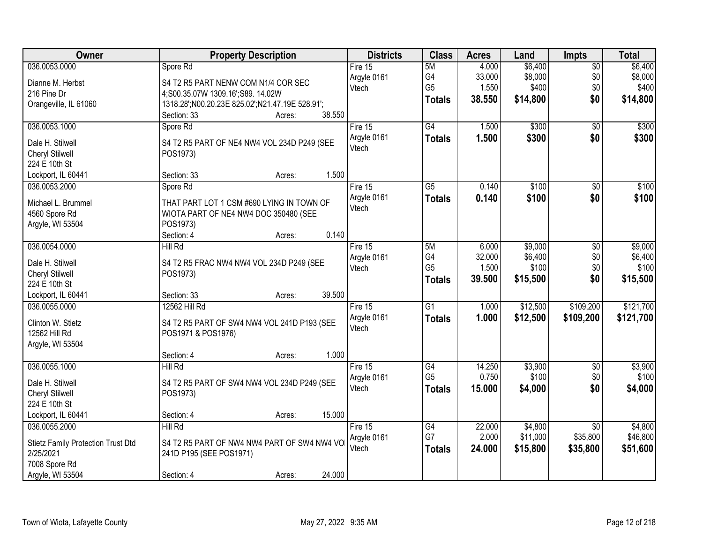| Owner                                     | <b>Property Description</b>                     | <b>Districts</b> | <b>Class</b>    | <b>Acres</b> | Land     | <b>Impts</b>    | <b>Total</b> |
|-------------------------------------------|-------------------------------------------------|------------------|-----------------|--------------|----------|-----------------|--------------|
| 036.0053.0000                             | Spore Rd                                        | Fire $15$        | 5M              | 4.000        | \$6,400  | \$0             | \$6,400      |
| Dianne M. Herbst                          | S4 T2 R5 PART NENW COM N1/4 COR SEC             | Argyle 0161      | G4              | 33.000       | \$8,000  | \$0             | \$8,000      |
| 216 Pine Dr                               | 4;S00.35.07W 1309.16';S89. 14.02W               | Vtech            | G <sub>5</sub>  | 1.550        | \$400    | \$0             | \$400        |
| Orangeville, IL 61060                     | 1318.28';N00.20.23E 825.02';N21.47.19E 528.91'; |                  | <b>Totals</b>   | 38.550       | \$14,800 | \$0             | \$14,800     |
|                                           | 38.550<br>Section: 33<br>Acres:                 |                  |                 |              |          |                 |              |
| 036.0053.1000                             | Spore Rd                                        | Fire 15          | $\overline{G4}$ | 1.500        | \$300    | $\overline{50}$ | \$300        |
| Dale H. Stilwell                          | S4 T2 R5 PART OF NE4 NW4 VOL 234D P249 (SEE     | Argyle 0161      | <b>Totals</b>   | 1.500        | \$300    | \$0             | \$300        |
| <b>Cheryl Stilwell</b>                    | POS1973)                                        | Vtech            |                 |              |          |                 |              |
| 224 E 10th St                             |                                                 |                  |                 |              |          |                 |              |
| Lockport, IL 60441                        | 1.500<br>Section: 33<br>Acres:                  |                  |                 |              |          |                 |              |
| 036.0053.2000                             | Spore Rd                                        | Fire 15          | $\overline{G5}$ | 0.140        | \$100    | $\overline{60}$ | \$100        |
| Michael L. Brummel                        | THAT PART LOT 1 CSM #690 LYING IN TOWN OF       | Argyle 0161      | <b>Totals</b>   | 0.140        | \$100    | \$0             | \$100        |
| 4560 Spore Rd                             | WIOTA PART OF NE4 NW4 DOC 350480 (SEE           | Vtech            |                 |              |          |                 |              |
| Argyle, WI 53504                          | POS1973)                                        |                  |                 |              |          |                 |              |
|                                           | 0.140<br>Section: 4<br>Acres:                   |                  |                 |              |          |                 |              |
| 036.0054.0000                             | Hill Rd                                         | Fire 15          | 5M              | 6.000        | \$9,000  | \$0             | \$9,000      |
|                                           |                                                 | Argyle 0161      | G4              | 32.000       | \$6,400  | \$0             | \$6,400      |
| Dale H. Stilwell                          | S4 T2 R5 FRAC NW4 NW4 VOL 234D P249 (SEE        | Vtech            | G <sub>5</sub>  | 1.500        | \$100    | \$0             | \$100        |
| Cheryl Stilwell<br>224 E 10th St          | POS1973)                                        |                  | <b>Totals</b>   | 39.500       | \$15,500 | \$0             | \$15,500     |
| Lockport, IL 60441                        | 39.500<br>Section: 33<br>Acres:                 |                  |                 |              |          |                 |              |
| 036.0055.0000                             | 12562 Hill Rd                                   | Fire 15          | $\overline{G1}$ | 1.000        | \$12,500 | \$109,200       | \$121,700    |
|                                           |                                                 | Argyle 0161      |                 | 1.000        | \$12,500 |                 | \$121,700    |
| Clinton W. Stietz                         | S4 T2 R5 PART OF SW4 NW4 VOL 241D P193 (SEE     | Vtech            | <b>Totals</b>   |              |          | \$109,200       |              |
| 12562 Hill Rd                             | POS1971 & POS1976)                              |                  |                 |              |          |                 |              |
| Argyle, WI 53504                          |                                                 |                  |                 |              |          |                 |              |
|                                           | 1.000<br>Section: 4<br>Acres:                   |                  |                 |              |          |                 |              |
| 036.0055.1000                             | Hill Rd                                         | Fire 15          | $\overline{G4}$ | 14.250       | \$3,900  | $\overline{$0}$ | \$3,900      |
| Dale H. Stilwell                          | S4 T2 R5 PART OF SW4 NW4 VOL 234D P249 (SEE     | Argyle 0161      | G <sub>5</sub>  | 0.750        | \$100    | \$0             | \$100        |
| <b>Cheryl Stilwell</b>                    | POS1973)                                        | Vtech            | <b>Totals</b>   | 15.000       | \$4,000  | \$0             | \$4,000      |
| 224 E 10th St                             |                                                 |                  |                 |              |          |                 |              |
| Lockport, IL 60441                        | 15.000<br>Section: 4<br>Acres:                  |                  |                 |              |          |                 |              |
| 036.0055.2000                             | Hill Rd                                         | Fire $15$        | G4              | 22.000       | \$4,800  | $\overline{30}$ | \$4,800      |
| <b>Stietz Family Protection Trust Dtd</b> | S4 T2 R5 PART OF NW4 NW4 PART OF SW4 NW4 VO     | Argyle 0161      | G7              | 2.000        | \$11,000 | \$35,800        | \$46,800     |
| 2/25/2021                                 | 241D P195 (SEE POS1971)                         | Vtech            | <b>Totals</b>   | 24.000       | \$15,800 | \$35,800        | \$51,600     |
| 7008 Spore Rd                             |                                                 |                  |                 |              |          |                 |              |
| Argyle, WI 53504                          | 24.000<br>Section: 4<br>Acres:                  |                  |                 |              |          |                 |              |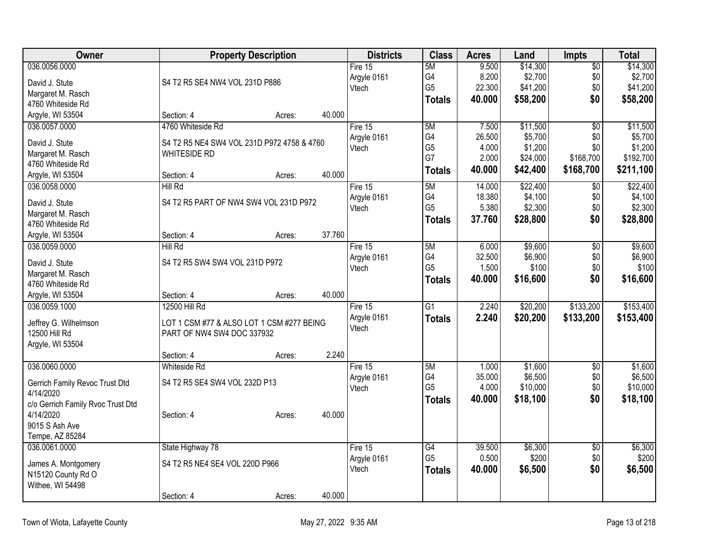| Owner                             |                                            | <b>Property Description</b> |        | <b>Districts</b> | <b>Class</b>    | <b>Acres</b> | Land     | <b>Impts</b>    | <b>Total</b> |
|-----------------------------------|--------------------------------------------|-----------------------------|--------|------------------|-----------------|--------------|----------|-----------------|--------------|
| 036.0056.0000                     |                                            |                             |        | Fire 15          | 5M              | 9.500        | \$14,300 | $\overline{50}$ | \$14,300     |
| David J. Stute                    | S4 T2 R5 SE4 NW4 VOL 231D P886             |                             |        | Argyle 0161      | G4              | 8.200        | \$2,700  | \$0             | \$2,700      |
| Margaret M. Rasch                 |                                            |                             |        | Vtech            | G <sub>5</sub>  | 22.300       | \$41,200 | \$0             | \$41,200     |
| 4760 Whiteside Rd                 |                                            |                             |        |                  | <b>Totals</b>   | 40.000       | \$58,200 | \$0             | \$58,200     |
| Argyle, WI 53504                  | Section: 4                                 | Acres:                      | 40.000 |                  |                 |              |          |                 |              |
| 036.0057.0000                     | 4760 Whiteside Rd                          |                             |        | Fire 15          | 5M              | 7.500        | \$11,500 | $\overline{50}$ | \$11,500     |
| David J. Stute                    | S4 T2 R5 NE4 SW4 VOL 231D P972 4758 & 4760 |                             |        | Argyle 0161      | G4              | 26.500       | \$5,700  | \$0             | \$5,700      |
| Margaret M. Rasch                 | <b>WHITESIDE RD</b>                        |                             |        | Vtech            | G <sub>5</sub>  | 4.000        | \$1,200  | \$0             | \$1,200      |
| 4760 Whiteside Rd                 |                                            |                             |        |                  | G7              | 2.000        | \$24,000 | \$168,700       | \$192,700    |
| Argyle, WI 53504                  | Section: 4                                 | Acres:                      | 40.000 |                  | <b>Totals</b>   | 40.000       | \$42,400 | \$168,700       | \$211,100    |
| 036.0058.0000                     | <b>Hill Rd</b>                             |                             |        | Fire 15          | 5M              | 14.000       | \$22,400 | \$0             | \$22,400     |
|                                   |                                            |                             |        | Argyle 0161      | G4              | 18.380       | \$4,100  | \$0             | \$4,100      |
| David J. Stute                    | S4 T2 R5 PART OF NW4 SW4 VOL 231D P972     |                             |        | Vtech            | G <sub>5</sub>  | 5.380        | \$2,300  | \$0             | \$2,300      |
| Margaret M. Rasch                 |                                            |                             |        |                  | <b>Totals</b>   | 37.760       | \$28,800 | \$0             | \$28,800     |
| 4760 Whiteside Rd                 |                                            |                             |        |                  |                 |              |          |                 |              |
| Argyle, WI 53504                  | Section: 4                                 | Acres:                      | 37.760 |                  |                 |              |          |                 |              |
| 036.0059.0000                     | <b>Hill Rd</b>                             |                             |        | Fire 15          | 5M              | 6.000        | \$9,600  | \$0             | \$9,600      |
| David J. Stute                    | S4 T2 R5 SW4 SW4 VOL 231D P972             |                             |        | Argyle 0161      | G4              | 32.500       | \$6,900  | \$0             | \$6,900      |
| Margaret M. Rasch                 |                                            |                             |        | Vtech            | G <sub>5</sub>  | 1.500        | \$100    | \$0             | \$100        |
| 4760 Whiteside Rd                 |                                            |                             |        |                  | <b>Totals</b>   | 40.000       | \$16,600 | \$0             | \$16,600     |
| Argyle, WI 53504                  | Section: 4                                 | Acres:                      | 40.000 |                  |                 |              |          |                 |              |
| 036.0059.1000                     | 12500 Hill Rd                              |                             |        | Fire 15          | $\overline{G1}$ | 2.240        | \$20,200 | \$133,200       | \$153,400    |
| Jeffrey G. Wilhelmson             | LOT 1 CSM #77 & ALSO LOT 1 CSM #277 BEING  |                             |        | Argyle 0161      | <b>Totals</b>   | 2.240        | \$20,200 | \$133,200       | \$153,400    |
| 12500 Hill Rd                     | PART OF NW4 SW4 DOC 337932                 |                             |        | Vtech            |                 |              |          |                 |              |
| Argyle, WI 53504                  |                                            |                             |        |                  |                 |              |          |                 |              |
|                                   | Section: 4                                 | Acres:                      | 2.240  |                  |                 |              |          |                 |              |
| 036.0060.0000                     | <b>Whiteside Rd</b>                        |                             |        | Fire $15$        | 5M              | 1.000        | \$1,600  | $\overline{50}$ | \$1,600      |
|                                   |                                            |                             |        | Argyle 0161      | G4              | 35.000       | \$6,500  | \$0             | \$6,500      |
| Gerrich Family Revoc Trust Dtd    | S4 T2 R5 SE4 SW4 VOL 232D P13              |                             |        | Vtech            | G <sub>5</sub>  | 4.000        | \$10,000 | \$0             | \$10,000     |
| 4/14/2020                         |                                            |                             |        |                  | <b>Totals</b>   | 40.000       | \$18,100 | \$0             | \$18,100     |
| c/o Gerrich Family Rvoc Trust Dtd |                                            |                             |        |                  |                 |              |          |                 |              |
| 4/14/2020<br>9015 S Ash Ave       | Section: 4                                 | Acres:                      | 40.000 |                  |                 |              |          |                 |              |
| Tempe, AZ 85284                   |                                            |                             |        |                  |                 |              |          |                 |              |
| 036.0061.0000                     | State Highway 78                           |                             |        | Fire $15$        | $\overline{G4}$ | 39.500       | \$6,300  | $\overline{50}$ | \$6,300      |
|                                   |                                            |                             |        | Argyle 0161      | G <sub>5</sub>  | 0.500        | \$200    | \$0             | \$200        |
| James A. Montgomery               | S4 T2 R5 NE4 SE4 VOL 220D P966             |                             |        | Vtech            | <b>Totals</b>   | 40.000       | \$6,500  | \$0             | \$6,500      |
| N15120 County Rd O                |                                            |                             |        |                  |                 |              |          |                 |              |
| Withee, WI 54498                  |                                            |                             |        |                  |                 |              |          |                 |              |
|                                   | Section: 4                                 | Acres:                      | 40.000 |                  |                 |              |          |                 |              |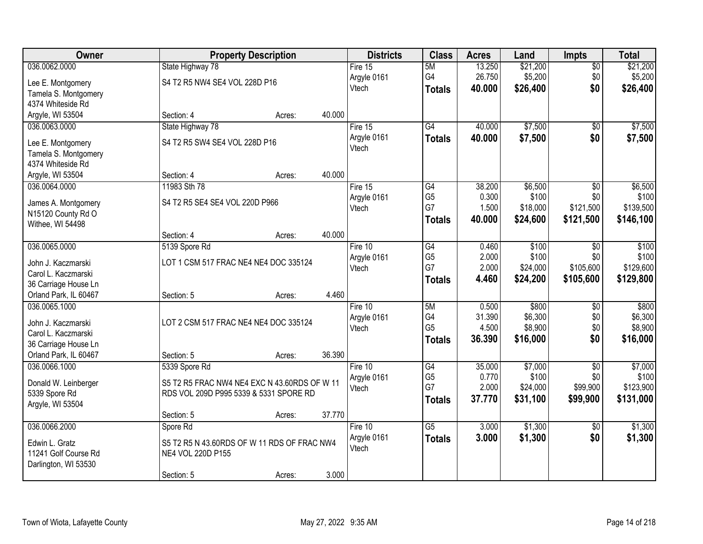| <b>Owner</b>                                  |                                              | <b>Property Description</b> |        | <b>Districts</b> | <b>Class</b>    | <b>Acres</b> | Land     | <b>Impts</b>    | <b>Total</b> |
|-----------------------------------------------|----------------------------------------------|-----------------------------|--------|------------------|-----------------|--------------|----------|-----------------|--------------|
| 036.0062.0000                                 | State Highway 78                             |                             |        | Fire $15$        | 5M              | 13.250       | \$21,200 | \$0             | \$21,200     |
| Lee E. Montgomery                             | S4 T2 R5 NW4 SE4 VOL 228D P16                |                             |        | Argyle 0161      | G4              | 26.750       | \$5,200  | \$0             | \$5,200      |
| Tamela S. Montgomery                          |                                              |                             |        | Vtech            | <b>Totals</b>   | 40.000       | \$26,400 | \$0             | \$26,400     |
| 4374 Whiteside Rd                             |                                              |                             |        |                  |                 |              |          |                 |              |
| Argyle, WI 53504                              | Section: 4                                   | Acres:                      | 40.000 |                  |                 |              |          |                 |              |
| 036.0063.0000                                 | State Highway 78                             |                             |        | Fire $15$        | G4              | 40.000       | \$7,500  | \$0             | \$7,500      |
|                                               | S4 T2 R5 SW4 SE4 VOL 228D P16                |                             |        | Argyle 0161      | <b>Totals</b>   | 40.000       | \$7,500  | \$0             | \$7,500      |
| Lee E. Montgomery                             |                                              |                             |        | Vtech            |                 |              |          |                 |              |
| Tamela S. Montgomery<br>4374 Whiteside Rd     |                                              |                             |        |                  |                 |              |          |                 |              |
| Argyle, WI 53504                              | Section: 4                                   | Acres:                      | 40.000 |                  |                 |              |          |                 |              |
| 036.0064.0000                                 | 11983 Sth 78                                 |                             |        | Fire 15          | G4              | 38.200       | \$6,500  | \$0             | \$6,500      |
|                                               |                                              |                             |        | Argyle 0161      | G <sub>5</sub>  | 0.300        | \$100    | \$0             | \$100        |
| James A. Montgomery                           | S4 T2 R5 SE4 SE4 VOL 220D P966               |                             |        | Vtech            | G7              | 1.500        | \$18,000 | \$121,500       | \$139,500    |
| N15120 County Rd O                            |                                              |                             |        |                  | Totals          | 40.000       | \$24,600 | \$121,500       | \$146,100    |
| Withee, WI 54498                              |                                              |                             |        |                  |                 |              |          |                 |              |
|                                               | Section: 4                                   | Acres:                      | 40.000 |                  |                 |              |          |                 |              |
| 036.0065.0000                                 | 5139 Spore Rd                                |                             |        | Fire 10          | $\overline{G4}$ | 0.460        | \$100    | \$0             | \$100        |
| John J. Kaczmarski                            | LOT 1 CSM 517 FRAC NE4 NE4 DOC 335124        |                             |        | Argyle 0161      | G <sub>5</sub>  | 2.000        | \$100    | \$0             | \$100        |
| Carol L. Kaczmarski                           |                                              |                             |        | Vtech            | G7              | 2.000        | \$24,000 | \$105,600       | \$129,600    |
| 36 Carriage House Ln                          |                                              |                             |        |                  | <b>Totals</b>   | 4.460        | \$24,200 | \$105,600       | \$129,800    |
| Orland Park, IL 60467                         | Section: 5                                   | Acres:                      | 4.460  |                  |                 |              |          |                 |              |
| 036.0065.1000                                 |                                              |                             |        | Fire $10$        | 5M              | 0.500        | \$800    | \$0             | \$800        |
|                                               |                                              |                             |        | Argyle 0161      | G4              | 31.390       | \$6,300  | \$0             | \$6,300      |
| John J. Kaczmarski<br>Carol L. Kaczmarski     | LOT 2 CSM 517 FRAC NE4 NE4 DOC 335124        |                             |        | Vtech            | G <sub>5</sub>  | 4.500        | \$8,900  | \$0             | \$8,900      |
|                                               |                                              |                             |        |                  | <b>Totals</b>   | 36.390       | \$16,000 | \$0             | \$16,000     |
| 36 Carriage House Ln<br>Orland Park, IL 60467 | Section: 5                                   | Acres:                      | 36.390 |                  |                 |              |          |                 |              |
| 036.0066.1000                                 | 5339 Spore Rd                                |                             |        | Fire 10          | G4              | 35.000       | \$7,000  | $\overline{50}$ | \$7,000      |
|                                               |                                              |                             |        | Argyle 0161      | G <sub>5</sub>  | 0.770        | \$100    | \$0             | \$100        |
| Donald W. Leinberger                          | S5 T2 R5 FRAC NW4 NE4 EXC N 43.60RDS OF W 11 |                             |        | Vtech            | G7              | 2.000        | \$24,000 | \$99,900        | \$123,900    |
| 5339 Spore Rd                                 | RDS VOL 209D P995 5339 & 5331 SPORE RD       |                             |        |                  | <b>Totals</b>   | 37.770       | \$31,100 | \$99,900        | \$131,000    |
| Argyle, WI 53504                              |                                              |                             |        |                  |                 |              |          |                 |              |
|                                               | Section: 5                                   | Acres:                      | 37.770 |                  |                 |              |          |                 |              |
| 036.0066.2000                                 | Spore Rd                                     |                             |        | Fire 10          | $\overline{G5}$ | 3.000        | \$1,300  | $\overline{50}$ | \$1,300      |
| Edwin L. Gratz                                | S5 T2 R5 N 43.60RDS OF W 11 RDS OF FRAC NW4  |                             |        | Argyle 0161      | <b>Totals</b>   | 3.000        | \$1,300  | \$0             | \$1,300      |
| 11241 Golf Course Rd                          | NE4 VOL 220D P155                            |                             |        | Vtech            |                 |              |          |                 |              |
| Darlington, WI 53530                          |                                              |                             |        |                  |                 |              |          |                 |              |
|                                               | Section: 5                                   | Acres:                      | 3.000  |                  |                 |              |          |                 |              |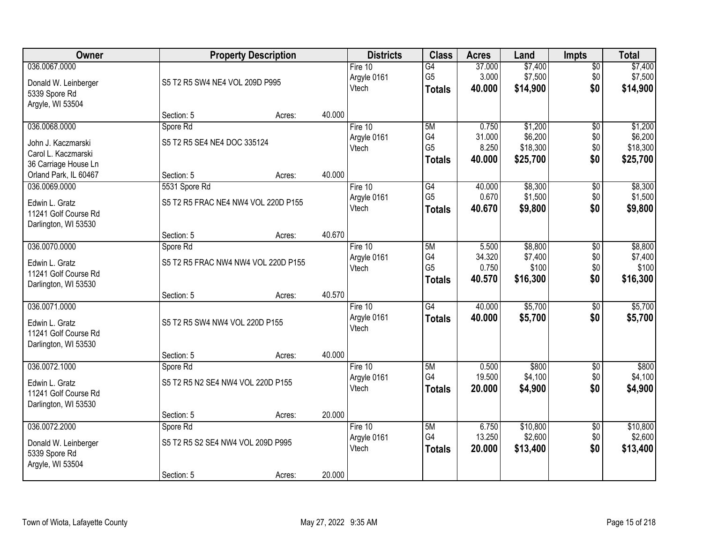| <b>Owner</b>                                                                       |                                                             | <b>Property Description</b> |        | <b>Districts</b>                  | <b>Class</b>                                       | <b>Acres</b>                       | Land                                       | <b>Impts</b>                  | <b>Total</b>                               |
|------------------------------------------------------------------------------------|-------------------------------------------------------------|-----------------------------|--------|-----------------------------------|----------------------------------------------------|------------------------------------|--------------------------------------------|-------------------------------|--------------------------------------------|
| 036.0067.0000<br>Donald W. Leinberger<br>5339 Spore Rd<br>Argyle, WI 53504         | S5 T2 R5 SW4 NE4 VOL 209D P995                              |                             |        | Fire $10$<br>Argyle 0161<br>Vtech | $\overline{G4}$<br>G <sub>5</sub><br><b>Totals</b> | 37.000<br>3.000<br>40,000          | \$7,400<br>\$7,500<br>\$14,900             | \$0<br>\$0<br>\$0             | \$7,400<br>\$7,500<br>\$14,900             |
|                                                                                    | Section: 5                                                  | Acres:                      | 40.000 |                                   |                                                    |                                    |                                            |                               |                                            |
| 036.0068.0000<br>John J. Kaczmarski<br>Carol L. Kaczmarski<br>36 Carriage House Ln | Spore Rd<br>S5 T2 R5 SE4 NE4 DOC 335124                     |                             |        | Fire 10<br>Argyle 0161<br>Vtech   | 5M<br>G4<br>G <sub>5</sub><br><b>Totals</b>        | 0.750<br>31.000<br>8.250<br>40.000 | \$1,200<br>\$6,200<br>\$18,300<br>\$25,700 | \$0<br>\$0<br>\$0<br>\$0      | \$1,200<br>\$6,200<br>\$18,300<br>\$25,700 |
| Orland Park, IL 60467<br>036.0069.0000                                             | Section: 5<br>5531 Spore Rd                                 | Acres:                      | 40.000 | Fire 10                           | G4                                                 | 40.000                             | \$8,300                                    | \$0                           | \$8,300                                    |
| Edwin L. Gratz<br>11241 Golf Course Rd<br>Darlington, WI 53530                     | S5 T2 R5 FRAC NE4 NW4 VOL 220D P155                         |                             |        | Argyle 0161<br>Vtech              | G <sub>5</sub><br><b>Totals</b>                    | 0.670<br>40.670                    | \$1,500<br>\$9,800                         | \$0<br>\$0                    | \$1,500<br>\$9,800                         |
|                                                                                    | Section: 5                                                  | Acres:                      | 40.670 |                                   |                                                    |                                    |                                            |                               |                                            |
| 036.0070.0000<br>Edwin L. Gratz<br>11241 Golf Course Rd<br>Darlington, WI 53530    | Spore Rd<br>S5 T2 R5 FRAC NW4 NW4 VOL 220D P155             |                             |        | Fire 10<br>Argyle 0161<br>Vtech   | 5M<br>G4<br>G <sub>5</sub><br><b>Totals</b>        | 5.500<br>34.320<br>0.750<br>40.570 | \$8,800<br>\$7,400<br>\$100<br>\$16,300    | \$0<br>\$0<br>\$0<br>\$0      | \$8,800<br>\$7,400<br>\$100<br>\$16,300    |
|                                                                                    | Section: 5                                                  | Acres:                      | 40.570 |                                   |                                                    |                                    |                                            |                               |                                            |
| 036.0071.0000<br>Edwin L. Gratz<br>11241 Golf Course Rd<br>Darlington, WI 53530    | S5 T2 R5 SW4 NW4 VOL 220D P155                              |                             |        | Fire $10$<br>Argyle 0161<br>Vtech | $\overline{G4}$<br><b>Totals</b>                   | 40.000<br>40.000                   | \$5,700<br>\$5,700                         | \$0<br>\$0                    | \$5,700<br>\$5,700                         |
| 036.0072.1000                                                                      | Section: 5<br>Spore Rd                                      | Acres:                      | 40.000 | Fire 10                           | 5M                                                 | 0.500                              | \$800                                      | $\sqrt{$0}$                   | \$800                                      |
| Edwin L. Gratz<br>11241 Golf Course Rd<br>Darlington, WI 53530                     | S5 T2 R5 N2 SE4 NW4 VOL 220D P155                           |                             |        | Argyle 0161<br>Vtech              | G4<br><b>Totals</b>                                | 19.500<br>20,000                   | \$4,100<br>\$4,900                         | \$0<br>\$0                    | \$4,100<br>\$4,900                         |
|                                                                                    | Section: 5                                                  | Acres:                      | 20.000 |                                   |                                                    |                                    |                                            |                               |                                            |
| 036.0072.2000<br>Donald W. Leinberger<br>5339 Spore Rd<br>Argyle, WI 53504         | Spore Rd<br>S5 T2 R5 S2 SE4 NW4 VOL 209D P995<br>Section: 5 | Acres:                      | 20.000 | Fire 10<br>Argyle 0161<br>Vtech   | 5M<br>G4<br><b>Totals</b>                          | 6.750<br>13.250<br>20.000          | \$10,800<br>\$2,600<br>\$13,400            | $\overline{50}$<br>\$0<br>\$0 | \$10,800<br>\$2,600<br>\$13,400            |
|                                                                                    |                                                             |                             |        |                                   |                                                    |                                    |                                            |                               |                                            |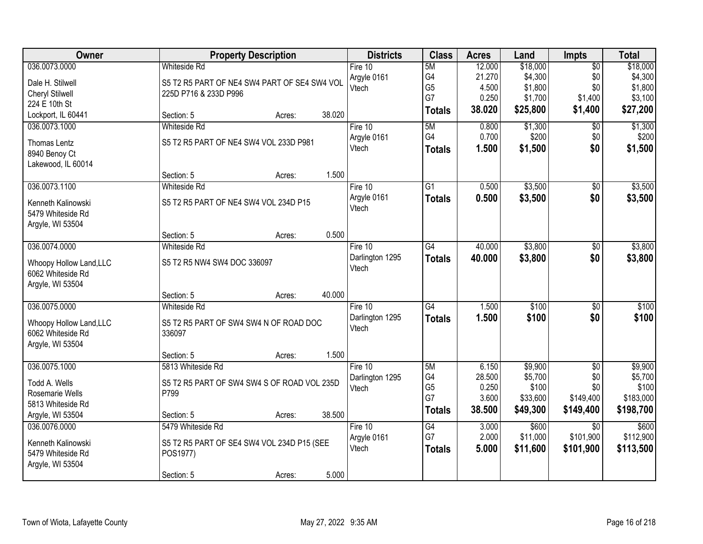| Owner                   |                                              | <b>Property Description</b> |        | <b>Districts</b> | <b>Class</b>    | <b>Acres</b> | Land     | <b>Impts</b>    | <b>Total</b> |
|-------------------------|----------------------------------------------|-----------------------------|--------|------------------|-----------------|--------------|----------|-----------------|--------------|
| 036.0073.0000           | <b>Whiteside Rd</b>                          |                             |        | Fire 10          | 5M              | 12.000       | \$18,000 | $\overline{50}$ | \$18,000     |
| Dale H. Stilwell        | S5 T2 R5 PART OF NE4 SW4 PART OF SE4 SW4 VOL |                             |        | Argyle 0161      | G4              | 21.270       | \$4,300  | \$0             | \$4,300      |
| <b>Cheryl Stilwell</b>  | 225D P716 & 233D P996                        |                             |        | Vtech            | G <sub>5</sub>  | 4.500        | \$1,800  | \$0             | \$1,800      |
| 224 E 10th St           |                                              |                             |        |                  | G7              | 0.250        | \$1,700  | \$1,400         | \$3,100      |
| Lockport, IL 60441      | Section: 5                                   | Acres:                      | 38.020 |                  | <b>Totals</b>   | 38.020       | \$25,800 | \$1,400         | \$27,200     |
| 036.0073.1000           | Whiteside Rd                                 |                             |        | Fire 10          | 5M              | 0.800        | \$1,300  | $\overline{50}$ | \$1,300      |
| Thomas Lentz            | S5 T2 R5 PART OF NE4 SW4 VOL 233D P981       |                             |        | Argyle 0161      | G4              | 0.700        | \$200    | \$0             | \$200        |
| 8940 Benoy Ct           |                                              |                             |        | Vtech            | <b>Totals</b>   | 1.500        | \$1,500  | \$0             | \$1,500      |
| Lakewood, IL 60014      |                                              |                             |        |                  |                 |              |          |                 |              |
|                         | Section: 5                                   | Acres:                      | 1.500  |                  |                 |              |          |                 |              |
| 036.0073.1100           | <b>Whiteside Rd</b>                          |                             |        | Fire 10          | G <sub>1</sub>  | 0.500        | \$3,500  | $\sqrt{6}$      | \$3,500      |
| Kenneth Kalinowski      | S5 T2 R5 PART OF NE4 SW4 VOL 234D P15        |                             |        | Argyle 0161      | <b>Totals</b>   | 0.500        | \$3,500  | \$0             | \$3,500      |
| 5479 Whiteside Rd       |                                              |                             |        | Vtech            |                 |              |          |                 |              |
| Argyle, WI 53504        |                                              |                             |        |                  |                 |              |          |                 |              |
|                         | Section: 5                                   | Acres:                      | 0.500  |                  |                 |              |          |                 |              |
| 036.0074.0000           | <b>Whiteside Rd</b>                          |                             |        | Fire 10          | $\overline{G4}$ | 40.000       | \$3,800  | \$0             | \$3,800      |
| Whoopy Hollow Land, LLC | S5 T2 R5 NW4 SW4 DOC 336097                  |                             |        | Darlington 1295  | <b>Totals</b>   | 40.000       | \$3,800  | \$0             | \$3,800      |
| 6062 Whiteside Rd       |                                              |                             |        | Vtech            |                 |              |          |                 |              |
| Argyle, WI 53504        |                                              |                             |        |                  |                 |              |          |                 |              |
|                         | Section: 5                                   | Acres:                      | 40.000 |                  |                 |              |          |                 |              |
| 036.0075.0000           | <b>Whiteside Rd</b>                          |                             |        | Fire $10$        | $\overline{G4}$ | 1.500        | \$100    | $\overline{50}$ | \$100        |
| Whoopy Hollow Land, LLC | S5 T2 R5 PART OF SW4 SW4 N OF ROAD DOC       |                             |        | Darlington 1295  | <b>Totals</b>   | 1.500        | \$100    | \$0             | \$100        |
| 6062 Whiteside Rd       | 336097                                       |                             |        | Vtech            |                 |              |          |                 |              |
| Argyle, WI 53504        |                                              |                             |        |                  |                 |              |          |                 |              |
|                         | Section: 5                                   | Acres:                      | 1.500  |                  |                 |              |          |                 |              |
| 036.0075.1000           | 5813 Whiteside Rd                            |                             |        | Fire 10          | 5M              | 6.150        | \$9,900  | $\overline{50}$ | \$9,900      |
| Todd A. Wells           | S5 T2 R5 PART OF SW4 SW4 S OF ROAD VOL 235D  |                             |        | Darlington 1295  | G4              | 28.500       | \$5,700  | \$0             | \$5,700      |
| Rosemarie Wells         | P799                                         |                             |        | Vtech            | G <sub>5</sub>  | 0.250        | \$100    | \$0             | \$100        |
| 5813 Whiteside Rd       |                                              |                             |        |                  | G7              | 3.600        | \$33,600 | \$149,400       | \$183,000    |
| Argyle, WI 53504        | Section: 5                                   | Acres:                      | 38.500 |                  | <b>Totals</b>   | 38.500       | \$49,300 | \$149,400       | \$198,700    |
| 036.0076.0000           | 5479 Whiteside Rd                            |                             |        | Fire $10$        | G4              | 3.000        | \$600    | $\overline{30}$ | \$600        |
| Kenneth Kalinowski      | S5 T2 R5 PART OF SE4 SW4 VOL 234D P15 (SEE   |                             |        | Argyle 0161      | G7              | 2.000        | \$11,000 | \$101,900       | \$112,900    |
| 5479 Whiteside Rd       | POS1977)                                     |                             |        | Vtech            | <b>Totals</b>   | 5.000        | \$11,600 | \$101,900       | \$113,500    |
| Argyle, WI 53504        |                                              |                             |        |                  |                 |              |          |                 |              |
|                         | Section: 5                                   | Acres:                      | 5.000  |                  |                 |              |          |                 |              |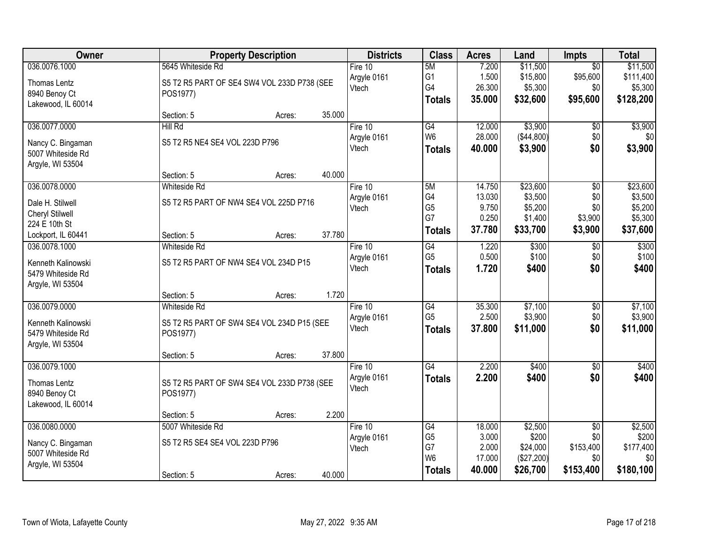| Owner                                   | <b>Property Description</b>                 |                  | <b>Districts</b>       | <b>Class</b>         | <b>Acres</b>   | Land           | Impts             | <b>Total</b>   |
|-----------------------------------------|---------------------------------------------|------------------|------------------------|----------------------|----------------|----------------|-------------------|----------------|
| 036.0076.1000                           | 5645 Whiteside Rd                           |                  | Fire $10$              | 5M                   | 7.200          | \$11,500       | $\overline{30}$   | \$11,500       |
| Thomas Lentz                            | S5 T2 R5 PART OF SE4 SW4 VOL 233D P738 (SEE |                  | Argyle 0161            | G <sub>1</sub>       | 1.500          | \$15,800       | \$95,600          | \$111,400      |
| 8940 Benoy Ct                           | POS1977)                                    |                  | Vtech                  | G4                   | 26.300         | \$5,300        | \$0               | \$5,300        |
| Lakewood, IL 60014                      |                                             |                  |                        | <b>Totals</b>        | 35.000         | \$32,600       | \$95,600          | \$128,200      |
|                                         | Section: 5                                  | 35.000<br>Acres: |                        |                      |                |                |                   |                |
| 036.0077.0000                           | <b>Hill Rd</b>                              |                  | Fire 10                | G4                   | 12.000         | \$3,900        | \$0               | \$3,900        |
| Nancy C. Bingaman                       | S5 T2 R5 NE4 SE4 VOL 223D P796              |                  | Argyle 0161            | W <sub>6</sub>       | 28.000         | (\$44,800)     | \$0               | \$0            |
| 5007 Whiteside Rd                       |                                             |                  | Vtech                  | <b>Totals</b>        | 40.000         | \$3,900        | \$0               | \$3,900        |
| Argyle, WI 53504                        |                                             |                  |                        |                      |                |                |                   |                |
|                                         | Section: 5                                  | 40.000<br>Acres: |                        |                      |                |                |                   |                |
| 036.0078.0000                           | <b>Whiteside Rd</b>                         |                  | Fire 10                | 5M                   | 14.750         | \$23,600       | $\overline{50}$   | \$23,600       |
| Dale H. Stilwell                        | S5 T2 R5 PART OF NW4 SE4 VOL 225D P716      |                  | Argyle 0161            | G4                   | 13.030         | \$3,500        | \$0               | \$3,500        |
| <b>Cheryl Stilwell</b>                  |                                             |                  | Vtech                  | G <sub>5</sub>       | 9.750          | \$5,200        | \$0               | \$5,200        |
| 224 E 10th St                           |                                             |                  |                        | G7                   | 0.250          | \$1,400        | \$3,900           | \$5,300        |
| Lockport, IL 60441                      | Section: 5                                  | 37.780<br>Acres: |                        | <b>Totals</b>        | 37.780         | \$33,700       | \$3,900           | \$37,600       |
| 036.0078.1000                           | Whiteside Rd                                |                  | Fire 10                | G4                   | 1.220          | \$300          | \$0               | \$300          |
|                                         |                                             |                  | Argyle 0161            | G <sub>5</sub>       | 0.500          | \$100          | \$0               | \$100          |
| Kenneth Kalinowski<br>5479 Whiteside Rd | S5 T2 R5 PART OF NW4 SE4 VOL 234D P15       |                  | Vtech                  | <b>Totals</b>        | 1.720          | \$400          | \$0               | \$400          |
| Argyle, WI 53504                        |                                             |                  |                        |                      |                |                |                   |                |
|                                         | Section: 5                                  | 1.720<br>Acres:  |                        |                      |                |                |                   |                |
| 036.0079.0000                           | Whiteside Rd                                |                  | Fire 10                | $\overline{G4}$      | 35.300         | \$7,100        | $\overline{50}$   | \$7,100        |
|                                         |                                             |                  | Argyle 0161            | G <sub>5</sub>       | 2.500          | \$3,900        | \$0               | \$3,900        |
| Kenneth Kalinowski                      | S5 T2 R5 PART OF SW4 SE4 VOL 234D P15 (SEE  |                  | Vtech                  | <b>Totals</b>        | 37.800         | \$11,000       | \$0               | \$11,000       |
| 5479 Whiteside Rd                       | POS1977)                                    |                  |                        |                      |                |                |                   |                |
| Argyle, WI 53504                        |                                             |                  |                        |                      |                |                |                   |                |
|                                         | Section: 5                                  | 37.800<br>Acres: |                        |                      |                |                |                   |                |
| 036.0079.1000                           |                                             |                  | Fire 10<br>Argyle 0161 | G4                   | 2.200<br>2.200 | \$400<br>\$400 | $\sqrt{6}$<br>\$0 | \$400<br>\$400 |
| Thomas Lentz                            | S5 T2 R5 PART OF SW4 SE4 VOL 233D P738 (SEE |                  | Vtech                  | <b>Totals</b>        |                |                |                   |                |
| 8940 Benoy Ct                           | POS1977)                                    |                  |                        |                      |                |                |                   |                |
| Lakewood, IL 60014                      |                                             |                  |                        |                      |                |                |                   |                |
|                                         | Section: 5                                  | 2.200<br>Acres:  |                        |                      |                |                |                   |                |
| 036.0080.0000                           | 5007 Whiteside Rd                           |                  | Fire $10$              | G4                   | 18.000         | \$2,500        | $\overline{50}$   | \$2,500        |
| Nancy C. Bingaman                       | S5 T2 R5 SE4 SE4 VOL 223D P796              |                  | Argyle 0161            | G <sub>5</sub>       | 3.000          | \$200          | \$0               | \$200          |
| 5007 Whiteside Rd                       |                                             |                  | Vtech                  | G7<br>W <sub>6</sub> | 2.000          | \$24,000       | \$153,400         | \$177,400      |
| Argyle, WI 53504                        |                                             |                  |                        |                      | 17.000         | (\$27,200)     | \$0               | \$0            |
|                                         | Section: 5                                  | 40.000<br>Acres: |                        | <b>Totals</b>        | 40.000         | \$26,700       | \$153,400         | \$180,100      |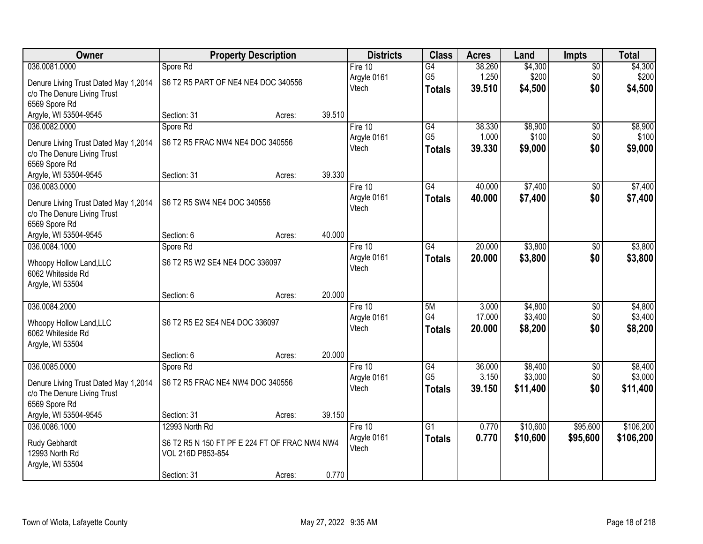| 036.0081.0000<br>\$4,300<br>Spore Rd<br>Fire $10$<br>G4<br>38.260<br>$\overline{50}$<br>1.250<br>G <sub>5</sub><br>\$200<br>\$0<br>Argyle 0161<br>S6 T2 R5 PART OF NE4 NE4 DOC 340556<br>Denure Living Trust Dated May 1,2014 | \$4,300<br>\$200 |
|-------------------------------------------------------------------------------------------------------------------------------------------------------------------------------------------------------------------------------|------------------|
|                                                                                                                                                                                                                               |                  |
|                                                                                                                                                                                                                               |                  |
| \$0<br>Vtech<br>39.510<br>\$4,500<br><b>Totals</b><br>c/o The Denure Living Trust                                                                                                                                             | \$4,500          |
| 6569 Spore Rd                                                                                                                                                                                                                 |                  |
| 39.510<br>Argyle, WI 53504-9545<br>Section: 31<br>Acres:                                                                                                                                                                      |                  |
| \$8,900<br>Spore Rd<br>$\overline{G4}$<br>38.330<br>036.0082.0000<br>Fire 10<br>\$0                                                                                                                                           | \$8,900          |
| G <sub>5</sub><br>\$100<br>\$0<br>1.000<br>Argyle 0161<br>S6 T2 R5 FRAC NW4 NE4 DOC 340556                                                                                                                                    | \$100            |
| Denure Living Trust Dated May 1,2014<br>\$0<br>Vtech<br>39.330<br>\$9,000<br><b>Totals</b><br>c/o The Denure Living Trust                                                                                                     | \$9,000          |
| 6569 Spore Rd                                                                                                                                                                                                                 |                  |
| 39.330<br>Argyle, WI 53504-9545<br>Section: 31<br>Acres:                                                                                                                                                                      |                  |
| \$7,400<br>036.0083.0000<br>$\overline{G4}$<br>40.000<br>Fire 10<br>\$0                                                                                                                                                       | \$7,400          |
| \$0<br>Argyle 0161<br>40.000<br>\$7,400<br><b>Totals</b>                                                                                                                                                                      | \$7,400          |
| S6 T2 R5 SW4 NE4 DOC 340556<br>Denure Living Trust Dated May 1,2014<br>Vtech                                                                                                                                                  |                  |
| c/o The Denure Living Trust                                                                                                                                                                                                   |                  |
| 6569 Spore Rd                                                                                                                                                                                                                 |                  |
| 40.000<br>Section: 6<br>Argyle, WI 53504-9545<br>Acres:                                                                                                                                                                       |                  |
| 20.000<br>\$3,800<br>036.0084.1000<br>Fire 10<br>G4<br>Spore Rd<br>\$0                                                                                                                                                        | \$3,800          |
| Argyle 0161<br>20.000<br>\$3,800<br>\$0<br><b>Totals</b><br>S6 T2 R5 W2 SE4 NE4 DOC 336097<br>Whoopy Hollow Land, LLC<br>Vtech                                                                                                | \$3,800          |
| 6062 Whiteside Rd                                                                                                                                                                                                             |                  |
| Argyle, WI 53504                                                                                                                                                                                                              |                  |
| 20.000<br>Section: 6<br>Acres:                                                                                                                                                                                                |                  |
| 036.0084.2000<br>5M<br>3.000<br>\$4,800<br>Fire 10<br>$\overline{50}$                                                                                                                                                         | \$4,800          |
| G4<br>17.000<br>\$3,400<br>\$0<br>Argyle 0161<br>S6 T2 R5 E2 SE4 NE4 DOC 336097<br>Whoopy Hollow Land, LLC                                                                                                                    | \$3,400          |
| 20.000<br>\$8,200<br>\$0<br>Vtech<br><b>Totals</b><br>6062 Whiteside Rd                                                                                                                                                       | \$8,200          |
| Argyle, WI 53504                                                                                                                                                                                                              |                  |
| 20.000<br>Section: 6<br>Acres:                                                                                                                                                                                                |                  |
| G4<br>036.0085.0000<br>Fire 10<br>36.000<br>\$8,400<br>$\sqrt{6}$<br>Spore Rd                                                                                                                                                 | \$8,400          |
| G <sub>5</sub><br>3.150<br>\$3,000<br>\$0<br>Argyle 0161<br>S6 T2 R5 FRAC NE4 NW4 DOC 340556<br>Denure Living Trust Dated May 1,2014                                                                                          | \$3,000          |
| 39.150<br>\$11,400<br>\$0<br>Vtech<br><b>Totals</b><br>c/o The Denure Living Trust                                                                                                                                            | \$11,400         |
| 6569 Spore Rd                                                                                                                                                                                                                 |                  |
| Argyle, WI 53504-9545<br>39.150<br>Section: 31<br>Acres:                                                                                                                                                                      |                  |
| 036.0086.1000<br>$\overline{G1}$<br>\$10,600<br>\$95,600<br>12993 North Rd<br>Fire $10$<br>0.770                                                                                                                              | \$106,200        |
| 0.770<br>\$10,600<br>\$95,600<br>Argyle 0161<br><b>Totals</b>                                                                                                                                                                 | \$106,200        |
| Rudy Gebhardt<br>S6 T2 R5 N 150 FT PF E 224 FT OF FRAC NW4 NW4<br>Vtech<br>12993 North Rd<br>VOL 216D P853-854                                                                                                                |                  |
| Argyle, WI 53504                                                                                                                                                                                                              |                  |
| 0.770<br>Section: 31<br>Acres:                                                                                                                                                                                                |                  |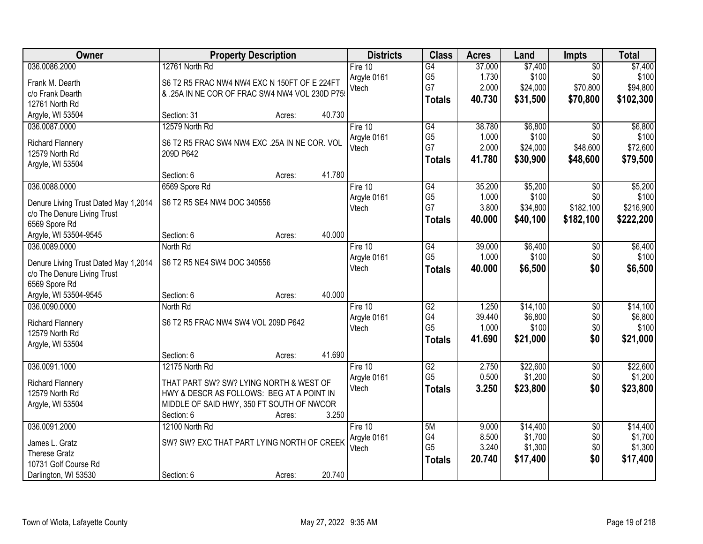| Owner                                | <b>Property Description</b>                   | <b>Districts</b> | <b>Class</b>          | <b>Acres</b>    | Land             | Impts           | <b>Total</b>     |
|--------------------------------------|-----------------------------------------------|------------------|-----------------------|-----------------|------------------|-----------------|------------------|
| 036.0086.2000                        | 12761 North Rd                                | Fire 10          | $\overline{G4}$       | 37.000          | \$7,400          | $\overline{50}$ | \$7,400          |
| Frank M. Dearth                      | S6 T2 R5 FRAC NW4 NW4 EXC N 150FT OF E 224FT  | Argyle 0161      | G <sub>5</sub>        | 1.730           | \$100            | \$0             | \$100            |
| c/o Frank Dearth                     | & .25A IN NE COR OF FRAC SW4 NW4 VOL 230D P75 | Vtech            | G7                    | 2.000           | \$24,000         | \$70,800        | \$94,800         |
| 12761 North Rd                       |                                               |                  | <b>Totals</b>         | 40.730          | \$31,500         | \$70,800        | \$102,300        |
| Argyle, WI 53504                     | 40.730<br>Section: 31<br>Acres:               |                  |                       |                 |                  |                 |                  |
| 036.0087.0000                        | 12579 North Rd                                | Fire 10          | G4                    | 38.780          | \$6,800          | $\overline{50}$ | \$6,800          |
|                                      |                                               | Argyle 0161      | G <sub>5</sub>        | 1.000           | \$100            | \$0             | \$100            |
| Richard Flannery                     | S6 T2 R5 FRAC SW4 NW4 EXC .25A IN NE COR. VOL | Vtech            | G7                    | 2.000           | \$24,000         | \$48,600        | \$72,600         |
| 12579 North Rd                       | 209D P642                                     |                  | <b>Totals</b>         | 41.780          | \$30,900         | \$48,600        | \$79,500         |
| Argyle, WI 53504                     |                                               |                  |                       |                 |                  |                 |                  |
|                                      | 41.780<br>Section: 6<br>Acres:                |                  |                       |                 |                  |                 |                  |
| 036.0088.0000                        | 6569 Spore Rd                                 | Fire 10          | G4                    | 35.200          | \$5,200          | \$0             | \$5,200          |
| Denure Living Trust Dated May 1,2014 | S6 T2 R5 SE4 NW4 DOC 340556                   | Argyle 0161      | G <sub>5</sub>        | 1.000           | \$100            | \$0             | \$100            |
| c/o The Denure Living Trust          |                                               | Vtech            | G7                    | 3.800           | \$34,800         | \$182,100       | \$216,900        |
| 6569 Spore Rd                        |                                               |                  | <b>Totals</b>         | 40.000          | \$40,100         | \$182,100       | \$222,200        |
| Argyle, WI 53504-9545                | 40.000<br>Section: 6<br>Acres:                |                  |                       |                 |                  |                 |                  |
| 036.0089.0000                        | North Rd                                      | Fire 10          | G4                    | 39.000          | \$6,400          | $\sqrt[6]{}$    | \$6,400          |
|                                      |                                               | Argyle 0161      | G <sub>5</sub>        | 1.000           | \$100            | \$0             | \$100            |
| Denure Living Trust Dated May 1,2014 | S6 T2 R5 NE4 SW4 DOC 340556                   | Vtech            | <b>Totals</b>         | 40.000          | \$6,500          | \$0             | \$6,500          |
| c/o The Denure Living Trust          |                                               |                  |                       |                 |                  |                 |                  |
| 6569 Spore Rd                        | 40.000<br>Section: 6                          |                  |                       |                 |                  |                 |                  |
| Argyle, WI 53504-9545                | Acres:<br>North Rd                            |                  |                       |                 |                  |                 |                  |
| 036.0090.0000                        |                                               | Fire $10$        | $\overline{G2}$<br>G4 | 1.250           | \$14,100         | $\overline{50}$ | \$14,100         |
| <b>Richard Flannery</b>              | S6 T2 R5 FRAC NW4 SW4 VOL 209D P642           | Argyle 0161      | G <sub>5</sub>        | 39.440<br>1.000 | \$6,800<br>\$100 | \$0<br>\$0      | \$6,800<br>\$100 |
| 12579 North Rd                       |                                               | Vtech            |                       |                 |                  |                 |                  |
| Argyle, WI 53504                     |                                               |                  | <b>Totals</b>         | 41.690          | \$21,000         | \$0             | \$21,000         |
|                                      | 41.690<br>Section: 6<br>Acres:                |                  |                       |                 |                  |                 |                  |
| 036.0091.1000                        | 12175 North Rd                                | Fire 10          | $\overline{G2}$       | 2.750           | \$22,600         | $\overline{50}$ | \$22,600         |
| <b>Richard Flannery</b>              | THAT PART SW? SW? LYING NORTH & WEST OF       | Argyle 0161      | G <sub>5</sub>        | 0.500           | \$1,200          | \$0             | \$1,200          |
| 12579 North Rd                       | HWY & DESCR AS FOLLOWS: BEG AT A POINT IN     | Vtech            | <b>Totals</b>         | 3.250           | \$23,800         | \$0             | \$23,800         |
| Argyle, WI 53504                     | MIDDLE OF SAID HWY, 350 FT SOUTH OF NWCOR     |                  |                       |                 |                  |                 |                  |
|                                      | 3.250<br>Section: 6<br>Acres:                 |                  |                       |                 |                  |                 |                  |
| 036.0091.2000                        | 12100 North Rd                                | Fire $10$        | 5M                    | 9.000           | \$14,400         | $\overline{50}$ | \$14,400         |
|                                      |                                               | Argyle 0161      | G4                    | 8.500           | \$1,700          | \$0             | \$1,700          |
| James L. Gratz                       | SW? SW? EXC THAT PART LYING NORTH OF CREEK    | Vtech            | G <sub>5</sub>        | 3.240           | \$1,300          | \$0             | \$1,300          |
| <b>Therese Gratz</b>                 |                                               |                  | <b>Totals</b>         | 20.740          | \$17,400         | \$0             | \$17,400         |
| 10731 Golf Course Rd                 |                                               |                  |                       |                 |                  |                 |                  |
| Darlington, WI 53530                 | 20.740<br>Section: 6<br>Acres:                |                  |                       |                 |                  |                 |                  |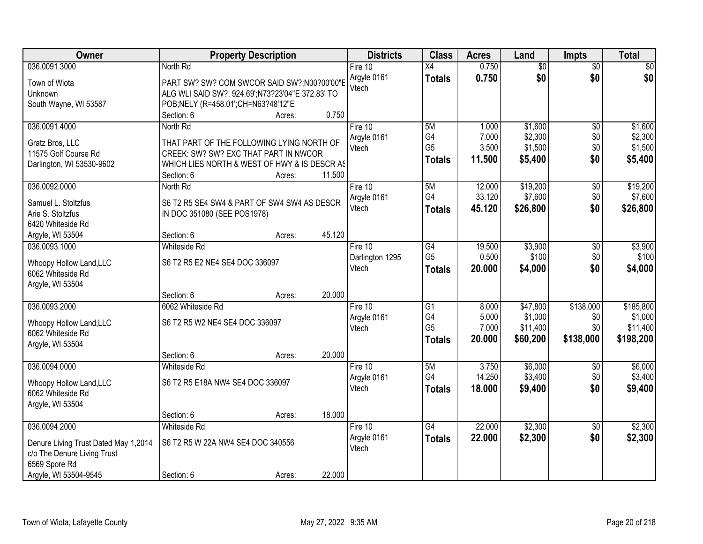| Owner                                                                                                                          |                                                                                                                                                     | <b>Property Description</b> |        | <b>Districts</b>                    | <b>Class</b>                                             | <b>Acres</b>                      | Land                                        | <b>Impts</b>                         | <b>Total</b>                                  |
|--------------------------------------------------------------------------------------------------------------------------------|-----------------------------------------------------------------------------------------------------------------------------------------------------|-----------------------------|--------|-------------------------------------|----------------------------------------------------------|-----------------------------------|---------------------------------------------|--------------------------------------|-----------------------------------------------|
| 036.0091.3000                                                                                                                  | North Rd                                                                                                                                            |                             |        | Fire 10                             | $\overline{X4}$                                          | 0.750                             | $\overline{50}$                             | $\overline{50}$                      | $\sqrt{30}$                                   |
| Town of Wiota<br>Unknown<br>South Wayne, WI 53587                                                                              | PART SW? SW? COM SWCOR SAID SW?;N00?00'00"E<br>ALG WLI SAID SW?, 924.69';N73?23'04"E 372.83' TO<br>POB;NELY (R=458.01';CH=N63?48'12"E<br>Section: 6 | Acres:                      | 0.750  | Argyle 0161<br>Vtech                | <b>Totals</b>                                            | 0.750                             | \$0                                         | \$0                                  | \$0                                           |
| 036.0091.4000                                                                                                                  | North Rd                                                                                                                                            |                             |        | Fire 10                             | 5M                                                       | 1.000                             | \$1,600                                     | $\overline{50}$                      | \$1,600                                       |
| Gratz Bros, LLC<br>11575 Golf Course Rd<br>Darlington, WI 53530-9602                                                           | THAT PART OF THE FOLLOWING LYING NORTH OF<br>CREEK: SW? SW? EXC THAT PART IN NWCOR<br>WHICH LIES NORTH & WEST OF HWY & IS DESCR AS<br>Section: 6    | Acres:                      | 11.500 | Argyle 0161<br>Vtech                | G4<br>G <sub>5</sub><br><b>Totals</b>                    | 7.000<br>3.500<br>11.500          | \$2,300<br>\$1,500<br>\$5,400               | \$0<br>\$0<br>\$0                    | \$2,300<br>\$1,500<br>\$5,400                 |
| 036.0092.0000                                                                                                                  | North Rd                                                                                                                                            |                             |        | Fire 10                             | 5M                                                       | 12.000                            | \$19,200                                    | $\overline{50}$                      | \$19,200                                      |
| Samuel L. Stoltzfus<br>Arie S. Stoltzfus<br>6420 Whiteside Rd                                                                  | S6 T2 R5 SE4 SW4 & PART OF SW4 SW4 AS DESCR<br>IN DOC 351080 (SEE POS1978)                                                                          |                             |        | Argyle 0161<br>Vtech                | G4<br><b>Totals</b>                                      | 33.120<br>45.120                  | \$7,600<br>\$26,800                         | \$0<br>\$0                           | \$7,600<br>\$26,800                           |
| Argyle, WI 53504                                                                                                               | Section: 6                                                                                                                                          | Acres:                      | 45.120 |                                     |                                                          |                                   |                                             |                                      |                                               |
| 036.0093.1000<br>Whoopy Hollow Land, LLC<br>6062 Whiteside Rd<br>Argyle, WI 53504                                              | Whiteside Rd<br>S6 T2 R5 E2 NE4 SE4 DOC 336097                                                                                                      |                             |        | Fire 10<br>Darlington 1295<br>Vtech | $\overline{G4}$<br>G <sub>5</sub><br><b>Totals</b>       | 19.500<br>0.500<br>20.000         | \$3,900<br>\$100<br>\$4,000                 | \$0<br>\$0<br>\$0                    | \$3,900<br>\$100<br>\$4,000                   |
|                                                                                                                                | Section: 6                                                                                                                                          | Acres:                      | 20.000 |                                     |                                                          |                                   |                                             |                                      |                                               |
| 036.0093.2000<br>Whoopy Hollow Land, LLC<br>6062 Whiteside Rd<br>Argyle, WI 53504                                              | 6062 Whiteside Rd<br>S6 T2 R5 W2 NE4 SE4 DOC 336097                                                                                                 |                             |        | Fire 10<br>Argyle 0161<br>Vtech     | $\overline{G1}$<br>G4<br>G <sub>5</sub><br><b>Totals</b> | 8.000<br>5.000<br>7.000<br>20.000 | \$47,800<br>\$1,000<br>\$11,400<br>\$60,200 | \$138,000<br>\$0<br>\$0<br>\$138,000 | \$185,800<br>\$1,000<br>\$11,400<br>\$198,200 |
|                                                                                                                                | Section: 6                                                                                                                                          | Acres:                      | 20.000 |                                     |                                                          |                                   |                                             |                                      |                                               |
| 036.0094.0000<br>Whoopy Hollow Land, LLC<br>6062 Whiteside Rd<br>Argyle, WI 53504                                              | Whiteside Rd<br>S6 T2 R5 E18A NW4 SE4 DOC 336097                                                                                                    |                             |        | Fire 10<br>Argyle 0161<br>Vtech     | 5M<br>G4<br><b>Totals</b>                                | 3.750<br>14.250<br>18.000         | \$6,000<br>\$3,400<br>\$9,400               | \$0<br>\$0<br>\$0                    | \$6,000<br>\$3,400<br>\$9,400                 |
|                                                                                                                                | Section: 6                                                                                                                                          | Acres:                      | 18.000 |                                     |                                                          |                                   |                                             |                                      |                                               |
| 036.0094.2000<br>Denure Living Trust Dated May 1,2014<br>c/o The Denure Living Trust<br>6569 Spore Rd<br>Argyle, WI 53504-9545 | Whiteside Rd<br>S6 T2 R5 W 22A NW4 SE4 DOC 340556<br>Section: 6                                                                                     | Acres:                      | 22.000 | Fire $10$<br>Argyle 0161<br>Vtech   | $\overline{G4}$<br><b>Totals</b>                         | 22.000<br>22.000                  | \$2,300<br>\$2,300                          | $\overline{30}$<br>\$0               | \$2,300<br>\$2,300                            |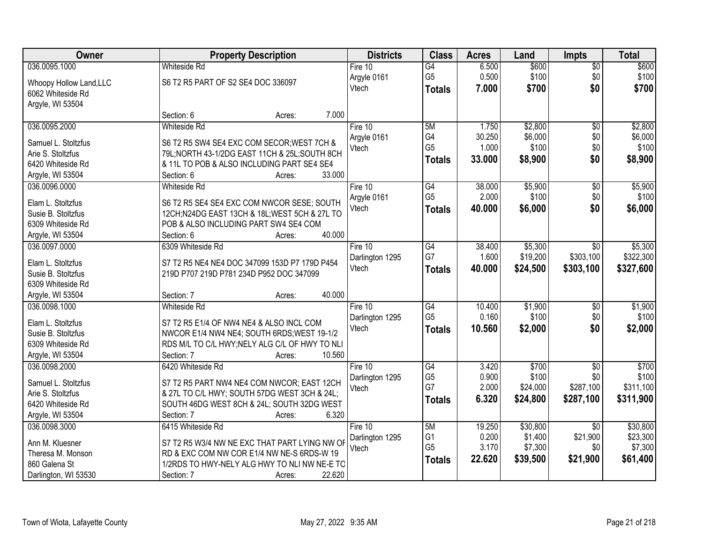| Owner                   | <b>Property Description</b>                    | <b>Districts</b> | <b>Class</b>    | <b>Acres</b> | Land     | <b>Impts</b>    | <b>Total</b> |
|-------------------------|------------------------------------------------|------------------|-----------------|--------------|----------|-----------------|--------------|
| 036.0095.1000           | <b>Whiteside Rd</b>                            | Fire 10          | $\overline{G4}$ | 6.500        | \$600    | $\overline{50}$ | \$600        |
| Whoopy Hollow Land, LLC | S6 T2 R5 PART OF S2 SE4 DOC 336097             | Argyle 0161      | G <sub>5</sub>  | 0.500        | \$100    | \$0             | \$100        |
| 6062 Whiteside Rd       |                                                | Vtech            | <b>Totals</b>   | 7.000        | \$700    | \$0             | \$700        |
| Argyle, WI 53504        |                                                |                  |                 |              |          |                 |              |
|                         | 7.000<br>Section: 6<br>Acres:                  |                  |                 |              |          |                 |              |
| 036.0095.2000           | <b>Whiteside Rd</b>                            | Fire 10          | 5M              | 1.750        | \$2,800  | $\overline{50}$ | \$2,800      |
| Samuel L. Stoltzfus     | S6 T2 R5 SW4 SE4 EXC COM SECOR; WEST 7CH &     | Argyle 0161      | G4              | 30.250       | \$6,000  | \$0             | \$6,000      |
| Arie S. Stoltzfus       | 79L; NORTH 43-1/2DG EAST 11CH & 25L; SOUTH 8CH | Vtech            | G <sub>5</sub>  | 1.000        | \$100    | \$0             | \$100        |
| 6420 Whiteside Rd       | & 11L TO POB & ALSO INCLUDING PART SE4 SE4     |                  | <b>Totals</b>   | 33.000       | \$8,900  | \$0             | \$8,900      |
| Argyle, WI 53504        | 33.000<br>Section: 6<br>Acres:                 |                  |                 |              |          |                 |              |
| 036.0096.0000           | <b>Whiteside Rd</b>                            | Fire 10          | G4              | 38.000       | \$5,900  | \$0             | \$5,900      |
|                         |                                                | Argyle 0161      | G <sub>5</sub>  | 2.000        | \$100    | \$0             | \$100        |
| Elam L. Stoltzfus       | S6 T2 R5 SE4 SE4 EXC COM NWCOR SESE; SOUTH     | Vtech            | <b>Totals</b>   | 40.000       | \$6,000  | \$0             | \$6,000      |
| Susie B. Stoltzfus      | 12CH;N24DG EAST 13CH & 18L;WEST 5CH & 27L TO   |                  |                 |              |          |                 |              |
| 6309 Whiteside Rd       | POB & ALSO INCLUDING PART SW4 SE4 COM          |                  |                 |              |          |                 |              |
| Argyle, WI 53504        | 40.000<br>Section: 6<br>Acres:                 |                  |                 |              |          |                 |              |
| 036.0097.0000           | 6309 Whiteside Rd                              | Fire 10          | G4              | 38.400       | \$5,300  | $\sqrt{6}$      | \$5,300      |
| Elam L. Stoltzfus       | S7 T2 R5 NE4 NE4 DOC 347099 153D P7 179D P454  | Darlington 1295  | G7              | 1.600        | \$19,200 | \$303,100       | \$322,300    |
| Susie B. Stoltzfus      | 219D P707 219D P781 234D P952 DOC 347099       | Vtech            | <b>Totals</b>   | 40.000       | \$24,500 | \$303,100       | \$327,600    |
| 6309 Whiteside Rd       |                                                |                  |                 |              |          |                 |              |
| Argyle, WI 53504        | 40.000<br>Section: 7<br>Acres:                 |                  |                 |              |          |                 |              |
| 036.0098.1000           | <b>Whiteside Rd</b>                            | Fire $10$        | G4              | 10.400       | \$1,900  | \$0             | \$1,900      |
|                         |                                                | Darlington 1295  | G <sub>5</sub>  | 0.160        | \$100    | \$0             | \$100        |
| Elam L. Stoltzfus       | S7 T2 R5 E1/4 OF NW4 NE4 & ALSO INCL COM       | Vtech            | <b>Totals</b>   | 10.560       | \$2,000  | \$0             | \$2,000      |
| Susie B. Stoltzfus      | NWCOR E1/4 NW4 NE4; SOUTH 6RDS; WEST 19-1/2    |                  |                 |              |          |                 |              |
| 6309 Whiteside Rd       | RDS M/L TO C/L HWY; NELY ALG C/L OF HWY TO NLI |                  |                 |              |          |                 |              |
| Argyle, WI 53504        | Section: 7<br>10.560<br>Acres:                 |                  |                 |              |          |                 |              |
| 036.0098.2000           | 6420 Whiteside Rd                              | Fire 10          | G4              | 3.420        | \$700    | $\sqrt{$0}$     | \$700        |
| Samuel L. Stoltzfus     | S7 T2 R5 PART NW4 NE4 COM NWCOR; EAST 12CH     | Darlington 1295  | G <sub>5</sub>  | 0.900        | \$100    | \$0             | \$100        |
| Arie S. Stoltzfus       | & 27L TO C/L HWY; SOUTH 57DG WEST 3CH & 24L;   | Vtech            | G7              | 2.000        | \$24,000 | \$287,100       | \$311,100    |
| 6420 Whiteside Rd       | SOUTH 46DG WEST 8CH & 24L; SOUTH 32DG WEST     |                  | <b>Totals</b>   | 6.320        | \$24,800 | \$287,100       | \$311,900    |
| Argyle, WI 53504        | 6.320<br>Section: 7<br>Acres:                  |                  |                 |              |          |                 |              |
| 036.0098.3000           | 6415 Whiteside Rd                              | Fire 10          | 5M              | 19.250       | \$30,800 | $\overline{30}$ | \$30,800     |
|                         |                                                | Darlington 1295  | G <sub>1</sub>  | 0.200        | \$1,400  | \$21,900        | \$23,300     |
| Ann M. Kluesner         | S7 T2 R5 W3/4 NW NE EXC THAT PART LYING NW OF  | Vtech            | G <sub>5</sub>  | 3.170        | \$7,300  | \$0             | \$7,300      |
| Theresa M. Monson       | RD & EXC COM NW COR E1/4 NW NE-S 6RDS-W 19     |                  | <b>Totals</b>   | 22.620       | \$39,500 | \$21,900        | \$61,400     |
| 860 Galena St           | 1/2RDS TO HWY-NELY ALG HWY TO NLI NW NE-E TO   |                  |                 |              |          |                 |              |
| Darlington, WI 53530    | 22.620<br>Section: 7<br>Acres:                 |                  |                 |              |          |                 |              |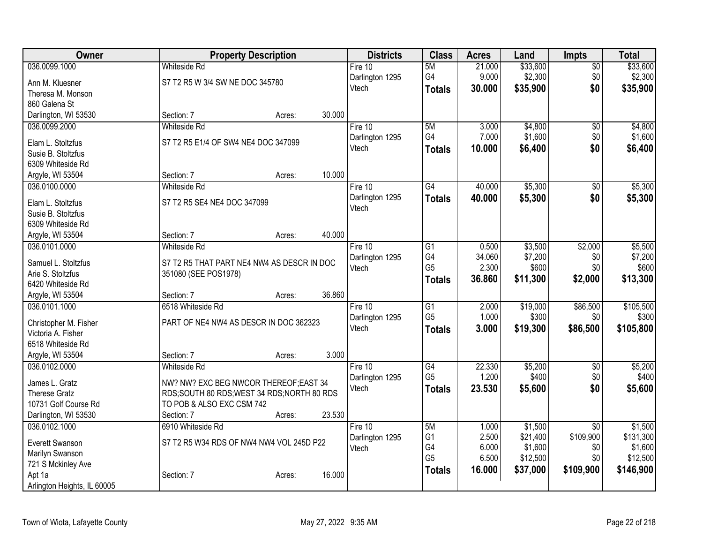| Owner                                   |                                            | <b>Property Description</b> |        | <b>Districts</b> | <b>Class</b>    | <b>Acres</b> | Land     | <b>Impts</b>    | <b>Total</b> |
|-----------------------------------------|--------------------------------------------|-----------------------------|--------|------------------|-----------------|--------------|----------|-----------------|--------------|
| 036.0099.1000                           | <b>Whiteside Rd</b>                        |                             |        | Fire 10          | 5M              | 21.000       | \$33,600 | $\overline{50}$ | \$33,600     |
| Ann M. Kluesner                         | S7 T2 R5 W 3/4 SW NE DOC 345780            |                             |        | Darlington 1295  | G4              | 9.000        | \$2,300  | \$0             | \$2,300      |
| Theresa M. Monson                       |                                            |                             |        | Vtech            | <b>Totals</b>   | 30.000       | \$35,900 | \$0             | \$35,900     |
| 860 Galena St                           |                                            |                             |        |                  |                 |              |          |                 |              |
| Darlington, WI 53530                    | Section: 7                                 | Acres:                      | 30.000 |                  |                 |              |          |                 |              |
| 036.0099.2000                           | <b>Whiteside Rd</b>                        |                             |        | Fire $10$        | 5M              | 3.000        | \$4,800  | \$0             | \$4,800      |
| Elam L. Stoltzfus                       | S7 T2 R5 E1/4 OF SW4 NE4 DOC 347099        |                             |        | Darlington 1295  | G4              | 7.000        | \$1,600  | \$0             | \$1,600      |
| Susie B. Stoltzfus                      |                                            |                             |        | Vtech            | <b>Totals</b>   | 10.000       | \$6,400  | \$0             | \$6,400      |
| 6309 Whiteside Rd                       |                                            |                             |        |                  |                 |              |          |                 |              |
| Argyle, WI 53504                        | Section: 7                                 | Acres:                      | 10.000 |                  |                 |              |          |                 |              |
| 036.0100.0000                           | <b>Whiteside Rd</b>                        |                             |        | Fire 10          | G4              | 40.000       | \$5,300  | \$0             | \$5,300      |
|                                         |                                            |                             |        | Darlington 1295  | <b>Totals</b>   | 40.000       | \$5,300  | \$0             | \$5,300      |
| Elam L. Stoltzfus                       | S7 T2 R5 SE4 NE4 DOC 347099                |                             |        | Vtech            |                 |              |          |                 |              |
| Susie B. Stoltzfus<br>6309 Whiteside Rd |                                            |                             |        |                  |                 |              |          |                 |              |
| Argyle, WI 53504                        | Section: 7                                 | Acres:                      | 40.000 |                  |                 |              |          |                 |              |
| 036.0101.0000                           | Whiteside Rd                               |                             |        | Fire $10$        | $\overline{G1}$ | 0.500        | \$3,500  | \$2,000         | \$5,500      |
|                                         |                                            |                             |        | Darlington 1295  | G4              | 34.060       | \$7,200  | \$0             | \$7,200      |
| Samuel L. Stoltzfus                     | S7 T2 R5 THAT PART NE4 NW4 AS DESCR IN DOC |                             |        | Vtech            | G <sub>5</sub>  | 2.300        | \$600    | \$0             | \$600        |
| Arie S. Stoltzfus                       | 351080 (SEE POS1978)                       |                             |        |                  | <b>Totals</b>   | 36.860       | \$11,300 | \$2,000         | \$13,300     |
| 6420 Whiteside Rd                       |                                            |                             |        |                  |                 |              |          |                 |              |
| Argyle, WI 53504                        | Section: 7                                 | Acres:                      | 36.860 |                  |                 |              |          |                 |              |
| 036.0101.1000                           | 6518 Whiteside Rd                          |                             |        | Fire 10          | $\overline{G1}$ | 2.000        | \$19,000 | \$86,500        | \$105,500    |
| Christopher M. Fisher                   | PART OF NE4 NW4 AS DESCR IN DOC 362323     |                             |        | Darlington 1295  | G <sub>5</sub>  | 1.000        | \$300    | \$0             | \$300        |
| Victoria A. Fisher                      |                                            |                             |        | Vtech            | <b>Totals</b>   | 3.000        | \$19,300 | \$86,500        | \$105,800    |
| 6518 Whiteside Rd                       |                                            |                             |        |                  |                 |              |          |                 |              |
| Argyle, WI 53504                        | Section: 7                                 | Acres:                      | 3.000  |                  |                 |              |          |                 |              |
| 036.0102.0000                           | <b>Whiteside Rd</b>                        |                             |        | Fire 10          | $\overline{G4}$ | 22.330       | \$5,200  | $\overline{50}$ | \$5,200      |
| James L. Gratz                          | NW? NW? EXC BEG NWCOR THEREOF; EAST 34     |                             |        | Darlington 1295  | G <sub>5</sub>  | 1.200        | \$400    | \$0             | \$400        |
| <b>Therese Gratz</b>                    | RDS;SOUTH 80 RDS;WEST 34 RDS;NORTH 80 RDS  |                             |        | Vtech            | <b>Totals</b>   | 23.530       | \$5,600  | \$0             | \$5,600      |
| 10731 Golf Course Rd                    | TO POB & ALSO EXC CSM 742                  |                             |        |                  |                 |              |          |                 |              |
| Darlington, WI 53530                    | Section: 7                                 | Acres:                      | 23.530 |                  |                 |              |          |                 |              |
| 036.0102.1000                           | 6910 Whiteside Rd                          |                             |        | Fire $10$        | 5M              | 1.000        | \$1,500  | $\overline{30}$ | \$1,500      |
| Everett Swanson                         | S7 T2 R5 W34 RDS OF NW4 NW4 VOL 245D P22   |                             |        | Darlington 1295  | G <sub>1</sub>  | 2.500        | \$21,400 | \$109,900       | \$131,300    |
| Marilyn Swanson                         |                                            |                             |        | Vtech            | G4              | 6.000        | \$1,600  | \$0             | \$1,600      |
| 721 S Mckinley Ave                      |                                            |                             |        |                  | G <sub>5</sub>  | 6.500        | \$12,500 | \$0             | \$12,500     |
| Apt 1a                                  | Section: 7                                 | Acres:                      | 16.000 |                  | <b>Totals</b>   | 16.000       | \$37,000 | \$109,900       | \$146,900    |
| Arlington Heights, IL 60005             |                                            |                             |        |                  |                 |              |          |                 |              |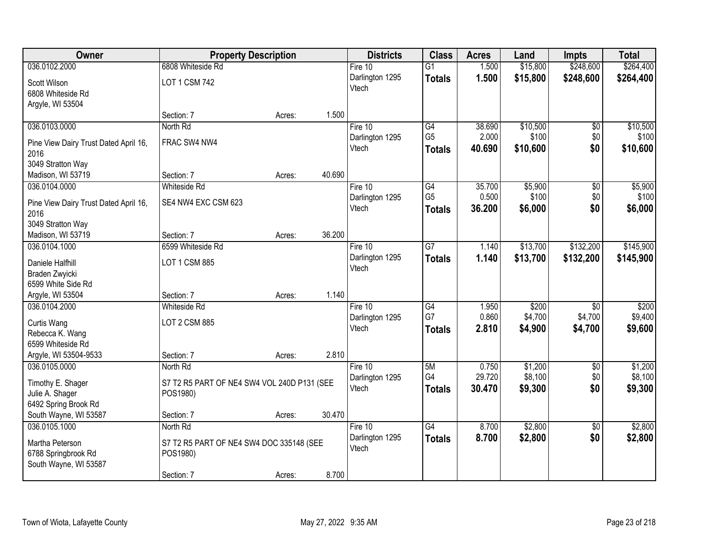| Owner                                 |                                             | <b>Property Description</b> |        | <b>Districts</b> | <b>Class</b>    | <b>Acres</b> | Land     | <b>Impts</b>    | <b>Total</b> |
|---------------------------------------|---------------------------------------------|-----------------------------|--------|------------------|-----------------|--------------|----------|-----------------|--------------|
| 036.0102.2000                         | 6808 Whiteside Rd                           |                             |        | Fire $10$        | $\overline{G1}$ | 1.500        | \$15,800 | \$248,600       | \$264,400    |
| Scott Wilson                          | LOT 1 CSM 742                               |                             |        | Darlington 1295  | <b>Totals</b>   | 1.500        | \$15,800 | \$248,600       | \$264,400    |
| 6808 Whiteside Rd                     |                                             |                             |        | Vtech            |                 |              |          |                 |              |
| Argyle, WI 53504                      |                                             |                             |        |                  |                 |              |          |                 |              |
|                                       | Section: 7                                  | Acres:                      | 1.500  |                  |                 |              |          |                 |              |
| 036.0103.0000                         | North Rd                                    |                             |        | Fire $10$        | G4              | 38.690       | \$10,500 | $\overline{50}$ | \$10,500     |
| Pine View Dairy Trust Dated April 16, | FRAC SW4 NW4                                |                             |        | Darlington 1295  | G <sub>5</sub>  | 2.000        | \$100    | \$0             | \$100        |
| 2016                                  |                                             |                             |        | Vtech            | <b>Totals</b>   | 40.690       | \$10,600 | \$0             | \$10,600     |
| 3049 Stratton Way                     |                                             |                             |        |                  |                 |              |          |                 |              |
| Madison, WI 53719                     | Section: 7                                  | Acres:                      | 40.690 |                  |                 |              |          |                 |              |
| 036.0104.0000                         | Whiteside Rd                                |                             |        | Fire 10          | G4              | 35.700       | \$5,900  | \$0             | \$5,900      |
| Pine View Dairy Trust Dated April 16, | SE4 NW4 EXC CSM 623                         |                             |        | Darlington 1295  | G <sub>5</sub>  | 0.500        | \$100    | \$0             | \$100        |
| 2016                                  |                                             |                             |        | Vtech            | <b>Totals</b>   | 36.200       | \$6,000  | \$0             | \$6,000      |
| 3049 Stratton Way                     |                                             |                             |        |                  |                 |              |          |                 |              |
| Madison, WI 53719                     | Section: 7                                  | Acres:                      | 36.200 |                  |                 |              |          |                 |              |
| 036.0104.1000                         | 6599 Whiteside Rd                           |                             |        | Fire 10          | $\overline{G7}$ | 1.140        | \$13,700 | \$132,200       | \$145,900    |
| Daniele Halfhill                      | LOT 1 CSM 885                               |                             |        | Darlington 1295  | <b>Totals</b>   | 1.140        | \$13,700 | \$132,200       | \$145,900    |
| Braden Zwyicki                        |                                             |                             |        | Vtech            |                 |              |          |                 |              |
| 6599 White Side Rd                    |                                             |                             |        |                  |                 |              |          |                 |              |
| Argyle, WI 53504                      | Section: 7                                  | Acres:                      | 1.140  |                  |                 |              |          |                 |              |
| 036.0104.2000                         | <b>Whiteside Rd</b>                         |                             |        | Fire 10          | $\overline{G4}$ | 1.950        | \$200    | $\overline{50}$ | \$200        |
| Curtis Wang                           | LOT 2 CSM 885                               |                             |        | Darlington 1295  | G7              | 0.860        | \$4,700  | \$4,700         | \$9,400      |
| Rebecca K. Wang                       |                                             |                             |        | Vtech            | <b>Totals</b>   | 2.810        | \$4,900  | \$4,700         | \$9,600      |
| 6599 Whiteside Rd                     |                                             |                             |        |                  |                 |              |          |                 |              |
| Argyle, WI 53504-9533                 | Section: 7                                  | Acres:                      | 2.810  |                  |                 |              |          |                 |              |
| 036.0105.0000                         | North Rd                                    |                             |        | Fire 10          | 5M              | 0.750        | \$1,200  | $\overline{60}$ | \$1,200      |
| Timothy E. Shager                     | S7 T2 R5 PART OF NE4 SW4 VOL 240D P131 (SEE |                             |        | Darlington 1295  | G4              | 29.720       | \$8,100  | \$0             | \$8,100      |
| Julie A. Shager                       | POS1980)                                    |                             |        | Vtech            | <b>Totals</b>   | 30.470       | \$9,300  | \$0             | \$9,300      |
| 6492 Spring Brook Rd                  |                                             |                             |        |                  |                 |              |          |                 |              |
| South Wayne, WI 53587                 | Section: 7                                  | Acres:                      | 30.470 |                  |                 |              |          |                 |              |
| 036.0105.1000                         | North Rd                                    |                             |        | Fire $10$        | G4              | 8.700        | \$2,800  | $\overline{50}$ | \$2,800      |
| Martha Peterson                       | S7 T2 R5 PART OF NE4 SW4 DOC 335148 (SEE    |                             |        | Darlington 1295  | <b>Totals</b>   | 8.700        | \$2,800  | \$0             | \$2,800      |
| 6788 Springbrook Rd                   | POS1980)                                    |                             |        | Vtech            |                 |              |          |                 |              |
| South Wayne, WI 53587                 |                                             |                             |        |                  |                 |              |          |                 |              |
|                                       | Section: 7                                  | Acres:                      | 8.700  |                  |                 |              |          |                 |              |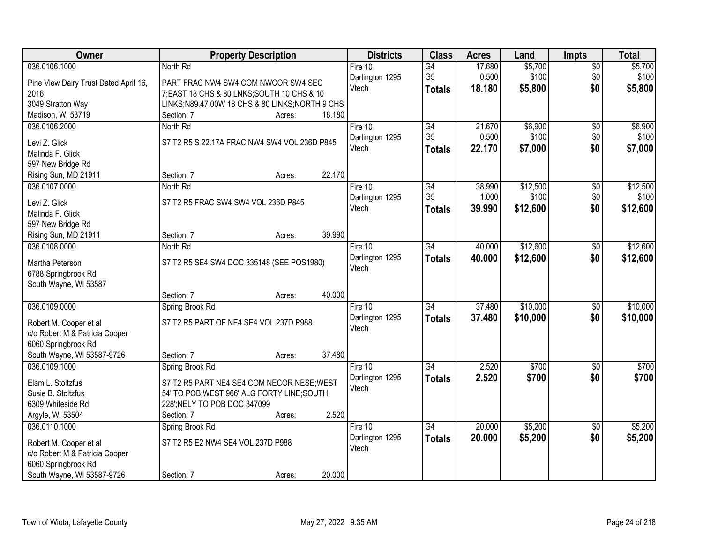| Owner                                 | <b>Property Description</b>                    |        |        | <b>Districts</b>         | <b>Class</b>    | <b>Acres</b> | Land     | <b>Impts</b>    | <b>Total</b> |
|---------------------------------------|------------------------------------------------|--------|--------|--------------------------|-----------------|--------------|----------|-----------------|--------------|
| 036.0106.1000                         | North Rd                                       |        |        | Fire $10$                | $\overline{G4}$ | 17.680       | \$5,700  | $\overline{50}$ | \$5,700      |
| Pine View Dairy Trust Dated April 16, | PART FRAC NW4 SW4 COM NWCOR SW4 SEC            |        |        | Darlington 1295          | G <sub>5</sub>  | 0.500        | \$100    | \$0             | \$100        |
| 2016                                  | 7; EAST 18 CHS & 80 LNKS; SOUTH 10 CHS & 10    |        |        | Vtech                    | <b>Totals</b>   | 18.180       | \$5,800  | \$0             | \$5,800      |
| 3049 Stratton Way                     | LINKS;N89.47.00W 18 CHS & 80 LINKS;NORTH 9 CHS |        |        |                          |                 |              |          |                 |              |
| Madison, WI 53719                     | Section: 7                                     | Acres: | 18.180 |                          |                 |              |          |                 |              |
| 036.0106.2000                         | North Rd                                       |        |        | Fire $10$                | G4              | 21.670       | \$6,900  | $\overline{50}$ | \$6,900      |
|                                       |                                                |        |        | Darlington 1295          | G <sub>5</sub>  | 0.500        | \$100    | \$0             | \$100        |
| Levi Z. Glick                         | S7 T2 R5 S 22.17A FRAC NW4 SW4 VOL 236D P845   |        |        | Vtech                    | <b>Totals</b>   | 22.170       | \$7,000  | \$0             | \$7,000      |
| Malinda F. Glick                      |                                                |        |        |                          |                 |              |          |                 |              |
| 597 New Bridge Rd                     | Section: 7                                     |        | 22.170 |                          |                 |              |          |                 |              |
| Rising Sun, MD 21911<br>036.0107.0000 | North Rd                                       | Acres: |        |                          | $\overline{G4}$ | 38.990       | \$12,500 |                 | \$12,500     |
|                                       |                                                |        |        | Fire 10                  | G <sub>5</sub>  | 1.000        | \$100    | \$0<br>\$0      | \$100        |
| Levi Z. Glick                         | S7 T2 R5 FRAC SW4 SW4 VOL 236D P845            |        |        | Darlington 1295<br>Vtech |                 | 39.990       | \$12,600 | \$0             | \$12,600     |
| Malinda F. Glick                      |                                                |        |        |                          | <b>Totals</b>   |              |          |                 |              |
| 597 New Bridge Rd                     |                                                |        |        |                          |                 |              |          |                 |              |
| Rising Sun, MD 21911                  | Section: 7                                     | Acres: | 39.990 |                          |                 |              |          |                 |              |
| 036.0108.0000                         | North Rd                                       |        |        | Fire 10                  | $\overline{G4}$ | 40.000       | \$12,600 | \$0             | \$12,600     |
| Martha Peterson                       | S7 T2 R5 SE4 SW4 DOC 335148 (SEE POS1980)      |        |        | Darlington 1295          | <b>Totals</b>   | 40.000       | \$12,600 | \$0             | \$12,600     |
| 6788 Springbrook Rd                   |                                                |        |        | Vtech                    |                 |              |          |                 |              |
| South Wayne, WI 53587                 |                                                |        |        |                          |                 |              |          |                 |              |
|                                       | Section: 7                                     | Acres: | 40.000 |                          |                 |              |          |                 |              |
| 036.0109.0000                         | Spring Brook Rd                                |        |        | Fire $10$                | $\overline{G4}$ | 37.480       | \$10,000 | \$0             | \$10,000     |
|                                       |                                                |        |        | Darlington 1295          | <b>Totals</b>   | 37,480       | \$10,000 | \$0             | \$10,000     |
| Robert M. Cooper et al                | S7 T2 R5 PART OF NE4 SE4 VOL 237D P988         |        |        | Vtech                    |                 |              |          |                 |              |
| c/o Robert M & Patricia Cooper        |                                                |        |        |                          |                 |              |          |                 |              |
| 6060 Springbrook Rd                   |                                                |        |        |                          |                 |              |          |                 |              |
| South Wayne, WI 53587-9726            | Section: 7                                     | Acres: | 37.480 |                          |                 |              |          |                 |              |
| 036.0109.1000                         | Spring Brook Rd                                |        |        | Fire 10                  | $\overline{G4}$ | 2.520        | \$700    | $\sqrt{6}$      | \$700        |
| Elam L. Stoltzfus                     | S7 T2 R5 PART NE4 SE4 COM NECOR NESE; WEST     |        |        | Darlington 1295<br>Vtech | <b>Totals</b>   | 2.520        | \$700    | \$0             | \$700        |
| Susie B. Stoltzfus                    | 54' TO POB; WEST 966' ALG FORTY LINE; SOUTH    |        |        |                          |                 |              |          |                 |              |
| 6309 Whiteside Rd                     | 228'; NELY TO POB DOC 347099                   |        |        |                          |                 |              |          |                 |              |
| Argyle, WI 53504                      | Section: 7                                     | Acres: | 2.520  |                          |                 |              |          |                 |              |
| 036.0110.1000                         | Spring Brook Rd                                |        |        | Fire 10                  | $\overline{G4}$ | 20.000       | \$5,200  | $\overline{50}$ | \$5,200      |
| Robert M. Cooper et al                | S7 T2 R5 E2 NW4 SE4 VOL 237D P988              |        |        | Darlington 1295          | <b>Totals</b>   | 20.000       | \$5,200  | \$0             | \$5,200      |
| c/o Robert M & Patricia Cooper        |                                                |        |        | Vtech                    |                 |              |          |                 |              |
| 6060 Springbrook Rd                   |                                                |        |        |                          |                 |              |          |                 |              |
| South Wayne, WI 53587-9726            | Section: 7                                     | Acres: | 20.000 |                          |                 |              |          |                 |              |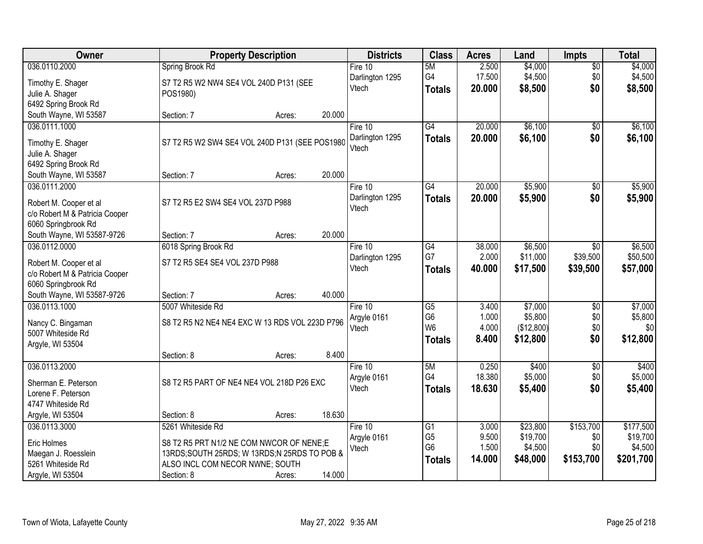| Owner                                   |                                                | <b>Property Description</b> |        | <b>Districts</b>         | <b>Class</b>    | <b>Acres</b> | Land       | <b>Impts</b>    | <b>Total</b> |
|-----------------------------------------|------------------------------------------------|-----------------------------|--------|--------------------------|-----------------|--------------|------------|-----------------|--------------|
| 036.0110.2000                           | Spring Brook Rd                                |                             |        | Fire 10                  | 5M              | 2.500        | \$4,000    | $\overline{60}$ | \$4,000      |
| Timothy E. Shager                       | S7 T2 R5 W2 NW4 SE4 VOL 240D P131 (SEE         |                             |        | Darlington 1295          | G4              | 17.500       | \$4,500    | \$0             | \$4,500      |
| Julie A. Shager                         | POS1980)                                       |                             |        | Vtech                    | <b>Totals</b>   | 20.000       | \$8,500    | \$0             | \$8,500      |
| 6492 Spring Brook Rd                    |                                                |                             |        |                          |                 |              |            |                 |              |
| South Wayne, WI 53587                   | Section: 7                                     | Acres:                      | 20.000 |                          |                 |              |            |                 |              |
| 036.0111.1000                           |                                                |                             |        | Fire 10                  | $\overline{G4}$ | 20.000       | \$6,100    | $\overline{50}$ | \$6,100      |
|                                         |                                                |                             |        | Darlington 1295          | Totals          | 20.000       | \$6,100    | \$0             | \$6,100      |
| Timothy E. Shager                       | S7 T2 R5 W2 SW4 SE4 VOL 240D P131 (SEE POS1980 |                             |        | Vtech                    |                 |              |            |                 |              |
| Julie A. Shager<br>6492 Spring Brook Rd |                                                |                             |        |                          |                 |              |            |                 |              |
| South Wayne, WI 53587                   | Section: 7                                     | Acres:                      | 20.000 |                          |                 |              |            |                 |              |
| 036.0111.2000                           |                                                |                             |        | Fire 10                  | G4              | 20.000       | \$5,900    | \$0             | \$5,900      |
|                                         |                                                |                             |        | Darlington 1295          | <b>Totals</b>   | 20.000       | \$5,900    | \$0             | \$5,900      |
| Robert M. Cooper et al                  | S7 T2 R5 E2 SW4 SE4 VOL 237D P988              |                             |        | Vtech                    |                 |              |            |                 |              |
| c/o Robert M & Patricia Cooper          |                                                |                             |        |                          |                 |              |            |                 |              |
| 6060 Springbrook Rd                     |                                                |                             |        |                          |                 |              |            |                 |              |
| South Wayne, WI 53587-9726              | Section: 7                                     | Acres:                      | 20.000 |                          |                 |              |            |                 |              |
| 036.0112.0000                           | 6018 Spring Brook Rd                           |                             |        | Fire 10                  | G4              | 38.000       | \$6,500    | $\sqrt{6}$      | \$6,500      |
| Robert M. Cooper et al                  | S7 T2 R5 SE4 SE4 VOL 237D P988                 |                             |        | Darlington 1295<br>Vtech | G7              | 2.000        | \$11,000   | \$39,500        | \$50,500     |
| c/o Robert M & Patricia Cooper          |                                                |                             |        |                          | <b>Totals</b>   | 40.000       | \$17,500   | \$39,500        | \$57,000     |
| 6060 Springbrook Rd                     |                                                |                             |        |                          |                 |              |            |                 |              |
| South Wayne, WI 53587-9726              | Section: 7                                     | Acres:                      | 40.000 |                          |                 |              |            |                 |              |
| 036.0113.1000                           | 5007 Whiteside Rd                              |                             |        | Fire 10                  | $\overline{G5}$ | 3.400        | \$7,000    | $\overline{30}$ | \$7,000      |
| Nancy C. Bingaman                       | S8 T2 R5 N2 NE4 NE4 EXC W 13 RDS VOL 223D P796 |                             |        | Argyle 0161              | G <sub>6</sub>  | 1.000        | \$5,800    | \$0             | \$5,800      |
| 5007 Whiteside Rd                       |                                                |                             |        | Vtech                    | W <sub>6</sub>  | 4.000        | (\$12,800) | \$0             | \$0          |
| Argyle, WI 53504                        |                                                |                             |        |                          | <b>Totals</b>   | 8.400        | \$12,800   | \$0             | \$12,800     |
|                                         | Section: 8                                     | Acres:                      | 8.400  |                          |                 |              |            |                 |              |
| 036.0113.2000                           |                                                |                             |        | Fire 10                  | 5M              | 0.250        | \$400      | $\overline{50}$ | \$400        |
| Sherman E. Peterson                     | S8 T2 R5 PART OF NE4 NE4 VOL 218D P26 EXC      |                             |        | Argyle 0161              | G4              | 18.380       | \$5,000    | \$0             | \$5,000      |
| Lorene F. Peterson                      |                                                |                             |        | Vtech                    | <b>Totals</b>   | 18.630       | \$5,400    | \$0             | \$5,400      |
| 4747 Whiteside Rd                       |                                                |                             |        |                          |                 |              |            |                 |              |
| Argyle, WI 53504                        | Section: 8                                     | Acres:                      | 18.630 |                          |                 |              |            |                 |              |
| 036.0113.3000                           | 5261 Whiteside Rd                              |                             |        | Fire 10                  | G1              | 3.000        | \$23,800   | \$153,700       | \$177,500    |
|                                         |                                                |                             |        | Argyle 0161              | G <sub>5</sub>  | 9.500        | \$19,700   | \$0             | \$19,700     |
| Eric Holmes                             | S8 T2 R5 PRT N1/2 NE COM NWCOR OF NENE;E       |                             |        | Vtech                    | G <sub>6</sub>  | 1.500        | \$4,500    | \$0             | \$4,500      |
| Maegan J. Roesslein                     | 13RDS;SOUTH 25RDS; W 13RDS;N 25RDS TO POB &    |                             |        |                          | <b>Totals</b>   | 14.000       | \$48,000   | \$153,700       | \$201,700    |
| 5261 Whiteside Rd                       | ALSO INCL COM NECOR NWNE; SOUTH                |                             |        |                          |                 |              |            |                 |              |
| Argyle, WI 53504                        | Section: 8                                     | Acres:                      | 14.000 |                          |                 |              |            |                 |              |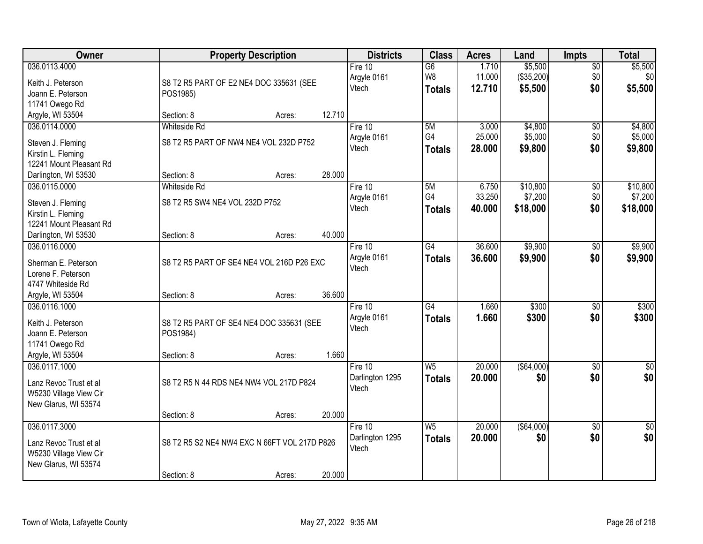| Owner                   |                                              | <b>Property Description</b> |        | <b>Districts</b> | <b>Class</b>    | <b>Acres</b> | Land        | <b>Impts</b>    | <b>Total</b>    |
|-------------------------|----------------------------------------------|-----------------------------|--------|------------------|-----------------|--------------|-------------|-----------------|-----------------|
| 036.0113.4000           |                                              |                             |        | Fire $10$        | $\overline{G6}$ | 1.710        | \$5,500     | $\overline{50}$ | \$5,500         |
| Keith J. Peterson       | S8 T2 R5 PART OF E2 NE4 DOC 335631 (SEE      |                             |        | Argyle 0161      | W8              | 11.000       | (\$35,200)  | \$0             | \$0             |
| Joann E. Peterson       | POS1985)                                     |                             |        | Vtech            | <b>Totals</b>   | 12.710       | \$5,500     | \$0             | \$5,500         |
| 11741 Owego Rd          |                                              |                             |        |                  |                 |              |             |                 |                 |
| Argyle, WI 53504        | Section: 8                                   | Acres:                      | 12.710 |                  |                 |              |             |                 |                 |
| 036.0114.0000           | <b>Whiteside Rd</b>                          |                             |        | Fire 10          | 5M              | 3.000        | \$4,800     | $\overline{50}$ | \$4,800         |
|                         |                                              |                             |        | Argyle 0161      | G4              | 25.000       | \$5,000     | \$0             | \$5,000         |
| Steven J. Fleming       | S8 T2 R5 PART OF NW4 NE4 VOL 232D P752       |                             |        | Vtech            | <b>Totals</b>   | 28.000       | \$9,800     | \$0             | \$9,800         |
| Kirstin L. Fleming      |                                              |                             |        |                  |                 |              |             |                 |                 |
| 12241 Mount Pleasant Rd |                                              |                             | 28.000 |                  |                 |              |             |                 |                 |
| Darlington, WI 53530    | Section: 8                                   | Acres:                      |        |                  |                 |              |             |                 |                 |
| 036.0115.0000           | <b>Whiteside Rd</b>                          |                             |        | Fire 10          | 5M              | 6.750        | \$10,800    | \$0             | \$10,800        |
| Steven J. Fleming       | S8 T2 R5 SW4 NE4 VOL 232D P752               |                             |        | Argyle 0161      | G4              | 33.250       | \$7,200     | \$0             | \$7,200         |
| Kirstin L. Fleming      |                                              |                             |        | Vtech            | <b>Totals</b>   | 40.000       | \$18,000    | \$0             | \$18,000        |
| 12241 Mount Pleasant Rd |                                              |                             |        |                  |                 |              |             |                 |                 |
| Darlington, WI 53530    | Section: 8                                   | Acres:                      | 40.000 |                  |                 |              |             |                 |                 |
| 036.0116.0000           |                                              |                             |        | Fire 10          | $\overline{G4}$ | 36.600       | \$9,900     | \$0             | \$9,900         |
|                         |                                              |                             |        | Argyle 0161      | <b>Totals</b>   | 36.600       | \$9,900     | \$0             | \$9,900         |
| Sherman E. Peterson     | S8 T2 R5 PART OF SE4 NE4 VOL 216D P26 EXC    |                             |        | Vtech            |                 |              |             |                 |                 |
| Lorene F. Peterson      |                                              |                             |        |                  |                 |              |             |                 |                 |
| 4747 Whiteside Rd       |                                              |                             | 36.600 |                  |                 |              |             |                 |                 |
| Argyle, WI 53504        | Section: 8                                   | Acres:                      |        |                  |                 |              |             |                 |                 |
| 036.0116.1000           |                                              |                             |        | Fire 10          | $\overline{G4}$ | 1.660        | \$300       | \$0             | \$300           |
| Keith J. Peterson       | S8 T2 R5 PART OF SE4 NE4 DOC 335631 (SEE     |                             |        | Argyle 0161      | <b>Totals</b>   | 1.660        | \$300       | \$0             | \$300           |
| Joann E. Peterson       | POS1984)                                     |                             |        | Vtech            |                 |              |             |                 |                 |
| 11741 Owego Rd          |                                              |                             |        |                  |                 |              |             |                 |                 |
| Argyle, WI 53504        | Section: 8                                   | Acres:                      | 1.660  |                  |                 |              |             |                 |                 |
| 036.0117.1000           |                                              |                             |        | Fire 10          | W <sub>5</sub>  | 20.000       | ( \$64,000) | $\overline{50}$ | $\sqrt{50}$     |
| Lanz Revoc Trust et al  | S8 T2 R5 N 44 RDS NE4 NW4 VOL 217D P824      |                             |        | Darlington 1295  | <b>Totals</b>   | 20.000       | \$0         | \$0             | \$0             |
|                         |                                              |                             |        | Vtech            |                 |              |             |                 |                 |
| W5230 Village View Cir  |                                              |                             |        |                  |                 |              |             |                 |                 |
| New Glarus, WI 53574    |                                              |                             | 20.000 |                  |                 |              |             |                 |                 |
| 036.0117.3000           | Section: 8                                   | Acres:                      |        | Fire 10          | W <sub>5</sub>  | 20.000       | ( \$64,000) | $\overline{50}$ |                 |
|                         |                                              |                             |        |                  |                 |              |             |                 | $\overline{50}$ |
| Lanz Revoc Trust et al  | S8 T2 R5 S2 NE4 NW4 EXC N 66FT VOL 217D P826 |                             |        | Darlington 1295  | <b>Totals</b>   | 20,000       | \$0         | \$0             | \$0             |
| W5230 Village View Cir  |                                              |                             |        | Vtech            |                 |              |             |                 |                 |
| New Glarus, WI 53574    |                                              |                             |        |                  |                 |              |             |                 |                 |
|                         | Section: 8                                   | Acres:                      | 20.000 |                  |                 |              |             |                 |                 |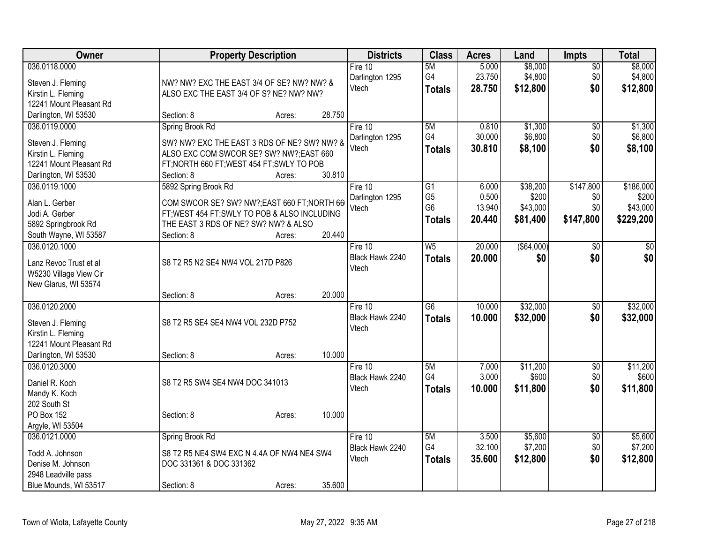| Owner                                 | <b>Property Description</b>                                                           |                  | <b>Districts</b>         | <b>Class</b>    | <b>Acres</b> | Land        | <b>Impts</b>    | <b>Total</b> |
|---------------------------------------|---------------------------------------------------------------------------------------|------------------|--------------------------|-----------------|--------------|-------------|-----------------|--------------|
| 036.0118.0000                         |                                                                                       |                  | Fire 10                  | 5M              | 5.000        | \$8,000     | $\sqrt{$0}$     | \$8,000      |
| Steven J. Fleming                     | NW? NW? EXC THE EAST 3/4 OF SE? NW? NW? &                                             |                  | Darlington 1295          | G4              | 23.750       | \$4,800     | \$0             | \$4,800      |
| Kirstin L. Fleming                    | ALSO EXC THE EAST 3/4 OF S? NE? NW? NW?                                               |                  | Vtech                    | <b>Totals</b>   | 28.750       | \$12,800    | \$0             | \$12,800     |
| 12241 Mount Pleasant Rd               |                                                                                       |                  |                          |                 |              |             |                 |              |
| Darlington, WI 53530                  | Section: 8                                                                            | 28.750<br>Acres: |                          |                 |              |             |                 |              |
| 036.0119.0000                         | Spring Brook Rd                                                                       |                  | Fire 10                  | 5M              | 0.810        | \$1,300     | \$0             | \$1,300      |
| Steven J. Fleming                     | SW? NW? EXC THE EAST 3 RDS OF NE? SW? NW? &                                           |                  | Darlington 1295          | G4              | 30.000       | \$6,800     | \$0             | \$6,800      |
| Kirstin L. Fleming                    | ALSO EXC COM SWCOR SE? SW? NW?; EAST 660                                              |                  | Vtech                    | <b>Totals</b>   | 30.810       | \$8,100     | \$0             | \$8,100      |
| 12241 Mount Pleasant Rd               | FT; NORTH 660 FT; WEST 454 FT; SWLY TO POB                                            |                  |                          |                 |              |             |                 |              |
| Darlington, WI 53530                  | Section: 8                                                                            | 30.810<br>Acres: |                          |                 |              |             |                 |              |
| 036.0119.1000                         | 5892 Spring Brook Rd                                                                  |                  | Fire 10                  | $\overline{G1}$ | 6.000        | \$38,200    | \$147,800       | \$186,000    |
|                                       |                                                                                       |                  | Darlington 1295          | G <sub>5</sub>  | 0.500        | \$200       | \$0             | \$200        |
| Alan L. Gerber                        | COM SWCOR SE? SW? NW?;EAST 660 FT;NORTH 66                                            |                  | Vtech                    | G <sub>6</sub>  | 13.940       | \$43,000    | \$0             | \$43,000     |
| Jodi A. Gerber<br>5892 Springbrook Rd | FT; WEST 454 FT; SWLY TO POB & ALSO INCLUDING<br>THE EAST 3 RDS OF NE? SW? NW? & ALSO |                  |                          | <b>Totals</b>   | 20.440       | \$81,400    | \$147,800       | \$229,200    |
| South Wayne, WI 53587                 | Section: 8                                                                            | 20.440<br>Acres: |                          |                 |              |             |                 |              |
| 036.0120.1000                         |                                                                                       |                  | Fire 10                  | W <sub>5</sub>  | 20.000       | ( \$64,000) | $\sqrt{6}$      | \$0          |
|                                       |                                                                                       |                  | Black Hawk 2240          | <b>Totals</b>   | 20.000       | \$0         | \$0             | \$0          |
| Lanz Revoc Trust et al                | S8 T2 R5 N2 SE4 NW4 VOL 217D P826                                                     |                  | Vtech                    |                 |              |             |                 |              |
| W5230 Village View Cir                |                                                                                       |                  |                          |                 |              |             |                 |              |
| New Glarus, WI 53574                  |                                                                                       |                  |                          |                 |              |             |                 |              |
|                                       | Section: 8                                                                            | 20.000<br>Acres: |                          |                 |              |             |                 |              |
| 036.0120.2000                         |                                                                                       |                  | Fire 10                  | $\overline{G6}$ | 10.000       | \$32,000    | \$0             | \$32,000     |
| Steven J. Fleming                     | S8 T2 R5 SE4 SE4 NW4 VOL 232D P752                                                    |                  | Black Hawk 2240<br>Vtech | <b>Totals</b>   | 10.000       | \$32,000    | \$0             | \$32,000     |
| Kirstin L. Fleming                    |                                                                                       |                  |                          |                 |              |             |                 |              |
| 12241 Mount Pleasant Rd               |                                                                                       |                  |                          |                 |              |             |                 |              |
| Darlington, WI 53530                  | Section: 8                                                                            | 10.000<br>Acres: |                          |                 |              |             |                 |              |
| 036.0120.3000                         |                                                                                       |                  | Fire 10                  | 5M              | 7.000        | \$11,200    | $\overline{50}$ | \$11,200     |
| Daniel R. Koch                        | S8 T2 R5 SW4 SE4 NW4 DOC 341013                                                       |                  | Black Hawk 2240          | G <sub>4</sub>  | 3.000        | \$600       | \$0             | \$600        |
| Mandy K. Koch                         |                                                                                       |                  | Vtech                    | <b>Totals</b>   | 10.000       | \$11,800    | \$0             | \$11,800     |
| 202 South St                          |                                                                                       |                  |                          |                 |              |             |                 |              |
| PO Box 152                            | Section: 8                                                                            | 10.000<br>Acres: |                          |                 |              |             |                 |              |
| Argyle, WI 53504                      |                                                                                       |                  |                          |                 |              |             |                 |              |
| 036.0121.0000                         | Spring Brook Rd                                                                       |                  | Fire 10                  | 5M              | 3.500        | \$5,600     | \$0             | \$5,600      |
| Todd A. Johnson                       | S8 T2 R5 NE4 SW4 EXC N 4.4A OF NW4 NE4 SW4                                            |                  | Black Hawk 2240          | G4              | 32.100       | \$7,200     | \$0             | \$7,200      |
| Denise M. Johnson                     | DOC 331361 & DOC 331362                                                               |                  | Vtech                    | <b>Totals</b>   | 35.600       | \$12,800    | \$0             | \$12,800     |
| 2948 Leadville pass                   |                                                                                       |                  |                          |                 |              |             |                 |              |
| Blue Mounds, WI 53517                 | Section: 8                                                                            | 35.600<br>Acres: |                          |                 |              |             |                 |              |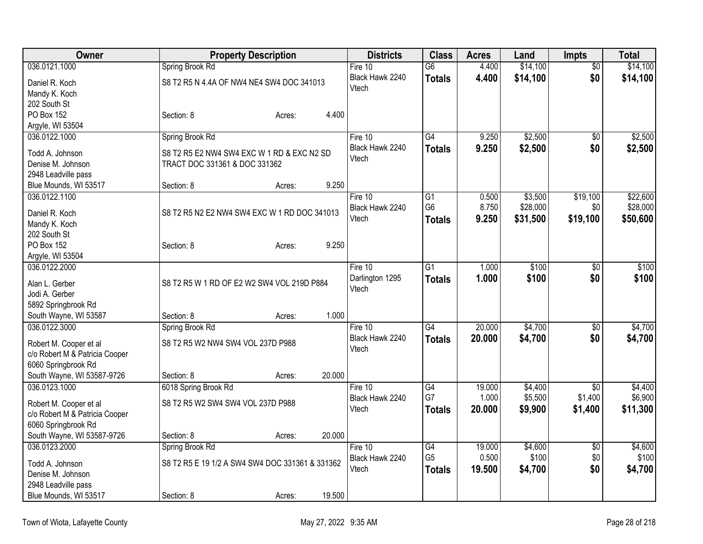| Owner                                                    | <b>Property Description</b>                     |        |        | <b>Districts</b> | <b>Class</b>    | <b>Acres</b> | Land     | <b>Impts</b>    | <b>Total</b> |
|----------------------------------------------------------|-------------------------------------------------|--------|--------|------------------|-----------------|--------------|----------|-----------------|--------------|
| 036.0121.1000                                            | Spring Brook Rd                                 |        |        | Fire 10          | $\overline{G6}$ | 4.400        | \$14,100 | $\overline{50}$ | \$14,100     |
| Daniel R. Koch                                           | S8 T2 R5 N 4.4A OF NW4 NE4 SW4 DOC 341013       |        |        | Black Hawk 2240  | <b>Totals</b>   | 4.400        | \$14,100 | \$0             | \$14,100     |
| Mandy K. Koch                                            |                                                 |        |        | Vtech            |                 |              |          |                 |              |
| 202 South St                                             |                                                 |        |        |                  |                 |              |          |                 |              |
| PO Box 152                                               | Section: 8                                      | Acres: | 4.400  |                  |                 |              |          |                 |              |
| Argyle, WI 53504                                         |                                                 |        |        |                  |                 |              |          |                 |              |
| 036.0122.1000                                            | Spring Brook Rd                                 |        |        | Fire $10$        | $\overline{G4}$ | 9.250        | \$2,500  | $\overline{50}$ | \$2,500      |
| Todd A. Johnson                                          | S8 T2 R5 E2 NW4 SW4 EXC W 1 RD & EXC N2 SD      |        |        | Black Hawk 2240  | <b>Totals</b>   | 9.250        | \$2,500  | \$0             | \$2,500      |
| Denise M. Johnson                                        | TRACT DOC 331361 & DOC 331362                   |        |        | Vtech            |                 |              |          |                 |              |
| 2948 Leadville pass                                      |                                                 |        |        |                  |                 |              |          |                 |              |
| Blue Mounds, WI 53517                                    | Section: 8                                      | Acres: | 9.250  |                  |                 |              |          |                 |              |
| 036.0122.1100                                            |                                                 |        |        | Fire $10$        | $\overline{G1}$ | 0.500        | \$3,500  | \$19,100        | \$22,600     |
|                                                          |                                                 |        |        | Black Hawk 2240  | G <sub>6</sub>  | 8.750        | \$28,000 | \$0             | \$28,000     |
| Daniel R. Koch                                           | S8 T2 R5 N2 E2 NW4 SW4 EXC W 1 RD DOC 341013    |        |        | Vtech            | <b>Totals</b>   | 9.250        | \$31,500 | \$19,100        | \$50,600     |
| Mandy K. Koch                                            |                                                 |        |        |                  |                 |              |          |                 |              |
| 202 South St                                             |                                                 |        |        |                  |                 |              |          |                 |              |
| PO Box 152                                               | Section: 8                                      | Acres: | 9.250  |                  |                 |              |          |                 |              |
| Argyle, WI 53504                                         |                                                 |        |        |                  |                 |              |          |                 |              |
| 036.0122.2000                                            |                                                 |        |        | Fire 10          | $\overline{G1}$ | 1.000        | \$100    | $\overline{50}$ | \$100        |
| Alan L. Gerber                                           | S8 T2 R5 W 1 RD OF E2 W2 SW4 VOL 219D P884      |        |        | Darlington 1295  | <b>Totals</b>   | 1.000        | \$100    | \$0             | \$100        |
| Jodi A. Gerber                                           |                                                 |        |        | Vtech            |                 |              |          |                 |              |
| 5892 Springbrook Rd                                      |                                                 |        |        |                  |                 |              |          |                 |              |
| South Wayne, WI 53587                                    | Section: 8                                      | Acres: | 1.000  |                  |                 |              |          |                 |              |
| 036.0122.3000                                            | Spring Brook Rd                                 |        |        | Fire $10$        | G4              | 20.000       | \$4,700  | $\overline{30}$ | \$4,700      |
|                                                          | S8 T2 R5 W2 NW4 SW4 VOL 237D P988               |        |        | Black Hawk 2240  | <b>Totals</b>   | 20.000       | \$4,700  | \$0             | \$4,700      |
| Robert M. Cooper et al<br>c/o Robert M & Patricia Cooper |                                                 |        |        | Vtech            |                 |              |          |                 |              |
| 6060 Springbrook Rd                                      |                                                 |        |        |                  |                 |              |          |                 |              |
| South Wayne, WI 53587-9726                               | Section: 8                                      | Acres: | 20.000 |                  |                 |              |          |                 |              |
| 036.0123.1000                                            | 6018 Spring Brook Rd                            |        |        | Fire 10          | $\overline{G4}$ | 19.000       | \$4,400  | $\overline{50}$ | \$4,400      |
|                                                          |                                                 |        |        | Black Hawk 2240  | G7              | 1.000        | \$5,500  | \$1,400         | \$6,900      |
| Robert M. Cooper et al                                   | S8 T2 R5 W2 SW4 SW4 VOL 237D P988               |        |        | Vtech            | <b>Totals</b>   | 20.000       | \$9,900  | \$1,400         | \$11,300     |
| c/o Robert M & Patricia Cooper                           |                                                 |        |        |                  |                 |              |          |                 |              |
| 6060 Springbrook Rd                                      |                                                 |        |        |                  |                 |              |          |                 |              |
| South Wayne, WI 53587-9726                               | Section: 8                                      | Acres: | 20.000 |                  |                 |              |          |                 |              |
| 036.0123.2000                                            | Spring Brook Rd                                 |        |        | Fire 10          | G4              | 19.000       | \$4,600  | $\overline{50}$ | \$4,600      |
| Todd A. Johnson                                          | S8 T2 R5 E 19 1/2 A SW4 SW4 DOC 331361 & 331362 |        |        | Black Hawk 2240  | G <sub>5</sub>  | 0.500        | \$100    | \$0             | \$100        |
| Denise M. Johnson                                        |                                                 |        |        | Vtech            | <b>Totals</b>   | 19.500       | \$4,700  | \$0             | \$4,700      |
| 2948 Leadville pass                                      |                                                 |        |        |                  |                 |              |          |                 |              |
| Blue Mounds, WI 53517                                    | Section: 8                                      | Acres: | 19.500 |                  |                 |              |          |                 |              |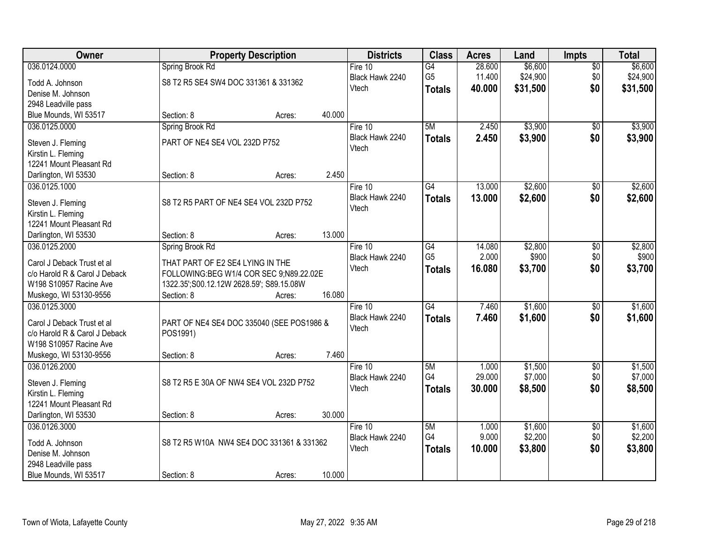| \$6,600<br>036.0124.0000<br>28.600<br>\$6,600<br>Spring Brook Rd<br>Fire $10$<br>$\overline{G4}$<br>$\overline{50}$<br>G <sub>5</sub><br>11.400<br>\$24,900<br>\$0<br>\$24,900<br>Black Hawk 2240<br>S8 T2 R5 SE4 SW4 DOC 331361 & 331362<br>Todd A. Johnson<br>\$0<br>Vtech<br>40.000<br>\$31,500<br>\$31,500<br><b>Totals</b><br>Denise M. Johnson<br>2948 Leadville pass<br>40.000<br>Blue Mounds, WI 53517<br>Section: 8<br>Acres:<br>\$3,900<br>5M<br>2.450<br>036.0125.0000<br>Spring Brook Rd<br>Fire 10<br>$\overline{50}$<br>2.450<br>\$3,900<br>\$0<br>Black Hawk 2240<br>\$3,900<br><b>Totals</b><br>PART OF NE4 SE4 VOL 232D P752<br>Steven J. Fleming<br>Vtech<br>Kirstin L. Fleming<br>12241 Mount Pleasant Rd<br>2.450<br>Darlington, WI 53530<br>Section: 8<br>Acres:<br>G4<br>13.000<br>\$2,600<br>036.0125.1000<br>\$0<br>Fire 10<br>Black Hawk 2240<br>\$2,600<br>\$0<br>13.000<br><b>Totals</b><br>S8 T2 R5 PART OF NE4 SE4 VOL 232D P752<br>Steven J. Fleming<br>Vtech<br>Kirstin L. Fleming<br>12241 Mount Pleasant Rd<br>13.000<br>Section: 8<br>Darlington, WI 53530<br>Acres:<br>14.080<br>\$2,800<br>036.0125.2000<br>Spring Brook Rd<br>Fire 10<br>G4<br>\$0<br>G <sub>5</sub><br>2.000<br>\$900<br>\$0<br>Black Hawk 2240<br>THAT PART OF E2 SE4 LYING IN THE<br>Carol J Deback Trust et al<br>\$0<br>Vtech<br>16.080<br>\$3,700<br>\$3,700<br><b>Totals</b><br>c/o Harold R & Carol J Deback<br>FOLLOWING:BEG W1/4 COR SEC 9;N89.22.02E<br>W198 S10957 Racine Ave<br>1322.35';S00.12.12W 2628.59'; S89.15.08W<br>16.080<br>Muskego, WI 53130-9556<br>Section: 8<br>Acres:<br>\$1,600<br>036.0125.3000<br>$\overline{G4}$<br>7.460<br>$\overline{30}$<br>Fire 10<br>\$1,600<br>\$0<br>Black Hawk 2240<br><b>Totals</b><br>7.460<br>\$1,600<br>Carol J Deback Trust et al<br>PART OF NE4 SE4 DOC 335040 (SEE POS1986 &<br>Vtech<br>c/o Harold R & Carol J Deback<br>POS1991)<br>W198 S10957 Racine Ave<br>Muskego, WI 53130-9556<br>7.460<br>Section: 8<br>Acres:<br>036.0126.2000<br>5M<br>\$1,500<br>Fire 10<br>1.000<br>$\overline{50}$<br>G4<br>29.000<br>\$7,000<br>\$0<br>Black Hawk 2240<br>S8 T2 R5 E 30A OF NW4 SE4 VOL 232D P752<br>Steven J. Fleming<br>\$0<br>Vtech<br>30,000<br>\$8,500<br><b>Totals</b><br>Kirstin L. Fleming<br>12241 Mount Pleasant Rd<br>Darlington, WI 53530<br>30.000<br>Section: 8<br>Acres: | Owner         | <b>Property Description</b> |  | <b>Districts</b> | <b>Class</b> | <b>Acres</b> | Land    | <b>Impts</b>    | <b>Total</b> |
|-------------------------------------------------------------------------------------------------------------------------------------------------------------------------------------------------------------------------------------------------------------------------------------------------------------------------------------------------------------------------------------------------------------------------------------------------------------------------------------------------------------------------------------------------------------------------------------------------------------------------------------------------------------------------------------------------------------------------------------------------------------------------------------------------------------------------------------------------------------------------------------------------------------------------------------------------------------------------------------------------------------------------------------------------------------------------------------------------------------------------------------------------------------------------------------------------------------------------------------------------------------------------------------------------------------------------------------------------------------------------------------------------------------------------------------------------------------------------------------------------------------------------------------------------------------------------------------------------------------------------------------------------------------------------------------------------------------------------------------------------------------------------------------------------------------------------------------------------------------------------------------------------------------------------------------------------------------------------------------------------------------------------------------------------------------------------------------------------------------------------------------------------------------------------------------------------------------------------------------------------------------------------------------------------------------------------------------------------------------|---------------|-----------------------------|--|------------------|--------------|--------------|---------|-----------------|--------------|
|                                                                                                                                                                                                                                                                                                                                                                                                                                                                                                                                                                                                                                                                                                                                                                                                                                                                                                                                                                                                                                                                                                                                                                                                                                                                                                                                                                                                                                                                                                                                                                                                                                                                                                                                                                                                                                                                                                                                                                                                                                                                                                                                                                                                                                                                                                                                                             |               |                             |  |                  |              |              |         |                 |              |
|                                                                                                                                                                                                                                                                                                                                                                                                                                                                                                                                                                                                                                                                                                                                                                                                                                                                                                                                                                                                                                                                                                                                                                                                                                                                                                                                                                                                                                                                                                                                                                                                                                                                                                                                                                                                                                                                                                                                                                                                                                                                                                                                                                                                                                                                                                                                                             |               |                             |  |                  |              |              |         |                 |              |
|                                                                                                                                                                                                                                                                                                                                                                                                                                                                                                                                                                                                                                                                                                                                                                                                                                                                                                                                                                                                                                                                                                                                                                                                                                                                                                                                                                                                                                                                                                                                                                                                                                                                                                                                                                                                                                                                                                                                                                                                                                                                                                                                                                                                                                                                                                                                                             |               |                             |  |                  |              |              |         |                 |              |
|                                                                                                                                                                                                                                                                                                                                                                                                                                                                                                                                                                                                                                                                                                                                                                                                                                                                                                                                                                                                                                                                                                                                                                                                                                                                                                                                                                                                                                                                                                                                                                                                                                                                                                                                                                                                                                                                                                                                                                                                                                                                                                                                                                                                                                                                                                                                                             |               |                             |  |                  |              |              |         |                 |              |
| \$3,900<br>\$2,600<br>\$2,600<br>\$2,800<br>\$900<br>\$1,600<br>\$1,500<br>\$8,500                                                                                                                                                                                                                                                                                                                                                                                                                                                                                                                                                                                                                                                                                                                                                                                                                                                                                                                                                                                                                                                                                                                                                                                                                                                                                                                                                                                                                                                                                                                                                                                                                                                                                                                                                                                                                                                                                                                                                                                                                                                                                                                                                                                                                                                                          |               |                             |  |                  |              |              |         |                 |              |
|                                                                                                                                                                                                                                                                                                                                                                                                                                                                                                                                                                                                                                                                                                                                                                                                                                                                                                                                                                                                                                                                                                                                                                                                                                                                                                                                                                                                                                                                                                                                                                                                                                                                                                                                                                                                                                                                                                                                                                                                                                                                                                                                                                                                                                                                                                                                                             |               |                             |  |                  |              |              |         |                 |              |
|                                                                                                                                                                                                                                                                                                                                                                                                                                                                                                                                                                                                                                                                                                                                                                                                                                                                                                                                                                                                                                                                                                                                                                                                                                                                                                                                                                                                                                                                                                                                                                                                                                                                                                                                                                                                                                                                                                                                                                                                                                                                                                                                                                                                                                                                                                                                                             |               |                             |  |                  |              |              |         |                 |              |
|                                                                                                                                                                                                                                                                                                                                                                                                                                                                                                                                                                                                                                                                                                                                                                                                                                                                                                                                                                                                                                                                                                                                                                                                                                                                                                                                                                                                                                                                                                                                                                                                                                                                                                                                                                                                                                                                                                                                                                                                                                                                                                                                                                                                                                                                                                                                                             |               |                             |  |                  |              |              |         |                 |              |
|                                                                                                                                                                                                                                                                                                                                                                                                                                                                                                                                                                                                                                                                                                                                                                                                                                                                                                                                                                                                                                                                                                                                                                                                                                                                                                                                                                                                                                                                                                                                                                                                                                                                                                                                                                                                                                                                                                                                                                                                                                                                                                                                                                                                                                                                                                                                                             |               |                             |  |                  |              |              |         |                 |              |
|                                                                                                                                                                                                                                                                                                                                                                                                                                                                                                                                                                                                                                                                                                                                                                                                                                                                                                                                                                                                                                                                                                                                                                                                                                                                                                                                                                                                                                                                                                                                                                                                                                                                                                                                                                                                                                                                                                                                                                                                                                                                                                                                                                                                                                                                                                                                                             |               |                             |  |                  |              |              |         |                 |              |
|                                                                                                                                                                                                                                                                                                                                                                                                                                                                                                                                                                                                                                                                                                                                                                                                                                                                                                                                                                                                                                                                                                                                                                                                                                                                                                                                                                                                                                                                                                                                                                                                                                                                                                                                                                                                                                                                                                                                                                                                                                                                                                                                                                                                                                                                                                                                                             |               |                             |  |                  |              |              |         |                 |              |
|                                                                                                                                                                                                                                                                                                                                                                                                                                                                                                                                                                                                                                                                                                                                                                                                                                                                                                                                                                                                                                                                                                                                                                                                                                                                                                                                                                                                                                                                                                                                                                                                                                                                                                                                                                                                                                                                                                                                                                                                                                                                                                                                                                                                                                                                                                                                                             |               |                             |  |                  |              |              |         |                 |              |
|                                                                                                                                                                                                                                                                                                                                                                                                                                                                                                                                                                                                                                                                                                                                                                                                                                                                                                                                                                                                                                                                                                                                                                                                                                                                                                                                                                                                                                                                                                                                                                                                                                                                                                                                                                                                                                                                                                                                                                                                                                                                                                                                                                                                                                                                                                                                                             |               |                             |  |                  |              |              |         |                 |              |
|                                                                                                                                                                                                                                                                                                                                                                                                                                                                                                                                                                                                                                                                                                                                                                                                                                                                                                                                                                                                                                                                                                                                                                                                                                                                                                                                                                                                                                                                                                                                                                                                                                                                                                                                                                                                                                                                                                                                                                                                                                                                                                                                                                                                                                                                                                                                                             |               |                             |  |                  |              |              |         |                 |              |
|                                                                                                                                                                                                                                                                                                                                                                                                                                                                                                                                                                                                                                                                                                                                                                                                                                                                                                                                                                                                                                                                                                                                                                                                                                                                                                                                                                                                                                                                                                                                                                                                                                                                                                                                                                                                                                                                                                                                                                                                                                                                                                                                                                                                                                                                                                                                                             |               |                             |  |                  |              |              |         |                 |              |
|                                                                                                                                                                                                                                                                                                                                                                                                                                                                                                                                                                                                                                                                                                                                                                                                                                                                                                                                                                                                                                                                                                                                                                                                                                                                                                                                                                                                                                                                                                                                                                                                                                                                                                                                                                                                                                                                                                                                                                                                                                                                                                                                                                                                                                                                                                                                                             |               |                             |  |                  |              |              |         |                 |              |
|                                                                                                                                                                                                                                                                                                                                                                                                                                                                                                                                                                                                                                                                                                                                                                                                                                                                                                                                                                                                                                                                                                                                                                                                                                                                                                                                                                                                                                                                                                                                                                                                                                                                                                                                                                                                                                                                                                                                                                                                                                                                                                                                                                                                                                                                                                                                                             |               |                             |  |                  |              |              |         |                 |              |
|                                                                                                                                                                                                                                                                                                                                                                                                                                                                                                                                                                                                                                                                                                                                                                                                                                                                                                                                                                                                                                                                                                                                                                                                                                                                                                                                                                                                                                                                                                                                                                                                                                                                                                                                                                                                                                                                                                                                                                                                                                                                                                                                                                                                                                                                                                                                                             |               |                             |  |                  |              |              |         |                 |              |
|                                                                                                                                                                                                                                                                                                                                                                                                                                                                                                                                                                                                                                                                                                                                                                                                                                                                                                                                                                                                                                                                                                                                                                                                                                                                                                                                                                                                                                                                                                                                                                                                                                                                                                                                                                                                                                                                                                                                                                                                                                                                                                                                                                                                                                                                                                                                                             |               |                             |  |                  |              |              |         |                 |              |
|                                                                                                                                                                                                                                                                                                                                                                                                                                                                                                                                                                                                                                                                                                                                                                                                                                                                                                                                                                                                                                                                                                                                                                                                                                                                                                                                                                                                                                                                                                                                                                                                                                                                                                                                                                                                                                                                                                                                                                                                                                                                                                                                                                                                                                                                                                                                                             |               |                             |  |                  |              |              |         |                 |              |
| \$7,000                                                                                                                                                                                                                                                                                                                                                                                                                                                                                                                                                                                                                                                                                                                                                                                                                                                                                                                                                                                                                                                                                                                                                                                                                                                                                                                                                                                                                                                                                                                                                                                                                                                                                                                                                                                                                                                                                                                                                                                                                                                                                                                                                                                                                                                                                                                                                     |               |                             |  |                  |              |              |         |                 |              |
|                                                                                                                                                                                                                                                                                                                                                                                                                                                                                                                                                                                                                                                                                                                                                                                                                                                                                                                                                                                                                                                                                                                                                                                                                                                                                                                                                                                                                                                                                                                                                                                                                                                                                                                                                                                                                                                                                                                                                                                                                                                                                                                                                                                                                                                                                                                                                             |               |                             |  |                  |              |              |         |                 |              |
|                                                                                                                                                                                                                                                                                                                                                                                                                                                                                                                                                                                                                                                                                                                                                                                                                                                                                                                                                                                                                                                                                                                                                                                                                                                                                                                                                                                                                                                                                                                                                                                                                                                                                                                                                                                                                                                                                                                                                                                                                                                                                                                                                                                                                                                                                                                                                             |               |                             |  |                  |              |              |         |                 |              |
|                                                                                                                                                                                                                                                                                                                                                                                                                                                                                                                                                                                                                                                                                                                                                                                                                                                                                                                                                                                                                                                                                                                                                                                                                                                                                                                                                                                                                                                                                                                                                                                                                                                                                                                                                                                                                                                                                                                                                                                                                                                                                                                                                                                                                                                                                                                                                             |               |                             |  |                  |              |              |         |                 |              |
|                                                                                                                                                                                                                                                                                                                                                                                                                                                                                                                                                                                                                                                                                                                                                                                                                                                                                                                                                                                                                                                                                                                                                                                                                                                                                                                                                                                                                                                                                                                                                                                                                                                                                                                                                                                                                                                                                                                                                                                                                                                                                                                                                                                                                                                                                                                                                             |               |                             |  |                  |              |              |         |                 |              |
|                                                                                                                                                                                                                                                                                                                                                                                                                                                                                                                                                                                                                                                                                                                                                                                                                                                                                                                                                                                                                                                                                                                                                                                                                                                                                                                                                                                                                                                                                                                                                                                                                                                                                                                                                                                                                                                                                                                                                                                                                                                                                                                                                                                                                                                                                                                                                             |               |                             |  |                  |              |              |         |                 |              |
|                                                                                                                                                                                                                                                                                                                                                                                                                                                                                                                                                                                                                                                                                                                                                                                                                                                                                                                                                                                                                                                                                                                                                                                                                                                                                                                                                                                                                                                                                                                                                                                                                                                                                                                                                                                                                                                                                                                                                                                                                                                                                                                                                                                                                                                                                                                                                             |               |                             |  |                  |              |              |         |                 |              |
|                                                                                                                                                                                                                                                                                                                                                                                                                                                                                                                                                                                                                                                                                                                                                                                                                                                                                                                                                                                                                                                                                                                                                                                                                                                                                                                                                                                                                                                                                                                                                                                                                                                                                                                                                                                                                                                                                                                                                                                                                                                                                                                                                                                                                                                                                                                                                             |               |                             |  |                  |              |              |         |                 |              |
|                                                                                                                                                                                                                                                                                                                                                                                                                                                                                                                                                                                                                                                                                                                                                                                                                                                                                                                                                                                                                                                                                                                                                                                                                                                                                                                                                                                                                                                                                                                                                                                                                                                                                                                                                                                                                                                                                                                                                                                                                                                                                                                                                                                                                                                                                                                                                             |               |                             |  |                  |              |              |         |                 |              |
|                                                                                                                                                                                                                                                                                                                                                                                                                                                                                                                                                                                                                                                                                                                                                                                                                                                                                                                                                                                                                                                                                                                                                                                                                                                                                                                                                                                                                                                                                                                                                                                                                                                                                                                                                                                                                                                                                                                                                                                                                                                                                                                                                                                                                                                                                                                                                             |               |                             |  |                  |              |              |         |                 |              |
|                                                                                                                                                                                                                                                                                                                                                                                                                                                                                                                                                                                                                                                                                                                                                                                                                                                                                                                                                                                                                                                                                                                                                                                                                                                                                                                                                                                                                                                                                                                                                                                                                                                                                                                                                                                                                                                                                                                                                                                                                                                                                                                                                                                                                                                                                                                                                             |               |                             |  |                  |              |              |         |                 |              |
|                                                                                                                                                                                                                                                                                                                                                                                                                                                                                                                                                                                                                                                                                                                                                                                                                                                                                                                                                                                                                                                                                                                                                                                                                                                                                                                                                                                                                                                                                                                                                                                                                                                                                                                                                                                                                                                                                                                                                                                                                                                                                                                                                                                                                                                                                                                                                             |               |                             |  |                  |              |              |         |                 |              |
|                                                                                                                                                                                                                                                                                                                                                                                                                                                                                                                                                                                                                                                                                                                                                                                                                                                                                                                                                                                                                                                                                                                                                                                                                                                                                                                                                                                                                                                                                                                                                                                                                                                                                                                                                                                                                                                                                                                                                                                                                                                                                                                                                                                                                                                                                                                                                             | 036.0126.3000 |                             |  | Fire $10$        | 5M           | 1.000        | \$1,600 | $\overline{50}$ | \$1,600      |
| G4<br>9.000<br>\$2,200<br>\$0<br>\$2,200<br>Black Hawk 2240<br>S8 T2 R5 W10A NW4 SE4 DOC 331361 & 331362                                                                                                                                                                                                                                                                                                                                                                                                                                                                                                                                                                                                                                                                                                                                                                                                                                                                                                                                                                                                                                                                                                                                                                                                                                                                                                                                                                                                                                                                                                                                                                                                                                                                                                                                                                                                                                                                                                                                                                                                                                                                                                                                                                                                                                                    |               |                             |  |                  |              |              |         |                 |              |
| Todd A. Johnson<br>\$0<br>Vtech<br>10.000<br>\$3,800<br>\$3,800<br><b>Totals</b><br>Denise M. Johnson                                                                                                                                                                                                                                                                                                                                                                                                                                                                                                                                                                                                                                                                                                                                                                                                                                                                                                                                                                                                                                                                                                                                                                                                                                                                                                                                                                                                                                                                                                                                                                                                                                                                                                                                                                                                                                                                                                                                                                                                                                                                                                                                                                                                                                                       |               |                             |  |                  |              |              |         |                 |              |
| 2948 Leadville pass                                                                                                                                                                                                                                                                                                                                                                                                                                                                                                                                                                                                                                                                                                                                                                                                                                                                                                                                                                                                                                                                                                                                                                                                                                                                                                                                                                                                                                                                                                                                                                                                                                                                                                                                                                                                                                                                                                                                                                                                                                                                                                                                                                                                                                                                                                                                         |               |                             |  |                  |              |              |         |                 |              |
| 10.000<br>Blue Mounds, WI 53517<br>Section: 8<br>Acres:                                                                                                                                                                                                                                                                                                                                                                                                                                                                                                                                                                                                                                                                                                                                                                                                                                                                                                                                                                                                                                                                                                                                                                                                                                                                                                                                                                                                                                                                                                                                                                                                                                                                                                                                                                                                                                                                                                                                                                                                                                                                                                                                                                                                                                                                                                     |               |                             |  |                  |              |              |         |                 |              |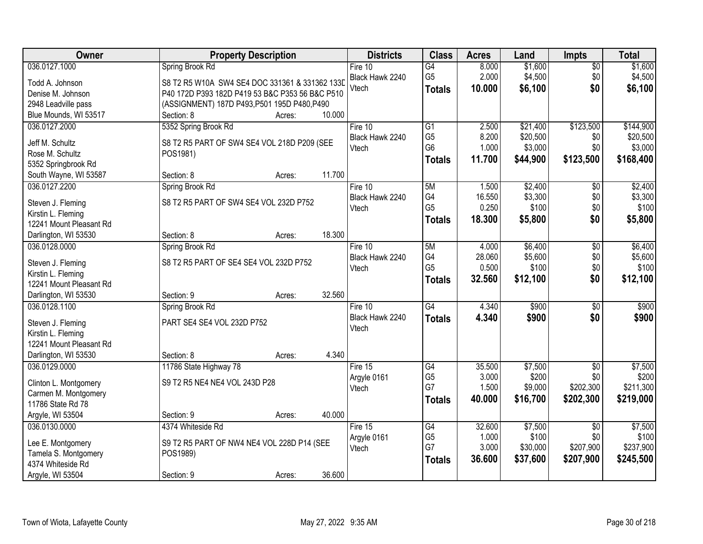| Owner                                         | <b>Property Description</b>                     | <b>Districts</b> | <b>Class</b>         | <b>Acres</b>    | Land             | <b>Impts</b>      | <b>Total</b>     |
|-----------------------------------------------|-------------------------------------------------|------------------|----------------------|-----------------|------------------|-------------------|------------------|
| 036.0127.1000                                 | Spring Brook Rd                                 | Fire 10          | G4                   | 8.000           | \$1,600          | $\overline{50}$   | \$1,600          |
| Todd A. Johnson                               | S8 T2 R5 W10A SW4 SE4 DOC 331361 & 331362 133D  | Black Hawk 2240  | G <sub>5</sub>       | 2.000           | \$4,500          | \$0               | \$4,500          |
| Denise M. Johnson                             | P40 172D P393 182D P419 53 B&C P353 56 B&C P510 | Vtech            | <b>Totals</b>        | 10.000          | \$6,100          | \$0               | \$6,100          |
| 2948 Leadville pass                           | (ASSIGNMENT) 187D P493, P501 195D P480, P490    |                  |                      |                 |                  |                   |                  |
| Blue Mounds, WI 53517                         | 10.000<br>Section: 8<br>Acres:                  |                  |                      |                 |                  |                   |                  |
| 036.0127.2000                                 | 5352 Spring Brook Rd                            | Fire 10          | $\overline{G1}$      | 2.500           | \$21,400         | \$123,500         | \$144,900        |
|                                               |                                                 | Black Hawk 2240  | G <sub>5</sub>       | 8.200           | \$20,500         | \$0               | \$20,500         |
| Jeff M. Schultz                               | S8 T2 R5 PART OF SW4 SE4 VOL 218D P209 (SEE     | Vtech            | G <sub>6</sub>       | 1.000           | \$3,000          | \$0               | \$3,000          |
| Rose M. Schultz                               | POS1981)                                        |                  | <b>Totals</b>        | 11.700          | \$44,900         | \$123,500         | \$168,400        |
| 5352 Springbrook Rd                           |                                                 |                  |                      |                 |                  |                   |                  |
| South Wayne, WI 53587                         | 11.700<br>Section: 8<br>Acres:                  |                  |                      |                 |                  |                   |                  |
| 036.0127.2200                                 | Spring Brook Rd                                 | Fire 10          | 5M                   | 1.500           | \$2,400          | \$0               | \$2,400          |
| Steven J. Fleming                             | S8 T2 R5 PART OF SW4 SE4 VOL 232D P752          | Black Hawk 2240  | G4                   | 16.550          | \$3,300          | \$0               | \$3,300          |
| Kirstin L. Fleming                            |                                                 | Vtech            | G <sub>5</sub>       | 0.250           | \$100            | \$0               | \$100            |
| 12241 Mount Pleasant Rd                       |                                                 |                  | <b>Totals</b>        | 18.300          | \$5,800          | \$0               | \$5,800          |
| Darlington, WI 53530                          | 18.300<br>Section: 8<br>Acres:                  |                  |                      |                 |                  |                   |                  |
| 036.0128.0000                                 | Spring Brook Rd                                 | Fire 10          | 5M                   | 4.000           | \$6,400          | \$0               | \$6,400          |
|                                               |                                                 | Black Hawk 2240  | G4                   | 28.060          | \$5,600          | \$0               | \$5,600          |
| Steven J. Fleming                             | S8 T2 R5 PART OF SE4 SE4 VOL 232D P752          | Vtech            | G <sub>5</sub>       | 0.500           | \$100            | \$0               | \$100            |
| Kirstin L. Fleming                            |                                                 |                  |                      | 32.560          |                  | \$0               |                  |
| 12241 Mount Pleasant Rd                       |                                                 |                  | <b>Totals</b>        |                 | \$12,100         |                   | \$12,100         |
| Darlington, WI 53530                          | 32.560<br>Section: 9<br>Acres:                  |                  |                      |                 |                  |                   |                  |
| 036.0128.1100                                 | Spring Brook Rd                                 | Fire $10$        | $\overline{G4}$      | 4.340           | \$900            | $\overline{50}$   | \$900            |
|                                               | PART SE4 SE4 VOL 232D P752                      | Black Hawk 2240  | <b>Totals</b>        | 4.340           | \$900            | \$0               | \$900            |
| Steven J. Fleming                             |                                                 | Vtech            |                      |                 |                  |                   |                  |
| Kirstin L. Fleming<br>12241 Mount Pleasant Rd |                                                 |                  |                      |                 |                  |                   |                  |
| Darlington, WI 53530                          | 4.340<br>Section: 8                             |                  |                      |                 |                  |                   |                  |
|                                               | Acres:                                          |                  |                      |                 |                  |                   |                  |
| 036.0129.0000                                 | 11786 State Highway 78                          | Fire 15          | G4<br>G <sub>5</sub> | 35.500<br>3.000 | \$7,500<br>\$200 | $\sqrt{6}$<br>\$0 | \$7,500<br>\$200 |
| Clinton L. Montgomery                         | S9 T2 R5 NE4 NE4 VOL 243D P28                   | Argyle 0161      | G7                   | 1.500           | \$9,000          | \$202,300         | \$211,300        |
| Carmen M. Montgomery                          |                                                 | Vtech            |                      |                 |                  |                   |                  |
| 11786 State Rd 78                             |                                                 |                  | <b>Totals</b>        | 40.000          | \$16,700         | \$202,300         | \$219,000        |
| Argyle, WI 53504                              | 40.000<br>Section: 9<br>Acres:                  |                  |                      |                 |                  |                   |                  |
| 036.0130.0000                                 | 4374 Whiteside Rd                               | Fire $15$        | G4                   | 32.600          | \$7,500          | $\overline{30}$   | \$7,500          |
|                                               |                                                 | Argyle 0161      | G <sub>5</sub>       | 1.000           | \$100            | \$0               | \$100            |
| Lee E. Montgomery                             | S9 T2 R5 PART OF NW4 NE4 VOL 228D P14 (SEE      | Vtech            | G7                   | 3.000           | \$30,000         | \$207,900         | \$237,900        |
| Tamela S. Montgomery                          | POS1989)                                        |                  | <b>Totals</b>        | 36.600          | \$37,600         | \$207,900         | \$245,500        |
| 4374 Whiteside Rd                             |                                                 |                  |                      |                 |                  |                   |                  |
| Argyle, WI 53504                              | 36.600<br>Section: 9<br>Acres:                  |                  |                      |                 |                  |                   |                  |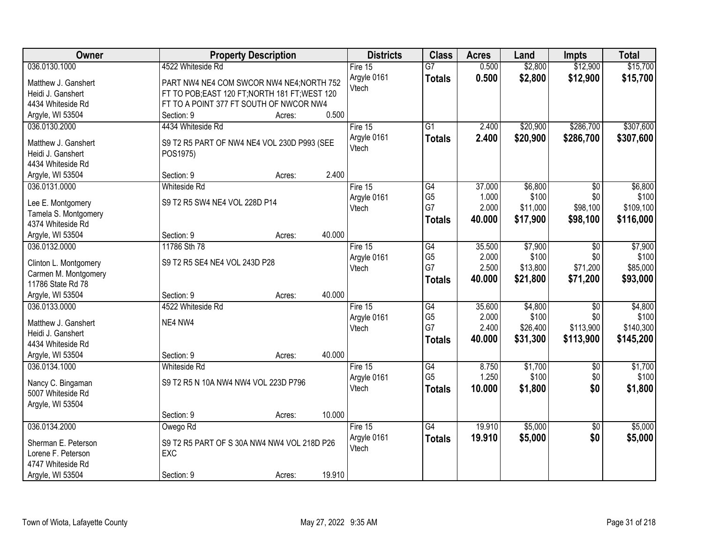| Owner                             |                                                | <b>Property Description</b> |        | <b>Districts</b>     | <b>Class</b>         | <b>Acres</b>   | Land             | <b>Impts</b>      | <b>Total</b>     |
|-----------------------------------|------------------------------------------------|-----------------------------|--------|----------------------|----------------------|----------------|------------------|-------------------|------------------|
| 036.0130.1000                     | 4522 Whiteside Rd                              |                             |        | Fire $15$            | $\overline{G}$       | 0.500          | \$2,800          | \$12,900          | \$15,700         |
| Matthew J. Ganshert               | PART NW4 NE4 COM SWCOR NW4 NE4; NORTH 752      |                             |        | Argyle 0161          | <b>Totals</b>        | 0.500          | \$2,800          | \$12,900          | \$15,700         |
| Heidi J. Ganshert                 | FT TO POB; EAST 120 FT; NORTH 181 FT; WEST 120 |                             |        | Vtech                |                      |                |                  |                   |                  |
| 4434 Whiteside Rd                 | FT TO A POINT 377 FT SOUTH OF NWCOR NW4        |                             |        |                      |                      |                |                  |                   |                  |
| Argyle, WI 53504                  | Section: 9                                     | Acres:                      | 0.500  |                      |                      |                |                  |                   |                  |
| 036.0130.2000                     | 4434 Whiteside Rd                              |                             |        | Fire 15              | $\overline{G1}$      | 2.400          | \$20,900         | \$286,700         | \$307,600        |
|                                   |                                                |                             |        | Argyle 0161          | <b>Totals</b>        | 2.400          | \$20,900         | \$286,700         | \$307,600        |
| Matthew J. Ganshert               | S9 T2 R5 PART OF NW4 NE4 VOL 230D P993 (SEE    |                             |        | Vtech                |                      |                |                  |                   |                  |
| Heidi J. Ganshert                 | POS1975)                                       |                             |        |                      |                      |                |                  |                   |                  |
| 4434 Whiteside Rd                 | Section: 9                                     |                             | 2.400  |                      |                      |                |                  |                   |                  |
| Argyle, WI 53504<br>036.0131.0000 | <b>Whiteside Rd</b>                            | Acres:                      |        | Fire 15              | $\overline{G4}$      | 37.000         | \$6,800          | $\overline{50}$   | \$6,800          |
|                                   |                                                |                             |        |                      | G <sub>5</sub>       | 1.000          | \$100            | \$0               | \$100            |
| Lee E. Montgomery                 | S9 T2 R5 SW4 NE4 VOL 228D P14                  |                             |        | Argyle 0161<br>Vtech | G7                   | 2.000          | \$11,000         | \$98,100          | \$109,100        |
| Tamela S. Montgomery              |                                                |                             |        |                      | <b>Totals</b>        | 40.000         | \$17,900         | \$98,100          | \$116,000        |
| 4374 Whiteside Rd                 |                                                |                             |        |                      |                      |                |                  |                   |                  |
| Argyle, WI 53504                  | Section: 9                                     | Acres:                      | 40.000 |                      |                      |                |                  |                   |                  |
| 036.0132.0000                     | 11786 Sth 78                                   |                             |        | Fire 15              | G4                   | 35.500         | \$7,900          | $\sqrt[6]{}$      | \$7,900          |
| Clinton L. Montgomery             | S9 T2 R5 SE4 NE4 VOL 243D P28                  |                             |        | Argyle 0161          | G <sub>5</sub>       | 2.000          | \$100            | \$0               | \$100            |
| Carmen M. Montgomery              |                                                |                             |        | Vtech                | G7                   | 2.500          | \$13,800         | \$71,200          | \$85,000         |
| 11786 State Rd 78                 |                                                |                             |        |                      | <b>Totals</b>        | 40.000         | \$21,800         | \$71,200          | \$93,000         |
| Argyle, WI 53504                  | Section: 9                                     | Acres:                      | 40.000 |                      |                      |                |                  |                   |                  |
| 036.0133.0000                     | 4522 Whiteside Rd                              |                             |        | Fire 15              | $\overline{G4}$      | 35.600         | \$4,800          | $\overline{50}$   | \$4,800          |
|                                   |                                                |                             |        | Argyle 0161          | G <sub>5</sub>       | 2.000          | \$100            | \$0               | \$100            |
| Matthew J. Ganshert               | NE4 NW4                                        |                             |        | Vtech                | G7                   | 2.400          | \$26,400         | \$113,900         | \$140,300        |
| Heidi J. Ganshert                 |                                                |                             |        |                      | <b>Totals</b>        | 40.000         | \$31,300         | \$113,900         | \$145,200        |
| 4434 Whiteside Rd                 |                                                |                             |        |                      |                      |                |                  |                   |                  |
| Argyle, WI 53504                  | Section: 9                                     | Acres:                      | 40.000 |                      |                      |                |                  |                   |                  |
| 036.0134.1000                     | <b>Whiteside Rd</b>                            |                             |        | Fire 15              | G4<br>G <sub>5</sub> | 8.750<br>1.250 | \$1,700<br>\$100 | $\sqrt{6}$<br>\$0 | \$1,700<br>\$100 |
| Nancy C. Bingaman                 | S9 T2 R5 N 10A NW4 NW4 VOL 223D P796           |                             |        | Argyle 0161<br>Vtech |                      |                |                  | \$0               |                  |
| 5007 Whiteside Rd                 |                                                |                             |        |                      | <b>Totals</b>        | 10.000         | \$1,800          |                   | \$1,800          |
| Argyle, WI 53504                  |                                                |                             |        |                      |                      |                |                  |                   |                  |
|                                   | Section: 9                                     | Acres:                      | 10.000 |                      |                      |                |                  |                   |                  |
| 036.0134.2000                     | Owego Rd                                       |                             |        | Fire $15$            | $\overline{G4}$      | 19.910         | \$5,000          | $\overline{50}$   | \$5,000          |
| Sherman E. Peterson               | S9 T2 R5 PART OF S 30A NW4 NW4 VOL 218D P26    |                             |        | Argyle 0161          | <b>Totals</b>        | 19.910         | \$5,000          | \$0               | \$5,000          |
| Lorene F. Peterson                | EXC                                            |                             |        | Vtech                |                      |                |                  |                   |                  |
| 4747 Whiteside Rd                 |                                                |                             |        |                      |                      |                |                  |                   |                  |
| Argyle, WI 53504                  | Section: 9                                     | Acres:                      | 19.910 |                      |                      |                |                  |                   |                  |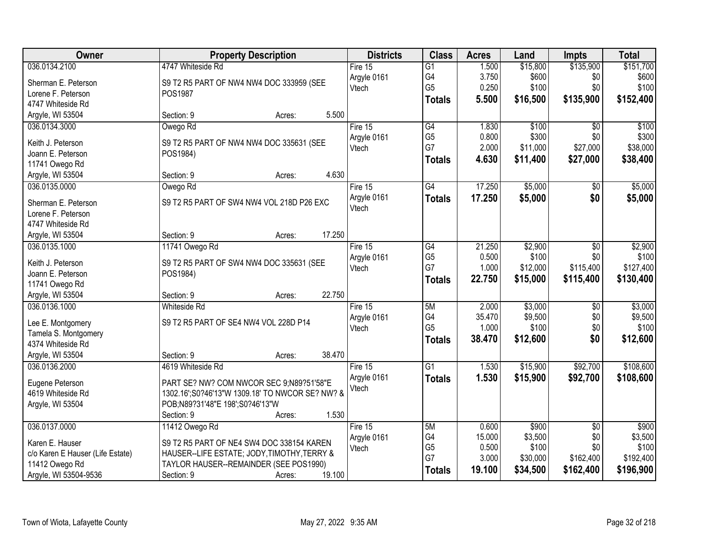| Owner                                              | <b>Property Description</b>                                    | <b>Districts</b>     | <b>Class</b>    | <b>Acres</b> | Land     | <b>Impts</b>    | <b>Total</b> |
|----------------------------------------------------|----------------------------------------------------------------|----------------------|-----------------|--------------|----------|-----------------|--------------|
| 036.0134.2100                                      | 4747 Whiteside Rd                                              | Fire 15              | $\overline{G1}$ | 1.500        | \$15,800 | \$135,900       | \$151,700    |
| Sherman E. Peterson                                | S9 T2 R5 PART OF NW4 NW4 DOC 333959 (SEE                       | Argyle 0161          | G4              | 3.750        | \$600    | \$0             | \$600        |
| Lorene F. Peterson                                 | POS1987                                                        | Vtech                | G <sub>5</sub>  | 0.250        | \$100    | \$0             | \$100        |
| 4747 Whiteside Rd                                  |                                                                |                      | <b>Totals</b>   | 5.500        | \$16,500 | \$135,900       | \$152,400    |
| Argyle, WI 53504                                   | 5.500<br>Section: 9<br>Acres:                                  |                      |                 |              |          |                 |              |
| 036.0134.3000                                      | Owego Rd                                                       | Fire 15              | $\overline{G4}$ | 1.830        | \$100    | $\overline{50}$ | \$100        |
|                                                    |                                                                | Argyle 0161          | G <sub>5</sub>  | 0.800        | \$300    | \$0             | \$300        |
| Keith J. Peterson                                  | S9 T2 R5 PART OF NW4 NW4 DOC 335631 (SEE                       | Vtech                | G7              | 2.000        | \$11,000 | \$27,000        | \$38,000     |
| Joann E. Peterson                                  | POS1984)                                                       |                      | <b>Totals</b>   | 4.630        | \$11,400 | \$27,000        | \$38,400     |
| 11741 Owego Rd                                     | 4.630<br>Section: 9                                            |                      |                 |              |          |                 |              |
| Argyle, WI 53504                                   | Acres:                                                         |                      | $\overline{G4}$ | 17.250       | \$5,000  |                 | \$5,000      |
| 036.0135.0000                                      | Owego Rd                                                       | Fire 15              |                 |              |          | \$0             |              |
| Sherman E. Peterson                                | S9 T2 R5 PART OF SW4 NW4 VOL 218D P26 EXC                      | Argyle 0161<br>Vtech | <b>Totals</b>   | 17.250       | \$5,000  | \$0             | \$5,000      |
| Lorene F. Peterson                                 |                                                                |                      |                 |              |          |                 |              |
| 4747 Whiteside Rd                                  |                                                                |                      |                 |              |          |                 |              |
| Argyle, WI 53504                                   | 17.250<br>Section: 9<br>Acres:                                 |                      |                 |              |          |                 |              |
| 036.0135.1000                                      | 11741 Owego Rd                                                 | Fire 15              | G4              | 21.250       | \$2,900  | \$0             | \$2,900      |
| Keith J. Peterson                                  | S9 T2 R5 PART OF SW4 NW4 DOC 335631 (SEE                       | Argyle 0161          | G <sub>5</sub>  | 0.500        | \$100    | \$0             | \$100        |
| Joann E. Peterson                                  | POS1984)                                                       | Vtech                | G7              | 1.000        | \$12,000 | \$115,400       | \$127,400    |
| 11741 Owego Rd                                     |                                                                |                      | <b>Totals</b>   | 22.750       | \$15,000 | \$115,400       | \$130,400    |
| Argyle, WI 53504                                   | 22.750<br>Section: 9<br>Acres:                                 |                      |                 |              |          |                 |              |
| 036.0136.1000                                      | Whiteside Rd                                                   | Fire 15              | 5M              | 2.000        | \$3,000  | $\overline{50}$ | \$3,000      |
|                                                    |                                                                | Argyle 0161          | G4              | 35.470       | \$9,500  | \$0             | \$9,500      |
| Lee E. Montgomery                                  | S9 T2 R5 PART OF SE4 NW4 VOL 228D P14                          | Vtech                | G <sub>5</sub>  | 1.000        | \$100    | \$0             | \$100        |
| Tamela S. Montgomery                               |                                                                |                      | <b>Totals</b>   | 38.470       | \$12,600 | \$0             | \$12,600     |
| 4374 Whiteside Rd                                  |                                                                |                      |                 |              |          |                 |              |
| Argyle, WI 53504                                   | 38.470<br>Section: 9<br>Acres:                                 |                      |                 |              |          |                 |              |
| 036.0136.2000                                      | 4619 Whiteside Rd                                              | Fire $15$            | $\overline{G1}$ | 1.530        | \$15,900 | \$92,700        | \$108,600    |
| Eugene Peterson                                    | PART SE? NW? COM NWCOR SEC 9:N89?51'58"E                       | Argyle 0161          | <b>Totals</b>   | 1.530        | \$15,900 | \$92,700        | \$108,600    |
| 4619 Whiteside Rd                                  | 1302.16';S0?46'13"W 1309.18' TO NWCOR SE? NW? &                | Vtech                |                 |              |          |                 |              |
| Argyle, WI 53504                                   | POB;N89?31'48"E 198';S0?46'13"W                                |                      |                 |              |          |                 |              |
|                                                    | 1.530<br>Section: 9<br>Acres:                                  |                      |                 |              |          |                 |              |
| 036.0137.0000                                      | 11412 Owego Rd                                                 | Fire 15              | 5M              | 0.600        | \$900    | $\overline{30}$ | \$900        |
|                                                    |                                                                | Argyle 0161          | G4              | 15.000       | \$3,500  | \$0             | \$3,500      |
| Karen E. Hauser                                    | S9 T2 R5 PART OF NE4 SW4 DOC 338154 KAREN                      | Vtech                | G <sub>5</sub>  | 0.500        | \$100    | \$0             | \$100        |
| c/o Karen E Hauser (Life Estate)<br>11412 Owego Rd | HAUSER--LIFE ESTATE; JODY, TIMOTHY, TERRY &                    |                      | G7              | 3.000        | \$30,000 | \$162,400       | \$192,400    |
|                                                    | TAYLOR HAUSER--REMAINDER (SEE POS1990)<br>19.100<br>Section: 9 |                      | <b>Totals</b>   | 19.100       | \$34,500 | \$162,400       | \$196,900    |
| Argyle, WI 53504-9536                              | Acres:                                                         |                      |                 |              |          |                 |              |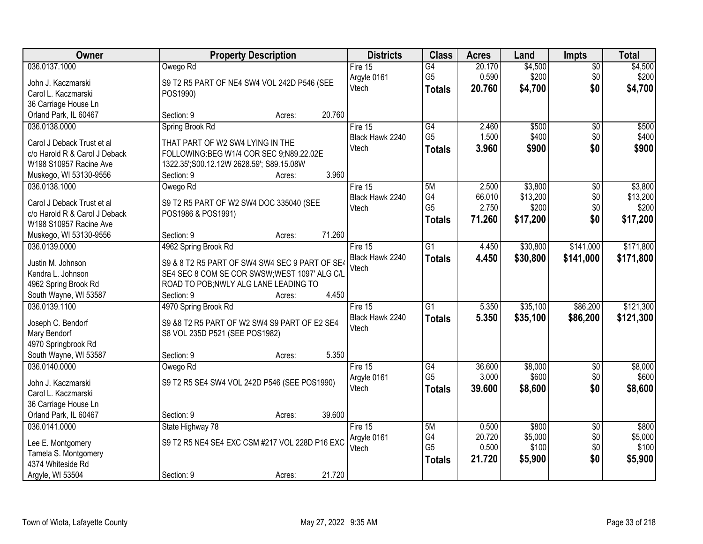| Owner                         | <b>Property Description</b>                    | <b>Districts</b> | <b>Class</b>         | <b>Acres</b>    | Land              | <b>Impts</b>           | <b>Total</b>      |
|-------------------------------|------------------------------------------------|------------------|----------------------|-----------------|-------------------|------------------------|-------------------|
| 036.0137.1000                 | Owego Rd                                       | Fire $15$        | $\overline{G4}$      | 20.170          | \$4,500           | $\overline{50}$        | \$4,500           |
| John J. Kaczmarski            | S9 T2 R5 PART OF NE4 SW4 VOL 242D P546 (SEE    | Argyle 0161      | G <sub>5</sub>       | 0.590           | \$200             | \$0                    | \$200             |
| Carol L. Kaczmarski           | POS1990)                                       | Vtech            | <b>Totals</b>        | 20.760          | \$4,700           | \$0                    | \$4,700           |
| 36 Carriage House Ln          |                                                |                  |                      |                 |                   |                        |                   |
| Orland Park, IL 60467         | 20.760<br>Section: 9<br>Acres:                 |                  |                      |                 |                   |                        |                   |
| 036.0138.0000                 | Spring Brook Rd                                | Fire 15          | G4                   | 2.460           | \$500             | $\overline{50}$        | \$500             |
|                               |                                                | Black Hawk 2240  | G <sub>5</sub>       | 1.500           | \$400             | \$0                    | \$400             |
| Carol J Deback Trust et al    | THAT PART OF W2 SW4 LYING IN THE               | Vtech            | <b>Totals</b>        | 3.960           | \$900             | \$0                    | \$900             |
| c/o Harold R & Carol J Deback | FOLLOWING:BEG W1/4 COR SEC 9;N89.22.02E        |                  |                      |                 |                   |                        |                   |
| W198 S10957 Racine Ave        | 1322.35';S00.12.12W 2628.59'; S89.15.08W       |                  |                      |                 |                   |                        |                   |
| Muskego, WI 53130-9556        | 3.960<br>Section: 9<br>Acres:                  |                  |                      |                 |                   |                        |                   |
| 036.0138.1000                 | Owego Rd                                       | Fire 15          | 5M                   | 2.500           | \$3,800           | \$0                    | \$3,800           |
| Carol J Deback Trust et al    | S9 T2 R5 PART OF W2 SW4 DOC 335040 (SEE        | Black Hawk 2240  | G4<br>G <sub>5</sub> | 66.010<br>2.750 | \$13,200<br>\$200 | \$0<br>\$0             | \$13,200<br>\$200 |
| c/o Harold R & Carol J Deback | POS1986 & POS1991)                             | Vtech            |                      |                 |                   |                        |                   |
| W198 S10957 Racine Ave        |                                                |                  | <b>Totals</b>        | 71.260          | \$17,200          | \$0                    | \$17,200          |
| Muskego, WI 53130-9556        | 71.260<br>Section: 9<br>Acres:                 |                  |                      |                 |                   |                        |                   |
| 036.0139.0000                 | 4962 Spring Brook Rd                           | Fire 15          | $\overline{G1}$      | 4.450           | \$30,800          | \$141,000              | \$171,800         |
|                               |                                                | Black Hawk 2240  | <b>Totals</b>        | 4.450           | \$30,800          | \$141,000              | \$171,800         |
| Justin M. Johnson             | S9 & 8 T2 R5 PART OF SW4 SW4 SEC 9 PART OF SE4 | Vtech            |                      |                 |                   |                        |                   |
| Kendra L. Johnson             | SE4 SEC 8 COM SE COR SWSW; WEST 1097' ALG C/L  |                  |                      |                 |                   |                        |                   |
| 4962 Spring Brook Rd          | ROAD TO POB; NWLY ALG LANE LEADING TO<br>4.450 |                  |                      |                 |                   |                        |                   |
| South Wayne, WI 53587         | Section: 9<br>Acres:                           |                  |                      |                 |                   |                        |                   |
| 036.0139.1100                 | 4970 Spring Brook Rd                           | Fire 15          | $\overline{G1}$      | 5.350           | \$35,100          | \$86,200               | \$121,300         |
| Joseph C. Bendorf             | S9 &8 T2 R5 PART OF W2 SW4 S9 PART OF E2 SE4   | Black Hawk 2240  | <b>Totals</b>        | 5.350           | \$35,100          | \$86,200               | \$121,300         |
| Mary Bendorf                  | S8 VOL 235D P521 (SEE POS1982)                 | Vtech            |                      |                 |                   |                        |                   |
| 4970 Springbrook Rd           |                                                |                  |                      |                 |                   |                        |                   |
| South Wayne, WI 53587         | 5.350<br>Section: 9<br>Acres:                  |                  |                      |                 |                   |                        |                   |
| 036.0140.0000                 | Owego Rd                                       | Fire 15          | G4                   | 36.600          | \$8,000           | $\overline{50}$        | \$8,000           |
| John J. Kaczmarski            | S9 T2 R5 SE4 SW4 VOL 242D P546 (SEE POS1990)   | Argyle 0161      | G <sub>5</sub>       | 3.000           | \$600             | \$0                    | \$600             |
| Carol L. Kaczmarski           |                                                | Vtech            | <b>Totals</b>        | 39,600          | \$8,600           | \$0                    | \$8,600           |
| 36 Carriage House Ln          |                                                |                  |                      |                 |                   |                        |                   |
| Orland Park, IL 60467         | 39.600<br>Section: 9                           |                  |                      |                 |                   |                        |                   |
| 036.0141.0000                 | Acres:                                         | Fire $15$        | 5M                   | 0.500           | \$800             |                        | \$800             |
|                               | State Highway 78                               |                  | G4                   | 20.720          | \$5,000           | $\overline{50}$<br>\$0 | \$5,000           |
| Lee E. Montgomery             | S9 T2 R5 NE4 SE4 EXC CSM #217 VOL 228D P16 EXC | Argyle 0161      | G <sub>5</sub>       | 0.500           | \$100             | \$0                    | \$100             |
| Tamela S. Montgomery          |                                                | Vtech            |                      |                 |                   |                        |                   |
| 4374 Whiteside Rd             |                                                |                  | <b>Totals</b>        | 21.720          | \$5,900           | \$0                    | \$5,900           |
| Argyle, WI 53504              | 21.720<br>Section: 9<br>Acres:                 |                  |                      |                 |                   |                        |                   |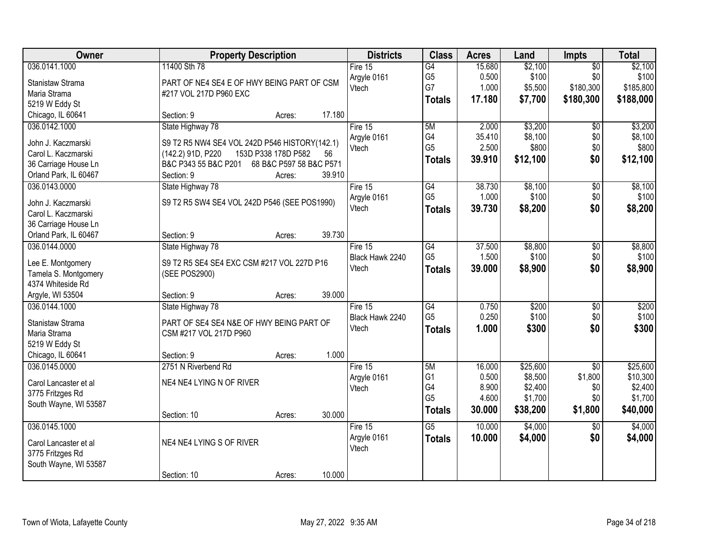| <b>Owner</b>          | <b>Property Description</b>                     |        | <b>Districts</b> | <b>Class</b>    | <b>Acres</b> | Land     | Impts           | <b>Total</b> |
|-----------------------|-------------------------------------------------|--------|------------------|-----------------|--------------|----------|-----------------|--------------|
| 036.0141.1000         | 11400 Sth 78                                    |        | Fire $15$        | G4              | 15.680       | \$2,100  | $\overline{50}$ | \$2,100      |
| Stanistaw Strama      | PART OF NE4 SE4 E OF HWY BEING PART OF CSM      |        | Argyle 0161      | G <sub>5</sub>  | 0.500        | \$100    | \$0             | \$100        |
| Maria Strama          | #217 VOL 217D P960 EXC                          |        | Vtech            | G7              | 1.000        | \$5,500  | \$180,300       | \$185,800    |
| 5219 W Eddy St        |                                                 |        |                  | <b>Totals</b>   | 17.180       | \$7,700  | \$180,300       | \$188,000    |
| Chicago, IL 60641     | Section: 9<br>Acres:                            | 17.180 |                  |                 |              |          |                 |              |
| 036.0142.1000         | State Highway 78                                |        | Fire $15$        | 5M              | 2.000        | \$3,200  | \$0             | \$3,200      |
| John J. Kaczmarski    | S9 T2 R5 NW4 SE4 VOL 242D P546 HISTORY(142.1)   |        | Argyle 0161      | G4              | 35.410       | \$8,100  | \$0             | \$8,100      |
| Carol L. Kaczmarski   | 153D P338 178D P582<br>(142.2) 91D, P220        | 56     | Vtech            | G <sub>5</sub>  | 2.500        | \$800    | \$0             | \$800        |
| 36 Carriage House Ln  | B&C P343 55 B&C P201<br>68 B&C P597 58 B&C P571 |        |                  | <b>Totals</b>   | 39.910       | \$12,100 | \$0             | \$12,100     |
| Orland Park, IL 60467 | Section: 9<br>Acres:                            | 39.910 |                  |                 |              |          |                 |              |
| 036.0143.0000         | State Highway 78                                |        | Fire 15          | $\overline{G4}$ | 38.730       | \$8,100  | $\overline{50}$ | \$8,100      |
|                       |                                                 |        | Argyle 0161      | G <sub>5</sub>  | 1.000        | \$100    | \$0             | \$100        |
| John J. Kaczmarski    | S9 T2 R5 SW4 SE4 VOL 242D P546 (SEE POS1990)    |        | Vtech            | <b>Totals</b>   | 39.730       | \$8,200  | \$0             | \$8,200      |
| Carol L. Kaczmarski   |                                                 |        |                  |                 |              |          |                 |              |
| 36 Carriage House Ln  |                                                 |        |                  |                 |              |          |                 |              |
| Orland Park, IL 60467 | Section: 9<br>Acres:                            | 39.730 |                  |                 |              |          |                 |              |
| 036.0144.0000         | State Highway 78                                |        | Fire $15$        | $\overline{G4}$ | 37.500       | \$8,800  | $\overline{50}$ | \$8,800      |
| Lee E. Montgomery     | S9 T2 R5 SE4 SE4 EXC CSM #217 VOL 227D P16      |        | Black Hawk 2240  | G <sub>5</sub>  | 1.500        | \$100    | \$0             | \$100        |
| Tamela S. Montgomery  | (SEE POS2900)                                   |        | Vtech            | <b>Totals</b>   | 39.000       | \$8,900  | \$0             | \$8,900      |
| 4374 Whiteside Rd     |                                                 |        |                  |                 |              |          |                 |              |
| Argyle, WI 53504      | Section: 9<br>Acres:                            | 39.000 |                  |                 |              |          |                 |              |
| 036.0144.1000         | State Highway 78                                |        | Fire $15$        | $\overline{G4}$ | 0.750        | \$200    | $\overline{60}$ | \$200        |
| Stanistaw Strama      | PART OF SE4 SE4 N&E OF HWY BEING PART OF        |        | Black Hawk 2240  | G <sub>5</sub>  | 0.250        | \$100    | \$0             | \$100        |
| Maria Strama          | CSM #217 VOL 217D P960                          |        | Vtech            | <b>Totals</b>   | 1.000        | \$300    | \$0             | \$300        |
| 5219 W Eddy St        |                                                 |        |                  |                 |              |          |                 |              |
| Chicago, IL 60641     | Section: 9<br>Acres:                            | 1.000  |                  |                 |              |          |                 |              |
| 036.0145.0000         | 2751 N Riverbend Rd                             |        | Fire $15$        | 5M              | 16.000       | \$25,600 | $\overline{50}$ | \$25,600     |
|                       |                                                 |        | Argyle 0161      | G <sub>1</sub>  | 0.500        | \$8,500  | \$1,800         | \$10,300     |
| Carol Lancaster et al | NE4 NE4 LYING N OF RIVER                        |        | Vtech            | G4              | 8.900        | \$2,400  | \$0             | \$2,400      |
| 3775 Fritzges Rd      |                                                 |        |                  | G <sub>5</sub>  | 4.600        | \$1,700  | \$0             | \$1,700      |
| South Wayne, WI 53587 |                                                 |        |                  | <b>Totals</b>   | 30.000       | \$38,200 | \$1,800         | \$40,000     |
|                       | Section: 10<br>Acres:                           | 30.000 |                  |                 |              |          |                 |              |
| 036.0145.1000         |                                                 |        | Fire 15          | $\overline{G5}$ | 10.000       | \$4,000  | $\overline{50}$ | \$4,000      |
| Carol Lancaster et al | NE4 NE4 LYING S OF RIVER                        |        | Argyle 0161      | <b>Totals</b>   | 10.000       | \$4,000  | \$0             | \$4,000      |
| 3775 Fritzges Rd      |                                                 |        | Vtech            |                 |              |          |                 |              |
| South Wayne, WI 53587 |                                                 |        |                  |                 |              |          |                 |              |
|                       | Section: 10<br>Acres:                           | 10.000 |                  |                 |              |          |                 |              |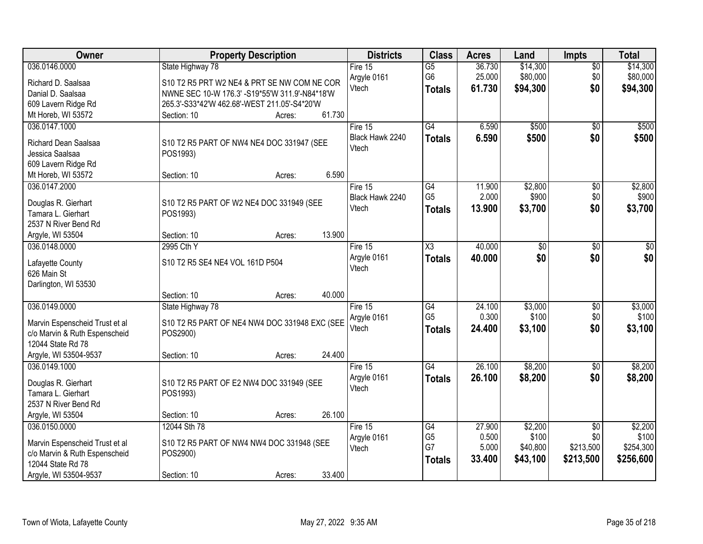| Owner                          | <b>Property Description</b>                    | <b>Districts</b> | <b>Class</b>         | <b>Acres</b>    | Land              | <b>Impts</b>     | <b>Total</b>     |
|--------------------------------|------------------------------------------------|------------------|----------------------|-----------------|-------------------|------------------|------------------|
| 036.0146.0000                  | State Highway 78                               | Fire 15          | $\overline{G5}$      | 36.730          | \$14,300          | $\overline{50}$  | \$14,300         |
| Richard D. Saalsaa             | S10 T2 R5 PRT W2 NE4 & PRT SE NW COM NE COR    | Argyle 0161      | G <sub>6</sub>       | 25.000          | \$80,000          | \$0              | \$80,000         |
| Danial D. Saalsaa              | NWNE SEC 10-W 176.3' -S19*55'W 311.9'-N84*18'W | Vtech            | <b>Totals</b>        | 61.730          | \$94,300          | \$0              | \$94,300         |
| 609 Lavern Ridge Rd            | 265.3'-S33*42'W 462.68'-WEST 211.05'-S4*20'W   |                  |                      |                 |                   |                  |                  |
| Mt Horeb, WI 53572             | 61.730<br>Section: 10<br>Acres:                |                  |                      |                 |                   |                  |                  |
| 036.0147.1000                  |                                                | Fire 15          | G4                   | 6.590           | \$500             | $\overline{50}$  | \$500            |
|                                |                                                | Black Hawk 2240  | <b>Totals</b>        | 6.590           | \$500             | \$0              | \$500            |
| Richard Dean Saalsaa           | S10 T2 R5 PART OF NW4 NE4 DOC 331947 (SEE      | Vtech            |                      |                 |                   |                  |                  |
| Jessica Saalsaa                | POS1993)                                       |                  |                      |                 |                   |                  |                  |
| 609 Lavern Ridge Rd            | 6.590                                          |                  |                      |                 |                   |                  |                  |
| Mt Horeb, WI 53572             | Section: 10<br>Acres:                          |                  |                      |                 |                   |                  |                  |
| 036.0147.2000                  |                                                | Fire 15          | G4<br>G <sub>5</sub> | 11.900<br>2.000 | \$2,800<br>\$900  | $\overline{50}$  | \$2,800<br>\$900 |
| Douglas R. Gierhart            | S10 T2 R5 PART OF W2 NE4 DOC 331949 (SEE       | Black Hawk 2240  |                      |                 |                   | \$0              |                  |
| Tamara L. Gierhart             | POS1993)                                       | Vtech            | <b>Totals</b>        | 13.900          | \$3,700           | \$0              | \$3,700          |
| 2537 N River Bend Rd           |                                                |                  |                      |                 |                   |                  |                  |
| Argyle, WI 53504               | 13.900<br>Section: 10<br>Acres:                |                  |                      |                 |                   |                  |                  |
| 036.0148.0000                  | 2995 Cth Y                                     | Fire 15          | $\overline{\chi_3}$  | 40.000          | $\overline{50}$   | \$0              | \$0              |
|                                |                                                | Argyle 0161      | <b>Totals</b>        | 40.000          | \$0               | \$0              | \$0              |
| Lafayette County               | S10 T2 R5 SE4 NE4 VOL 161D P504                | Vtech            |                      |                 |                   |                  |                  |
| 626 Main St                    |                                                |                  |                      |                 |                   |                  |                  |
| Darlington, WI 53530           | 40.000<br>Section: 10<br>Acres:                |                  |                      |                 |                   |                  |                  |
| 036.0149.0000                  |                                                |                  | G4                   | 24.100          | \$3,000           |                  | \$3,000          |
|                                | State Highway 78                               | Fire 15          | G <sub>5</sub>       | 0.300           | \$100             | \$0<br>\$0       | \$100            |
| Marvin Espenscheid Trust et al | S10 T2 R5 PART OF NE4 NW4 DOC 331948 EXC (SEE  | Argyle 0161      |                      |                 |                   | \$0              |                  |
| c/o Marvin & Ruth Espenscheid  | POS2900)                                       | Vtech            | <b>Totals</b>        | 24.400          | \$3,100           |                  | \$3,100          |
| 12044 State Rd 78              |                                                |                  |                      |                 |                   |                  |                  |
| Argyle, WI 53504-9537          | 24.400<br>Section: 10<br>Acres:                |                  |                      |                 |                   |                  |                  |
| 036.0149.1000                  |                                                | Fire 15          | $\overline{G4}$      | 26.100          | \$8,200           | $\overline{60}$  | \$8,200          |
| Douglas R. Gierhart            | S10 T2 R5 PART OF E2 NW4 DOC 331949 (SEE       | Argyle 0161      | <b>Totals</b>        | 26.100          | \$8,200           | \$0              | \$8,200          |
| Tamara L. Gierhart             | POS1993)                                       | Vtech            |                      |                 |                   |                  |                  |
| 2537 N River Bend Rd           |                                                |                  |                      |                 |                   |                  |                  |
|                                | 26.100<br>Section: 10                          |                  |                      |                 |                   |                  |                  |
| Argyle, WI 53504               | Acres:                                         |                  |                      |                 |                   |                  |                  |
| 036.0150.0000                  | 12044 Sth 78                                   | Fire 15          | G4                   | 27.900<br>0.500 | \$2,200           | $\overline{50}$  | \$2,200<br>\$100 |
| Marvin Espenscheid Trust et al | S10 T2 R5 PART OF NW4 NW4 DOC 331948 (SEE      | Argyle 0161      | G <sub>5</sub><br>G7 | 5.000           | \$100<br>\$40,800 | \$0<br>\$213,500 | \$254,300        |
| c/o Marvin & Ruth Espenscheid  | POS2900)                                       | Vtech            |                      |                 |                   |                  |                  |
| 12044 State Rd 78              |                                                |                  | <b>Totals</b>        | 33.400          | \$43,100          | \$213,500        | \$256,600        |
| Argyle, WI 53504-9537          | 33.400<br>Section: 10<br>Acres:                |                  |                      |                 |                   |                  |                  |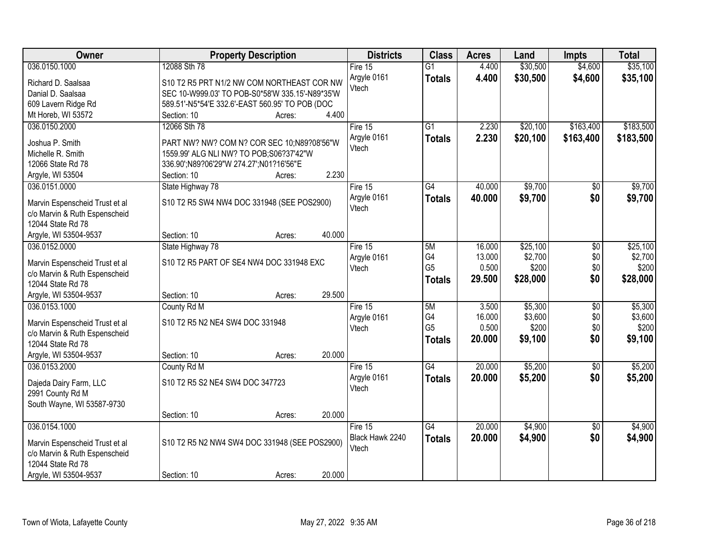| Owner                                              | <b>Property Description</b>                     | <b>Districts</b> | <b>Class</b>    | <b>Acres</b> | Land     | <b>Impts</b>    | <b>Total</b> |
|----------------------------------------------------|-------------------------------------------------|------------------|-----------------|--------------|----------|-----------------|--------------|
| 036.0150.1000                                      | 12088 Sth 78                                    | Fire $15$        | $\overline{G1}$ | 4.400        | \$30,500 | \$4,600         | \$35,100     |
| Richard D. Saalsaa                                 | S10 T2 R5 PRT N1/2 NW COM NORTHEAST COR NW      | Argyle 0161      | <b>Totals</b>   | 4.400        | \$30,500 | \$4,600         | \$35,100     |
| Danial D. Saalsaa                                  | SEC 10-W999.03' TO POB-S0*58'W 335.15'-N89*35'W | Vtech            |                 |              |          |                 |              |
| 609 Lavern Ridge Rd                                | 589.51'-N5*54'E 332.6'-EAST 560.95' TO POB (DOC |                  |                 |              |          |                 |              |
| Mt Horeb, WI 53572                                 | 4.400<br>Section: 10<br>Acres:                  |                  |                 |              |          |                 |              |
| 036.0150.2000                                      | 12066 Sth 78                                    | Fire 15          | $\overline{G1}$ | 2.230        | \$20,100 | \$163,400       | \$183,500    |
| Joshua P. Smith                                    | PART NW? NW? COM N? COR SEC 10;N89?08'56"W      | Argyle 0161      | <b>Totals</b>   | 2.230        | \$20,100 | \$163,400       | \$183,500    |
| Michelle R. Smith                                  | 1559.99' ALG NLI NW? TO POB; S06?37'42"W        | Vtech            |                 |              |          |                 |              |
| 12066 State Rd 78                                  | 336.90';N89?06'29"W 274.27';N01?16'56"E         |                  |                 |              |          |                 |              |
| Argyle, WI 53504                                   | 2.230<br>Section: 10<br>Acres:                  |                  |                 |              |          |                 |              |
| 036.0151.0000                                      | State Highway 78                                | Fire 15          | $\overline{G4}$ | 40.000       | \$9,700  | \$0             | \$9,700      |
|                                                    |                                                 | Argyle 0161      | <b>Totals</b>   | 40.000       | \$9,700  | \$0             | \$9,700      |
| Marvin Espenscheid Trust et al                     | S10 T2 R5 SW4 NW4 DOC 331948 (SEE POS2900)      | Vtech            |                 |              |          |                 |              |
| c/o Marvin & Ruth Espenscheid<br>12044 State Rd 78 |                                                 |                  |                 |              |          |                 |              |
| Argyle, WI 53504-9537                              | 40.000<br>Section: 10<br>Acres:                 |                  |                 |              |          |                 |              |
| 036.0152.0000                                      | State Highway 78                                | Fire 15          | 5M              | 16.000       | \$25,100 | \$0             | \$25,100     |
|                                                    |                                                 | Argyle 0161      | G4              | 13.000       | \$2,700  | \$0             | \$2,700      |
| Marvin Espenscheid Trust et al                     | S10 T2 R5 PART OF SE4 NW4 DOC 331948 EXC        | Vtech            | G <sub>5</sub>  | 0.500        | \$200    | \$0             | \$200        |
| c/o Marvin & Ruth Espenscheid                      |                                                 |                  | <b>Totals</b>   | 29.500       | \$28,000 | \$0             | \$28,000     |
| 12044 State Rd 78                                  |                                                 |                  |                 |              |          |                 |              |
| Argyle, WI 53504-9537                              | 29.500<br>Section: 10<br>Acres:                 |                  |                 |              |          |                 |              |
| 036.0153.1000                                      | County Rd M                                     | Fire 15          | 5M              | 3.500        | \$5,300  | $\overline{30}$ | \$5,300      |
| Marvin Espenscheid Trust et al                     | S10 T2 R5 N2 NE4 SW4 DOC 331948                 | Argyle 0161      | G4              | 16.000       | \$3,600  | \$0             | \$3,600      |
| c/o Marvin & Ruth Espenscheid                      |                                                 | Vtech            | G <sub>5</sub>  | 0.500        | \$200    | \$0             | \$200        |
| 12044 State Rd 78                                  |                                                 |                  | <b>Totals</b>   | 20.000       | \$9,100  | \$0             | \$9,100      |
| Argyle, WI 53504-9537                              | 20.000<br>Section: 10<br>Acres:                 |                  |                 |              |          |                 |              |
| 036.0153.2000                                      | County Rd M                                     | Fire 15          | $\overline{G4}$ | 20.000       | \$5,200  | $\overline{60}$ | \$5,200      |
| Dajeda Dairy Farm, LLC                             | S10 T2 R5 S2 NE4 SW4 DOC 347723                 | Argyle 0161      | <b>Totals</b>   | 20.000       | \$5,200  | \$0             | \$5,200      |
| 2991 County Rd M                                   |                                                 | Vtech            |                 |              |          |                 |              |
| South Wayne, WI 53587-9730                         |                                                 |                  |                 |              |          |                 |              |
|                                                    | 20.000<br>Section: 10<br>Acres:                 |                  |                 |              |          |                 |              |
| 036.0154.1000                                      |                                                 | Fire 15          | G4              | 20.000       | \$4,900  | \$0             | \$4,900      |
|                                                    |                                                 | Black Hawk 2240  | <b>Totals</b>   | 20.000       | \$4,900  | \$0             | \$4,900      |
| Marvin Espenscheid Trust et al                     | S10 T2 R5 N2 NW4 SW4 DOC 331948 (SEE POS2900)   | Vtech            |                 |              |          |                 |              |
| c/o Marvin & Ruth Espenscheid<br>12044 State Rd 78 |                                                 |                  |                 |              |          |                 |              |
| Argyle, WI 53504-9537                              | 20.000<br>Section: 10                           |                  |                 |              |          |                 |              |
|                                                    | Acres:                                          |                  |                 |              |          |                 |              |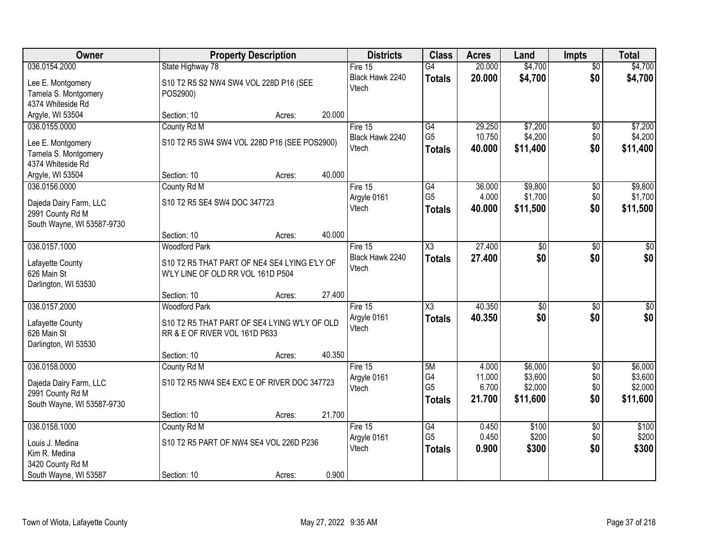| Owner                                                                                     |                                                                                                           | <b>Property Description</b> |        | <b>Districts</b>                    | <b>Class</b>                                | <b>Acres</b>                       | Land                                      | <b>Impts</b>                         | <b>Total</b>                              |
|-------------------------------------------------------------------------------------------|-----------------------------------------------------------------------------------------------------------|-----------------------------|--------|-------------------------------------|---------------------------------------------|------------------------------------|-------------------------------------------|--------------------------------------|-------------------------------------------|
| 036.0154.2000                                                                             | State Highway 78                                                                                          |                             |        | Fire $15$                           | $\overline{G4}$                             | 20.000                             | \$4,700                                   | $\overline{50}$                      | \$4,700                                   |
| Lee E. Montgomery<br>Tamela S. Montgomery<br>4374 Whiteside Rd                            | S10 T2 R5 S2 NW4 SW4 VOL 228D P16 (SEE<br>POS2900)                                                        |                             |        | Black Hawk 2240<br>Vtech            | <b>Totals</b>                               | 20.000                             | \$4,700                                   | \$0                                  | \$4,700                                   |
| Argyle, WI 53504                                                                          | Section: 10                                                                                               | Acres:                      | 20.000 |                                     |                                             |                                    |                                           |                                      |                                           |
| 036.0155.0000<br>Lee E. Montgomery<br>Tamela S. Montgomery<br>4374 Whiteside Rd           | County Rd M<br>S10 T2 R5 SW4 SW4 VOL 228D P16 (SEE POS2900)                                               |                             |        | Fire 15<br>Black Hawk 2240<br>Vtech | G4<br>G <sub>5</sub><br><b>Totals</b>       | 29.250<br>10.750<br>40.000         | \$7,200<br>\$4,200<br>\$11,400            | \$0<br>\$0<br>\$0                    | \$7,200<br>\$4,200<br>\$11,400            |
| Argyle, WI 53504                                                                          | Section: 10                                                                                               | Acres:                      | 40.000 |                                     |                                             |                                    |                                           |                                      |                                           |
| 036.0156.0000<br>Dajeda Dairy Farm, LLC<br>2991 County Rd M<br>South Wayne, WI 53587-9730 | County Rd M<br>S10 T2 R5 SE4 SW4 DOC 347723                                                               |                             |        | Fire 15<br>Argyle 0161<br>Vtech     | G4<br>G <sub>5</sub><br><b>Totals</b>       | 36.000<br>4.000<br>40.000          | \$9,800<br>\$1,700<br>\$11,500            | \$0<br>\$0<br>\$0                    | \$9,800<br>\$1,700<br>\$11,500            |
|                                                                                           | Section: 10                                                                                               | Acres:                      | 40.000 |                                     |                                             |                                    |                                           |                                      |                                           |
| 036.0157.1000<br>Lafayette County<br>626 Main St<br>Darlington, WI 53530                  | <b>Woodford Park</b><br>S10 T2 R5 THAT PART OF NE4 SE4 LYING E'LY OF<br>W'LY LINE OF OLD RR VOL 161D P504 |                             |        | Fire 15<br>Black Hawk 2240<br>Vtech | X3<br><b>Totals</b>                         | 27.400<br>27.400                   | $\overline{50}$<br>\$0                    | $\sqrt[6]{3}$<br>\$0                 | $\sqrt{50}$<br>\$0                        |
|                                                                                           | Section: 10                                                                                               | Acres:                      | 27.400 |                                     |                                             |                                    |                                           |                                      |                                           |
| 036.0157.2000<br>Lafayette County<br>626 Main St<br>Darlington, WI 53530                  | <b>Woodford Park</b><br>S10 T2 R5 THAT PART OF SE4 LYING W'LY OF OLD<br>RR & E OF RIVER VOL 161D P633     |                             |        | Fire 15<br>Argyle 0161<br>Vtech     | $\overline{\chi_3}$<br><b>Totals</b>        | 40.350<br>40.350                   | $\overline{50}$<br>\$0                    | $\overline{50}$<br>\$0               | $\sqrt{50}$<br>\$0                        |
|                                                                                           | Section: 10                                                                                               | Acres:                      | 40.350 |                                     |                                             |                                    |                                           |                                      |                                           |
| 036.0158.0000<br>Dajeda Dairy Farm, LLC<br>2991 County Rd M<br>South Wayne, WI 53587-9730 | County Rd M<br>S10 T2 R5 NW4 SE4 EXC E OF RIVER DOC 347723                                                |                             |        | Fire 15<br>Argyle 0161<br>Vtech     | 5M<br>G4<br>G <sub>5</sub><br><b>Totals</b> | 4.000<br>11.000<br>6.700<br>21.700 | \$6,000<br>\$3,600<br>\$2,000<br>\$11,600 | $\overline{50}$<br>\$0<br>\$0<br>\$0 | \$6,000<br>\$3,600<br>\$2,000<br>\$11,600 |
|                                                                                           | Section: 10                                                                                               | Acres:                      | 21.700 |                                     |                                             |                                    |                                           |                                      |                                           |
| 036.0158.1000<br>Louis J. Medina<br>Kim R. Medina<br>3420 County Rd M                     | County Rd M<br>S10 T2 R5 PART OF NW4 SE4 VOL 226D P236                                                    |                             |        | Fire $15$<br>Argyle 0161<br>Vtech   | G4<br>G <sub>5</sub><br><b>Totals</b>       | 0.450<br>0.450<br>0.900            | \$100<br>\$200<br>\$300                   | $\overline{50}$<br>\$0<br>\$0        | \$100<br>\$200<br>\$300                   |
| South Wayne, WI 53587                                                                     | Section: 10                                                                                               | Acres:                      | 0.900  |                                     |                                             |                                    |                                           |                                      |                                           |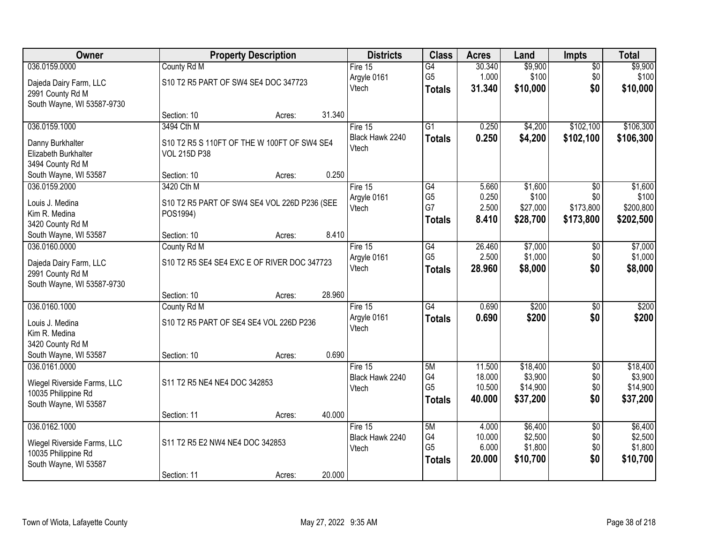| \$9,900<br>036.0159.0000<br>County Rd M<br>30.340<br>$\overline{G4}$<br>$\overline{50}$<br>Fire 15<br>G <sub>5</sub><br>\$100<br>1.000<br>\$100<br>\$0<br>Argyle 0161<br>S10 T2 R5 PART OF SW4 SE4 DOC 347723<br>Dajeda Dairy Farm, LLC<br>\$0<br>Vtech<br>31.340<br>\$10,000<br>\$10,000<br><b>Totals</b><br>2991 County Rd M<br>South Wayne, WI 53587-9730<br>31.340<br>Section: 10<br>Acres:<br>3494 Cth M<br>$\overline{G1}$<br>0.250<br>\$4,200<br>\$102,100<br>036.0159.1000<br>Fire 15<br>Black Hawk 2240<br>0.250<br>\$4,200<br>\$102,100<br>\$106,300<br><b>Totals</b><br>S10 T2 R5 S 110FT OF THE W 100FT OF SW4 SE4<br>Danny Burkhalter<br>Vtech<br>Elizabeth Burkhalter<br><b>VOL 215D P38</b><br>3494 County Rd M<br>0.250<br>South Wayne, WI 53587<br>Section: 10<br>Acres:<br>3420 Cth M<br>\$1,600<br>036.0159.2000<br>Fire 15<br>G4<br>5.660<br>\$0<br>G <sub>5</sub><br>0.250<br>\$100<br>\$0<br>Argyle 0161<br>Louis J. Medina<br>S10 T2 R5 PART OF SW4 SE4 VOL 226D P236 (SEE<br>G7<br>\$200,800<br>2.500<br>\$27,000<br>\$173,800<br>Vtech<br>Kim R. Medina<br>POS1994)<br>\$28,700<br>8.410<br>\$173,800<br>\$202,500<br><b>Totals</b><br>3420 County Rd M<br>8.410<br>South Wayne, WI 53587<br>Section: 10<br>Acres:<br>036.0160.0000<br>G4<br>26.460<br>\$7,000<br>County Rd M<br>Fire 15<br>\$0<br>\$1,000<br>G <sub>5</sub><br>2.500<br>\$0<br>Argyle 0161<br>S10 T2 R5 SE4 SE4 EXC E OF RIVER DOC 347723<br>Dajeda Dairy Farm, LLC | Owner | <b>Property Description</b> | <b>Districts</b> | <b>Class</b>  | <b>Acres</b> | Land    | <b>Impts</b> | <b>Total</b> |
|---------------------------------------------------------------------------------------------------------------------------------------------------------------------------------------------------------------------------------------------------------------------------------------------------------------------------------------------------------------------------------------------------------------------------------------------------------------------------------------------------------------------------------------------------------------------------------------------------------------------------------------------------------------------------------------------------------------------------------------------------------------------------------------------------------------------------------------------------------------------------------------------------------------------------------------------------------------------------------------------------------------------------------------------------------------------------------------------------------------------------------------------------------------------------------------------------------------------------------------------------------------------------------------------------------------------------------------------------------------------------------------------------------------------------------------------------------------|-------|-----------------------------|------------------|---------------|--------------|---------|--------------|--------------|
|                                                                                                                                                                                                                                                                                                                                                                                                                                                                                                                                                                                                                                                                                                                                                                                                                                                                                                                                                                                                                                                                                                                                                                                                                                                                                                                                                                                                                                                               |       |                             |                  |               |              |         |              | \$9,900      |
|                                                                                                                                                                                                                                                                                                                                                                                                                                                                                                                                                                                                                                                                                                                                                                                                                                                                                                                                                                                                                                                                                                                                                                                                                                                                                                                                                                                                                                                               |       |                             |                  |               |              |         |              |              |
|                                                                                                                                                                                                                                                                                                                                                                                                                                                                                                                                                                                                                                                                                                                                                                                                                                                                                                                                                                                                                                                                                                                                                                                                                                                                                                                                                                                                                                                               |       |                             |                  |               |              |         |              |              |
|                                                                                                                                                                                                                                                                                                                                                                                                                                                                                                                                                                                                                                                                                                                                                                                                                                                                                                                                                                                                                                                                                                                                                                                                                                                                                                                                                                                                                                                               |       |                             |                  |               |              |         |              |              |
|                                                                                                                                                                                                                                                                                                                                                                                                                                                                                                                                                                                                                                                                                                                                                                                                                                                                                                                                                                                                                                                                                                                                                                                                                                                                                                                                                                                                                                                               |       |                             |                  |               |              |         |              |              |
|                                                                                                                                                                                                                                                                                                                                                                                                                                                                                                                                                                                                                                                                                                                                                                                                                                                                                                                                                                                                                                                                                                                                                                                                                                                                                                                                                                                                                                                               |       |                             |                  |               |              |         |              | \$106,300    |
|                                                                                                                                                                                                                                                                                                                                                                                                                                                                                                                                                                                                                                                                                                                                                                                                                                                                                                                                                                                                                                                                                                                                                                                                                                                                                                                                                                                                                                                               |       |                             |                  |               |              |         |              |              |
|                                                                                                                                                                                                                                                                                                                                                                                                                                                                                                                                                                                                                                                                                                                                                                                                                                                                                                                                                                                                                                                                                                                                                                                                                                                                                                                                                                                                                                                               |       |                             |                  |               |              |         |              |              |
|                                                                                                                                                                                                                                                                                                                                                                                                                                                                                                                                                                                                                                                                                                                                                                                                                                                                                                                                                                                                                                                                                                                                                                                                                                                                                                                                                                                                                                                               |       |                             |                  |               |              |         |              |              |
|                                                                                                                                                                                                                                                                                                                                                                                                                                                                                                                                                                                                                                                                                                                                                                                                                                                                                                                                                                                                                                                                                                                                                                                                                                                                                                                                                                                                                                                               |       |                             |                  |               |              |         |              |              |
|                                                                                                                                                                                                                                                                                                                                                                                                                                                                                                                                                                                                                                                                                                                                                                                                                                                                                                                                                                                                                                                                                                                                                                                                                                                                                                                                                                                                                                                               |       |                             |                  |               |              |         |              | \$1,600      |
|                                                                                                                                                                                                                                                                                                                                                                                                                                                                                                                                                                                                                                                                                                                                                                                                                                                                                                                                                                                                                                                                                                                                                                                                                                                                                                                                                                                                                                                               |       |                             |                  |               |              |         |              | \$100        |
|                                                                                                                                                                                                                                                                                                                                                                                                                                                                                                                                                                                                                                                                                                                                                                                                                                                                                                                                                                                                                                                                                                                                                                                                                                                                                                                                                                                                                                                               |       |                             |                  |               |              |         |              |              |
|                                                                                                                                                                                                                                                                                                                                                                                                                                                                                                                                                                                                                                                                                                                                                                                                                                                                                                                                                                                                                                                                                                                                                                                                                                                                                                                                                                                                                                                               |       |                             |                  |               |              |         |              |              |
|                                                                                                                                                                                                                                                                                                                                                                                                                                                                                                                                                                                                                                                                                                                                                                                                                                                                                                                                                                                                                                                                                                                                                                                                                                                                                                                                                                                                                                                               |       |                             |                  |               |              |         |              |              |
|                                                                                                                                                                                                                                                                                                                                                                                                                                                                                                                                                                                                                                                                                                                                                                                                                                                                                                                                                                                                                                                                                                                                                                                                                                                                                                                                                                                                                                                               |       |                             |                  |               |              |         |              | \$7,000      |
|                                                                                                                                                                                                                                                                                                                                                                                                                                                                                                                                                                                                                                                                                                                                                                                                                                                                                                                                                                                                                                                                                                                                                                                                                                                                                                                                                                                                                                                               |       |                             |                  |               |              |         |              | \$1,000      |
| 2991 County Rd M                                                                                                                                                                                                                                                                                                                                                                                                                                                                                                                                                                                                                                                                                                                                                                                                                                                                                                                                                                                                                                                                                                                                                                                                                                                                                                                                                                                                                                              |       |                             | Vtech            | <b>Totals</b> | 28.960       | \$8,000 | \$0          | \$8,000      |
| South Wayne, WI 53587-9730                                                                                                                                                                                                                                                                                                                                                                                                                                                                                                                                                                                                                                                                                                                                                                                                                                                                                                                                                                                                                                                                                                                                                                                                                                                                                                                                                                                                                                    |       |                             |                  |               |              |         |              |              |
| 28.960<br>Section: 10<br>Acres:                                                                                                                                                                                                                                                                                                                                                                                                                                                                                                                                                                                                                                                                                                                                                                                                                                                                                                                                                                                                                                                                                                                                                                                                                                                                                                                                                                                                                               |       |                             |                  |               |              |         |              |              |
| $\overline{G4}$<br>\$200<br>036.0160.1000<br>0.690<br>County Rd M<br>$\overline{50}$<br>Fire 15                                                                                                                                                                                                                                                                                                                                                                                                                                                                                                                                                                                                                                                                                                                                                                                                                                                                                                                                                                                                                                                                                                                                                                                                                                                                                                                                                               |       |                             |                  |               |              |         |              | \$200        |
| 0.690<br>\$200<br>\$0<br>Argyle 0161<br><b>Totals</b><br>S10 T2 R5 PART OF SE4 SE4 VOL 226D P236<br>Louis J. Medina                                                                                                                                                                                                                                                                                                                                                                                                                                                                                                                                                                                                                                                                                                                                                                                                                                                                                                                                                                                                                                                                                                                                                                                                                                                                                                                                           |       |                             |                  |               |              |         |              | \$200        |
| Vtech<br>Kim R. Medina                                                                                                                                                                                                                                                                                                                                                                                                                                                                                                                                                                                                                                                                                                                                                                                                                                                                                                                                                                                                                                                                                                                                                                                                                                                                                                                                                                                                                                        |       |                             |                  |               |              |         |              |              |
| 3420 County Rd M                                                                                                                                                                                                                                                                                                                                                                                                                                                                                                                                                                                                                                                                                                                                                                                                                                                                                                                                                                                                                                                                                                                                                                                                                                                                                                                                                                                                                                              |       |                             |                  |               |              |         |              |              |
| 0.690<br>South Wayne, WI 53587<br>Section: 10<br>Acres:                                                                                                                                                                                                                                                                                                                                                                                                                                                                                                                                                                                                                                                                                                                                                                                                                                                                                                                                                                                                                                                                                                                                                                                                                                                                                                                                                                                                       |       |                             |                  |               |              |         |              |              |
| 5M<br>036.0161.0000<br>Fire 15<br>11.500<br>\$18,400<br>$\overline{50}$                                                                                                                                                                                                                                                                                                                                                                                                                                                                                                                                                                                                                                                                                                                                                                                                                                                                                                                                                                                                                                                                                                                                                                                                                                                                                                                                                                                       |       |                             |                  |               |              |         |              | \$18,400     |
| \$3,900<br>G4<br>\$0<br>18.000<br>Black Hawk 2240                                                                                                                                                                                                                                                                                                                                                                                                                                                                                                                                                                                                                                                                                                                                                                                                                                                                                                                                                                                                                                                                                                                                                                                                                                                                                                                                                                                                             |       |                             |                  |               |              |         |              | \$3,900      |
| S11 T2 R5 NE4 NE4 DOC 342853<br>Wiegel Riverside Farms, LLC<br>G <sub>5</sub><br>10.500<br>\$14,900<br>\$0<br>Vtech                                                                                                                                                                                                                                                                                                                                                                                                                                                                                                                                                                                                                                                                                                                                                                                                                                                                                                                                                                                                                                                                                                                                                                                                                                                                                                                                           |       |                             |                  |               |              |         |              | \$14,900     |
| 10035 Philippine Rd<br>\$37,200<br>\$0<br>40.000<br><b>Totals</b><br>South Wayne, WI 53587                                                                                                                                                                                                                                                                                                                                                                                                                                                                                                                                                                                                                                                                                                                                                                                                                                                                                                                                                                                                                                                                                                                                                                                                                                                                                                                                                                    |       |                             |                  |               |              |         |              | \$37,200     |
| 40.000<br>Section: 11<br>Acres:                                                                                                                                                                                                                                                                                                                                                                                                                                                                                                                                                                                                                                                                                                                                                                                                                                                                                                                                                                                                                                                                                                                                                                                                                                                                                                                                                                                                                               |       |                             |                  |               |              |         |              |              |
| 036.0162.1000<br>\$6,400<br>Fire $15$<br>5M<br>4.000<br>$\overline{50}$                                                                                                                                                                                                                                                                                                                                                                                                                                                                                                                                                                                                                                                                                                                                                                                                                                                                                                                                                                                                                                                                                                                                                                                                                                                                                                                                                                                       |       |                             |                  |               |              |         |              | \$6,400      |
| G4<br>10.000<br>\$2,500<br>\$0<br>Black Hawk 2240                                                                                                                                                                                                                                                                                                                                                                                                                                                                                                                                                                                                                                                                                                                                                                                                                                                                                                                                                                                                                                                                                                                                                                                                                                                                                                                                                                                                             |       |                             |                  |               |              |         |              | \$2,500      |
| S11 T2 R5 E2 NW4 NE4 DOC 342853<br>Wiegel Riverside Farms, LLC<br>G <sub>5</sub><br>6.000<br>\$1,800<br>\$0<br>Vtech                                                                                                                                                                                                                                                                                                                                                                                                                                                                                                                                                                                                                                                                                                                                                                                                                                                                                                                                                                                                                                                                                                                                                                                                                                                                                                                                          |       |                             |                  |               |              |         |              | \$1,800      |
| 10035 Philippine Rd<br>\$0<br>20.000<br>\$10,700<br><b>Totals</b><br>South Wayne, WI 53587                                                                                                                                                                                                                                                                                                                                                                                                                                                                                                                                                                                                                                                                                                                                                                                                                                                                                                                                                                                                                                                                                                                                                                                                                                                                                                                                                                    |       |                             |                  |               |              |         |              | \$10,700     |
| 20.000<br>Section: 11<br>Acres:                                                                                                                                                                                                                                                                                                                                                                                                                                                                                                                                                                                                                                                                                                                                                                                                                                                                                                                                                                                                                                                                                                                                                                                                                                                                                                                                                                                                                               |       |                             |                  |               |              |         |              |              |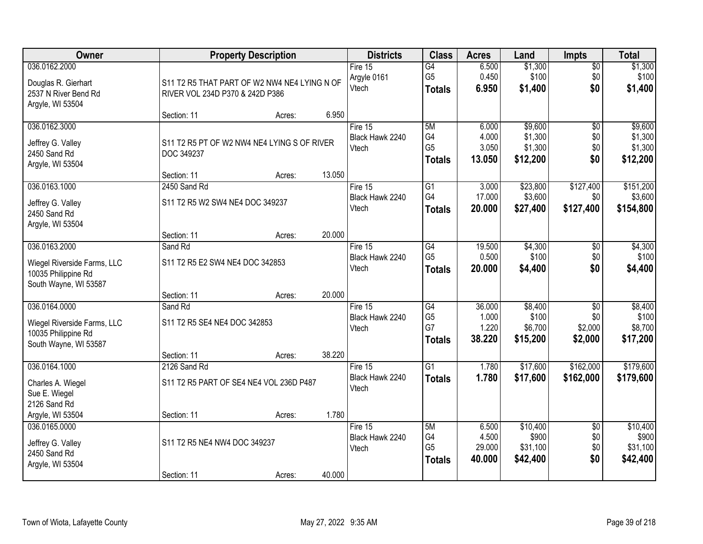| <b>Owner</b>                                                                                 |                                                                                 | <b>Property Description</b> |        | <b>Districts</b>                      | <b>Class</b>                                             | <b>Acres</b>                       | Land                                      | <b>Impts</b>                                 | <b>Total</b>                              |
|----------------------------------------------------------------------------------------------|---------------------------------------------------------------------------------|-----------------------------|--------|---------------------------------------|----------------------------------------------------------|------------------------------------|-------------------------------------------|----------------------------------------------|-------------------------------------------|
| 036.0162.2000<br>Douglas R. Gierhart<br>2537 N River Bend Rd<br>Argyle, WI 53504             | S11 T2 R5 THAT PART OF W2 NW4 NE4 LYING N OF<br>RIVER VOL 234D P370 & 242D P386 |                             |        | Fire 15<br>Argyle 0161<br>Vtech       | G4<br>G <sub>5</sub><br><b>Totals</b>                    | 6.500<br>0.450<br>6.950            | \$1,300<br>\$100<br>\$1,400               | $\overline{50}$<br>\$0<br>\$0                | \$1,300<br>\$100<br>\$1,400               |
|                                                                                              | Section: 11                                                                     | Acres:                      | 6.950  |                                       |                                                          |                                    |                                           |                                              |                                           |
| 036.0162.3000<br>Jeffrey G. Valley<br>2450 Sand Rd<br>Argyle, WI 53504                       | S11 T2 R5 PT OF W2 NW4 NE4 LYING S OF RIVER<br>DOC 349237<br>Section: 11        | Acres:                      | 13.050 | Fire 15<br>Black Hawk 2240<br>Vtech   | 5M<br>G4<br>G <sub>5</sub><br><b>Totals</b>              | 6.000<br>4.000<br>3.050<br>13.050  | \$9,600<br>\$1,300<br>\$1,300<br>\$12,200 | $\overline{50}$<br>\$0<br>\$0<br>\$0         | \$9,600<br>\$1,300<br>\$1,300<br>\$12,200 |
| 036.0163.1000                                                                                | 2450 Sand Rd                                                                    |                             |        | Fire 15                               | $\overline{G1}$                                          | 3.000                              | \$23,800                                  | \$127,400                                    | \$151,200                                 |
| Jeffrey G. Valley<br>2450 Sand Rd<br>Argyle, WI 53504                                        | S11 T2 R5 W2 SW4 NE4 DOC 349237                                                 |                             |        | Black Hawk 2240<br>Vtech              | G4<br><b>Totals</b>                                      | 17.000<br>20,000                   | \$3,600<br>\$27,400                       | \$0<br>\$127,400                             | \$3,600<br>\$154,800                      |
|                                                                                              | Section: 11                                                                     | Acres:                      | 20.000 |                                       |                                                          |                                    |                                           |                                              |                                           |
| 036.0163.2000<br>Wiegel Riverside Farms, LLC<br>10035 Philippine Rd<br>South Wayne, WI 53587 | Sand Rd<br>S11 T2 R5 E2 SW4 NE4 DOC 342853                                      |                             |        | Fire 15<br>Black Hawk 2240<br>Vtech   | G4<br>G <sub>5</sub><br><b>Totals</b>                    | 19.500<br>0.500<br>20.000          | \$4,300<br>\$100<br>\$4,400               | \$0<br>\$0<br>\$0                            | \$4,300<br>\$100<br>\$4,400               |
|                                                                                              | Section: 11                                                                     | Acres:                      | 20.000 |                                       |                                                          |                                    |                                           |                                              |                                           |
| 036.0164.0000<br>Wiegel Riverside Farms, LLC<br>10035 Philippine Rd<br>South Wayne, WI 53587 | Sand Rd<br>S11 T2 R5 SE4 NE4 DOC 342853<br>Section: 11                          | Acres:                      | 38.220 | Fire $15$<br>Black Hawk 2240<br>Vtech | $\overline{G4}$<br>G <sub>5</sub><br>G7<br><b>Totals</b> | 36.000<br>1.000<br>1.220<br>38.220 | \$8,400<br>\$100<br>\$6,700<br>\$15,200   | $\overline{30}$<br>\$0<br>\$2,000<br>\$2,000 | \$8,400<br>\$100<br>\$8,700<br>\$17,200   |
| 036.0164.1000                                                                                | 2126 Sand Rd                                                                    |                             |        | Fire 15                               | $\overline{G1}$                                          | 1.780                              | \$17,600                                  | \$162,000                                    | \$179,600                                 |
| Charles A. Wiegel<br>Sue E. Wiegel<br>2126 Sand Rd                                           | S11 T2 R5 PART OF SE4 NE4 VOL 236D P487                                         |                             |        | Black Hawk 2240<br>Vtech              | <b>Totals</b>                                            | 1.780                              | \$17,600                                  | \$162,000                                    | \$179,600                                 |
| Argyle, WI 53504                                                                             | Section: 11                                                                     | Acres:                      | 1.780  |                                       |                                                          |                                    |                                           |                                              |                                           |
| 036.0165.0000<br>Jeffrey G. Valley<br>2450 Sand Rd<br>Argyle, WI 53504                       | S11 T2 R5 NE4 NW4 DOC 349237                                                    |                             |        | Fire $15$<br>Black Hawk 2240<br>Vtech | 5M<br>G4<br>G <sub>5</sub><br><b>Totals</b>              | 6.500<br>4.500<br>29.000<br>40.000 | \$10,400<br>\$900<br>\$31,100<br>\$42,400 | $\overline{50}$<br>\$0<br>\$0<br>\$0         | \$10,400<br>\$900<br>\$31,100<br>\$42,400 |
|                                                                                              | Section: 11                                                                     | Acres:                      | 40.000 |                                       |                                                          |                                    |                                           |                                              |                                           |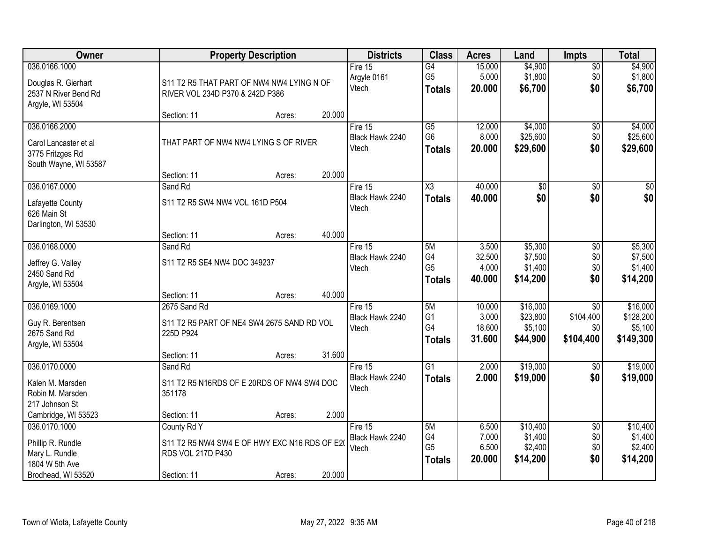| Owner                                                                               |                                                                                        | <b>Property Description</b> |        | <b>Districts</b>                    | <b>Class</b>                                       | <b>Acres</b>                        | Land                                        | <b>Impts</b>                                     | <b>Total</b>                                  |
|-------------------------------------------------------------------------------------|----------------------------------------------------------------------------------------|-----------------------------|--------|-------------------------------------|----------------------------------------------------|-------------------------------------|---------------------------------------------|--------------------------------------------------|-----------------------------------------------|
| 036.0166.1000<br>Douglas R. Gierhart<br>2537 N River Bend Rd<br>Argyle, WI 53504    | S11 T2 R5 THAT PART OF NW4 NW4 LYING N OF<br>RIVER VOL 234D P370 & 242D P386           |                             |        | Fire 15<br>Argyle 0161<br>Vtech     | $\overline{G4}$<br>G <sub>5</sub><br><b>Totals</b> | 15.000<br>5.000<br>20.000           | \$4,900<br>\$1,800<br>\$6,700               | $\sqrt{$0}$<br>\$0<br>\$0                        | \$4,900<br>\$1,800<br>\$6,700                 |
|                                                                                     | Section: 11                                                                            | Acres:                      | 20.000 |                                     |                                                    |                                     |                                             |                                                  |                                               |
| 036.0166.2000<br>Carol Lancaster et al<br>3775 Fritzges Rd<br>South Wayne, WI 53587 | THAT PART OF NW4 NW4 LYING S OF RIVER                                                  |                             | 20.000 | Fire 15<br>Black Hawk 2240<br>Vtech | $\overline{G5}$<br>G <sub>6</sub><br><b>Totals</b> | 12.000<br>8.000<br>20.000           | \$4,000<br>\$25,600<br>\$29,600             | \$0<br>\$0<br>\$0                                | \$4,000<br>\$25,600<br>\$29,600               |
| 036.0167.0000                                                                       | Section: 11<br>Sand Rd                                                                 | Acres:                      |        | Fire 15                             | $\overline{\text{X3}}$                             | 40.000                              | $\overline{50}$                             | $\sqrt[6]{}$                                     | $\sqrt{50}$                                   |
| Lafayette County<br>626 Main St<br>Darlington, WI 53530                             | S11 T2 R5 SW4 NW4 VOL 161D P504                                                        |                             |        | Black Hawk 2240<br>Vtech            | <b>Totals</b>                                      | 40.000                              | \$0                                         | \$0                                              | \$0                                           |
|                                                                                     | Section: 11                                                                            | Acres:                      | 40.000 |                                     |                                                    |                                     |                                             |                                                  |                                               |
| 036.0168.0000<br>Jeffrey G. Valley<br>2450 Sand Rd<br>Argyle, WI 53504              | Sand Rd<br>S11 T2 R5 SE4 NW4 DOC 349237                                                |                             |        | Fire 15<br>Black Hawk 2240<br>Vtech | 5M<br>G4<br>G <sub>5</sub><br><b>Totals</b>        | 3.500<br>32.500<br>4.000<br>40.000  | \$5,300<br>\$7,500<br>\$1,400<br>\$14,200   | \$0<br>\$0<br>\$0<br>\$0                         | \$5,300<br>\$7,500<br>\$1,400<br>\$14,200     |
|                                                                                     | Section: 11                                                                            | Acres:                      | 40.000 |                                     |                                                    |                                     |                                             |                                                  |                                               |
| 036.0169.1000<br>Guy R. Berentsen<br>2675 Sand Rd<br>Argyle, WI 53504               | 2675 Sand Rd<br>S11 T2 R5 PART OF NE4 SW4 2675 SAND RD VOL<br>225D P924<br>Section: 11 | Acres:                      | 31.600 | Fire 15<br>Black Hawk 2240<br>Vtech | 5M<br>G <sub>1</sub><br>G4<br><b>Totals</b>        | 10.000<br>3.000<br>18.600<br>31.600 | \$16,000<br>\$23,800<br>\$5,100<br>\$44,900 | $\overline{50}$<br>\$104,400<br>\$0<br>\$104,400 | \$16,000<br>\$128,200<br>\$5,100<br>\$149,300 |
| 036.0170.0000                                                                       | Sand Rd                                                                                |                             |        | Fire 15<br>Black Hawk 2240          | $\overline{G1}$<br><b>Totals</b>                   | 2.000<br>2.000                      | \$19,000<br>\$19,000                        | $\sqrt{6}$<br>\$0                                | \$19,000<br>\$19,000                          |
| Kalen M. Marsden<br>Robin M. Marsden<br>217 Johnson St                              | S11 T2 R5 N16RDS OF E 20RDS OF NW4 SW4 DOC<br>351178                                   |                             |        | Vtech                               |                                                    |                                     |                                             |                                                  |                                               |
| Cambridge, WI 53523<br>036.0170.1000                                                | Section: 11<br>County Rd Y                                                             | Acres:                      | 2.000  | Fire 15                             | 5M                                                 | 6.500                               | \$10,400                                    | $\overline{50}$                                  | \$10,400                                      |
| Phillip R. Rundle<br>Mary L. Rundle<br>1804 W 5th Ave                               | S11 T2 R5 NW4 SW4 E OF HWY EXC N16 RDS OF E20<br>RDS VOL 217D P430                     |                             |        | Black Hawk 2240<br>Vtech            | G4<br>G <sub>5</sub><br><b>Totals</b>              | 7.000<br>6.500<br>20.000            | \$1,400<br>\$2,400<br>\$14,200              | \$0<br>\$0<br>\$0                                | \$1,400<br>\$2,400<br>\$14,200                |
| Brodhead, WI 53520                                                                  | Section: 11                                                                            | Acres:                      | 20.000 |                                     |                                                    |                                     |                                             |                                                  |                                               |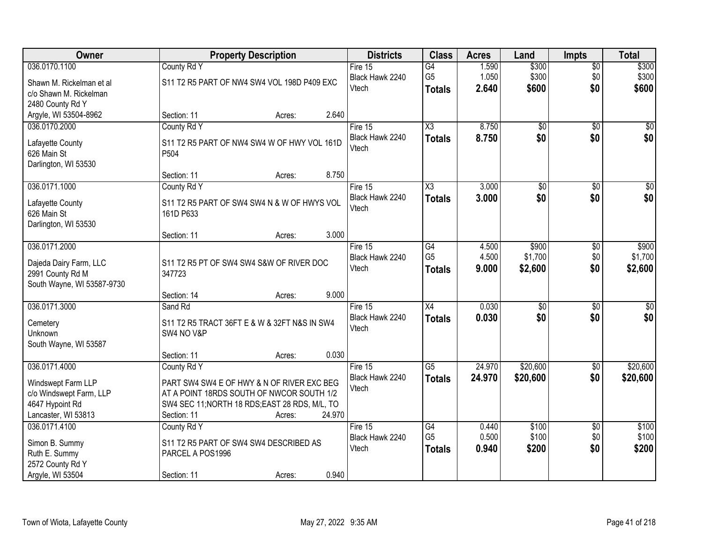| Owner                                                                                                    | <b>Property Description</b>                                                                                                                                                       |        | <b>Districts</b>                      | <b>Class</b>                                       | <b>Acres</b>            | Land                        | <b>Impts</b>                  | <b>Total</b>                |
|----------------------------------------------------------------------------------------------------------|-----------------------------------------------------------------------------------------------------------------------------------------------------------------------------------|--------|---------------------------------------|----------------------------------------------------|-------------------------|-----------------------------|-------------------------------|-----------------------------|
| 036.0170.1100<br>Shawn M. Rickelman et al<br>c/o Shawn M. Rickelman<br>2480 County Rd Y                  | County Rd Y<br>S11 T2 R5 PART OF NW4 SW4 VOL 198D P409 EXC                                                                                                                        |        | Fire $15$<br>Black Hawk 2240<br>Vtech | $\overline{G4}$<br>G <sub>5</sub><br><b>Totals</b> | 1.590<br>1.050<br>2.640 | \$300<br>\$300<br>\$600     | $\overline{$0}$<br>\$0<br>\$0 | \$300<br>\$300<br>\$600     |
| Argyle, WI 53504-8962                                                                                    | Section: 11<br>Acres:                                                                                                                                                             | 2.640  |                                       |                                                    |                         |                             |                               |                             |
| 036.0170.2000<br>Lafayette County<br>626 Main St<br>Darlington, WI 53530                                 | County Rd Y<br>S11 T2 R5 PART OF NW4 SW4 W OF HWY VOL 161D<br>P <sub>504</sub><br>Section: 11<br>Acres:                                                                           | 8.750  | Fire 15<br>Black Hawk 2240<br>Vtech   | $\overline{\text{X3}}$<br><b>Totals</b>            | 8.750<br>8.750          | $\overline{50}$<br>\$0      | $\overline{50}$<br>\$0        | \$0<br>\$0                  |
| 036.0171.1000                                                                                            | County Rd Y                                                                                                                                                                       |        | Fire 15                               | $\overline{\chi_3}$                                | 3.000                   | $\overline{50}$             | \$0                           | $\overline{\$0}$            |
| Lafayette County<br>626 Main St<br>Darlington, WI 53530                                                  | S11 T2 R5 PART OF SW4 SW4 N & W OF HWYS VOL<br>161D P633                                                                                                                          |        | Black Hawk 2240<br>Vtech              | <b>Totals</b>                                      | 3.000                   | \$0                         | \$0                           | \$0                         |
|                                                                                                          | Section: 11<br>Acres:                                                                                                                                                             | 3.000  |                                       |                                                    |                         |                             |                               |                             |
| 036.0171.2000<br>Dajeda Dairy Farm, LLC<br>2991 County Rd M<br>South Wayne, WI 53587-9730                | S11 T2 R5 PT OF SW4 SW4 S&W OF RIVER DOC<br>347723                                                                                                                                |        | Fire 15<br>Black Hawk 2240<br>Vtech   | G4<br>G <sub>5</sub><br><b>Totals</b>              | 4.500<br>4.500<br>9.000 | \$900<br>\$1,700<br>\$2,600 | $\sqrt[6]{3}$<br>\$0<br>\$0   | \$900<br>\$1,700<br>\$2,600 |
|                                                                                                          | Section: 14<br>Acres:                                                                                                                                                             | 9.000  |                                       |                                                    |                         |                             |                               |                             |
| 036.0171.3000<br>Cemetery<br><b>Unknown</b><br>South Wayne, WI 53587                                     | Sand Rd<br>S11 T2 R5 TRACT 36FT E & W & 32FT N&S IN SW4<br>SW4 NO V&P                                                                                                             |        | Fire 15<br>Black Hawk 2240<br>Vtech   | X4<br><b>Totals</b>                                | 0.030<br>0.030          | $\overline{50}$<br>\$0      | $\overline{50}$<br>\$0        | $\sqrt{50}$<br>\$0          |
|                                                                                                          | Section: 11<br>Acres:                                                                                                                                                             | 0.030  |                                       |                                                    |                         |                             |                               |                             |
| 036.0171.4000<br>Windswept Farm LLP<br>c/o Windswept Farm, LLP<br>4647 Hypoint Rd<br>Lancaster, WI 53813 | County Rd Y<br>PART SW4 SW4 E OF HWY & N OF RIVER EXC BEG<br>AT A POINT 18RDS SOUTH OF NWCOR SOUTH 1/2<br>SW4 SEC 11; NORTH 18 RDS; EAST 28 RDS, M/L, TO<br>Section: 11<br>Acres: | 24.970 | Fire 15<br>Black Hawk 2240<br>Vtech   | G5<br><b>Totals</b>                                | 24.970<br>24.970        | \$20,600<br>\$20,600        | $\sqrt{$0}$<br>\$0            | \$20,600<br>\$20,600        |
| 036.0171.4100<br>Simon B. Summy<br>Ruth E. Summy<br>2572 County Rd Y<br>Argyle, WI 53504                 | County Rd Y<br>S11 T2 R5 PART OF SW4 SW4 DESCRIBED AS<br>PARCEL A POS1996<br>Section: 11<br>Acres:                                                                                | 0.940  | Fire $15$<br>Black Hawk 2240<br>Vtech | G4<br>G <sub>5</sub><br><b>Totals</b>              | 0.440<br>0.500<br>0.940 | \$100<br>\$100<br>\$200     | $\overline{50}$<br>\$0<br>\$0 | \$100<br>\$100<br>\$200     |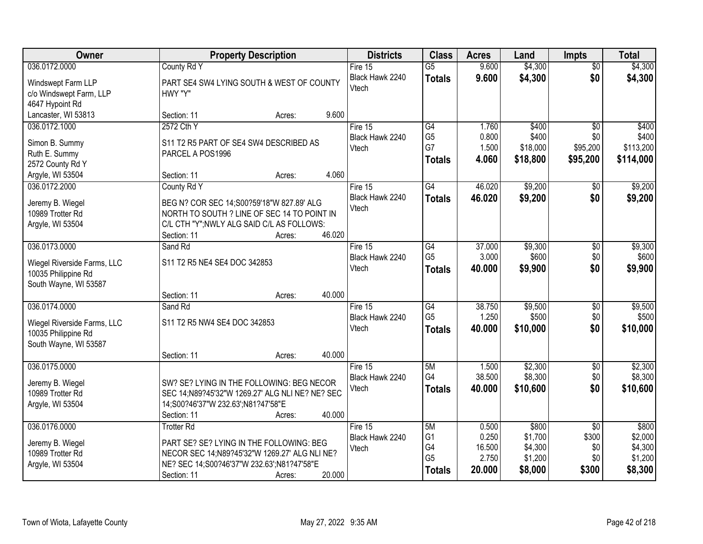| Owner                       |                                                 | <b>Property Description</b> |        | <b>Districts</b> | <b>Class</b>    | <b>Acres</b> | Land     | Impts           | <b>Total</b> |
|-----------------------------|-------------------------------------------------|-----------------------------|--------|------------------|-----------------|--------------|----------|-----------------|--------------|
| 036.0172.0000               | County Rd Y                                     |                             |        | Fire 15          | $\overline{G5}$ | 9.600        | \$4,300  | $\overline{50}$ | \$4,300      |
| Windswept Farm LLP          | PART SE4 SW4 LYING SOUTH & WEST OF COUNTY       |                             |        | Black Hawk 2240  | <b>Totals</b>   | 9.600        | \$4,300  | \$0             | \$4,300      |
| c/o Windswept Farm, LLP     | HWY "Y"                                         |                             |        | Vtech            |                 |              |          |                 |              |
| 4647 Hypoint Rd             |                                                 |                             |        |                  |                 |              |          |                 |              |
| Lancaster, WI 53813         | Section: 11                                     | Acres:                      | 9.600  |                  |                 |              |          |                 |              |
| 036.0172.1000               | 2572 Cth Y                                      |                             |        | Fire 15          | $\overline{G4}$ | 1.760        | \$400    | $\overline{50}$ | \$400        |
| Simon B. Summy              | S11 T2 R5 PART OF SE4 SW4 DESCRIBED AS          |                             |        | Black Hawk 2240  | G <sub>5</sub>  | 0.800        | \$400    | \$0             | \$400        |
| Ruth E. Summy               | PARCEL A POS1996                                |                             |        | Vtech            | G7              | 1.500        | \$18,000 | \$95,200        | \$113,200    |
| 2572 County Rd Y            |                                                 |                             |        |                  | <b>Totals</b>   | 4.060        | \$18,800 | \$95,200        | \$114,000    |
| Argyle, WI 53504            | Section: 11                                     | Acres:                      | 4.060  |                  |                 |              |          |                 |              |
| 036.0172.2000               | County Rd Y                                     |                             |        | Fire 15          | $\overline{G4}$ | 46.020       | \$9,200  | $\overline{50}$ | \$9,200      |
| Jeremy B. Wiegel            | BEG N? COR SEC 14;S00?59'18"W 827.89' ALG       |                             |        | Black Hawk 2240  | <b>Totals</b>   | 46.020       | \$9,200  | \$0             | \$9,200      |
| 10989 Trotter Rd            | NORTH TO SOUTH ? LINE OF SEC 14 TO POINT IN     |                             |        | Vtech            |                 |              |          |                 |              |
| Argyle, WI 53504            | C/L CTH "Y"; NWLY ALG SAID C/L AS FOLLOWS:      |                             |        |                  |                 |              |          |                 |              |
|                             | Section: 11                                     | Acres:                      | 46.020 |                  |                 |              |          |                 |              |
| 036.0173.0000               | Sand Rd                                         |                             |        | Fire 15          | G4              | 37.000       | \$9,300  | \$0             | \$9,300      |
| Wiegel Riverside Farms, LLC | S11 T2 R5 NE4 SE4 DOC 342853                    |                             |        | Black Hawk 2240  | G <sub>5</sub>  | 3.000        | \$600    | \$0             | \$600        |
| 10035 Philippine Rd         |                                                 |                             |        | Vtech            | <b>Totals</b>   | 40.000       | \$9,900  | \$0             | \$9,900      |
| South Wayne, WI 53587       |                                                 |                             |        |                  |                 |              |          |                 |              |
|                             | Section: 11                                     | Acres:                      | 40.000 |                  |                 |              |          |                 |              |
| 036.0174.0000               | Sand Rd                                         |                             |        | Fire 15          | $\overline{G4}$ | 38.750       | \$9,500  | $\overline{50}$ | \$9,500      |
| Wiegel Riverside Farms, LLC | S11 T2 R5 NW4 SE4 DOC 342853                    |                             |        | Black Hawk 2240  | G <sub>5</sub>  | 1.250        | \$500    | \$0             | \$500        |
| 10035 Philippine Rd         |                                                 |                             |        | Vtech            | <b>Totals</b>   | 40.000       | \$10,000 | \$0             | \$10,000     |
| South Wayne, WI 53587       |                                                 |                             |        |                  |                 |              |          |                 |              |
|                             | Section: 11                                     | Acres:                      | 40.000 |                  |                 |              |          |                 |              |
| 036.0175.0000               |                                                 |                             |        | Fire 15          | 5M              | 1.500        | \$2,300  | $\sqrt{6}$      | \$2,300      |
| Jeremy B. Wiegel            | SW? SE? LYING IN THE FOLLOWING: BEG NECOR       |                             |        | Black Hawk 2240  | G4              | 38.500       | \$8,300  | \$0             | \$8,300      |
| 10989 Trotter Rd            | SEC 14;N89?45'32"W 1269.27' ALG NLI NE? NE? SEC |                             |        | Vtech            | <b>Totals</b>   | 40.000       | \$10,600 | \$0             | \$10,600     |
| Argyle, WI 53504            | 14;S00?46'37"W 232.63';N81?47'58"E              |                             |        |                  |                 |              |          |                 |              |
|                             | Section: 11                                     | Acres:                      | 40.000 |                  |                 |              |          |                 |              |
| 036.0176.0000               | <b>Trotter Rd</b>                               |                             |        | Fire $15$        | 5M              | 0.500        | \$800    | $\overline{50}$ | \$800        |
| Jeremy B. Wiegel            | PART SE? SE? LYING IN THE FOLLOWING: BEG        |                             |        | Black Hawk 2240  | G <sub>1</sub>  | 0.250        | \$1,700  | \$300           | \$2,000      |
| 10989 Trotter Rd            | NECOR SEC 14;N89?45'32"W 1269.27' ALG NLI NE?   |                             |        | Vtech            | G4              | 16.500       | \$4,300  | \$0             | \$4,300      |
| Argyle, WI 53504            | NE? SEC 14;S00?46'37"W 232.63';N81?47'58"E      |                             |        |                  | G <sub>5</sub>  | 2.750        | \$1,200  | \$0             | \$1,200      |
|                             | Section: 11                                     | Acres:                      | 20.000 |                  | <b>Totals</b>   | 20.000       | \$8,000  | \$300           | \$8,300      |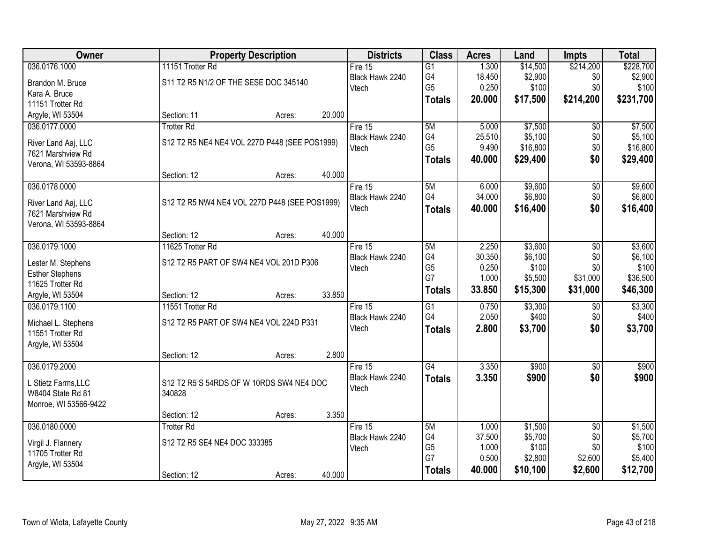| Owner                  |                                               | <b>Property Description</b> |        | <b>Districts</b> | <b>Class</b>    | <b>Acres</b>    | Land               | <b>Impts</b>           | <b>Total</b>       |
|------------------------|-----------------------------------------------|-----------------------------|--------|------------------|-----------------|-----------------|--------------------|------------------------|--------------------|
| 036.0176.1000          | 11151 Trotter Rd                              |                             |        | Fire 15          | $\overline{G1}$ | 1.300           | \$14,500           | \$214,200              | \$228,700          |
| Brandon M. Bruce       | S11 T2 R5 N1/2 OF THE SESE DOC 345140         |                             |        | Black Hawk 2240  | G4              | 18.450          | \$2,900            | \$0                    | \$2,900            |
| Kara A. Bruce          |                                               |                             |        | Vtech            | G <sub>5</sub>  | 0.250           | \$100              | \$0                    | \$100              |
| 11151 Trotter Rd       |                                               |                             |        |                  | <b>Totals</b>   | 20.000          | \$17,500           | \$214,200              | \$231,700          |
| Argyle, WI 53504       | Section: 11                                   | Acres:                      | 20.000 |                  |                 |                 |                    |                        |                    |
| 036.0177.0000          | <b>Trotter Rd</b>                             |                             |        | Fire 15          | 5M              | 5.000           | \$7,500            | $\overline{50}$        | \$7,500            |
| River Land Aaj, LLC    | S12 T2 R5 NE4 NE4 VOL 227D P448 (SEE POS1999) |                             |        | Black Hawk 2240  | G4              | 25.510          | \$5,100            | \$0                    | \$5,100            |
| 7621 Marshview Rd      |                                               |                             |        | Vtech            | G <sub>5</sub>  | 9.490           | \$16,800           | \$0                    | \$16,800           |
| Verona, WI 53593-8864  |                                               |                             |        |                  | <b>Totals</b>   | 40.000          | \$29,400           | \$0                    | \$29,400           |
|                        | Section: 12                                   | Acres:                      | 40.000 |                  |                 |                 |                    |                        |                    |
| 036.0178.0000          |                                               |                             |        | Fire 15          | 5M              | 6.000           | \$9,600            | \$0                    | \$9,600            |
| River Land Aaj, LLC    | S12 T2 R5 NW4 NE4 VOL 227D P448 (SEE POS1999) |                             |        | Black Hawk 2240  | G4              | 34.000          | \$6,800            | $$0$$                  | \$6,800            |
| 7621 Marshview Rd      |                                               |                             |        | Vtech            | Totals          | 40.000          | \$16,400           | \$0                    | \$16,400           |
| Verona, WI 53593-8864  |                                               |                             |        |                  |                 |                 |                    |                        |                    |
|                        | Section: 12                                   | Acres:                      | 40.000 |                  |                 |                 |                    |                        |                    |
| 036.0179.1000          | 11625 Trotter Rd                              |                             |        | Fire 15          | 5M              | 2.250           | \$3,600            | \$0                    | \$3,600            |
| Lester M. Stephens     | S12 T2 R5 PART OF SW4 NE4 VOL 201D P306       |                             |        | Black Hawk 2240  | G4              | 30.350          | \$6,100            | \$0                    | \$6,100            |
| <b>Esther Stephens</b> |                                               |                             |        | Vtech            | G <sub>5</sub>  | 0.250           | \$100              | \$0                    | \$100              |
| 11625 Trotter Rd       |                                               |                             |        |                  | G7              | 1.000           | \$5,500            | \$31,000               | \$36,500           |
| Argyle, WI 53504       | Section: 12                                   | Acres:                      | 33.850 |                  | <b>Totals</b>   | 33.850          | \$15,300           | \$31,000               | \$46,300           |
| 036.0179.1100          | 11551 Trotter Rd                              |                             |        | Fire $15$        | $\overline{G1}$ | 0.750           | \$3,300            | \$0                    | \$3,300            |
|                        |                                               |                             |        | Black Hawk 2240  | G4              | 2.050           | \$400              | \$0                    | \$400              |
| Michael L. Stephens    | S12 T2 R5 PART OF SW4 NE4 VOL 224D P331       |                             |        | Vtech            | <b>Totals</b>   | 2.800           | \$3,700            | \$0                    | \$3,700            |
| 11551 Trotter Rd       |                                               |                             |        |                  |                 |                 |                    |                        |                    |
| Argyle, WI 53504       | Section: 12                                   | Acres:                      | 2.800  |                  |                 |                 |                    |                        |                    |
| 036.0179.2000          |                                               |                             |        | Fire 15          | G4              | 3.350           | \$900              | $\sqrt{6}$             | \$900              |
|                        |                                               |                             |        | Black Hawk 2240  | <b>Totals</b>   | 3.350           | \$900              | \$0                    | \$900              |
| L Stietz Farms, LLC    | S12 T2 R5 S 54RDS OF W 10RDS SW4 NE4 DOC      |                             |        | Vtech            |                 |                 |                    |                        |                    |
| W8404 State Rd 81      | 340828                                        |                             |        |                  |                 |                 |                    |                        |                    |
| Monroe, WI 53566-9422  |                                               |                             |        |                  |                 |                 |                    |                        |                    |
| 036.0180.0000          | Section: 12<br><b>Trotter Rd</b>              | Acres:                      | 3.350  | Fire 15          | 5M              |                 |                    |                        |                    |
|                        |                                               |                             |        | Black Hawk 2240  | G4              | 1.000<br>37.500 | \$1,500<br>\$5,700 | $\overline{30}$<br>\$0 | \$1,500<br>\$5,700 |
| Virgil J. Flannery     | S12 T2 R5 SE4 NE4 DOC 333385                  |                             |        | Vtech            | G <sub>5</sub>  | 1.000           | \$100              | \$0                    | \$100              |
| 11705 Trotter Rd       |                                               |                             |        |                  | G7              | 0.500           | \$2,800            | \$2,600                | \$5,400            |
| Argyle, WI 53504       |                                               |                             |        |                  | <b>Totals</b>   | 40.000          | \$10,100           | \$2,600                | \$12,700           |
|                        | Section: 12                                   | Acres:                      | 40.000 |                  |                 |                 |                    |                        |                    |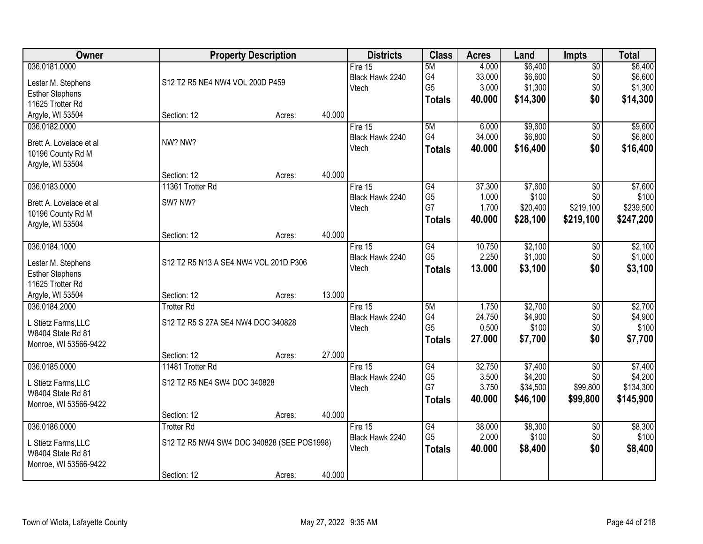| Owner                   |                                            | <b>Property Description</b> |        | <b>Districts</b> | <b>Class</b>    | <b>Acres</b> | Land     | Impts           | <b>Total</b> |
|-------------------------|--------------------------------------------|-----------------------------|--------|------------------|-----------------|--------------|----------|-----------------|--------------|
| 036.0181.0000           |                                            |                             |        | Fire 15          | 5M              | 4.000        | \$6,400  | $\overline{50}$ | \$6,400      |
| Lester M. Stephens      | S12 T2 R5 NE4 NW4 VOL 200D P459            |                             |        | Black Hawk 2240  | G4              | 33.000       | \$6,600  | \$0             | \$6,600      |
| <b>Esther Stephens</b>  |                                            |                             |        | Vtech            | G <sub>5</sub>  | 3.000        | \$1,300  | \$0             | \$1,300      |
| 11625 Trotter Rd        |                                            |                             |        |                  | <b>Totals</b>   | 40.000       | \$14,300 | \$0             | \$14,300     |
| Argyle, WI 53504        | Section: 12                                | Acres:                      | 40.000 |                  |                 |              |          |                 |              |
| 036.0182.0000           |                                            |                             |        | Fire 15          | 5M              | 6.000        | \$9,600  | $\overline{50}$ | \$9,600      |
|                         |                                            |                             |        | Black Hawk 2240  | G4              | 34.000       | \$6,800  | \$0             | \$6,800      |
| Brett A. Lovelace et al | NW? NW?                                    |                             |        | Vtech            | <b>Totals</b>   | 40.000       | \$16,400 | \$0             | \$16,400     |
| 10196 County Rd M       |                                            |                             |        |                  |                 |              |          |                 |              |
| Argyle, WI 53504        |                                            |                             |        |                  |                 |              |          |                 |              |
|                         | Section: 12                                | Acres:                      | 40.000 |                  |                 |              |          |                 |              |
| 036.0183.0000           | 11361 Trotter Rd                           |                             |        | Fire 15          | G4              | 37.300       | \$7,600  | \$0             | \$7,600      |
| Brett A. Lovelace et al | SW? NW?                                    |                             |        | Black Hawk 2240  | G <sub>5</sub>  | 1.000        | \$100    | \$0             | \$100        |
| 10196 County Rd M       |                                            |                             |        | Vtech            | G7              | 1.700        | \$20,400 | \$219,100       | \$239,500    |
| Argyle, WI 53504        |                                            |                             |        |                  | <b>Totals</b>   | 40.000       | \$28,100 | \$219,100       | \$247,200    |
|                         | Section: 12                                | Acres:                      | 40.000 |                  |                 |              |          |                 |              |
| 036.0184.1000           |                                            |                             |        | Fire 15          | G4              | 10.750       | \$2,100  | \$0             | \$2,100      |
|                         |                                            |                             |        | Black Hawk 2240  | G <sub>5</sub>  | 2.250        | \$1,000  | \$0             | \$1,000      |
| Lester M. Stephens      | S12 T2 R5 N13 A SE4 NW4 VOL 201D P306      |                             |        | Vtech            | <b>Totals</b>   | 13.000       | \$3,100  | \$0             | \$3,100      |
| <b>Esther Stephens</b>  |                                            |                             |        |                  |                 |              |          |                 |              |
| 11625 Trotter Rd        |                                            |                             |        |                  |                 |              |          |                 |              |
| Argyle, WI 53504        | Section: 12                                | Acres:                      | 13.000 |                  |                 |              |          |                 |              |
| 036.0184.2000           | <b>Trotter Rd</b>                          |                             |        | Fire $15$        | 5M              | 1.750        | \$2,700  | $\overline{50}$ | \$2,700      |
| L Stietz Farms, LLC     | S12 T2 R5 S 27A SE4 NW4 DOC 340828         |                             |        | Black Hawk 2240  | G4              | 24.750       | \$4,900  | \$0             | \$4,900      |
| W8404 State Rd 81       |                                            |                             |        | Vtech            | G <sub>5</sub>  | 0.500        | \$100    | \$0             | \$100        |
| Monroe, WI 53566-9422   |                                            |                             |        |                  | <b>Totals</b>   | 27.000       | \$7,700  | \$0             | \$7,700      |
|                         | Section: 12                                | Acres:                      | 27.000 |                  |                 |              |          |                 |              |
| 036.0185.0000           | 11481 Trotter Rd                           |                             |        | Fire $15$        | G4              | 32.750       | \$7,400  | $\overline{50}$ | \$7,400      |
| L Stietz Farms, LLC     | S12 T2 R5 NE4 SW4 DOC 340828               |                             |        | Black Hawk 2240  | G <sub>5</sub>  | 3.500        | \$4,200  | \$0             | \$4,200      |
| W8404 State Rd 81       |                                            |                             |        | Vtech            | G7              | 3.750        | \$34,500 | \$99,800        | \$134,300    |
| Monroe, WI 53566-9422   |                                            |                             |        |                  | <b>Totals</b>   | 40.000       | \$46,100 | \$99,800        | \$145,900    |
|                         | Section: 12                                | Acres:                      | 40.000 |                  |                 |              |          |                 |              |
| 036.0186.0000           | <b>Trotter Rd</b>                          |                             |        | Fire $15$        | $\overline{G4}$ | 38,000       | \$8,300  | $\overline{50}$ | \$8,300      |
|                         |                                            |                             |        | Black Hawk 2240  | G <sub>5</sub>  | 2.000        | \$100    | \$0             | \$100        |
| L Stietz Farms, LLC     | S12 T2 R5 NW4 SW4 DOC 340828 (SEE POS1998) |                             |        | Vtech            | <b>Totals</b>   | 40.000       | \$8,400  | \$0             | \$8,400      |
| W8404 State Rd 81       |                                            |                             |        |                  |                 |              |          |                 |              |
| Monroe, WI 53566-9422   |                                            |                             |        |                  |                 |              |          |                 |              |
|                         | Section: 12                                | Acres:                      | 40.000 |                  |                 |              |          |                 |              |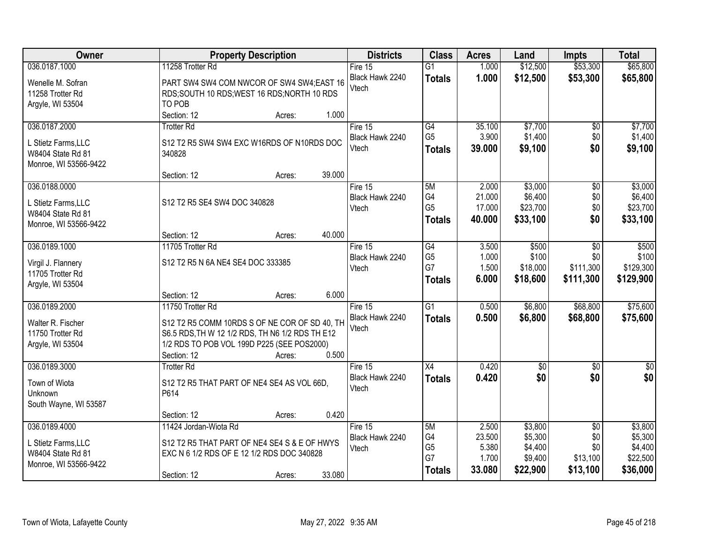| Owner                            | <b>Property Description</b>                                                  | <b>Districts</b>           | <b>Class</b>                      | <b>Acres</b>    | Land               | <b>Impts</b>    | <b>Total</b>       |
|----------------------------------|------------------------------------------------------------------------------|----------------------------|-----------------------------------|-----------------|--------------------|-----------------|--------------------|
| 036.0187.1000                    | 11258 Trotter Rd                                                             | Fire $15$                  | $\overline{G1}$                   | 1.000           | \$12,500           | \$53,300        | \$65,800           |
| Wenelle M. Sofran                | PART SW4 SW4 COM NWCOR OF SW4 SW4;EAST 16                                    | Black Hawk 2240            | <b>Totals</b>                     | 1.000           | \$12,500           | \$53,300        | \$65,800           |
| 11258 Trotter Rd                 | RDS;SOUTH 10 RDS;WEST 16 RDS;NORTH 10 RDS                                    | Vtech                      |                                   |                 |                    |                 |                    |
| Argyle, WI 53504                 | TO POB                                                                       |                            |                                   |                 |                    |                 |                    |
|                                  | Section: 12<br>1.000<br>Acres:                                               |                            |                                   |                 |                    |                 |                    |
| 036.0187.2000                    | <b>Trotter Rd</b>                                                            | Fire 15                    | G4                                | 35.100          | \$7,700            | $\overline{50}$ | \$7,700            |
| L Stietz Farms, LLC              | S12 T2 R5 SW4 SW4 EXC W16RDS OF N10RDS DOC                                   | Black Hawk 2240<br>Vtech   | G <sub>5</sub>                    | 3.900           | \$1,400            | \$0             | \$1,400            |
| W8404 State Rd 81                | 340828                                                                       |                            | <b>Totals</b>                     | 39.000          | \$9,100            | \$0             | \$9,100            |
| Monroe, WI 53566-9422            |                                                                              |                            |                                   |                 |                    |                 |                    |
|                                  | 39.000<br>Section: 12<br>Acres:                                              |                            |                                   |                 |                    |                 |                    |
| 036.0188.0000                    |                                                                              | Fire 15                    | 5M<br>G4                          | 2.000<br>21.000 | \$3,000<br>\$6,400 | \$0             | \$3,000<br>\$6,400 |
| L Stietz Farms, LLC              | S12 T2 R5 SE4 SW4 DOC 340828                                                 | Black Hawk 2240<br>Vtech   | G <sub>5</sub>                    | 17.000          | \$23,700           | \$0<br>\$0      | \$23,700           |
| W8404 State Rd 81                |                                                                              |                            | <b>Totals</b>                     | 40.000          | \$33,100           | \$0             | \$33,100           |
| Monroe, WI 53566-9422            |                                                                              |                            |                                   |                 |                    |                 |                    |
| 036.0189.1000                    | 40.000<br>Section: 12<br>Acres:                                              |                            |                                   |                 |                    |                 |                    |
|                                  | 11705 Trotter Rd                                                             | Fire 15<br>Black Hawk 2240 | $\overline{G4}$<br>G <sub>5</sub> | 3.500<br>1.000  | \$500<br>\$100     | \$0<br>\$0      | \$500<br>\$100     |
| Virgil J. Flannery               | S12 T2 R5 N 6A NE4 SE4 DOC 333385                                            | Vtech                      | G7                                | 1.500           | \$18,000           | \$111,300       | \$129,300          |
| 11705 Trotter Rd                 |                                                                              |                            | <b>Totals</b>                     | 6.000           | \$18,600           | \$111,300       | \$129,900          |
| Argyle, WI 53504                 | 6.000<br>Section: 12                                                         |                            |                                   |                 |                    |                 |                    |
| 036.0189.2000                    | Acres:<br>11750 Trotter Rd                                                   | Fire 15                    | $\overline{G1}$                   | 0.500           | \$6,800            | \$68,800        | \$75,600           |
|                                  |                                                                              | Black Hawk 2240            | <b>Totals</b>                     | 0.500           | \$6,800            | \$68,800        | \$75,600           |
| Walter R. Fischer                | S12 T2 R5 COMM 10RDS S OF NE COR OF SD 40, TH                                | Vtech                      |                                   |                 |                    |                 |                    |
| 11750 Trotter Rd                 | S6.5 RDS, TH W 12 1/2 RDS, TH N6 1/2 RDS TH E12                              |                            |                                   |                 |                    |                 |                    |
| Argyle, WI 53504                 | 1/2 RDS TO POB VOL 199D P225 (SEE POS2000)<br>0.500<br>Section: 12<br>Acres: |                            |                                   |                 |                    |                 |                    |
| 036.0189.3000                    | <b>Trotter Rd</b>                                                            | Fire $15$                  | $\overline{X4}$                   | 0.420           | $\overline{50}$    | $\overline{30}$ | $\overline{\$0}$   |
|                                  |                                                                              | Black Hawk 2240            | <b>Totals</b>                     | 0.420           | \$0                | \$0             | \$0                |
| Town of Wiota                    | S12 T2 R5 THAT PART OF NE4 SE4 AS VOL 66D,<br>P614                           | Vtech                      |                                   |                 |                    |                 |                    |
| Unknown<br>South Wayne, WI 53587 |                                                                              |                            |                                   |                 |                    |                 |                    |
|                                  | 0.420<br>Section: 12<br>Acres:                                               |                            |                                   |                 |                    |                 |                    |
| 036.0189.4000                    | 11424 Jordan-Wiota Rd                                                        | Fire $15$                  | 5M                                | 2.500           | \$3,800            | $\overline{30}$ | \$3,800            |
| L Stietz Farms, LLC              | S12 T2 R5 THAT PART OF NE4 SE4 S & E OF HWYS                                 | Black Hawk 2240            | G4                                | 23.500          | \$5,300            | \$0             | \$5,300            |
| W8404 State Rd 81                | EXC N 6 1/2 RDS OF E 12 1/2 RDS DOC 340828                                   | Vtech                      | G <sub>5</sub>                    | 5.380           | \$4,400            | \$0             | \$4,400            |
| Monroe, WI 53566-9422            |                                                                              |                            | G7                                | 1.700           | \$9,400            | \$13,100        | \$22,500           |
|                                  | 33.080<br>Section: 12<br>Acres:                                              |                            | <b>Totals</b>                     | 33.080          | \$22,900           | \$13,100        | \$36,000           |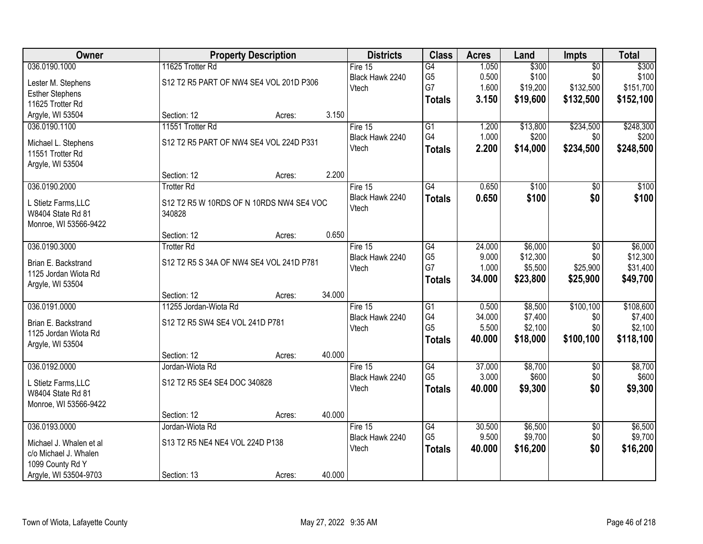| Owner                   |                                          | <b>Property Description</b> |        | <b>Districts</b>             | <b>Class</b>                      | <b>Acres</b> | Land               | Impts                  | <b>Total</b>       |
|-------------------------|------------------------------------------|-----------------------------|--------|------------------------------|-----------------------------------|--------------|--------------------|------------------------|--------------------|
| 036.0190.1000           | 11625 Trotter Rd                         |                             |        | Fire $15$                    | G4                                | 1.050        | \$300              | $\overline{50}$        | \$300              |
| Lester M. Stephens      | S12 T2 R5 PART OF NW4 SE4 VOL 201D P306  |                             |        | Black Hawk 2240              | G <sub>5</sub>                    | 0.500        | \$100              | \$0                    | \$100              |
| <b>Esther Stephens</b>  |                                          |                             |        | Vtech                        | G7                                | 1.600        | \$19,200           | \$132,500              | \$151,700          |
| 11625 Trotter Rd        |                                          |                             |        |                              | <b>Totals</b>                     | 3.150        | \$19,600           | \$132,500              | \$152,100          |
| Argyle, WI 53504        | Section: 12                              | Acres:                      | 3.150  |                              |                                   |              |                    |                        |                    |
| 036.0190.1100           | 11551 Trotter Rd                         |                             |        | Fire $15$                    | $\overline{G1}$                   | 1.200        | \$13,800           | \$234,500              | \$248,300          |
| Michael L. Stephens     | S12 T2 R5 PART OF NW4 SE4 VOL 224D P331  |                             |        | Black Hawk 2240              | G4                                | 1.000        | \$200              | \$0                    | \$200              |
| 11551 Trotter Rd        |                                          |                             |        | Vtech                        | <b>Totals</b>                     | 2.200        | \$14,000           | \$234,500              | \$248,500          |
| Argyle, WI 53504        |                                          |                             |        |                              |                                   |              |                    |                        |                    |
|                         | Section: 12                              | Acres:                      | 2.200  |                              |                                   |              |                    |                        |                    |
| 036.0190.2000           | <b>Trotter Rd</b>                        |                             |        | Fire 15                      | $\overline{G4}$                   | 0.650        | \$100              | \$0                    | \$100              |
| L Stietz Farms, LLC     | S12 T2 R5 W 10RDS OF N 10RDS NW4 SE4 VOC |                             |        | Black Hawk 2240              | <b>Totals</b>                     | 0.650        | \$100              | \$0                    | \$100              |
| W8404 State Rd 81       | 340828                                   |                             |        | Vtech                        |                                   |              |                    |                        |                    |
| Monroe, WI 53566-9422   |                                          |                             |        |                              |                                   |              |                    |                        |                    |
|                         | Section: 12                              | Acres:                      | 0.650  |                              |                                   |              |                    |                        |                    |
| 036.0190.3000           | <b>Trotter Rd</b>                        |                             |        | Fire 15                      | G4                                | 24.000       | \$6,000            | \$0                    | \$6,000            |
| Brian E. Backstrand     | S12 T2 R5 S 34A OF NW4 SE4 VOL 241D P781 |                             |        | Black Hawk 2240              | G <sub>5</sub>                    | 9.000        | \$12,300           | \$0                    | \$12,300           |
| 1125 Jordan Wiota Rd    |                                          |                             |        | Vtech                        | G7                                | 1.000        | \$5,500            | \$25,900               | \$31,400           |
| Argyle, WI 53504        |                                          |                             |        |                              | <b>Totals</b>                     | 34.000       | \$23,800           | \$25,900               | \$49,700           |
|                         | Section: 12                              | Acres:                      | 34.000 |                              |                                   |              |                    |                        |                    |
| 036.0191.0000           | 11255 Jordan-Wiota Rd                    |                             |        | Fire $15$                    | $\overline{G1}$                   | 0.500        | \$8,500            | \$100,100              | \$108,600          |
|                         |                                          |                             |        | Black Hawk 2240              | G4                                | 34.000       | \$7,400            | \$0                    | \$7,400            |
| Brian E. Backstrand     | S12 T2 R5 SW4 SE4 VOL 241D P781          |                             |        | Vtech                        | G <sub>5</sub>                    | 5.500        | \$2,100            | \$0                    | \$2,100            |
| 1125 Jordan Wiota Rd    |                                          |                             |        |                              | <b>Totals</b>                     | 40.000       | \$18,000           | \$100,100              | \$118,100          |
| Argyle, WI 53504        | Section: 12                              | Acres:                      | 40.000 |                              |                                   |              |                    |                        |                    |
| 036.0192.0000           | Jordan-Wiota Rd                          |                             |        | Fire $15$                    | G4                                | 37.000       | \$8,700            | $\overline{50}$        | \$8,700            |
|                         |                                          |                             |        | Black Hawk 2240              | G <sub>5</sub>                    | 3.000        | \$600              | \$0                    | \$600              |
| L Stietz Farms, LLC     | S12 T2 R5 SE4 SE4 DOC 340828             |                             |        | Vtech                        | <b>Totals</b>                     | 40.000       | \$9,300            | \$0                    | \$9,300            |
| W8404 State Rd 81       |                                          |                             |        |                              |                                   |              |                    |                        |                    |
| Monroe, WI 53566-9422   |                                          |                             |        |                              |                                   |              |                    |                        |                    |
|                         | Section: 12                              | Acres:                      | 40.000 |                              |                                   | 30.500       |                    |                        |                    |
| 036.0193.0000           | Jordan-Wiota Rd                          |                             |        | Fire $15$<br>Black Hawk 2240 | $\overline{G4}$<br>G <sub>5</sub> | 9.500        | \$6,500<br>\$9,700 | $\overline{50}$<br>\$0 | \$6,500<br>\$9,700 |
| Michael J. Whalen et al | S13 T2 R5 NE4 NE4 VOL 224D P138          |                             |        | Vtech                        |                                   | 40.000       | \$16,200           | \$0                    | \$16,200           |
| c/o Michael J. Whalen   |                                          |                             |        |                              | <b>Totals</b>                     |              |                    |                        |                    |
| 1099 County Rd Y        |                                          |                             |        |                              |                                   |              |                    |                        |                    |
| Argyle, WI 53504-9703   | Section: 13                              | Acres:                      | 40.000 |                              |                                   |              |                    |                        |                    |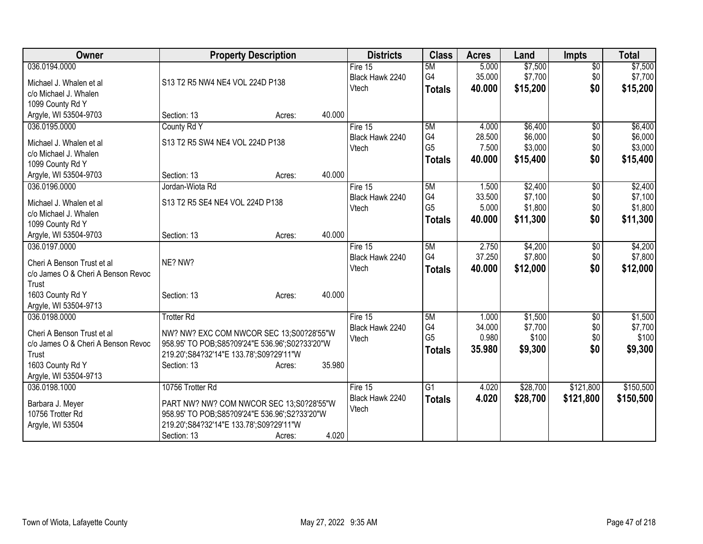| Owner                                                            | <b>Property Description</b>                                                                  |        |        | <b>Districts</b> | <b>Class</b>    | <b>Acres</b> | Land     | <b>Impts</b>    | <b>Total</b> |
|------------------------------------------------------------------|----------------------------------------------------------------------------------------------|--------|--------|------------------|-----------------|--------------|----------|-----------------|--------------|
| 036.0194.0000                                                    |                                                                                              |        |        | Fire 15          | 5M              | 5.000        | \$7,500  | $\overline{50}$ | \$7,500      |
| Michael J. Whalen et al                                          | S13 T2 R5 NW4 NE4 VOL 224D P138                                                              |        |        | Black Hawk 2240  | G4              | 35.000       | \$7,700  | \$0             | \$7,700      |
| c/o Michael J. Whalen                                            |                                                                                              |        |        | Vtech            | <b>Totals</b>   | 40.000       | \$15,200 | \$0             | \$15,200     |
| 1099 County Rd Y                                                 |                                                                                              |        |        |                  |                 |              |          |                 |              |
| Argyle, WI 53504-9703                                            | Section: 13                                                                                  | Acres: | 40.000 |                  |                 |              |          |                 |              |
| 036.0195.0000                                                    | County Rd Y                                                                                  |        |        | Fire 15          | 5M              | 4.000        | \$6,400  | \$0             | \$6,400      |
| Michael J. Whalen et al                                          | S13 T2 R5 SW4 NE4 VOL 224D P138                                                              |        |        | Black Hawk 2240  | G <sub>4</sub>  | 28.500       | \$6,000  | \$0             | \$6,000      |
| c/o Michael J. Whalen                                            |                                                                                              |        |        | Vtech            | G <sub>5</sub>  | 7.500        | \$3,000  | \$0             | \$3,000      |
| 1099 County Rd Y                                                 |                                                                                              |        |        |                  | <b>Totals</b>   | 40.000       | \$15,400 | \$0             | \$15,400     |
| Argyle, WI 53504-9703                                            | Section: 13                                                                                  | Acres: | 40.000 |                  |                 |              |          |                 |              |
| 036.0196.0000                                                    | Jordan-Wiota Rd                                                                              |        |        | Fire 15          | 5M              | 1.500        | \$2,400  | $\sqrt{6}$      | \$2,400      |
| Michael J. Whalen et al                                          | S13 T2 R5 SE4 NE4 VOL 224D P138                                                              |        |        | Black Hawk 2240  | G4              | 33.500       | \$7,100  | \$0             | \$7,100      |
| c/o Michael J. Whalen                                            |                                                                                              |        |        | Vtech            | G <sub>5</sub>  | 5.000        | \$1,800  | \$0             | \$1,800      |
| 1099 County Rd Y                                                 |                                                                                              |        |        |                  | <b>Totals</b>   | 40.000       | \$11,300 | \$0             | \$11,300     |
| Argyle, WI 53504-9703                                            | Section: 13                                                                                  | Acres: | 40.000 |                  |                 |              |          |                 |              |
| 036.0197.0000                                                    |                                                                                              |        |        | Fire 15          | 5M              | 2.750        | \$4,200  | \$0             | \$4,200      |
|                                                                  | NE? NW?                                                                                      |        |        | Black Hawk 2240  | G <sub>4</sub>  | 37.250       | \$7,800  | \$0             | \$7,800      |
| Cheri A Benson Trust et al<br>c/o James O & Cheri A Benson Revoc |                                                                                              |        |        | Vtech            | <b>Totals</b>   | 40.000       | \$12,000 | \$0             | \$12,000     |
| Trust                                                            |                                                                                              |        |        |                  |                 |              |          |                 |              |
| 1603 County Rd Y                                                 | Section: 13                                                                                  | Acres: | 40.000 |                  |                 |              |          |                 |              |
| Argyle, WI 53504-9713                                            |                                                                                              |        |        |                  |                 |              |          |                 |              |
| 036.0198.0000                                                    | <b>Trotter Rd</b>                                                                            |        |        | Fire 15          | 5M              | 1.000        | \$1,500  | \$0             | \$1,500      |
| Cheri A Benson Trust et al                                       |                                                                                              |        |        | Black Hawk 2240  | G4              | 34.000       | \$7,700  | \$0             | \$7,700      |
| c/o James O & Cheri A Benson Revoc                               | NW? NW? EXC COM NWCOR SEC 13;S00?28'55"W<br>958.95' TO POB; S85?09'24"E 536.96'; S02?33'20"W |        |        | Vtech            | G <sub>5</sub>  | 0.980        | \$100    | \$0             | \$100        |
| Trust                                                            | 219.20';S84?32'14"E 133.78';S09?29'11"W                                                      |        |        |                  | <b>Totals</b>   | 35.980       | \$9,300  | \$0             | \$9,300      |
| 1603 County Rd Y                                                 | Section: 13                                                                                  | Acres: | 35.980 |                  |                 |              |          |                 |              |
| Argyle, WI 53504-9713                                            |                                                                                              |        |        |                  |                 |              |          |                 |              |
| 036.0198.1000                                                    | 10756 Trotter Rd                                                                             |        |        | Fire 15          | $\overline{G1}$ | 4.020        | \$28,700 | \$121,800       | \$150,500    |
| Barbara J. Meyer                                                 | PART NW? NW? COM NWCOR SEC 13;S0?28'55"W                                                     |        |        | Black Hawk 2240  | <b>Totals</b>   | 4.020        | \$28,700 | \$121,800       | \$150,500    |
| 10756 Trotter Rd                                                 | 958.95' TO POB; S85?09'24"E 536.96'; S2?33'20"W                                              |        |        | Vtech            |                 |              |          |                 |              |
| Argyle, WI 53504                                                 | 219.20';S84?32'14"E 133.78';S09?29'11"W                                                      |        |        |                  |                 |              |          |                 |              |
|                                                                  | Section: 13                                                                                  | Acres: | 4.020  |                  |                 |              |          |                 |              |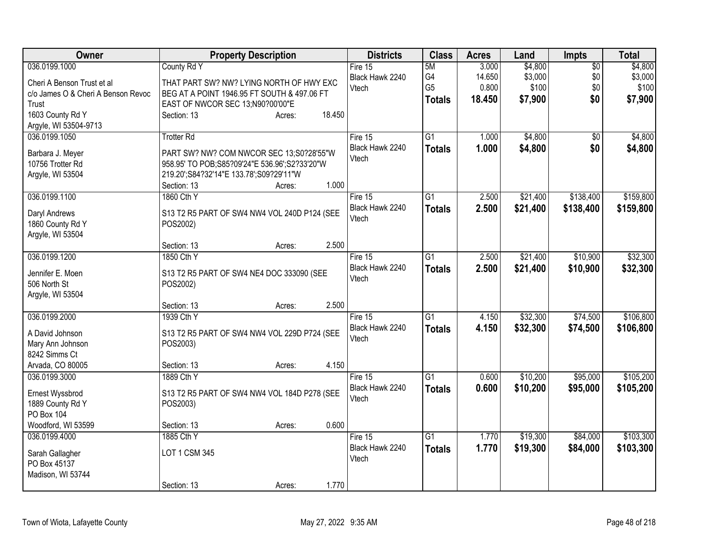| Owner                              | <b>Property Description</b>                     | <b>Districts</b> | <b>Class</b>    | <b>Acres</b> | Land     | Impts           | <b>Total</b> |
|------------------------------------|-------------------------------------------------|------------------|-----------------|--------------|----------|-----------------|--------------|
| 036.0199.1000                      | County Rd Y                                     | Fire $15$        | 5M              | 3.000        | \$4,800  | $\overline{30}$ | \$4,800      |
| Cheri A Benson Trust et al         | THAT PART SW? NW? LYING NORTH OF HWY EXC        | Black Hawk 2240  | G4              | 14.650       | \$3,000  | \$0             | \$3,000      |
| c/o James O & Cheri A Benson Revoc | BEG AT A POINT 1946.95 FT SOUTH & 497.06 FT     | Vtech            | G <sub>5</sub>  | 0.800        | \$100    | \$0             | \$100        |
| Trust                              | EAST OF NWCOR SEC 13;N90?00'00"E                |                  | <b>Totals</b>   | 18.450       | \$7,900  | \$0             | \$7,900      |
| 1603 County Rd Y                   | 18.450<br>Section: 13<br>Acres:                 |                  |                 |              |          |                 |              |
| Argyle, WI 53504-9713              |                                                 |                  |                 |              |          |                 |              |
| 036.0199.1050                      | <b>Trotter Rd</b>                               | Fire 15          | G1              | 1.000        | \$4,800  | $\overline{50}$ | \$4,800      |
| Barbara J. Meyer                   | PART SW? NW? COM NWCOR SEC 13;S0?28'55"W        | Black Hawk 2240  | <b>Totals</b>   | 1.000        | \$4,800  | \$0             | \$4,800      |
| 10756 Trotter Rd                   | 958.95' TO POB; S85?09'24"E 536.96'; S2?33'20"W | Vtech            |                 |              |          |                 |              |
| Argyle, WI 53504                   | 219.20';S84?32'14"E 133.78';S09?29'11"W         |                  |                 |              |          |                 |              |
|                                    | Section: 13<br>Acres:                           | 1.000            |                 |              |          |                 |              |
| 036.0199.1100                      | 1860 Cth Y                                      | Fire 15          | $\overline{G1}$ | 2.500        | \$21,400 | \$138,400       | \$159,800    |
|                                    |                                                 | Black Hawk 2240  | <b>Totals</b>   | 2.500        | \$21,400 | \$138,400       | \$159,800    |
| Daryl Andrews                      | S13 T2 R5 PART OF SW4 NW4 VOL 240D P124 (SEE    | Vtech            |                 |              |          |                 |              |
| 1860 County Rd Y                   | POS2002)                                        |                  |                 |              |          |                 |              |
| Argyle, WI 53504                   | Section: 13<br>Acres:                           | 2.500            |                 |              |          |                 |              |
| 036.0199.1200                      | 1850 Cth Y                                      | Fire 15          | $\overline{G1}$ | 2.500        | \$21,400 | \$10,900        | \$32,300     |
|                                    |                                                 | Black Hawk 2240  |                 | 2.500        | \$21,400 | \$10,900        | \$32,300     |
| Jennifer E. Moen                   | S13 T2 R5 PART OF SW4 NE4 DOC 333090 (SEE       | Vtech            | <b>Totals</b>   |              |          |                 |              |
| 506 North St                       | POS2002)                                        |                  |                 |              |          |                 |              |
| Argyle, WI 53504                   |                                                 |                  |                 |              |          |                 |              |
|                                    | Section: 13<br>Acres:                           | 2.500            |                 |              |          |                 |              |
| 036.0199.2000                      | 1939 Cth Y                                      | Fire 15          | $\overline{G1}$ | 4.150        | \$32,300 | \$74,500        | \$106,800    |
| A David Johnson                    | S13 T2 R5 PART OF SW4 NW4 VOL 229D P724 (SEE    | Black Hawk 2240  | <b>Totals</b>   | 4.150        | \$32,300 | \$74,500        | \$106,800    |
| Mary Ann Johnson                   | POS2003)                                        | Vtech            |                 |              |          |                 |              |
| 8242 Simms Ct                      |                                                 |                  |                 |              |          |                 |              |
| Arvada, CO 80005                   | Section: 13<br>Acres:                           | 4.150            |                 |              |          |                 |              |
| 036.0199.3000                      | 1889 Cth Y                                      | Fire 15          | $\overline{G1}$ | 0.600        | \$10,200 | \$95,000        | \$105,200    |
| Ernest Wyssbrod                    | S13 T2 R5 PART OF SW4 NW4 VOL 184D P278 (SEE    | Black Hawk 2240  | <b>Totals</b>   | 0.600        | \$10,200 | \$95,000        | \$105,200    |
| 1889 County Rd Y                   | POS2003)                                        | Vtech            |                 |              |          |                 |              |
| PO Box 104                         |                                                 |                  |                 |              |          |                 |              |
| Woodford, WI 53599                 | Section: 13<br>Acres:                           | 0.600            |                 |              |          |                 |              |
| 036.0199.4000                      | 1885 Cth Y                                      | Fire $15$        | $\overline{G1}$ | 1.770        | \$19,300 | \$84,000        | \$103,300    |
|                                    | LOT 1 CSM 345                                   | Black Hawk 2240  | <b>Totals</b>   | 1.770        | \$19,300 | \$84,000        | \$103,300    |
| Sarah Gallagher<br>PO Box 45137    |                                                 | Vtech            |                 |              |          |                 |              |
| Madison, WI 53744                  |                                                 |                  |                 |              |          |                 |              |
|                                    | Section: 13<br>Acres:                           | 1.770            |                 |              |          |                 |              |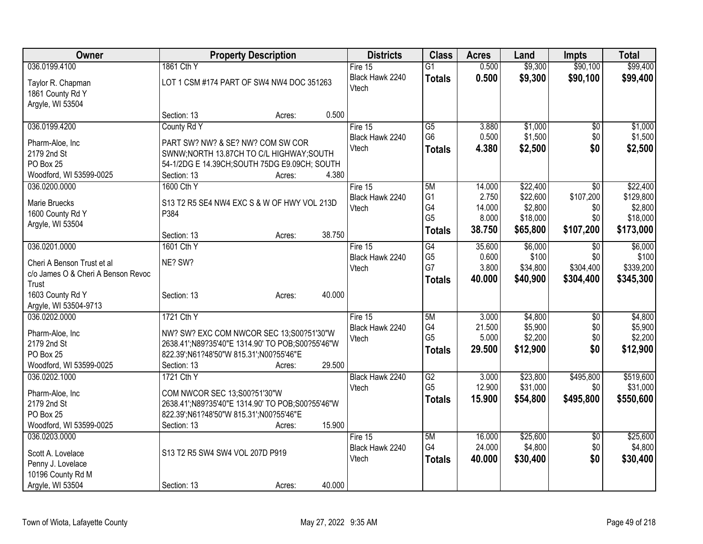| Owner                              |                                                  | <b>Property Description</b> |        | <b>Districts</b> | <b>Class</b>    | <b>Acres</b> | Land     | <b>Impts</b> | <b>Total</b> |
|------------------------------------|--------------------------------------------------|-----------------------------|--------|------------------|-----------------|--------------|----------|--------------|--------------|
| 036.0199.4100                      | 1861 Cth Y                                       |                             |        | Fire 15          | $\overline{G1}$ | 0.500        | \$9,300  | \$90,100     | \$99,400     |
| Taylor R. Chapman                  | LOT 1 CSM #174 PART OF SW4 NW4 DOC 351263        |                             |        | Black Hawk 2240  | <b>Totals</b>   | 0.500        | \$9,300  | \$90,100     | \$99,400     |
| 1861 County Rd Y                   |                                                  |                             |        | Vtech            |                 |              |          |              |              |
| Argyle, WI 53504                   |                                                  |                             |        |                  |                 |              |          |              |              |
|                                    | Section: 13                                      | Acres:                      | 0.500  |                  |                 |              |          |              |              |
| 036.0199.4200                      | County Rd Y                                      |                             |        | Fire 15          | $\overline{G5}$ | 3.880        | \$1,000  | \$0          | \$1,000      |
| Pharm-Aloe, Inc                    | PART SW? NW? & SE? NW? COM SW COR                |                             |        | Black Hawk 2240  | G <sub>6</sub>  | 0.500        | \$1,500  | \$0          | \$1,500      |
| 2179 2nd St                        | SWNW;NORTH 13.87CH TO C/L HIGHWAY;SOUTH          |                             |        | Vtech            | <b>Totals</b>   | 4.380        | \$2,500  | \$0          | \$2,500      |
| PO Box 25                          | 54-1/2DG E 14.39CH; SOUTH 75DG E9.09CH; SOUTH    |                             |        |                  |                 |              |          |              |              |
| Woodford, WI 53599-0025            | Section: 13                                      | Acres:                      | 4.380  |                  |                 |              |          |              |              |
| 036.0200.0000                      | 1600 Cth Y                                       |                             |        | Fire 15          | 5M              | 14.000       | \$22,400 | \$0          | \$22,400     |
|                                    |                                                  |                             |        | Black Hawk 2240  | G <sub>1</sub>  | 2.750        | \$22,600 | \$107,200    | \$129,800    |
| Marie Bruecks                      | S13 T2 R5 SE4 NW4 EXC S & W OF HWY VOL 213D      |                             |        | Vtech            | G4              | 14.000       | \$2,800  | \$0          | \$2,800      |
| 1600 County Rd Y                   | P384                                             |                             |        |                  | G <sub>5</sub>  | 8.000        | \$18,000 | \$0          | \$18,000     |
| Argyle, WI 53504                   |                                                  |                             | 38.750 |                  | <b>Totals</b>   | 38.750       | \$65,800 | \$107,200    | \$173,000    |
| 036.0201.0000                      | Section: 13<br>1601 Cth Y                        | Acres:                      |        | Fire 15          | G4              | 35.600       | \$6,000  | \$0          | \$6,000      |
|                                    |                                                  |                             |        | Black Hawk 2240  | G <sub>5</sub>  | 0.600        | \$100    | \$0          | \$100        |
| Cheri A Benson Trust et al         | NE? SW?                                          |                             |        | Vtech            | G7              | 3.800        | \$34,800 | \$304,400    | \$339,200    |
| c/o James O & Cheri A Benson Revoc |                                                  |                             |        |                  | <b>Totals</b>   | 40,000       | \$40,900 | \$304,400    | \$345,300    |
| Trust                              |                                                  |                             |        |                  |                 |              |          |              |              |
| 1603 County Rd Y                   | Section: 13                                      | Acres:                      | 40.000 |                  |                 |              |          |              |              |
| Argyle, WI 53504-9713              |                                                  |                             |        |                  |                 |              |          |              |              |
| 036.0202.0000                      | 1721 Cth Y                                       |                             |        | Fire 15          | 5M              | 3.000        | \$4,800  | \$0          | \$4,800      |
| Pharm-Aloe, Inc                    | NW? SW? EXC COM NWCOR SEC 13;S00?51'30"W         |                             |        | Black Hawk 2240  | G4              | 21.500       | \$5,900  | \$0          | \$5,900      |
| 2179 2nd St                        | 2638.41';N89?35'40"E 1314.90' TO POB;S00?55'46"W |                             |        | Vtech            | G <sub>5</sub>  | 5.000        | \$2,200  | \$0          | \$2,200      |
| PO Box 25                          | 822.39';N61?48'50"W 815.31';N00?55'46"E          |                             |        |                  | <b>Totals</b>   | 29.500       | \$12,900 | \$0          | \$12,900     |
| Woodford, WI 53599-0025            | Section: 13                                      | Acres:                      | 29.500 |                  |                 |              |          |              |              |
| 036.0202.1000                      | 1721 Cth Y                                       |                             |        | Black Hawk 2240  | G2              | 3.000        | \$23,800 | \$495,800    | \$519,600    |
| Pharm-Aloe, Inc                    | COM NWCOR SEC 13;S00?51'30"W                     |                             |        | Vtech            | G <sub>5</sub>  | 12.900       | \$31,000 | \$0          | \$31,000     |
| 2179 2nd St                        | 2638.41';N89?35'40"E 1314.90' TO POB;S00?55'46"W |                             |        |                  | <b>Totals</b>   | 15.900       | \$54,800 | \$495,800    | \$550,600    |
| PO Box 25                          | 822.39';N61?48'50"W 815.31';N00?55'46"E          |                             |        |                  |                 |              |          |              |              |
| Woodford, WI 53599-0025            | Section: 13                                      | Acres:                      | 15.900 |                  |                 |              |          |              |              |
| 036.0203.0000                      |                                                  |                             |        | Fire 15          | 5M              | 16.000       | \$25,600 | \$0          | \$25,600     |
|                                    |                                                  |                             |        | Black Hawk 2240  | G4              | 24.000       | \$4,800  | \$0          | \$4,800      |
| Scott A. Lovelace                  | S13 T2 R5 SW4 SW4 VOL 207D P919                  |                             |        | Vtech            | <b>Totals</b>   | 40.000       | \$30,400 | \$0          | \$30,400     |
| Penny J. Lovelace                  |                                                  |                             |        |                  |                 |              |          |              |              |
| 10196 County Rd M                  |                                                  |                             |        |                  |                 |              |          |              |              |
| Argyle, WI 53504                   | Section: 13                                      | Acres:                      | 40.000 |                  |                 |              |          |              |              |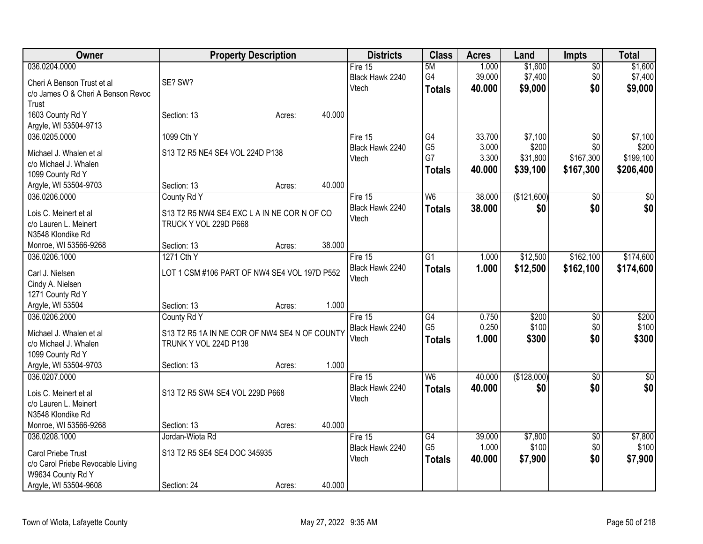| Owner                                  | <b>Property Description</b>                   |        |        | <b>Districts</b>           | <b>Class</b>    | <b>Acres</b> | Land        | <b>Impts</b>    | <b>Total</b> |
|----------------------------------------|-----------------------------------------------|--------|--------|----------------------------|-----------------|--------------|-------------|-----------------|--------------|
| 036.0204.0000                          |                                               |        |        | Fire 15                    | 5M              | 1.000        | \$1,600     | $\sqrt{$0}$     | \$1,600      |
| Cheri A Benson Trust et al             | SE? SW?                                       |        |        | Black Hawk 2240            | G4              | 39.000       | \$7,400     | \$0             | \$7,400      |
| c/o James O & Cheri A Benson Revoc     |                                               |        |        | Vtech                      | <b>Totals</b>   | 40.000       | \$9,000     | \$0             | \$9,000      |
| Trust                                  |                                               |        |        |                            |                 |              |             |                 |              |
| 1603 County Rd Y                       | Section: 13                                   | Acres: | 40.000 |                            |                 |              |             |                 |              |
| Argyle, WI 53504-9713                  |                                               |        |        |                            |                 |              |             |                 |              |
| 036.0205.0000                          | 1099 Cth Y                                    |        |        | Fire 15                    | G4              | 33.700       | \$7,100     | $\overline{60}$ | \$7,100      |
|                                        |                                               |        |        | Black Hawk 2240            | G <sub>5</sub>  | 3.000        | \$200       | \$0             | \$200        |
| Michael J. Whalen et al                | S13 T2 R5 NE4 SE4 VOL 224D P138               |        |        | Vtech                      | G7              | 3.300        | \$31,800    | \$167,300       | \$199,100    |
| c/o Michael J. Whalen                  |                                               |        |        |                            | <b>Totals</b>   | 40.000       | \$39,100    | \$167,300       | \$206,400    |
| 1099 County Rd Y                       | Section: 13                                   | Acres: | 40.000 |                            |                 |              |             |                 |              |
| Argyle, WI 53504-9703<br>036.0206.0000 |                                               |        |        |                            | W <sub>6</sub>  | 38.000       | (\$121,600) |                 |              |
|                                        | County Rd Y                                   |        |        | Fire 15<br>Black Hawk 2240 |                 |              |             | $\sqrt{6}$      | \$0          |
| Lois C. Meinert et al                  | S13 T2 R5 NW4 SE4 EXC L A IN NE COR N OF CO   |        |        | Vtech                      | <b>Totals</b>   | 38.000       | \$0         | \$0             | \$0          |
| c/o Lauren L. Meinert                  | TRUCK Y VOL 229D P668                         |        |        |                            |                 |              |             |                 |              |
| N3548 Klondike Rd                      |                                               |        |        |                            |                 |              |             |                 |              |
| Monroe, WI 53566-9268                  | Section: 13                                   | Acres: | 38.000 |                            |                 |              |             |                 |              |
| 036.0206.1000                          | 1271 Cth Y                                    |        |        | Fire 15                    | $\overline{G1}$ | 1.000        | \$12,500    | \$162,100       | \$174,600    |
| Carl J. Nielsen                        | LOT 1 CSM #106 PART OF NW4 SE4 VOL 197D P552  |        |        | Black Hawk 2240            | <b>Totals</b>   | 1.000        | \$12,500    | \$162,100       | \$174,600    |
| Cindy A. Nielsen                       |                                               |        |        | Vtech                      |                 |              |             |                 |              |
| 1271 County Rd Y                       |                                               |        |        |                            |                 |              |             |                 |              |
| Argyle, WI 53504                       | Section: 13                                   | Acres: | 1.000  |                            |                 |              |             |                 |              |
| 036.0206.2000                          | County Rd Y                                   |        |        | Fire 15                    | $\overline{G4}$ | 0.750        | \$200       | \$0             | \$200        |
|                                        |                                               |        |        | Black Hawk 2240            | G <sub>5</sub>  | 0.250        | \$100       | \$0             | \$100        |
| Michael J. Whalen et al                | S13 T2 R5 1A IN NE COR OF NW4 SE4 N OF COUNTY |        |        | Vtech                      | <b>Totals</b>   | 1.000        | \$300       | \$0             | \$300        |
| c/o Michael J. Whalen                  | TRUNK Y VOL 224D P138                         |        |        |                            |                 |              |             |                 |              |
| 1099 County Rd Y                       |                                               |        |        |                            |                 |              |             |                 |              |
| Argyle, WI 53504-9703                  | Section: 13                                   | Acres: | 1.000  |                            |                 |              |             |                 |              |
| 036.0207.0000                          |                                               |        |        | Fire 15                    | $\overline{W6}$ | 40.000       | (\$128,000) | $\overline{50}$ | $\sqrt{50}$  |
| Lois C. Meinert et al                  | S13 T2 R5 SW4 SE4 VOL 229D P668               |        |        | Black Hawk 2240            | <b>Totals</b>   | 40.000       | \$0         | \$0             | \$0          |
| c/o Lauren L. Meinert                  |                                               |        |        | Vtech                      |                 |              |             |                 |              |
| N3548 Klondike Rd                      |                                               |        |        |                            |                 |              |             |                 |              |
| Monroe, WI 53566-9268                  | Section: 13                                   | Acres: | 40.000 |                            |                 |              |             |                 |              |
| 036.0208.1000                          | Jordan-Wiota Rd                               |        |        | Fire 15                    | G4              | 39.000       | \$7,800     | $\sqrt{6}$      | \$7,800      |
|                                        |                                               |        |        | Black Hawk 2240            | G <sub>5</sub>  | 1.000        | \$100       | \$0             | \$100        |
| Carol Priebe Trust                     | S13 T2 R5 SE4 SE4 DOC 345935                  |        |        | Vtech                      | <b>Totals</b>   | 40.000       | \$7,900     | \$0             | \$7,900      |
| c/o Carol Priebe Revocable Living      |                                               |        |        |                            |                 |              |             |                 |              |
| W9634 County Rd Y                      |                                               |        | 40.000 |                            |                 |              |             |                 |              |
| Argyle, WI 53504-9608                  | Section: 24                                   | Acres: |        |                            |                 |              |             |                 |              |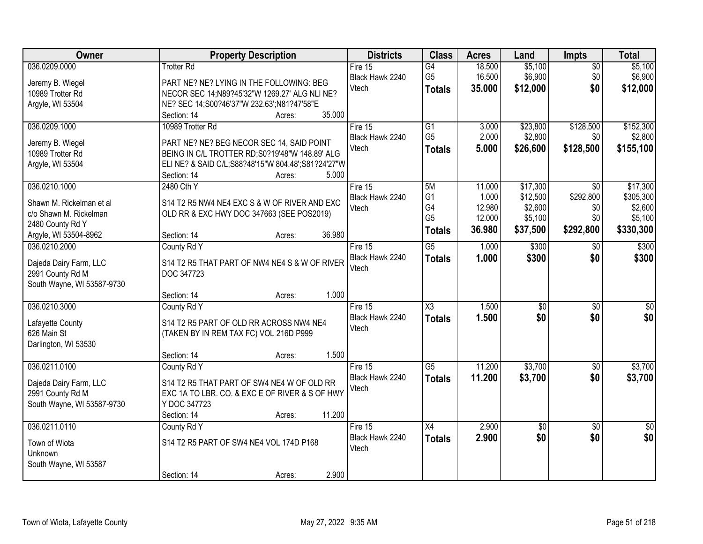| Owner                                                                                                            | <b>Property Description</b>                                                                                                                                                                             | <b>Districts</b>                      | <b>Class</b>                                                  | <b>Acres</b>                                  | Land                                                   | Impts                                                   | <b>Total</b>                                             |
|------------------------------------------------------------------------------------------------------------------|---------------------------------------------------------------------------------------------------------------------------------------------------------------------------------------------------------|---------------------------------------|---------------------------------------------------------------|-----------------------------------------------|--------------------------------------------------------|---------------------------------------------------------|----------------------------------------------------------|
| 036.0209.0000<br>Jeremy B. Wiegel<br>10989 Trotter Rd<br>Argyle, WI 53504                                        | <b>Trotter Rd</b><br>PART NE? NE? LYING IN THE FOLLOWING: BEG<br>NECOR SEC 14:N89?45'32"W 1269.27' ALG NLI NE?<br>NE? SEC 14;S00?46'37"W 232.63';N81?47'58"E                                            | Fire $15$<br>Black Hawk 2240<br>Vtech | G4<br>G <sub>5</sub><br><b>Totals</b>                         | 18.500<br>16.500<br>35.000                    | \$5,100<br>\$6,900<br>\$12,000                         | $\overline{50}$<br>\$0<br>\$0                           | \$5,100<br>\$6,900<br>\$12,000                           |
|                                                                                                                  | 35.000<br>Section: 14<br>Acres:                                                                                                                                                                         |                                       |                                                               |                                               |                                                        |                                                         |                                                          |
| 036.0209.1000<br>Jeremy B. Wiegel<br>10989 Trotter Rd<br>Argyle, WI 53504                                        | 10989 Trotter Rd<br>PART NE? NE? BEG NECOR SEC 14, SAID POINT<br>BEING IN C/L TROTTER RD:S0?19'48"W 148.89' ALG<br>ELI NE? & SAID C/L;S88?48'15"W 804.48';S81?24'27"W<br>Section: 14<br>5.000<br>Acres: | Fire 15<br>Black Hawk 2240<br>Vtech   | $\overline{G1}$<br>G <sub>5</sub><br><b>Totals</b>            | 3.000<br>2.000<br>5.000                       | \$23,800<br>\$2,800<br>\$26,600                        | \$128,500<br>\$0<br>\$128,500                           | \$152,300<br>\$2,800<br>\$155,100                        |
| 036.0210.1000<br>Shawn M. Rickelman et al<br>c/o Shawn M. Rickelman<br>2480 County Rd Y<br>Argyle, WI 53504-8962 | 2480 Cth Y<br>S14 T2 R5 NW4 NE4 EXC S & W OF RIVER AND EXC<br>OLD RR & EXC HWY DOC 347663 (SEE POS2019)<br>36.980<br>Section: 14<br>Acres:                                                              | Fire 15<br>Black Hawk 2240<br>Vtech   | 5M<br>G <sub>1</sub><br>G4<br>G <sub>5</sub><br><b>Totals</b> | 11.000<br>1.000<br>12.980<br>12.000<br>36.980 | \$17,300<br>\$12,500<br>\$2,600<br>\$5,100<br>\$37,500 | $\overline{50}$<br>\$292,800<br>\$0<br>\$0<br>\$292,800 | \$17,300<br>\$305,300<br>\$2,600<br>\$5,100<br>\$330,300 |
| 036.0210.2000<br>Dajeda Dairy Farm, LLC<br>2991 County Rd M<br>South Wayne, WI 53587-9730                        | County Rd Y<br>S14 T2 R5 THAT PART OF NW4 NE4 S & W OF RIVER<br>DOC 347723<br>1.000<br>Section: 14<br>Acres:                                                                                            | Fire 15<br>Black Hawk 2240<br>Vtech   | $\overline{G5}$<br><b>Totals</b>                              | 1.000<br>1.000                                | \$300<br>\$300                                         | \$0<br>\$0                                              | \$300<br>\$300                                           |
| 036.0210.3000<br>Lafayette County<br>626 Main St<br>Darlington, WI 53530                                         | County Rd Y<br>S14 T2 R5 PART OF OLD RR ACROSS NW4 NE4<br>(TAKEN BY IN REM TAX FC) VOL 216D P999<br>1.500<br>Section: 14<br>Acres:                                                                      | Fire 15<br>Black Hawk 2240<br>Vtech   | $\overline{\text{X3}}$<br><b>Totals</b>                       | 1.500<br>1.500                                | \$0<br>\$0                                             | $\overline{60}$<br>\$0                                  | \$0<br>\$0                                               |
| 036.0211.0100<br>Dajeda Dairy Farm, LLC<br>2991 County Rd M<br>South Wayne, WI 53587-9730                        | County Rd Y<br>S14 T2 R5 THAT PART OF SW4 NE4 W OF OLD RR<br>EXC 1A TO LBR. CO. & EXC E OF RIVER & S OF HWY<br>Y DOC 347723<br>11.200<br>Section: 14<br>Acres:                                          | Fire 15<br>Black Hawk 2240<br>Vtech   | G5<br><b>Totals</b>                                           | 11.200<br>11.200                              | \$3,700<br>\$3,700                                     | $\sqrt{6}$<br>\$0                                       | \$3,700<br>\$3,700                                       |
| 036.0211.0110<br>Town of Wiota<br>Unknown<br>South Wayne, WI 53587                                               | County Rd Y<br>S14 T2 R5 PART OF SW4 NE4 VOL 174D P168<br>2.900<br>Section: 14<br>Acres:                                                                                                                | Fire 15<br>Black Hawk 2240<br>Vtech   | X4<br><b>Totals</b>                                           | 2.900<br>2.900                                | $\sqrt{$0}$<br>\$0                                     | $\overline{30}$<br>\$0                                  | $\overline{50}$<br>\$0                                   |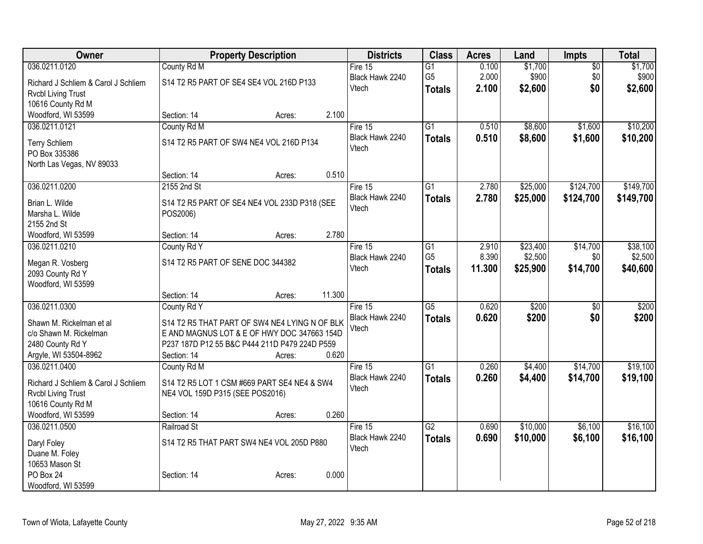| Owner                               | <b>Property Description</b>                   |        |        | <b>Districts</b> | <b>Class</b>    | <b>Acres</b> | Land     | Impts           | <b>Total</b> |
|-------------------------------------|-----------------------------------------------|--------|--------|------------------|-----------------|--------------|----------|-----------------|--------------|
| 036.0211.0120                       | County Rd M                                   |        |        | Fire 15          | $\overline{G1}$ | 0.100        | \$1,700  | $\overline{60}$ | \$1,700      |
| Richard J Schliem & Carol J Schliem | S14 T2 R5 PART OF SE4 SE4 VOL 216D P133       |        |        | Black Hawk 2240  | G <sub>5</sub>  | 2.000        | \$900    | \$0             | \$900        |
| <b>Rvcbl Living Trust</b>           |                                               |        |        | Vtech            | <b>Totals</b>   | 2.100        | \$2,600  | \$0             | \$2,600      |
| 10616 County Rd M                   |                                               |        |        |                  |                 |              |          |                 |              |
| Woodford, WI 53599                  | Section: 14                                   | Acres: | 2.100  |                  |                 |              |          |                 |              |
| 036.0211.0121                       | County Rd M                                   |        |        | Fire 15          | $\overline{G1}$ | 0.510        | \$8,600  | \$1,600         | \$10,200     |
| <b>Terry Schliem</b>                | S14 T2 R5 PART OF SW4 NE4 VOL 216D P134       |        |        | Black Hawk 2240  | <b>Totals</b>   | 0.510        | \$8,600  | \$1,600         | \$10,200     |
| PO Box 335386                       |                                               |        |        | Vtech            |                 |              |          |                 |              |
| North Las Vegas, NV 89033           |                                               |        |        |                  |                 |              |          |                 |              |
|                                     | Section: 14                                   | Acres: | 0.510  |                  |                 |              |          |                 |              |
| 036.0211.0200                       | 2155 2nd St                                   |        |        | Fire 15          | $\overline{G1}$ | 2.780        | \$25,000 | \$124,700       | \$149,700    |
| Brian L. Wilde                      | S14 T2 R5 PART OF SE4 NE4 VOL 233D P318 (SEE  |        |        | Black Hawk 2240  | <b>Totals</b>   | 2.780        | \$25,000 | \$124,700       | \$149,700    |
| Marsha L. Wilde                     | POS2006)                                      |        |        | Vtech            |                 |              |          |                 |              |
| 2155 2nd St                         |                                               |        |        |                  |                 |              |          |                 |              |
| Woodford, WI 53599                  | Section: 14                                   | Acres: | 2.780  |                  |                 |              |          |                 |              |
| 036.0211.0210                       | County Rd Y                                   |        |        | Fire $15$        | $\overline{G1}$ | 2.910        | \$23,400 | \$14,700        | \$38,100     |
| Megan R. Vosberg                    | S14 T2 R5 PART OF SENE DOC 344382             |        |        | Black Hawk 2240  | G <sub>5</sub>  | 8.390        | \$2,500  | \$0             | \$2,500      |
| 2093 County Rd Y                    |                                               |        |        | Vtech            | <b>Totals</b>   | 11.300       | \$25,900 | \$14,700        | \$40,600     |
| Woodford, WI 53599                  |                                               |        |        |                  |                 |              |          |                 |              |
|                                     | Section: 14                                   | Acres: | 11.300 |                  |                 |              |          |                 |              |
| 036.0211.0300                       | County Rd Y                                   |        |        | Fire 15          | $\overline{G5}$ | 0.620        | \$200    | $\overline{50}$ | \$200        |
| Shawn M. Rickelman et al            | S14 T2 R5 THAT PART OF SW4 NE4 LYING N OF BLK |        |        | Black Hawk 2240  | <b>Totals</b>   | 0.620        | \$200    | \$0             | \$200        |
| c/o Shawn M. Rickelman              | E AND MAGNUS LOT & E OF HWY DOC 347663 154D   |        |        | Vtech            |                 |              |          |                 |              |
| 2480 County Rd Y                    | P237 187D P12 55 B&C P444 211D P479 224D P559 |        |        |                  |                 |              |          |                 |              |
| Argyle, WI 53504-8962               | Section: 14                                   | Acres: | 0.620  |                  |                 |              |          |                 |              |
| 036.0211.0400                       | County Rd M                                   |        |        | Fire $15$        | $\overline{G1}$ | 0.260        | \$4,400  | \$14,700        | \$19,100     |
| Richard J Schliem & Carol J Schliem | S14 T2 R5 LOT 1 CSM #669 PART SE4 NE4 & SW4   |        |        | Black Hawk 2240  | <b>Totals</b>   | 0.260        | \$4,400  | \$14,700        | \$19,100     |
| <b>Rvcbl Living Trust</b>           | NE4 VOL 159D P315 (SEE POS2016)               |        |        | Vtech            |                 |              |          |                 |              |
| 10616 County Rd M                   |                                               |        |        |                  |                 |              |          |                 |              |
| Woodford, WI 53599                  | Section: 14                                   | Acres: | 0.260  |                  |                 |              |          |                 |              |
| 036.0211.0500                       | Railroad St                                   |        |        | Fire 15          | $\overline{G2}$ | 0.690        | \$10,000 | \$6,100         | \$16,100     |
| Daryl Foley                         | S14 T2 R5 THAT PART SW4 NE4 VOL 205D P880     |        |        | Black Hawk 2240  | <b>Totals</b>   | 0.690        | \$10,000 | \$6,100         | \$16,100     |
| Duane M. Foley                      |                                               |        |        | Vtech            |                 |              |          |                 |              |
| 10653 Mason St                      |                                               |        |        |                  |                 |              |          |                 |              |
| PO Box 24                           | Section: 14                                   | Acres: | 0.000  |                  |                 |              |          |                 |              |
| Woodford, WI 53599                  |                                               |        |        |                  |                 |              |          |                 |              |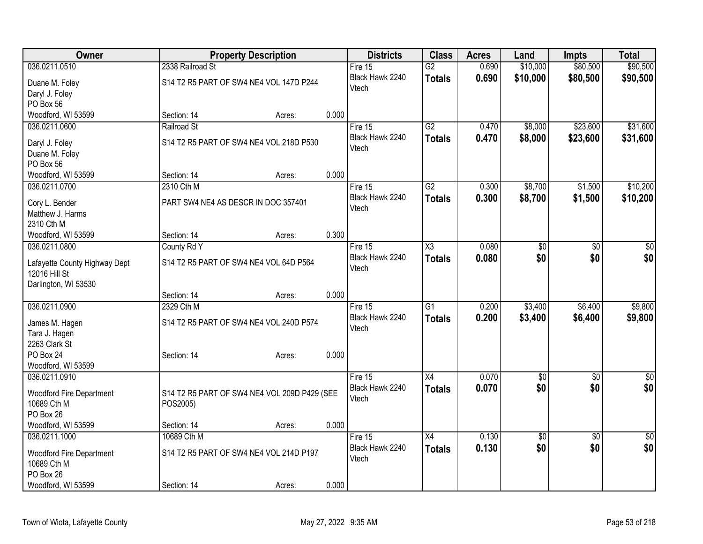| Owner                           |                                     | <b>Property Description</b>                  |       |                            | <b>Class</b>        | <b>Acres</b> | Land            | <b>Impts</b>    | <b>Total</b> |
|---------------------------------|-------------------------------------|----------------------------------------------|-------|----------------------------|---------------------|--------------|-----------------|-----------------|--------------|
| 036.0211.0510                   | 2338 Railroad St                    |                                              |       | Fire 15                    | $\overline{G2}$     | 0.690        | \$10,000        | \$80,500        | \$90,500     |
| Duane M. Foley                  |                                     | S14 T2 R5 PART OF SW4 NE4 VOL 147D P244      |       | Black Hawk 2240            | <b>Totals</b>       | 0.690        | \$10,000        | \$80,500        | \$90,500     |
| Daryl J. Foley                  |                                     |                                              |       | Vtech                      |                     |              |                 |                 |              |
| PO Box 56                       |                                     |                                              |       |                            |                     |              |                 |                 |              |
| Woodford, WI 53599              | Section: 14                         | Acres:                                       | 0.000 |                            |                     |              |                 |                 |              |
| 036.0211.0600                   | Railroad St                         |                                              |       | Fire $15$                  | $\overline{G2}$     | 0.470        | \$8,000         | \$23,600        | \$31,600     |
| Daryl J. Foley                  |                                     | S14 T2 R5 PART OF SW4 NE4 VOL 218D P530      |       | Black Hawk 2240            | <b>Totals</b>       | 0.470        | \$8,000         | \$23,600        | \$31,600     |
| Duane M. Foley                  |                                     |                                              |       | Vtech                      |                     |              |                 |                 |              |
| PO Box 56                       |                                     |                                              |       |                            |                     |              |                 |                 |              |
| Woodford, WI 53599              | Section: 14                         | Acres:                                       | 0.000 |                            |                     |              |                 |                 |              |
| 036.0211.0700                   | 2310 Cth M                          |                                              |       | Fire 15                    | $\overline{G2}$     | 0.300        | \$8,700         | \$1,500         | \$10,200     |
|                                 |                                     |                                              |       | Black Hawk 2240            | <b>Totals</b>       | 0.300        | \$8,700         | \$1,500         | \$10,200     |
| Cory L. Bender                  | PART SW4 NE4 AS DESCR IN DOC 357401 |                                              |       | Vtech                      |                     |              |                 |                 |              |
| Matthew J. Harms<br>2310 Cth M  |                                     |                                              |       |                            |                     |              |                 |                 |              |
| Woodford, WI 53599              | Section: 14                         | Acres:                                       | 0.300 |                            |                     |              |                 |                 |              |
| 036.0211.0800                   | County Rd Y                         |                                              |       | Fire $15$                  | $\overline{\chi_3}$ | 0.080        | $\overline{50}$ | \$0             | $\sqrt{50}$  |
|                                 |                                     |                                              |       | Black Hawk 2240            | <b>Totals</b>       | 0.080        | \$0             | \$0             | \$0          |
| Lafayette County Highway Dept   |                                     | S14 T2 R5 PART OF SW4 NE4 VOL 64D P564       |       | Vtech                      |                     |              |                 |                 |              |
| 12016 Hill St                   |                                     |                                              |       |                            |                     |              |                 |                 |              |
| Darlington, WI 53530            |                                     |                                              |       |                            |                     |              |                 |                 |              |
| 036.0211.0900                   | Section: 14<br>2329 Cth M           | Acres:                                       | 0.000 |                            | $\overline{G1}$     | 0.200        |                 |                 |              |
|                                 |                                     |                                              |       | Fire 15<br>Black Hawk 2240 |                     |              | \$3,400         | \$6,400         | \$9,800      |
| James M. Hagen                  |                                     | S14 T2 R5 PART OF SW4 NE4 VOL 240D P574      |       | Vtech                      | <b>Totals</b>       | 0.200        | \$3,400         | \$6,400         | \$9,800      |
| Tara J. Hagen                   |                                     |                                              |       |                            |                     |              |                 |                 |              |
| 2263 Clark St                   |                                     |                                              |       |                            |                     |              |                 |                 |              |
| PO Box 24                       | Section: 14                         | Acres:                                       | 0.000 |                            |                     |              |                 |                 |              |
| Woodford, WI 53599              |                                     |                                              |       |                            |                     |              |                 |                 |              |
| 036.0211.0910                   |                                     |                                              |       | Fire 15                    | $\overline{X4}$     | 0.070        | $\overline{60}$ | $\overline{50}$ | $\sqrt{50}$  |
| <b>Woodford Fire Department</b> |                                     | S14 T2 R5 PART OF SW4 NE4 VOL 209D P429 (SEE |       | Black Hawk 2240<br>Vtech   | <b>Totals</b>       | 0.070        | \$0             | \$0             | \$0          |
| 10689 Cth M                     | POS2005)                            |                                              |       |                            |                     |              |                 |                 |              |
| PO Box 26                       |                                     |                                              |       |                            |                     |              |                 |                 |              |
| Woodford, WI 53599              | Section: 14                         | Acres:                                       | 0.000 |                            |                     |              |                 |                 |              |
| 036.0211.1000                   | 10689 Cth M                         |                                              |       | Fire 15                    | $\overline{X4}$     | 0.130        | $\overline{50}$ | $\overline{60}$ | $\sqrt{30}$  |
| <b>Woodford Fire Department</b> |                                     | S14 T2 R5 PART OF SW4 NE4 VOL 214D P197      |       | Black Hawk 2240            | <b>Totals</b>       | 0.130        | \$0             | \$0             | \$0          |
| 10689 Cth M                     |                                     |                                              |       | Vtech                      |                     |              |                 |                 |              |
| PO Box 26                       |                                     |                                              |       |                            |                     |              |                 |                 |              |
| Woodford, WI 53599              | Section: 14                         | Acres:                                       | 0.000 |                            |                     |              |                 |                 |              |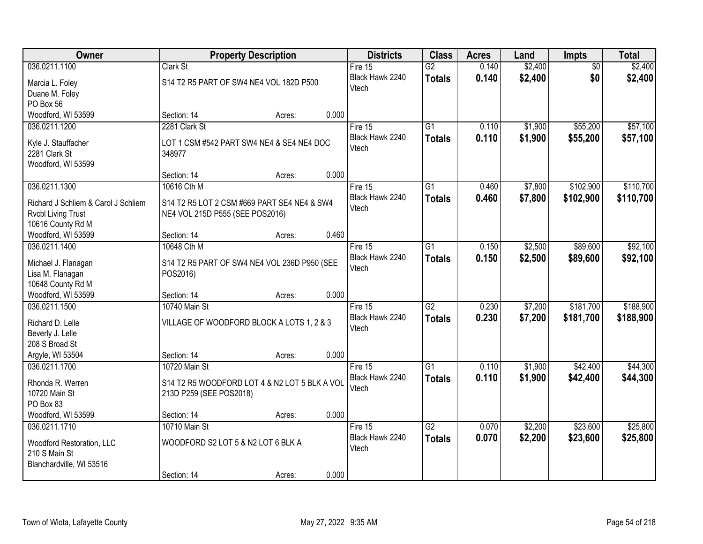| Owner                                      |                                               | <b>Property Description</b> |       | <b>Districts</b> | <b>Class</b>    | <b>Acres</b> | Land    | Impts           | <b>Total</b> |
|--------------------------------------------|-----------------------------------------------|-----------------------------|-------|------------------|-----------------|--------------|---------|-----------------|--------------|
| 036.0211.1100                              | Clark St                                      |                             |       | Fire $15$        | G2              | 0.140        | \$2,400 | $\overline{50}$ | \$2,400      |
| Marcia L. Foley                            | S14 T2 R5 PART OF SW4 NE4 VOL 182D P500       |                             |       | Black Hawk 2240  | <b>Totals</b>   | 0.140        | \$2,400 | \$0             | \$2,400      |
| Duane M. Foley                             |                                               |                             |       | Vtech            |                 |              |         |                 |              |
| PO Box 56                                  |                                               |                             |       |                  |                 |              |         |                 |              |
| Woodford, WI 53599                         | Section: 14                                   | Acres:                      | 0.000 |                  |                 |              |         |                 |              |
| 036.0211.1200                              | 2281 Clark St                                 |                             |       | Fire 15          | $\overline{G1}$ | 0.110        | \$1,900 | \$55,200        | \$57,100     |
| Kyle J. Stauffacher                        | LOT 1 CSM #542 PART SW4 NE4 & SE4 NE4 DOC     |                             |       | Black Hawk 2240  | <b>Totals</b>   | 0.110        | \$1,900 | \$55,200        | \$57,100     |
| 2281 Clark St                              | 348977                                        |                             |       | Vtech            |                 |              |         |                 |              |
| Woodford, WI 53599                         |                                               |                             |       |                  |                 |              |         |                 |              |
|                                            | Section: 14                                   | Acres:                      | 0.000 |                  |                 |              |         |                 |              |
| 036.0211.1300                              | 10616 Cth M                                   |                             |       | Fire 15          | G1              | 0.460        | \$7,800 | \$102,900       | \$110,700    |
| Richard J Schliem & Carol J Schliem        | S14 T2 R5 LOT 2 CSM #669 PART SE4 NE4 & SW4   |                             |       | Black Hawk 2240  | <b>Totals</b>   | 0.460        | \$7,800 | \$102,900       | \$110,700    |
| <b>Rvcbl Living Trust</b>                  | NE4 VOL 215D P555 (SEE POS2016)               |                             |       | Vtech            |                 |              |         |                 |              |
| 10616 County Rd M                          |                                               |                             |       |                  |                 |              |         |                 |              |
| Woodford, WI 53599                         | Section: 14                                   | Acres:                      | 0.460 |                  |                 |              |         |                 |              |
| 036.0211.1400                              | 10648 Cth M                                   |                             |       | Fire 15          | $\overline{G1}$ | 0.150        | \$2,500 | \$89,600        | \$92,100     |
| Michael J. Flanagan                        | S14 T2 R5 PART OF SW4 NE4 VOL 236D P950 (SEE  |                             |       | Black Hawk 2240  | <b>Totals</b>   | 0.150        | \$2,500 | \$89,600        | \$92,100     |
| Lisa M. Flanagan                           | POS2016)                                      |                             |       | Vtech            |                 |              |         |                 |              |
| 10648 County Rd M                          |                                               |                             |       |                  |                 |              |         |                 |              |
| Woodford, WI 53599                         | Section: 14                                   | Acres:                      | 0.000 |                  |                 |              |         |                 |              |
| 036.0211.1500                              | 10740 Main St                                 |                             |       | Fire 15          | $\overline{G2}$ | 0.230        | \$7,200 | \$181,700       | \$188,900    |
| Richard D. Lelle                           | VILLAGE OF WOODFORD BLOCK A LOTS 1, 2 & 3     |                             |       | Black Hawk 2240  | <b>Totals</b>   | 0.230        | \$7,200 | \$181,700       | \$188,900    |
| Beverly J. Lelle                           |                                               |                             |       | Vtech            |                 |              |         |                 |              |
| 208 S Broad St                             |                                               |                             |       |                  |                 |              |         |                 |              |
| Argyle, WI 53504                           | Section: 14                                   | Acres:                      | 0.000 |                  |                 |              |         |                 |              |
| 036.0211.1700                              | 10720 Main St                                 |                             |       | Fire 15          | $\overline{G1}$ | 0.110        | \$1,900 | \$42,400        | \$44,300     |
| Rhonda R. Werren                           | S14 T2 R5 WOODFORD LOT 4 & N2 LOT 5 BLK A VOL |                             |       | Black Hawk 2240  | <b>Totals</b>   | 0.110        | \$1,900 | \$42,400        | \$44,300     |
| 10720 Main St                              | 213D P259 (SEE POS2018)                       |                             |       | Vtech            |                 |              |         |                 |              |
| PO Box 83                                  |                                               |                             |       |                  |                 |              |         |                 |              |
| Woodford, WI 53599                         | Section: 14                                   | Acres:                      | 0.000 |                  |                 |              |         |                 |              |
| 036.0211.1710                              | 10710 Main St                                 |                             |       | Fire 15          | $\overline{G2}$ | 0.070        | \$2,200 | \$23,600        | \$25,800     |
|                                            | WOODFORD S2 LOT 5 & N2 LOT 6 BLK A            |                             |       | Black Hawk 2240  | <b>Totals</b>   | 0.070        | \$2,200 | \$23,600        | \$25,800     |
| Woodford Restoration, LLC<br>210 S Main St |                                               |                             |       | Vtech            |                 |              |         |                 |              |
| Blanchardville, WI 53516                   |                                               |                             |       |                  |                 |              |         |                 |              |
|                                            | Section: 14                                   | Acres:                      | 0.000 |                  |                 |              |         |                 |              |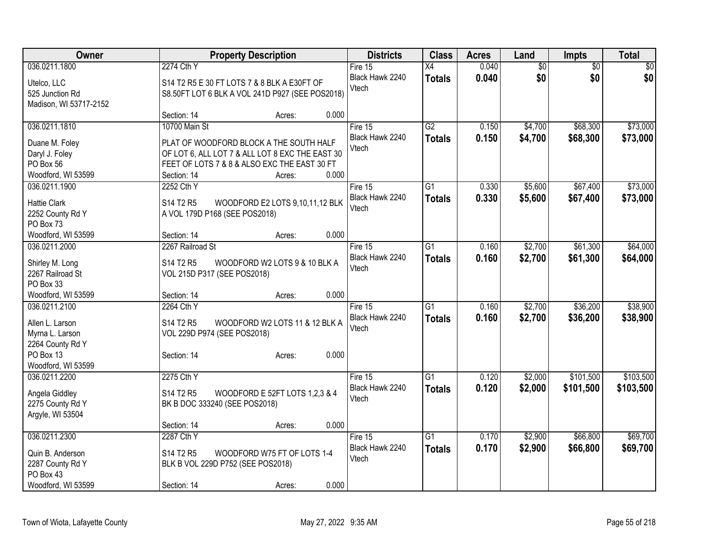| Owner                               | <b>Property Description</b>   |                                                 |       | <b>Districts</b>         | <b>Class</b>    | <b>Acres</b> | Land            | <b>Impts</b>    | <b>Total</b>    |
|-------------------------------------|-------------------------------|-------------------------------------------------|-------|--------------------------|-----------------|--------------|-----------------|-----------------|-----------------|
| 036.0211.1800                       | 2274 Cth Y                    |                                                 |       | Fire 15                  | $\overline{X4}$ | 0.040        | $\overline{50}$ | $\overline{50}$ | $\overline{50}$ |
| Utelco, LLC                         |                               | S14 T2 R5 E 30 FT LOTS 7 & 8 BLK A E30FT OF     |       | Black Hawk 2240          | <b>Totals</b>   | 0.040        | \$0             | \$0             | \$0             |
| 525 Junction Rd                     |                               | S8.50FT LOT 6 BLK A VOL 241D P927 (SEE POS2018) |       | Vtech                    |                 |              |                 |                 |                 |
| Madison, WI 53717-2152              |                               |                                                 |       |                          |                 |              |                 |                 |                 |
|                                     | Section: 14                   | Acres:                                          | 0.000 |                          |                 |              |                 |                 |                 |
| 036.0211.1810                       | 10700 Main St                 |                                                 |       | Fire 15                  | $\overline{G2}$ | 0.150        | \$4,700         | \$68,300        | \$73,000        |
| Duane M. Foley                      |                               | PLAT OF WOODFORD BLOCK A THE SOUTH HALF         |       | Black Hawk 2240          | <b>Totals</b>   | 0.150        | \$4,700         | \$68,300        | \$73,000        |
| Daryl J. Foley                      |                               | OF LOT 6, ALL LOT 7 & ALL LOT 8 EXC THE EAST 30 |       | Vtech                    |                 |              |                 |                 |                 |
| PO Box 56                           |                               | FEET OF LOTS 7 & 8 & ALSO EXC THE EAST 30 FT    |       |                          |                 |              |                 |                 |                 |
| Woodford, WI 53599                  | Section: 14                   | Acres:                                          | 0.000 |                          |                 |              |                 |                 |                 |
| 036.0211.1900                       | 2252 Cth Y                    |                                                 |       | Fire 15                  | $\overline{G1}$ | 0.330        | \$5,600         | \$67,400        | \$73,000        |
|                                     |                               |                                                 |       | Black Hawk 2240          | <b>Totals</b>   | 0.330        | \$5,600         | \$67,400        | \$73,000        |
| <b>Hattie Clark</b>                 | S14 T2 R5                     | WOODFORD E2 LOTS 9,10,11,12 BLK                 |       | Vtech                    |                 |              |                 |                 |                 |
| 2252 County Rd Y                    | A VOL 179D P168 (SEE POS2018) |                                                 |       |                          |                 |              |                 |                 |                 |
| PO Box 73                           |                               |                                                 |       |                          |                 |              |                 |                 |                 |
| Woodford, WI 53599                  | Section: 14                   | Acres:                                          | 0.000 |                          |                 |              |                 |                 |                 |
| 036.0211.2000                       | 2267 Railroad St              |                                                 |       | Fire 15                  | G1              | 0.160        | \$2,700         | \$61,300        | \$64,000        |
| Shirley M. Long                     | S14 T2 R5                     | WOODFORD W2 LOTS 9 & 10 BLK A                   |       | Black Hawk 2240          | <b>Totals</b>   | 0.160        | \$2,700         | \$61,300        | \$64,000        |
| 2267 Railroad St                    | VOL 215D P317 (SEE POS2018)   |                                                 |       | Vtech                    |                 |              |                 |                 |                 |
| PO Box 33                           |                               |                                                 |       |                          |                 |              |                 |                 |                 |
| Woodford, WI 53599                  | Section: 14                   | Acres:                                          | 0.000 |                          |                 |              |                 |                 |                 |
| 036.0211.2100                       | 2264 Cth Y                    |                                                 |       | Fire 15                  | $\overline{G1}$ | 0.160        | \$2,700         | \$36,200        | \$38,900        |
|                                     |                               |                                                 |       | Black Hawk 2240          | <b>Totals</b>   | 0.160        | \$2,700         | \$36,200        | \$38,900        |
| Allen L. Larson                     | S14 T2 R5                     | WOODFORD W2 LOTS 11 & 12 BLK A                  |       | Vtech                    |                 |              |                 |                 |                 |
| Myrna L. Larson                     | VOL 229D P974 (SEE POS2018)   |                                                 |       |                          |                 |              |                 |                 |                 |
| 2264 County Rd Y                    |                               |                                                 |       |                          |                 |              |                 |                 |                 |
| PO Box 13                           | Section: 14                   | Acres:                                          | 0.000 |                          |                 |              |                 |                 |                 |
| Woodford, WI 53599<br>036.0211.2200 | 2275 Cth Y                    |                                                 |       |                          | $\overline{G1}$ | 0.120        |                 | \$101,500       | \$103,500       |
|                                     |                               |                                                 |       | Fire 15                  |                 |              | \$2,000         |                 |                 |
| Angela Giddley                      | S14 T2 R5                     | WOODFORD E 52FT LOTS 1,2,3 & 4                  |       | Black Hawk 2240<br>Vtech | <b>Totals</b>   | 0.120        | \$2,000         | \$101,500       | \$103,500       |
| 2275 County Rd Y                    | BK B DOC 333240 (SEE POS2018) |                                                 |       |                          |                 |              |                 |                 |                 |
| Argyle, WI 53504                    |                               |                                                 |       |                          |                 |              |                 |                 |                 |
|                                     | Section: 14                   | Acres:                                          | 0.000 |                          |                 |              |                 |                 |                 |
| 036.0211.2300                       | 2287 Cth Y                    |                                                 |       | Fire 15                  | $\overline{G1}$ | 0.170        | \$2,900         | \$66,800        | \$69,700        |
| Quin B. Anderson                    | S14 T2 R5                     | WOODFORD W75 FT OF LOTS 1-4                     |       | Black Hawk 2240          | <b>Totals</b>   | 0.170        | \$2,900         | \$66,800        | \$69,700        |
| 2287 County Rd Y                    |                               | BLK B VOL 229D P752 (SEE POS2018)               |       | Vtech                    |                 |              |                 |                 |                 |
| PO Box 43                           |                               |                                                 |       |                          |                 |              |                 |                 |                 |
| Woodford, WI 53599                  | Section: 14                   | Acres:                                          | 0.000 |                          |                 |              |                 |                 |                 |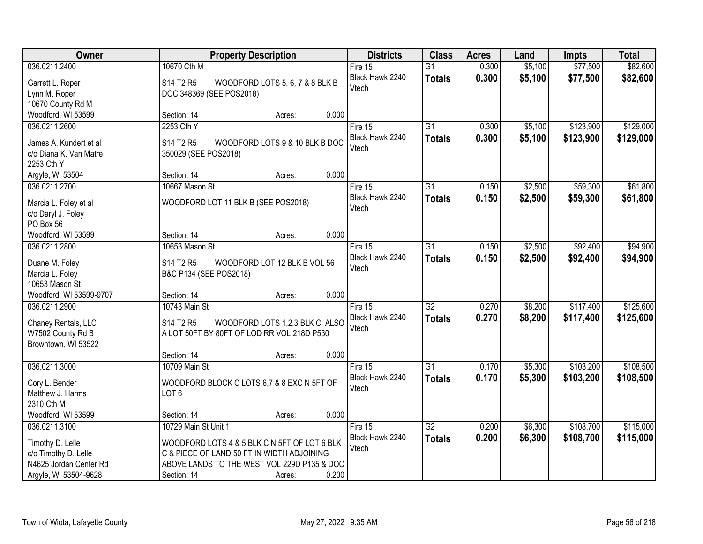| Owner                                | <b>Property Description</b>                   | <b>Districts</b>         | <b>Class</b>    | <b>Acres</b> | Land    | <b>Impts</b> | <b>Total</b> |
|--------------------------------------|-----------------------------------------------|--------------------------|-----------------|--------------|---------|--------------|--------------|
| 036.0211.2400                        | 10670 Cth M                                   | Fire 15                  | $\overline{G1}$ | 0.300        | \$5,100 | \$77,500     | \$82,600     |
| Garrett L. Roper                     | S14 T2 R5<br>WOODFORD LOTS 5, 6, 7 & 8 BLK B  | Black Hawk 2240          | <b>Totals</b>   | 0.300        | \$5,100 | \$77,500     | \$82,600     |
| Lynn M. Roper                        | DOC 348369 (SEE POS2018)                      | Vtech                    |                 |              |         |              |              |
| 10670 County Rd M                    |                                               |                          |                 |              |         |              |              |
| Woodford, WI 53599                   | 0.000<br>Section: 14<br>Acres:                |                          |                 |              |         |              |              |
| 036.0211.2600                        | 2253 Cth Y                                    | Fire $15$                | $\overline{G1}$ | 0.300        | \$5,100 | \$123,900    | \$129,000    |
|                                      |                                               | Black Hawk 2240          | <b>Totals</b>   | 0.300        | \$5,100 | \$123,900    | \$129,000    |
| James A. Kundert et al               | S14 T2 R5<br>WOODFORD LOTS 9 & 10 BLK B DOC   | Vtech                    |                 |              |         |              |              |
| c/o Diana K. Van Matre<br>2253 Cth Y | 350029 (SEE POS2018)                          |                          |                 |              |         |              |              |
| Argyle, WI 53504                     | 0.000<br>Section: 14<br>Acres:                |                          |                 |              |         |              |              |
| 036.0211.2700                        | 10667 Mason St                                | Fire 15                  | G1              | 0.150        | \$2,500 | \$59,300     | \$61,800     |
|                                      |                                               | Black Hawk 2240          | <b>Totals</b>   | 0.150        | \$2,500 | \$59,300     | \$61,800     |
| Marcia L. Foley et al                | WOODFORD LOT 11 BLK B (SEE POS2018)           | Vtech                    |                 |              |         |              |              |
| c/o Daryl J. Foley                   |                                               |                          |                 |              |         |              |              |
| PO Box 56                            |                                               |                          |                 |              |         |              |              |
| Woodford, WI 53599                   | 0.000<br>Section: 14<br>Acres:                |                          |                 |              |         |              |              |
| 036.0211.2800                        | 10653 Mason St                                | Fire 15                  | $\overline{G1}$ | 0.150        | \$2,500 | \$92,400     | \$94,900     |
| Duane M. Foley                       | S14 T2 R5<br>WOODFORD LOT 12 BLK B VOL 56     | Black Hawk 2240          | <b>Totals</b>   | 0.150        | \$2,500 | \$92,400     | \$94,900     |
| Marcia L. Foley                      | B&C P134 (SEE POS2018)                        | Vtech                    |                 |              |         |              |              |
| 10653 Mason St                       |                                               |                          |                 |              |         |              |              |
| Woodford, WI 53599-9707              | 0.000<br>Section: 14<br>Acres:                |                          |                 |              |         |              |              |
| 036.0211.2900                        | 10743 Main St                                 | Fire 15                  | $\overline{G2}$ | 0.270        | \$8,200 | \$117,400    | \$125,600    |
| Chaney Rentals, LLC                  | S14 T2 R5<br>WOODFORD LOTS 1,2,3 BLK C ALSO   | Black Hawk 2240          | <b>Totals</b>   | 0.270        | \$8,200 | \$117,400    | \$125,600    |
| W7502 County Rd B                    | A LOT 50FT BY 80FT OF LOD RR VOL 218D P530    | Vtech                    |                 |              |         |              |              |
| Browntown, WI 53522                  |                                               |                          |                 |              |         |              |              |
|                                      | 0.000<br>Section: 14<br>Acres:                |                          |                 |              |         |              |              |
| 036.0211.3000                        | 10709 Main St                                 | Fire 15                  | $\overline{G1}$ | 0.170        | \$5,300 | \$103,200    | \$108,500    |
|                                      |                                               | Black Hawk 2240          | <b>Totals</b>   | 0.170        | \$5,300 | \$103,200    | \$108,500    |
| Cory L. Bender                       | WOODFORD BLOCK C LOTS 6,7 & 8 EXC N 5FT OF    | Vtech                    |                 |              |         |              |              |
| Matthew J. Harms                     | LOT <sub>6</sub>                              |                          |                 |              |         |              |              |
| 2310 Cth M                           | 0.000                                         |                          |                 |              |         |              |              |
| Woodford, WI 53599<br>036.0211.3100  | Section: 14<br>Acres:<br>10729 Main St Unit 1 |                          |                 |              |         | \$108,700    |              |
|                                      |                                               | Fire 15                  | G2              | 0.200        | \$6,300 |              | \$115,000    |
| Timothy D. Lelle                     | WOODFORD LOTS 4 & 5 BLK C N 5FT OF LOT 6 BLK  | Black Hawk 2240<br>Vtech | <b>Totals</b>   | 0.200        | \$6,300 | \$108,700    | \$115,000    |
| c/o Timothy D. Lelle                 | C & PIECE OF LAND 50 FT IN WIDTH ADJOINING    |                          |                 |              |         |              |              |
| N4625 Jordan Center Rd               | ABOVE LANDS TO THE WEST VOL 229D P135 & DOC   |                          |                 |              |         |              |              |
| Argyle, WI 53504-9628                | 0.200<br>Section: 14<br>Acres:                |                          |                 |              |         |              |              |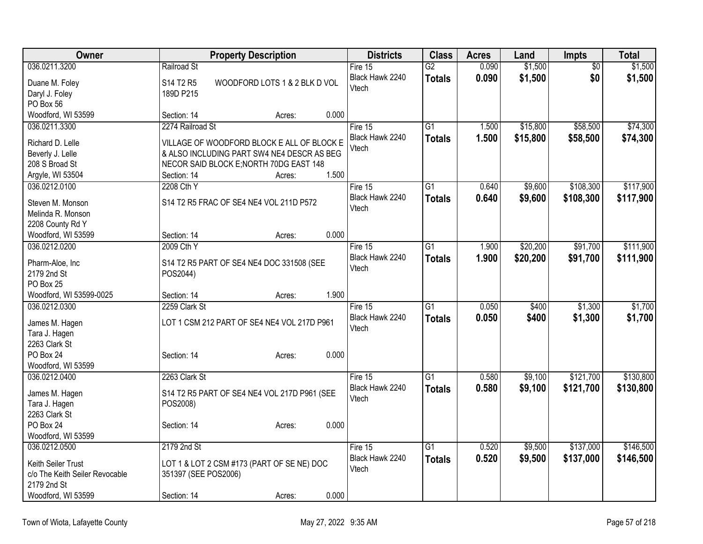| Owner                          |                      | <b>Property Description</b>                  |       |                 | <b>Class</b>    | <b>Acres</b> | Land     | <b>Impts</b>    | <b>Total</b> |
|--------------------------------|----------------------|----------------------------------------------|-------|-----------------|-----------------|--------------|----------|-----------------|--------------|
| 036.0211.3200                  | Railroad St          |                                              |       | Fire 15         | $\overline{G2}$ | 0.090        | \$1,500  | $\overline{50}$ | \$1,500      |
| Duane M. Foley                 | S14 T2 R5            | WOODFORD LOTS 1 & 2 BLK D VOL                |       | Black Hawk 2240 | <b>Totals</b>   | 0.090        | \$1,500  | \$0             | \$1,500      |
| Daryl J. Foley                 | 189D P215            |                                              |       | Vtech           |                 |              |          |                 |              |
| PO Box 56                      |                      |                                              |       |                 |                 |              |          |                 |              |
| Woodford, WI 53599             | Section: 14          | Acres:                                       | 0.000 |                 |                 |              |          |                 |              |
| 036.0211.3300                  | 2274 Railroad St     |                                              |       | Fire 15         | $\overline{G1}$ | 1.500        | \$15,800 | \$58,500        | \$74,300     |
| Richard D. Lelle               |                      | VILLAGE OF WOODFORD BLOCK E ALL OF BLOCK E   |       | Black Hawk 2240 | <b>Totals</b>   | 1.500        | \$15,800 | \$58,500        | \$74,300     |
| Beverly J. Lelle               |                      | & ALSO INCLUDING PART SW4 NE4 DESCR AS BEG   |       | Vtech           |                 |              |          |                 |              |
| 208 S Broad St                 |                      | NECOR SAID BLOCK E; NORTH 70DG EAST 148      |       |                 |                 |              |          |                 |              |
| Argyle, WI 53504               | Section: 14          | Acres:                                       | 1.500 |                 |                 |              |          |                 |              |
| 036.0212.0100                  | 2208 Cth Y           |                                              |       | Fire 15         | $\overline{G1}$ | 0.640        | \$9,600  | \$108,300       | \$117,900    |
|                                |                      |                                              |       | Black Hawk 2240 | <b>Totals</b>   | 0.640        | \$9,600  | \$108,300       | \$117,900    |
| Steven M. Monson               |                      | S14 T2 R5 FRAC OF SE4 NE4 VOL 211D P572      |       | Vtech           |                 |              |          |                 |              |
| Melinda R. Monson              |                      |                                              |       |                 |                 |              |          |                 |              |
| 2208 County Rd Y               |                      |                                              |       |                 |                 |              |          |                 |              |
| Woodford, WI 53599             | Section: 14          | Acres:                                       | 0.000 |                 |                 |              |          |                 |              |
| 036.0212.0200                  | 2009 Cth Y           |                                              |       | Fire 15         | $\overline{G1}$ | 1.900        | \$20,200 | \$91,700        | \$111,900    |
| Pharm-Aloe, Inc                |                      | S14 T2 R5 PART OF SE4 NE4 DOC 331508 (SEE    |       | Black Hawk 2240 | <b>Totals</b>   | 1.900        | \$20,200 | \$91,700        | \$111,900    |
| 2179 2nd St                    | POS2044)             |                                              |       | Vtech           |                 |              |          |                 |              |
| PO Box 25                      |                      |                                              |       |                 |                 |              |          |                 |              |
| Woodford, WI 53599-0025        | Section: 14          | Acres:                                       | 1.900 |                 |                 |              |          |                 |              |
| 036.0212.0300                  | 2259 Clark St        |                                              |       | Fire 15         | $\overline{G1}$ | 0.050        | \$400    | \$1,300         | \$1,700      |
|                                |                      |                                              |       | Black Hawk 2240 | <b>Totals</b>   | 0.050        | \$400    | \$1,300         | \$1,700      |
| James M. Hagen                 |                      | LOT 1 CSM 212 PART OF SE4 NE4 VOL 217D P961  |       | Vtech           |                 |              |          |                 |              |
| Tara J. Hagen                  |                      |                                              |       |                 |                 |              |          |                 |              |
| 2263 Clark St                  |                      |                                              |       |                 |                 |              |          |                 |              |
| PO Box 24                      | Section: 14          | Acres:                                       | 0.000 |                 |                 |              |          |                 |              |
| Woodford, WI 53599             |                      |                                              |       |                 |                 |              |          |                 |              |
| 036.0212.0400                  | 2263 Clark St        |                                              |       | Fire 15         | $\overline{G1}$ | 0.580        | \$9,100  | \$121,700       | \$130,800    |
| James M. Hagen                 |                      | S14 T2 R5 PART OF SE4 NE4 VOL 217D P961 (SEE |       | Black Hawk 2240 | <b>Totals</b>   | 0.580        | \$9,100  | \$121,700       | \$130,800    |
| Tara J. Hagen                  | POS2008)             |                                              |       | Vtech           |                 |              |          |                 |              |
| 2263 Clark St                  |                      |                                              |       |                 |                 |              |          |                 |              |
| PO Box 24                      | Section: 14          | Acres:                                       | 0.000 |                 |                 |              |          |                 |              |
| Woodford, WI 53599             |                      |                                              |       |                 |                 |              |          |                 |              |
| 036.0212.0500                  | 2179 2nd St          |                                              |       | Fire 15         | $\overline{G1}$ | 0.520        | \$9,500  | \$137,000       | \$146,500    |
| Keith Seiler Trust             |                      |                                              |       | Black Hawk 2240 | <b>Totals</b>   | 0.520        | \$9,500  | \$137,000       | \$146,500    |
| c/o The Keith Seiler Revocable |                      | LOT 1 & LOT 2 CSM #173 (PART OF SE NE) DOC   |       | Vtech           |                 |              |          |                 |              |
| 2179 2nd St                    | 351397 (SEE POS2006) |                                              |       |                 |                 |              |          |                 |              |
| Woodford, WI 53599             | Section: 14          | Acres:                                       | 0.000 |                 |                 |              |          |                 |              |
|                                |                      |                                              |       |                 |                 |              |          |                 |              |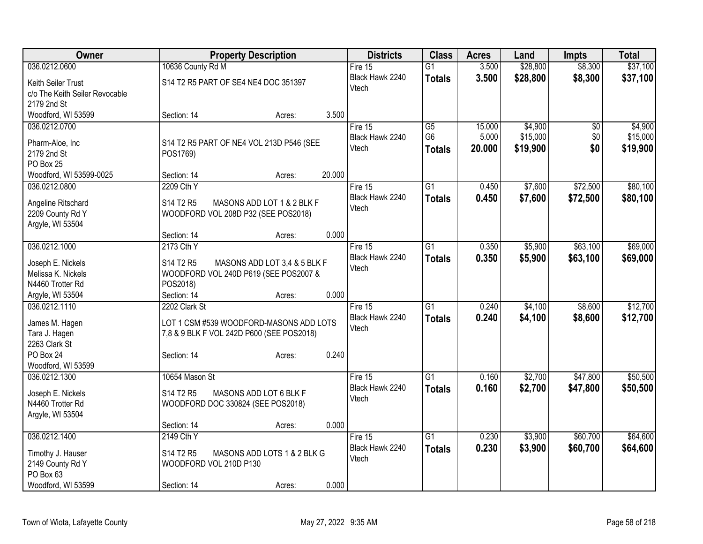| Owner                               | <b>Property Description</b> |                                           |        | <b>Districts</b>         | <b>Class</b>    | <b>Acres</b> | Land     | <b>Impts</b> | <b>Total</b> |
|-------------------------------------|-----------------------------|-------------------------------------------|--------|--------------------------|-----------------|--------------|----------|--------------|--------------|
| 036.0212.0600                       | 10636 County Rd M           |                                           |        | Fire 15                  | $\overline{G1}$ | 3.500        | \$28,800 | \$8,300      | \$37,100     |
| Keith Seiler Trust                  |                             | S14 T2 R5 PART OF SE4 NE4 DOC 351397      |        | Black Hawk 2240          | <b>Totals</b>   | 3.500        | \$28,800 | \$8,300      | \$37,100     |
| c/o The Keith Seiler Revocable      |                             |                                           |        | Vtech                    |                 |              |          |              |              |
| 2179 2nd St                         |                             |                                           |        |                          |                 |              |          |              |              |
| Woodford, WI 53599                  | Section: 14                 | Acres:                                    | 3.500  |                          |                 |              |          |              |              |
| 036.0212.0700                       |                             |                                           |        | Fire 15                  | G5              | 15.000       | \$4,900  | $\sqrt{6}$   | \$4,900      |
|                                     |                             |                                           |        | Black Hawk 2240          | G <sub>6</sub>  | 5.000        | \$15,000 | \$0          | \$15,000     |
| Pharm-Aloe, Inc                     |                             | S14 T2 R5 PART OF NE4 VOL 213D P546 (SEE  |        | Vtech                    | <b>Totals</b>   | 20.000       | \$19,900 | \$0          | \$19,900     |
| 2179 2nd St                         | POS1769)                    |                                           |        |                          |                 |              |          |              |              |
| PO Box 25                           |                             |                                           | 20.000 |                          |                 |              |          |              |              |
| Woodford, WI 53599-0025             | Section: 14                 | Acres:                                    |        |                          |                 |              |          |              |              |
| 036.0212.0800                       | 2209 Cth Y                  |                                           |        | Fire 15                  | $\overline{G1}$ | 0.450        | \$7,600  | \$72,500     | \$80,100     |
| Angeline Ritschard                  | S14 T2 R5                   | MASONS ADD LOT 1 & 2 BLK F                |        | Black Hawk 2240<br>Vtech | <b>Totals</b>   | 0.450        | \$7,600  | \$72,500     | \$80,100     |
| 2209 County Rd Y                    |                             | WOODFORD VOL 208D P32 (SEE POS2018)       |        |                          |                 |              |          |              |              |
| Argyle, WI 53504                    |                             |                                           |        |                          |                 |              |          |              |              |
|                                     | Section: 14                 | Acres:                                    | 0.000  |                          |                 |              |          |              |              |
| 036.0212.1000                       | 2173 Cth Y                  |                                           |        | Fire $15$                | $\overline{G1}$ | 0.350        | \$5,900  | \$63,100     | \$69,000     |
| Joseph E. Nickels                   | S14 T2 R5                   | MASONS ADD LOT 3,4 & 5 BLK F              |        | Black Hawk 2240          | <b>Totals</b>   | 0.350        | \$5,900  | \$63,100     | \$69,000     |
| Melissa K. Nickels                  |                             | WOODFORD VOL 240D P619 (SEE POS2007 &     |        | Vtech                    |                 |              |          |              |              |
| N4460 Trotter Rd                    | POS2018)                    |                                           |        |                          |                 |              |          |              |              |
| Argyle, WI 53504                    | Section: 14                 | Acres:                                    | 0.000  |                          |                 |              |          |              |              |
| 036.0212.1110                       | 2202 Clark St               |                                           |        | Fire $15$                | $\overline{G1}$ | 0.240        | \$4,100  | \$8,600      | \$12,700     |
|                                     |                             |                                           |        | Black Hawk 2240          | <b>Totals</b>   | 0.240        | \$4,100  | \$8,600      | \$12,700     |
| James M. Hagen                      |                             | LOT 1 CSM #539 WOODFORD-MASONS ADD LOTS   |        | Vtech                    |                 |              |          |              |              |
| Tara J. Hagen                       |                             | 7,8 & 9 BLK F VOL 242D P600 (SEE POS2018) |        |                          |                 |              |          |              |              |
| 2263 Clark St                       |                             |                                           |        |                          |                 |              |          |              |              |
| PO Box 24                           | Section: 14                 | Acres:                                    | 0.240  |                          |                 |              |          |              |              |
| Woodford, WI 53599<br>036.0212.1300 | 10654 Mason St              |                                           |        |                          | $\overline{G1}$ | 0.160        |          | \$47,800     | \$50,500     |
|                                     |                             |                                           |        | Fire $15$                |                 |              | \$2,700  |              |              |
| Joseph E. Nickels                   | S14 T2 R5                   | MASONS ADD LOT 6 BLK F                    |        | Black Hawk 2240<br>Vtech | <b>Totals</b>   | 0.160        | \$2,700  | \$47,800     | \$50,500     |
| N4460 Trotter Rd                    |                             | WOODFORD DOC 330824 (SEE POS2018)         |        |                          |                 |              |          |              |              |
| Argyle, WI 53504                    |                             |                                           |        |                          |                 |              |          |              |              |
|                                     | Section: 14                 | Acres:                                    | 0.000  |                          |                 |              |          |              |              |
| 036.0212.1400                       | 2149 Cth Y                  |                                           |        | Fire 15                  | $\overline{G1}$ | 0.230        | \$3,900  | \$60,700     | \$64,600     |
| Timothy J. Hauser                   | S14 T2 R5                   | MASONS ADD LOTS 1 & 2 BLK G               |        | Black Hawk 2240          | <b>Totals</b>   | 0.230        | \$3,900  | \$60,700     | \$64,600     |
| 2149 County Rd Y                    | WOODFORD VOL 210D P130      |                                           |        | Vtech                    |                 |              |          |              |              |
| PO Box 63                           |                             |                                           |        |                          |                 |              |          |              |              |
| Woodford, WI 53599                  | Section: 14                 | Acres:                                    | 0.000  |                          |                 |              |          |              |              |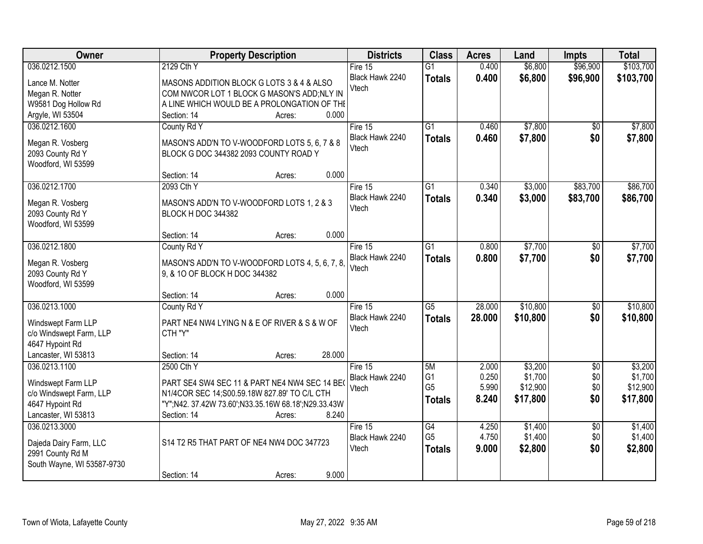| Owner                      | <b>Property Description</b>                         | <b>Districts</b>         | <b>Class</b>         | <b>Acres</b>   | Land                | Impts           | <b>Total</b>        |
|----------------------------|-----------------------------------------------------|--------------------------|----------------------|----------------|---------------------|-----------------|---------------------|
| 036.0212.1500              | 2129 Cth Y                                          | Fire $15$                | $\overline{G1}$      | 0.400          | \$6,800             | \$96,900        | \$103,700           |
| Lance M. Notter            | MASONS ADDITION BLOCK G LOTS 3 & 4 & ALSO           | Black Hawk 2240          | <b>Totals</b>        | 0.400          | \$6,800             | \$96,900        | \$103,700           |
| Megan R. Notter            | COM NWCOR LOT 1 BLOCK G MASON'S ADD; NLY IN         | Vtech                    |                      |                |                     |                 |                     |
| W9581 Dog Hollow Rd        | A LINE WHICH WOULD BE A PROLONGATION OF THE         |                          |                      |                |                     |                 |                     |
| Argyle, WI 53504           | 0.000<br>Section: 14<br>Acres:                      |                          |                      |                |                     |                 |                     |
| 036.0212.1600              | County Rd Y                                         | Fire 15                  | $\overline{G1}$      | 0.460          | \$7,800             | \$0             | \$7,800             |
|                            |                                                     | Black Hawk 2240          | <b>Totals</b>        | 0.460          | \$7,800             | \$0             | \$7,800             |
| Megan R. Vosberg           | MASON'S ADD'N TO V-WOODFORD LOTS 5, 6, 7 & 8        | Vtech                    |                      |                |                     |                 |                     |
| 2093 County Rd Y           | BLOCK G DOC 344382 2093 COUNTY ROAD Y               |                          |                      |                |                     |                 |                     |
| Woodford, WI 53599         | 0.000<br>Section: 14                                |                          |                      |                |                     |                 |                     |
| 036.0212.1700              | Acres:<br>2093 Cth Y                                | Fire 15                  | G1                   | 0.340          | \$3,000             | \$83,700        | \$86,700            |
|                            |                                                     |                          |                      |                |                     |                 |                     |
| Megan R. Vosberg           | MASON'S ADD'N TO V-WOODFORD LOTS 1, 2 & 3           | Black Hawk 2240<br>Vtech | <b>Totals</b>        | 0.340          | \$3,000             | \$83,700        | \$86,700            |
| 2093 County Rd Y           | BLOCK H DOC 344382                                  |                          |                      |                |                     |                 |                     |
| Woodford, WI 53599         |                                                     |                          |                      |                |                     |                 |                     |
|                            | 0.000<br>Section: 14<br>Acres:                      |                          |                      |                |                     |                 |                     |
| 036.0212.1800              | County Rd Y                                         | Fire 15                  | G1                   | 0.800          | \$7,700             | \$0             | \$7,700             |
| Megan R. Vosberg           | MASON'S ADD'N TO V-WOODFORD LOTS 4, 5, 6, 7, 8,     | Black Hawk 2240          | <b>Totals</b>        | 0.800          | \$7,700             | \$0             | \$7,700             |
| 2093 County Rd Y           | 9, & 10 OF BLOCK H DOC 344382                       | Vtech                    |                      |                |                     |                 |                     |
| Woodford, WI 53599         |                                                     |                          |                      |                |                     |                 |                     |
|                            | 0.000<br>Section: 14<br>Acres:                      |                          |                      |                |                     |                 |                     |
| 036.0213.1000              | County Rd Y                                         | Fire $15$                | $\overline{G5}$      | 28.000         | \$10,800            | $\overline{50}$ | \$10,800            |
|                            |                                                     | Black Hawk 2240          | <b>Totals</b>        | 28.000         | \$10,800            | \$0             | \$10,800            |
| Windswept Farm LLP         | PART NE4 NW4 LYING N & E OF RIVER & S & W OF        | Vtech                    |                      |                |                     |                 |                     |
| c/o Windswept Farm, LLP    | CTH "Y"                                             |                          |                      |                |                     |                 |                     |
| 4647 Hypoint Rd            |                                                     |                          |                      |                |                     |                 |                     |
| Lancaster, WI 53813        | 28.000<br>Section: 14<br>Acres:                     |                          |                      |                |                     |                 |                     |
| 036.0213.1100              | 2500 Cth Y                                          | Fire 15                  | 5M                   | 2.000          | \$3,200             | $\overline{50}$ | \$3,200             |
| Windswept Farm LLP         | PART SE4 SW4 SEC 11 & PART NE4 NW4 SEC 14 BE        | Black Hawk 2240<br>Vtech | G1<br>G <sub>5</sub> | 0.250<br>5.990 | \$1,700<br>\$12,900 | \$0<br>\$0      | \$1,700<br>\$12,900 |
| c/o Windswept Farm, LLP    | N1/4COR SEC 14;S00.59.18W 827.89' TO C/L CTH        |                          |                      | 8.240          |                     | \$0             | \$17,800            |
| 4647 Hypoint Rd            | "Y";N42. 37.42W 73.60';N33.35.16W 68.18';N29.33.43W |                          | <b>Totals</b>        |                | \$17,800            |                 |                     |
| Lancaster, WI 53813        | 8.240<br>Section: 14<br>Acres:                      |                          |                      |                |                     |                 |                     |
| 036.0213.3000              |                                                     | Fire $15$                | $\overline{G4}$      | 4.250          | \$1,400             | $\overline{50}$ | \$1,400             |
| Dajeda Dairy Farm, LLC     | S14 T2 R5 THAT PART OF NE4 NW4 DOC 347723           | Black Hawk 2240          | G <sub>5</sub>       | 4.750          | \$1,400             | \$0             | \$1,400             |
| 2991 County Rd M           |                                                     | Vtech                    | <b>Totals</b>        | 9.000          | \$2,800             | \$0             | \$2,800             |
| South Wayne, WI 53587-9730 |                                                     |                          |                      |                |                     |                 |                     |
|                            | 9.000<br>Section: 14<br>Acres:                      |                          |                      |                |                     |                 |                     |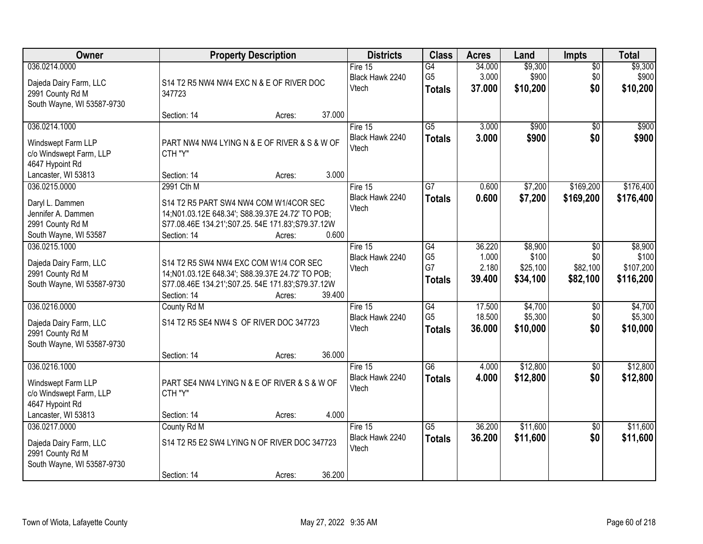| Owner                                                                                                    | <b>Property Description</b>                                                                                                                                                                     | <b>Districts</b>                    | <b>Class</b>                                             | <b>Acres</b>                       | Land                                     | <b>Impts</b>                       | <b>Total</b>                               |
|----------------------------------------------------------------------------------------------------------|-------------------------------------------------------------------------------------------------------------------------------------------------------------------------------------------------|-------------------------------------|----------------------------------------------------------|------------------------------------|------------------------------------------|------------------------------------|--------------------------------------------|
| 036.0214.0000<br>Dajeda Dairy Farm, LLC<br>2991 County Rd M<br>South Wayne, WI 53587-9730                | S14 T2 R5 NW4 NW4 EXC N & E OF RIVER DOC<br>347723                                                                                                                                              | Fire 15<br>Black Hawk 2240<br>Vtech | G4<br>G <sub>5</sub><br><b>Totals</b>                    | 34.000<br>3.000<br>37,000          | \$9,300<br>\$900<br>\$10,200             | $\overline{50}$<br>\$0<br>\$0      | \$9,300<br>\$900<br>\$10,200               |
|                                                                                                          | 37.000<br>Section: 14<br>Acres:                                                                                                                                                                 |                                     |                                                          |                                    |                                          |                                    |                                            |
| 036.0214.1000<br>Windswept Farm LLP<br>c/o Windswept Farm, LLP<br>4647 Hypoint Rd                        | PART NW4 NW4 LYING N & E OF RIVER & S & W OF<br>CTH "Y"                                                                                                                                         | Fire 15<br>Black Hawk 2240<br>Vtech | $\overline{G5}$<br><b>Totals</b>                         | 3.000<br>3.000                     | \$900<br>\$900                           | $\overline{50}$<br>\$0             | \$900<br>\$900                             |
| Lancaster, WI 53813                                                                                      | 3.000<br>Section: 14<br>Acres:                                                                                                                                                                  |                                     |                                                          |                                    |                                          |                                    |                                            |
| 036.0215.0000<br>Daryl L. Dammen<br>Jennifer A. Dammen<br>2991 County Rd M<br>South Wayne, WI 53587      | 2991 Cth M<br>S14 T2 R5 PART SW4 NW4 COM W1/4COR SEC<br>14;N01.03.12E 648.34'; S88.39.37E 24.72' TO POB;<br>S77.08.46E 134.21';S07.25. 54E 171.83';S79.37.12W<br>0.600<br>Section: 14<br>Acres: | Fire 15<br>Black Hawk 2240<br>Vtech | $\overline{G7}$<br><b>Totals</b>                         | 0.600<br>0.600                     | \$7,200<br>\$7,200                       | \$169,200<br>\$169,200             | \$176,400<br>\$176,400                     |
| 036.0215.1000<br>Dajeda Dairy Farm, LLC<br>2991 County Rd M<br>South Wayne, WI 53587-9730                | S14 T2 R5 SW4 NW4 EXC COM W1/4 COR SEC<br>14; N01.03.12E 648.34'; S88.39.37E 24.72' TO POB;<br>S77.08.46E 134.21';S07.25. 54E 171.83';S79.37.12W<br>39.400<br>Section: 14<br>Acres:             | Fire 15<br>Black Hawk 2240<br>Vtech | $\overline{G4}$<br>G <sub>5</sub><br>G7<br><b>Totals</b> | 36.220<br>1.000<br>2.180<br>39.400 | \$8,900<br>\$100<br>\$25,100<br>\$34,100 | \$0<br>\$0<br>\$82,100<br>\$82,100 | \$8,900<br>\$100<br>\$107,200<br>\$116,200 |
| 036.0216.0000<br>Dajeda Dairy Farm, LLC<br>2991 County Rd M<br>South Wayne, WI 53587-9730                | County Rd M<br>S14 T2 R5 SE4 NW4 S OF RIVER DOC 347723<br>36.000<br>Section: 14<br>Acres:                                                                                                       | Fire 15<br>Black Hawk 2240<br>Vtech | $\overline{G4}$<br>G <sub>5</sub><br><b>Totals</b>       | 17.500<br>18.500<br>36.000         | \$4,700<br>\$5,300<br>\$10,000           | \$0<br>\$0<br>\$0                  | \$4,700<br>\$5,300<br>\$10,000             |
| 036.0216.1000<br>Windswept Farm LLP<br>c/o Windswept Farm, LLP<br>4647 Hypoint Rd<br>Lancaster, WI 53813 | PART SE4 NW4 LYING N & E OF RIVER & S & W OF<br>CTH "Y"<br>4.000<br>Section: 14<br>Acres:                                                                                                       | Fire 15<br>Black Hawk 2240<br>Vtech | $\overline{G6}$<br><b>Totals</b>                         | 4.000<br>4.000                     | \$12,800<br>\$12,800                     | $\overline{50}$<br>\$0             | \$12,800<br>\$12,800                       |
| 036.0217.0000<br>Dajeda Dairy Farm, LLC<br>2991 County Rd M<br>South Wayne, WI 53587-9730                | County Rd M<br>S14 T2 R5 E2 SW4 LYING N OF RIVER DOC 347723<br>36.200<br>Section: 14<br>Acres:                                                                                                  | Fire 15<br>Black Hawk 2240<br>Vtech | $\overline{G5}$<br><b>Totals</b>                         | 36.200<br>36.200                   | \$11,600<br>\$11,600                     | $\overline{50}$<br>\$0             | \$11,600<br>\$11,600                       |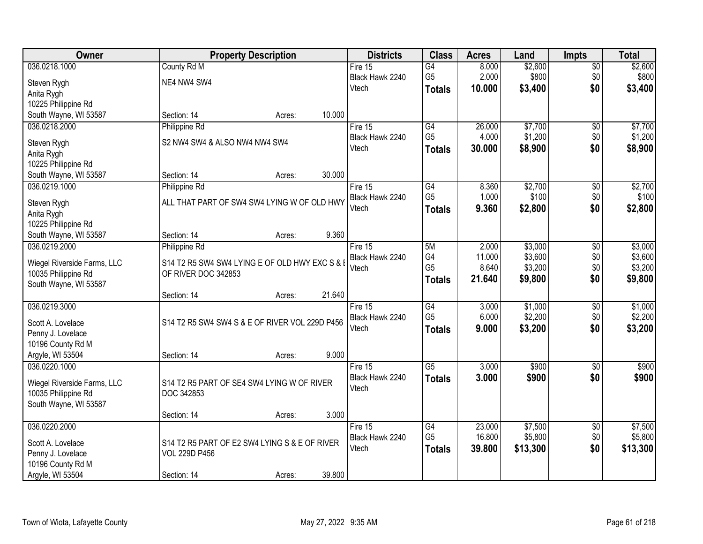| Owner                                              |                                                                       | <b>Property Description</b> |        | <b>Districts</b> | <b>Class</b>    | <b>Acres</b> | Land     | <b>Impts</b>    | <b>Total</b> |
|----------------------------------------------------|-----------------------------------------------------------------------|-----------------------------|--------|------------------|-----------------|--------------|----------|-----------------|--------------|
| 036.0218.1000                                      | County Rd M                                                           |                             |        | Fire $15$        | $\overline{G4}$ | 8.000        | \$2,600  | $\sqrt{$0}$     | \$2,600      |
| Steven Rygh                                        | NE4 NW4 SW4                                                           |                             |        | Black Hawk 2240  | G <sub>5</sub>  | 2.000        | \$800    | \$0             | \$800        |
| Anita Rygh                                         |                                                                       |                             |        | Vtech            | <b>Totals</b>   | 10.000       | \$3,400  | \$0             | \$3,400      |
| 10225 Philippine Rd                                |                                                                       |                             |        |                  |                 |              |          |                 |              |
| South Wayne, WI 53587                              | Section: 14                                                           | Acres:                      | 10.000 |                  |                 |              |          |                 |              |
| 036.0218.2000                                      | Philippine Rd                                                         |                             |        | Fire 15          | $\overline{G4}$ | 26,000       | \$7,700  | \$0             | \$7,700      |
| Steven Rygh                                        | S2 NW4 SW4 & ALSO NW4 NW4 SW4                                         |                             |        | Black Hawk 2240  | G <sub>5</sub>  | 4.000        | \$1,200  | \$0             | \$1,200      |
| Anita Rygh                                         |                                                                       |                             |        | Vtech            | <b>Totals</b>   | 30.000       | \$8,900  | \$0             | \$8,900      |
| 10225 Philippine Rd                                |                                                                       |                             |        |                  |                 |              |          |                 |              |
| South Wayne, WI 53587                              | Section: 14                                                           | Acres:                      | 30.000 |                  |                 |              |          |                 |              |
| 036.0219.1000                                      | Philippine Rd                                                         |                             |        | Fire 15          | $\overline{G4}$ | 8.360        | \$2,700  | \$0             | \$2,700      |
| Steven Rygh                                        | ALL THAT PART OF SW4 SW4 LYING W OF OLD HWY                           |                             |        | Black Hawk 2240  | G <sub>5</sub>  | 1.000        | \$100    | \$0             | \$100        |
| Anita Rygh                                         |                                                                       |                             |        | Vtech            | <b>Totals</b>   | 9.360        | \$2,800  | \$0             | \$2,800      |
| 10225 Philippine Rd                                |                                                                       |                             |        |                  |                 |              |          |                 |              |
| South Wayne, WI 53587                              | Section: 14                                                           | Acres:                      | 9.360  |                  |                 |              |          |                 |              |
| 036.0219.2000                                      | Philippine Rd                                                         |                             |        | Fire 15          | 5M              | 2.000        | \$3,000  | $\sqrt[6]{3}$   | \$3,000      |
| Wiegel Riverside Farms, LLC                        | S14 T2 R5 SW4 SW4 LYING E OF OLD HWY EXC S & I                        |                             |        | Black Hawk 2240  | G4              | 11.000       | \$3,600  | \$0             | \$3,600      |
| 10035 Philippine Rd                                | OF RIVER DOC 342853                                                   |                             |        | Vtech            | G <sub>5</sub>  | 8.640        | \$3,200  | \$0             | \$3,200      |
| South Wayne, WI 53587                              |                                                                       |                             |        |                  | <b>Totals</b>   | 21.640       | \$9,800  | \$0             | \$9,800      |
|                                                    | Section: 14                                                           | Acres:                      | 21.640 |                  |                 |              |          |                 |              |
| 036.0219.3000                                      |                                                                       |                             |        | Fire 15          | G4              | 3.000        | \$1,000  | $\overline{50}$ | \$1,000      |
| Scott A. Lovelace                                  | S14 T2 R5 SW4 SW4 S & E OF RIVER VOL 229D P456                        |                             |        | Black Hawk 2240  | G <sub>5</sub>  | 6.000        | \$2,200  | \$0             | \$2,200      |
| Penny J. Lovelace                                  |                                                                       |                             |        | Vtech            | <b>Totals</b>   | 9.000        | \$3,200  | \$0             | \$3,200      |
| 10196 County Rd M                                  |                                                                       |                             |        |                  |                 |              |          |                 |              |
| Argyle, WI 53504                                   | Section: 14                                                           | Acres:                      | 9.000  |                  |                 |              |          |                 |              |
| 036.0220.1000                                      |                                                                       |                             |        | Fire 15          | $\overline{G5}$ | 3.000        | \$900    | $\overline{50}$ | \$900        |
|                                                    |                                                                       |                             |        | Black Hawk 2240  | <b>Totals</b>   | 3.000        | \$900    | \$0             | \$900        |
| Wiegel Riverside Farms, LLC<br>10035 Philippine Rd | S14 T2 R5 PART OF SE4 SW4 LYING W OF RIVER<br>DOC 342853              |                             |        | Vtech            |                 |              |          |                 |              |
| South Wayne, WI 53587                              |                                                                       |                             |        |                  |                 |              |          |                 |              |
|                                                    | Section: 14                                                           | Acres:                      | 3.000  |                  |                 |              |          |                 |              |
| 036.0220.2000                                      |                                                                       |                             |        | Fire 15          | G4              | 23.000       | \$7,500  | $\overline{60}$ | \$7,500      |
|                                                    |                                                                       |                             |        | Black Hawk 2240  | G <sub>5</sub>  | 16.800       | \$5,800  | \$0             | \$5,800      |
| Scott A. Lovelace<br>Penny J. Lovelace             | S14 T2 R5 PART OF E2 SW4 LYING S & E OF RIVER<br><b>VOL 229D P456</b> |                             |        | Vtech            | <b>Totals</b>   | 39.800       | \$13,300 | \$0             | \$13,300     |
| 10196 County Rd M                                  |                                                                       |                             |        |                  |                 |              |          |                 |              |
| Argyle, WI 53504                                   | Section: 14                                                           | Acres:                      | 39.800 |                  |                 |              |          |                 |              |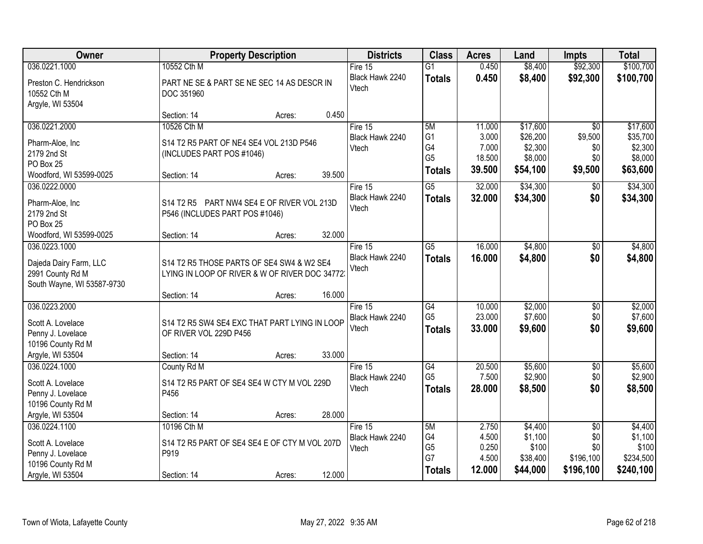| Owner                                                     |                                                          | <b>Property Description</b> |        | <b>Districts</b>         | <b>Class</b>         | <b>Acres</b>    | Land               | <b>Impts</b>    | <b>Total</b>       |
|-----------------------------------------------------------|----------------------------------------------------------|-----------------------------|--------|--------------------------|----------------------|-----------------|--------------------|-----------------|--------------------|
| 036.0221.1000                                             | 10552 Cth M                                              |                             |        | Fire 15                  | $\overline{G1}$      | 0.450           | \$8,400            | \$92,300        | \$100,700          |
| Preston C. Hendrickson<br>10552 Cth M<br>Argyle, WI 53504 | PART NE SE & PART SE NE SEC 14 AS DESCR IN<br>DOC 351960 |                             |        | Black Hawk 2240<br>Vtech | <b>Totals</b>        | 0.450           | \$8,400            | \$92,300        | \$100,700          |
|                                                           | Section: 14                                              | Acres:                      | 0.450  |                          |                      |                 |                    |                 |                    |
| 036.0221.2000                                             | 10526 Cth M                                              |                             |        | Fire 15                  | 5M                   | 11.000          | \$17,600           | $\overline{50}$ | \$17,600           |
| Pharm-Aloe, Inc                                           | S14 T2 R5 PART OF NE4 SE4 VOL 213D P546                  |                             |        | Black Hawk 2240          | G <sub>1</sub>       | 3.000           | \$26,200           | \$9,500         | \$35,700           |
| 2179 2nd St                                               | (INCLUDES PART POS #1046)                                |                             |        | Vtech                    | G4<br>G <sub>5</sub> | 7.000<br>18.500 | \$2,300<br>\$8,000 | \$0<br>\$0      | \$2,300<br>\$8,000 |
| PO Box 25                                                 |                                                          |                             |        |                          |                      | 39.500          | \$54,100           | \$9,500         | \$63,600           |
| Woodford, WI 53599-0025                                   | Section: 14                                              | Acres:                      | 39.500 |                          | <b>Totals</b>        |                 |                    |                 |                    |
| 036.0222.0000                                             |                                                          |                             |        | Fire 15                  | $\overline{G5}$      | 32.000          | \$34,300           | $\sqrt[6]{3}$   | \$34,300           |
| Pharm-Aloe, Inc                                           | S14 T2 R5 PART NW4 SE4 E OF RIVER VOL 213D               |                             |        | Black Hawk 2240          | <b>Totals</b>        | 32.000          | \$34,300           | \$0             | \$34,300           |
| 2179 2nd St                                               | P546 (INCLUDES PART POS #1046)                           |                             |        | Vtech                    |                      |                 |                    |                 |                    |
| PO Box 25                                                 |                                                          |                             |        |                          |                      |                 |                    |                 |                    |
| Woodford, WI 53599-0025                                   | Section: 14                                              | Acres:                      | 32.000 |                          |                      |                 |                    |                 |                    |
| 036.0223.1000                                             |                                                          |                             |        | Fire 15                  | $\overline{G5}$      | 16.000          | \$4,800            | $\sqrt[6]{3}$   | \$4,800            |
| Dajeda Dairy Farm, LLC                                    | S14 T2 R5 THOSE PARTS OF SE4 SW4 & W2 SE4                |                             |        | Black Hawk 2240          | <b>Totals</b>        | 16.000          | \$4,800            | \$0             | \$4,800            |
| 2991 County Rd M                                          | LYING IN LOOP OF RIVER & W OF RIVER DOC 34772.           |                             |        | Vtech                    |                      |                 |                    |                 |                    |
| South Wayne, WI 53587-9730                                |                                                          |                             |        |                          |                      |                 |                    |                 |                    |
|                                                           | Section: 14                                              | Acres:                      | 16.000 |                          |                      |                 |                    |                 |                    |
| 036.0223.2000                                             |                                                          |                             |        | Fire 15                  | $\overline{G4}$      | 10.000          | \$2,000            | \$0             | \$2,000            |
| Scott A. Lovelace                                         | S14 T2 R5 SW4 SE4 EXC THAT PART LYING IN LOOP            |                             |        | Black Hawk 2240          | G <sub>5</sub>       | 23.000          | \$7,600            | \$0             | \$7,600            |
| Penny J. Lovelace                                         | OF RIVER VOL 229D P456                                   |                             |        | Vtech                    | <b>Totals</b>        | 33.000          | \$9,600            | \$0             | \$9,600            |
| 10196 County Rd M                                         |                                                          |                             |        |                          |                      |                 |                    |                 |                    |
| Argyle, WI 53504                                          | Section: 14                                              | Acres:                      | 33.000 |                          |                      |                 |                    |                 |                    |
| 036.0224.1000                                             | County Rd M                                              |                             |        | Fire 15                  | $\overline{G4}$      | 20.500          | \$5,600            | $\overline{$0}$ | \$5,600            |
| Scott A. Lovelace                                         | S14 T2 R5 PART OF SE4 SE4 W CTY M VOL 229D               |                             |        | Black Hawk 2240          | G <sub>5</sub>       | 7.500           | \$2,900            | \$0             | \$2,900            |
| Penny J. Lovelace                                         | P456                                                     |                             |        | Vtech                    | <b>Totals</b>        | 28.000          | \$8,500            | \$0             | \$8,500            |
| 10196 County Rd M                                         |                                                          |                             |        |                          |                      |                 |                    |                 |                    |
| Argyle, WI 53504                                          | Section: 14                                              | Acres:                      | 28.000 |                          |                      |                 |                    |                 |                    |
| 036.0224.1100                                             | 10196 Cth M                                              |                             |        | Fire 15                  | 5M                   | 2.750           | \$4,400            | $\overline{50}$ | \$4,400            |
| Scott A. Lovelace                                         | S14 T2 R5 PART OF SE4 SE4 E OF CTY M VOL 207D            |                             |        | Black Hawk 2240          | G4                   | 4.500           | \$1,100            | \$0             | \$1,100            |
| Penny J. Lovelace                                         | P919                                                     |                             |        | Vtech                    | G <sub>5</sub>       | 0.250           | \$100              | \$0             | \$100              |
| 10196 County Rd M                                         |                                                          |                             |        |                          | G7                   | 4.500           | \$38,400           | \$196,100       | \$234,500          |
| Argyle, WI 53504                                          | Section: 14                                              | Acres:                      | 12.000 |                          | <b>Totals</b>        | 12.000          | \$44,000           | \$196,100       | \$240,100          |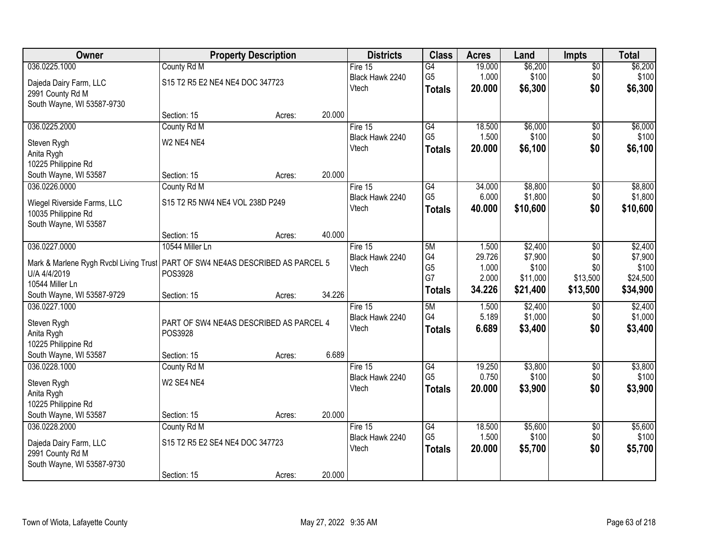| Owner                                                                            | <b>Property Description</b>             |        |        | <b>Districts</b> | <b>Class</b>         | <b>Acres</b>   | Land              | <b>Impts</b>    | <b>Total</b>      |
|----------------------------------------------------------------------------------|-----------------------------------------|--------|--------|------------------|----------------------|----------------|-------------------|-----------------|-------------------|
| 036.0225.1000                                                                    | County Rd M                             |        |        | Fire $15$        | $\overline{G4}$      | 19.000         | \$6,200           | \$0             | \$6,200           |
| Dajeda Dairy Farm, LLC                                                           | S15 T2 R5 E2 NE4 NE4 DOC 347723         |        |        | Black Hawk 2240  | G <sub>5</sub>       | 1.000          | \$100             | \$0             | \$100             |
| 2991 County Rd M                                                                 |                                         |        |        | Vtech            | <b>Totals</b>        | 20.000         | \$6,300           | \$0             | \$6,300           |
| South Wayne, WI 53587-9730                                                       |                                         |        |        |                  |                      |                |                   |                 |                   |
|                                                                                  | Section: 15                             | Acres: | 20.000 |                  |                      |                |                   |                 |                   |
| 036.0225.2000                                                                    | County Rd M                             |        |        | Fire $15$        | $\overline{G4}$      | 18.500         | \$6,000           | $\overline{50}$ | \$6,000           |
| Steven Rygh                                                                      | W2 NE4 NE4                              |        |        | Black Hawk 2240  | G <sub>5</sub>       | 1.500          | \$100             | \$0             | \$100             |
| Anita Rygh                                                                       |                                         |        |        | Vtech            | <b>Totals</b>        | 20.000         | \$6,100           | \$0             | \$6,100           |
| 10225 Philippine Rd                                                              |                                         |        |        |                  |                      |                |                   |                 |                   |
| South Wayne, WI 53587                                                            | Section: 15                             | Acres: | 20.000 |                  |                      |                |                   |                 |                   |
| 036.0226.0000                                                                    | County Rd M                             |        |        | Fire 15          | $\overline{G4}$      | 34.000         | \$8,800           | \$0             | \$8,800           |
| Wiegel Riverside Farms, LLC                                                      | S15 T2 R5 NW4 NE4 VOL 238D P249         |        |        | Black Hawk 2240  | G <sub>5</sub>       | 6.000          | \$1,800           | \$0             | \$1,800           |
| 10035 Philippine Rd                                                              |                                         |        |        | Vtech            | <b>Totals</b>        | 40.000         | \$10,600          | \$0             | \$10,600          |
| South Wayne, WI 53587                                                            |                                         |        |        |                  |                      |                |                   |                 |                   |
|                                                                                  | Section: 15                             | Acres: | 40.000 |                  |                      |                |                   |                 |                   |
| 036.0227.0000                                                                    | 10544 Miller Ln                         |        |        | Fire 15          | 5M                   | 1.500          | \$2,400           | \$0             | \$2,400           |
| Mark & Marlene Rygh Rvcbl Living Trust   PART OF SW4 NE4AS DESCRIBED AS PARCEL 5 |                                         |        |        | Black Hawk 2240  | G4                   | 29.726         | \$7,900           | \$0             | \$7,900           |
| U/A 4/4/2019                                                                     | POS3928                                 |        |        | Vtech            | G <sub>5</sub><br>G7 | 1.000<br>2.000 | \$100<br>\$11,000 | \$0<br>\$13,500 | \$100<br>\$24,500 |
| 10544 Miller Ln                                                                  |                                         |        |        |                  | <b>Totals</b>        | 34.226         | \$21,400          | \$13,500        | \$34,900          |
| South Wayne, WI 53587-9729                                                       | Section: 15                             | Acres: | 34.226 |                  |                      |                |                   |                 |                   |
| 036.0227.1000                                                                    |                                         |        |        | Fire $15$        | 5M                   | 1.500          | \$2,400           | $\overline{50}$ | \$2,400           |
| Steven Rygh                                                                      | PART OF SW4 NE4AS DESCRIBED AS PARCEL 4 |        |        | Black Hawk 2240  | G4                   | 5.189          | \$1,000           | \$0             | \$1,000           |
| Anita Rygh                                                                       | POS3928                                 |        |        | Vtech            | <b>Totals</b>        | 6.689          | \$3,400           | \$0             | \$3,400           |
| 10225 Philippine Rd                                                              |                                         |        |        |                  |                      |                |                   |                 |                   |
| South Wayne, WI 53587                                                            | Section: 15                             | Acres: | 6.689  |                  |                      |                |                   |                 |                   |
| 036.0228.1000                                                                    | County Rd M                             |        |        | Fire 15          | G4                   | 19.250         | \$3,800           | $\sqrt{$0}$     | \$3,800           |
| Steven Rygh                                                                      | W <sub>2</sub> SE4 NE4                  |        |        | Black Hawk 2240  | G <sub>5</sub>       | 0.750          | \$100             | \$0             | \$100             |
| Anita Rygh                                                                       |                                         |        |        | Vtech            | <b>Totals</b>        | 20,000         | \$3,900           | \$0             | \$3,900           |
| 10225 Philippine Rd                                                              |                                         |        |        |                  |                      |                |                   |                 |                   |
| South Wayne, WI 53587                                                            | Section: 15                             | Acres: | 20.000 |                  |                      |                |                   |                 |                   |
| 036.0228.2000                                                                    | County Rd M                             |        |        | Fire 15          | G4                   | 18.500         | \$5,600           | $\overline{50}$ | \$5,600           |
| Dajeda Dairy Farm, LLC                                                           | S15 T2 R5 E2 SE4 NE4 DOC 347723         |        |        | Black Hawk 2240  | G <sub>5</sub>       | 1.500          | \$100             | \$0             | \$100             |
| 2991 County Rd M                                                                 |                                         |        |        | Vtech            | <b>Totals</b>        | 20.000         | \$5,700           | \$0             | \$5,700           |
| South Wayne, WI 53587-9730                                                       |                                         |        |        |                  |                      |                |                   |                 |                   |
|                                                                                  | Section: 15                             | Acres: | 20.000 |                  |                      |                |                   |                 |                   |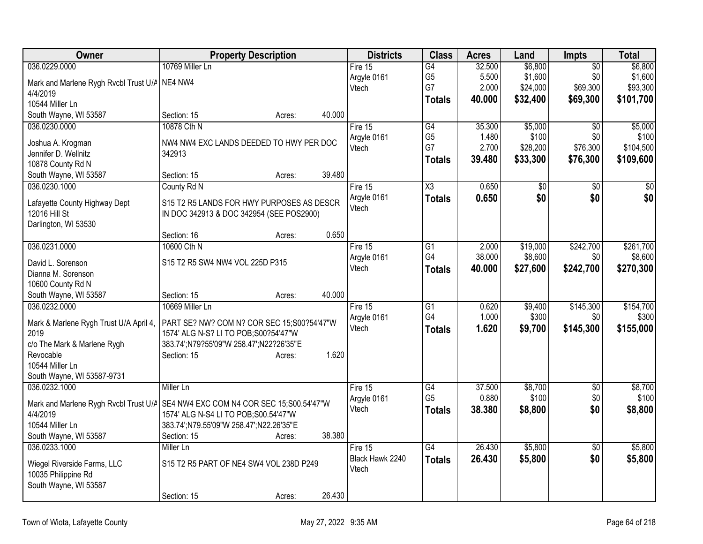| Owner<br><b>Property Description</b><br><b>Districts</b><br><b>Class</b><br><b>Acres</b><br>Land                                   | Impts           | <b>Total</b>    |
|------------------------------------------------------------------------------------------------------------------------------------|-----------------|-----------------|
| 10769 Miller Ln<br>\$6,800<br>036.0229.0000<br>G4<br>32.500<br>Fire 15                                                             | $\overline{50}$ | \$6,800         |
| G <sub>5</sub><br>5.500<br>\$1,600<br>Argyle 0161<br>Mark and Marlene Rygh Rvcbl Trust U/A NE4 NW4                                 | \$0             | \$1,600         |
| G7<br>2.000<br>\$24,000<br>Vtech<br>4/4/2019                                                                                       | \$69,300        | \$93,300        |
| 40.000<br>\$32,400<br><b>Totals</b><br>10544 Miller Ln                                                                             | \$69,300        | \$101,700       |
| 40.000<br>South Wayne, WI 53587<br>Section: 15<br>Acres:                                                                           |                 |                 |
| 10878 Cth N<br>\$5,000<br>036.0230.0000<br>Fire 15<br>G4<br>35.300                                                                 | \$0             | \$5,000         |
| G <sub>5</sub><br>1.480<br>\$100<br>Argyle 0161<br>Joshua A. Krogman<br>NW4 NW4 EXC LANDS DEEDED TO HWY PER DOC                    | \$0             | \$100           |
| G7<br>2.700<br>\$28,200<br>Vtech<br>Jennifer D. Wellnitz<br>342913                                                                 | \$76,300        | \$104,500       |
| 39.480<br>\$33,300<br><b>Totals</b><br>10878 County Rd N                                                                           | \$76,300        | \$109,600       |
| 39.480<br>South Wayne, WI 53587<br>Section: 15<br>Acres:                                                                           |                 |                 |
| 036.0230.1000<br>$\overline{\chi_3}$<br>0.650<br>County Rd N<br>Fire 15<br>\$0                                                     | $\overline{50}$ | $\overline{50}$ |
| Argyle 0161<br>0.650<br>\$0<br><b>Totals</b>                                                                                       | \$0             | \$0             |
| Lafayette County Highway Dept<br>S15 T2 R5 LANDS FOR HWY PURPOSES AS DESCR<br>Vtech                                                |                 |                 |
| 12016 Hill St<br>IN DOC 342913 & DOC 342954 (SEE POS2900)<br>Darlington, WI 53530                                                  |                 |                 |
| 0.650<br>Section: 16<br>Acres:                                                                                                     |                 |                 |
| 036.0231.0000<br>10600 Cth N<br>\$19,000<br>$\overline{G1}$<br>2.000<br>Fire 15                                                    | \$242,700       | \$261,700       |
| G4<br>38.000<br>\$8,600<br>Argyle 0161                                                                                             | \$0             | \$8,600         |
| David L. Sorenson<br>S15 T2 R5 SW4 NW4 VOL 225D P315<br>Vtech<br>40.000<br>\$27,600<br><b>Totals</b>                               | \$242,700       | \$270,300       |
| Dianna M. Sorenson                                                                                                                 |                 |                 |
| 10600 County Rd N                                                                                                                  |                 |                 |
| 40.000<br>South Wayne, WI 53587<br>Section: 15<br>Acres:                                                                           |                 |                 |
| 036.0232.0000<br>10669 Miller Ln<br>$\overline{G1}$<br>0.620<br>\$9,400<br>Fire 15                                                 | \$145,300       | \$154,700       |
| G4<br>1.000<br>\$300<br>Argyle 0161<br>PART SE? NW? COM N? COR SEC 15;S00?54'47"W<br>Mark & Marlene Rygh Trust U/A April 4,        | \$0             | \$300           |
| 1.620<br>\$9,700<br>Vtech<br><b>Totals</b><br>2019<br>1574' ALG N-S? LI TO POB; S00? 54' 47" W                                     | \$145,300       | \$155,000       |
| 383.74';N79?55'09"W 258.47';N22?26'35"E<br>c/o The Mark & Marlene Rygh                                                             |                 |                 |
| Revocable<br>1.620<br>Section: 15<br>Acres:                                                                                        |                 |                 |
| 10544 Miller Ln                                                                                                                    |                 |                 |
| South Wayne, WI 53587-9731                                                                                                         |                 |                 |
| 37.500<br>\$8,700<br>036.0232.1000<br>Miller Ln<br>Fire 15<br>G4                                                                   | $\sqrt{6}$      | \$8,700         |
| G <sub>5</sub><br>0.880<br>\$100<br>Argyle 0161<br>Mark and Marlene Rygh Rvcbl Trust U/A SE4 NW4 EXC COM N4 COR SEC 15;S00.54'47"W | \$0             | \$100           |
| 38.380<br>\$8,800<br>Vtech<br><b>Totals</b><br>4/4/2019<br>1574' ALG N-S4 LI TO POB; S00.54'47"W                                   | \$0             | \$8,800         |
| 10544 Miller Ln<br>383.74';N79.55'09"W 258.47';N22.26'35"E                                                                         |                 |                 |
| 38.380<br>South Wayne, WI 53587<br>Section: 15<br>Acres:                                                                           |                 |                 |
| 26.430<br>\$5,800<br>036.0233.1000<br>$\overline{G4}$<br>Miller Ln<br>Fire $15$                                                    | $\overline{30}$ | \$5,800         |
| 26.430<br>\$5,800<br>Black Hawk 2240<br><b>Totals</b><br>S15 T2 R5 PART OF NE4 SW4 VOL 238D P249<br>Wiegel Riverside Farms, LLC    | \$0             | \$5,800         |
| Vtech<br>10035 Philippine Rd                                                                                                       |                 |                 |
| South Wayne, WI 53587                                                                                                              |                 |                 |
| 26.430<br>Section: 15<br>Acres:                                                                                                    |                 |                 |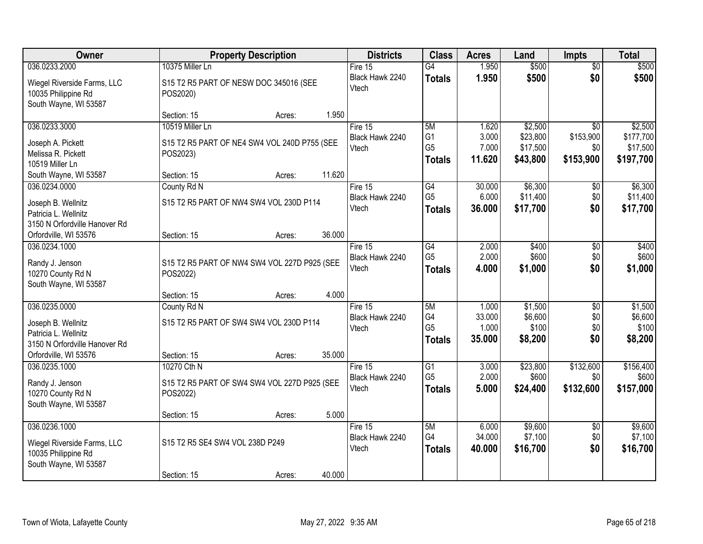| Owner                                                                       | <b>Property Description</b>                        | <b>Districts</b>         | <b>Class</b>   | <b>Acres</b> | Land     | <b>Impts</b>    | <b>Total</b> |
|-----------------------------------------------------------------------------|----------------------------------------------------|--------------------------|----------------|--------------|----------|-----------------|--------------|
| 036.0233.2000                                                               | 10375 Miller Ln                                    | Fire $15$                | G4             | 1.950        | \$500    | \$0             | \$500        |
| Wiegel Riverside Farms, LLC<br>10035 Philippine Rd<br>South Wayne, WI 53587 | S15 T2 R5 PART OF NESW DOC 345016 (SEE<br>POS2020) | Black Hawk 2240<br>Vtech | <b>Totals</b>  | 1.950        | \$500    | \$0             | \$500        |
|                                                                             | 1.950<br>Section: 15<br>Acres:                     |                          |                |              |          |                 |              |
| 036.0233.3000                                                               | 10519 Miller Ln                                    | Fire 15                  | 5M             | 1.620        | \$2,500  | $\overline{50}$ | \$2,500      |
| Joseph A. Pickett                                                           | S15 T2 R5 PART OF NE4 SW4 VOL 240D P755 (SEE       | Black Hawk 2240          | G <sub>1</sub> | 3.000        | \$23,800 | \$153,900       | \$177,700    |
| Melissa R. Pickett                                                          | POS2023)                                           | Vtech                    | G <sub>5</sub> | 7.000        | \$17,500 | \$0             | \$17,500     |
| 10519 Miller Ln                                                             |                                                    |                          | <b>Totals</b>  | 11.620       | \$43,800 | \$153,900       | \$197,700    |
| South Wayne, WI 53587                                                       | 11.620<br>Section: 15<br>Acres:                    |                          |                |              |          |                 |              |
| 036.0234.0000                                                               | County Rd N                                        | Fire 15                  | G4             | 30.000       | \$6,300  | \$0             | \$6,300      |
| Joseph B. Wellnitz                                                          | S15 T2 R5 PART OF NW4 SW4 VOL 230D P114            | Black Hawk 2240          | G <sub>5</sub> | 6.000        | \$11,400 | \$0             | \$11,400     |
| Patricia L. Wellnitz                                                        |                                                    | Vtech                    | <b>Totals</b>  | 36.000       | \$17,700 | \$0             | \$17,700     |
| 3150 N Orfordville Hanover Rd                                               |                                                    |                          |                |              |          |                 |              |
| Orfordville, WI 53576                                                       | 36.000<br>Section: 15<br>Acres:                    |                          |                |              |          |                 |              |
| 036.0234.1000                                                               |                                                    | Fire 15                  | G4             | 2.000        | \$400    | $\sqrt[6]{3}$   | \$400        |
| Randy J. Jenson                                                             | S15 T2 R5 PART OF NW4 SW4 VOL 227D P925 (SEE       | Black Hawk 2240          | G <sub>5</sub> | 2.000        | \$600    | \$0             | \$600        |
| 10270 County Rd N                                                           | POS2022)                                           | Vtech                    | <b>Totals</b>  | 4.000        | \$1,000  | \$0             | \$1,000      |
| South Wayne, WI 53587                                                       |                                                    |                          |                |              |          |                 |              |
|                                                                             | 4.000<br>Section: 15<br>Acres:                     |                          |                |              |          |                 |              |
| 036.0235.0000                                                               | County Rd N                                        | Fire 15                  | 5M             | 1.000        | \$1,500  | $\overline{50}$ | \$1,500      |
| Joseph B. Wellnitz                                                          | S15 T2 R5 PART OF SW4 SW4 VOL 230D P114            | Black Hawk 2240          | G4             | 33.000       | \$6,600  | \$0             | \$6,600      |
| Patricia L. Wellnitz                                                        |                                                    | Vtech                    | G <sub>5</sub> | 1.000        | \$100    | \$0<br>\$0      | \$100        |
| 3150 N Orfordville Hanover Rd                                               |                                                    |                          | <b>Totals</b>  | 35.000       | \$8,200  |                 | \$8,200      |
| Orfordville, WI 53576                                                       | 35.000<br>Section: 15<br>Acres:                    |                          |                |              |          |                 |              |
| 036.0235.1000                                                               | 10270 Cth N                                        | Fire 15                  | G1             | 3.000        | \$23,800 | \$132,600       | \$156,400    |
| Randy J. Jenson                                                             | S15 T2 R5 PART OF SW4 SW4 VOL 227D P925 (SEE       | Black Hawk 2240          | G <sub>5</sub> | 2.000        | \$600    | \$0             | \$600        |
| 10270 County Rd N                                                           | POS2022)                                           | Vtech                    | <b>Totals</b>  | 5.000        | \$24,400 | \$132,600       | \$157,000    |
| South Wayne, WI 53587                                                       |                                                    |                          |                |              |          |                 |              |
|                                                                             | 5.000<br>Section: 15<br>Acres:                     |                          |                |              |          |                 |              |
| 036.0236.1000                                                               |                                                    | Fire $15$                | 5M             | 6.000        | \$9,600  | $\overline{50}$ | \$9,600      |
| Wiegel Riverside Farms, LLC                                                 | S15 T2 R5 SE4 SW4 VOL 238D P249                    | Black Hawk 2240          | G4             | 34.000       | \$7,100  | \$0             | \$7,100      |
| 10035 Philippine Rd                                                         |                                                    | Vtech                    | <b>Totals</b>  | 40.000       | \$16,700 | \$0             | \$16,700     |
| South Wayne, WI 53587                                                       |                                                    |                          |                |              |          |                 |              |
|                                                                             | 40.000<br>Section: 15<br>Acres:                    |                          |                |              |          |                 |              |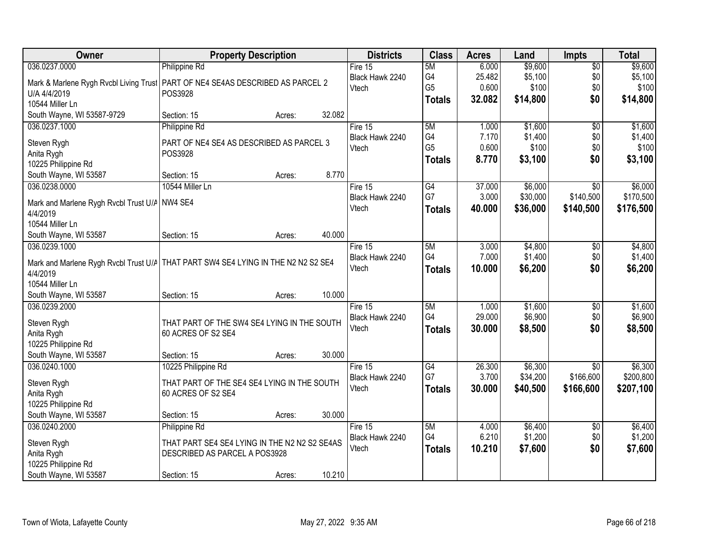| Owner                                         | <b>Property Description</b>                                                         | <b>Districts</b> | <b>Class</b>   | <b>Acres</b> | Land     | <b>Impts</b>    | <b>Total</b> |
|-----------------------------------------------|-------------------------------------------------------------------------------------|------------------|----------------|--------------|----------|-----------------|--------------|
| 036.0237.0000                                 | Philippine Rd                                                                       | Fire $15$        | 5M             | 6.000        | \$9,600  | $\overline{50}$ | \$9,600      |
|                                               | Mark & Marlene Rygh Rvcbl Living Trust PART OF NE4 SE4AS DESCRIBED AS PARCEL 2      | Black Hawk 2240  | G4             | 25.482       | \$5,100  | \$0             | \$5,100      |
| U/A 4/4/2019                                  | POS3928                                                                             | Vtech            | G <sub>5</sub> | 0.600        | \$100    | \$0             | \$100        |
| 10544 Miller Ln                               |                                                                                     |                  | <b>Totals</b>  | 32.082       | \$14,800 | \$0             | \$14,800     |
| South Wayne, WI 53587-9729                    | 32.082<br>Section: 15<br>Acres:                                                     |                  |                |              |          |                 |              |
| 036.0237.1000                                 | Philippine Rd                                                                       | Fire 15          | 5M             | 1.000        | \$1,600  | $\overline{50}$ | \$1,600      |
| Steven Rygh                                   | PART OF NE4 SE4 AS DESCRIBED AS PARCEL 3                                            | Black Hawk 2240  | G4             | 7.170        | \$1,400  | \$0             | \$1,400      |
| Anita Rygh                                    | POS3928                                                                             | Vtech            | G <sub>5</sub> | 0.600        | \$100    | \$0             | \$100        |
| 10225 Philippine Rd                           |                                                                                     |                  | <b>Totals</b>  | 8.770        | \$3,100  | \$0             | \$3,100      |
| South Wayne, WI 53587                         | Section: 15<br>Acres:                                                               | 8.770            |                |              |          |                 |              |
| 036.0238.0000                                 | 10544 Miller Ln                                                                     | Fire 15          | G4             | 37.000       | \$6,000  | $\overline{50}$ | \$6,000      |
|                                               |                                                                                     | Black Hawk 2240  | G7             | 3.000        | \$30,000 | \$140,500       | \$170,500    |
| Mark and Marlene Rygh Rvcbl Trust U/A NW4 SE4 |                                                                                     | Vtech            | <b>Totals</b>  | 40.000       | \$36,000 | \$140,500       | \$176,500    |
| 4/4/2019<br>10544 Miller Ln                   |                                                                                     |                  |                |              |          |                 |              |
| South Wayne, WI 53587                         | 40.000<br>Section: 15<br>Acres:                                                     |                  |                |              |          |                 |              |
| 036.0239.1000                                 |                                                                                     | Fire 15          | 5M             | 3.000        | \$4,800  | \$0             | \$4,800      |
|                                               |                                                                                     | Black Hawk 2240  | G4             | 7.000        | \$1,400  | \$0             | \$1,400      |
|                                               | Mark and Marlene Rygh Rvcbl Trust U/A   THAT PART SW4 SE4 LYING IN THE N2 N2 S2 SE4 | Vtech            | <b>Totals</b>  | 10.000       | \$6,200  | \$0             | \$6,200      |
| 4/4/2019                                      |                                                                                     |                  |                |              |          |                 |              |
| 10544 Miller Ln                               |                                                                                     |                  |                |              |          |                 |              |
| South Wayne, WI 53587                         | 10.000<br>Section: 15<br>Acres:                                                     |                  |                |              |          |                 |              |
| 036.0239.2000                                 |                                                                                     | Fire 15          | 5M             | 1.000        | \$1,600  | $\overline{50}$ | \$1,600      |
| Steven Rygh                                   | THAT PART OF THE SW4 SE4 LYING IN THE SOUTH                                         | Black Hawk 2240  | G4             | 29.000       | \$6,900  | \$0             | \$6,900      |
| Anita Rygh                                    | 60 ACRES OF S2 SE4                                                                  | Vtech            | <b>Totals</b>  | 30.000       | \$8,500  | \$0             | \$8,500      |
| 10225 Philippine Rd                           |                                                                                     |                  |                |              |          |                 |              |
| South Wayne, WI 53587                         | 30.000<br>Section: 15<br>Acres:                                                     |                  |                |              |          |                 |              |
| 036.0240.1000                                 | 10225 Philippine Rd                                                                 | Fire 15          | G4             | 26.300       | \$6,300  | $\sqrt{6}$      | \$6,300      |
| Steven Rygh                                   | THAT PART OF THE SE4 SE4 LYING IN THE SOUTH                                         | Black Hawk 2240  | G7             | 3.700        | \$34,200 | \$166,600       | \$200,800    |
| Anita Rygh                                    | 60 ACRES OF S2 SE4                                                                  | Vtech            | <b>Totals</b>  | 30.000       | \$40,500 | \$166,600       | \$207,100    |
| 10225 Philippine Rd                           |                                                                                     |                  |                |              |          |                 |              |
| South Wayne, WI 53587                         | 30.000<br>Section: 15<br>Acres:                                                     |                  |                |              |          |                 |              |
| 036.0240.2000                                 | Philippine Rd                                                                       | Fire 15          | 5M             | 4.000        | \$6,400  | $\overline{30}$ | \$6,400      |
|                                               |                                                                                     | Black Hawk 2240  | G4             | 6.210        | \$1,200  | \$0             | \$1,200      |
| Steven Rygh                                   | THAT PART SE4 SE4 LYING IN THE N2 N2 S2 SE4AS                                       | Vtech            | <b>Totals</b>  | 10.210       | \$7,600  | \$0             | \$7,600      |
| Anita Rygh                                    | DESCRIBED AS PARCEL A POS3928                                                       |                  |                |              |          |                 |              |
| 10225 Philippine Rd                           | 10.210                                                                              |                  |                |              |          |                 |              |
| South Wayne, WI 53587                         | Section: 15<br>Acres:                                                               |                  |                |              |          |                 |              |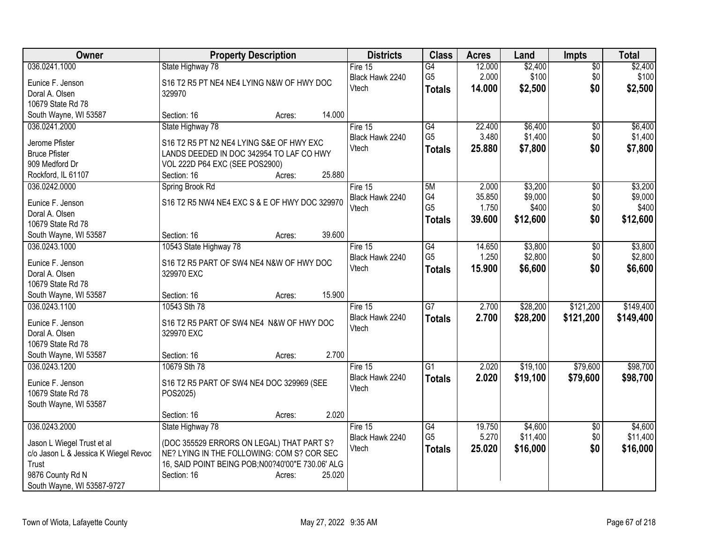| Owner                                  | <b>Property Description</b>                           | <b>Districts</b> | <b>Class</b>    | <b>Acres</b> | Land     | <b>Impts</b>           | <b>Total</b> |
|----------------------------------------|-------------------------------------------------------|------------------|-----------------|--------------|----------|------------------------|--------------|
| 036.0241.1000                          | State Highway 78                                      | Fire 15          | $\overline{G4}$ | 12.000       | \$2,400  | $\overline{$0}$        | \$2,400      |
| Eunice F. Jenson                       | S16 T2 R5 PT NE4 NE4 LYING N&W OF HWY DOC             | Black Hawk 2240  | G <sub>5</sub>  | 2.000        | \$100    | \$0                    | \$100        |
| Doral A. Olsen                         | 329970                                                | Vtech            | <b>Totals</b>   | 14.000       | \$2,500  | \$0                    | \$2,500      |
| 10679 State Rd 78                      |                                                       |                  |                 |              |          |                        |              |
| South Wayne, WI 53587                  | 14.000<br>Section: 16<br>Acres:                       |                  |                 |              |          |                        |              |
| 036.0241.2000                          | State Highway 78                                      | Fire 15          | G4              | 22.400       | \$6,400  | \$0                    | \$6,400      |
| Jerome Pfister                         | S16 T2 R5 PT N2 NE4 LYING S&E OF HWY EXC              | Black Hawk 2240  | G <sub>5</sub>  | 3.480        | \$1,400  | \$0                    | \$1,400      |
| <b>Bruce Pfister</b>                   | LANDS DEEDED IN DOC 342954 TO LAF CO HWY              | Vtech            | <b>Totals</b>   | 25.880       | \$7,800  | \$0                    | \$7,800      |
| 909 Medford Dr                         | VOL 222D P64 EXC (SEE POS2900)                        |                  |                 |              |          |                        |              |
| Rockford, IL 61107                     | 25.880<br>Section: 16<br>Acres:                       |                  |                 |              |          |                        |              |
| 036.0242.0000                          | Spring Brook Rd                                       | Fire 15          | 5M              | 2.000        | \$3,200  | \$0                    | \$3,200      |
|                                        |                                                       | Black Hawk 2240  | G <sub>4</sub>  | 35.850       | \$9,000  | \$0                    | \$9,000      |
| Eunice F. Jenson                       | S16 T2 R5 NW4 NE4 EXC S & E OF HWY DOC 329970         | Vtech            | G <sub>5</sub>  | 1.750        | \$400    | \$0                    | \$400        |
| Doral A. Olsen                         |                                                       |                  | <b>Totals</b>   | 39.600       | \$12,600 | \$0                    | \$12,600     |
| 10679 State Rd 78                      | 39.600                                                |                  |                 |              |          |                        |              |
| South Wayne, WI 53587<br>036.0243.1000 | Section: 16<br>Acres:<br>10543 State Highway 78       | Fire 15          | $\overline{G4}$ | 14.650       | \$3,800  |                        | \$3,800      |
|                                        |                                                       | Black Hawk 2240  | G <sub>5</sub>  | 1.250        | \$2,800  | $\overline{50}$<br>\$0 | \$2,800      |
| Eunice F. Jenson                       | S16 T2 R5 PART OF SW4 NE4 N&W OF HWY DOC              | Vtech            |                 | 15.900       | \$6,600  | \$0                    | \$6,600      |
| Doral A. Olsen                         | 329970 EXC                                            |                  | <b>Totals</b>   |              |          |                        |              |
| 10679 State Rd 78                      |                                                       |                  |                 |              |          |                        |              |
| South Wayne, WI 53587                  | 15.900<br>Section: 16<br>Acres:                       |                  |                 |              |          |                        |              |
| 036.0243.1100                          | 10543 Sth 78                                          | Fire 15          | $\overline{G}$  | 2.700        | \$28,200 | \$121,200              | \$149,400    |
| Eunice F. Jenson                       | S16 T2 R5 PART OF SW4 NE4 N&W OF HWY DOC              | Black Hawk 2240  | <b>Totals</b>   | 2.700        | \$28,200 | \$121,200              | \$149,400    |
| Doral A. Olsen                         | 329970 EXC                                            | Vtech            |                 |              |          |                        |              |
| 10679 State Rd 78                      |                                                       |                  |                 |              |          |                        |              |
| South Wayne, WI 53587                  | 2.700<br>Section: 16<br>Acres:                        |                  |                 |              |          |                        |              |
| 036.0243.1200                          | 10679 Sth 78                                          | Fire $15$        | $\overline{G1}$ | 2.020        | \$19,100 | \$79,600               | \$98,700     |
|                                        |                                                       | Black Hawk 2240  | <b>Totals</b>   | 2.020        | \$19,100 | \$79,600               | \$98,700     |
| Eunice F. Jenson<br>10679 State Rd 78  | S16 T2 R5 PART OF SW4 NE4 DOC 329969 (SEE<br>POS2025) | Vtech            |                 |              |          |                        |              |
| South Wayne, WI 53587                  |                                                       |                  |                 |              |          |                        |              |
|                                        | 2.020<br>Section: 16<br>Acres:                        |                  |                 |              |          |                        |              |
| 036.0243.2000                          | State Highway 78                                      | Fire $15$        | G4              | 19.750       | \$4,600  | $\sqrt{6}$             | \$4,600      |
|                                        |                                                       | Black Hawk 2240  | G <sub>5</sub>  | 5.270        | \$11,400 | \$0                    | \$11,400     |
| Jason L Wiegel Trust et al             | (DOC 355529 ERRORS ON LEGAL) THAT PART S?             | Vtech            | <b>Totals</b>   | 25.020       | \$16,000 | \$0                    | \$16,000     |
| c/o Jason L & Jessica K Wiegel Revoc   | NE? LYING IN THE FOLLOWING: COM S? COR SEC            |                  |                 |              |          |                        |              |
| Trust                                  | 16, SAID POINT BEING POB; N00?40'00" E 730.06' ALG    |                  |                 |              |          |                        |              |
| 9876 County Rd N                       | Section: 16<br>25.020<br>Acres:                       |                  |                 |              |          |                        |              |
| South Wayne, WI 53587-9727             |                                                       |                  |                 |              |          |                        |              |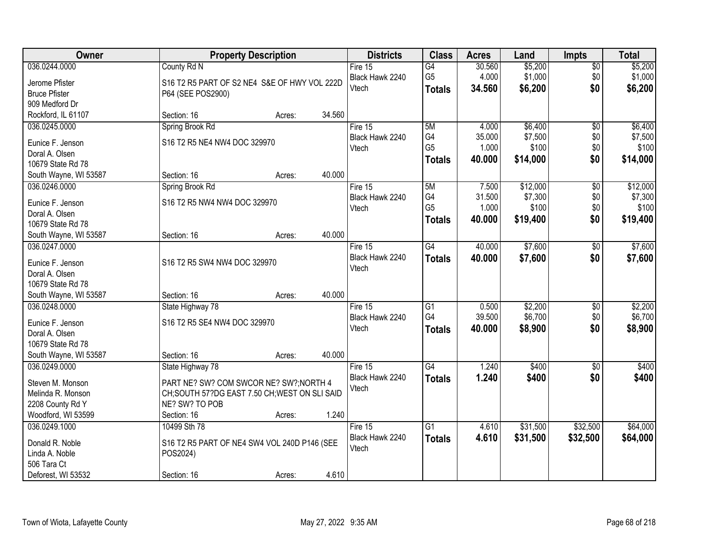| Owner                 |                                              | <b>Property Description</b> |        | <b>Districts</b>         | <b>Class</b>    | <b>Acres</b> | Land     | <b>Impts</b>    | <b>Total</b> |
|-----------------------|----------------------------------------------|-----------------------------|--------|--------------------------|-----------------|--------------|----------|-----------------|--------------|
| 036.0244.0000         | County Rd N                                  |                             |        | Fire $15$                | $\overline{G4}$ | 30.560       | \$5,200  | \$0             | \$5,200      |
| Jerome Pfister        | S16 T2 R5 PART OF S2 NE4 S&E OF HWY VOL 222D |                             |        | Black Hawk 2240          | G <sub>5</sub>  | 4.000        | \$1,000  | \$0             | \$1,000      |
| <b>Bruce Pfister</b>  | P64 (SEE POS2900)                            |                             |        | Vtech                    | <b>Totals</b>   | 34.560       | \$6,200  | \$0             | \$6,200      |
| 909 Medford Dr        |                                              |                             |        |                          |                 |              |          |                 |              |
| Rockford, IL 61107    | Section: 16                                  | Acres:                      | 34.560 |                          |                 |              |          |                 |              |
| 036.0245.0000         | Spring Brook Rd                              |                             |        | Fire 15                  | 5M              | 4.000        | \$6,400  | $\overline{50}$ | \$6,400      |
| Eunice F. Jenson      | S16 T2 R5 NE4 NW4 DOC 329970                 |                             |        | Black Hawk 2240          | G4              | 35.000       | \$7,500  | \$0             | \$7,500      |
| Doral A. Olsen        |                                              |                             |        | Vtech                    | G <sub>5</sub>  | 1.000        | \$100    | \$0             | \$100        |
| 10679 State Rd 78     |                                              |                             |        |                          | <b>Totals</b>   | 40.000       | \$14,000 | \$0             | \$14,000     |
| South Wayne, WI 53587 | Section: 16                                  | Acres:                      | 40.000 |                          |                 |              |          |                 |              |
| 036.0246.0000         | Spring Brook Rd                              |                             |        | Fire 15                  | 5M              | 7.500        | \$12,000 | $\overline{60}$ | \$12,000     |
|                       |                                              |                             |        | Black Hawk 2240          | G4              | 31.500       | \$7,300  | \$0             | \$7,300      |
| Eunice F. Jenson      | S16 T2 R5 NW4 NW4 DOC 329970                 |                             |        | Vtech                    | G <sub>5</sub>  | 1.000        | \$100    | \$0             | \$100        |
| Doral A. Olsen        |                                              |                             |        |                          | <b>Totals</b>   | 40.000       | \$19,400 | \$0             | \$19,400     |
| 10679 State Rd 78     |                                              |                             | 40.000 |                          |                 |              |          |                 |              |
| South Wayne, WI 53587 | Section: 16                                  | Acres:                      |        |                          |                 |              |          |                 |              |
| 036.0247.0000         |                                              |                             |        | Fire 15                  | G4              | 40.000       | \$7,600  | $\frac{1}{20}$  | \$7,600      |
| Eunice F. Jenson      | S16 T2 R5 SW4 NW4 DOC 329970                 |                             |        | Black Hawk 2240<br>Vtech | <b>Totals</b>   | 40.000       | \$7,600  | \$0             | \$7,600      |
| Doral A. Olsen        |                                              |                             |        |                          |                 |              |          |                 |              |
| 10679 State Rd 78     |                                              |                             |        |                          |                 |              |          |                 |              |
| South Wayne, WI 53587 | Section: 16                                  | Acres:                      | 40.000 |                          |                 |              |          |                 |              |
| 036.0248.0000         | State Highway 78                             |                             |        | Fire 15                  | $\overline{G1}$ | 0.500        | \$2,200  | $\overline{50}$ | \$2,200      |
| Eunice F. Jenson      | S16 T2 R5 SE4 NW4 DOC 329970                 |                             |        | Black Hawk 2240          | G4              | 39.500       | \$6,700  | \$0             | \$6,700      |
| Doral A. Olsen        |                                              |                             |        | Vtech                    | <b>Totals</b>   | 40.000       | \$8,900  | \$0             | \$8,900      |
| 10679 State Rd 78     |                                              |                             |        |                          |                 |              |          |                 |              |
| South Wayne, WI 53587 | Section: 16                                  | Acres:                      | 40.000 |                          |                 |              |          |                 |              |
| 036.0249.0000         | State Highway 78                             |                             |        | Fire 15                  | G4              | 1.240        | \$400    | $\sqrt{6}$      | \$400        |
| Steven M. Monson      | PART NE? SW? COM SWCOR NE? SW?; NORTH 4      |                             |        | Black Hawk 2240          | <b>Totals</b>   | 1.240        | \$400    | \$0             | \$400        |
| Melinda R. Monson     | CH;SOUTH 57?DG EAST 7.50 CH;WEST ON SLI SAID |                             |        | Vtech                    |                 |              |          |                 |              |
| 2208 County Rd Y      | NE? SW? TO POB                               |                             |        |                          |                 |              |          |                 |              |
| Woodford, WI 53599    | Section: 16                                  | Acres:                      | 1.240  |                          |                 |              |          |                 |              |
| 036.0249.1000         | 10499 Sth 78                                 |                             |        | Fire 15                  | G <sub>1</sub>  | 4.610        | \$31,500 | \$32,500        | \$64,000     |
|                       |                                              |                             |        | Black Hawk 2240          | <b>Totals</b>   | 4.610        | \$31,500 | \$32,500        | \$64,000     |
| Donald R. Noble       | S16 T2 R5 PART OF NE4 SW4 VOL 240D P146 (SEE |                             |        | Vtech                    |                 |              |          |                 |              |
| Linda A. Noble        | POS2024)                                     |                             |        |                          |                 |              |          |                 |              |
| 506 Tara Ct           |                                              |                             |        |                          |                 |              |          |                 |              |
| Deforest, WI 53532    | Section: 16                                  | Acres:                      | 4.610  |                          |                 |              |          |                 |              |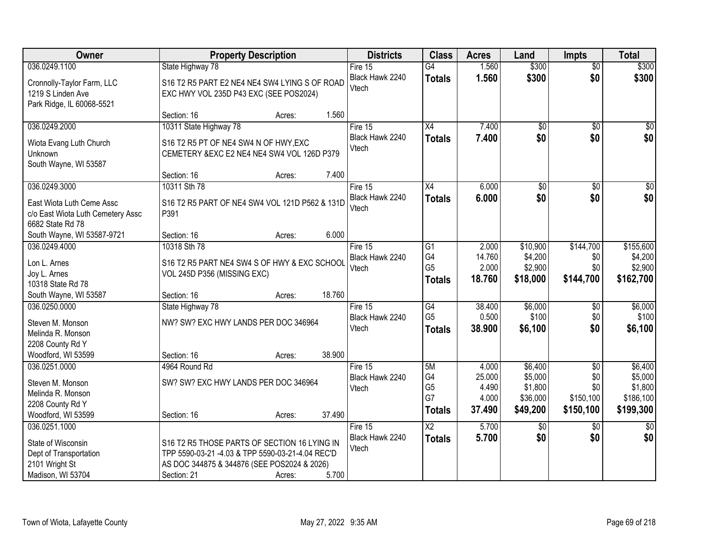| Owner                                                                                                | <b>Property Description</b>                                                                                                                                              |        | <b>Districts</b>                      | <b>Class</b>                                      | <b>Acres</b>                                | Land                                                  | <b>Impts</b>                                            | <b>Total</b>                                            |
|------------------------------------------------------------------------------------------------------|--------------------------------------------------------------------------------------------------------------------------------------------------------------------------|--------|---------------------------------------|---------------------------------------------------|---------------------------------------------|-------------------------------------------------------|---------------------------------------------------------|---------------------------------------------------------|
| 036.0249.1100                                                                                        | State Highway 78                                                                                                                                                         |        | Fire $15$                             | $\overline{G4}$                                   | 1.560                                       | \$300                                                 | $\overline{50}$                                         | \$300                                                   |
| Cronnolly-Taylor Farm, LLC<br>1219 S Linden Ave<br>Park Ridge, IL 60068-5521                         | S16 T2 R5 PART E2 NE4 NE4 SW4 LYING S OF ROAD<br>EXC HWY VOL 235D P43 EXC (SEE POS2024)                                                                                  |        | Black Hawk 2240<br>Vtech              | <b>Totals</b>                                     | 1.560                                       | \$300                                                 | \$0                                                     | \$300                                                   |
|                                                                                                      | Section: 16<br>Acres:                                                                                                                                                    | 1.560  |                                       |                                                   |                                             |                                                       |                                                         |                                                         |
| 036.0249.2000                                                                                        | 10311 State Highway 78                                                                                                                                                   |        | Fire 15                               | X4                                                | 7.400                                       | $\overline{50}$                                       | $\overline{50}$                                         | \$0                                                     |
| Wiota Evang Luth Church<br>Unknown<br>South Wayne, WI 53587                                          | S16 T2 R5 PT OF NE4 SW4 N OF HWY, EXC<br>CEMETERY & EXC E2 NE4 NE4 SW4 VOL 126D P379                                                                                     |        | Black Hawk 2240<br>Vtech              | <b>Totals</b>                                     | 7.400                                       | \$0                                                   | \$0                                                     | \$0                                                     |
|                                                                                                      | Section: 16<br>Acres:                                                                                                                                                    | 7.400  |                                       |                                                   |                                             |                                                       |                                                         |                                                         |
| 036.0249.3000                                                                                        | 10311 Sth 78                                                                                                                                                             |        | Fire 15                               | $\overline{X4}$                                   | 6.000                                       | $\overline{50}$                                       | $\overline{50}$                                         | $\sqrt{50}$                                             |
| East Wiota Luth Ceme Assc<br>c/o East Wiota Luth Cemetery Assc<br>6682 State Rd 78                   | S16 T2 R5 PART OF NE4 SW4 VOL 121D P562 & 131D<br>P391                                                                                                                   |        | Black Hawk 2240<br>Vtech              | <b>Totals</b>                                     | 6.000                                       | \$0                                                   | \$0                                                     | \$0                                                     |
| South Wayne, WI 53587-9721                                                                           | Section: 16<br>Acres:                                                                                                                                                    | 6.000  |                                       |                                                   |                                             |                                                       |                                                         |                                                         |
| 036.0249.4000<br>Lon L. Arnes<br>Joy L. Arnes<br>10318 State Rd 78                                   | 10318 Sth 78<br>S16 T2 R5 PART NE4 SW4 S OF HWY & EXC SCHOOL<br>VOL 245D P356 (MISSING EXC)                                                                              |        | Fire 15<br>Black Hawk 2240<br>Vtech   | G1<br>G4<br>G <sub>5</sub><br><b>Totals</b>       | 2.000<br>14.760<br>2.000<br>18.760          | \$10,900<br>\$4,200<br>\$2,900<br>\$18,000            | \$144,700<br>\$0<br>\$0<br>\$144,700                    | \$155,600<br>\$4,200<br>\$2,900<br>\$162,700            |
| South Wayne, WI 53587                                                                                | Section: 16<br>Acres:                                                                                                                                                    | 18.760 |                                       |                                                   |                                             |                                                       |                                                         |                                                         |
| 036.0250.0000<br>Steven M. Monson<br>Melinda R. Monson<br>2208 County Rd Y                           | State Highway 78<br>NW? SW? EXC HWY LANDS PER DOC 346964                                                                                                                 |        | Fire 15<br>Black Hawk 2240<br>Vtech   | G4<br>G <sub>5</sub><br><b>Totals</b>             | 38.400<br>0.500<br>38.900                   | \$6,000<br>\$100<br>\$6,100                           | \$0<br>\$0<br>\$0                                       | \$6,000<br>\$100<br>\$6,100                             |
| Woodford, WI 53599                                                                                   | Section: 16<br>Acres:                                                                                                                                                    | 38.900 |                                       |                                                   |                                             |                                                       |                                                         |                                                         |
| 036.0251.0000<br>Steven M. Monson<br>Melinda R. Monson<br>2208 County Rd Y<br>Woodford, WI 53599     | 4964 Round Rd<br>SW? SW? EXC HWY LANDS PER DOC 346964<br>Section: 16<br>Acres:                                                                                           | 37.490 | Fire 15<br>Black Hawk 2240<br>Vtech   | 5M<br>G4<br>G <sub>5</sub><br>G7<br><b>Totals</b> | 4.000<br>25.000<br>4.490<br>4.000<br>37.490 | \$6,400<br>\$5,000<br>\$1,800<br>\$36,000<br>\$49,200 | $\overline{50}$<br>\$0<br>\$0<br>\$150,100<br>\$150,100 | \$6,400<br>\$5,000<br>\$1,800<br>\$186,100<br>\$199,300 |
| 036.0251.1000<br>State of Wisconsin<br>Dept of Transportation<br>2101 Wright St<br>Madison, WI 53704 | S16 T2 R5 THOSE PARTS OF SECTION 16 LYING IN<br>TPP 5590-03-21 -4.03 & TPP 5590-03-21-4.04 REC'D<br>AS DOC 344875 & 344876 (SEE POS2024 & 2026)<br>Section: 21<br>Acres: | 5.700  | Fire $15$<br>Black Hawk 2240<br>Vtech | $\overline{X2}$<br><b>Totals</b>                  | 5.700<br>5.700                              | $\overline{60}$<br>\$0                                | \$0<br>\$0                                              | $\overline{50}$<br>\$0                                  |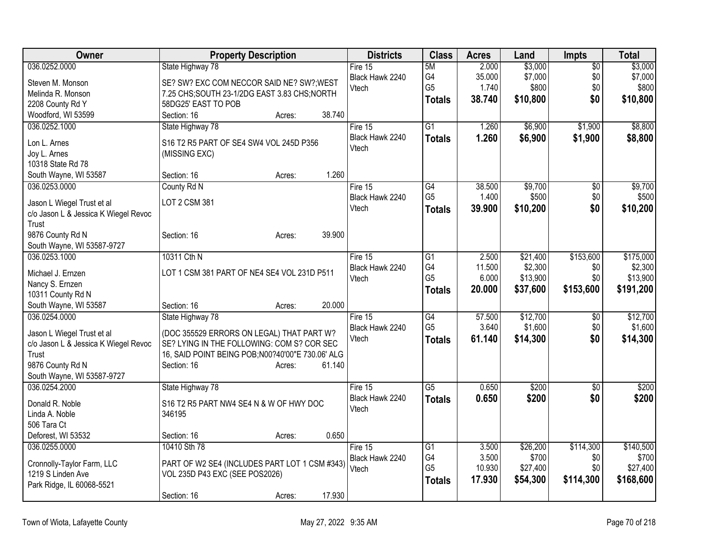| Owner                                         | <b>Property Description</b>                                                             | <b>Districts</b> | <b>Class</b>    | <b>Acres</b> | Land     | <b>Impts</b>    | Total     |
|-----------------------------------------------|-----------------------------------------------------------------------------------------|------------------|-----------------|--------------|----------|-----------------|-----------|
| 036.0252.0000                                 | State Highway 78                                                                        | Fire 15          | 5M              | 2.000        | \$3,000  | $\overline{50}$ | \$3,000   |
| Steven M. Monson                              | SE? SW? EXC COM NECCOR SAID NE? SW?; WEST                                               | Black Hawk 2240  | G4              | 35.000       | \$7,000  | \$0             | \$7,000   |
| Melinda R. Monson                             | 7.25 CHS;SOUTH 23-1/2DG EAST 3.83 CHS;NORTH                                             | Vtech            | G <sub>5</sub>  | 1.740        | \$800    | \$0             | \$800     |
| 2208 County Rd Y                              | 58DG25' EAST TO POB                                                                     |                  | Totals          | 38.740       | \$10,800 | \$0             | \$10,800  |
| Woodford, WI 53599                            | Section: 16<br>38.740<br>Acres:                                                         |                  |                 |              |          |                 |           |
| 036.0252.1000                                 | State Highway 78                                                                        | Fire $15$        | $\overline{G1}$ | 1.260        | \$6,900  | \$1,900         | \$8,800   |
| Lon L. Arnes                                  | S16 T2 R5 PART OF SE4 SW4 VOL 245D P356                                                 | Black Hawk 2240  | <b>Totals</b>   | 1.260        | \$6,900  | \$1,900         | \$8,800   |
| Joy L. Arnes                                  | (MISSING EXC)                                                                           | Vtech            |                 |              |          |                 |           |
| 10318 State Rd 78                             |                                                                                         |                  |                 |              |          |                 |           |
| South Wayne, WI 53587                         | 1.260<br>Section: 16<br>Acres:                                                          |                  |                 |              |          |                 |           |
| 036.0253.0000                                 | County Rd N                                                                             | Fire 15          | $\overline{G4}$ | 38.500       | \$9,700  | \$0             | \$9,700   |
| Jason L Wiegel Trust et al                    | LOT 2 CSM 381                                                                           | Black Hawk 2240  | G <sub>5</sub>  | 1.400        | \$500    | \$0             | \$500     |
| c/o Jason L & Jessica K Wiegel Revoc          |                                                                                         | Vtech            | <b>Totals</b>   | 39.900       | \$10,200 | \$0             | \$10,200  |
| Trust                                         |                                                                                         |                  |                 |              |          |                 |           |
| 9876 County Rd N                              | 39.900<br>Section: 16<br>Acres:                                                         |                  |                 |              |          |                 |           |
| South Wayne, WI 53587-9727                    |                                                                                         |                  |                 |              |          |                 |           |
| 036.0253.1000                                 | 10311 Cth N                                                                             | Fire 15          | $\overline{G1}$ | 2.500        | \$21,400 | \$153,600       | \$175,000 |
| Michael J. Ernzen                             | LOT 1 CSM 381 PART OF NE4 SE4 VOL 231D P511                                             | Black Hawk 2240  | G4              | 11.500       | \$2,300  | \$0             | \$2,300   |
| Nancy S. Ernzen                               |                                                                                         | Vtech            | G <sub>5</sub>  | 6.000        | \$13,900 | \$0             | \$13,900  |
| 10311 County Rd N                             |                                                                                         |                  | <b>Totals</b>   | 20.000       | \$37,600 | \$153,600       | \$191,200 |
| South Wayne, WI 53587                         | 20.000<br>Section: 16<br>Acres:                                                         |                  |                 |              |          |                 |           |
| 036.0254.0000                                 | State Highway 78                                                                        | Fire $15$        | $\overline{G4}$ | 57.500       | \$12,700 | \$0             | \$12,700  |
|                                               |                                                                                         | Black Hawk 2240  | G <sub>5</sub>  | 3.640        | \$1,600  | \$0             | \$1,600   |
| Jason L Wiegel Trust et al                    | (DOC 355529 ERRORS ON LEGAL) THAT PART W?<br>SE? LYING IN THE FOLLOWING: COM S? COR SEC | Vtech            | <b>Totals</b>   | 61.140       | \$14,300 | \$0             | \$14,300  |
| c/o Jason L & Jessica K Wiegel Revoc<br>Trust | 16, SAID POINT BEING POB; N00?40'00" E 730.06' ALG                                      |                  |                 |              |          |                 |           |
| 9876 County Rd N                              | 61.140<br>Section: 16<br>Acres:                                                         |                  |                 |              |          |                 |           |
| South Wayne, WI 53587-9727                    |                                                                                         |                  |                 |              |          |                 |           |
| 036.0254.2000                                 | State Highway 78                                                                        | Fire 15          | $\overline{G5}$ | 0.650        | \$200    | \$0             | \$200     |
|                                               |                                                                                         | Black Hawk 2240  | Totals          | 0.650        | \$200    | \$0             | \$200     |
| Donald R. Noble                               | S16 T2 R5 PART NW4 SE4 N & W OF HWY DOC                                                 | Vtech            |                 |              |          |                 |           |
| Linda A. Noble<br>506 Tara Ct                 | 346195                                                                                  |                  |                 |              |          |                 |           |
| Deforest, WI 53532                            | 0.650<br>Section: 16<br>Acres:                                                          |                  |                 |              |          |                 |           |
| 036.0255.0000                                 | 10410 Sth 78                                                                            | Fire 15          | $\overline{G1}$ | 3.500        | \$26,200 | \$114,300       | \$140,500 |
|                                               |                                                                                         | Black Hawk 2240  | G4              | 3.500        | \$700    | \$0             | \$700     |
| Cronnolly-Taylor Farm, LLC                    | PART OF W2 SE4 (INCLUDES PART LOT 1 CSM #343)                                           | Vtech            | G <sub>5</sub>  | 10.930       | \$27,400 | \$0             | \$27,400  |
| 1219 S Linden Ave                             | VOL 235D P43 EXC (SEE POS2026)                                                          |                  | <b>Totals</b>   | 17.930       | \$54,300 | \$114,300       | \$168,600 |
| Park Ridge, IL 60068-5521                     |                                                                                         |                  |                 |              |          |                 |           |
|                                               | 17.930<br>Section: 16<br>Acres:                                                         |                  |                 |              |          |                 |           |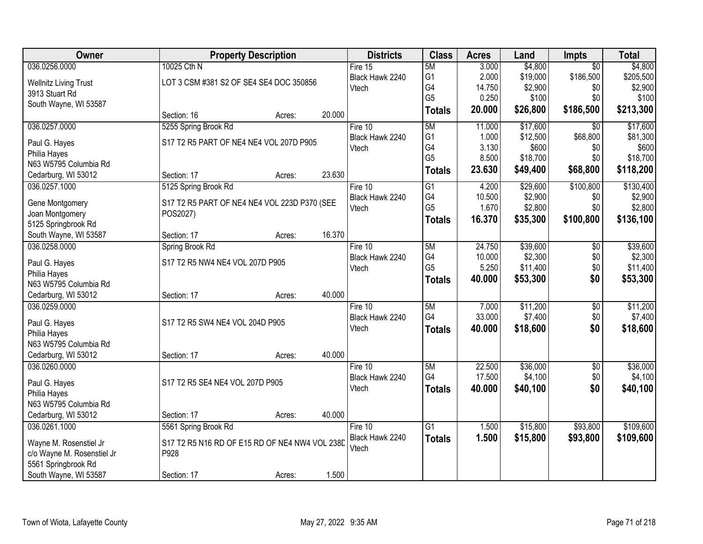| Owner                         |                                                | <b>Property Description</b> |        | <b>Districts</b>           | <b>Class</b>    | <b>Acres</b>     | Land                | <b>Impts</b>      | <b>Total</b>        |
|-------------------------------|------------------------------------------------|-----------------------------|--------|----------------------------|-----------------|------------------|---------------------|-------------------|---------------------|
| 036.0256.0000                 | 10025 Cth N                                    |                             |        | Fire $15$                  | 5M              | 3.000            | \$4,800             | $\overline{50}$   | \$4,800             |
| <b>Wellnitz Living Trust</b>  | LOT 3 CSM #381 S2 OF SE4 SE4 DOC 350856        |                             |        | Black Hawk 2240            | G <sub>1</sub>  | 2.000            | \$19,000            | \$186,500         | \$205,500           |
| 3913 Stuart Rd                |                                                |                             |        | Vtech                      | G4              | 14.750           | \$2,900             | \$0               | \$2,900             |
| South Wayne, WI 53587         |                                                |                             |        |                            | G <sub>5</sub>  | 0.250            | \$100               | \$0               | \$100               |
|                               | Section: 16                                    | Acres:                      | 20.000 |                            | <b>Totals</b>   | 20.000           | \$26,800            | \$186,500         | \$213,300           |
| 036.0257.0000                 | 5255 Spring Brook Rd                           |                             |        | Fire 10                    | 5M              | 11.000           | \$17,600            | $\overline{30}$   | \$17,600            |
| Paul G. Hayes                 | S17 T2 R5 PART OF NE4 NE4 VOL 207D P905        |                             |        | Black Hawk 2240            | G <sub>1</sub>  | 1.000            | \$12,500            | \$68,800          | \$81,300            |
| Philia Hayes                  |                                                |                             |        | Vtech                      | G4              | 3.130            | \$600               | \$0               | \$600               |
| N63 W5795 Columbia Rd         |                                                |                             |        |                            | G <sub>5</sub>  | 8.500            | \$18,700            | \$0               | \$18,700            |
| Cedarburg, WI 53012           | Section: 17                                    | Acres:                      | 23.630 |                            | <b>Totals</b>   | 23.630           | \$49,400            | \$68,800          | \$118,200           |
| 036.0257.1000                 | 5125 Spring Brook Rd                           |                             |        | Fire 10                    | $\overline{G1}$ | 4.200            | \$29,600            | \$100,800         | \$130,400           |
| Gene Montgomery               | S17 T2 R5 PART OF NE4 NE4 VOL 223D P370 (SEE   |                             |        | Black Hawk 2240            | G4              | 10.500           | \$2,900             | \$0               | \$2,900             |
| Joan Montgomery               | POS2027)                                       |                             |        | Vtech                      | G <sub>5</sub>  | 1.670            | \$2,800             | \$0               | \$2,800             |
| 5125 Springbrook Rd           |                                                |                             |        |                            | <b>Totals</b>   | 16.370           | \$35,300            | \$100,800         | \$136,100           |
| South Wayne, WI 53587         | Section: 17                                    | Acres:                      | 16.370 |                            |                 |                  |                     |                   |                     |
| 036.0258.0000                 | Spring Brook Rd                                |                             |        | Fire 10                    | 5M              | 24.750           | \$39,600            | \$0               | \$39,600            |
|                               |                                                |                             |        | Black Hawk 2240            | G4              | 10.000           | \$2,300             | \$0               | \$2,300             |
| Paul G. Hayes<br>Philia Hayes | S17 T2 R5 NW4 NE4 VOL 207D P905                |                             |        | Vtech                      | G <sub>5</sub>  | 5.250            | \$11,400            | \$0               | \$11,400            |
| N63 W5795 Columbia Rd         |                                                |                             |        |                            | <b>Totals</b>   | 40.000           | \$53,300            | \$0               | \$53,300            |
| Cedarburg, WI 53012           | Section: 17                                    | Acres:                      | 40.000 |                            |                 |                  |                     |                   |                     |
| 036.0259.0000                 |                                                |                             |        | Fire 10                    | 5M              | 7.000            | \$11,200            | $\overline{30}$   | \$11,200            |
|                               |                                                |                             |        | Black Hawk 2240            | G4              | 33.000           | \$7,400             | \$0               | \$7,400             |
| Paul G. Hayes                 | S17 T2 R5 SW4 NE4 VOL 204D P905                |                             |        | Vtech                      | <b>Totals</b>   | 40.000           | \$18,600            | \$0               | \$18,600            |
| Philia Hayes                  |                                                |                             |        |                            |                 |                  |                     |                   |                     |
| N63 W5795 Columbia Rd         |                                                |                             |        |                            |                 |                  |                     |                   |                     |
| Cedarburg, WI 53012           | Section: 17                                    | Acres:                      | 40.000 |                            | 5M              |                  |                     |                   |                     |
| 036.0260.0000                 |                                                |                             |        | Fire 10<br>Black Hawk 2240 | G4              | 22.500<br>17.500 | \$36,000<br>\$4,100 | $\sqrt{6}$<br>\$0 | \$36,000<br>\$4,100 |
| Paul G. Hayes                 | S17 T2 R5 SE4 NE4 VOL 207D P905                |                             |        | Vtech                      |                 | 40.000           | \$40,100            | \$0               | \$40,100            |
| Philia Hayes                  |                                                |                             |        |                            | <b>Totals</b>   |                  |                     |                   |                     |
| N63 W5795 Columbia Rd         |                                                |                             |        |                            |                 |                  |                     |                   |                     |
| Cedarburg, WI 53012           | Section: 17                                    | Acres:                      | 40.000 |                            |                 |                  |                     |                   |                     |
| 036.0261.1000                 | 5561 Spring Brook Rd                           |                             |        | Fire $10$                  | $\overline{G1}$ | 1.500            | \$15,800            | \$93,800          | \$109,600           |
| Wayne M. Rosenstiel Jr        | S17 T2 R5 N16 RD OF E15 RD OF NE4 NW4 VOL 238D |                             |        | Black Hawk 2240            | <b>Totals</b>   | 1.500            | \$15,800            | \$93,800          | \$109,600           |
| c/o Wayne M. Rosenstiel Jr    | P928                                           |                             |        | Vtech                      |                 |                  |                     |                   |                     |
| 5561 Springbrook Rd           |                                                |                             |        |                            |                 |                  |                     |                   |                     |
| South Wayne, WI 53587         | Section: 17                                    | Acres:                      | 1.500  |                            |                 |                  |                     |                   |                     |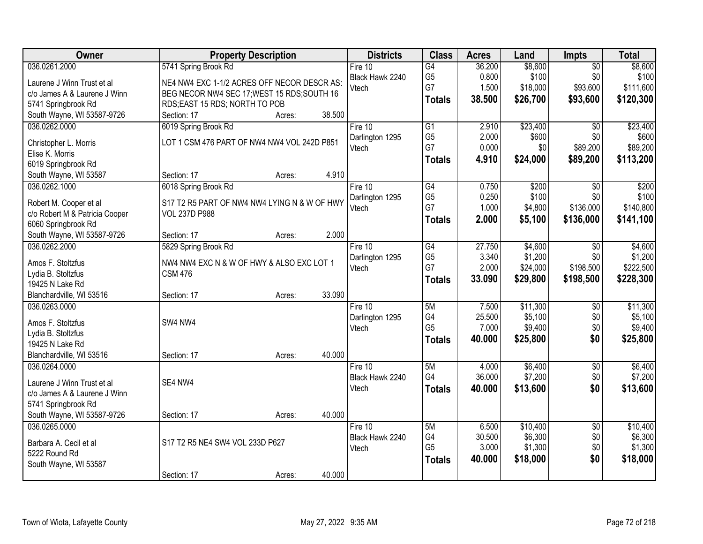| Owner                                 | <b>Property Description</b>                  | <b>Districts</b> | <b>Class</b>         | <b>Acres</b>   | Land     | Impts           | <b>Total</b> |
|---------------------------------------|----------------------------------------------|------------------|----------------------|----------------|----------|-----------------|--------------|
| 036.0261.2000                         | 5741 Spring Brook Rd                         | Fire 10          | $\overline{G4}$      | 36.200         | \$8,600  | $\overline{50}$ | \$8,600      |
| Laurene J Winn Trust et al            | NE4 NW4 EXC 1-1/2 ACRES OFF NECOR DESCR AS:  | Black Hawk 2240  | G <sub>5</sub>       | 0.800          | \$100    | \$0             | \$100        |
| c/o James A & Laurene J Winn          | BEG NECOR NW4 SEC 17; WEST 15 RDS; SOUTH 16  | Vtech            | G7                   | 1.500          | \$18,000 | \$93,600        | \$111,600    |
| 5741 Springbrook Rd                   | RDS;EAST 15 RDS; NORTH TO POB                |                  | <b>Totals</b>        | 38.500         | \$26,700 | \$93,600        | \$120,300    |
| South Wayne, WI 53587-9726            | 38.500<br>Section: 17<br>Acres:              |                  |                      |                |          |                 |              |
| 036.0262.0000                         | 6019 Spring Brook Rd                         | Fire 10          | $\overline{G1}$      | 2.910          | \$23,400 | $\overline{50}$ | \$23,400     |
|                                       |                                              | Darlington 1295  | G <sub>5</sub>       | 2.000          | \$600    | \$0             | \$600        |
| Christopher L. Morris                 | LOT 1 CSM 476 PART OF NW4 NW4 VOL 242D P851  | Vtech            | G7                   | 0.000          | \$0      | \$89,200        | \$89,200     |
| Elise K. Morris                       |                                              |                  | <b>Totals</b>        | 4.910          | \$24,000 | \$89,200        | \$113,200    |
| 6019 Springbrook Rd                   |                                              |                  |                      |                |          |                 |              |
| South Wayne, WI 53587                 | 4.910<br>Section: 17<br>Acres:               |                  |                      |                |          |                 |              |
| 036.0262.1000                         | 6018 Spring Brook Rd                         | Fire 10          | $\overline{G4}$      | 0.750          | \$200    | $\overline{50}$ | \$200        |
| Robert M. Cooper et al                | S17 T2 R5 PART OF NW4 NW4 LYING N & W OF HWY | Darlington 1295  | G <sub>5</sub><br>G7 | 0.250<br>1.000 | \$100    | \$0             | \$100        |
| c/o Robert M & Patricia Cooper        | <b>VOL 237D P988</b>                         | Vtech            |                      |                | \$4,800  | \$136,000       | \$140,800    |
| 6060 Springbrook Rd                   |                                              |                  | <b>Totals</b>        | 2.000          | \$5,100  | \$136,000       | \$141,100    |
| South Wayne, WI 53587-9726            | 2.000<br>Section: 17<br>Acres:               |                  |                      |                |          |                 |              |
| 036.0262.2000                         | 5829 Spring Brook Rd                         | Fire 10          | $\overline{G4}$      | 27.750         | \$4,600  | \$0             | \$4,600      |
|                                       | NW4 NW4 EXC N & W OF HWY & ALSO EXC LOT 1    | Darlington 1295  | G <sub>5</sub>       | 3.340          | \$1,200  | \$0             | \$1,200      |
| Amos F. Stoltzfus                     | <b>CSM 476</b>                               | Vtech            | G7                   | 2.000          | \$24,000 | \$198,500       | \$222,500    |
| Lydia B. Stoltzfus<br>19425 N Lake Rd |                                              |                  | <b>Totals</b>        | 33.090         | \$29,800 | \$198,500       | \$228,300    |
| Blanchardville, WI 53516              | 33.090<br>Section: 17<br>Acres:              |                  |                      |                |          |                 |              |
| 036.0263.0000                         |                                              | Fire 10          | 5M                   | 7.500          | \$11,300 | $\overline{50}$ | \$11,300     |
|                                       |                                              | Darlington 1295  | G4                   | 25.500         | \$5,100  | \$0             | \$5,100      |
| Amos F. Stoltzfus                     | SW4 NW4                                      | Vtech            | G <sub>5</sub>       | 7.000          | \$9,400  | \$0             | \$9,400      |
| Lydia B. Stoltzfus                    |                                              |                  | <b>Totals</b>        | 40.000         | \$25,800 | \$0             | \$25,800     |
| 19425 N Lake Rd                       |                                              |                  |                      |                |          |                 |              |
| Blanchardville, WI 53516              | 40.000<br>Section: 17<br>Acres:              |                  |                      |                |          |                 |              |
| 036.0264.0000                         |                                              | Fire $10$        | 5M                   | 4.000          | \$6,400  | $\overline{50}$ | \$6,400      |
| Laurene J Winn Trust et al            | SE4 NW4                                      | Black Hawk 2240  | G4                   | 36.000         | \$7,200  | \$0             | \$7,200      |
| c/o James A & Laurene J Winn          |                                              | Vtech            | <b>Totals</b>        | 40.000         | \$13,600 | \$0             | \$13,600     |
| 5741 Springbrook Rd                   |                                              |                  |                      |                |          |                 |              |
| South Wayne, WI 53587-9726            | 40.000<br>Section: 17<br>Acres:              |                  |                      |                |          |                 |              |
| 036.0265.0000                         |                                              | Fire $10$        | 5M                   | 6.500          | \$10,400 | $\overline{50}$ | \$10,400     |
|                                       |                                              | Black Hawk 2240  | G4                   | 30.500         | \$6,300  | \$0             | \$6,300      |
| Barbara A. Cecil et al                | S17 T2 R5 NE4 SW4 VOL 233D P627              | Vtech            | G <sub>5</sub>       | 3.000          | \$1,300  | \$0             | \$1,300      |
| 5222 Round Rd                         |                                              |                  | <b>Totals</b>        | 40.000         | \$18,000 | \$0             | \$18,000     |
| South Wayne, WI 53587                 |                                              |                  |                      |                |          |                 |              |
|                                       | 40.000<br>Section: 17<br>Acres:              |                  |                      |                |          |                 |              |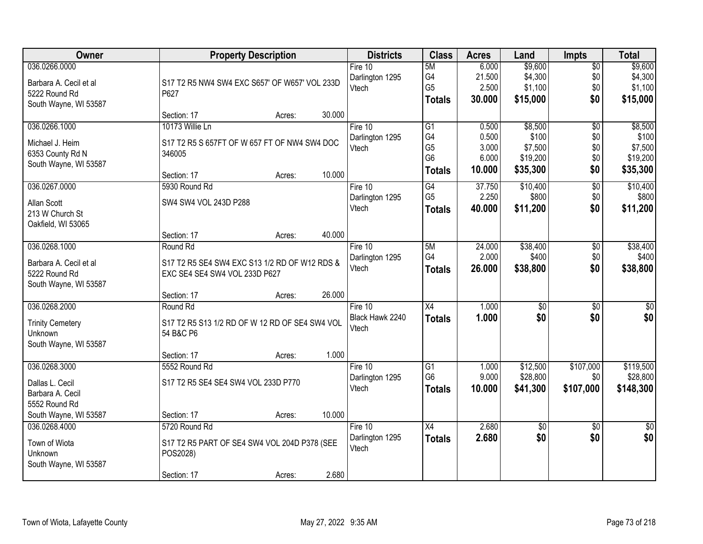| Owner                   | <b>Property Description</b>                    |        |        | <b>Districts</b> | <b>Class</b>                     | <b>Acres</b> | Land            | <b>Impts</b>    | <b>Total</b> |
|-------------------------|------------------------------------------------|--------|--------|------------------|----------------------------------|--------------|-----------------|-----------------|--------------|
| 036.0266.0000           |                                                |        |        | Fire 10          | 5M                               | 6.000        | \$9,600         | $\overline{$0}$ | \$9,600      |
| Barbara A. Cecil et al  | S17 T2 R5 NW4 SW4 EXC S657' OF W657' VOL 233D  |        |        | Darlington 1295  | G4                               | 21.500       | \$4,300         | \$0             | \$4,300      |
| 5222 Round Rd           | P627                                           |        |        | Vtech            | G <sub>5</sub>                   | 2.500        | \$1,100         | \$0             | \$1,100      |
| South Wayne, WI 53587   |                                                |        |        |                  | <b>Totals</b>                    | 30.000       | \$15,000        | \$0             | \$15,000     |
|                         | Section: 17                                    | Acres: | 30.000 |                  |                                  |              |                 |                 |              |
| 036.0266.1000           | 10173 Willie Ln                                |        |        | Fire 10          | $\overline{G1}$                  | 0.500        | \$8,500         | $\overline{50}$ | \$8,500      |
| Michael J. Heim         | S17 T2 R5 S 657FT OF W 657 FT OF NW4 SW4 DOC   |        |        | Darlington 1295  | G4                               | 0.500        | \$100           | \$0             | \$100        |
| 6353 County Rd N        | 346005                                         |        |        | Vtech            | G <sub>5</sub><br>G <sub>6</sub> | 3.000        | \$7,500         | \$0             | \$7,500      |
| South Wayne, WI 53587   |                                                |        |        |                  |                                  | 6.000        | \$19,200        | \$0             | \$19,200     |
|                         | Section: 17                                    | Acres: | 10.000 |                  | <b>Totals</b>                    | 10.000       | \$35,300        | \$0             | \$35,300     |
| 036.0267.0000           | 5930 Round Rd                                  |        |        | Fire 10          | G4                               | 37.750       | \$10,400        | \$0             | \$10,400     |
| Allan Scott             | SW4 SW4 VOL 243D P288                          |        |        | Darlington 1295  | G <sub>5</sub>                   | 2.250        | \$800           | \$0             | \$800        |
| 213 W Church St         |                                                |        |        | Vtech            | <b>Totals</b>                    | 40.000       | \$11,200        | \$0             | \$11,200     |
| Oakfield, WI 53065      |                                                |        |        |                  |                                  |              |                 |                 |              |
|                         | Section: 17                                    | Acres: | 40.000 |                  |                                  |              |                 |                 |              |
| 036.0268.1000           | Round Rd                                       |        |        | Fire 10          | 5M                               | 24.000       | \$38,400        | \$0             | \$38,400     |
| Barbara A. Cecil et al  | S17 T2 R5 SE4 SW4 EXC S13 1/2 RD OF W12 RDS &  |        |        | Darlington 1295  | G4                               | 2.000        | \$400           | \$0             | \$400        |
| 5222 Round Rd           | EXC SE4 SE4 SW4 VOL 233D P627                  |        |        | Vtech            | <b>Totals</b>                    | 26.000       | \$38,800        | \$0             | \$38,800     |
| South Wayne, WI 53587   |                                                |        |        |                  |                                  |              |                 |                 |              |
|                         | Section: 17                                    | Acres: | 26.000 |                  |                                  |              |                 |                 |              |
| 036.0268.2000           | Round Rd                                       |        |        | Fire 10          | $\overline{X4}$                  | 1.000        | $\overline{50}$ | $\overline{50}$ | $\sqrt{50}$  |
| <b>Trinity Cemetery</b> | S17 T2 R5 S13 1/2 RD OF W 12 RD OF SE4 SW4 VOL |        |        | Black Hawk 2240  | <b>Totals</b>                    | 1.000        | \$0             | \$0             | \$0          |
| Unknown                 | 54 B&C P6                                      |        |        | Vtech            |                                  |              |                 |                 |              |
| South Wayne, WI 53587   |                                                |        |        |                  |                                  |              |                 |                 |              |
|                         | Section: 17                                    | Acres: | 1.000  |                  |                                  |              |                 |                 |              |
| 036.0268.3000           | 5552 Round Rd                                  |        |        | Fire 10          | $\overline{G1}$                  | 1.000        | \$12,500        | \$107,000       | \$119,500    |
| Dallas L. Cecil         | S17 T2 R5 SE4 SE4 SW4 VOL 233D P770            |        |        | Darlington 1295  | G <sub>6</sub>                   | 9.000        | \$28,800        | \$0             | \$28,800     |
| Barbara A. Cecil        |                                                |        |        | Vtech            | <b>Totals</b>                    | 10.000       | \$41,300        | \$107,000       | \$148,300    |
| 5552 Round Rd           |                                                |        |        |                  |                                  |              |                 |                 |              |
| South Wayne, WI 53587   | Section: 17                                    | Acres: | 10.000 |                  |                                  |              |                 |                 |              |
| 036.0268.4000           | 5720 Round Rd                                  |        |        | Fire 10          | $\overline{X4}$                  | 2.680        | $\overline{50}$ | $\overline{30}$ | $\sqrt{50}$  |
| Town of Wiota           | S17 T2 R5 PART OF SE4 SW4 VOL 204D P378 (SEE   |        |        | Darlington 1295  | <b>Totals</b>                    | 2.680        | \$0             | \$0             | \$0          |
| Unknown                 | POS2028)                                       |        |        | Vtech            |                                  |              |                 |                 |              |
| South Wayne, WI 53587   |                                                |        |        |                  |                                  |              |                 |                 |              |
|                         | Section: 17                                    | Acres: | 2.680  |                  |                                  |              |                 |                 |              |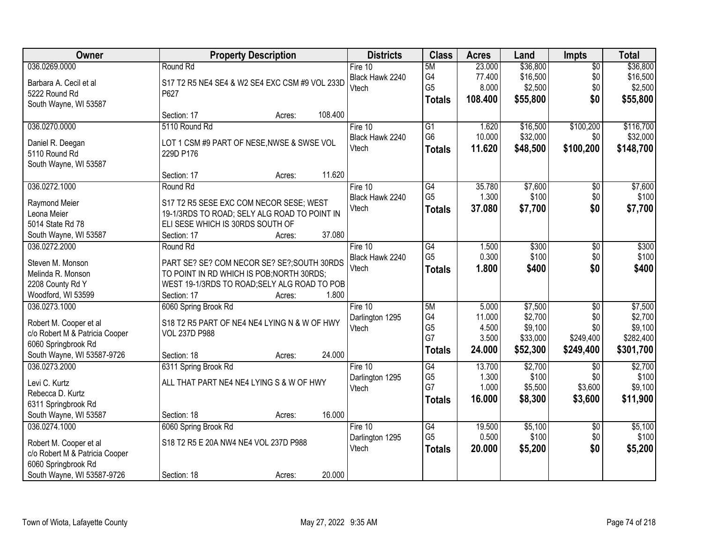| Owner                          | <b>Property Description</b>                    | <b>Districts</b> | <b>Class</b>         | <b>Acres</b> | Land     | Impts           | <b>Total</b> |
|--------------------------------|------------------------------------------------|------------------|----------------------|--------------|----------|-----------------|--------------|
| 036.0269.0000                  | Round Rd                                       | Fire 10          | 5M                   | 23.000       | \$36,800 | $\overline{50}$ | \$36,800     |
| Barbara A. Cecil et al         | S17 T2 R5 NE4 SE4 & W2 SE4 EXC CSM #9 VOL 233D | Black Hawk 2240  | G4                   | 77.400       | \$16,500 | \$0             | \$16,500     |
| 5222 Round Rd                  | P627                                           | Vtech            | G <sub>5</sub>       | 8.000        | \$2,500  | \$0             | \$2,500      |
| South Wayne, WI 53587          |                                                |                  | <b>Totals</b>        | 108.400      | \$55,800 | \$0             | \$55,800     |
|                                | 108.400<br>Section: 17<br>Acres:               |                  |                      |              |          |                 |              |
| 036.0270.0000                  | 5110 Round Rd                                  | Fire $10$        | $\overline{G1}$      | 1.620        | \$16,500 | \$100,200       | \$116,700    |
|                                |                                                | Black Hawk 2240  | G <sub>6</sub>       | 10.000       | \$32,000 | \$0             | \$32,000     |
| Daniel R. Deegan               | LOT 1 CSM #9 PART OF NESE, NWSE & SWSE VOL     | Vtech            | <b>Totals</b>        | 11.620       | \$48,500 | \$100,200       | \$148,700    |
| 5110 Round Rd                  | 229D P176                                      |                  |                      |              |          |                 |              |
| South Wayne, WI 53587          |                                                |                  |                      |              |          |                 |              |
|                                | 11.620<br>Section: 17<br>Acres:                |                  |                      |              |          |                 |              |
| 036.0272.1000                  | Round Rd                                       | Fire 10          | G4                   | 35.780       | \$7,600  | $\overline{50}$ | \$7,600      |
| Raymond Meier                  | S17 T2 R5 SESE EXC COM NECOR SESE; WEST        | Black Hawk 2240  | G <sub>5</sub>       | 1.300        | \$100    | \$0             | \$100        |
| Leona Meier                    | 19-1/3RDS TO ROAD; SELY ALG ROAD TO POINT IN   | Vtech            | <b>Totals</b>        | 37.080       | \$7,700  | \$0             | \$7,700      |
| 5014 State Rd 78               | ELI SESE WHICH IS 30RDS SOUTH OF               |                  |                      |              |          |                 |              |
| South Wayne, WI 53587          | 37.080<br>Section: 17<br>Acres:                |                  |                      |              |          |                 |              |
| 036.0272.2000                  | Round Rd                                       | Fire 10          | $\overline{G4}$      | 1.500        | \$300    | $\overline{50}$ | \$300        |
|                                |                                                | Black Hawk 2240  | G <sub>5</sub>       | 0.300        | \$100    | \$0             | \$100        |
| Steven M. Monson               | PART SE? SE? COM NECOR SE? SE?; SOUTH 30RDS    | Vtech            | <b>Totals</b>        | 1.800        | \$400    | \$0             | \$400        |
| Melinda R. Monson              | TO POINT IN RD WHICH IS POB; NORTH 30RDS;      |                  |                      |              |          |                 |              |
| 2208 County Rd Y               | WEST 19-1/3RDS TO ROAD; SELY ALG ROAD TO POB   |                  |                      |              |          |                 |              |
| Woodford, WI 53599             | 1.800<br>Section: 17<br>Acres:                 |                  |                      |              |          |                 |              |
| 036.0273.1000                  | 6060 Spring Brook Rd                           | Fire 10          | 5M                   | 5.000        | \$7,500  | $\overline{30}$ | \$7,500      |
| Robert M. Cooper et al         | S18 T2 R5 PART OF NE4 NE4 LYING N & W OF HWY   | Darlington 1295  | G4                   | 11.000       | \$2,700  | \$0             | \$2,700      |
| c/o Robert M & Patricia Cooper | <b>VOL 237D P988</b>                           | Vtech            | G <sub>5</sub><br>G7 | 4.500        | \$9,100  | \$0             | \$9,100      |
| 6060 Springbrook Rd            |                                                |                  |                      | 3.500        | \$33,000 | \$249,400       | \$282,400    |
| South Wayne, WI 53587-9726     | 24.000<br>Section: 18<br>Acres:                |                  | <b>Totals</b>        | 24.000       | \$52,300 | \$249,400       | \$301,700    |
| 036.0273.2000                  | 6311 Spring Brook Rd                           | Fire 10          | G4                   | 13.700       | \$2,700  | $\overline{50}$ | \$2,700      |
| Levi C. Kurtz                  | ALL THAT PART NE4 NE4 LYING S & W OF HWY       | Darlington 1295  | G <sub>5</sub>       | 1.300        | \$100    | \$0             | \$100        |
| Rebecca D. Kurtz               |                                                | Vtech            | G7                   | 1.000        | \$5,500  | \$3,600         | \$9,100      |
| 6311 Springbrook Rd            |                                                |                  | <b>Totals</b>        | 16.000       | \$8,300  | \$3,600         | \$11,900     |
| South Wayne, WI 53587          | 16.000<br>Section: 18<br>Acres:                |                  |                      |              |          |                 |              |
| 036.0274.1000                  | 6060 Spring Brook Rd                           | Fire 10          | $\overline{G4}$      | 19.500       | \$5,100  | $\overline{50}$ | \$5,100      |
|                                |                                                | Darlington 1295  | G <sub>5</sub>       | 0.500        | \$100    | \$0             | \$100        |
| Robert M. Cooper et al         | S18 T2 R5 E 20A NW4 NE4 VOL 237D P988          | Vtech            | <b>Totals</b>        | 20.000       | \$5,200  | \$0             | \$5,200      |
| c/o Robert M & Patricia Cooper |                                                |                  |                      |              |          |                 |              |
| 6060 Springbrook Rd            |                                                |                  |                      |              |          |                 |              |
| South Wayne, WI 53587-9726     | 20.000<br>Section: 18<br>Acres:                |                  |                      |              |          |                 |              |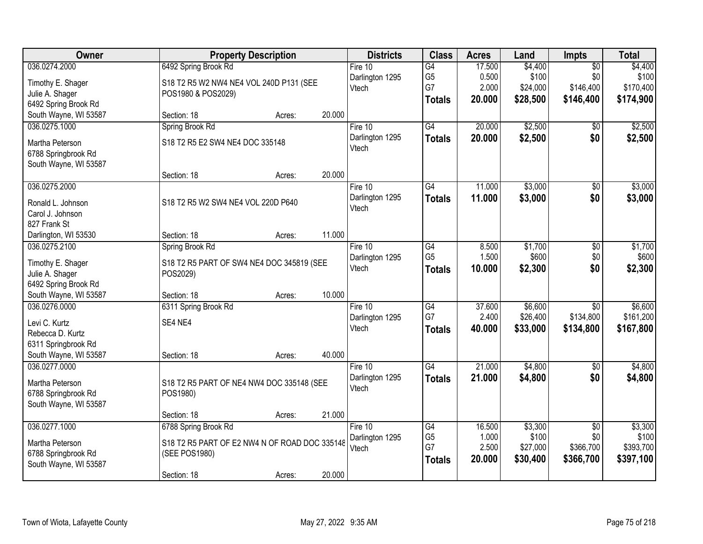| Owner                 |                                               | <b>Property Description</b> |        |                 | <b>Class</b>    | <b>Acres</b> | Land     | Impts           | <b>Total</b> |
|-----------------------|-----------------------------------------------|-----------------------------|--------|-----------------|-----------------|--------------|----------|-----------------|--------------|
| 036.0274.2000         | 6492 Spring Brook Rd                          |                             |        | Fire $10$       | $\overline{G4}$ | 17.500       | \$4,400  | $\overline{50}$ | \$4,400      |
| Timothy E. Shager     | S18 T2 R5 W2 NW4 NE4 VOL 240D P131 (SEE       |                             |        | Darlington 1295 | G <sub>5</sub>  | 0.500        | \$100    | \$0             | \$100        |
| Julie A. Shager       | POS1980 & POS2029)                            |                             |        | Vtech           | G7              | 2.000        | \$24,000 | \$146,400       | \$170,400    |
| 6492 Spring Brook Rd  |                                               |                             |        |                 | <b>Totals</b>   | 20.000       | \$28,500 | \$146,400       | \$174,900    |
| South Wayne, WI 53587 | Section: 18                                   | Acres:                      | 20.000 |                 |                 |              |          |                 |              |
| 036.0275.1000         | Spring Brook Rd                               |                             |        | Fire $10$       | G4              | 20.000       | \$2,500  | $\overline{50}$ | \$2,500      |
| Martha Peterson       | S18 T2 R5 E2 SW4 NE4 DOC 335148               |                             |        | Darlington 1295 | <b>Totals</b>   | 20.000       | \$2,500  | \$0             | \$2,500      |
| 6788 Springbrook Rd   |                                               |                             |        | Vtech           |                 |              |          |                 |              |
| South Wayne, WI 53587 |                                               |                             |        |                 |                 |              |          |                 |              |
|                       | Section: 18                                   | Acres:                      | 20.000 |                 |                 |              |          |                 |              |
| 036.0275.2000         |                                               |                             |        | Fire 10         | $\overline{G4}$ | 11.000       | \$3,000  | $\overline{50}$ | \$3,000      |
| Ronald L. Johnson     | S18 T2 R5 W2 SW4 NE4 VOL 220D P640            |                             |        | Darlington 1295 | <b>Totals</b>   | 11.000       | \$3,000  | \$0             | \$3,000      |
| Carol J. Johnson      |                                               |                             |        | Vtech           |                 |              |          |                 |              |
| 827 Frank St          |                                               |                             |        |                 |                 |              |          |                 |              |
| Darlington, WI 53530  | Section: 18                                   | Acres:                      | 11.000 |                 |                 |              |          |                 |              |
| 036.0275.2100         | Spring Brook Rd                               |                             |        | Fire 10         | $\overline{G4}$ | 8.500        | \$1,700  | $\overline{50}$ | \$1,700      |
| Timothy E. Shager     | S18 T2 R5 PART OF SW4 NE4 DOC 345819 (SEE     |                             |        | Darlington 1295 | G <sub>5</sub>  | 1.500        | \$600    | \$0             | \$600        |
| Julie A. Shager       | POS2029)                                      |                             |        | Vtech           | <b>Totals</b>   | 10.000       | \$2,300  | \$0             | \$2,300      |
| 6492 Spring Brook Rd  |                                               |                             |        |                 |                 |              |          |                 |              |
| South Wayne, WI 53587 | Section: 18                                   | Acres:                      | 10.000 |                 |                 |              |          |                 |              |
| 036.0276.0000         | 6311 Spring Brook Rd                          |                             |        | Fire $10$       | G4              | 37.600       | \$6,600  | $\overline{50}$ | \$6,600      |
| Levi C. Kurtz         | SE4 NE4                                       |                             |        | Darlington 1295 | G7              | 2.400        | \$26,400 | \$134,800       | \$161,200    |
| Rebecca D. Kurtz      |                                               |                             |        | Vtech           | <b>Totals</b>   | 40.000       | \$33,000 | \$134,800       | \$167,800    |
| 6311 Springbrook Rd   |                                               |                             |        |                 |                 |              |          |                 |              |
| South Wayne, WI 53587 | Section: 18                                   | Acres:                      | 40.000 |                 |                 |              |          |                 |              |
| 036.0277.0000         |                                               |                             |        | Fire 10         | $\overline{G4}$ | 21.000       | \$4,800  | $\overline{50}$ | \$4,800      |
| Martha Peterson       | S18 T2 R5 PART OF NE4 NW4 DOC 335148 (SEE     |                             |        | Darlington 1295 | <b>Totals</b>   | 21.000       | \$4,800  | \$0             | \$4,800      |
| 6788 Springbrook Rd   | POS1980)                                      |                             |        | Vtech           |                 |              |          |                 |              |
| South Wayne, WI 53587 |                                               |                             |        |                 |                 |              |          |                 |              |
|                       | Section: 18                                   | Acres:                      | 21.000 |                 |                 |              |          |                 |              |
| 036.0277.1000         | 6788 Spring Brook Rd                          |                             |        | Fire 10         | $\overline{G4}$ | 16.500       | \$3,300  | $\overline{50}$ | \$3,300      |
| Martha Peterson       | S18 T2 R5 PART OF E2 NW4 N OF ROAD DOC 335148 |                             |        | Darlington 1295 | G <sub>5</sub>  | 1.000        | \$100    | \$0             | \$100        |
| 6788 Springbrook Rd   | (SEE POS1980)                                 |                             |        | Vtech           | G7              | 2.500        | \$27,000 | \$366,700       | \$393,700    |
| South Wayne, WI 53587 |                                               |                             |        |                 | <b>Totals</b>   | 20.000       | \$30,400 | \$366,700       | \$397,100    |
|                       | Section: 18                                   | Acres:                      | 20.000 |                 |                 |              |          |                 |              |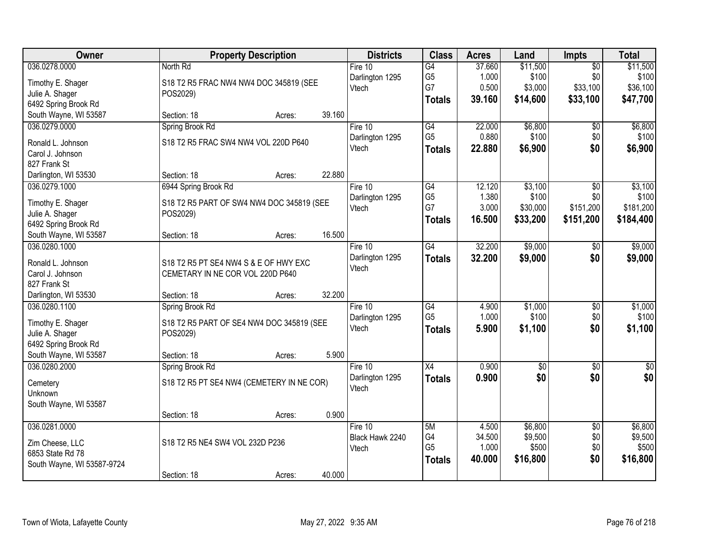| Owner                      | <b>Property Description</b>               | <b>Districts</b>         | <b>Class</b>    | <b>Acres</b> | Land            | <b>Impts</b>    | <b>Total</b>     |
|----------------------------|-------------------------------------------|--------------------------|-----------------|--------------|-----------------|-----------------|------------------|
| 036.0278.0000              | North Rd                                  | Fire 10                  | $\overline{G4}$ | 37.660       | \$11,500        | $\overline{50}$ | \$11,500         |
| Timothy E. Shager          | S18 T2 R5 FRAC NW4 NW4 DOC 345819 (SEE    | Darlington 1295          | G <sub>5</sub>  | 1.000        | \$100           | \$0             | \$100            |
| Julie A. Shager            | POS2029)                                  | Vtech                    | G7              | 0.500        | \$3,000         | \$33,100        | \$36,100         |
| 6492 Spring Brook Rd       |                                           |                          | <b>Totals</b>   | 39.160       | \$14,600        | \$33,100        | \$47,700         |
| South Wayne, WI 53587      | 39.160<br>Section: 18<br>Acres:           |                          |                 |              |                 |                 |                  |
| 036.0279.0000              | Spring Brook Rd                           | Fire 10                  | G4              | 22.000       | \$6,800         | $\overline{50}$ | \$6,800          |
| Ronald L. Johnson          | S18 T2 R5 FRAC SW4 NW4 VOL 220D P640      | Darlington 1295          | G <sub>5</sub>  | 0.880        | \$100           | \$0             | \$100            |
| Carol J. Johnson           |                                           | Vtech                    | <b>Totals</b>   | 22,880       | \$6,900         | \$0             | \$6,900          |
| 827 Frank St               |                                           |                          |                 |              |                 |                 |                  |
| Darlington, WI 53530       | 22.880<br>Section: 18<br>Acres:           |                          |                 |              |                 |                 |                  |
| 036.0279.1000              | 6944 Spring Brook Rd                      | Fire 10                  | G4              | 12.120       | \$3,100         | \$0             | \$3,100          |
|                            |                                           | Darlington 1295          | G <sub>5</sub>  | 1.380        | \$100           | \$0             | \$100            |
| Timothy E. Shager          | S18 T2 R5 PART OF SW4 NW4 DOC 345819 (SEE | Vtech                    | G7              | 3.000        | \$30,000        | \$151,200       | \$181,200        |
| Julie A. Shager            | POS2029)                                  |                          | Totals          | 16.500       | \$33,200        | \$151,200       | \$184,400        |
| 6492 Spring Brook Rd       | 16.500                                    |                          |                 |              |                 |                 |                  |
| South Wayne, WI 53587      | Section: 18<br>Acres:                     |                          |                 |              |                 |                 |                  |
| 036.0280.1000              |                                           | Fire 10                  | G4              | 32.200       | \$9,000         | \$0             | \$9,000          |
| Ronald L. Johnson          | S18 T2 R5 PT SE4 NW4 S & E OF HWY EXC     | Darlington 1295<br>Vtech | <b>Totals</b>   | 32.200       | \$9,000         | \$0             | \$9,000          |
| Carol J. Johnson           | CEMETARY IN NE COR VOL 220D P640          |                          |                 |              |                 |                 |                  |
| 827 Frank St               |                                           |                          |                 |              |                 |                 |                  |
| Darlington, WI 53530       | 32.200<br>Section: 18<br>Acres:           |                          |                 |              |                 |                 |                  |
| 036.0280.1100              | Spring Brook Rd                           | Fire 10                  | G4              | 4.900        | \$1,000         | $\overline{30}$ | \$1,000          |
| Timothy E. Shager          | S18 T2 R5 PART OF SE4 NW4 DOC 345819 (SEE | Darlington 1295          | G <sub>5</sub>  | 1.000        | \$100           | \$0             | \$100            |
| Julie A. Shager            | POS2029)                                  | Vtech                    | <b>Totals</b>   | 5.900        | \$1,100         | \$0             | \$1,100          |
| 6492 Spring Brook Rd       |                                           |                          |                 |              |                 |                 |                  |
| South Wayne, WI 53587      | 5.900<br>Section: 18<br>Acres:            |                          |                 |              |                 |                 |                  |
| 036.0280.2000              | Spring Brook Rd                           | Fire 10                  | X4              | 0.900        | $\overline{50}$ | $\overline{50}$ | $\overline{\$0}$ |
|                            |                                           | Darlington 1295          | <b>Totals</b>   | 0.900        | \$0             | \$0             | \$0              |
| Cemetery                   | S18 T2 R5 PT SE4 NW4 (CEMETERY IN NE COR) | Vtech                    |                 |              |                 |                 |                  |
| Unknown                    |                                           |                          |                 |              |                 |                 |                  |
| South Wayne, WI 53587      | 0.900                                     |                          |                 |              |                 |                 |                  |
| 036.0281.0000              | Section: 18<br>Acres:                     | Fire $10$                | 5M              | 4.500        | \$6,800         | $\overline{50}$ | \$6,800          |
|                            |                                           | Black Hawk 2240          | G4              | 34.500       | \$9,500         | \$0             | \$9,500          |
| Zim Cheese, LLC            | S18 T2 R5 NE4 SW4 VOL 232D P236           | Vtech                    | G <sub>5</sub>  | 1.000        | \$500           | \$0             | \$500            |
| 6853 State Rd 78           |                                           |                          | <b>Totals</b>   | 40.000       | \$16,800        | \$0             | \$16,800         |
| South Wayne, WI 53587-9724 |                                           |                          |                 |              |                 |                 |                  |
|                            | 40.000<br>Section: 18<br>Acres:           |                          |                 |              |                 |                 |                  |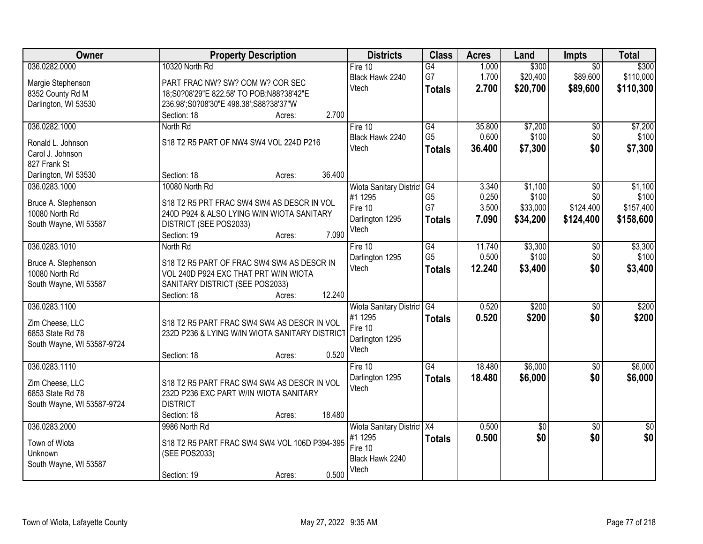| <b>Owner</b>                          | <b>Property Description</b>                              | <b>Districts</b>                   | <b>Class</b>    | <b>Acres</b> | Land       | <b>Impts</b>    | <b>Total</b>    |
|---------------------------------------|----------------------------------------------------------|------------------------------------|-----------------|--------------|------------|-----------------|-----------------|
| 036.0282.0000                         | 10320 North Rd                                           | Fire $10$                          | $\overline{G4}$ | 1.000        | \$300      | $\overline{30}$ | \$300           |
| Margie Stephenson                     | PART FRAC NW? SW? COM W? COR SEC                         | Black Hawk 2240                    | G7              | 1.700        | \$20,400   | \$89,600        | \$110,000       |
| 8352 County Rd M                      | 18;S0?08'29"E 822.58' TO POB;N88?38'42"E                 | Vtech                              | <b>Totals</b>   | 2.700        | \$20,700   | \$89,600        | \$110,300       |
| Darlington, WI 53530                  | 236.98';S0?08'30"E 498.38';S88?38'37"W                   |                                    |                 |              |            |                 |                 |
|                                       | 2.700<br>Section: 18<br>Acres:                           |                                    |                 |              |            |                 |                 |
| 036.0282.1000                         | North Rd                                                 | Fire $10$                          | G4              | 35.800       | \$7,200    | \$0             | \$7,200         |
| Ronald L. Johnson                     | S18 T2 R5 PART OF NW4 SW4 VOL 224D P216                  | Black Hawk 2240                    | G <sub>5</sub>  | 0.600        | \$100      | \$0             | \$100           |
| Carol J. Johnson                      |                                                          | Vtech                              | <b>Totals</b>   | 36.400       | \$7,300    | \$0             | \$7,300         |
| 827 Frank St                          |                                                          |                                    |                 |              |            |                 |                 |
| Darlington, WI 53530                  | 36.400<br>Section: 18<br>Acres:                          |                                    |                 |              |            |                 |                 |
| 036.0283.1000                         | 10080 North Rd                                           | Wiota Sanitary District G4         |                 | 3.340        | \$1,100    | \$0             | \$1,100         |
|                                       | S18 T2 R5 PRT FRAC SW4 SW4 AS DESCR IN VOL               | #1 1295                            | G <sub>5</sub>  | 0.250        | \$100      | \$0             | \$100           |
| Bruce A. Stephenson<br>10080 North Rd | 240D P924 & ALSO LYING W/IN WIOTA SANITARY               | Fire 10                            | G7              | 3.500        | \$33,000   | \$124,400       | \$157,400       |
| South Wayne, WI 53587                 | DISTRICT (SEE POS2033)                                   | Darlington 1295                    | <b>Totals</b>   | 7.090        | \$34,200   | \$124,400       | \$158,600       |
|                                       | 7.090<br>Section: 19<br>Acres:                           | Vtech                              |                 |              |            |                 |                 |
| 036.0283.1010                         | North Rd                                                 | Fire 10                            | G4              | 11.740       | \$3,300    | \$0             | \$3,300         |
|                                       |                                                          | Darlington 1295                    | G <sub>5</sub>  | 0.500        | \$100      | \$0             | \$100           |
| Bruce A. Stephenson                   | S18 T2 R5 PART OF FRAC SW4 SW4 AS DESCR IN               | Vtech                              | <b>Totals</b>   | 12.240       | \$3,400    | \$0             | \$3,400         |
| 10080 North Rd                        | VOL 240D P924 EXC THAT PRT W/IN WIOTA                    |                                    |                 |              |            |                 |                 |
| South Wayne, WI 53587                 | SANITARY DISTRICT (SEE POS2033)<br>12.240<br>Section: 18 |                                    |                 |              |            |                 |                 |
| 036.0283.1100                         | Acres:                                                   |                                    | $\overline{G4}$ | 0.520        | \$200      | $\overline{50}$ | \$200           |
|                                       |                                                          | Wiota Sanitary District<br>#1 1295 |                 | 0.520        | \$200      | \$0             | \$200           |
| Zim Cheese, LLC                       | S18 T2 R5 PART FRAC SW4 SW4 AS DESCR IN VOL              | Fire 10                            | <b>Totals</b>   |              |            |                 |                 |
| 6853 State Rd 78                      | 232D P236 & LYING W/IN WIOTA SANITARY DISTRICT           | Darlington 1295                    |                 |              |            |                 |                 |
| South Wayne, WI 53587-9724            |                                                          | Vtech                              |                 |              |            |                 |                 |
|                                       | 0.520<br>Section: 18<br>Acres:                           |                                    |                 |              |            |                 |                 |
| 036.0283.1110                         |                                                          | Fire 10                            | G4              | 18.480       | \$6,000    | $\overline{60}$ | \$6,000         |
| Zim Cheese, LLC                       | S18 T2 R5 PART FRAC SW4 SW4 AS DESCR IN VOL              | Darlington 1295                    | <b>Totals</b>   | 18.480       | \$6,000    | \$0             | \$6,000         |
| 6853 State Rd 78                      | 232D P236 EXC PART W/IN WIOTA SANITARY                   | Vtech                              |                 |              |            |                 |                 |
| South Wayne, WI 53587-9724            | <b>DISTRICT</b>                                          |                                    |                 |              |            |                 |                 |
|                                       | 18.480<br>Section: 18<br>Acres:                          |                                    |                 |              |            |                 |                 |
| 036.0283.2000                         | 9986 North Rd                                            | Wiota Sanitary District X4         |                 | 0.500        | $\sqrt{6}$ | $\overline{30}$ | $\overline{50}$ |
| Town of Wiota                         | S18 T2 R5 PART FRAC SW4 SW4 VOL 106D P394-395            | #1 1295                            | <b>Totals</b>   | 0.500        | \$0        | \$0             | \$0             |
| Unknown                               | (SEE POS2033)                                            | Fire 10                            |                 |              |            |                 |                 |
| South Wayne, WI 53587                 |                                                          | Black Hawk 2240                    |                 |              |            |                 |                 |
|                                       | 0.500<br>Section: 19<br>Acres:                           | Vtech                              |                 |              |            |                 |                 |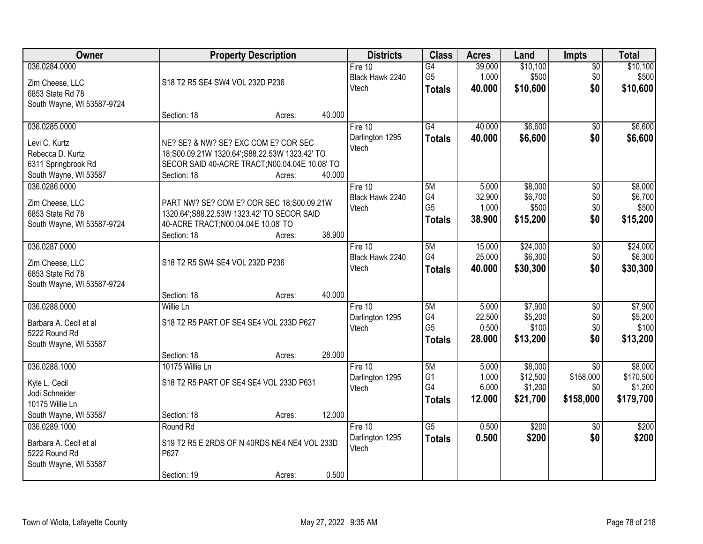| Owner                                          |                                                                                  | <b>Property Description</b> |        | <b>Districts</b>         | <b>Class</b>                    | <b>Acres</b>    | Land                | Impts            | <b>Total</b>         |
|------------------------------------------------|----------------------------------------------------------------------------------|-----------------------------|--------|--------------------------|---------------------------------|-----------------|---------------------|------------------|----------------------|
| 036.0284.0000                                  |                                                                                  |                             |        | Fire $10$                | G4                              | 39.000          | \$10,100            | $\overline{50}$  | \$10,100             |
| Zim Cheese, LLC                                | S18 T2 R5 SE4 SW4 VOL 232D P236                                                  |                             |        | Black Hawk 2240<br>Vtech | G <sub>5</sub><br><b>Totals</b> | 1.000<br>40.000 | \$500<br>\$10,600   | \$0<br>\$0       | \$500<br>\$10,600    |
| 6853 State Rd 78                               |                                                                                  |                             |        |                          |                                 |                 |                     |                  |                      |
| South Wayne, WI 53587-9724                     |                                                                                  |                             |        |                          |                                 |                 |                     |                  |                      |
| 036.0285.0000                                  | Section: 18                                                                      | Acres:                      | 40.000 | Fire 10                  | $\overline{G4}$                 | 40.000          | \$6,600             | \$0              | \$6,600              |
|                                                |                                                                                  |                             |        | Darlington 1295          | <b>Totals</b>                   | 40.000          | \$6,600             | \$0              | \$6,600              |
| Levi C. Kurtz                                  | NE? SE? & NW? SE? EXC COM E? COR SEC                                             |                             |        | Vtech                    |                                 |                 |                     |                  |                      |
| Rebecca D. Kurtz                               | 18;S00.09.21W 1320.64';S88.22.53W 1323.42' TO                                    |                             |        |                          |                                 |                 |                     |                  |                      |
| 6311 Springbrook Rd<br>South Wayne, WI 53587   | SECOR SAID 40-ACRE TRACT; N00.04.04E 10.08' TO<br>Section: 18                    | Acres:                      | 40.000 |                          |                                 |                 |                     |                  |                      |
| 036.0286.0000                                  |                                                                                  |                             |        | Fire 10                  | 5M                              | 5.000           | \$8,000             | $\overline{50}$  | \$8,000              |
|                                                |                                                                                  |                             |        | Black Hawk 2240          | G4                              | 32.900          | \$6,700             | \$0              | \$6,700              |
| Zim Cheese, LLC                                | PART NW? SE? COM E? COR SEC 18;S00.09.21W                                        |                             |        | Vtech                    | G <sub>5</sub>                  | 1.000           | \$500               | \$0              | \$500                |
| 6853 State Rd 78<br>South Wayne, WI 53587-9724 | 1320.64';S88.22.53W 1323.42' TO SECOR SAID<br>40-ACRE TRACT;N00.04.04E 10.08' TO |                             |        |                          | <b>Totals</b>                   | 38.900          | \$15,200            | \$0              | \$15,200             |
|                                                | Section: 18                                                                      | Acres:                      | 38.900 |                          |                                 |                 |                     |                  |                      |
| 036.0287.0000                                  |                                                                                  |                             |        | Fire 10                  | 5M                              | 15.000          | \$24,000            | $\overline{50}$  | \$24,000             |
|                                                |                                                                                  |                             |        | Black Hawk 2240          | G <sub>4</sub>                  | 25.000          | \$6,300             | \$0              | \$6,300              |
| Zim Cheese, LLC<br>6853 State Rd 78            | S18 T2 R5 SW4 SE4 VOL 232D P236                                                  |                             |        | Vtech                    | <b>Totals</b>                   | 40.000          | \$30,300            | \$0              | \$30,300             |
| South Wayne, WI 53587-9724                     |                                                                                  |                             |        |                          |                                 |                 |                     |                  |                      |
|                                                | Section: 18                                                                      | Acres:                      | 40.000 |                          |                                 |                 |                     |                  |                      |
| 036.0288.0000                                  | Willie Ln                                                                        |                             |        | Fire 10                  | 5M                              | 5.000           | \$7,900             | $\overline{50}$  | \$7,900              |
| Barbara A. Cecil et al                         | S18 T2 R5 PART OF SE4 SE4 VOL 233D P627                                          |                             |        | Darlington 1295          | G4                              | 22.500          | \$5,200             | \$0              | \$5,200              |
| 5222 Round Rd                                  |                                                                                  |                             |        | Vtech                    | G <sub>5</sub>                  | 0.500           | \$100               | \$0              | \$100                |
| South Wayne, WI 53587                          |                                                                                  |                             |        |                          | <b>Totals</b>                   | 28.000          | \$13,200            | \$0              | \$13,200             |
|                                                | Section: 18                                                                      | Acres:                      | 28.000 |                          |                                 |                 |                     |                  |                      |
| 036.0288.1000                                  | 10175 Willie Ln                                                                  |                             |        | Fire 10                  | 5M                              | 5.000           | \$8,000             | $\overline{50}$  | \$8,000              |
| Kyle L. Cecil                                  | S18 T2 R5 PART OF SE4 SE4 VOL 233D P631                                          |                             |        | Darlington 1295          | G <sub>1</sub><br>G4            | 1.000           | \$12,500            | \$158,000        | \$170,500            |
| Jodi Schneider                                 |                                                                                  |                             |        | Vtech                    |                                 | 6.000<br>12.000 | \$1,200<br>\$21,700 | \$0<br>\$158,000 | \$1,200<br>\$179,700 |
| 10175 Willie Ln                                |                                                                                  |                             |        |                          | <b>Totals</b>                   |                 |                     |                  |                      |
| South Wayne, WI 53587                          | Section: 18                                                                      | Acres:                      | 12.000 |                          |                                 |                 |                     |                  |                      |
| 036.0289.1000                                  | Round Rd                                                                         |                             |        | Fire 10                  | $\overline{G5}$                 | 0.500           | \$200               | $\overline{50}$  | \$200                |
| Barbara A. Cecil et al                         | S19 T2 R5 E 2RDS OF N 40RDS NE4 NE4 VOL 233D                                     |                             |        | Darlington 1295<br>Vtech | <b>Totals</b>                   | 0.500           | \$200               | \$0              | \$200                |
| 5222 Round Rd                                  | P627                                                                             |                             |        |                          |                                 |                 |                     |                  |                      |
| South Wayne, WI 53587                          |                                                                                  |                             |        |                          |                                 |                 |                     |                  |                      |
|                                                | Section: 19                                                                      | Acres:                      | 0.500  |                          |                                 |                 |                     |                  |                      |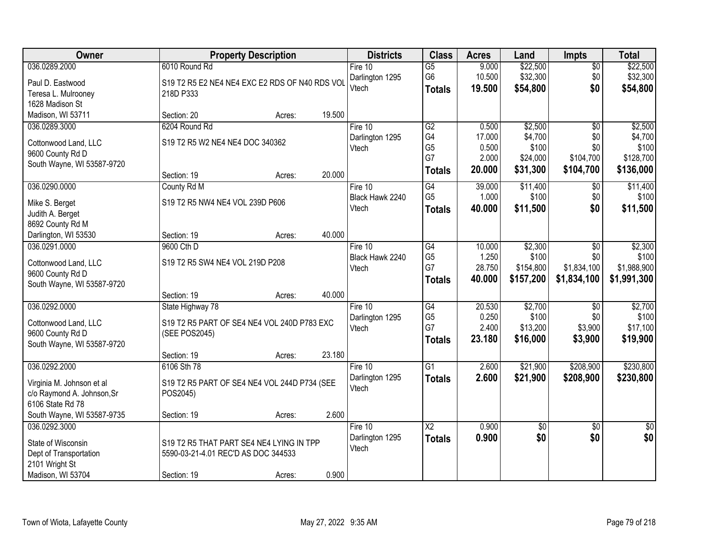| Owner                      |                                                | <b>Property Description</b> |        | <b>Districts</b> | <b>Class</b>    | <b>Acres</b> | Land            | <b>Impts</b>    | <b>Total</b>    |
|----------------------------|------------------------------------------------|-----------------------------|--------|------------------|-----------------|--------------|-----------------|-----------------|-----------------|
| 036.0289.2000              | 6010 Round Rd                                  |                             |        | Fire $10$        | $\overline{G5}$ | 9.000        | \$22,500        | $\overline{50}$ | \$22,500        |
| Paul D. Eastwood           | S19 T2 R5 E2 NE4 NE4 EXC E2 RDS OF N40 RDS VOL |                             |        | Darlington 1295  | G <sub>6</sub>  | 10.500       | \$32,300        | \$0             | \$32,300        |
| Teresa L. Mulrooney        | 218D P333                                      |                             |        | Vtech            | <b>Totals</b>   | 19.500       | \$54,800        | \$0             | \$54,800        |
| 1628 Madison St            |                                                |                             |        |                  |                 |              |                 |                 |                 |
| Madison, WI 53711          | Section: 20                                    | Acres:                      | 19.500 |                  |                 |              |                 |                 |                 |
| 036.0289.3000              | 6204 Round Rd                                  |                             |        | Fire 10          | G2              | 0.500        | \$2,500         | $\overline{50}$ | \$2,500         |
| Cottonwood Land, LLC       | S19 T2 R5 W2 NE4 NE4 DOC 340362                |                             |        | Darlington 1295  | G4              | 17.000       | \$4,700         | \$0             | \$4,700         |
| 9600 County Rd D           |                                                |                             |        | Vtech            | G <sub>5</sub>  | 0.500        | \$100           | \$0             | \$100           |
| South Wayne, WI 53587-9720 |                                                |                             |        |                  | G7              | 2.000        | \$24,000        | \$104,700       | \$128,700       |
|                            | Section: 19                                    | Acres:                      | 20.000 |                  | <b>Totals</b>   | 20.000       | \$31,300        | \$104,700       | \$136,000       |
| 036.0290.0000              | County Rd M                                    |                             |        | Fire 10          | G4              | 39.000       | \$11,400        | \$0             | \$11,400        |
| Mike S. Berget             | S19 T2 R5 NW4 NE4 VOL 239D P606                |                             |        | Black Hawk 2240  | G <sub>5</sub>  | 1.000        | \$100           | \$0             | \$100           |
| Judith A. Berget           |                                                |                             |        | Vtech            | Totals          | 40.000       | \$11,500        | \$0             | \$11,500        |
| 8692 County Rd M           |                                                |                             |        |                  |                 |              |                 |                 |                 |
| Darlington, WI 53530       | Section: 19                                    | Acres:                      | 40.000 |                  |                 |              |                 |                 |                 |
| 036.0291.0000              | 9600 Cth D                                     |                             |        | Fire 10          | $\overline{G4}$ | 10.000       | \$2,300         | \$0             | \$2,300         |
| Cottonwood Land, LLC       | S19 T2 R5 SW4 NE4 VOL 219D P208                |                             |        | Black Hawk 2240  | G <sub>5</sub>  | 1.250        | \$100           | \$0             | \$100           |
| 9600 County Rd D           |                                                |                             |        | Vtech            | G7              | 28.750       | \$154,800       | \$1,834,100     | \$1,988,900     |
| South Wayne, WI 53587-9720 |                                                |                             |        |                  | <b>Totals</b>   | 40.000       | \$157,200       | \$1,834,100     | \$1,991,300     |
|                            | Section: 19                                    | Acres:                      | 40.000 |                  |                 |              |                 |                 |                 |
| 036.0292.0000              | State Highway 78                               |                             |        | Fire 10          | G4              | 20.530       | \$2,700         | $\overline{30}$ | \$2,700         |
| Cottonwood Land, LLC       | S19 T2 R5 PART OF SE4 NE4 VOL 240D P783 EXC    |                             |        | Darlington 1295  | G <sub>5</sub>  | 0.250        | \$100           | \$0             | \$100           |
| 9600 County Rd D           | (SEE POS2045)                                  |                             |        | Vtech            | G7              | 2.400        | \$13,200        | \$3,900         | \$17,100        |
| South Wayne, WI 53587-9720 |                                                |                             |        |                  | <b>Totals</b>   | 23.180       | \$16,000        | \$3,900         | \$19,900        |
|                            | Section: 19                                    | Acres:                      | 23.180 |                  |                 |              |                 |                 |                 |
| 036.0292.2000              | 6106 Sth 78                                    |                             |        | Fire 10          | $\overline{G1}$ | 2.600        | \$21,900        | \$208,900       | \$230,800       |
| Virginia M. Johnson et al  | S19 T2 R5 PART OF SE4 NE4 VOL 244D P734 (SEE   |                             |        | Darlington 1295  | <b>Totals</b>   | 2.600        | \$21,900        | \$208,900       | \$230,800       |
| c/o Raymond A. Johnson, Sr | POS2045)                                       |                             |        | Vtech            |                 |              |                 |                 |                 |
| 6106 State Rd 78           |                                                |                             |        |                  |                 |              |                 |                 |                 |
| South Wayne, WI 53587-9735 | Section: 19                                    | Acres:                      | 2.600  |                  |                 |              |                 |                 |                 |
| 036.0292.3000              |                                                |                             |        | Fire 10          | $\overline{X2}$ | 0.900        | $\overline{50}$ | $\overline{50}$ | $\overline{50}$ |
| State of Wisconsin         | S19 T2 R5 THAT PART SE4 NE4 LYING IN TPP       |                             |        | Darlington 1295  | <b>Totals</b>   | 0.900        | \$0             | \$0             | \$0             |
| Dept of Transportation     | 5590-03-21-4.01 REC'D AS DOC 344533            |                             |        | Vtech            |                 |              |                 |                 |                 |
| 2101 Wright St             |                                                |                             |        |                  |                 |              |                 |                 |                 |
| Madison, WI 53704          | Section: 19                                    | Acres:                      | 0.900  |                  |                 |              |                 |                 |                 |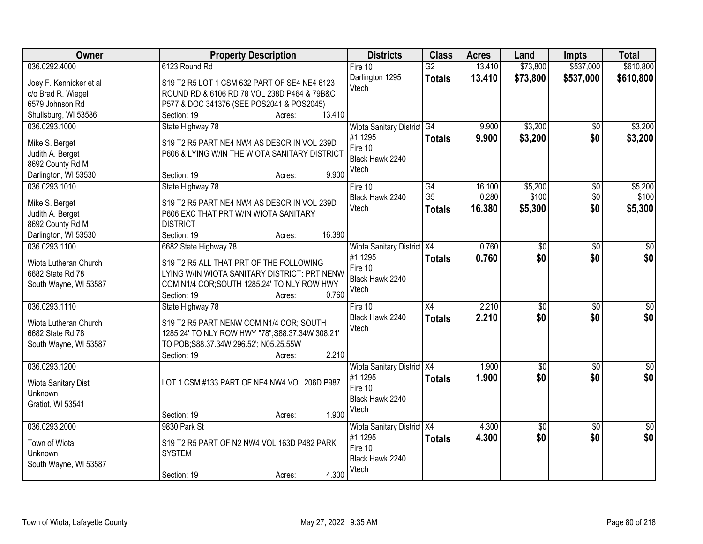| Owner                   | <b>Property Description</b>                      | <b>Districts</b>               | <b>Class</b>    | <b>Acres</b> | Land            | <b>Impts</b>    | <b>Total</b>    |
|-------------------------|--------------------------------------------------|--------------------------------|-----------------|--------------|-----------------|-----------------|-----------------|
| 036.0292.4000           | 6123 Round Rd                                    | Fire $10$                      | $\overline{G2}$ | 13.410       | \$73,800        | \$537,000       | \$610,800       |
| Joey F. Kennicker et al | S19 T2 R5 LOT 1 CSM 632 PART OF SE4 NE4 6123     | Darlington 1295                | <b>Totals</b>   | 13.410       | \$73,800        | \$537,000       | \$610,800       |
| c/o Brad R. Wiegel      | ROUND RD & 6106 RD 78 VOL 238D P464 & 79B&C      | Vtech                          |                 |              |                 |                 |                 |
| 6579 Johnson Rd         | P577 & DOC 341376 (SEE POS2041 & POS2045)        |                                |                 |              |                 |                 |                 |
| Shullsburg, WI 53586    | 13.410<br>Section: 19<br>Acres:                  |                                |                 |              |                 |                 |                 |
| 036.0293.1000           | State Highway 78                                 | <b>Wiota Sanitary District</b> | G4              | 9.900        | \$3,200         | $\overline{50}$ | \$3,200         |
|                         |                                                  | #1 1295                        | <b>Totals</b>   | 9.900        | \$3,200         | \$0             | \$3,200         |
| Mike S. Berget          | S19 T2 R5 PART NE4 NW4 AS DESCR IN VOL 239D      | Fire 10                        |                 |              |                 |                 |                 |
| Judith A. Berget        | P606 & LYING W/IN THE WIOTA SANITARY DISTRICT    | Black Hawk 2240                |                 |              |                 |                 |                 |
| 8692 County Rd M        |                                                  | Vtech                          |                 |              |                 |                 |                 |
| Darlington, WI 53530    | 9.900<br>Section: 19<br>Acres:                   |                                |                 |              |                 |                 |                 |
| 036.0293.1010           | State Highway 78                                 | Fire 10                        | G4              | 16.100       | \$5,200         | \$0             | \$5,200         |
| Mike S. Berget          | S19 T2 R5 PART NE4 NW4 AS DESCR IN VOL 239D      | Black Hawk 2240                | G <sub>5</sub>  | 0.280        | \$100           | \$0             | \$100           |
| Judith A. Berget        | P606 EXC THAT PRT W/IN WIOTA SANITARY            | Vtech                          | <b>Totals</b>   | 16.380       | \$5,300         | \$0             | \$5,300         |
| 8692 County Rd M        | <b>DISTRICT</b>                                  |                                |                 |              |                 |                 |                 |
| Darlington, WI 53530    | 16.380<br>Section: 19<br>Acres:                  |                                |                 |              |                 |                 |                 |
| 036.0293.1100           | 6682 State Highway 78                            | Wiota Sanitary District X4     |                 | 0.760        | \$0             | \$0             | \$0             |
|                         |                                                  | #1 1295                        | <b>Totals</b>   | 0.760        | \$0             | \$0             | \$0             |
| Wiota Lutheran Church   | S19 T2 R5 ALL THAT PRT OF THE FOLLOWING          | Fire 10                        |                 |              |                 |                 |                 |
| 6682 State Rd 78        | LYING W/IN WIOTA SANITARY DISTRICT: PRT NENW     | Black Hawk 2240                |                 |              |                 |                 |                 |
| South Wayne, WI 53587   | COM N1/4 COR; SOUTH 1285.24' TO NLY ROW HWY      | Vtech                          |                 |              |                 |                 |                 |
|                         | 0.760<br>Section: 19<br>Acres:                   |                                |                 |              |                 |                 |                 |
| 036.0293.1110           | State Highway 78                                 | Fire 10                        | $\overline{X4}$ | 2.210        | $\overline{30}$ | $\overline{30}$ | $\overline{50}$ |
| Wiota Lutheran Church   | S19 T2 R5 PART NENW COM N1/4 COR; SOUTH          | Black Hawk 2240                | <b>Totals</b>   | 2.210        | \$0             | \$0             | \$0             |
| 6682 State Rd 78        | 1285.24' TO NLY ROW HWY "78"; S88.37.34W 308.21' | Vtech                          |                 |              |                 |                 |                 |
| South Wayne, WI 53587   | TO POB;S88.37.34W 296.52'; N05.25.55W            |                                |                 |              |                 |                 |                 |
|                         | 2.210<br>Section: 19<br>Acres:                   |                                |                 |              |                 |                 |                 |
| 036.0293.1200           |                                                  | Wiota Sanitary District X4     |                 | 1.900        | $\sqrt{$0}$     | $\sqrt{6}$      | $\sqrt{50}$     |
|                         |                                                  | #1 1295                        |                 | 1.900        | \$0             | \$0             | \$0             |
| Wiota Sanitary Dist     | LOT 1 CSM #133 PART OF NE4 NW4 VOL 206D P987     | Fire 10                        | <b>Totals</b>   |              |                 |                 |                 |
| Unknown                 |                                                  | Black Hawk 2240                |                 |              |                 |                 |                 |
| Gratiot, WI 53541       |                                                  | Vtech                          |                 |              |                 |                 |                 |
|                         | 1.900<br>Section: 19<br>Acres:                   |                                |                 |              |                 |                 |                 |
| 036.0293.2000           | 9830 Park St                                     | Wiota Sanitary District X4     |                 | 4.300        | $\overline{50}$ | $\overline{50}$ | $\sqrt{30}$     |
| Town of Wiota           | S19 T2 R5 PART OF N2 NW4 VOL 163D P482 PARK      | #1 1295                        | <b>Totals</b>   | 4.300        | \$0             | \$0             | \$0             |
| Unknown                 | <b>SYSTEM</b>                                    | Fire 10                        |                 |              |                 |                 |                 |
| South Wayne, WI 53587   |                                                  | Black Hawk 2240                |                 |              |                 |                 |                 |
|                         | 4.300<br>Section: 19<br>Acres:                   | Vtech                          |                 |              |                 |                 |                 |
|                         |                                                  |                                |                 |              |                 |                 |                 |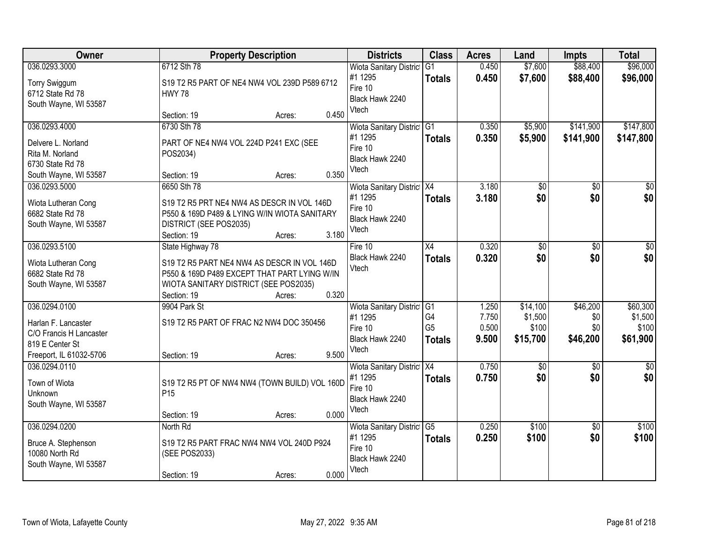| <b>Owner</b>                            | <b>Property Description</b>                                                                 |        |       | <b>Districts</b>               | <b>Class</b>   | <b>Acres</b> | Land            | Impts           | <b>Total</b>    |
|-----------------------------------------|---------------------------------------------------------------------------------------------|--------|-------|--------------------------------|----------------|--------------|-----------------|-----------------|-----------------|
| 036.0293.3000                           | 6712 Sth 78                                                                                 |        |       | <b>Wiota Sanitary District</b> | G1             | 0.450        | \$7,600         | \$88,400        | \$96,000        |
| Torry Swiggum                           | S19 T2 R5 PART OF NE4 NW4 VOL 239D P589 6712                                                |        |       | #1 1295                        | <b>Totals</b>  | 0.450        | \$7,600         | \$88,400        | \$96,000        |
| 6712 State Rd 78                        | <b>HWY 78</b>                                                                               |        |       | Fire 10                        |                |              |                 |                 |                 |
| South Wayne, WI 53587                   |                                                                                             |        |       | Black Hawk 2240<br>Vtech       |                |              |                 |                 |                 |
|                                         | Section: 19                                                                                 | Acres: | 0.450 |                                |                |              |                 |                 |                 |
| 036.0293.4000                           | 6730 Sth 78                                                                                 |        |       | Wiota Sanitary District G1     |                | 0.350        | \$5,900         | \$141,900       | \$147,800       |
| Delvere L. Norland                      | PART OF NE4 NW4 VOL 224D P241 EXC (SEE                                                      |        |       | #1 1295                        | <b>Totals</b>  | 0.350        | \$5,900         | \$141,900       | \$147,800       |
| Rita M. Norland                         | POS2034)                                                                                    |        |       | Fire 10                        |                |              |                 |                 |                 |
| 6730 State Rd 78                        |                                                                                             |        |       | Black Hawk 2240                |                |              |                 |                 |                 |
| South Wayne, WI 53587                   | Section: 19                                                                                 | Acres: | 0.350 | Vtech                          |                |              |                 |                 |                 |
| 036.0293.5000                           | 6650 Sth 78                                                                                 |        |       | Wiota Sanitary District X4     |                | 3.180        | $\overline{50}$ | $\overline{50}$ | $\overline{50}$ |
| Wiota Lutheran Cong                     | S19 T2 R5 PRT NE4 NW4 AS DESCR IN VOL 146D                                                  |        |       | #1 1295                        | <b>Totals</b>  | 3.180        | \$0             | \$0             | \$0             |
| 6682 State Rd 78                        | P550 & 169D P489 & LYING W/IN WIOTA SANITARY                                                |        |       | Fire 10                        |                |              |                 |                 |                 |
| South Wayne, WI 53587                   | DISTRICT (SEE POS2035)                                                                      |        |       | Black Hawk 2240                |                |              |                 |                 |                 |
|                                         | Section: 19                                                                                 | Acres: | 3.180 | Vtech                          |                |              |                 |                 |                 |
| 036.0293.5100                           | State Highway 78                                                                            |        |       | Fire 10                        | X4             | 0.320        | \$0             | \$0             | \$0             |
|                                         |                                                                                             |        |       | Black Hawk 2240                | <b>Totals</b>  | 0.320        | \$0             | \$0             | \$0             |
| Wiota Lutheran Cong<br>6682 State Rd 78 | S19 T2 R5 PART NE4 NW4 AS DESCR IN VOL 146D<br>P550 & 169D P489 EXCEPT THAT PART LYING W/IN |        |       | Vtech                          |                |              |                 |                 |                 |
| South Wayne, WI 53587                   | WIOTA SANITARY DISTRICT (SEE POS2035)                                                       |        |       |                                |                |              |                 |                 |                 |
|                                         | Section: 19                                                                                 | Acres: | 0.320 |                                |                |              |                 |                 |                 |
| 036.0294.0100                           | 9904 Park St                                                                                |        |       | Wiota Sanitary District G1     |                | 1.250        | \$14,100        | \$46,200        | \$60,300        |
|                                         |                                                                                             |        |       | #1 1295                        | G4             | 7.750        | \$1,500         | \$0             | \$1,500         |
| Harlan F. Lancaster                     | S19 T2 R5 PART OF FRAC N2 NW4 DOC 350456                                                    |        |       | Fire 10                        | G <sub>5</sub> | 0.500        | \$100           | \$0             | \$100           |
| C/O Francis H Lancaster                 |                                                                                             |        |       | Black Hawk 2240                | <b>Totals</b>  | 9.500        | \$15,700        | \$46,200        | \$61,900        |
| 819 E Center St                         |                                                                                             |        |       | Vtech                          |                |              |                 |                 |                 |
| Freeport, IL 61032-5706                 | Section: 19                                                                                 | Acres: | 9.500 |                                |                |              |                 |                 |                 |
| 036.0294.0110                           |                                                                                             |        |       | Wiota Sanitary District X4     |                | 0.750        | \$0             | $\sqrt{6}$      | $\frac{1}{6}$   |
| Town of Wiota                           | S19 T2 R5 PT OF NW4 NW4 (TOWN BUILD) VOL 160D                                               |        |       | #1 1295<br>Fire 10             | <b>Totals</b>  | 0.750        | \$0             | \$0             | \$0             |
| Unknown                                 | P <sub>15</sub>                                                                             |        |       | Black Hawk 2240                |                |              |                 |                 |                 |
| South Wayne, WI 53587                   |                                                                                             |        |       | Vtech                          |                |              |                 |                 |                 |
|                                         | Section: 19                                                                                 | Acres: | 0.000 |                                |                |              |                 |                 |                 |
| 036.0294.0200                           | North Rd                                                                                    |        |       | Wiota Sanitary District G5     |                | 0.250        | \$100           | $\overline{50}$ | \$100           |
| Bruce A. Stephenson                     | S19 T2 R5 PART FRAC NW4 NW4 VOL 240D P924                                                   |        |       | #1 1295                        | <b>Totals</b>  | 0.250        | \$100           | \$0             | \$100           |
| 10080 North Rd                          | (SEE POS2033)                                                                               |        |       | Fire 10                        |                |              |                 |                 |                 |
| South Wayne, WI 53587                   |                                                                                             |        |       | Black Hawk 2240                |                |              |                 |                 |                 |
|                                         | Section: 19                                                                                 | Acres: | 0.000 | Vtech                          |                |              |                 |                 |                 |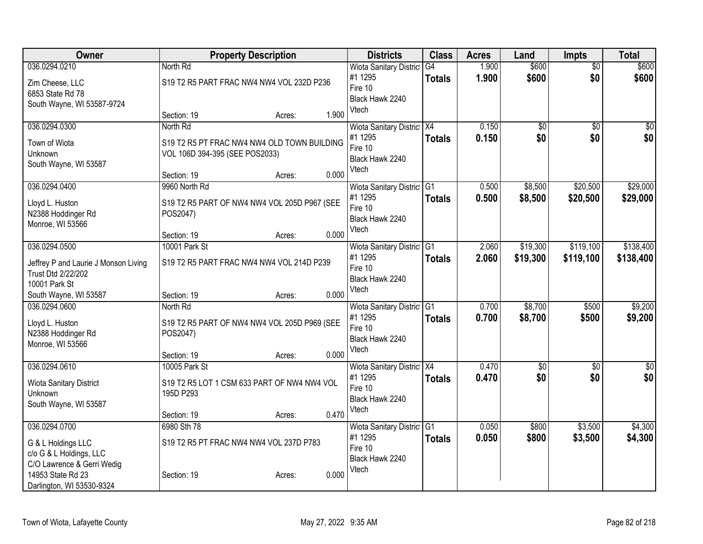| Owner                                | <b>Property Description</b>                  |        |       | <b>Districts</b>               | <b>Class</b>  | <b>Acres</b> | Land            | <b>Impts</b>    | <b>Total</b>     |
|--------------------------------------|----------------------------------------------|--------|-------|--------------------------------|---------------|--------------|-----------------|-----------------|------------------|
| 036.0294.0210                        | North Rd                                     |        |       | Wiota Sanitary District        | G4            | 1.900        | \$600           | $\overline{50}$ | \$600            |
| Zim Cheese, LLC                      | S19 T2 R5 PART FRAC NW4 NW4 VOL 232D P236    |        |       | #1 1295<br>Fire 10             | <b>Totals</b> | 1.900        | \$600           | \$0             | \$600            |
| 6853 State Rd 78                     |                                              |        |       | Black Hawk 2240                |               |              |                 |                 |                  |
| South Wayne, WI 53587-9724           |                                              |        |       | Vtech                          |               |              |                 |                 |                  |
|                                      | Section: 19                                  | Acres: | 1.900 |                                |               |              |                 |                 |                  |
| 036.0294.0300                        | North Rd                                     |        |       | Wiota Sanitary District X4     |               | 0.150        | \$0             | $\sqrt{50}$     | \$0              |
| Town of Wiota                        | S19 T2 R5 PT FRAC NW4 NW4 OLD TOWN BUILDING  |        |       | #1 1295<br>Fire 10             | <b>Totals</b> | 0.150        | \$0             | \$0             | \$0              |
| Unknown                              | VOL 106D 394-395 (SEE POS2033)               |        |       | Black Hawk 2240                |               |              |                 |                 |                  |
| South Wayne, WI 53587                |                                              |        |       | Vtech                          |               |              |                 |                 |                  |
|                                      | Section: 19                                  | Acres: | 0.000 |                                |               |              |                 |                 |                  |
| 036.0294.0400                        | 9960 North Rd                                |        |       | Wiota Sanitary District G1     |               | 0.500        | \$8,500         | \$20,500        | \$29,000         |
| Lloyd L. Huston                      | S19 T2 R5 PART OF NW4 NW4 VOL 205D P967 (SEE |        |       | #1 1295<br>Fire 10             | <b>Totals</b> | 0.500        | \$8,500         | \$20,500        | \$29,000         |
| N2388 Hoddinger Rd                   | POS2047)                                     |        |       | Black Hawk 2240                |               |              |                 |                 |                  |
| Monroe, WI 53566                     |                                              |        |       | Vtech                          |               |              |                 |                 |                  |
|                                      | Section: 19                                  | Acres: | 0.000 |                                |               |              |                 |                 |                  |
| 036.0294.0500                        | 10001 Park St                                |        |       | <b>Wiota Sanitary District</b> | G1            | 2.060        | \$19,300        | \$119,100       | \$138,400        |
| Jeffrey P and Laurie J Monson Living | S19 T2 R5 PART FRAC NW4 NW4 VOL 214D P239    |        |       | #1 1295<br>Fire 10             | <b>Totals</b> | 2.060        | \$19,300        | \$119,100       | \$138,400        |
| Trust Dtd 2/22/202                   |                                              |        |       | Black Hawk 2240                |               |              |                 |                 |                  |
| 10001 Park St                        |                                              |        |       | Vtech                          |               |              |                 |                 |                  |
| South Wayne, WI 53587                | Section: 19                                  | Acres: | 0.000 |                                |               |              |                 |                 |                  |
| 036.0294.0600                        | North Rd                                     |        |       | Wiota Sanitary District        | TG1           | 0.700        | \$8,700         | \$500           | \$9,200          |
| Lloyd L. Huston                      | S19 T2 R5 PART OF NW4 NW4 VOL 205D P969 (SEE |        |       | #1 1295<br>Fire 10             | <b>Totals</b> | 0.700        | \$8,700         | \$500           | \$9,200          |
| N2388 Hoddinger Rd                   | POS2047)                                     |        |       | Black Hawk 2240                |               |              |                 |                 |                  |
| Monroe, WI 53566                     |                                              |        |       | Vtech                          |               |              |                 |                 |                  |
|                                      | Section: 19                                  | Acres: | 0.000 |                                |               |              |                 |                 |                  |
| 036.0294.0610                        | 10005 Park St                                |        |       | Wiota Sanitary District X4     |               | 0.470        | $\overline{50}$ | $\overline{50}$ | $\overline{\$0}$ |
| Wiota Sanitary District              | S19 T2 R5 LOT 1 CSM 633 PART OF NW4 NW4 VOL  |        |       | #1 1295<br>Fire 10             | <b>Totals</b> | 0.470        | \$0             | \$0             | \$0              |
| Unknown                              | 195D P293                                    |        |       | Black Hawk 2240                |               |              |                 |                 |                  |
| South Wayne, WI 53587                |                                              |        |       | Vtech                          |               |              |                 |                 |                  |
|                                      | Section: 19                                  | Acres: | 0.470 |                                |               |              |                 |                 |                  |
| 036.0294.0700                        | 6980 Sth 78                                  |        |       | Wiota Sanitary District G1     |               | 0.050        | \$800           | \$3,500         | \$4,300          |
| G & L Holdings LLC                   | S19 T2 R5 PT FRAC NW4 NW4 VOL 237D P783      |        |       | #1 1295<br>Fire 10             | <b>Totals</b> | 0.050        | \$800           | \$3,500         | \$4,300          |
| c/o G & L Holdings, LLC              |                                              |        |       | Black Hawk 2240                |               |              |                 |                 |                  |
| C/O Lawrence & Gerri Wedig           |                                              |        |       | Vtech                          |               |              |                 |                 |                  |
| 14953 State Rd 23                    | Section: 19                                  | Acres: | 0.000 |                                |               |              |                 |                 |                  |
| Darlington, WI 53530-9324            |                                              |        |       |                                |               |              |                 |                 |                  |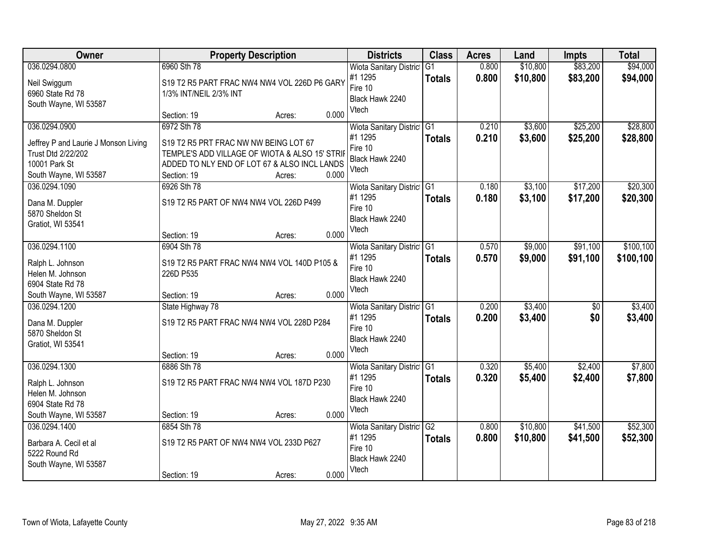| Owner                                                                                              | <b>Property Description</b>                                                           |                                                          |       | <b>Districts</b>                                                                 | <b>Class</b>        | <b>Acres</b>   | Land                 | <b>Impts</b>           | <b>Total</b>            |
|----------------------------------------------------------------------------------------------------|---------------------------------------------------------------------------------------|----------------------------------------------------------|-------|----------------------------------------------------------------------------------|---------------------|----------------|----------------------|------------------------|-------------------------|
| 036.0294.0800<br>Neil Swiggum<br>6960 State Rd 78<br>South Wayne, WI 53587                         | 6960 Sth 78<br>S19 T2 R5 PART FRAC NW4 NW4 VOL 226D P6 GARY<br>1/3% INT/NEIL 2/3% INT |                                                          |       | <b>Wiota Sanitary District</b><br>#1 1295<br>Fire 10<br>Black Hawk 2240<br>Vtech | G1<br><b>Totals</b> | 0.800<br>0.800 | \$10,800<br>\$10,800 | \$83,200<br>\$83,200   | \$94,000<br>\$94,000    |
| 036.0294.0900<br>Jeffrey P and Laurie J Monson Living                                              | Section: 19<br>6972 Sth 78<br>S19 T2 R5 PRT FRAC NW NW BEING LOT 67                   | Acres:                                                   | 0.000 | <b>Wiota Sanitary District</b><br>#1 1295<br>Fire 10                             | G1<br><b>Totals</b> | 0.210<br>0.210 | \$3,600<br>\$3,600   | \$25,200<br>\$25,200   | \$28,800<br>\$28,800    |
| Trust Dtd 2/22/202<br>10001 Park St<br>South Wayne, WI 53587<br>036.0294.1090                      | ADDED TO NLY END OF LOT 67 & ALSO INCL LANDS<br>Section: 19<br>6926 Sth 78            | TEMPLE'S ADD VILLAGE OF WIOTA & ALSO 15' STRII<br>Acres: | 0.000 | Black Hawk 2240<br>Vtech                                                         |                     | 0.180          | \$3,100              | \$17,200               | \$20,300                |
| Dana M. Duppler<br>5870 Sheldon St<br>Gratiot, WI 53541                                            | S19 T2 R5 PART OF NW4 NW4 VOL 226D P499                                               |                                                          |       | Wiota Sanitary District G1<br>#1 1295<br>Fire 10<br>Black Hawk 2240<br>Vtech     | <b>Totals</b>       | 0.180          | \$3,100              | \$17,200               | \$20,300                |
|                                                                                                    | Section: 19                                                                           | Acres:                                                   | 0.000 |                                                                                  |                     |                |                      |                        |                         |
| 036.0294.1100<br>Ralph L. Johnson<br>Helen M. Johnson<br>6904 State Rd 78                          | 6904 Sth 78<br>S19 T2 R5 PART FRAC NW4 NW4 VOL 140D P105 &<br>226D P535               |                                                          |       | Wiota Sanitary District<br>#1 1295<br>Fire 10<br>Black Hawk 2240                 | G1<br><b>Totals</b> | 0.570<br>0.570 | \$9,000<br>\$9,000   | \$91,100<br>\$91,100   | \$100, 100<br>\$100,100 |
| South Wayne, WI 53587                                                                              | Section: 19                                                                           | Acres:                                                   | 0.000 | Vtech                                                                            |                     |                |                      |                        |                         |
| 036.0294.1200<br>Dana M. Duppler<br>5870 Sheldon St<br>Gratiot, WI 53541                           | State Highway 78<br>S19 T2 R5 PART FRAC NW4 NW4 VOL 228D P284<br>Section: 19          | Acres:                                                   | 0.000 | Wiota Sanitary District G1<br>#1 1295<br>Fire 10<br>Black Hawk 2240<br>Vtech     | <b>Totals</b>       | 0.200<br>0.200 | \$3,400<br>\$3,400   | $\overline{50}$<br>\$0 | \$3,400<br>\$3,400      |
| 036.0294.1300<br>Ralph L. Johnson<br>Helen M. Johnson<br>6904 State Rd 78<br>South Wayne, WI 53587 | 6886 Sth 78<br>S19 T2 R5 PART FRAC NW4 NW4 VOL 187D P230<br>Section: 19               | Acres:                                                   | 0.000 | Wiota Sanitary District G1<br>#1 1295<br>Fire 10<br>Black Hawk 2240<br>Vtech     | <b>Totals</b>       | 0.320<br>0.320 | \$5,400<br>\$5,400   | \$2,400<br>\$2,400     | \$7,800<br>\$7,800      |
| 036.0294.1400<br>Barbara A. Cecil et al<br>5222 Round Rd<br>South Wayne, WI 53587                  | 6854 Sth 78<br>S19 T2 R5 PART OF NW4 NW4 VOL 233D P627<br>Section: 19                 | Acres:                                                   | 0.000 | Wiota Sanitary District<br>#1 1295<br>Fire 10<br>Black Hawk 2240<br>Vtech        | G2<br><b>Totals</b> | 0.800<br>0.800 | \$10,800<br>\$10,800 | \$41,500<br>\$41,500   | \$52,300<br>\$52,300    |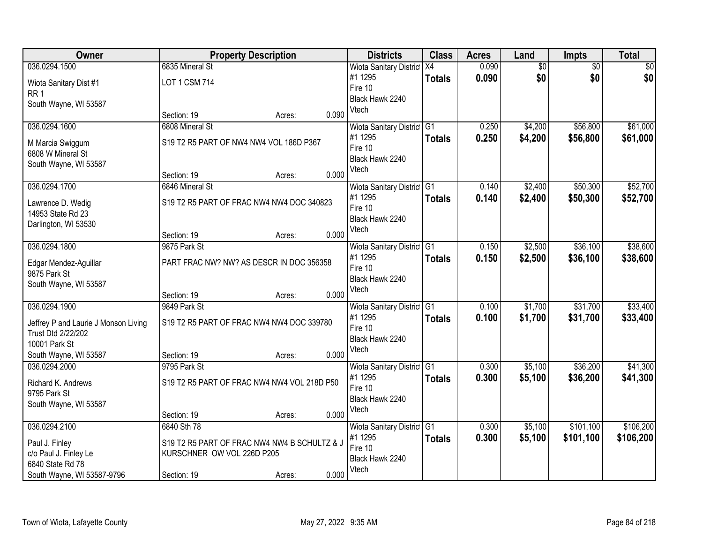| Owner                                | <b>Property Description</b> |                                              |       | <b>Districts</b>               | <b>Class</b>     | <b>Acres</b> | Land            | <b>Impts</b>    | <b>Total</b> |
|--------------------------------------|-----------------------------|----------------------------------------------|-------|--------------------------------|------------------|--------------|-----------------|-----------------|--------------|
| 036.0294.1500                        | 6835 Mineral St             |                                              |       | <b>Wiota Sanitary District</b> | $\overline{)X4}$ | 0.090        | $\overline{60}$ | $\overline{50}$ | \$0          |
| Wiota Sanitary Dist #1               | <b>LOT 1 CSM 714</b>        |                                              |       | #1 1295                        | <b>Totals</b>    | 0.090        | \$0             | \$0             | \$0          |
| RR <sub>1</sub>                      |                             |                                              |       | Fire 10                        |                  |              |                 |                 |              |
| South Wayne, WI 53587                |                             |                                              |       | Black Hawk 2240<br>Vtech       |                  |              |                 |                 |              |
|                                      | Section: 19                 | Acres:                                       | 0.090 |                                |                  |              |                 |                 |              |
| 036.0294.1600                        | 6808 Mineral St             |                                              |       | Wiota Sanitary District G1     |                  | 0.250        | \$4,200         | \$56,800        | \$61,000     |
| M Marcia Swiggum                     |                             | S19 T2 R5 PART OF NW4 NW4 VOL 186D P367      |       | #1 1295                        | <b>Totals</b>    | 0.250        | \$4,200         | \$56,800        | \$61,000     |
| 6808 W Mineral St                    |                             |                                              |       | Fire 10                        |                  |              |                 |                 |              |
| South Wayne, WI 53587                |                             |                                              |       | Black Hawk 2240                |                  |              |                 |                 |              |
|                                      | Section: 19                 | Acres:                                       | 0.000 | Vtech                          |                  |              |                 |                 |              |
| 036.0294.1700                        | 6846 Mineral St             |                                              |       | Wiota Sanitary District G1     |                  | 0.140        | \$2,400         | \$50,300        | \$52,700     |
| Lawrence D. Wedig                    |                             | S19 T2 R5 PART OF FRAC NW4 NW4 DOC 340823    |       | #1 1295                        | <b>Totals</b>    | 0.140        | \$2,400         | \$50,300        | \$52,700     |
| 14953 State Rd 23                    |                             |                                              |       | Fire 10                        |                  |              |                 |                 |              |
| Darlington, WI 53530                 |                             |                                              |       | Black Hawk 2240                |                  |              |                 |                 |              |
|                                      | Section: 19                 | Acres:                                       | 0.000 | Vtech                          |                  |              |                 |                 |              |
| 036.0294.1800                        | 9875 Park St                |                                              |       | Wiota Sanitary District G1     |                  | 0.150        | \$2,500         | \$36,100        | \$38,600     |
| Edgar Mendez-Aguillar                |                             | PART FRAC NW? NW? AS DESCR IN DOC 356358     |       | #1 1295                        | <b>Totals</b>    | 0.150        | \$2,500         | \$36,100        | \$38,600     |
| 9875 Park St                         |                             |                                              |       | Fire 10                        |                  |              |                 |                 |              |
| South Wayne, WI 53587                |                             |                                              |       | Black Hawk 2240                |                  |              |                 |                 |              |
|                                      | Section: 19                 | Acres:                                       | 0.000 | Vtech                          |                  |              |                 |                 |              |
| 036.0294.1900                        | 9849 Park St                |                                              |       | Wiota Sanitary District G1     |                  | 0.100        | \$1,700         | \$31,700        | \$33,400     |
| Jeffrey P and Laurie J Monson Living |                             | S19 T2 R5 PART OF FRAC NW4 NW4 DOC 339780    |       | #1 1295                        | <b>Totals</b>    | 0.100        | \$1,700         | \$31,700        | \$33,400     |
| Trust Dtd 2/22/202                   |                             |                                              |       | Fire 10                        |                  |              |                 |                 |              |
| 10001 Park St                        |                             |                                              |       | Black Hawk 2240                |                  |              |                 |                 |              |
| South Wayne, WI 53587                | Section: 19                 | Acres:                                       | 0.000 | Vtech                          |                  |              |                 |                 |              |
| 036.0294.2000                        | 9795 Park St                |                                              |       | Wiota Sanitary District G1     |                  | 0.300        | \$5,100         | \$36,200        | \$41,300     |
| Richard K. Andrews                   |                             | S19 T2 R5 PART OF FRAC NW4 NW4 VOL 218D P50  |       | #1 1295                        | <b>Totals</b>    | 0.300        | \$5,100         | \$36,200        | \$41,300     |
| 9795 Park St                         |                             |                                              |       | Fire 10                        |                  |              |                 |                 |              |
| South Wayne, WI 53587                |                             |                                              |       | Black Hawk 2240                |                  |              |                 |                 |              |
|                                      | Section: 19                 | Acres:                                       | 0.000 | Vtech                          |                  |              |                 |                 |              |
| 036.0294.2100                        | 6840 Sth 78                 |                                              |       | Wiota Sanitary District G1     |                  | 0.300        | \$5,100         | \$101,100       | \$106,200    |
| Paul J. Finley                       |                             | S19 T2 R5 PART OF FRAC NW4 NW4 B SCHULTZ & J |       | #1 1295                        | <b>Totals</b>    | 0.300        | \$5,100         | \$101,100       | \$106,200    |
| c/o Paul J. Finley Le                | KURSCHNER OW VOL 226D P205  |                                              |       | Fire 10                        |                  |              |                 |                 |              |
| 6840 State Rd 78                     |                             |                                              |       | Black Hawk 2240                |                  |              |                 |                 |              |
| South Wayne, WI 53587-9796           | Section: 19                 | Acres:                                       | 0.000 | Vtech                          |                  |              |                 |                 |              |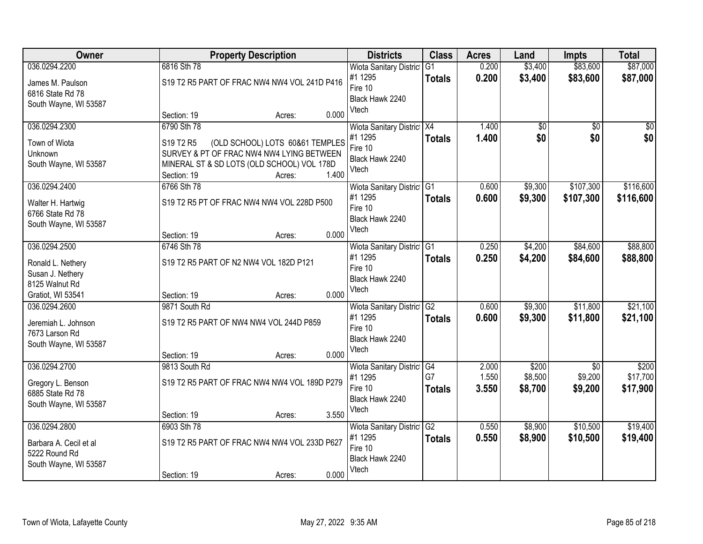| Owner                  |               | <b>Property Description</b>                  | <b>Districts</b> | <b>Class</b>               | <b>Acres</b>  | Land  | <b>Impts</b>    | <b>Total</b>    |                 |
|------------------------|---------------|----------------------------------------------|------------------|----------------------------|---------------|-------|-----------------|-----------------|-----------------|
| 036.0294.2200          | 6816 Sth 78   |                                              |                  | Wiota Sanitary District G1 |               | 0.200 | \$3,400         | \$83,600        | \$87,000        |
| James M. Paulson       |               | S19 T2 R5 PART OF FRAC NW4 NW4 VOL 241D P416 |                  | #1 1295                    | <b>Totals</b> | 0.200 | \$3,400         | \$83,600        | \$87,000        |
| 6816 State Rd 78       |               |                                              |                  | Fire 10                    |               |       |                 |                 |                 |
| South Wayne, WI 53587  |               |                                              |                  | Black Hawk 2240            |               |       |                 |                 |                 |
|                        | Section: 19   | Acres:                                       | 0.000            | Vtech                      |               |       |                 |                 |                 |
| 036.0294.2300          | 6790 Sth 78   |                                              |                  | Wiota Sanitary District X4 |               | 1.400 | $\overline{60}$ | $\overline{50}$ | $\overline{50}$ |
| Town of Wiota          | S19 T2 R5     | (OLD SCHOOL) LOTS 60&61 TEMPLES              |                  | #1 1295                    | <b>Totals</b> | 1.400 | \$0             | \$0             | \$0             |
| Unknown                |               | SURVEY & PT OF FRAC NW4 NW4 LYING BETWEEN    |                  | Fire 10                    |               |       |                 |                 |                 |
| South Wayne, WI 53587  |               | MINERAL ST & SD LOTS (OLD SCHOOL) VOL 178D   |                  | Black Hawk 2240            |               |       |                 |                 |                 |
|                        | Section: 19   | Acres:                                       | 1.400            | Vtech                      |               |       |                 |                 |                 |
| 036.0294.2400          | 6766 Sth 78   |                                              |                  | Wiota Sanitary District G1 |               | 0.600 | \$9,300         | \$107,300       | \$116,600       |
| Walter H. Hartwig      |               | S19 T2 R5 PT OF FRAC NW4 NW4 VOL 228D P500   |                  | #1 1295                    | <b>Totals</b> | 0.600 | \$9,300         | \$107,300       | \$116,600       |
| 6766 State Rd 78       |               |                                              |                  | Fire 10                    |               |       |                 |                 |                 |
| South Wayne, WI 53587  |               |                                              |                  | Black Hawk 2240            |               |       |                 |                 |                 |
|                        | Section: 19   | Acres:                                       | 0.000            | Vtech                      |               |       |                 |                 |                 |
| 036.0294.2500          | 6746 Sth 78   |                                              |                  | Wiota Sanitary District G1 |               | 0.250 | \$4,200         | \$84,600        | \$88,800        |
| Ronald L. Nethery      |               | S19 T2 R5 PART OF N2 NW4 VOL 182D P121       |                  | #1 1295                    | <b>Totals</b> | 0.250 | \$4,200         | \$84,600        | \$88,800        |
| Susan J. Nethery       |               |                                              |                  | Fire 10                    |               |       |                 |                 |                 |
| 8125 Walnut Rd         |               |                                              |                  | Black Hawk 2240            |               |       |                 |                 |                 |
| Gratiot, WI 53541      | Section: 19   | Acres:                                       | 0.000            | Vtech                      |               |       |                 |                 |                 |
| 036.0294.2600          | 9871 South Rd |                                              |                  | Wiota Sanitary District G2 |               | 0.600 | \$9,300         | \$11,800        | \$21,100        |
| Jeremiah L. Johnson    |               | S19 T2 R5 PART OF NW4 NW4 VOL 244D P859      |                  | #1 1295                    | <b>Totals</b> | 0.600 | \$9,300         | \$11,800        | \$21,100        |
| 7673 Larson Rd         |               |                                              |                  | Fire 10                    |               |       |                 |                 |                 |
| South Wayne, WI 53587  |               |                                              |                  | Black Hawk 2240            |               |       |                 |                 |                 |
|                        | Section: 19   | Acres:                                       | 0.000            | Vtech                      |               |       |                 |                 |                 |
| 036.0294.2700          | 9813 South Rd |                                              |                  | Wiota Sanitary District G4 |               | 2.000 | \$200           | $\overline{50}$ | \$200           |
| Gregory L. Benson      |               | S19 T2 R5 PART OF FRAC NW4 NW4 VOL 189D P279 |                  | #1 1295                    | G7            | 1.550 | \$8,500         | \$9,200         | \$17,700        |
| 6885 State Rd 78       |               |                                              |                  | Fire 10                    | <b>Totals</b> | 3.550 | \$8,700         | \$9,200         | \$17,900        |
| South Wayne, WI 53587  |               |                                              |                  | Black Hawk 2240            |               |       |                 |                 |                 |
|                        | Section: 19   | Acres:                                       | 3.550            | Vtech                      |               |       |                 |                 |                 |
| 036.0294.2800          | 6903 Sth 78   |                                              |                  | Wiota Sanitary District G2 |               | 0.550 | \$8,900         | \$10,500        | \$19,400        |
| Barbara A. Cecil et al |               | S19 T2 R5 PART OF FRAC NW4 NW4 VOL 233D P627 |                  | #1 1295                    | <b>Totals</b> | 0.550 | \$8,900         | \$10,500        | \$19,400        |
| 5222 Round Rd          |               |                                              |                  | Fire 10                    |               |       |                 |                 |                 |
| South Wayne, WI 53587  |               |                                              |                  | Black Hawk 2240            |               |       |                 |                 |                 |
|                        | Section: 19   | Acres:                                       | 0.000            | Vtech                      |               |       |                 |                 |                 |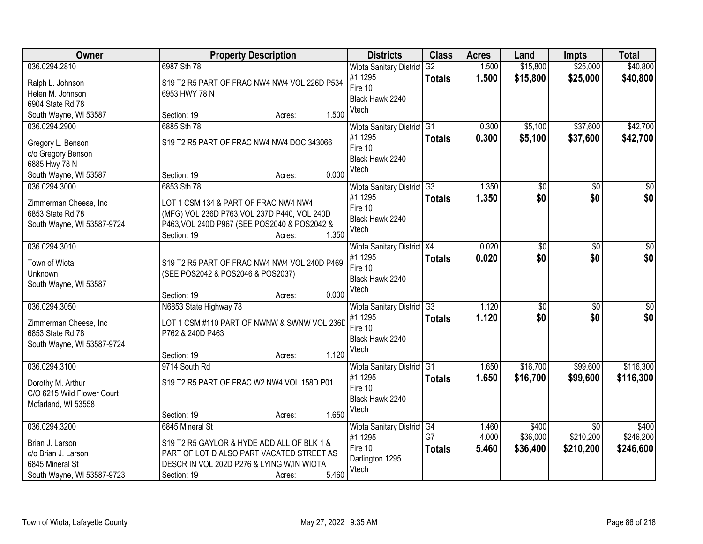| Owner                                                                                                    | <b>Property Description</b>                                                                                                                                                               | <b>Districts</b>                                                             | <b>Class</b>                     | <b>Acres</b>            | Land                          | <b>Impts</b>                              | <b>Total</b>                    |
|----------------------------------------------------------------------------------------------------------|-------------------------------------------------------------------------------------------------------------------------------------------------------------------------------------------|------------------------------------------------------------------------------|----------------------------------|-------------------------|-------------------------------|-------------------------------------------|---------------------------------|
| 036.0294.2810<br>Ralph L. Johnson<br>Helen M. Johnson                                                    | 6987 Sth 78<br>S19 T2 R5 PART OF FRAC NW4 NW4 VOL 226D P534<br>6953 HWY 78 N                                                                                                              | <b>Wiota Sanitary District</b><br>#1 1295<br>Fire 10<br>Black Hawk 2240      | G2<br><b>Totals</b>              | 1.500<br>1.500          | \$15,800<br>\$15,800          | \$25,000<br>\$25,000                      | \$40,800<br>\$40,800            |
| 6904 State Rd 78<br>South Wayne, WI 53587                                                                | 1.500<br>Section: 19<br>Acres:                                                                                                                                                            | Vtech                                                                        |                                  |                         |                               |                                           |                                 |
| 036.0294.2900<br>Gregory L. Benson<br>c/o Gregory Benson<br>6885 Hwy 78 N<br>South Wayne, WI 53587       | 6885 Sth 78<br>S19 T2 R5 PART OF FRAC NW4 NW4 DOC 343066<br>0.000<br>Section: 19<br>Acres:                                                                                                | Wiota Sanitary District G1<br>#1 1295<br>Fire 10<br>Black Hawk 2240<br>Vtech | <b>Totals</b>                    | 0.300<br>0.300          | \$5,100<br>\$5,100            | \$37,600<br>\$37,600                      | \$42,700<br>\$42,700            |
| 036.0294.3000<br>Zimmerman Cheese, Inc<br>6853 State Rd 78<br>South Wayne, WI 53587-9724                 | 6853 Sth 78<br>LOT 1 CSM 134 & PART OF FRAC NW4 NW4<br>(MFG) VOL 236D P763, VOL 237D P440, VOL 240D<br>P463, VOL 240D P967 (SEE POS2040 & POS2042 &<br>1.350<br>Section: 19<br>Acres:     | Wiota Sanitary District G3<br>#1 1295<br>Fire 10<br>Black Hawk 2240<br>Vtech | <b>Totals</b>                    | 1.350<br>1.350          | $\overline{50}$<br>\$0        | $\overline{50}$<br>\$0                    | $\overline{50}$<br>\$0          |
| 036.0294.3010<br>Town of Wiota<br>Unknown<br>South Wayne, WI 53587                                       | S19 T2 R5 PART OF FRAC NW4 NW4 VOL 240D P469<br>(SEE POS2042 & POS2046 & POS2037)<br>0.000<br>Section: 19<br>Acres:                                                                       | Wiota Sanitary District X4<br>#1 1295<br>Fire 10<br>Black Hawk 2240<br>Vtech | <b>Totals</b>                    | 0.020<br>0.020          | \$0<br>\$0                    | \$0<br>\$0                                | \$0<br>\$0                      |
| 036.0294.3050<br>Zimmerman Cheese, Inc<br>6853 State Rd 78<br>South Wayne, WI 53587-9724                 | N6853 State Highway 78<br>LOT 1 CSM #110 PART OF NWNW & SWNW VOL 236D<br>P762 & 240D P463<br>1.120<br>Section: 19<br>Acres:                                                               | Wiota Sanitary District<br>#1 1295<br>Fire 10<br>Black Hawk 2240<br>Vtech    | $\overline{G3}$<br><b>Totals</b> | 1.120<br>1.120          | $\overline{50}$<br>\$0        | $\overline{50}$<br>\$0                    | \$0<br>\$0                      |
| 036.0294.3100<br>Dorothy M. Arthur<br>C/O 6215 Wild Flower Court<br>Mcfarland, WI 53558                  | 9714 South Rd<br>S19 T2 R5 PART OF FRAC W2 NW4 VOL 158D P01<br>1.650<br>Section: 19<br>Acres:                                                                                             | Wiota Sanitary District G1<br>#1 1295<br>Fire 10<br>Black Hawk 2240<br>Vtech | <b>Totals</b>                    | 1.650<br>1.650          | \$16,700<br>\$16,700          | \$99,600<br>\$99,600                      | \$116,300<br>\$116,300          |
| 036.0294.3200<br>Brian J. Larson<br>c/o Brian J. Larson<br>6845 Mineral St<br>South Wayne, WI 53587-9723 | 6845 Mineral St<br>S19 T2 R5 GAYLOR & HYDE ADD ALL OF BLK 1 &<br>PART OF LOT D ALSO PART VACATED STREET AS<br>DESCR IN VOL 202D P276 & LYING W/IN WIOTA<br>5.460<br>Section: 19<br>Acres: | Wiota Sanitary District G4<br>#1 1295<br>Fire 10<br>Darlington 1295<br>Vtech | G7<br><b>Totals</b>              | 1.460<br>4.000<br>5.460 | \$400<br>\$36,000<br>\$36,400 | $\overline{30}$<br>\$210,200<br>\$210,200 | \$400<br>\$246,200<br>\$246,600 |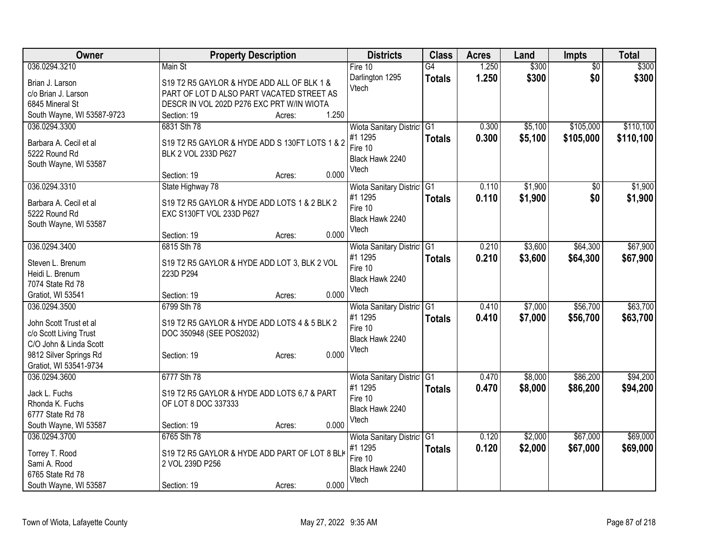| Owner                      | <b>Property Description</b>                    | <b>Districts</b>           | <b>Class</b>    | <b>Acres</b> | Land    | <b>Impts</b>    | <b>Total</b> |
|----------------------------|------------------------------------------------|----------------------------|-----------------|--------------|---------|-----------------|--------------|
| 036.0294.3210              | Main St                                        | Fire 10                    | $\overline{G4}$ | 1.250        | \$300   | $\overline{50}$ | \$300        |
| Brian J. Larson            | S19 T2 R5 GAYLOR & HYDE ADD ALL OF BLK 1 &     | Darlington 1295            | <b>Totals</b>   | 1.250        | \$300   | \$0             | \$300        |
| c/o Brian J. Larson        | PART OF LOT D ALSO PART VACATED STREET AS      | Vtech                      |                 |              |         |                 |              |
| 6845 Mineral St            | DESCR IN VOL 202D P276 EXC PRT W/IN WIOTA      |                            |                 |              |         |                 |              |
| South Wayne, WI 53587-9723 | 1.250<br>Section: 19<br>Acres:                 |                            |                 |              |         |                 |              |
| 036.0294.3300              | 6831 Sth 78                                    | Wiota Sanitary District G1 |                 | 0.300        | \$5,100 | \$105,000       | \$110,100    |
|                            |                                                | #1 1295                    |                 | 0.300        | \$5,100 | \$105,000       | \$110,100    |
| Barbara A. Cecil et al     | S19 T2 R5 GAYLOR & HYDE ADD S 130FT LOTS 1 & 2 | Fire 10                    | <b>Totals</b>   |              |         |                 |              |
| 5222 Round Rd              | BLK 2 VOL 233D P627                            | Black Hawk 2240            |                 |              |         |                 |              |
| South Wayne, WI 53587      |                                                | Vtech                      |                 |              |         |                 |              |
|                            | 0.000<br>Section: 19<br>Acres:                 |                            |                 |              |         |                 |              |
| 036.0294.3310              | State Highway 78                               | Wiota Sanitary District G1 |                 | 0.110        | \$1,900 | $\sqrt{6}$      | \$1,900      |
|                            |                                                | #1 1295                    | <b>Totals</b>   | 0.110        | \$1,900 | \$0             | \$1,900      |
| Barbara A. Cecil et al     | S19 T2 R5 GAYLOR & HYDE ADD LOTS 1 & 2 BLK 2   | Fire 10                    |                 |              |         |                 |              |
| 5222 Round Rd              | EXC S130FT VOL 233D P627                       | Black Hawk 2240            |                 |              |         |                 |              |
| South Wayne, WI 53587      | 0.000                                          | Vtech                      |                 |              |         |                 |              |
|                            | Section: 19<br>Acres:                          |                            |                 |              |         |                 |              |
| 036.0294.3400              | 6815 Sth 78                                    | Wiota Sanitary District G1 |                 | 0.210        | \$3,600 | \$64,300        | \$67,900     |
| Steven L. Brenum           | S19 T2 R5 GAYLOR & HYDE ADD LOT 3, BLK 2 VOL   | #1 1295                    | <b>Totals</b>   | 0.210        | \$3,600 | \$64,300        | \$67,900     |
| Heidi L. Brenum            | 223D P294                                      | Fire 10                    |                 |              |         |                 |              |
| 7074 State Rd 78           |                                                | Black Hawk 2240            |                 |              |         |                 |              |
| Gratiot, WI 53541          | 0.000<br>Section: 19<br>Acres:                 | Vtech                      |                 |              |         |                 |              |
| 036.0294.3500              | 6799 Sth 78                                    | Wiota Sanitary District    | G1              | 0.410        | \$7,000 | \$56,700        | \$63,700     |
|                            |                                                | #1 1295                    | <b>Totals</b>   | 0.410        | \$7,000 | \$56,700        | \$63,700     |
| John Scott Trust et al     | S19 T2 R5 GAYLOR & HYDE ADD LOTS 4 & 5 BLK 2   | Fire 10                    |                 |              |         |                 |              |
| c/o Scott Living Trust     | DOC 350948 (SEE POS2032)                       | Black Hawk 2240            |                 |              |         |                 |              |
| C/O John & Linda Scott     |                                                | Vtech                      |                 |              |         |                 |              |
| 9812 Silver Springs Rd     | 0.000<br>Section: 19<br>Acres:                 |                            |                 |              |         |                 |              |
| Gratiot, WI 53541-9734     |                                                |                            |                 |              |         |                 |              |
| 036.0294.3600              | 6777 Sth 78                                    | Wiota Sanitary District G1 |                 | 0.470        | \$8,000 | \$86,200        | \$94,200     |
| Jack L. Fuchs              | S19 T2 R5 GAYLOR & HYDE ADD LOTS 6,7 & PART    | #1 1295                    | <b>Totals</b>   | 0.470        | \$8,000 | \$86,200        | \$94,200     |
| Rhonda K. Fuchs            | OF LOT 8 DOC 337333                            | Fire 10                    |                 |              |         |                 |              |
| 6777 State Rd 78           |                                                | Black Hawk 2240            |                 |              |         |                 |              |
| South Wayne, WI 53587      | 0.000<br>Section: 19<br>Acres:                 | Vtech                      |                 |              |         |                 |              |
| 036.0294.3700              | 6765 Sth 78                                    | Wiota Sanitary District G1 |                 | 0.120        | \$2,000 | \$67,000        | \$69,000     |
|                            |                                                | #1 1295                    | <b>Totals</b>   | 0.120        | \$2,000 | \$67,000        | \$69,000     |
| Torrey T. Rood             | S19 T2 R5 GAYLOR & HYDE ADD PART OF LOT 8 BLK  | Fire 10                    |                 |              |         |                 |              |
| Sami A. Rood               | 2 VOL 239D P256                                | Black Hawk 2240            |                 |              |         |                 |              |
| 6765 State Rd 78           |                                                | Vtech                      |                 |              |         |                 |              |
| South Wayne, WI 53587      | 0.000<br>Section: 19<br>Acres:                 |                            |                 |              |         |                 |              |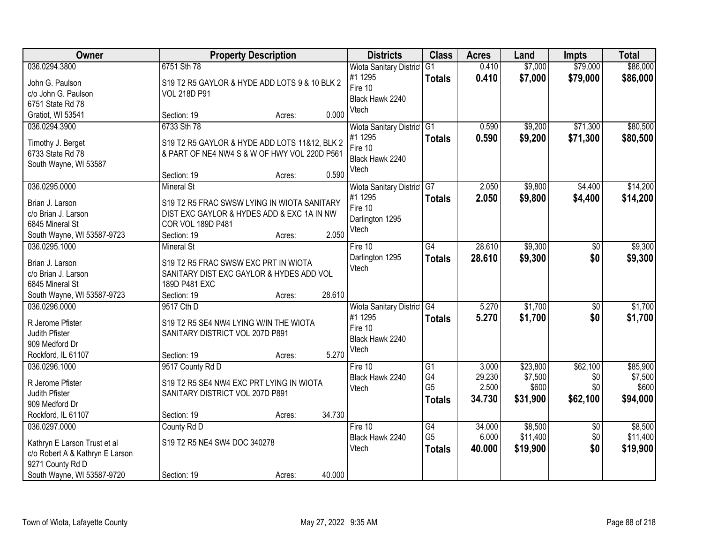| Owner                                          |                                               | <b>Property Description</b> |        | <b>Districts</b>                      | <b>Class</b>    | <b>Acres</b> | Land     | Impts           | <b>Total</b> |
|------------------------------------------------|-----------------------------------------------|-----------------------------|--------|---------------------------------------|-----------------|--------------|----------|-----------------|--------------|
| 036.0294.3800                                  | 6751 Sth 78                                   |                             |        | <b>Wiota Sanitary District</b>        | $\overline{G1}$ | 0.410        | \$7,000  | \$79,000        | \$86,000     |
| John G. Paulson                                | S19 T2 R5 GAYLOR & HYDE ADD LOTS 9 & 10 BLK 2 |                             |        | #1 1295                               | <b>Totals</b>   | 0.410        | \$7,000  | \$79,000        | \$86,000     |
| c/o John G. Paulson                            | <b>VOL 218D P91</b>                           |                             |        | Fire 10                               |                 |              |          |                 |              |
| 6751 State Rd 78                               |                                               |                             |        | Black Hawk 2240                       |                 |              |          |                 |              |
| Gratiot, WI 53541                              | Section: 19                                   | Acres:                      | 0.000  | Vtech                                 |                 |              |          |                 |              |
| 036.0294.3900                                  | 6733 Sth 78                                   |                             |        | Wiota Sanitary District               | G1              | 0.590        | \$9,200  | \$71,300        | \$80,500     |
|                                                |                                               |                             |        | #1 1295                               | <b>Totals</b>   | 0.590        | \$9,200  | \$71,300        | \$80,500     |
| Timothy J. Berget                              | S19 T2 R5 GAYLOR & HYDE ADD LOTS 11&12, BLK 2 |                             |        | Fire 10                               |                 |              |          |                 |              |
| 6733 State Rd 78                               | & PART OF NE4 NW4 S & W OF HWY VOL 220D P561  |                             |        | Black Hawk 2240                       |                 |              |          |                 |              |
| South Wayne, WI 53587                          | Section: 19                                   |                             | 0.590  | Vtech                                 |                 |              |          |                 |              |
| 036.0295.0000                                  | <b>Mineral St</b>                             | Acres:                      |        |                                       |                 | 2.050        | \$9,800  | \$4,400         | \$14,200     |
|                                                |                                               |                             |        | Wiota Sanitary District G7<br>#1 1295 |                 |              |          |                 |              |
| Brian J. Larson                                | S19 T2 R5 FRAC SWSW LYING IN WIOTA SANITARY   |                             |        | Fire 10                               | <b>Totals</b>   | 2.050        | \$9,800  | \$4,400         | \$14,200     |
| c/o Brian J. Larson                            | DIST EXC GAYLOR & HYDES ADD & EXC 1A IN NW    |                             |        | Darlington 1295                       |                 |              |          |                 |              |
| 6845 Mineral St                                | COR VOL 189D P481                             |                             |        | Vtech                                 |                 |              |          |                 |              |
| South Wayne, WI 53587-9723                     | Section: 19                                   | Acres:                      | 2.050  |                                       |                 |              |          |                 |              |
| 036.0295.1000                                  | <b>Mineral St</b>                             |                             |        | Fire 10                               | $\overline{G4}$ | 28.610       | \$9,300  | \$0             | \$9,300      |
| Brian J. Larson                                | S19 T2 R5 FRAC SWSW EXC PRT IN WIOTA          |                             |        | Darlington 1295                       | <b>Totals</b>   | 28.610       | \$9,300  | \$0             | \$9,300      |
| c/o Brian J. Larson                            | SANITARY DIST EXC GAYLOR & HYDES ADD VOL      |                             |        | Vtech                                 |                 |              |          |                 |              |
| 6845 Mineral St                                | 189D P481 EXC                                 |                             |        |                                       |                 |              |          |                 |              |
| South Wayne, WI 53587-9723                     | Section: 19                                   | Acres:                      | 28.610 |                                       |                 |              |          |                 |              |
| 036.0296.0000                                  | 9517 Cth D                                    |                             |        | Wiota Sanitary District G4            |                 | 5.270        | \$1,700  | $\overline{30}$ | \$1,700      |
|                                                |                                               |                             |        | #1 1295                               | <b>Totals</b>   | 5.270        | \$1,700  | \$0             | \$1,700      |
| R Jerome Pfister                               | S19 T2 R5 SE4 NW4 LYING W/IN THE WIOTA        |                             |        | Fire 10                               |                 |              |          |                 |              |
| Judith Pfister                                 | SANITARY DISTRICT VOL 207D P891               |                             |        | Black Hawk 2240                       |                 |              |          |                 |              |
| 909 Medford Dr                                 |                                               |                             |        | Vtech                                 |                 |              |          |                 |              |
| Rockford, IL 61107                             | Section: 19                                   | Acres:                      | 5.270  |                                       |                 |              |          |                 |              |
| 036.0296.1000                                  | 9517 County Rd D                              |                             |        | Fire 10                               | G1              | 3.000        | \$23,800 | \$62,100        | \$85,900     |
| R Jerome Pfister                               | S19 T2 R5 SE4 NW4 EXC PRT LYING IN WIOTA      |                             |        | Black Hawk 2240                       | G4              | 29.230       | \$7,500  | \$0             | \$7,500      |
| Judith Pfister                                 | SANITARY DISTRICT VOL 207D P891               |                             |        | Vtech                                 | G <sub>5</sub>  | 2.500        | \$600    | \$0             | \$600        |
| 909 Medford Dr                                 |                                               |                             |        |                                       | <b>Totals</b>   | 34.730       | \$31,900 | \$62,100        | \$94,000     |
| Rockford, IL 61107                             | Section: 19                                   | Acres:                      | 34.730 |                                       |                 |              |          |                 |              |
| 036.0297.0000                                  | County Rd D                                   |                             |        | Fire $10$                             | $\overline{G4}$ | 34.000       | \$8,500  | $\overline{30}$ | \$8,500      |
|                                                |                                               |                             |        | Black Hawk 2240                       | G <sub>5</sub>  | 6.000        | \$11,400 | \$0             | \$11,400     |
| Kathryn E Larson Trust et al                   | S19 T2 R5 NE4 SW4 DOC 340278                  |                             |        | Vtech                                 | <b>Totals</b>   | 40.000       | \$19,900 | \$0             | \$19,900     |
| c/o Robert A & Kathryn E Larson                |                                               |                             |        |                                       |                 |              |          |                 |              |
| 9271 County Rd D<br>South Wayne, WI 53587-9720 | Section: 19                                   |                             | 40.000 |                                       |                 |              |          |                 |              |
|                                                |                                               | Acres:                      |        |                                       |                 |              |          |                 |              |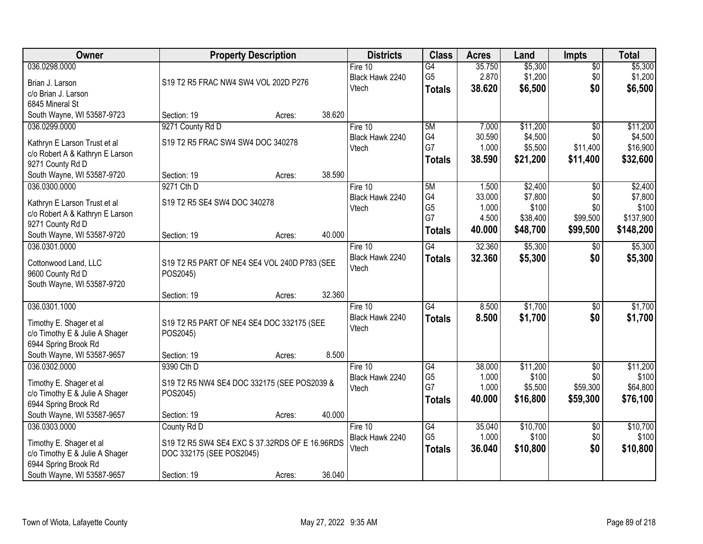| Owner                                                                                                                                                            | <b>Property Description</b>                                                                                        |                  | <b>Districts</b>                      | <b>Class</b>                                       | <b>Acres</b>                                | Land                                                | <b>Impts</b>                                   | <b>Total</b>                                          |
|------------------------------------------------------------------------------------------------------------------------------------------------------------------|--------------------------------------------------------------------------------------------------------------------|------------------|---------------------------------------|----------------------------------------------------|---------------------------------------------|-----------------------------------------------------|------------------------------------------------|-------------------------------------------------------|
| 036.0298.0000<br>Brian J. Larson<br>c/o Brian J. Larson                                                                                                          | S19 T2 R5 FRAC NW4 SW4 VOL 202D P276                                                                               |                  | Fire $10$<br>Black Hawk 2240<br>Vtech | $\overline{G4}$<br>G <sub>5</sub><br><b>Totals</b> | 35.750<br>2.870<br>38.620                   | \$5,300<br>\$1,200<br>\$6,500                       | $\sqrt{$0}$<br>\$0<br>\$0                      | \$5,300<br>\$1,200<br>\$6,500                         |
| 6845 Mineral St<br>South Wayne, WI 53587-9723                                                                                                                    | Section: 19<br>Acres:                                                                                              | 38.620           |                                       |                                                    |                                             |                                                     |                                                |                                                       |
| 036.0299.0000<br>Kathryn E Larson Trust et al<br>c/o Robert A & Kathryn E Larson<br>9271 County Rd D                                                             | 9271 County Rd D<br>S19 T2 R5 FRAC SW4 SW4 DOC 340278                                                              |                  | Fire 10<br>Black Hawk 2240<br>Vtech   | 5M<br>G4<br>G7<br><b>Totals</b>                    | 7.000<br>30.590<br>1.000<br>38.590          | \$11,200<br>\$4,500<br>\$5,500<br>\$21,200          | $\overline{50}$<br>\$0<br>\$11,400<br>\$11,400 | \$11,200<br>\$4,500<br>\$16,900<br>\$32,600           |
| South Wayne, WI 53587-9720<br>036.0300.0000<br>Kathryn E Larson Trust et al<br>c/o Robert A & Kathryn E Larson<br>9271 County Rd D<br>South Wayne, WI 53587-9720 | Section: 19<br>Acres:<br>9271 Cth D<br>S19 T2 R5 SE4 SW4 DOC 340278<br>Section: 19<br>Acres:                       | 38.590<br>40.000 | Fire 10<br>Black Hawk 2240<br>Vtech   | 5M<br>G4<br>G <sub>5</sub><br>G7<br><b>Totals</b>  | 1.500<br>33.000<br>1.000<br>4.500<br>40.000 | \$2,400<br>\$7,800<br>\$100<br>\$38,400<br>\$48,700 | \$0<br>\$0<br>\$0<br>\$99,500<br>\$99,500      | \$2,400<br>\$7,800<br>\$100<br>\$137,900<br>\$148,200 |
| 036.0301.0000<br>Cottonwood Land, LLC<br>9600 County Rd D<br>South Wayne, WI 53587-9720                                                                          | S19 T2 R5 PART OF NE4 SE4 VOL 240D P783 (SEE<br>POS2045)                                                           | 32.360           | Fire 10<br>Black Hawk 2240<br>Vtech   | G4<br><b>Totals</b>                                | 32.360<br>32.360                            | \$5,300<br>\$5,300                                  | \$0<br>\$0                                     | \$5,300<br>\$5,300                                    |
| 036.0301.1000<br>Timothy E. Shager et al<br>c/o Timothy E & Julie A Shager<br>6944 Spring Brook Rd<br>South Wayne, WI 53587-9657                                 | Section: 19<br>Acres:<br>S19 T2 R5 PART OF NE4 SE4 DOC 332175 (SEE<br>POS2045)<br>Section: 19<br>Acres:            | 8.500            | Fire 10<br>Black Hawk 2240<br>Vtech   | $\overline{G4}$<br><b>Totals</b>                   | 8.500<br>8.500                              | \$1,700<br>\$1,700                                  | \$0<br>\$0                                     | \$1,700<br>\$1,700                                    |
| 036.0302.0000<br>Timothy E. Shager et al<br>c/o Timothy E & Julie A Shager<br>6944 Spring Brook Rd<br>South Wayne, WI 53587-9657                                 | 9390 Cth D<br>S19 T2 R5 NW4 SE4 DOC 332175 (SEE POS2039 &<br>POS2045)<br>Section: 19<br>Acres:                     | 40.000           | Fire 10<br>Black Hawk 2240<br>Vtech   | G4<br>G <sub>5</sub><br>G7<br><b>Totals</b>        | 38.000<br>1.000<br>1.000<br>40,000          | \$11,200<br>\$100<br>\$5,500<br>\$16,800            | $\overline{50}$<br>\$0<br>\$59,300<br>\$59,300 | \$11,200<br>\$100<br>\$64,800<br>\$76,100             |
| 036.0303.0000<br>Timothy E. Shager et al<br>c/o Timothy E & Julie A Shager<br>6944 Spring Brook Rd<br>South Wayne, WI 53587-9657                                 | County Rd D<br>S19 T2 R5 SW4 SE4 EXC S 37.32RDS OF E 16.96RDS<br>DOC 332175 (SEE POS2045)<br>Section: 19<br>Acres: | 36.040           | Fire $10$<br>Black Hawk 2240<br>Vtech | G4<br>G <sub>5</sub><br><b>Totals</b>              | 35.040<br>1.000<br>36.040                   | \$10,700<br>\$100<br>\$10,800                       | $\overline{60}$<br>\$0<br>\$0                  | \$10,700<br>\$100<br>\$10,800                         |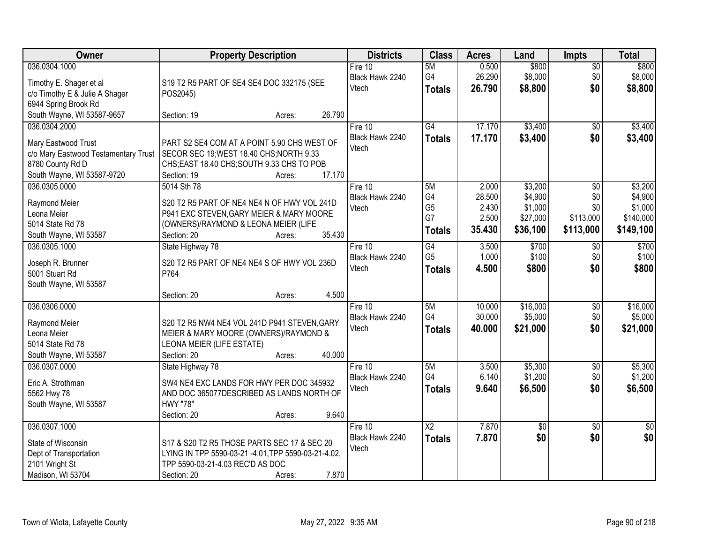| Owner                                | <b>Property Description</b>                                                             | <b>Districts</b> | <b>Class</b>           | <b>Acres</b> | Land            | <b>Impts</b>    | <b>Total</b>    |
|--------------------------------------|-----------------------------------------------------------------------------------------|------------------|------------------------|--------------|-----------------|-----------------|-----------------|
| 036.0304.1000                        |                                                                                         | Fire $10$        | 5M                     | 0.500        | \$800           | \$0             | \$800           |
| Timothy E. Shager et al              | S19 T2 R5 PART OF SE4 SE4 DOC 332175 (SEE                                               | Black Hawk 2240  | G4                     | 26.290       | \$8,000         | \$0             | \$8,000         |
| c/o Timothy E & Julie A Shager       | POS2045)                                                                                | Vtech            | <b>Totals</b>          | 26.790       | \$8,800         | \$0             | \$8,800         |
| 6944 Spring Brook Rd                 |                                                                                         |                  |                        |              |                 |                 |                 |
| South Wayne, WI 53587-9657           | 26.790<br>Section: 19<br>Acres:                                                         |                  |                        |              |                 |                 |                 |
| 036.0304.2000                        |                                                                                         | Fire 10          | $\overline{G4}$        | 17.170       | \$3,400         | \$0             | \$3,400         |
| Mary Eastwood Trust                  | PART S2 SE4 COM AT A POINT 5.90 CHS WEST OF                                             | Black Hawk 2240  | <b>Totals</b>          | 17.170       | \$3,400         | \$0             | \$3,400         |
| c/o Mary Eastwood Testamentary Trust | SECOR SEC 19; WEST 18.40 CHS; NORTH 9.33                                                | Vtech            |                        |              |                 |                 |                 |
| 8780 County Rd D                     | CHS;EAST 18.40 CHS;SOUTH 9.33 CHS TO POB                                                |                  |                        |              |                 |                 |                 |
| South Wayne, WI 53587-9720           | 17.170<br>Section: 19<br>Acres:                                                         |                  |                        |              |                 |                 |                 |
| 036.0305.0000                        | 5014 Sth 78                                                                             | Fire 10          | 5M                     | 2.000        | \$3,200         | \$0             | \$3,200         |
|                                      |                                                                                         | Black Hawk 2240  | G4                     | 28.500       | \$4,900         | \$0             | \$4,900         |
| Raymond Meier<br>Leona Meier         | S20 T2 R5 PART OF NE4 NE4 N OF HWY VOL 241D<br>P941 EXC STEVEN, GARY MEIER & MARY MOORE | Vtech            | G <sub>5</sub>         | 2.430        | \$1,000         | \$0             | \$1,000         |
| 5014 State Rd 78                     | (OWNERS)/RAYMOND & LEONA MEIER (LIFE                                                    |                  | G7                     | 2.500        | \$27,000        | \$113,000       | \$140,000       |
| South Wayne, WI 53587                | 35.430<br>Section: 20<br>Acres:                                                         |                  | <b>Totals</b>          | 35.430       | \$36,100        | \$113,000       | \$149,100       |
| 036.0305.1000                        | State Highway 78                                                                        | Fire 10          | G4                     | 3.500        | \$700           | $\sqrt[6]{3}$   | \$700           |
|                                      |                                                                                         | Black Hawk 2240  | G <sub>5</sub>         | 1.000        | \$100           | \$0             | \$100           |
| Joseph R. Brunner                    | S20 T2 R5 PART OF NE4 NE4 S OF HWY VOL 236D                                             | Vtech            | <b>Totals</b>          | 4.500        | \$800           | \$0             | \$800           |
| 5001 Stuart Rd                       | P764                                                                                    |                  |                        |              |                 |                 |                 |
| South Wayne, WI 53587                |                                                                                         |                  |                        |              |                 |                 |                 |
|                                      | 4.500<br>Section: 20<br>Acres:                                                          |                  |                        |              |                 |                 |                 |
| 036.0306.0000                        |                                                                                         | Fire 10          | 5M<br>G4               | 10.000       | \$16,000        | $\overline{50}$ | \$16,000        |
| Raymond Meier                        | S20 T2 R5 NW4 NE4 VOL 241D P941 STEVEN, GARY                                            | Black Hawk 2240  |                        | 30.000       | \$5,000         | \$0             | \$5,000         |
| Leona Meier                          | MEIER & MARY MOORE (OWNERS)/RAYMOND &                                                   | Vtech            | <b>Totals</b>          | 40.000       | \$21,000        | \$0             | \$21,000        |
| 5014 State Rd 78                     | LEONA MEIER (LIFE ESTATE)                                                               |                  |                        |              |                 |                 |                 |
| South Wayne, WI 53587                | 40.000<br>Section: 20<br>Acres:                                                         |                  |                        |              |                 |                 |                 |
| 036.0307.0000                        | State Highway 78                                                                        | Fire 10          | 5M                     | 3.500        | \$5,300         | $\sqrt{6}$      | \$5,300         |
| Eric A. Strothman                    | SW4 NE4 EXC LANDS FOR HWY PER DOC 345932                                                | Black Hawk 2240  | G4                     | 6.140        | \$1,200         | \$0             | \$1,200         |
| 5562 Hwy 78                          | AND DOC 365077DESCRIBED AS LANDS NORTH OF                                               | Vtech            | <b>Totals</b>          | 9.640        | \$6,500         | \$0             | \$6,500         |
| South Wayne, WI 53587                | <b>HWY "78"</b>                                                                         |                  |                        |              |                 |                 |                 |
|                                      | 9.640<br>Section: 20<br>Acres:                                                          |                  |                        |              |                 |                 |                 |
| 036.0307.1000                        |                                                                                         | Fire $10$        | $\overline{\text{X2}}$ | 7.870        | $\overline{50}$ | $\overline{30}$ | $\overline{30}$ |
| State of Wisconsin                   | S17 & S20 T2 R5 THOSE PARTS SEC 17 & SEC 20                                             | Black Hawk 2240  | <b>Totals</b>          | 7.870        | \$0             | \$0             | \$0             |
| Dept of Transportation               | LYING IN TPP 5590-03-21 -4.01, TPP 5590-03-21-4.02,                                     | Vtech            |                        |              |                 |                 |                 |
| 2101 Wright St                       | TPP 5590-03-21-4.03 REC'D AS DOC                                                        |                  |                        |              |                 |                 |                 |
| Madison, WI 53704                    | 7.870<br>Section: 20<br>Acres:                                                          |                  |                        |              |                 |                 |                 |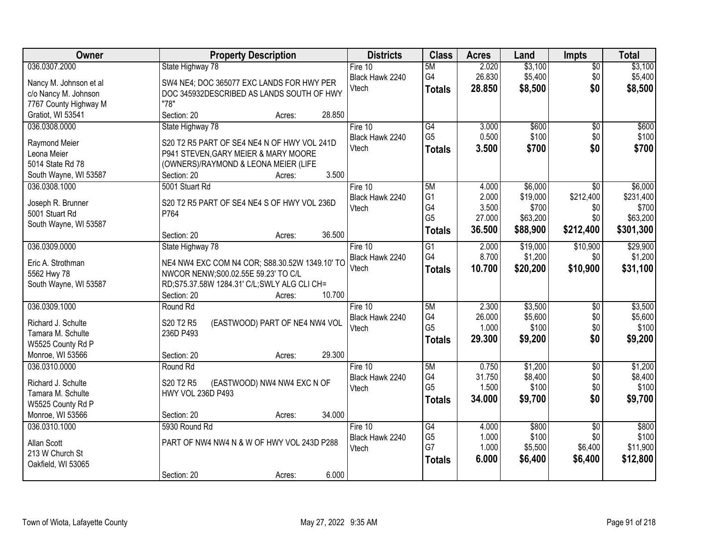| Owner                                  | <b>Property Description</b>                                   | <b>Districts</b>         | <b>Class</b>    | <b>Acres</b>   | Land     | <b>Impts</b>    | <b>Total</b> |
|----------------------------------------|---------------------------------------------------------------|--------------------------|-----------------|----------------|----------|-----------------|--------------|
| 036.0307.2000                          | State Highway 78                                              | Fire $10$                | 5M              | 2.020          | \$3,100  | $\overline{50}$ | \$3,100      |
| Nancy M. Johnson et al                 | SW4 NE4; DOC 365077 EXC LANDS FOR HWY PER                     | Black Hawk 2240          | G4              | 26.830         | \$5,400  | \$0             | \$5,400      |
| c/o Nancy M. Johnson                   | DOC 345932DESCRIBED AS LANDS SOUTH OF HWY                     | Vtech                    | <b>Totals</b>   | 28.850         | \$8,500  | \$0             | \$8,500      |
| 7767 County Highway M                  | "78"                                                          |                          |                 |                |          |                 |              |
| Gratiot, WI 53541                      | Section: 20<br>28.850<br>Acres:                               |                          |                 |                |          |                 |              |
| 036.0308.0000                          | State Highway 78                                              | Fire 10                  | G4              | 3.000          | \$600    | $\overline{50}$ | \$600        |
|                                        | S20 T2 R5 PART OF SE4 NE4 N OF HWY VOL 241D                   | Black Hawk 2240          | G <sub>5</sub>  | 0.500          | \$100    | \$0             | \$100        |
| Raymond Meier<br>Leona Meier           | P941 STEVEN, GARY MEIER & MARY MOORE                          | Vtech                    | <b>Totals</b>   | 3.500          | \$700    | \$0             | \$700        |
| 5014 State Rd 78                       | (OWNERS)/RAYMOND & LEONA MEIER (LIFE                          |                          |                 |                |          |                 |              |
| South Wayne, WI 53587                  | 3.500<br>Section: 20<br>Acres:                                |                          |                 |                |          |                 |              |
| 036.0308.1000                          | 5001 Stuart Rd                                                | Fire 10                  | 5M              | 4.000          | \$6,000  | \$0             | \$6,000      |
|                                        |                                                               | Black Hawk 2240          | G <sub>1</sub>  | 2.000          | \$19,000 | \$212,400       | \$231,400    |
| Joseph R. Brunner                      | S20 T2 R5 PART OF SE4 NE4 S OF HWY VOL 236D                   | Vtech                    | G4              | 3.500          | \$700    | \$0             | \$700        |
| 5001 Stuart Rd                         | P764                                                          |                          | G <sub>5</sub>  | 27.000         | \$63,200 | \$0             | \$63,200     |
| South Wayne, WI 53587                  |                                                               |                          | <b>Totals</b>   | 36.500         | \$88,900 | \$212,400       | \$301,300    |
|                                        | 36.500<br>Section: 20<br>Acres:                               |                          |                 |                |          |                 |              |
| 036.0309.0000                          | State Highway 78                                              | Fire 10                  | G1<br>G4        | 2.000<br>8.700 | \$19,000 | \$10,900        | \$29,900     |
| Eric A. Strothman                      | NE4 NW4 EXC COM N4 COR; S88.30.52W 1349.10' TO                | Black Hawk 2240<br>Vtech |                 |                | \$1,200  | \$0             | \$1,200      |
| 5562 Hwy 78                            | NWCOR NENW; S00.02.55E 59.23' TO C/L                          |                          | <b>Totals</b>   | 10.700         | \$20,200 | \$10,900        | \$31,100     |
| South Wayne, WI 53587                  | RD;S75.37.58W 1284.31' C/L;SWLY ALG CLI CH=                   |                          |                 |                |          |                 |              |
|                                        | 10.700<br>Section: 20<br>Acres:                               |                          |                 |                |          |                 |              |
| 036.0309.1000                          | Round Rd                                                      | Fire $10$                | 5M              | 2.300          | \$3,500  | $\overline{50}$ | \$3,500      |
| Richard J. Schulte                     | S20 T2 R5<br>(EASTWOOD) PART OF NE4 NW4 VOL                   | Black Hawk 2240          | G4              | 26.000         | \$5,600  | \$0             | \$5,600      |
| Tamara M. Schulte                      | 236D P493                                                     | Vtech                    | G <sub>5</sub>  | 1.000          | \$100    | \$0             | \$100        |
| W5525 County Rd P                      |                                                               |                          | <b>Totals</b>   | 29.300         | \$9,200  | \$0             | \$9,200      |
| Monroe, WI 53566                       | 29.300<br>Section: 20<br>Acres:                               |                          |                 |                |          |                 |              |
| 036.0310.0000                          | Round Rd                                                      | Fire $10$                | 5M              | 0.750          | \$1,200  | $\overline{50}$ | \$1,200      |
|                                        |                                                               | Black Hawk 2240          | G4              | 31.750         | \$8,400  | \$0             | \$8,400      |
| Richard J. Schulte                     | S20 T2 R5<br>(EASTWOOD) NW4 NW4 EXC N OF<br>HWY VOL 236D P493 | Vtech                    | G <sub>5</sub>  | 1.500          | \$100    | \$0             | \$100        |
| Tamara M. Schulte<br>W5525 County Rd P |                                                               |                          | <b>Totals</b>   | 34.000         | \$9,700  | \$0             | \$9,700      |
| Monroe, WI 53566                       | 34.000<br>Section: 20<br>Acres:                               |                          |                 |                |          |                 |              |
| 036.0310.1000                          | 5930 Round Rd                                                 | Fire $10$                | $\overline{G4}$ | 4.000          | \$800    | $\overline{50}$ | \$800        |
|                                        |                                                               | Black Hawk 2240          | G <sub>5</sub>  | 1.000          | \$100    | \$0             | \$100        |
| Allan Scott                            | PART OF NW4 NW4 N & W OF HWY VOL 243D P288                    | Vtech                    | G7              | 1.000          | \$5,500  | \$6,400         | \$11,900     |
| 213 W Church St                        |                                                               |                          | <b>Totals</b>   | 6.000          | \$6,400  | \$6,400         | \$12,800     |
| Oakfield, WI 53065                     |                                                               |                          |                 |                |          |                 |              |
|                                        | 6.000<br>Section: 20<br>Acres:                                |                          |                 |                |          |                 |              |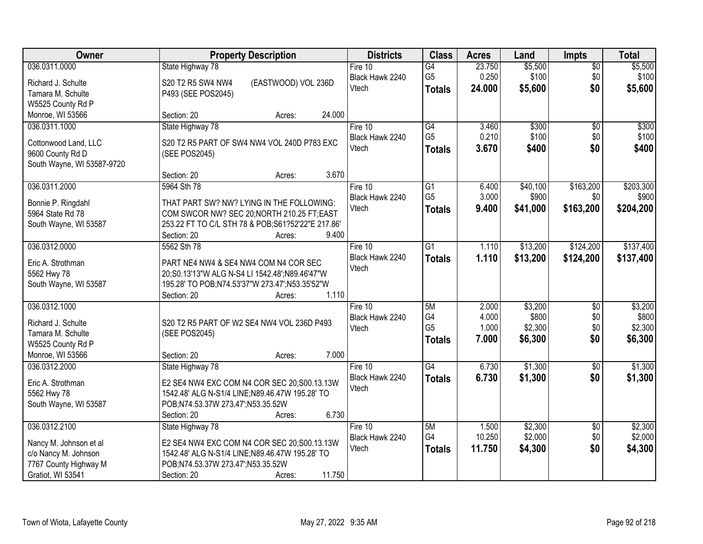| Owner                      | <b>Property Description</b>                       | <b>Districts</b>         | <b>Class</b>    | <b>Acres</b> | Land     | <b>Impts</b>    | <b>Total</b> |
|----------------------------|---------------------------------------------------|--------------------------|-----------------|--------------|----------|-----------------|--------------|
| 036.0311.0000              | State Highway 78                                  | Fire $10$                | G4              | 23.750       | \$5,500  | $\overline{50}$ | \$5,500      |
| Richard J. Schulte         | (EASTWOOD) VOL 236D<br>S20 T2 R5 SW4 NW4          | Black Hawk 2240          | G <sub>5</sub>  | 0.250        | \$100    | \$0             | \$100        |
| Tamara M. Schulte          | P493 (SEE POS2045)                                | Vtech                    | <b>Totals</b>   | 24.000       | \$5,600  | \$0             | \$5,600      |
| W5525 County Rd P          |                                                   |                          |                 |              |          |                 |              |
| Monroe, WI 53566           | 24.000<br>Section: 20<br>Acres:                   |                          |                 |              |          |                 |              |
| 036.0311.1000              | State Highway 78                                  | Fire 10                  | G4              | 3.460        | \$300    | $\overline{50}$ | \$300        |
|                            |                                                   | Black Hawk 2240          | G <sub>5</sub>  | 0.210        | \$100    | \$0             | \$100        |
| Cottonwood Land, LLC       | S20 T2 R5 PART OF SW4 NW4 VOL 240D P783 EXC       | Vtech                    | <b>Totals</b>   | 3.670        | \$400    | \$0             | \$400        |
| 9600 County Rd D           | (SEE POS2045)                                     |                          |                 |              |          |                 |              |
| South Wayne, WI 53587-9720 | 3.670<br>Section: 20<br>Acres:                    |                          |                 |              |          |                 |              |
| 036.0311.2000              | 5964 Sth 78                                       | Fire 10                  | G1              | 6.400        | \$40,100 | \$163,200       | \$203,300    |
|                            |                                                   | Black Hawk 2240          | G <sub>5</sub>  | 3.000        | \$900    | \$0             | \$900        |
| Bonnie P. Ringdahl         | THAT PART SW? NW? LYING IN THE FOLLOWING:         | Vtech                    | <b>Totals</b>   | 9.400        | \$41,000 | \$163,200       | \$204,200    |
| 5964 State Rd 78           | COM SWCOR NW? SEC 20; NORTH 210.25 FT; EAST       |                          |                 |              |          |                 |              |
| South Wayne, WI 53587      | 253.22 FT TO C/L STH 78 & POB;S61?52'22"E 217.86' |                          |                 |              |          |                 |              |
|                            | 9.400<br>Section: 20<br>Acres:                    |                          |                 |              |          |                 |              |
| 036.0312.0000              | 5562 Sth 78                                       | Fire 10                  | $\overline{G1}$ | 1.110        | \$13,200 | \$124,200       | \$137,400    |
| Eric A. Strothman          | PART NE4 NW4 & SE4 NW4 COM N4 COR SEC             | Black Hawk 2240          | <b>Totals</b>   | 1.110        | \$13,200 | \$124,200       | \$137,400    |
| 5562 Hwy 78                | 20;S0.13'13"W ALG N-S4 LI 1542.48';N89.46'47"W    | Vtech                    |                 |              |          |                 |              |
| South Wayne, WI 53587      | 195.28' TO POB;N74.53'37"W 273.47';N53.35'52"W    |                          |                 |              |          |                 |              |
|                            | 1.110<br>Section: 20<br>Acres:                    |                          |                 |              |          |                 |              |
| 036.0312.1000              |                                                   | Fire $10$                | 5M              | 2.000        | \$3,200  | $\overline{30}$ | \$3,200      |
|                            |                                                   | Black Hawk 2240          | G4              | 4.000        | \$800    | \$0             | \$800        |
| Richard J. Schulte         | S20 T2 R5 PART OF W2 SE4 NW4 VOL 236D P493        | Vtech                    | G <sub>5</sub>  | 1.000        | \$2,300  | \$0             | \$2,300      |
| Tamara M. Schulte          | (SEE POS2045)                                     |                          | <b>Totals</b>   | 7.000        | \$6,300  | \$0             | \$6,300      |
| W5525 County Rd P          |                                                   |                          |                 |              |          |                 |              |
| Monroe, WI 53566           | 7.000<br>Section: 20<br>Acres:                    |                          |                 |              |          |                 |              |
| 036.0312.2000              | State Highway 78                                  | Fire 10                  | $\overline{G4}$ | 6.730        | \$1,300  | $\overline{50}$ | \$1,300      |
| Eric A. Strothman          | E2 SE4 NW4 EXC COM N4 COR SEC 20;S00.13.13W       | Black Hawk 2240<br>Vtech | <b>Totals</b>   | 6.730        | \$1,300  | \$0             | \$1,300      |
| 5562 Hwy 78                | 1542.48' ALG N-S1/4 LINE;N89.46.47W 195.28' TO    |                          |                 |              |          |                 |              |
| South Wayne, WI 53587      | POB;N74.53.37W 273.47';N53.35.52W                 |                          |                 |              |          |                 |              |
|                            | 6.730<br>Section: 20<br>Acres:                    |                          |                 |              |          |                 |              |
| 036.0312.2100              | State Highway 78                                  | Fire $10$                | 5M              | 1.500        | \$2,300  | $\overline{50}$ | \$2,300      |
| Nancy M. Johnson et al     | E2 SE4 NW4 EXC COM N4 COR SEC 20:S00.13.13W       | Black Hawk 2240          | G4              | 10.250       | \$2,000  | \$0             | \$2,000      |
| c/o Nancy M. Johnson       | 1542.48' ALG N-S1/4 LINE;N89.46.47W 195.28' TO    | Vtech                    | <b>Totals</b>   | 11.750       | \$4,300  | \$0             | \$4,300      |
| 7767 County Highway M      | POB;N74.53.37W 273.47';N53.35.52W                 |                          |                 |              |          |                 |              |
| Gratiot, WI 53541          | 11.750<br>Section: 20<br>Acres:                   |                          |                 |              |          |                 |              |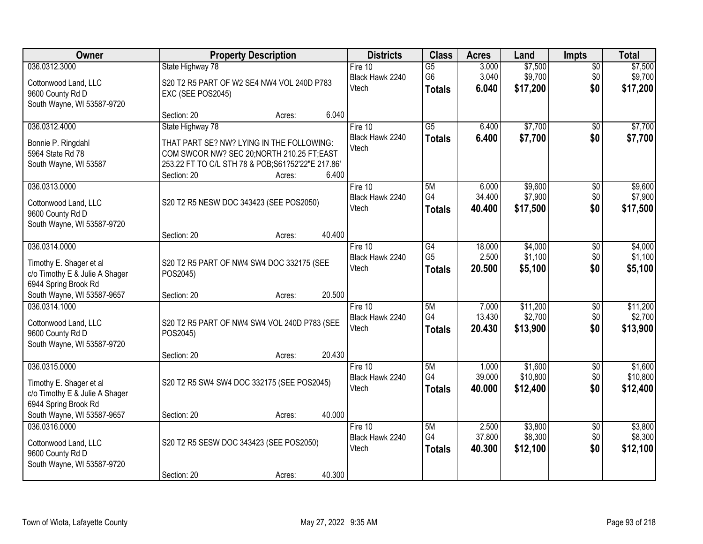| Owner                                                                                              | <b>Property Description</b>                                                                                                                                                                |        | <b>Districts</b>                      | <b>Class</b>                                       | <b>Acres</b>              | Land                            | <b>Impts</b>                  | <b>Total</b>                    |
|----------------------------------------------------------------------------------------------------|--------------------------------------------------------------------------------------------------------------------------------------------------------------------------------------------|--------|---------------------------------------|----------------------------------------------------|---------------------------|---------------------------------|-------------------------------|---------------------------------|
| 036.0312.3000<br>Cottonwood Land, LLC<br>9600 County Rd D<br>South Wayne, WI 53587-9720            | State Highway 78<br>S20 T2 R5 PART OF W2 SE4 NW4 VOL 240D P783<br>EXC (SEE POS2045)                                                                                                        |        | Fire $10$<br>Black Hawk 2240<br>Vtech | $\overline{G5}$<br>G <sub>6</sub><br><b>Totals</b> | 3.000<br>3.040<br>6.040   | \$7,500<br>\$9,700<br>\$17,200  | $\overline{50}$<br>\$0<br>\$0 | \$7,500<br>\$9,700<br>\$17,200  |
|                                                                                                    | Section: 20<br>Acres:                                                                                                                                                                      | 6.040  |                                       |                                                    |                           |                                 |                               |                                 |
| 036.0312.4000<br>Bonnie P. Ringdahl<br>5964 State Rd 78<br>South Wayne, WI 53587                   | State Highway 78<br>THAT PART SE? NW? LYING IN THE FOLLOWING:<br>COM SWCOR NW? SEC 20; NORTH 210.25 FT; EAST<br>253.22 FT TO C/L STH 78 & POB;S61?52'22"E 217.86'<br>Section: 20<br>Acres: | 6.400  | Fire 10<br>Black Hawk 2240<br>Vtech   | $\overline{G5}$<br><b>Totals</b>                   | 6.400<br>6.400            | \$7,700<br>\$7,700              | $\overline{50}$<br>\$0        | \$7,700<br>\$7,700              |
| 036.0313.0000<br>Cottonwood Land, LLC<br>9600 County Rd D<br>South Wayne, WI 53587-9720            | S20 T2 R5 NESW DOC 343423 (SEE POS2050)                                                                                                                                                    |        | Fire 10<br>Black Hawk 2240<br>Vtech   | 5M<br>G4<br><b>Totals</b>                          | 6.000<br>34.400<br>40.400 | \$9,600<br>\$7,900<br>\$17,500  | \$0<br>\$0<br>\$0             | \$9,600<br>\$7,900<br>\$17,500  |
|                                                                                                    | Section: 20<br>Acres:                                                                                                                                                                      | 40.400 |                                       |                                                    |                           |                                 |                               |                                 |
| 036.0314.0000<br>Timothy E. Shager et al<br>c/o Timothy E & Julie A Shager<br>6944 Spring Brook Rd | S20 T2 R5 PART OF NW4 SW4 DOC 332175 (SEE<br>POS2045)                                                                                                                                      |        | Fire 10<br>Black Hawk 2240<br>Vtech   | G4<br>G <sub>5</sub><br><b>Totals</b>              | 18.000<br>2.500<br>20.500 | \$4,000<br>\$1,100<br>\$5,100   | \$0<br>\$0<br>\$0             | \$4,000<br>\$1,100<br>\$5,100   |
| South Wayne, WI 53587-9657                                                                         | Section: 20<br>Acres:                                                                                                                                                                      | 20.500 |                                       |                                                    |                           |                                 |                               |                                 |
| 036.0314.1000<br>Cottonwood Land, LLC<br>9600 County Rd D<br>South Wayne, WI 53587-9720            | S20 T2 R5 PART OF NW4 SW4 VOL 240D P783 (SEE<br>POS2045)<br>Section: 20<br>Acres:                                                                                                          | 20.430 | Fire $10$<br>Black Hawk 2240<br>Vtech | 5M<br>G4<br><b>Totals</b>                          | 7.000<br>13.430<br>20.430 | \$11,200<br>\$2,700<br>\$13,900 | $\overline{50}$<br>\$0<br>\$0 | \$11,200<br>\$2,700<br>\$13,900 |
| 036.0315.0000                                                                                      |                                                                                                                                                                                            |        | Fire 10                               | 5M                                                 | 1.000                     | \$1,600                         | $\overline{50}$               | \$1,600                         |
| Timothy E. Shager et al<br>c/o Timothy E & Julie A Shager<br>6944 Spring Brook Rd                  | S20 T2 R5 SW4 SW4 DOC 332175 (SEE POS2045)                                                                                                                                                 |        | Black Hawk 2240<br>Vtech              | G4<br><b>Totals</b>                                | 39.000<br>40.000          | \$10,800<br>\$12,400            | \$0<br>\$0                    | \$10,800<br>\$12,400            |
| South Wayne, WI 53587-9657                                                                         | Section: 20<br>Acres:                                                                                                                                                                      | 40.000 |                                       |                                                    |                           |                                 |                               |                                 |
| 036.0316.0000<br>Cottonwood Land, LLC<br>9600 County Rd D<br>South Wayne, WI 53587-9720            | S20 T2 R5 SESW DOC 343423 (SEE POS2050)<br>Section: 20<br>Acres:                                                                                                                           | 40.300 | Fire $10$<br>Black Hawk 2240<br>Vtech | 5M<br>G4<br><b>Totals</b>                          | 2.500<br>37.800<br>40.300 | \$3,800<br>\$8,300<br>\$12,100  | $\overline{50}$<br>\$0<br>\$0 | \$3,800<br>\$8,300<br>\$12,100  |
|                                                                                                    |                                                                                                                                                                                            |        |                                       |                                                    |                           |                                 |                               |                                 |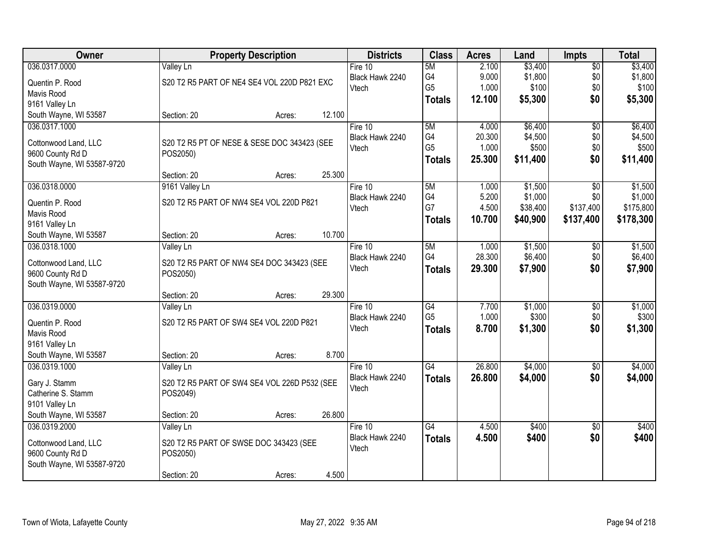| Owner                      |                                              | <b>Property Description</b> |        | <b>Districts</b> | <b>Class</b>    | <b>Acres</b> | Land     | <b>Impts</b>    | <b>Total</b> |
|----------------------------|----------------------------------------------|-----------------------------|--------|------------------|-----------------|--------------|----------|-----------------|--------------|
| 036.0317.0000              | <b>Valley Ln</b>                             |                             |        | Fire $10$        | 5M              | 2.100        | \$3,400  | $\overline{$0}$ | \$3,400      |
| Quentin P. Rood            | S20 T2 R5 PART OF NE4 SE4 VOL 220D P821 EXC  |                             |        | Black Hawk 2240  | G4              | 9.000        | \$1,800  | \$0             | \$1,800      |
| Mavis Rood                 |                                              |                             |        | Vtech            | G <sub>5</sub>  | 1.000        | \$100    | \$0             | \$100        |
| 9161 Valley Ln             |                                              |                             |        |                  | <b>Totals</b>   | 12.100       | \$5,300  | \$0             | \$5,300      |
| South Wayne, WI 53587      | Section: 20                                  | Acres:                      | 12.100 |                  |                 |              |          |                 |              |
| 036.0317.1000              |                                              |                             |        | Fire 10          | 5M              | 4.000        | \$6,400  | $\overline{50}$ | \$6,400      |
|                            |                                              |                             |        | Black Hawk 2240  | G4              | 20.300       | \$4,500  | \$0             | \$4,500      |
| Cottonwood Land, LLC       | S20 T2 R5 PT OF NESE & SESE DOC 343423 (SEE  |                             |        | Vtech            | G <sub>5</sub>  | 1.000        | \$500    | \$0             | \$500        |
| 9600 County Rd D           | POS2050)                                     |                             |        |                  | <b>Totals</b>   | 25.300       | \$11,400 | \$0             | \$11,400     |
| South Wayne, WI 53587-9720 | Section: 20                                  |                             | 25.300 |                  |                 |              |          |                 |              |
| 036.0318.0000              |                                              | Acres:                      |        | Fire 10          | 5M              | 1.000        | \$1,500  | $\overline{50}$ | \$1,500      |
|                            | 9161 Valley Ln                               |                             |        | Black Hawk 2240  | G4              | 5.200        | \$1,000  | \$0             | \$1,000      |
| Quentin P. Rood            | S20 T2 R5 PART OF NW4 SE4 VOL 220D P821      |                             |        | Vtech            | G7              | 4.500        | \$38,400 | \$137,400       | \$175,800    |
| Mavis Rood                 |                                              |                             |        |                  | <b>Totals</b>   | 10.700       | \$40,900 | \$137,400       | \$178,300    |
| 9161 Valley Ln             |                                              |                             |        |                  |                 |              |          |                 |              |
| South Wayne, WI 53587      | Section: 20                                  | Acres:                      | 10.700 |                  |                 |              |          |                 |              |
| 036.0318.1000              | Valley Ln                                    |                             |        | Fire 10          | 5M              | 1.000        | \$1,500  | \$0             | \$1,500      |
| Cottonwood Land, LLC       | S20 T2 R5 PART OF NW4 SE4 DOC 343423 (SEE    |                             |        | Black Hawk 2240  | G4              | 28.300       | \$6,400  | \$0             | \$6,400      |
| 9600 County Rd D           | POS2050)                                     |                             |        | Vtech            | <b>Totals</b>   | 29.300       | \$7,900  | \$0             | \$7,900      |
| South Wayne, WI 53587-9720 |                                              |                             |        |                  |                 |              |          |                 |              |
|                            | Section: 20                                  | Acres:                      | 29.300 |                  |                 |              |          |                 |              |
| 036.0319.0000              | Valley Ln                                    |                             |        | Fire 10          | $\overline{G4}$ | 7.700        | \$1,000  | $\overline{50}$ | \$1,000      |
|                            |                                              |                             |        | Black Hawk 2240  | G <sub>5</sub>  | 1.000        | \$300    | \$0             | \$300        |
| Quentin P. Rood            | S20 T2 R5 PART OF SW4 SE4 VOL 220D P821      |                             |        | Vtech            | <b>Totals</b>   | 8.700        | \$1,300  | \$0             | \$1,300      |
| Mavis Rood                 |                                              |                             |        |                  |                 |              |          |                 |              |
| 9161 Valley Ln             |                                              |                             |        |                  |                 |              |          |                 |              |
| South Wayne, WI 53587      | Section: 20                                  | Acres:                      | 8.700  |                  |                 |              |          |                 |              |
| 036.0319.1000              | Valley Ln                                    |                             |        | Fire 10          | G4              | 26.800       | \$4,000  | $\sqrt{6}$      | \$4,000      |
| Gary J. Stamm              | S20 T2 R5 PART OF SW4 SE4 VOL 226D P532 (SEE |                             |        | Black Hawk 2240  | <b>Totals</b>   | 26.800       | \$4,000  | \$0             | \$4,000      |
| Catherine S. Stamm         | POS2049)                                     |                             |        | Vtech            |                 |              |          |                 |              |
| 9101 Valley Ln             |                                              |                             |        |                  |                 |              |          |                 |              |
| South Wayne, WI 53587      | Section: 20                                  | Acres:                      | 26.800 |                  |                 |              |          |                 |              |
| 036.0319.2000              | Valley Ln                                    |                             |        | Fire $10$        | G4              | 4.500        | \$400    | $\overline{30}$ | \$400        |
| Cottonwood Land, LLC       | S20 T2 R5 PART OF SWSE DOC 343423 (SEE       |                             |        | Black Hawk 2240  | <b>Totals</b>   | 4.500        | \$400    | \$0             | \$400        |
| 9600 County Rd D           | POS2050)                                     |                             |        | Vtech            |                 |              |          |                 |              |
| South Wayne, WI 53587-9720 |                                              |                             |        |                  |                 |              |          |                 |              |
|                            | Section: 20                                  | Acres:                      | 4.500  |                  |                 |              |          |                 |              |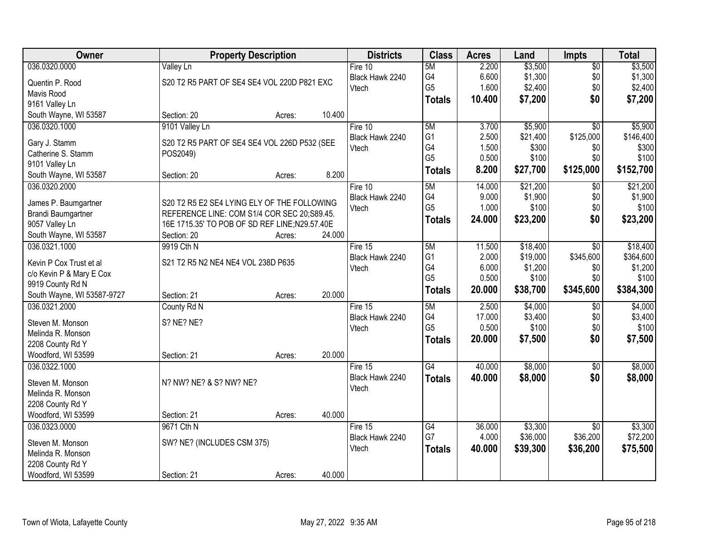| Owner                                   | <b>Property Description</b>                   |        |        | <b>Districts</b> | <b>Class</b>   | <b>Acres</b> | Land     | <b>Impts</b>    | <b>Total</b> |
|-----------------------------------------|-----------------------------------------------|--------|--------|------------------|----------------|--------------|----------|-----------------|--------------|
| 036.0320.0000                           | <b>Valley Ln</b>                              |        |        | Fire $10$        | 5M             | 2.200        | \$3,500  | $\overline{$0}$ | \$3,500      |
| Quentin P. Rood                         | S20 T2 R5 PART OF SE4 SE4 VOL 220D P821 EXC   |        |        | Black Hawk 2240  | G4             | 6.600        | \$1,300  | \$0             | \$1,300      |
| Mavis Rood                              |                                               |        |        | Vtech            | G <sub>5</sub> | 1.600        | \$2,400  | \$0             | \$2,400      |
| 9161 Valley Ln                          |                                               |        |        |                  | <b>Totals</b>  | 10.400       | \$7,200  | \$0             | \$7,200      |
| South Wayne, WI 53587                   | Section: 20                                   | Acres: | 10.400 |                  |                |              |          |                 |              |
| 036.0320.1000                           | 9101 Valley Ln                                |        |        | Fire 10          | 5M             | 3.700        | \$5,900  | $\overline{30}$ | \$5,900      |
|                                         |                                               |        |        | Black Hawk 2240  | G <sub>1</sub> | 2.500        | \$21,400 | \$125,000       | \$146,400    |
| Gary J. Stamm                           | S20 T2 R5 PART OF SE4 SE4 VOL 226D P532 (SEE  |        |        | Vtech            | G4             | 1.500        | \$300    | \$0             | \$300        |
| Catherine S. Stamm                      | POS2049)                                      |        |        |                  | G <sub>5</sub> | 0.500        | \$100    | \$0             | \$100        |
| 9101 Valley Ln<br>South Wayne, WI 53587 | Section: 20                                   | Acres: | 8.200  |                  | <b>Totals</b>  | 8.200        | \$27,700 | \$125,000       | \$152,700    |
| 036.0320.2000                           |                                               |        |        | Fire 10          | 5M             | 14.000       | \$21,200 | \$0             | \$21,200     |
|                                         |                                               |        |        | Black Hawk 2240  | G4             | 9.000        | \$1,900  | \$0             | \$1,900      |
| James P. Baumgartner                    | S20 T2 R5 E2 SE4 LYING ELY OF THE FOLLOWING   |        |        | Vtech            | G <sub>5</sub> | 1.000        | \$100    | \$0             | \$100        |
| Brandi Baumgartner                      | REFERENCE LINE: COM S1/4 COR SEC 20;S89.45.   |        |        |                  |                | 24.000       |          | \$0             |              |
| 9057 Valley Ln                          | 16E 1715.35' TO POB OF SD REF LINE;N29.57.40E |        |        |                  | <b>Totals</b>  |              | \$23,200 |                 | \$23,200     |
| South Wayne, WI 53587                   | Section: 20                                   | Acres: | 24.000 |                  |                |              |          |                 |              |
| 036.0321.1000                           | 9919 Cth N                                    |        |        | Fire 15          | 5M             | 11.500       | \$18,400 | \$0             | \$18,400     |
| Kevin P Cox Trust et al                 | S21 T2 R5 N2 NE4 NE4 VOL 238D P635            |        |        | Black Hawk 2240  | G <sub>1</sub> | 2.000        | \$19,000 | \$345,600       | \$364,600    |
| c/o Kevin P & Mary E Cox                |                                               |        |        | Vtech            | G4             | 6.000        | \$1,200  | \$0             | \$1,200      |
| 9919 County Rd N                        |                                               |        |        |                  | G <sub>5</sub> | 0.500        | \$100    | \$0             | \$100        |
| South Wayne, WI 53587-9727              | Section: 21                                   | Acres: | 20.000 |                  | <b>Totals</b>  | 20.000       | \$38,700 | \$345,600       | \$384,300    |
| 036.0321.2000                           | County Rd N                                   |        |        | Fire 15          | 5M             | 2.500        | \$4,000  | $\overline{50}$ | \$4,000      |
|                                         |                                               |        |        | Black Hawk 2240  | G4             | 17.000       | \$3,400  | \$0             | \$3,400      |
| Steven M. Monson                        | S? NE? NE?                                    |        |        | Vtech            | G <sub>5</sub> | 0.500        | \$100    | \$0             | \$100        |
| Melinda R. Monson                       |                                               |        |        |                  | <b>Totals</b>  | 20.000       | \$7,500  | \$0             | \$7,500      |
| 2208 County Rd Y                        |                                               |        |        |                  |                |              |          |                 |              |
| Woodford, WI 53599                      | Section: 21                                   | Acres: | 20.000 |                  |                |              |          |                 |              |
| 036.0322.1000                           |                                               |        |        | Fire 15          | G4             | 40.000       | \$8,000  | $\sqrt{6}$      | \$8,000      |
| Steven M. Monson                        | N? NW? NE? & S? NW? NE?                       |        |        | Black Hawk 2240  | <b>Totals</b>  | 40.000       | \$8,000  | \$0             | \$8,000      |
| Melinda R. Monson                       |                                               |        |        | Vtech            |                |              |          |                 |              |
| 2208 County Rd Y                        |                                               |        |        |                  |                |              |          |                 |              |
| Woodford, WI 53599                      | Section: 21                                   | Acres: | 40.000 |                  |                |              |          |                 |              |
| 036.0323.0000                           | 9671 Cth N                                    |        |        | Fire $15$        | G4             | 36.000       | \$3,300  | $\overline{50}$ | \$3,300      |
|                                         |                                               |        |        | Black Hawk 2240  | G7             | 4.000        | \$36,000 | \$36,200        | \$72,200     |
| Steven M. Monson                        | SW? NE? (INCLUDES CSM 375)                    |        |        | Vtech            | <b>Totals</b>  | 40.000       | \$39,300 | \$36,200        | \$75,500     |
| Melinda R. Monson                       |                                               |        |        |                  |                |              |          |                 |              |
| 2208 County Rd Y                        |                                               |        |        |                  |                |              |          |                 |              |
| Woodford, WI 53599                      | Section: 21                                   | Acres: | 40.000 |                  |                |              |          |                 |              |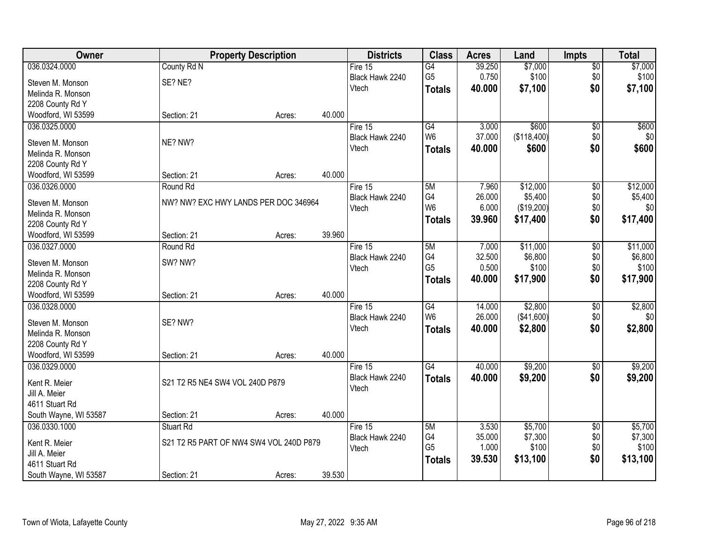| Owner                                 |                                         | <b>Property Description</b> |        | <b>Districts</b> | <b>Class</b>         | <b>Acres</b> | Land        | <b>Impts</b>    | <b>Total</b> |
|---------------------------------------|-----------------------------------------|-----------------------------|--------|------------------|----------------------|--------------|-------------|-----------------|--------------|
| 036.0324.0000                         | County Rd N                             |                             |        | Fire $15$        | $\overline{G4}$      | 39.250       | \$7,000     | $\overline{50}$ | \$7,000      |
| Steven M. Monson                      | SE? NE?                                 |                             |        | Black Hawk 2240  | G <sub>5</sub>       | 0.750        | \$100       | \$0             | \$100        |
| Melinda R. Monson                     |                                         |                             |        | Vtech            | <b>Totals</b>        | 40.000       | \$7,100     | \$0             | \$7,100      |
| 2208 County Rd Y                      |                                         |                             |        |                  |                      |              |             |                 |              |
| Woodford, WI 53599                    | Section: 21                             | Acres:                      | 40.000 |                  |                      |              |             |                 |              |
| 036.0325.0000                         |                                         |                             |        | Fire 15          | G4                   | 3.000        | \$600       | $\overline{50}$ | \$600        |
|                                       |                                         |                             |        | Black Hawk 2240  | W <sub>6</sub>       | 37.000       | (\$118,400) | \$0             | \$0          |
| Steven M. Monson                      | NE? NW?                                 |                             |        | Vtech            | <b>Totals</b>        | 40.000       | \$600       | \$0             | \$600        |
| Melinda R. Monson                     |                                         |                             |        |                  |                      |              |             |                 |              |
| 2208 County Rd Y                      |                                         |                             |        |                  |                      |              |             |                 |              |
| Woodford, WI 53599                    | Section: 21                             | Acres:                      | 40.000 |                  |                      |              |             |                 |              |
| 036.0326.0000                         | Round Rd                                |                             |        | Fire 15          | 5M                   | 7.960        | \$12,000    | $\overline{60}$ | \$12,000     |
| Steven M. Monson                      | NW? NW? EXC HWY LANDS PER DOC 346964    |                             |        | Black Hawk 2240  | G4<br>W <sub>6</sub> | 26.000       | \$5,400     | \$0             | \$5,400      |
| Melinda R. Monson                     |                                         |                             |        | Vtech            |                      | 6.000        | (\$19,200)  | \$0             | \$0          |
| 2208 County Rd Y                      |                                         |                             |        |                  | <b>Totals</b>        | 39.960       | \$17,400    | \$0             | \$17,400     |
| Woodford, WI 53599                    | Section: 21                             | Acres:                      | 39.960 |                  |                      |              |             |                 |              |
| 036.0327.0000                         | Round Rd                                |                             |        | Fire 15          | 5M                   | 7.000        | \$11,000    | \$0             | \$11,000     |
|                                       | SW? NW?                                 |                             |        | Black Hawk 2240  | G4                   | 32.500       | \$6,800     | \$0             | \$6,800      |
| Steven M. Monson<br>Melinda R. Monson |                                         |                             |        | Vtech            | G <sub>5</sub>       | 0.500        | \$100       | \$0             | \$100        |
| 2208 County Rd Y                      |                                         |                             |        |                  | <b>Totals</b>        | 40.000       | \$17,900    | \$0             | \$17,900     |
| Woodford, WI 53599                    | Section: 21                             | Acres:                      | 40.000 |                  |                      |              |             |                 |              |
| 036.0328.0000                         |                                         |                             |        | Fire 15          | G4                   | 14.000       | \$2,800     | $\overline{50}$ | \$2,800      |
|                                       |                                         |                             |        | Black Hawk 2240  | W <sub>6</sub>       | 26.000       | (\$41,600)  | \$0             | \$0          |
| Steven M. Monson                      | SE? NW?                                 |                             |        | Vtech            |                      | 40.000       | \$2,800     | \$0             | \$2,800      |
| Melinda R. Monson                     |                                         |                             |        |                  | <b>Totals</b>        |              |             |                 |              |
| 2208 County Rd Y                      |                                         |                             |        |                  |                      |              |             |                 |              |
| Woodford, WI 53599                    | Section: 21                             | Acres:                      | 40.000 |                  |                      |              |             |                 |              |
| 036.0329.0000                         |                                         |                             |        | Fire 15          | G4                   | 40.000       | \$9,200     | $\overline{50}$ | \$9,200      |
| Kent R. Meier                         | S21 T2 R5 NE4 SW4 VOL 240D P879         |                             |        | Black Hawk 2240  | <b>Totals</b>        | 40.000       | \$9,200     | \$0             | \$9,200      |
| Jill A. Meier                         |                                         |                             |        | Vtech            |                      |              |             |                 |              |
| 4611 Stuart Rd                        |                                         |                             |        |                  |                      |              |             |                 |              |
| South Wayne, WI 53587                 | Section: 21                             | Acres:                      | 40.000 |                  |                      |              |             |                 |              |
| 036.0330.1000                         | Stuart Rd                               |                             |        | Fire $15$        | 5M                   | 3.530        | \$5,700     | $\overline{50}$ | \$5,700      |
|                                       |                                         |                             |        | Black Hawk 2240  | G4                   | 35.000       | \$7,300     | \$0             | \$7,300      |
| Kent R. Meier                         | S21 T2 R5 PART OF NW4 SW4 VOL 240D P879 |                             |        | Vtech            | G <sub>5</sub>       | 1.000        | \$100       | \$0             | \$100        |
| Jill A. Meier                         |                                         |                             |        |                  | <b>Totals</b>        | 39.530       | \$13,100    | \$0             | \$13,100     |
| 4611 Stuart Rd                        |                                         |                             |        |                  |                      |              |             |                 |              |
| South Wayne, WI 53587                 | Section: 21                             | Acres:                      | 39.530 |                  |                      |              |             |                 |              |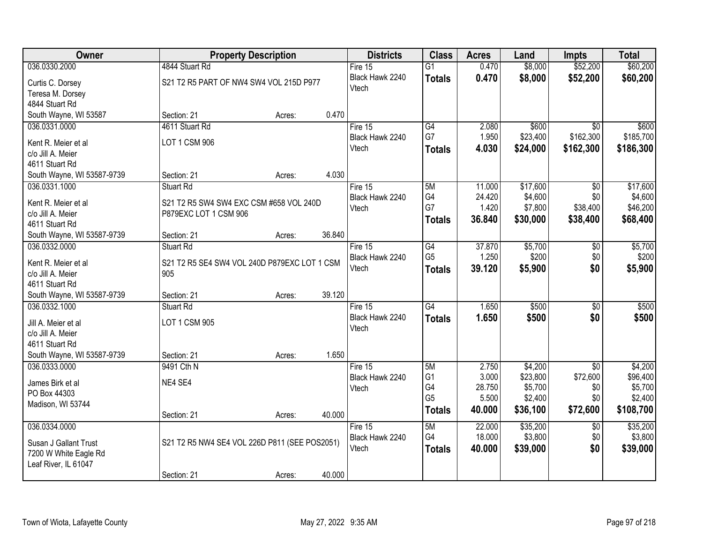| 036.0330.2000<br>\$52,200<br>4844 Stuart Rd<br>\$8,000<br>Fire $15$<br>$\overline{G1}$<br>0.470<br>Black Hawk 2240<br>0.470<br>\$8,000<br>\$52,200<br>\$60,200<br><b>Totals</b><br>S21 T2 R5 PART OF NW4 SW4 VOL 215D P977<br>Curtis C. Dorsey<br>Vtech<br>Teresa M. Dorsey<br>4844 Stuart Rd<br>South Wayne, WI 53587<br>0.470<br>Section: 21<br>Acres:<br>G4<br>036.0331.0000<br>4611 Stuart Rd<br>Fire 15<br>2.080<br>\$600<br>$\overline{30}$<br>\$600<br>G7<br>\$162,300<br>1.950<br>\$23,400<br>Black Hawk 2240<br>LOT 1 CSM 906<br>Kent R. Meier et al<br>4.030<br>Vtech<br>\$24,000<br>\$162,300<br>\$186,300<br><b>Totals</b><br>c/o Jill A. Meier<br>4611 Stuart Rd<br>4.030<br>Section: 21<br>South Wayne, WI 53587-9739<br>Acres:<br>036.0331.1000<br>5M<br>11.000<br>\$17,600<br>\$0<br><b>Stuart Rd</b><br>Fire 15<br>G4<br>\$4,600<br>24.420<br>\$0<br>Black Hawk 2240<br>S21 T2 R5 SW4 SW4 EXC CSM #658 VOL 240D<br>Kent R. Meier et al<br>G7<br>\$7,800<br>\$38,400<br>1.420<br>Vtech<br>P879EXC LOT 1 CSM 906<br>c/o Jill A. Meier<br>36.840<br>\$30,000<br>\$38,400<br>\$68,400<br><b>Totals</b><br>4611 Stuart Rd<br>36.840<br>South Wayne, WI 53587-9739<br>Section: 21<br>Acres:<br>$\overline{G4}$<br>37.870<br>\$5,700<br>036.0332.0000<br><b>Stuart Rd</b><br>Fire 15<br>\$0<br>G <sub>5</sub><br>1.250<br>\$200<br>\$0<br>Black Hawk 2240<br>Kent R. Meier et al<br>S21 T2 R5 SE4 SW4 VOL 240D P879EXC LOT 1 CSM<br>Vtech<br>\$0<br>39.120<br>\$5,900<br>\$5,900<br><b>Totals</b><br>c/o Jill A. Meier<br>905<br>4611 Stuart Rd<br>39.120<br>South Wayne, WI 53587-9739<br>Section: 21<br>Acres:<br>$\overline{G4}$<br>\$500<br>036.0332.1000<br>Stuart Rd<br>1.650<br>$\overline{30}$<br>\$500<br>Fire 15<br>\$500<br>Black Hawk 2240<br>1.650<br>\$500<br>\$0<br><b>Totals</b><br>LOT 1 CSM 905<br>Jill A. Meier et al<br>Vtech<br>c/o Jill A. Meier<br>4611 Stuart Rd<br>1.650<br>South Wayne, WI 53587-9739<br>Section: 21<br>Acres:<br>\$4,200<br>036.0333.0000<br>9491 Cth N<br>5M<br>2.750<br>$\overline{50}$<br>Fire $15$ | Owner | <b>Property Description</b> |  | <b>Districts</b> | <b>Class</b>   | <b>Acres</b> | Land     | <b>Impts</b> | <b>Total</b> |
|-------------------------------------------------------------------------------------------------------------------------------------------------------------------------------------------------------------------------------------------------------------------------------------------------------------------------------------------------------------------------------------------------------------------------------------------------------------------------------------------------------------------------------------------------------------------------------------------------------------------------------------------------------------------------------------------------------------------------------------------------------------------------------------------------------------------------------------------------------------------------------------------------------------------------------------------------------------------------------------------------------------------------------------------------------------------------------------------------------------------------------------------------------------------------------------------------------------------------------------------------------------------------------------------------------------------------------------------------------------------------------------------------------------------------------------------------------------------------------------------------------------------------------------------------------------------------------------------------------------------------------------------------------------------------------------------------------------------------------------------------------------------------------------------------------------------------------------------------------------------------------------------------------------------------------------------------------------------------------------------------------------------------------------------------------------|-------|-----------------------------|--|------------------|----------------|--------------|----------|--------------|--------------|
|                                                                                                                                                                                                                                                                                                                                                                                                                                                                                                                                                                                                                                                                                                                                                                                                                                                                                                                                                                                                                                                                                                                                                                                                                                                                                                                                                                                                                                                                                                                                                                                                                                                                                                                                                                                                                                                                                                                                                                                                                                                             |       |                             |  |                  |                |              |          |              | \$60,200     |
| \$185,700                                                                                                                                                                                                                                                                                                                                                                                                                                                                                                                                                                                                                                                                                                                                                                                                                                                                                                                                                                                                                                                                                                                                                                                                                                                                                                                                                                                                                                                                                                                                                                                                                                                                                                                                                                                                                                                                                                                                                                                                                                                   |       |                             |  |                  |                |              |          |              |              |
|                                                                                                                                                                                                                                                                                                                                                                                                                                                                                                                                                                                                                                                                                                                                                                                                                                                                                                                                                                                                                                                                                                                                                                                                                                                                                                                                                                                                                                                                                                                                                                                                                                                                                                                                                                                                                                                                                                                                                                                                                                                             |       |                             |  |                  |                |              |          |              |              |
|                                                                                                                                                                                                                                                                                                                                                                                                                                                                                                                                                                                                                                                                                                                                                                                                                                                                                                                                                                                                                                                                                                                                                                                                                                                                                                                                                                                                                                                                                                                                                                                                                                                                                                                                                                                                                                                                                                                                                                                                                                                             |       |                             |  |                  |                |              |          |              |              |
|                                                                                                                                                                                                                                                                                                                                                                                                                                                                                                                                                                                                                                                                                                                                                                                                                                                                                                                                                                                                                                                                                                                                                                                                                                                                                                                                                                                                                                                                                                                                                                                                                                                                                                                                                                                                                                                                                                                                                                                                                                                             |       |                             |  |                  |                |              |          |              |              |
| \$17,600<br>\$4,600<br>\$46,200<br>\$5,700<br>\$200                                                                                                                                                                                                                                                                                                                                                                                                                                                                                                                                                                                                                                                                                                                                                                                                                                                                                                                                                                                                                                                                                                                                                                                                                                                                                                                                                                                                                                                                                                                                                                                                                                                                                                                                                                                                                                                                                                                                                                                                         |       |                             |  |                  |                |              |          |              |              |
|                                                                                                                                                                                                                                                                                                                                                                                                                                                                                                                                                                                                                                                                                                                                                                                                                                                                                                                                                                                                                                                                                                                                                                                                                                                                                                                                                                                                                                                                                                                                                                                                                                                                                                                                                                                                                                                                                                                                                                                                                                                             |       |                             |  |                  |                |              |          |              |              |
|                                                                                                                                                                                                                                                                                                                                                                                                                                                                                                                                                                                                                                                                                                                                                                                                                                                                                                                                                                                                                                                                                                                                                                                                                                                                                                                                                                                                                                                                                                                                                                                                                                                                                                                                                                                                                                                                                                                                                                                                                                                             |       |                             |  |                  |                |              |          |              |              |
|                                                                                                                                                                                                                                                                                                                                                                                                                                                                                                                                                                                                                                                                                                                                                                                                                                                                                                                                                                                                                                                                                                                                                                                                                                                                                                                                                                                                                                                                                                                                                                                                                                                                                                                                                                                                                                                                                                                                                                                                                                                             |       |                             |  |                  |                |              |          |              |              |
|                                                                                                                                                                                                                                                                                                                                                                                                                                                                                                                                                                                                                                                                                                                                                                                                                                                                                                                                                                                                                                                                                                                                                                                                                                                                                                                                                                                                                                                                                                                                                                                                                                                                                                                                                                                                                                                                                                                                                                                                                                                             |       |                             |  |                  |                |              |          |              |              |
|                                                                                                                                                                                                                                                                                                                                                                                                                                                                                                                                                                                                                                                                                                                                                                                                                                                                                                                                                                                                                                                                                                                                                                                                                                                                                                                                                                                                                                                                                                                                                                                                                                                                                                                                                                                                                                                                                                                                                                                                                                                             |       |                             |  |                  |                |              |          |              |              |
|                                                                                                                                                                                                                                                                                                                                                                                                                                                                                                                                                                                                                                                                                                                                                                                                                                                                                                                                                                                                                                                                                                                                                                                                                                                                                                                                                                                                                                                                                                                                                                                                                                                                                                                                                                                                                                                                                                                                                                                                                                                             |       |                             |  |                  |                |              |          |              |              |
|                                                                                                                                                                                                                                                                                                                                                                                                                                                                                                                                                                                                                                                                                                                                                                                                                                                                                                                                                                                                                                                                                                                                                                                                                                                                                                                                                                                                                                                                                                                                                                                                                                                                                                                                                                                                                                                                                                                                                                                                                                                             |       |                             |  |                  |                |              |          |              |              |
|                                                                                                                                                                                                                                                                                                                                                                                                                                                                                                                                                                                                                                                                                                                                                                                                                                                                                                                                                                                                                                                                                                                                                                                                                                                                                                                                                                                                                                                                                                                                                                                                                                                                                                                                                                                                                                                                                                                                                                                                                                                             |       |                             |  |                  |                |              |          |              |              |
|                                                                                                                                                                                                                                                                                                                                                                                                                                                                                                                                                                                                                                                                                                                                                                                                                                                                                                                                                                                                                                                                                                                                                                                                                                                                                                                                                                                                                                                                                                                                                                                                                                                                                                                                                                                                                                                                                                                                                                                                                                                             |       |                             |  |                  |                |              |          |              |              |
|                                                                                                                                                                                                                                                                                                                                                                                                                                                                                                                                                                                                                                                                                                                                                                                                                                                                                                                                                                                                                                                                                                                                                                                                                                                                                                                                                                                                                                                                                                                                                                                                                                                                                                                                                                                                                                                                                                                                                                                                                                                             |       |                             |  |                  |                |              |          |              |              |
|                                                                                                                                                                                                                                                                                                                                                                                                                                                                                                                                                                                                                                                                                                                                                                                                                                                                                                                                                                                                                                                                                                                                                                                                                                                                                                                                                                                                                                                                                                                                                                                                                                                                                                                                                                                                                                                                                                                                                                                                                                                             |       |                             |  |                  |                |              |          |              |              |
|                                                                                                                                                                                                                                                                                                                                                                                                                                                                                                                                                                                                                                                                                                                                                                                                                                                                                                                                                                                                                                                                                                                                                                                                                                                                                                                                                                                                                                                                                                                                                                                                                                                                                                                                                                                                                                                                                                                                                                                                                                                             |       |                             |  |                  |                |              |          |              |              |
| \$4,200                                                                                                                                                                                                                                                                                                                                                                                                                                                                                                                                                                                                                                                                                                                                                                                                                                                                                                                                                                                                                                                                                                                                                                                                                                                                                                                                                                                                                                                                                                                                                                                                                                                                                                                                                                                                                                                                                                                                                                                                                                                     |       |                             |  |                  |                |              |          |              |              |
|                                                                                                                                                                                                                                                                                                                                                                                                                                                                                                                                                                                                                                                                                                                                                                                                                                                                                                                                                                                                                                                                                                                                                                                                                                                                                                                                                                                                                                                                                                                                                                                                                                                                                                                                                                                                                                                                                                                                                                                                                                                             |       |                             |  |                  |                |              |          |              |              |
|                                                                                                                                                                                                                                                                                                                                                                                                                                                                                                                                                                                                                                                                                                                                                                                                                                                                                                                                                                                                                                                                                                                                                                                                                                                                                                                                                                                                                                                                                                                                                                                                                                                                                                                                                                                                                                                                                                                                                                                                                                                             |       |                             |  |                  |                |              |          |              |              |
|                                                                                                                                                                                                                                                                                                                                                                                                                                                                                                                                                                                                                                                                                                                                                                                                                                                                                                                                                                                                                                                                                                                                                                                                                                                                                                                                                                                                                                                                                                                                                                                                                                                                                                                                                                                                                                                                                                                                                                                                                                                             |       |                             |  |                  |                |              |          |              |              |
|                                                                                                                                                                                                                                                                                                                                                                                                                                                                                                                                                                                                                                                                                                                                                                                                                                                                                                                                                                                                                                                                                                                                                                                                                                                                                                                                                                                                                                                                                                                                                                                                                                                                                                                                                                                                                                                                                                                                                                                                                                                             |       |                             |  |                  |                |              |          |              |              |
|                                                                                                                                                                                                                                                                                                                                                                                                                                                                                                                                                                                                                                                                                                                                                                                                                                                                                                                                                                                                                                                                                                                                                                                                                                                                                                                                                                                                                                                                                                                                                                                                                                                                                                                                                                                                                                                                                                                                                                                                                                                             |       |                             |  |                  |                |              |          |              |              |
|                                                                                                                                                                                                                                                                                                                                                                                                                                                                                                                                                                                                                                                                                                                                                                                                                                                                                                                                                                                                                                                                                                                                                                                                                                                                                                                                                                                                                                                                                                                                                                                                                                                                                                                                                                                                                                                                                                                                                                                                                                                             |       |                             |  |                  |                |              |          |              |              |
|                                                                                                                                                                                                                                                                                                                                                                                                                                                                                                                                                                                                                                                                                                                                                                                                                                                                                                                                                                                                                                                                                                                                                                                                                                                                                                                                                                                                                                                                                                                                                                                                                                                                                                                                                                                                                                                                                                                                                                                                                                                             |       |                             |  |                  |                |              |          |              |              |
|                                                                                                                                                                                                                                                                                                                                                                                                                                                                                                                                                                                                                                                                                                                                                                                                                                                                                                                                                                                                                                                                                                                                                                                                                                                                                                                                                                                                                                                                                                                                                                                                                                                                                                                                                                                                                                                                                                                                                                                                                                                             |       |                             |  | Black Hawk 2240  | G <sub>1</sub> | 3.000        | \$23,800 | \$72,600     | \$96,400     |
| NE4 SE4<br>James Birk et al<br>G4<br>28.750<br>\$5,700<br>\$5,700<br>\$0<br>Vtech<br>PO Box 44303                                                                                                                                                                                                                                                                                                                                                                                                                                                                                                                                                                                                                                                                                                                                                                                                                                                                                                                                                                                                                                                                                                                                                                                                                                                                                                                                                                                                                                                                                                                                                                                                                                                                                                                                                                                                                                                                                                                                                           |       |                             |  |                  |                |              |          |              |              |
| G <sub>5</sub><br>\$2,400<br>5.500<br>\$2,400<br>\$0<br>Madison, WI 53744                                                                                                                                                                                                                                                                                                                                                                                                                                                                                                                                                                                                                                                                                                                                                                                                                                                                                                                                                                                                                                                                                                                                                                                                                                                                                                                                                                                                                                                                                                                                                                                                                                                                                                                                                                                                                                                                                                                                                                                   |       |                             |  |                  |                |              |          |              |              |
| \$36,100<br>\$72,600<br>\$108,700<br>40.000<br><b>Totals</b><br>40.000<br>Section: 21<br>Acres:                                                                                                                                                                                                                                                                                                                                                                                                                                                                                                                                                                                                                                                                                                                                                                                                                                                                                                                                                                                                                                                                                                                                                                                                                                                                                                                                                                                                                                                                                                                                                                                                                                                                                                                                                                                                                                                                                                                                                             |       |                             |  |                  |                |              |          |              |              |
| 036.0334.0000<br>\$35,200<br>\$35,200<br>Fire $15$<br>5M<br>22.000<br>$\overline{50}$                                                                                                                                                                                                                                                                                                                                                                                                                                                                                                                                                                                                                                                                                                                                                                                                                                                                                                                                                                                                                                                                                                                                                                                                                                                                                                                                                                                                                                                                                                                                                                                                                                                                                                                                                                                                                                                                                                                                                                       |       |                             |  |                  |                |              |          |              |              |
| G4<br>18.000<br>\$3,800<br>\$0<br>\$3,800<br>Black Hawk 2240                                                                                                                                                                                                                                                                                                                                                                                                                                                                                                                                                                                                                                                                                                                                                                                                                                                                                                                                                                                                                                                                                                                                                                                                                                                                                                                                                                                                                                                                                                                                                                                                                                                                                                                                                                                                                                                                                                                                                                                                |       |                             |  |                  |                |              |          |              |              |
| S21 T2 R5 NW4 SE4 VOL 226D P811 (SEE POS2051)<br>Susan J Gallant Trust<br>\$0<br>Vtech<br>\$39,000<br>\$39,000<br>40.000<br><b>Totals</b>                                                                                                                                                                                                                                                                                                                                                                                                                                                                                                                                                                                                                                                                                                                                                                                                                                                                                                                                                                                                                                                                                                                                                                                                                                                                                                                                                                                                                                                                                                                                                                                                                                                                                                                                                                                                                                                                                                                   |       |                             |  |                  |                |              |          |              |              |
| 7200 W White Eagle Rd<br>Leaf River, IL 61047                                                                                                                                                                                                                                                                                                                                                                                                                                                                                                                                                                                                                                                                                                                                                                                                                                                                                                                                                                                                                                                                                                                                                                                                                                                                                                                                                                                                                                                                                                                                                                                                                                                                                                                                                                                                                                                                                                                                                                                                               |       |                             |  |                  |                |              |          |              |              |
| 40.000<br>Section: 21<br>Acres:                                                                                                                                                                                                                                                                                                                                                                                                                                                                                                                                                                                                                                                                                                                                                                                                                                                                                                                                                                                                                                                                                                                                                                                                                                                                                                                                                                                                                                                                                                                                                                                                                                                                                                                                                                                                                                                                                                                                                                                                                             |       |                             |  |                  |                |              |          |              |              |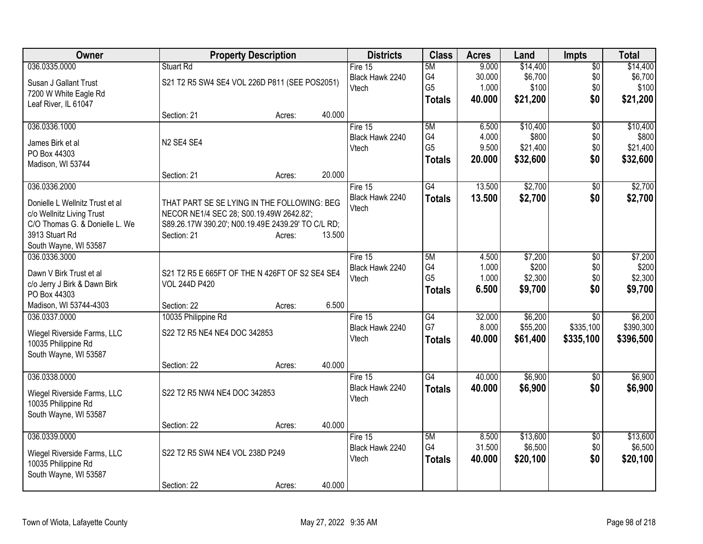| 036.0335.0000<br>\$14,400<br>Stuart Rd<br>5M<br>9.000<br>Fire $15$<br>$\overline{50}$<br>G4<br>\$6,700<br>\$0<br>30.000<br>Black Hawk 2240                    | \$14,400  |
|---------------------------------------------------------------------------------------------------------------------------------------------------------------|-----------|
|                                                                                                                                                               |           |
| S21 T2 R5 SW4 SE4 VOL 226D P811 (SEE POS2051)<br>Susan J Gallant Trust                                                                                        | \$6,700   |
| G <sub>5</sub><br>\$0<br>1.000<br>\$100<br>Vtech<br>7200 W White Eagle Rd                                                                                     | \$100     |
| 40.000<br>\$21,200<br>\$0<br><b>Totals</b><br>Leaf River, IL 61047                                                                                            | \$21,200  |
| 40.000<br>Section: 21<br>Acres:                                                                                                                               |           |
| 036.0336.1000<br>Fire 15<br>5M<br>\$10,400<br>6.500<br>\$0                                                                                                    | \$10,400  |
| G4<br>4.000<br>\$800<br>\$0<br>Black Hawk 2240<br>N <sub>2</sub> SE4 SE4<br>James Birk et al                                                                  | \$800     |
| G <sub>5</sub><br>\$0<br>9.500<br>\$21,400<br>Vtech<br>PO Box 44303                                                                                           | \$21,400  |
| \$0<br>20.000<br>\$32,600<br><b>Totals</b><br>Madison, WI 53744                                                                                               | \$32,600  |
| 20.000<br>Section: 21<br>Acres:                                                                                                                               |           |
| \$2,700<br>036.0336.2000<br>$\overline{G4}$<br>13.500<br>Fire 15<br>\$0                                                                                       | \$2,700   |
| Black Hawk 2240<br>13.500<br>\$2,700<br>\$0<br><b>Totals</b>                                                                                                  | \$2,700   |
| Donielle L Wellnitz Trust et al<br>THAT PART SE SE LYING IN THE FOLLOWING: BEG<br>Vtech                                                                       |           |
| c/o Wellnitz Living Trust<br>NECOR NE1/4 SEC 28; S00.19.49W 2642.82';<br>C/O Thomas G. & Donielle L. We<br>S89.26.17W 390.20'; N00.19.49E 2439.29' TO C/L RD; |           |
| 3913 Stuart Rd<br>Section: 21<br>13.500<br>Acres:                                                                                                             |           |
| South Wayne, WI 53587                                                                                                                                         |           |
| 036.0336.3000<br>\$7,200<br>5M<br>4.500<br>\$0<br>Fire 15                                                                                                     | \$7,200   |
| G4<br>1.000<br>\$200<br>\$0<br>Black Hawk 2240                                                                                                                | \$200     |
| Dawn V Birk Trust et al<br>S21 T2 R5 E 665FT OF THE N 426FT OF S2 SE4 SE4<br>G <sub>5</sub><br>1.000<br>\$2,300<br>\$0<br>Vtech                               | \$2,300   |
| c/o Jerry J Birk & Dawn Birk<br><b>VOL 244D P420</b><br>6.500<br>\$9,700<br>\$0<br><b>Totals</b>                                                              | \$9,700   |
| PO Box 44303                                                                                                                                                  |           |
| 6.500<br>Madison, WI 53744-4303<br>Section: 22<br>Acres:                                                                                                      |           |
| 036.0337.0000<br>10035 Philippine Rd<br>\$6,200<br>Fire $15$<br>$\overline{G4}$<br>32.000<br>\$0                                                              | \$6,200   |
| G7<br>8.000<br>\$55,200<br>\$335,100<br>Black Hawk 2240<br>S22 T2 R5 NE4 NE4 DOC 342853<br>Wiegel Riverside Farms, LLC                                        | \$390,300 |
| Vtech<br>40.000<br>\$61,400<br>\$335,100<br><b>Totals</b><br>10035 Philippine Rd                                                                              | \$396,500 |
| South Wayne, WI 53587                                                                                                                                         |           |
| 40.000<br>Section: 22<br>Acres:                                                                                                                               |           |
| 036.0338.0000<br>$\overline{G4}$<br>40.000<br>\$6,900<br>Fire 15<br>$\overline{50}$                                                                           | \$6,900   |
| Black Hawk 2240<br>\$6,900<br>\$0<br>40.000<br><b>Totals</b><br>S22 T2 R5 NW4 NE4 DOC 342853<br>Wiegel Riverside Farms, LLC                                   | \$6,900   |
| Vtech<br>10035 Philippine Rd                                                                                                                                  |           |
| South Wayne, WI 53587                                                                                                                                         |           |
| 40.000<br>Section: 22<br>Acres:                                                                                                                               |           |
| 036.0339.0000<br>Fire 15<br>5M<br>\$13,600<br>8.500<br>$\overline{50}$                                                                                        | \$13,600  |
| G <sub>4</sub><br>31.500<br>\$0<br>\$6,500<br>Black Hawk 2240<br>S22 T2 R5 SW4 NE4 VOL 238D P249<br>Wiegel Riverside Farms, LLC                               | \$6,500   |
| \$0<br>Vtech<br>40.000<br>\$20,100<br><b>Totals</b><br>10035 Philippine Rd                                                                                    | \$20,100  |
| South Wayne, WI 53587                                                                                                                                         |           |
| 40.000<br>Section: 22<br>Acres:                                                                                                                               |           |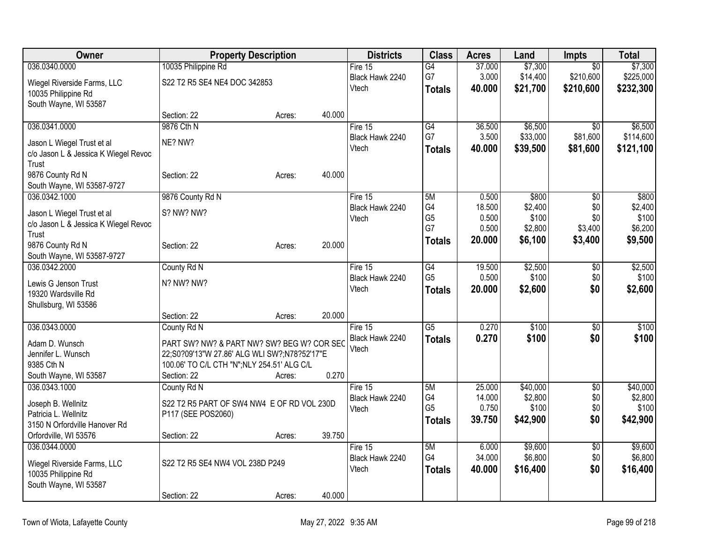| Owner                                | <b>Property Description</b>                  |        |        | <b>Districts</b> | <b>Class</b>    | <b>Acres</b> | Land     | <b>Impts</b>    | <b>Total</b> |
|--------------------------------------|----------------------------------------------|--------|--------|------------------|-----------------|--------------|----------|-----------------|--------------|
| 036.0340.0000                        | 10035 Philippine Rd                          |        |        | Fire 15          | G4              | 37.000       | \$7,300  | $\overline{50}$ | \$7,300      |
| Wiegel Riverside Farms, LLC          | S22 T2 R5 SE4 NE4 DOC 342853                 |        |        | Black Hawk 2240  | G7              | 3.000        | \$14,400 | \$210,600       | \$225,000    |
| 10035 Philippine Rd                  |                                              |        |        | Vtech            | <b>Totals</b>   | 40.000       | \$21,700 | \$210,600       | \$232,300    |
| South Wayne, WI 53587                |                                              |        |        |                  |                 |              |          |                 |              |
|                                      | Section: 22                                  | Acres: | 40.000 |                  |                 |              |          |                 |              |
| 036.0341.0000                        | 9876 Cth N                                   |        |        | Fire 15          | G4              | 36.500       | \$6,500  | $\overline{50}$ | \$6,500      |
| Jason L Wiegel Trust et al           | NE? NW?                                      |        |        | Black Hawk 2240  | G7              | 3.500        | \$33,000 | \$81,600        | \$114,600    |
| c/o Jason L & Jessica K Wiegel Revoc |                                              |        |        | Vtech            | <b>Totals</b>   | 40.000       | \$39,500 | \$81,600        | \$121,100    |
| Trust                                |                                              |        |        |                  |                 |              |          |                 |              |
| 9876 County Rd N                     | Section: 22                                  | Acres: | 40.000 |                  |                 |              |          |                 |              |
| South Wayne, WI 53587-9727           |                                              |        |        |                  |                 |              |          |                 |              |
| 036.0342.1000                        | 9876 County Rd N                             |        |        | Fire 15          | 5M              | 0.500        | \$800    | \$0             | \$800        |
| Jason L Wiegel Trust et al           | S? NW? NW?                                   |        |        | Black Hawk 2240  | G4              | 18.500       | \$2,400  | \$0             | \$2,400      |
| c/o Jason L & Jessica K Wiegel Revoc |                                              |        |        | Vtech            | G <sub>5</sub>  | 0.500        | \$100    | \$0             | \$100        |
| Trust                                |                                              |        |        |                  | G7              | 0.500        | \$2,800  | \$3,400         | \$6,200      |
| 9876 County Rd N                     | Section: 22                                  | Acres: | 20.000 |                  | <b>Totals</b>   | 20.000       | \$6,100  | \$3,400         | \$9,500      |
| South Wayne, WI 53587-9727           |                                              |        |        |                  |                 |              |          |                 |              |
| 036.0342.2000                        | County Rd N                                  |        |        | Fire 15          | G4              | 19.500       | \$2,500  | \$0             | \$2,500      |
| Lewis G Jenson Trust                 | N? NW? NW?                                   |        |        | Black Hawk 2240  | G <sub>5</sub>  | 0.500        | \$100    | \$0             | \$100        |
| 19320 Wardsville Rd                  |                                              |        |        | Vtech            | <b>Totals</b>   | 20.000       | \$2,600  | \$0             | \$2,600      |
| Shullsburg, WI 53586                 |                                              |        |        |                  |                 |              |          |                 |              |
|                                      | Section: 22                                  | Acres: | 20.000 |                  |                 |              |          |                 |              |
| 036.0343.0000                        | County Rd N                                  |        |        | Fire 15          | $\overline{G5}$ | 0.270        | \$100    | $\overline{50}$ | \$100        |
| Adam D. Wunsch                       | PART SW? NW? & PART NW? SW? BEG W? COR SEC   |        |        | Black Hawk 2240  | <b>Totals</b>   | 0.270        | \$100    | \$0             | \$100        |
| Jennifer L. Wunsch                   | 22;S0?09'13"W 27.86' ALG WLI SW?;N78?52'17"E |        |        | Vtech            |                 |              |          |                 |              |
| 9385 Cth N                           | 100.06' TO C/L CTH "N"; NLY 254.51' ALG C/L  |        |        |                  |                 |              |          |                 |              |
| South Wayne, WI 53587                | Section: 22                                  | Acres: | 0.270  |                  |                 |              |          |                 |              |
| 036.0343.1000                        | County Rd N                                  |        |        | Fire 15          | 5M              | 25.000       | \$40,000 | \$0             | \$40,000     |
| Joseph B. Wellnitz                   | S22 T2 R5 PART OF SW4 NW4 E OF RD VOL 230D   |        |        | Black Hawk 2240  | G4              | 14.000       | \$2,800  | \$0             | \$2,800      |
| Patricia L. Wellnitz                 | P117 (SEE POS2060)                           |        |        | Vtech            | G <sub>5</sub>  | 0.750        | \$100    | \$0             | \$100        |
| 3150 N Orfordville Hanover Rd        |                                              |        |        |                  | <b>Totals</b>   | 39.750       | \$42,900 | \$0             | \$42,900     |
| Orfordville, WI 53576                | Section: 22                                  | Acres: | 39.750 |                  |                 |              |          |                 |              |
| 036.0344.0000                        |                                              |        |        | Fire 15          | 5M              | 6.000        | \$9,600  | $\overline{50}$ | \$9,600      |
| Wiegel Riverside Farms, LLC          | S22 T2 R5 SE4 NW4 VOL 238D P249              |        |        | Black Hawk 2240  | G4              | 34.000       | \$6,800  | \$0             | \$6,800      |
| 10035 Philippine Rd                  |                                              |        |        | Vtech            | <b>Totals</b>   | 40.000       | \$16,400 | \$0             | \$16,400     |
| South Wayne, WI 53587                |                                              |        |        |                  |                 |              |          |                 |              |
|                                      | Section: 22                                  | Acres: | 40.000 |                  |                 |              |          |                 |              |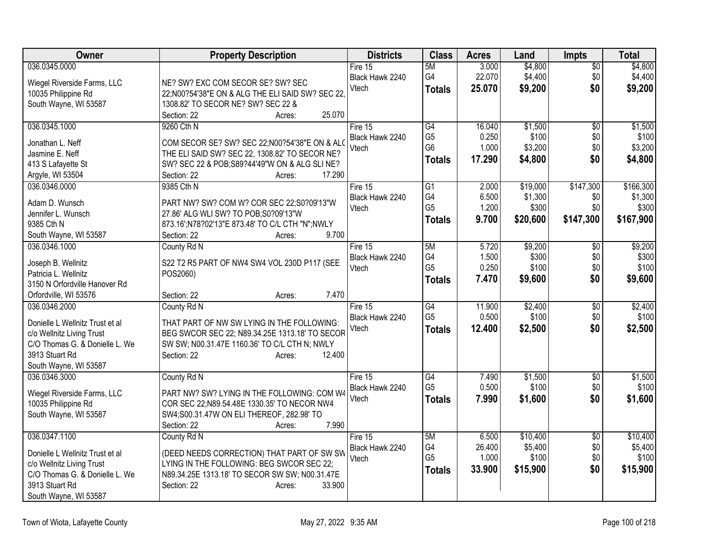| Owner                           | <b>Property Description</b>                      | <b>Districts</b> | <b>Class</b>    | <b>Acres</b> | Land     | Impts           | <b>Total</b> |
|---------------------------------|--------------------------------------------------|------------------|-----------------|--------------|----------|-----------------|--------------|
| 036.0345.0000                   |                                                  | Fire 15          | 5M              | 3.000        | \$4,800  | \$0             | \$4,800      |
| Wiegel Riverside Farms, LLC     | NE? SW? EXC COM SECOR SE? SW? SEC                | Black Hawk 2240  | G4              | 22.070       | \$4,400  | \$0             | \$4,400      |
| 10035 Philippine Rd             | 22;N00?54'38"E ON & ALG THE ELI SAID SW? SEC 22, | Vtech            | <b>Totals</b>   | 25.070       | \$9,200  | \$0             | \$9,200      |
| South Wayne, WI 53587           | 1308.82' TO SECOR NE? SW? SEC 22 &               |                  |                 |              |          |                 |              |
|                                 | 25.070<br>Section: 22<br>Acres:                  |                  |                 |              |          |                 |              |
| 036.0345.1000                   | 9260 Cth N                                       | Fire 15          | G4              | 16.040       | \$1,500  | $\overline{50}$ | \$1,500      |
|                                 |                                                  | Black Hawk 2240  | G <sub>5</sub>  | 0.250        | \$100    | \$0             | \$100        |
| Jonathan L. Neff                | COM SECOR SE? SW? SEC 22; N00?54'38"E ON & ALO   | Vtech            | G <sub>6</sub>  | 1.000        | \$3,200  | \$0             | \$3,200      |
| Jasmine E. Neff                 | THE ELI SAID SW? SEC 22, 1308.82' TO SECOR NE?   |                  | <b>Totals</b>   | 17.290       | \$4,800  | \$0             | \$4,800      |
| 413 S Lafayette St              | SW? SEC 22 & POB; S89?44'49"W ON & ALG SLINE?    |                  |                 |              |          |                 |              |
| Argyle, WI 53504                | 17.290<br>Section: 22<br>Acres:                  |                  |                 |              |          |                 |              |
| 036.0346.0000                   | 9385 Cth N                                       | Fire 15          | $\overline{G1}$ | 2.000        | \$19,000 | \$147,300       | \$166,300    |
| Adam D. Wunsch                  | PART NW? SW? COM W? COR SEC 22;S0?09'13"W        | Black Hawk 2240  | G4              | 6.500        | \$1,300  | \$0             | \$1,300      |
| Jennifer L. Wunsch              | 27.86' ALG WLI SW? TO POB;S0?09'13"W             | Vtech            | G <sub>5</sub>  | 1.200        | \$300    | \$0             | \$300        |
| 9385 Cth N                      | 873.16';N78?02'13"E 873.48' TO C/L CTH "N";NWLY  |                  | <b>Totals</b>   | 9.700        | \$20,600 | \$147,300       | \$167,900    |
| South Wayne, WI 53587           | 9.700<br>Section: 22<br>Acres:                   |                  |                 |              |          |                 |              |
| 036.0346.1000                   | County Rd N                                      | Fire 15          | 5M              | 5.720        | \$9,200  | \$0             | \$9,200      |
|                                 |                                                  | Black Hawk 2240  | G4              | 1.500        | \$300    | \$0             | \$300        |
| Joseph B. Wellnitz              | S22 T2 R5 PART OF NW4 SW4 VOL 230D P117 (SEE     | Vtech            | G <sub>5</sub>  | 0.250        | \$100    | \$0             | \$100        |
| Patricia L. Wellnitz            | POS2060)                                         |                  | <b>Totals</b>   | 7.470        | \$9,600  | \$0             | \$9,600      |
| 3150 N Orfordville Hanover Rd   |                                                  |                  |                 |              |          |                 |              |
| Orfordville, WI 53576           | 7.470<br>Section: 22<br>Acres:                   |                  |                 |              |          |                 |              |
| 036.0346.2000                   | County Rd N                                      | Fire 15          | $\overline{G4}$ | 11.900       | \$2,400  | \$0             | \$2,400      |
| Donielle L Wellnitz Trust et al | THAT PART OF NW SW LYING IN THE FOLLOWING:       | Black Hawk 2240  | G <sub>5</sub>  | 0.500        | \$100    | \$0             | \$100        |
| c/o Wellnitz Living Trust       | BEG SWCOR SEC 22; N89.34.25E 1313.18' TO SECOR   | Vtech            | <b>Totals</b>   | 12.400       | \$2,500  | \$0             | \$2,500      |
| C/O Thomas G. & Donielle L. We  | SW SW; N00.31.47E 1160.36' TO C/L CTH N; NWLY    |                  |                 |              |          |                 |              |
| 3913 Stuart Rd                  | Section: 22<br>12.400<br>Acres:                  |                  |                 |              |          |                 |              |
| South Wayne, WI 53587           |                                                  |                  |                 |              |          |                 |              |
| 036.0346.3000                   | County Rd N                                      | Fire 15          | G4              | 7.490        | \$1,500  | $\sqrt{6}$      | \$1,500      |
|                                 |                                                  | Black Hawk 2240  | G <sub>5</sub>  | 0.500        | \$100    | \$0             | \$100        |
| Wiegel Riverside Farms, LLC     | PART NW? SW? LYING IN THE FOLLOWING: COM W4      | Vtech            | <b>Totals</b>   | 7.990        | \$1,600  | \$0             | \$1,600      |
| 10035 Philippine Rd             | COR SEC 22;N89.54.48E 1330.35' TO NECOR NW4      |                  |                 |              |          |                 |              |
| South Wayne, WI 53587           | SW4;S00.31.47W ON ELI THEREOF, 282.98' TO        |                  |                 |              |          |                 |              |
|                                 | 7.990<br>Section: 22<br>Acres:                   |                  |                 |              |          |                 |              |
| 036.0347.1100                   | County Rd N                                      | Fire 15          | 5M              | 6.500        | \$10,400 | $\overline{50}$ | \$10,400     |
| Donielle L Wellnitz Trust et al | (DEED NEEDS CORRECTION) THAT PART OF SW SW       | Black Hawk 2240  | G4              | 26.400       | \$5,400  | \$0             | \$5,400      |
| c/o Wellnitz Living Trust       | LYING IN THE FOLLOWING: BEG SWCOR SEC 22;        | Vtech            | G <sub>5</sub>  | 1.000        | \$100    | \$0             | \$100        |
| C/O Thomas G. & Donielle L. We  | N89.34.25E 1313.18' TO SECOR SW SW; N00.31.47E   |                  | <b>Totals</b>   | 33.900       | \$15,900 | \$0             | \$15,900     |
| 3913 Stuart Rd                  | 33.900<br>Section: 22<br>Acres:                  |                  |                 |              |          |                 |              |
| South Wayne, WI 53587           |                                                  |                  |                 |              |          |                 |              |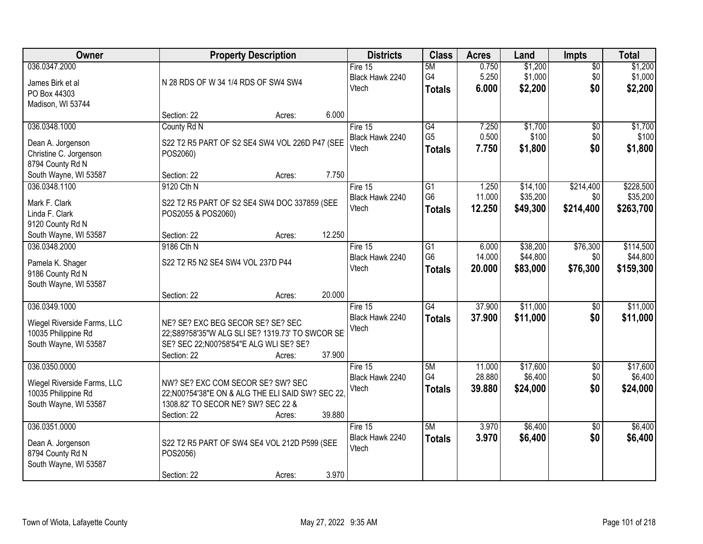| Owner                                                                                        |                                                                                                                                               | <b>Property Description</b> |        | <b>Districts</b>                      | <b>Class</b>                          | <b>Acres</b>               | Land                             | Impts                         | <b>Total</b>                       |
|----------------------------------------------------------------------------------------------|-----------------------------------------------------------------------------------------------------------------------------------------------|-----------------------------|--------|---------------------------------------|---------------------------------------|----------------------------|----------------------------------|-------------------------------|------------------------------------|
| 036.0347.2000<br>James Birk et al<br>PO Box 44303<br>Madison, WI 53744                       | N 28 RDS OF W 34 1/4 RDS OF SW4 SW4                                                                                                           |                             |        | Fire 15<br>Black Hawk 2240<br>Vtech   | 5M<br>G <sub>4</sub><br><b>Totals</b> | 0.750<br>5.250<br>6.000    | \$1,200<br>\$1,000<br>\$2,200    | $\overline{50}$<br>\$0<br>\$0 | \$1,200<br>\$1,000<br>\$2,200      |
|                                                                                              | Section: 22                                                                                                                                   | Acres:                      | 6.000  |                                       |                                       |                            |                                  |                               |                                    |
| 036.0348.1000<br>Dean A. Jorgenson<br>Christine C. Jorgenson                                 | County Rd N<br>S22 T2 R5 PART OF S2 SE4 SW4 VOL 226D P47 (SEE<br>POS2060)                                                                     |                             |        | Fire 15<br>Black Hawk 2240<br>Vtech   | G4<br>G <sub>5</sub><br><b>Totals</b> | 7.250<br>0.500<br>7.750    | \$1,700<br>\$100<br>\$1,800      | $\overline{50}$<br>\$0<br>\$0 | \$1,700<br>\$100<br>\$1,800        |
| 8794 County Rd N<br>South Wayne, WI 53587<br>036.0348.1100                                   | Section: 22<br>9120 Cth N                                                                                                                     | Acres:                      | 7.750  | Fire 15                               | G1                                    | 1.250                      | \$14,100                         | \$214,400                     | \$228,500                          |
| Mark F. Clark<br>Linda F. Clark<br>9120 County Rd N                                          | S22 T2 R5 PART OF S2 SE4 SW4 DOC 337859 (SEE<br>POS2055 & POS2060)                                                                            |                             |        | Black Hawk 2240<br>Vtech              | G <sub>6</sub><br><b>Totals</b>       | 11.000<br>12.250           | \$35,200<br>\$49,300             | \$0<br>\$214,400              | \$35,200<br>\$263,700              |
| South Wayne, WI 53587                                                                        | Section: 22                                                                                                                                   | Acres:                      | 12.250 |                                       |                                       |                            |                                  |                               |                                    |
| 036.0348.2000<br>Pamela K. Shager<br>9186 County Rd N<br>South Wayne, WI 53587               | 9186 Cth N<br>S22 T2 R5 N2 SE4 SW4 VOL 237D P44                                                                                               |                             |        | Fire 15<br>Black Hawk 2240<br>Vtech   | G1<br>G <sub>6</sub><br><b>Totals</b> | 6.000<br>14.000<br>20.000  | \$38,200<br>\$44,800<br>\$83,000 | \$76,300<br>\$0<br>\$76,300   | \$114,500<br>\$44,800<br>\$159,300 |
|                                                                                              | Section: 22                                                                                                                                   | Acres:                      | 20.000 |                                       |                                       |                            |                                  |                               |                                    |
| 036.0349.1000<br>Wiegel Riverside Farms, LLC<br>10035 Philippine Rd<br>South Wayne, WI 53587 | NE? SE? EXC BEG SECOR SE? SE? SEC<br>22;S89?58'35"W ALG SLI SE? 1319.73' TO SWCOR SE<br>SE? SEC 22;N00?58'54"E ALG WLI SE? SE?<br>Section: 22 | Acres:                      | 37.900 | Fire $15$<br>Black Hawk 2240<br>Vtech | G4<br><b>Totals</b>                   | 37.900<br>37.900           | \$11,000<br>\$11,000             | $\overline{50}$<br>\$0        | \$11,000<br>\$11,000               |
| 036.0350.0000<br>Wiegel Riverside Farms, LLC<br>10035 Philippine Rd<br>South Wayne, WI 53587 | NW? SE? EXC COM SECOR SE? SW? SEC<br>22;N00?54'38"E ON & ALG THE ELI SAID SW? SEC 22.<br>1308.82' TO SECOR NE? SW? SEC 22 &<br>Section: 22    | Acres:                      | 39.880 | Fire 15<br>Black Hawk 2240<br>Vtech   | 5M<br>G4<br><b>Totals</b>             | 11.000<br>28.880<br>39,880 | \$17,600<br>\$6,400<br>\$24,000  | $\overline{50}$<br>\$0<br>\$0 | \$17,600<br>\$6,400<br>\$24,000    |
| 036.0351.0000<br>Dean A. Jorgenson<br>8794 County Rd N<br>South Wayne, WI 53587              | S22 T2 R5 PART OF SW4 SE4 VOL 212D P599 (SEE<br>POS2056)<br>Section: 22                                                                       | Acres:                      | 3.970  | Fire 15<br>Black Hawk 2240<br>Vtech   | 5M<br><b>Totals</b>                   | 3.970<br>3.970             | \$6,400<br>\$6,400               | $\overline{50}$<br>\$0        | \$6,400<br>\$6,400                 |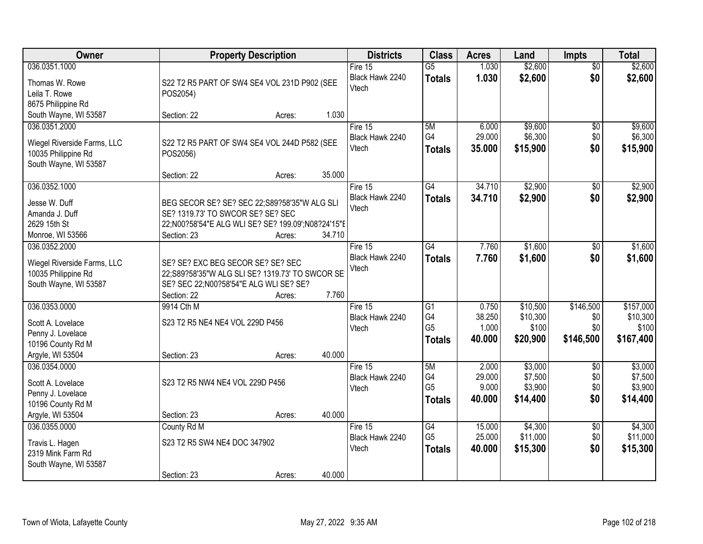| Owner                                | <b>Property Description</b>                        | <b>Districts</b> | <b>Class</b>             | <b>Acres</b>    | Land   | <b>Impts</b> | <b>Total</b>    |           |
|--------------------------------------|----------------------------------------------------|------------------|--------------------------|-----------------|--------|--------------|-----------------|-----------|
| 036.0351.1000                        |                                                    |                  | Fire 15                  | $\overline{G5}$ | 1.030  | \$2,600      | $\overline{50}$ | \$2,600   |
| Thomas W. Rowe                       | S22 T2 R5 PART OF SW4 SE4 VOL 231D P902 (SEE       |                  | Black Hawk 2240          | <b>Totals</b>   | 1.030  | \$2,600      | \$0             | \$2,600   |
| Leila T. Rowe                        | POS2054)                                           |                  | Vtech                    |                 |        |              |                 |           |
| 8675 Philippine Rd                   |                                                    |                  |                          |                 |        |              |                 |           |
| South Wayne, WI 53587                | Section: 22<br>Acres:                              | 1.030            |                          |                 |        |              |                 |           |
| 036.0351.2000                        |                                                    |                  | Fire $15$                | 5M              | 6.000  | \$9,600      | $\overline{50}$ | \$9,600   |
|                                      |                                                    |                  | Black Hawk 2240          | G4              | 29.000 | \$6,300      | \$0             | \$6,300   |
| Wiegel Riverside Farms, LLC          | S22 T2 R5 PART OF SW4 SE4 VOL 244D P582 (SEE       |                  | Vtech                    | <b>Totals</b>   | 35.000 | \$15,900     | \$0             | \$15,900  |
| 10035 Philippine Rd                  | POS2056)                                           |                  |                          |                 |        |              |                 |           |
| South Wayne, WI 53587                |                                                    | 35.000           |                          |                 |        |              |                 |           |
|                                      | Section: 22<br>Acres:                              |                  |                          |                 |        |              |                 |           |
| 036.0352.1000                        |                                                    |                  | Fire 15                  | G4              | 34.710 | \$2,900      | $\sqrt{6}$      | \$2,900   |
| Jesse W. Duff                        | BEG SECOR SE? SE? SEC 22;S89?58'35"W ALG SLI       |                  | Black Hawk 2240<br>Vtech | <b>Totals</b>   | 34.710 | \$2,900      | \$0             | \$2,900   |
| Amanda J. Duff                       | SE? 1319.73' TO SWCOR SE? SE? SEC                  |                  |                          |                 |        |              |                 |           |
| 2629 15th St                         | 22;N00?58'54"E ALG WLI SE? SE? 199.09';N08?24'15"E |                  |                          |                 |        |              |                 |           |
| Monroe, WI 53566                     | Section: 23<br>Acres:                              | 34.710           |                          |                 |        |              |                 |           |
| 036.0352.2000                        |                                                    |                  | Fire 15                  | G4              | 7.760  | \$1,600      | \$0             | \$1,600   |
| Wiegel Riverside Farms, LLC          | SE? SE? EXC BEG SECOR SE? SE? SEC                  |                  | Black Hawk 2240          | <b>Totals</b>   | 7.760  | \$1,600      | \$0             | \$1,600   |
| 10035 Philippine Rd                  | 22;S89?58'35"W ALG SLI SE? 1319.73' TO SWCOR SE    |                  | Vtech                    |                 |        |              |                 |           |
| South Wayne, WI 53587                | SE? SEC 22;N00?58'54"E ALG WLI SE? SE?             |                  |                          |                 |        |              |                 |           |
|                                      | Section: 22<br>Acres:                              | 7.760            |                          |                 |        |              |                 |           |
| 036.0353.0000                        | 9914 Cth M                                         |                  | Fire 15                  | $\overline{G1}$ | 0.750  | \$10,500     | \$146,500       | \$157,000 |
|                                      |                                                    |                  | Black Hawk 2240          | G4              | 38.250 | \$10,300     | \$0             | \$10,300  |
| Scott A. Lovelace                    | S23 T2 R5 NE4 NE4 VOL 229D P456                    |                  | Vtech                    | G <sub>5</sub>  | 1.000  | \$100        | \$0             | \$100     |
| Penny J. Lovelace                    |                                                    |                  |                          | <b>Totals</b>   | 40.000 | \$20,900     | \$146,500       | \$167,400 |
| 10196 County Rd M                    |                                                    |                  |                          |                 |        |              |                 |           |
| Argyle, WI 53504                     | Section: 23<br>Acres:                              | 40.000           |                          |                 |        |              |                 |           |
| 036.0354.0000                        |                                                    |                  | Fire 15                  | 5M              | 2.000  | \$3,000      | $\overline{30}$ | \$3,000   |
| Scott A. Lovelace                    | S23 T2 R5 NW4 NE4 VOL 229D P456                    |                  | Black Hawk 2240          | G4              | 29.000 | \$7,500      | \$0             | \$7,500   |
| Penny J. Lovelace                    |                                                    |                  | Vtech                    | G <sub>5</sub>  | 9.000  | \$3,900      | \$0             | \$3,900   |
| 10196 County Rd M                    |                                                    |                  |                          | <b>Totals</b>   | 40.000 | \$14,400     | \$0             | \$14,400  |
| Argyle, WI 53504                     | Section: 23<br>Acres:                              | 40.000           |                          |                 |        |              |                 |           |
| 036.0355.0000                        | County Rd M                                        |                  | Fire $15$                | G4              | 15.000 | \$4,300      | $\overline{50}$ | \$4,300   |
|                                      | S23 T2 R5 SW4 NE4 DOC 347902                       |                  | Black Hawk 2240          | G <sub>5</sub>  | 25.000 | \$11,000     | \$0             | \$11,000  |
| Travis L. Hagen<br>2319 Mink Farm Rd |                                                    |                  | Vtech                    | <b>Totals</b>   | 40.000 | \$15,300     | \$0             | \$15,300  |
| South Wayne, WI 53587                |                                                    |                  |                          |                 |        |              |                 |           |
|                                      | Section: 23<br>Acres:                              | 40.000           |                          |                 |        |              |                 |           |
|                                      |                                                    |                  |                          |                 |        |              |                 |           |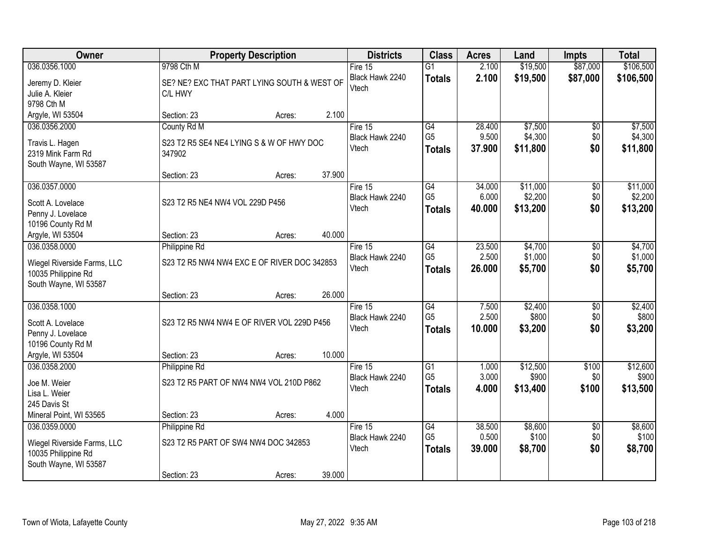| Owner                                              | <b>Property Description</b>                 |        | <b>Districts</b> | <b>Class</b>                 | <b>Acres</b>         | Land   | <b>Impts</b>     | <b>Total</b>           |                  |
|----------------------------------------------------|---------------------------------------------|--------|------------------|------------------------------|----------------------|--------|------------------|------------------------|------------------|
| 036.0356.1000                                      | 9798 Cth M                                  |        |                  | Fire $15$                    | $\overline{G1}$      | 2.100  | \$19,500         | \$87,000               | \$106,500        |
| Jeremy D. Kleier                                   | SE? NE? EXC THAT PART LYING SOUTH & WEST OF |        |                  | Black Hawk 2240              | <b>Totals</b>        | 2.100  | \$19,500         | \$87,000               | \$106,500        |
| Julie A. Kleier                                    | C/L HWY                                     |        |                  | Vtech                        |                      |        |                  |                        |                  |
| 9798 Cth M                                         |                                             |        |                  |                              |                      |        |                  |                        |                  |
| Argyle, WI 53504                                   | Section: 23                                 | Acres: | 2.100            |                              |                      |        |                  |                        |                  |
| 036.0356.2000                                      | County Rd M                                 |        |                  | Fire 15                      | G4                   | 28.400 | \$7,500          | $\overline{50}$        | \$7,500          |
| Travis L. Hagen                                    | S23 T2 R5 SE4 NE4 LYING S & W OF HWY DOC    |        |                  | Black Hawk 2240              | G <sub>5</sub>       | 9.500  | \$4,300          | \$0                    | \$4,300          |
| 2319 Mink Farm Rd                                  | 347902                                      |        |                  | Vtech                        | <b>Totals</b>        | 37.900 | \$11,800         | \$0                    | \$11,800         |
| South Wayne, WI 53587                              |                                             |        |                  |                              |                      |        |                  |                        |                  |
|                                                    | Section: 23                                 | Acres: | 37.900           |                              |                      |        |                  |                        |                  |
| 036.0357.0000                                      |                                             |        |                  | Fire 15                      | G4                   | 34.000 | \$11,000         | \$0                    | \$11,000         |
| Scott A. Lovelace                                  | S23 T2 R5 NE4 NW4 VOL 229D P456             |        |                  | Black Hawk 2240              | G <sub>5</sub>       | 6.000  | \$2,200          | \$0                    | \$2,200          |
| Penny J. Lovelace                                  |                                             |        |                  | Vtech                        | <b>Totals</b>        | 40.000 | \$13,200         | \$0                    | \$13,200         |
| 10196 County Rd M                                  |                                             |        |                  |                              |                      |        |                  |                        |                  |
| Argyle, WI 53504                                   | Section: 23                                 | Acres: | 40.000           |                              |                      |        |                  |                        |                  |
| 036.0358.0000                                      | Philippine Rd                               |        |                  | Fire 15                      | G4                   | 23.500 | \$4,700          | \$0                    | \$4,700          |
|                                                    |                                             |        |                  | Black Hawk 2240              | G <sub>5</sub>       | 2.500  | \$1,000          | \$0                    | \$1,000          |
| Wiegel Riverside Farms, LLC<br>10035 Philippine Rd | S23 T2 R5 NW4 NW4 EXC E OF RIVER DOC 342853 |        |                  | Vtech                        | <b>Totals</b>        | 26.000 | \$5,700          | \$0                    | \$5,700          |
| South Wayne, WI 53587                              |                                             |        |                  |                              |                      |        |                  |                        |                  |
|                                                    | Section: 23                                 | Acres: | 26.000           |                              |                      |        |                  |                        |                  |
| 036.0358.1000                                      |                                             |        |                  | Fire 15                      | $\overline{G4}$      | 7.500  | \$2,400          | $\overline{50}$        | \$2,400          |
|                                                    |                                             |        |                  | Black Hawk 2240              | G <sub>5</sub>       | 2.500  | \$800            | \$0                    | \$800            |
| Scott A. Lovelace                                  | S23 T2 R5 NW4 NW4 E OF RIVER VOL 229D P456  |        |                  | Vtech                        | <b>Totals</b>        | 10.000 | \$3,200          | \$0                    | \$3,200          |
| Penny J. Lovelace<br>10196 County Rd M             |                                             |        |                  |                              |                      |        |                  |                        |                  |
| Argyle, WI 53504                                   | Section: 23                                 | Acres: | 10.000           |                              |                      |        |                  |                        |                  |
| 036.0358.2000                                      | Philippine Rd                               |        |                  | Fire 15                      | G1                   | 1.000  | \$12,500         | \$100                  | \$12,600         |
|                                                    |                                             |        |                  | Black Hawk 2240              | G <sub>5</sub>       | 3.000  | \$900            | \$0                    | \$900            |
| Joe M. Weier                                       | S23 T2 R5 PART OF NW4 NW4 VOL 210D P862     |        |                  | Vtech                        | <b>Totals</b>        | 4.000  | \$13,400         | \$100                  | \$13,500         |
| Lisa L. Weier                                      |                                             |        |                  |                              |                      |        |                  |                        |                  |
| 245 Davis St                                       |                                             |        | 4.000            |                              |                      |        |                  |                        |                  |
| Mineral Point, WI 53565<br>036.0359.0000           | Section: 23                                 | Acres: |                  |                              |                      | 38.500 |                  |                        |                  |
|                                                    | Philippine Rd                               |        |                  | Fire $15$<br>Black Hawk 2240 | G4<br>G <sub>5</sub> | 0.500  | \$8,600<br>\$100 | $\overline{50}$<br>\$0 | \$8,600<br>\$100 |
| Wiegel Riverside Farms, LLC                        | S23 T2 R5 PART OF SW4 NW4 DOC 342853        |        |                  | Vtech                        | <b>Totals</b>        | 39.000 | \$8,700          | \$0                    | \$8,700          |
| 10035 Philippine Rd                                |                                             |        |                  |                              |                      |        |                  |                        |                  |
| South Wayne, WI 53587                              |                                             |        |                  |                              |                      |        |                  |                        |                  |
|                                                    | Section: 23                                 | Acres: | 39.000           |                              |                      |        |                  |                        |                  |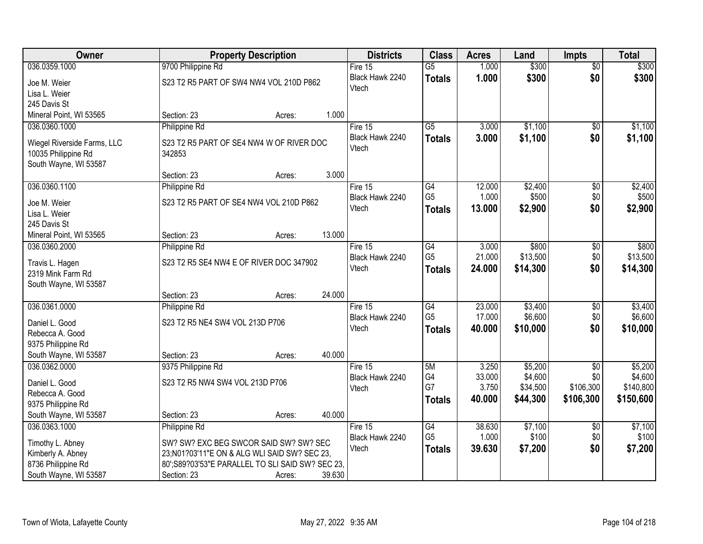| Owner                                       |                                                    | <b>Property Description</b> |        | <b>Districts</b> | <b>Class</b>    | <b>Acres</b> | Land     | <b>Impts</b>    | <b>Total</b> |
|---------------------------------------------|----------------------------------------------------|-----------------------------|--------|------------------|-----------------|--------------|----------|-----------------|--------------|
| 036.0359.1000                               | 9700 Philippine Rd                                 |                             |        | Fire $15$        | $\overline{G5}$ | 1.000        | \$300    | $\overline{60}$ | \$300        |
| Joe M. Weier                                | S23 T2 R5 PART OF SW4 NW4 VOL 210D P862            |                             |        | Black Hawk 2240  | <b>Totals</b>   | 1.000        | \$300    | \$0             | \$300        |
| Lisa L. Weier                               |                                                    |                             |        | Vtech            |                 |              |          |                 |              |
| 245 Davis St                                |                                                    |                             |        |                  |                 |              |          |                 |              |
| Mineral Point, WI 53565                     | Section: 23                                        | Acres:                      | 1.000  |                  |                 |              |          |                 |              |
| 036.0360.1000                               | Philippine Rd                                      |                             |        | Fire 15          | $\overline{G5}$ | 3.000        | \$1,100  | \$0             | \$1,100      |
| Wiegel Riverside Farms, LLC                 | S23 T2 R5 PART OF SE4 NW4 W OF RIVER DOC           |                             |        | Black Hawk 2240  | <b>Totals</b>   | 3.000        | \$1,100  | \$0             | \$1,100      |
| 10035 Philippine Rd                         | 342853                                             |                             |        | Vtech            |                 |              |          |                 |              |
| South Wayne, WI 53587                       |                                                    |                             |        |                  |                 |              |          |                 |              |
|                                             | Section: 23                                        | Acres:                      | 3.000  |                  |                 |              |          |                 |              |
| 036.0360.1100                               | Philippine Rd                                      |                             |        | Fire 15          | G4              | 12.000       | \$2,400  | $\overline{50}$ | \$2,400      |
| Joe M. Weier                                | S23 T2 R5 PART OF SE4 NW4 VOL 210D P862            |                             |        | Black Hawk 2240  | G <sub>5</sub>  | 1.000        | \$500    | \$0             | \$500        |
| Lisa L. Weier                               |                                                    |                             |        | Vtech            | <b>Totals</b>   | 13.000       | \$2,900  | \$0             | \$2,900      |
| 245 Davis St                                |                                                    |                             |        |                  |                 |              |          |                 |              |
| Mineral Point, WI 53565                     | Section: 23                                        | Acres:                      | 13.000 |                  |                 |              |          |                 |              |
| 036.0360.2000                               | Philippine Rd                                      |                             |        | Fire 15          | G4              | 3.000        | \$800    | \$0             | \$800        |
|                                             |                                                    |                             |        | Black Hawk 2240  | G <sub>5</sub>  | 21.000       | \$13,500 | \$0             | \$13,500     |
| Travis L. Hagen<br>2319 Mink Farm Rd        | S23 T2 R5 SE4 NW4 E OF RIVER DOC 347902            |                             |        | Vtech            | <b>Totals</b>   | 24.000       | \$14,300 | \$0             | \$14,300     |
| South Wayne, WI 53587                       |                                                    |                             |        |                  |                 |              |          |                 |              |
|                                             | Section: 23                                        | Acres:                      | 24.000 |                  |                 |              |          |                 |              |
| 036.0361.0000                               | Philippine Rd                                      |                             |        | Fire 15          | G4              | 23.000       | \$3,400  | \$0             | \$3,400      |
|                                             |                                                    |                             |        | Black Hawk 2240  | G <sub>5</sub>  | 17.000       | \$6,600  | \$0             | \$6,600      |
| Daniel L. Good                              | S23 T2 R5 NE4 SW4 VOL 213D P706                    |                             |        | Vtech            | <b>Totals</b>   | 40.000       | \$10,000 | \$0             | \$10,000     |
| Rebecca A. Good<br>9375 Philippine Rd       |                                                    |                             |        |                  |                 |              |          |                 |              |
| South Wayne, WI 53587                       | Section: 23                                        | Acres:                      | 40.000 |                  |                 |              |          |                 |              |
| 036.0362.0000                               | 9375 Philippine Rd                                 |                             |        | Fire $15$        | 5M              | 3.250        | \$5,200  | $\overline{50}$ | \$5,200      |
|                                             |                                                    |                             |        | Black Hawk 2240  | G4              | 33.000       | \$4,600  | \$0             | \$4,600      |
| Daniel L. Good                              | S23 T2 R5 NW4 SW4 VOL 213D P706                    |                             |        | Vtech            | G7              | 3.750        | \$34,500 | \$106,300       | \$140,800    |
| Rebecca A. Good                             |                                                    |                             |        |                  | <b>Totals</b>   | 40.000       | \$44,300 | \$106,300       | \$150,600    |
| 9375 Philippine Rd<br>South Wayne, WI 53587 | Section: 23                                        |                             | 40.000 |                  |                 |              |          |                 |              |
| 036.0363.1000                               | Philippine Rd                                      | Acres:                      |        | Fire 15          | G4              | 38.630       | \$7,100  | $\overline{60}$ | \$7,100      |
|                                             |                                                    |                             |        | Black Hawk 2240  | G <sub>5</sub>  | 1.000        | \$100    | \$0             | \$100        |
| Timothy L. Abney                            | SW? SW? EXC BEG SWCOR SAID SW? SW? SEC             |                             |        | Vtech            | <b>Totals</b>   | 39.630       | \$7,200  | \$0             | \$7,200      |
| Kimberly A. Abney                           | 23;N01?03'11"E ON & ALG WLI SAID SW? SEC 23,       |                             |        |                  |                 |              |          |                 |              |
| 8736 Philippine Rd                          | 80'; S89?03'53" E PARALLEL TO SLI SAID SW? SEC 23, |                             |        |                  |                 |              |          |                 |              |
| South Wayne, WI 53587                       | Section: 23                                        | Acres:                      | 39.630 |                  |                 |              |          |                 |              |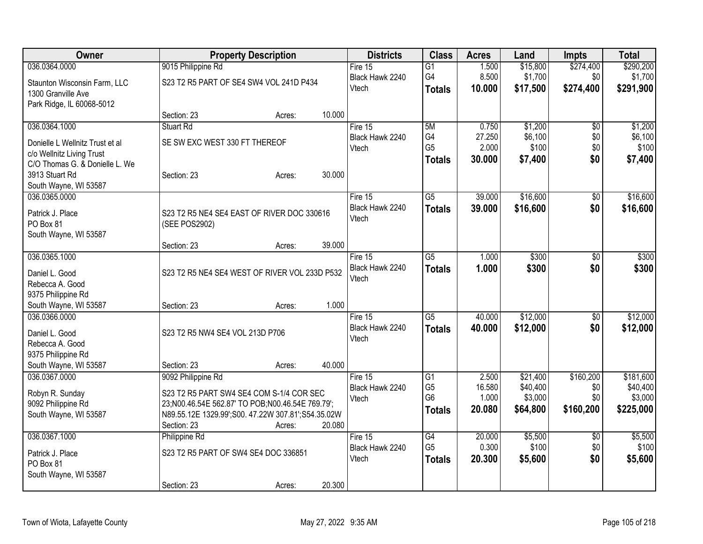| Owner                                       | <b>Property Description</b>                                 |        |        | <b>Districts</b> | <b>Class</b>                     | <b>Acres</b>    | Land                | <b>Impts</b>    | <b>Total</b>        |
|---------------------------------------------|-------------------------------------------------------------|--------|--------|------------------|----------------------------------|-----------------|---------------------|-----------------|---------------------|
| 036.0364.0000                               | 9015 Philippine Rd                                          |        |        | Fire $15$        | $\overline{G1}$                  | 1.500           | \$15,800            | \$274,400       | \$290,200           |
| Staunton Wisconsin Farm, LLC                | S23 T2 R5 PART OF SE4 SW4 VOL 241D P434                     |        |        | Black Hawk 2240  | G4                               | 8.500           | \$1,700             | \$0             | \$1,700             |
| 1300 Granville Ave                          |                                                             |        |        | Vtech            | <b>Totals</b>                    | 10.000          | \$17,500            | \$274,400       | \$291,900           |
| Park Ridge, IL 60068-5012                   |                                                             |        |        |                  |                                  |                 |                     |                 |                     |
|                                             | Section: 23                                                 | Acres: | 10.000 |                  |                                  |                 |                     |                 |                     |
| 036.0364.1000                               | <b>Stuart Rd</b>                                            |        |        | Fire 15          | 5M                               | 0.750           | \$1,200             | \$0             | \$1,200             |
| Donielle L Wellnitz Trust et al             | SE SW EXC WEST 330 FT THEREOF                               |        |        | Black Hawk 2240  | G4                               | 27.250          | \$6,100             | \$0             | \$6,100             |
| c/o Wellnitz Living Trust                   |                                                             |        |        | Vtech            | G <sub>5</sub>                   | 2.000           | \$100               | \$0             | \$100               |
| C/O Thomas G. & Donielle L. We              |                                                             |        |        |                  | <b>Totals</b>                    | 30.000          | \$7,400             | \$0             | \$7,400             |
| 3913 Stuart Rd                              | Section: 23                                                 | Acres: | 30.000 |                  |                                  |                 |                     |                 |                     |
| South Wayne, WI 53587                       |                                                             |        |        |                  |                                  |                 |                     |                 |                     |
| 036.0365.0000                               |                                                             |        |        | Fire 15          | $\overline{G5}$                  | 39.000          | \$16,600            | \$0             | \$16,600            |
|                                             |                                                             |        |        | Black Hawk 2240  | <b>Totals</b>                    | 39.000          | \$16,600            | \$0             | \$16,600            |
| Patrick J. Place<br>PO Box 81               | S23 T2 R5 NE4 SE4 EAST OF RIVER DOC 330616<br>(SEE POS2902) |        |        | Vtech            |                                  |                 |                     |                 |                     |
| South Wayne, WI 53587                       |                                                             |        |        |                  |                                  |                 |                     |                 |                     |
|                                             | Section: 23                                                 | Acres: | 39.000 |                  |                                  |                 |                     |                 |                     |
| 036.0365.1000                               |                                                             |        |        | Fire 15          | $\overline{G5}$                  | 1.000           | \$300               | \$0             | \$300               |
|                                             |                                                             |        |        | Black Hawk 2240  | <b>Totals</b>                    | 1.000           | \$300               | \$0             | \$300               |
| Daniel L. Good                              | S23 T2 R5 NE4 SE4 WEST OF RIVER VOL 233D P532               |        |        | Vtech            |                                  |                 |                     |                 |                     |
| Rebecca A. Good                             |                                                             |        |        |                  |                                  |                 |                     |                 |                     |
| 9375 Philippine Rd<br>South Wayne, WI 53587 | Section: 23                                                 |        | 1.000  |                  |                                  |                 |                     |                 |                     |
| 036.0366.0000                               |                                                             | Acres: |        | Fire 15          | $\overline{G5}$                  | 40.000          | \$12,000            | \$0             | \$12,000            |
|                                             |                                                             |        |        | Black Hawk 2240  |                                  | 40.000          | \$12,000            | \$0             | \$12,000            |
| Daniel L. Good                              | S23 T2 R5 NW4 SE4 VOL 213D P706                             |        |        | Vtech            | <b>Totals</b>                    |                 |                     |                 |                     |
| Rebecca A. Good                             |                                                             |        |        |                  |                                  |                 |                     |                 |                     |
| 9375 Philippine Rd                          |                                                             |        |        |                  |                                  |                 |                     |                 |                     |
| South Wayne, WI 53587                       | Section: 23                                                 | Acres: | 40.000 |                  |                                  |                 |                     |                 |                     |
| 036.0367.0000                               | 9092 Philippine Rd                                          |        |        | Fire 15          | $\overline{G1}$                  | 2.500           | \$21,400            | \$160,200       | \$181,600           |
| Robyn R. Sunday                             | S23 T2 R5 PART SW4 SE4 COM S-1/4 COR SEC                    |        |        | Black Hawk 2240  | G <sub>5</sub><br>G <sub>6</sub> | 16.580<br>1.000 | \$40,400<br>\$3,000 | \$0<br>\$0      | \$40,400<br>\$3,000 |
| 9092 Philippine Rd                          | 23;N00.46.54E 562.87' TO POB;N00.46.54E 769.79';            |        |        | Vtech            |                                  | 20.080          | \$64,800            | \$160,200       | \$225,000           |
| South Wayne, WI 53587                       | N89.55.12E 1329.99';S00.47.22W 307.81';S54.35.02W           |        |        |                  | <b>Totals</b>                    |                 |                     |                 |                     |
|                                             | Section: 23                                                 | Acres: | 20.080 |                  |                                  |                 |                     |                 |                     |
| 036.0367.1000                               | Philippine Rd                                               |        |        | Fire 15          | G4                               | 20.000          | \$5,500             | $\overline{50}$ | \$5,500             |
| Patrick J. Place                            | S23 T2 R5 PART OF SW4 SE4 DOC 336851                        |        |        | Black Hawk 2240  | G <sub>5</sub>                   | 0.300           | \$100               | \$0             | \$100               |
| PO Box 81                                   |                                                             |        |        | Vtech            | <b>Totals</b>                    | 20.300          | \$5,600             | \$0             | \$5,600             |
| South Wayne, WI 53587                       |                                                             |        |        |                  |                                  |                 |                     |                 |                     |
|                                             | Section: 23                                                 | Acres: | 20.300 |                  |                                  |                 |                     |                 |                     |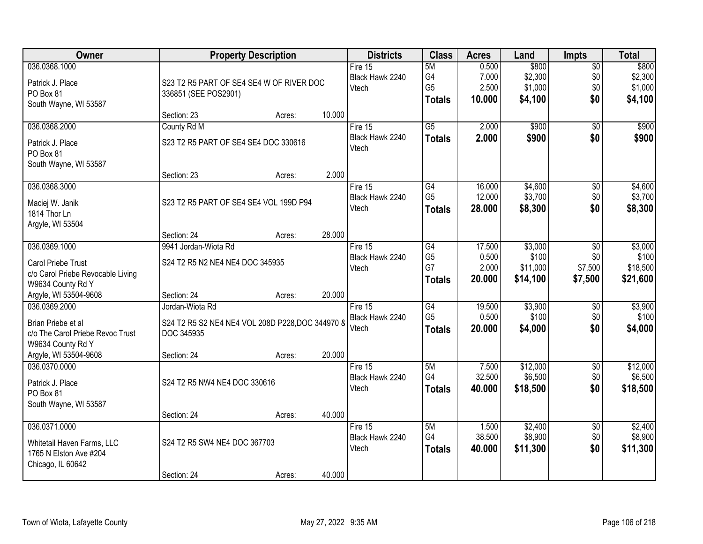| Owner                                                  |                                                  | <b>Property Description</b> |        | <b>Districts</b>             | <b>Class</b>        | <b>Acres</b>     | Land                | <b>Impts</b>           | <b>Total</b>        |
|--------------------------------------------------------|--------------------------------------------------|-----------------------------|--------|------------------------------|---------------------|------------------|---------------------|------------------------|---------------------|
| 036.0368.1000                                          |                                                  |                             |        | Fire $15$<br>Black Hawk 2240 | 5M<br>G4            | 0.500<br>7.000   | \$800<br>\$2,300    | $\overline{60}$<br>\$0 | \$800<br>\$2,300    |
| Patrick J. Place                                       | S23 T2 R5 PART OF SE4 SE4 W OF RIVER DOC         |                             |        | Vtech                        | G <sub>5</sub>      | 2.500            | \$1,000             | \$0                    | \$1,000             |
| PO Box 81                                              | 336851 (SEE POS2901)                             |                             |        |                              | <b>Totals</b>       | 10.000           | \$4,100             | \$0                    | \$4,100             |
| South Wayne, WI 53587                                  | Section: 23                                      | Acres:                      | 10.000 |                              |                     |                  |                     |                        |                     |
| 036.0368.2000                                          | County Rd M                                      |                             |        | Fire $15$                    | $\overline{G5}$     | 2.000            | \$900               | $\overline{50}$        | \$900               |
| Patrick J. Place                                       | S23 T2 R5 PART OF SE4 SE4 DOC 330616             |                             |        | Black Hawk 2240              | <b>Totals</b>       | 2.000            | \$900               | \$0                    | \$900               |
| PO Box 81                                              |                                                  |                             |        | Vtech                        |                     |                  |                     |                        |                     |
| South Wayne, WI 53587                                  |                                                  |                             |        |                              |                     |                  |                     |                        |                     |
|                                                        | Section: 23                                      | Acres:                      | 2.000  |                              |                     |                  |                     |                        |                     |
| 036.0368.3000                                          |                                                  |                             |        | Fire 15                      | G4                  | 16.000           | \$4,600             | \$0                    | \$4,600             |
| Maciej W. Janik                                        | S23 T2 R5 PART OF SE4 SE4 VOL 199D P94           |                             |        | Black Hawk 2240<br>Vtech     | G <sub>5</sub>      | 12.000           | \$3,700             | \$0                    | \$3,700             |
| 1814 Thor Ln                                           |                                                  |                             |        |                              | <b>Totals</b>       | 28.000           | \$8,300             | \$0                    | \$8,300             |
| Argyle, WI 53504                                       |                                                  |                             |        |                              |                     |                  |                     |                        |                     |
| 036.0369.1000                                          | Section: 24<br>9941 Jordan-Wiota Rd              | Acres:                      | 28.000 | Fire $15$                    | $\overline{G4}$     | 17.500           | \$3,000             | \$0                    | \$3,000             |
|                                                        |                                                  |                             |        | Black Hawk 2240              | G <sub>5</sub>      | 0.500            | \$100               | \$0                    | \$100               |
| Carol Priebe Trust                                     | S24 T2 R5 N2 NE4 NE4 DOC 345935                  |                             |        | Vtech                        | G7                  | 2.000            | \$11,000            | \$7,500                | \$18,500            |
| c/o Carol Priebe Revocable Living<br>W9634 County Rd Y |                                                  |                             |        |                              | <b>Totals</b>       | 20.000           | \$14,100            | \$7,500                | \$21,600            |
| Argyle, WI 53504-9608                                  | Section: 24                                      | Acres:                      | 20.000 |                              |                     |                  |                     |                        |                     |
| 036.0369.2000                                          | Jordan-Wiota Rd                                  |                             |        | Fire $15$                    | $\overline{G4}$     | 19.500           | \$3,900             | \$0                    | \$3,900             |
| Brian Priebe et al                                     | S24 T2 R5 S2 NE4 NE4 VOL 208D P228, DOC 344970 8 |                             |        | Black Hawk 2240              | G <sub>5</sub>      | 0.500            | \$100               | \$0                    | \$100               |
| c/o The Carol Priebe Revoc Trust                       | DOC 345935                                       |                             |        | Vtech                        | <b>Totals</b>       | 20.000           | \$4,000             | \$0                    | \$4,000             |
| W9634 County Rd Y                                      |                                                  |                             |        |                              |                     |                  |                     |                        |                     |
| Argyle, WI 53504-9608                                  | Section: 24                                      | Acres:                      | 20.000 |                              |                     |                  |                     |                        |                     |
| 036.0370.0000                                          |                                                  |                             |        | Fire $15$                    | 5M                  | 7.500            | \$12,000            | $\sqrt{6}$             | \$12,000            |
| Patrick J. Place                                       | S24 T2 R5 NW4 NE4 DOC 330616                     |                             |        | Black Hawk 2240<br>Vtech     | G4<br><b>Totals</b> | 32.500<br>40.000 | \$6,500<br>\$18,500 | \$0<br>\$0             | \$6,500<br>\$18,500 |
| PO Box 81                                              |                                                  |                             |        |                              |                     |                  |                     |                        |                     |
| South Wayne, WI 53587                                  | Section: 24                                      |                             | 40.000 |                              |                     |                  |                     |                        |                     |
| 036.0371.0000                                          |                                                  | Acres:                      |        | Fire 15                      | 5M                  | 1.500            | \$2,400             | $\overline{30}$        | \$2,400             |
|                                                        |                                                  |                             |        | Black Hawk 2240              | G4                  | 38.500           | \$8,900             | \$0                    | \$8,900             |
| Whitetail Haven Farms, LLC<br>1765 N Elston Ave #204   | S24 T2 R5 SW4 NE4 DOC 367703                     |                             |        | Vtech                        | <b>Totals</b>       | 40.000           | \$11,300            | \$0                    | \$11,300            |
| Chicago, IL 60642                                      |                                                  |                             |        |                              |                     |                  |                     |                        |                     |
|                                                        | Section: 24                                      | Acres:                      | 40.000 |                              |                     |                  |                     |                        |                     |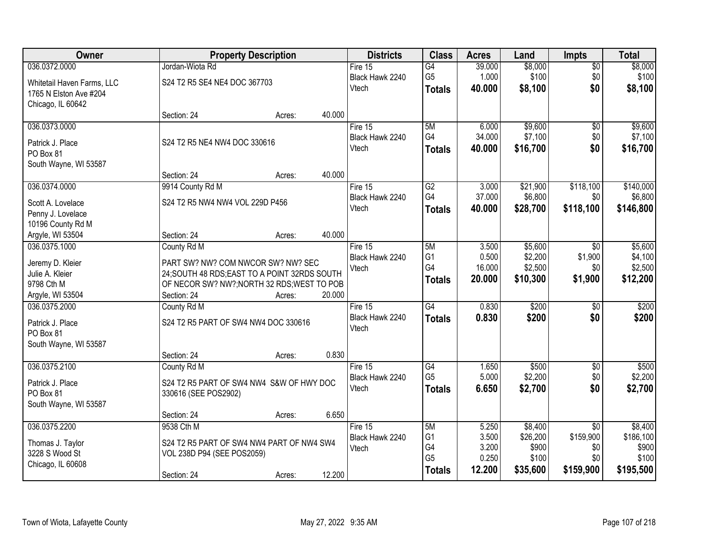| Owner                              |                                               | <b>Property Description</b> |        | <b>Districts</b> | <b>Class</b>    | <b>Acres</b> | Land     | <b>Impts</b>    | <b>Total</b> |
|------------------------------------|-----------------------------------------------|-----------------------------|--------|------------------|-----------------|--------------|----------|-----------------|--------------|
| 036.0372.0000                      | Jordan-Wiota Rd                               |                             |        | Fire $15$        | $\overline{G4}$ | 39.000       | \$8,000  | $\sqrt{$0}$     | \$8,000      |
| Whitetail Haven Farms, LLC         | S24 T2 R5 SE4 NE4 DOC 367703                  |                             |        | Black Hawk 2240  | G <sub>5</sub>  | 1.000        | \$100    | \$0             | \$100        |
| 1765 N Elston Ave #204             |                                               |                             |        | Vtech            | <b>Totals</b>   | 40,000       | \$8,100  | \$0             | \$8,100      |
| Chicago, IL 60642                  |                                               |                             |        |                  |                 |              |          |                 |              |
|                                    | Section: 24                                   | Acres:                      | 40.000 |                  |                 |              |          |                 |              |
| 036.0373.0000                      |                                               |                             |        | Fire 15          | 5M              | 6.000        | \$9,600  | \$0             | \$9,600      |
| Patrick J. Place                   | S24 T2 R5 NE4 NW4 DOC 330616                  |                             |        | Black Hawk 2240  | G4              | 34.000       | \$7,100  | \$0             | \$7,100      |
| PO Box 81                          |                                               |                             |        | Vtech            | <b>Totals</b>   | 40.000       | \$16,700 | \$0             | \$16,700     |
| South Wayne, WI 53587              |                                               |                             |        |                  |                 |              |          |                 |              |
|                                    | Section: 24                                   | Acres:                      | 40.000 |                  |                 |              |          |                 |              |
| 036.0374.0000                      | 9914 County Rd M                              |                             |        | Fire 15          | G2              | 3.000        | \$21,900 | \$118,100       | \$140,000    |
| Scott A. Lovelace                  | S24 T2 R5 NW4 NW4 VOL 229D P456               |                             |        | Black Hawk 2240  | G4              | 37.000       | \$6,800  | \$0             | \$6,800      |
| Penny J. Lovelace                  |                                               |                             |        | Vtech            | <b>Totals</b>   | 40.000       | \$28,700 | \$118,100       | \$146,800    |
| 10196 County Rd M                  |                                               |                             |        |                  |                 |              |          |                 |              |
| Argyle, WI 53504                   | Section: 24                                   | Acres:                      | 40.000 |                  |                 |              |          |                 |              |
| 036.0375.1000                      | County Rd M                                   |                             |        | Fire 15          | 5M              | 3.500        | \$5,600  | $\sqrt[6]{3}$   | \$5,600      |
|                                    |                                               |                             |        | Black Hawk 2240  | G <sub>1</sub>  | 0.500        | \$2,200  | \$1,900         | \$4,100      |
| Jeremy D. Kleier                   | PART SW? NW? COM NWCOR SW? NW? SEC            |                             |        | Vtech            | G4              | 16.000       | \$2,500  | \$0             | \$2,500      |
| Julie A. Kleier                    | 24; SOUTH 48 RDS; EAST TO A POINT 32RDS SOUTH |                             |        |                  | <b>Totals</b>   | 20.000       | \$10,300 | \$1,900         | \$12,200     |
| 9798 Cth M                         | OF NECOR SW? NW?; NORTH 32 RDS; WEST TO POB   |                             |        |                  |                 |              |          |                 |              |
| Argyle, WI 53504                   | Section: 24                                   | Acres:                      | 20.000 |                  |                 |              |          |                 |              |
| 036.0375.2000                      | County Rd M                                   |                             |        | Fire 15          | G4              | 0.830        | \$200    | \$0             | \$200        |
| Patrick J. Place                   | S24 T2 R5 PART OF SW4 NW4 DOC 330616          |                             |        | Black Hawk 2240  | <b>Totals</b>   | 0.830        | \$200    | \$0             | \$200        |
| PO Box 81                          |                                               |                             |        | Vtech            |                 |              |          |                 |              |
| South Wayne, WI 53587              |                                               |                             |        |                  |                 |              |          |                 |              |
|                                    | Section: 24                                   | Acres:                      | 0.830  |                  |                 |              |          |                 |              |
| 036.0375.2100                      | County Rd M                                   |                             |        | Fire 15          | G4              | 1.650        | \$500    | $\sqrt{6}$      | \$500        |
| Patrick J. Place                   | S24 T2 R5 PART OF SW4 NW4 S&W OF HWY DOC      |                             |        | Black Hawk 2240  | G <sub>5</sub>  | 5.000        | \$2,200  | \$0             | \$2,200      |
| PO Box 81                          | 330616 (SEE POS2902)                          |                             |        | Vtech            | <b>Totals</b>   | 6.650        | \$2,700  | \$0             | \$2,700      |
| South Wayne, WI 53587              |                                               |                             |        |                  |                 |              |          |                 |              |
|                                    | Section: 24                                   | Acres:                      | 6.650  |                  |                 |              |          |                 |              |
| 036.0375.2200                      | 9538 Cth M                                    |                             |        | Fire 15          | 5M              | 5.250        | \$8,400  | $\overline{50}$ | \$8,400      |
|                                    | S24 T2 R5 PART OF SW4 NW4 PART OF NW4 SW4     |                             |        | Black Hawk 2240  | G <sub>1</sub>  | 3.500        | \$26,200 | \$159,900       | \$186,100    |
| Thomas J. Taylor<br>3228 S Wood St | VOL 238D P94 (SEE POS2059)                    |                             |        | Vtech            | G4              | 3.200        | \$900    | \$0             | \$900        |
| Chicago, IL 60608                  |                                               |                             |        |                  | G <sub>5</sub>  | 0.250        | \$100    | \$0             | \$100        |
|                                    | Section: 24                                   | Acres:                      | 12.200 |                  | <b>Totals</b>   | 12.200       | \$35,600 | \$159,900       | \$195,500    |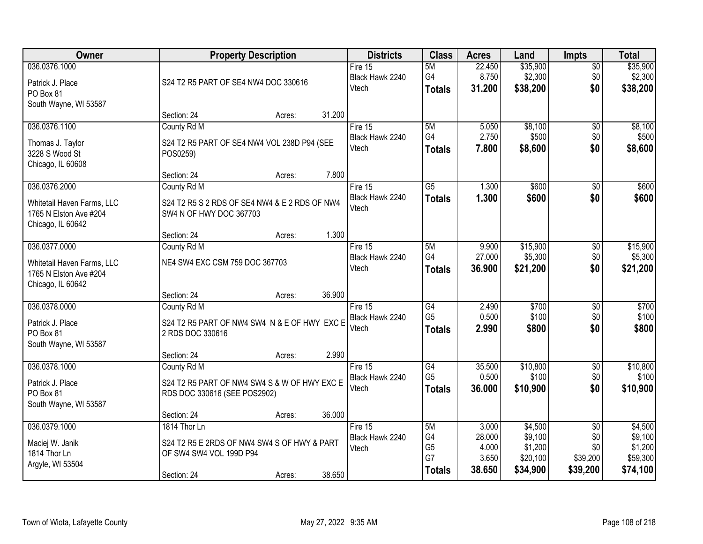| Owner                                                                     |                                                                                                       | <b>Property Description</b> |        | <b>Districts</b>                      | <b>Class</b>                                      | <b>Acres</b>                                | Land                                                  | <b>Impts</b>                                          | <b>Total</b>                                          |
|---------------------------------------------------------------------------|-------------------------------------------------------------------------------------------------------|-----------------------------|--------|---------------------------------------|---------------------------------------------------|---------------------------------------------|-------------------------------------------------------|-------------------------------------------------------|-------------------------------------------------------|
| 036.0376.1000<br>Patrick J. Place<br>PO Box 81                            | S24 T2 R5 PART OF SE4 NW4 DOC 330616                                                                  |                             |        | Fire $15$<br>Black Hawk 2240<br>Vtech | 5M<br>G4<br><b>Totals</b>                         | 22.450<br>8.750<br>31.200                   | \$35,900<br>\$2,300<br>\$38,200                       | $\sqrt{$0}$<br>\$0<br>\$0                             | \$35,900<br>\$2,300<br>\$38,200                       |
| South Wayne, WI 53587                                                     | Section: 24                                                                                           | Acres:                      | 31.200 |                                       |                                                   |                                             |                                                       |                                                       |                                                       |
| 036.0376.1100                                                             | County Rd M                                                                                           |                             |        | Fire 15                               | 5M                                                | 5.050                                       | \$8,100                                               | \$0                                                   | \$8,100                                               |
| Thomas J. Taylor<br>3228 S Wood St<br>Chicago, IL 60608                   | S24 T2 R5 PART OF SE4 NW4 VOL 238D P94 (SEE<br>POS0259)                                               |                             |        | Black Hawk 2240<br>Vtech              | G4<br><b>Totals</b>                               | 2.750<br>7.800                              | \$500<br>\$8,600                                      | \$0<br>\$0                                            | \$500<br>\$8,600                                      |
|                                                                           | Section: 24                                                                                           | Acres:                      | 7.800  |                                       |                                                   |                                             |                                                       |                                                       |                                                       |
| 036.0376.2000                                                             | County Rd M                                                                                           |                             |        | Fire 15                               | $\overline{G5}$                                   | 1.300                                       | \$600                                                 | \$0                                                   | \$600                                                 |
| Whitetail Haven Farms, LLC<br>1765 N Elston Ave #204<br>Chicago, IL 60642 | S24 T2 R5 S 2 RDS OF SE4 NW4 & E 2 RDS OF NW4<br>SW4 N OF HWY DOC 367703                              |                             |        | Black Hawk 2240<br>Vtech              | <b>Totals</b>                                     | 1.300                                       | \$600                                                 | \$0                                                   | \$600                                                 |
|                                                                           | Section: 24                                                                                           | Acres:                      | 1.300  |                                       |                                                   |                                             |                                                       |                                                       |                                                       |
| 036.0377.0000                                                             | County Rd M                                                                                           |                             |        | Fire 15                               | 5M                                                | 9.900                                       | \$15,900                                              | \$0                                                   | \$15,900                                              |
| Whitetail Haven Farms, LLC<br>1765 N Elston Ave #204<br>Chicago, IL 60642 | NE4 SW4 EXC CSM 759 DOC 367703                                                                        |                             |        | Black Hawk 2240<br>Vtech              | G4<br><b>Totals</b>                               | 27.000<br>36.900                            | \$5,300<br>\$21,200                                   | \$0<br>\$0                                            | \$5,300<br>\$21,200                                   |
|                                                                           | Section: 24                                                                                           | Acres:                      | 36.900 |                                       |                                                   |                                             |                                                       |                                                       |                                                       |
| 036.0378.0000                                                             | County Rd M                                                                                           |                             |        | Fire $15$                             | G4                                                | 2.490                                       | \$700                                                 | $\overline{50}$                                       | \$700                                                 |
| Patrick J. Place<br>PO Box 81<br>South Wayne, WI 53587                    | S24 T2 R5 PART OF NW4 SW4 N & E OF HWY EXC E<br>2 RDS DOC 330616                                      |                             |        | Black Hawk 2240<br>Vtech              | G <sub>5</sub><br><b>Totals</b>                   | 0.500<br>2.990                              | \$100<br>\$800                                        | \$0<br>\$0                                            | \$100<br>\$800                                        |
|                                                                           | Section: 24                                                                                           | Acres:                      | 2.990  |                                       |                                                   |                                             |                                                       |                                                       |                                                       |
| 036.0378.1000                                                             | County Rd M                                                                                           |                             |        | Fire 15                               | G4                                                | 35.500                                      | \$10,800                                              | $\sqrt{6}$                                            | \$10,800                                              |
| Patrick J. Place<br>PO Box 81<br>South Wayne, WI 53587                    | S24 T2 R5 PART OF NW4 SW4 S & W OF HWY EXC E<br>RDS DOC 330616 (SEE POS2902)                          |                             |        | Black Hawk 2240<br>Vtech              | G <sub>5</sub><br><b>Totals</b>                   | 0.500<br>36.000                             | \$100<br>\$10,900                                     | \$0<br>\$0                                            | \$100<br>\$10,900                                     |
|                                                                           | Section: 24                                                                                           | Acres:                      | 36.000 |                                       |                                                   |                                             |                                                       |                                                       |                                                       |
| 036.0379.1000<br>Maciej W. Janik<br>1814 Thor Ln<br>Argyle, WI 53504      | 1814 Thor Ln<br>S24 T2 R5 E 2RDS OF NW4 SW4 S OF HWY & PART<br>OF SW4 SW4 VOL 199D P94<br>Section: 24 | Acres:                      | 38.650 | Fire 15<br>Black Hawk 2240<br>Vtech   | 5M<br>G4<br>G <sub>5</sub><br>G7<br><b>Totals</b> | 3.000<br>28.000<br>4.000<br>3.650<br>38.650 | \$4,500<br>\$9,100<br>\$1,200<br>\$20,100<br>\$34,900 | $\overline{50}$<br>\$0<br>\$0<br>\$39,200<br>\$39,200 | \$4,500<br>\$9,100<br>\$1,200<br>\$59,300<br>\$74,100 |
|                                                                           |                                                                                                       |                             |        |                                       |                                                   |                                             |                                                       |                                                       |                                                       |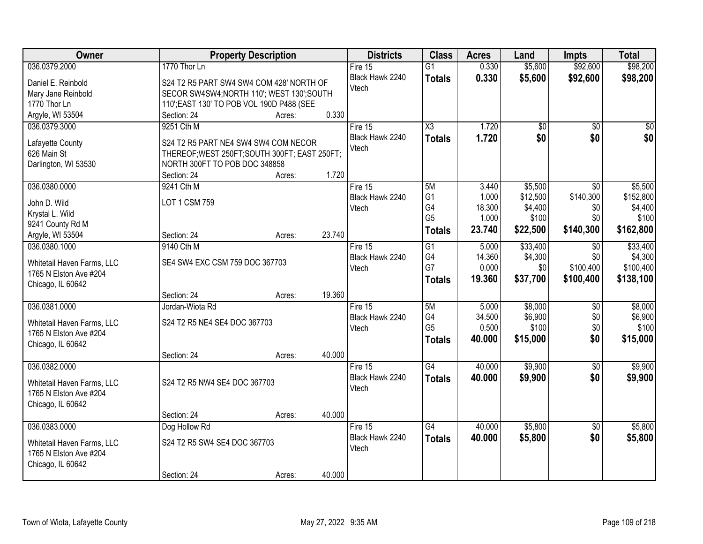| <b>Owner</b>               |                                               | <b>Property Description</b> |        | <b>Districts</b>         | <b>Class</b>           | <b>Acres</b> | Land            | <b>Impts</b>    | <b>Total</b> |
|----------------------------|-----------------------------------------------|-----------------------------|--------|--------------------------|------------------------|--------------|-----------------|-----------------|--------------|
| 036.0379.2000              | 1770 Thor Ln                                  |                             |        | Fire $15$                | $\overline{G1}$        | 0.330        | \$5,600         | \$92,600        | \$98,200     |
| Daniel E. Reinbold         | S24 T2 R5 PART SW4 SW4 COM 428' NORTH OF      |                             |        | Black Hawk 2240          | <b>Totals</b>          | 0.330        | \$5,600         | \$92,600        | \$98,200     |
| Mary Jane Reinbold         | SECOR SW4SW4; NORTH 110'; WEST 130'; SOUTH    |                             |        | Vtech                    |                        |              |                 |                 |              |
| 1770 Thor Ln               | 110'; EAST 130' TO POB VOL 190D P488 (SEE     |                             |        |                          |                        |              |                 |                 |              |
| Argyle, WI 53504           | Section: 24                                   | Acres:                      | 0.330  |                          |                        |              |                 |                 |              |
| 036.0379.3000              | 9251 Cth M                                    |                             |        | Fire 15                  | $\overline{\text{X3}}$ | 1.720        | $\overline{50}$ | $\overline{50}$ | $\sqrt{50}$  |
|                            |                                               |                             |        | Black Hawk 2240          | <b>Totals</b>          | 1.720        | \$0             | \$0             | \$0          |
| Lafayette County           | S24 T2 R5 PART NE4 SW4 SW4 COM NECOR          |                             |        | Vtech                    |                        |              |                 |                 |              |
| 626 Main St                | THEREOF; WEST 250FT; SOUTH 300FT; EAST 250FT; |                             |        |                          |                        |              |                 |                 |              |
| Darlington, WI 53530       | NORTH 300FT TO POB DOC 348858<br>Section: 24  |                             | 1.720  |                          |                        |              |                 |                 |              |
| 036.0380.0000              | 9241 Cth M                                    | Acres:                      |        | Fire 15                  | 5M                     | 3.440        | \$5,500         | $\overline{30}$ | \$5,500      |
|                            |                                               |                             |        | Black Hawk 2240          | G <sub>1</sub>         | 1.000        | \$12,500        | \$140,300       | \$152,800    |
| John D. Wild               | <b>LOT 1 CSM 759</b>                          |                             |        | Vtech                    | G4                     | 18.300       | \$4,400         | \$0             | \$4,400      |
| Krystal L. Wild            |                                               |                             |        |                          | G <sub>5</sub>         | 1.000        | \$100           | \$0             | \$100        |
| 9241 County Rd M           |                                               |                             |        |                          | <b>Totals</b>          | 23.740       | \$22,500        | \$140,300       | \$162,800    |
| Argyle, WI 53504           | Section: 24                                   | Acres:                      | 23.740 |                          |                        |              |                 |                 |              |
| 036.0380.1000              | 9140 Cth M                                    |                             |        | Fire 15                  | $\overline{G1}$        | 5.000        | \$33,400        | $\sqrt{6}$      | \$33,400     |
| Whitetail Haven Farms, LLC | SE4 SW4 EXC CSM 759 DOC 367703                |                             |        | Black Hawk 2240          | G4                     | 14.360       | \$4,300         | \$0             | \$4,300      |
| 1765 N Elston Ave #204     |                                               |                             |        | Vtech                    | G7                     | 0.000        | \$0             | \$100,400       | \$100,400    |
| Chicago, IL 60642          |                                               |                             |        |                          | <b>Totals</b>          | 19.360       | \$37,700        | \$100,400       | \$138,100    |
|                            | Section: 24                                   | Acres:                      | 19.360 |                          |                        |              |                 |                 |              |
| 036.0381.0000              | Jordan-Wiota Rd                               |                             |        | Fire 15                  | 5M                     | 5.000        | \$8,000         | $\overline{50}$ | \$8,000      |
|                            |                                               |                             |        | Black Hawk 2240          | G4                     | 34.500       | \$6,900         | \$0             | \$6,900      |
| Whitetail Haven Farms, LLC | S24 T2 R5 NE4 SE4 DOC 367703                  |                             |        | Vtech                    | G <sub>5</sub>         | 0.500        | \$100           | \$0             | \$100        |
| 1765 N Elston Ave #204     |                                               |                             |        |                          | <b>Totals</b>          | 40.000       | \$15,000        | \$0             | \$15,000     |
| Chicago, IL 60642          |                                               |                             |        |                          |                        |              |                 |                 |              |
|                            | Section: 24                                   | Acres:                      | 40.000 |                          | $\overline{G4}$        |              |                 |                 |              |
| 036.0382.0000              |                                               |                             |        | Fire 15                  |                        | 40.000       | \$9,900         | $\sqrt{$0}$     | \$9,900      |
| Whitetail Haven Farms, LLC | S24 T2 R5 NW4 SE4 DOC 367703                  |                             |        | Black Hawk 2240<br>Vtech | <b>Totals</b>          | 40.000       | \$9,900         | \$0             | \$9,900      |
| 1765 N Elston Ave #204     |                                               |                             |        |                          |                        |              |                 |                 |              |
| Chicago, IL 60642          |                                               |                             |        |                          |                        |              |                 |                 |              |
|                            | Section: 24                                   | Acres:                      | 40.000 |                          |                        |              |                 |                 |              |
| 036.0383.0000              | Dog Hollow Rd                                 |                             |        | Fire $15$                | $\overline{G4}$        | 40.000       | \$5,800         | $\overline{30}$ | \$5,800      |
| Whitetail Haven Farms, LLC | S24 T2 R5 SW4 SE4 DOC 367703                  |                             |        | Black Hawk 2240          | <b>Totals</b>          | 40.000       | \$5,800         | \$0             | \$5,800      |
| 1765 N Elston Ave #204     |                                               |                             |        | Vtech                    |                        |              |                 |                 |              |
| Chicago, IL 60642          |                                               |                             |        |                          |                        |              |                 |                 |              |
|                            | Section: 24                                   | Acres:                      | 40.000 |                          |                        |              |                 |                 |              |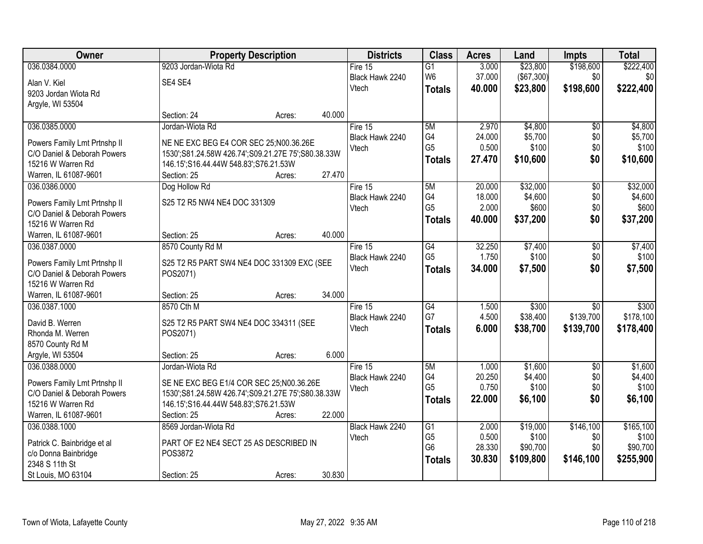| Owner                                                       | <b>Property Description</b>                            |        |        | <b>Districts</b>         | <b>Class</b>                      | <b>Acres</b>   | Land              | <b>Impts</b>     | <b>Total</b>       |
|-------------------------------------------------------------|--------------------------------------------------------|--------|--------|--------------------------|-----------------------------------|----------------|-------------------|------------------|--------------------|
| 036.0384.0000                                               | 9203 Jordan-Wiota Rd                                   |        |        | Fire $15$                | $\overline{G1}$                   | 3.000          | \$23,800          | \$198,600        | \$222,400          |
| Alan V. Kiel                                                | SE4 SE4                                                |        |        | Black Hawk 2240          | W <sub>6</sub>                    | 37.000         | (\$67,300)        | \$0              | \$0                |
| 9203 Jordan Wiota Rd                                        |                                                        |        |        | Vtech                    | <b>Totals</b>                     | 40.000         | \$23,800          | \$198,600        | \$222,400          |
| Argyle, WI 53504                                            |                                                        |        |        |                          |                                   |                |                   |                  |                    |
|                                                             | Section: 24                                            | Acres: | 40.000 |                          |                                   |                |                   |                  |                    |
| 036.0385.0000                                               | Jordan-Wiota Rd                                        |        |        | Fire 15                  | 5M                                | 2.970          | \$4,800           | $\overline{50}$  | \$4,800            |
| Powers Family Lmt Prtnshp II                                | NE NE EXC BEG E4 COR SEC 25;N00.36.26E                 |        |        | Black Hawk 2240          | G4                                | 24.000         | \$5,700           | \$0              | \$5,700            |
| C/O Daniel & Deborah Powers                                 | 1530';S81.24.58W 426.74';S09.21.27E 75';S80.38.33W     |        |        | Vtech                    | G <sub>5</sub>                    | 0.500          | \$100             | \$0              | \$100              |
| 15216 W Warren Rd                                           | 146.15';S16.44.44W 548.83';S76.21.53W                  |        |        |                          | <b>Totals</b>                     | 27.470         | \$10,600          | \$0              | \$10,600           |
| Warren, IL 61087-9601                                       | Section: 25                                            | Acres: | 27.470 |                          |                                   |                |                   |                  |                    |
| 036.0386.0000                                               | Dog Hollow Rd                                          |        |        | Fire 15                  | 5M                                | 20.000         | \$32,000          | $\overline{50}$  | \$32,000           |
| Powers Family Lmt Prtnshp II                                | S25 T2 R5 NW4 NE4 DOC 331309                           |        |        | Black Hawk 2240          | G4                                | 18.000         | \$4,600           | \$0              | \$4,600            |
| C/O Daniel & Deborah Powers                                 |                                                        |        |        | Vtech                    | G <sub>5</sub>                    | 2.000          | \$600             | \$0              | \$600              |
| 15216 W Warren Rd                                           |                                                        |        |        |                          | <b>Totals</b>                     | 40.000         | \$37,200          | \$0              | \$37,200           |
| Warren, IL 61087-9601                                       | Section: 25                                            | Acres: | 40.000 |                          |                                   |                |                   |                  |                    |
| 036.0387.0000                                               | 8570 County Rd M                                       |        |        | Fire 15                  | $\overline{G4}$                   | 32.250         | \$7,400           | \$0              | \$7,400            |
|                                                             |                                                        |        |        | Black Hawk 2240          | G <sub>5</sub>                    | 1.750          | \$100             | \$0              | \$100              |
| Powers Family Lmt Prtnshp II<br>C/O Daniel & Deborah Powers | S25 T2 R5 PART SW4 NE4 DOC 331309 EXC (SEE<br>POS2071) |        |        | Vtech                    | <b>Totals</b>                     | 34.000         | \$7,500           | \$0              | \$7,500            |
| 15216 W Warren Rd                                           |                                                        |        |        |                          |                                   |                |                   |                  |                    |
| Warren, IL 61087-9601                                       | Section: 25                                            | Acres: | 34.000 |                          |                                   |                |                   |                  |                    |
| 036.0387.1000                                               | 8570 Cth M                                             |        |        | Fire $15$                | $\overline{G4}$                   | 1.500          | \$300             | $\overline{50}$  | \$300              |
|                                                             |                                                        |        |        | Black Hawk 2240          | G7                                | 4.500          | \$38,400          | \$139,700        | \$178,100          |
| David B. Werren                                             | S25 T2 R5 PART SW4 NE4 DOC 334311 (SEE                 |        |        | Vtech                    | <b>Totals</b>                     | 6.000          | \$38,700          | \$139,700        | \$178,400          |
| Rhonda M. Werren<br>8570 County Rd M                        | POS2071)                                               |        |        |                          |                                   |                |                   |                  |                    |
| Argyle, WI 53504                                            | Section: 25                                            | Acres: | 6.000  |                          |                                   |                |                   |                  |                    |
| 036.0388.0000                                               | Jordan-Wiota Rd                                        |        |        | Fire 15                  | 5M                                | 1.000          | \$1,600           | $\sqrt{6}$       | \$1,600            |
|                                                             |                                                        |        |        | Black Hawk 2240          | G4                                | 20.250         | \$4,400           | \$0              | \$4,400            |
| Powers Family Lmt Prtnshp II                                | SE NE EXC BEG E1/4 COR SEC 25;N00.36.26E               |        |        | Vtech                    | G <sub>5</sub>                    | 0.750          | \$100             | \$0              | \$100              |
| C/O Daniel & Deborah Powers                                 | 1530';S81.24.58W 426.74';S09.21.27E 75';S80.38.33W     |        |        |                          | <b>Totals</b>                     | 22,000         | \$6,100           | \$0              | \$6,100            |
| 15216 W Warren Rd                                           | 146.15';S16.44.44W 548.83';S76.21.53W                  |        |        |                          |                                   |                |                   |                  |                    |
| Warren, IL 61087-9601                                       | Section: 25                                            | Acres: | 22.000 |                          |                                   |                |                   |                  |                    |
| 036.0388.1000                                               | 8569 Jordan-Wiota Rd                                   |        |        | Black Hawk 2240<br>Vtech | $\overline{G1}$<br>G <sub>5</sub> | 2.000<br>0.500 | \$19,000<br>\$100 | \$146,100<br>\$0 | \$165,100<br>\$100 |
| Patrick C. Bainbridge et al                                 | PART OF E2 NE4 SECT 25 AS DESCRIBED IN                 |        |        |                          | G <sub>6</sub>                    | 28.330         | \$90,700          | \$0              | \$90,700           |
| c/o Donna Bainbridge                                        | POS3872                                                |        |        |                          | <b>Totals</b>                     | 30.830         | \$109,800         | \$146,100        | \$255,900          |
| 2348 S 11th St                                              |                                                        |        |        |                          |                                   |                |                   |                  |                    |
| St Louis, MO 63104                                          | Section: 25                                            | Acres: | 30.830 |                          |                                   |                |                   |                  |                    |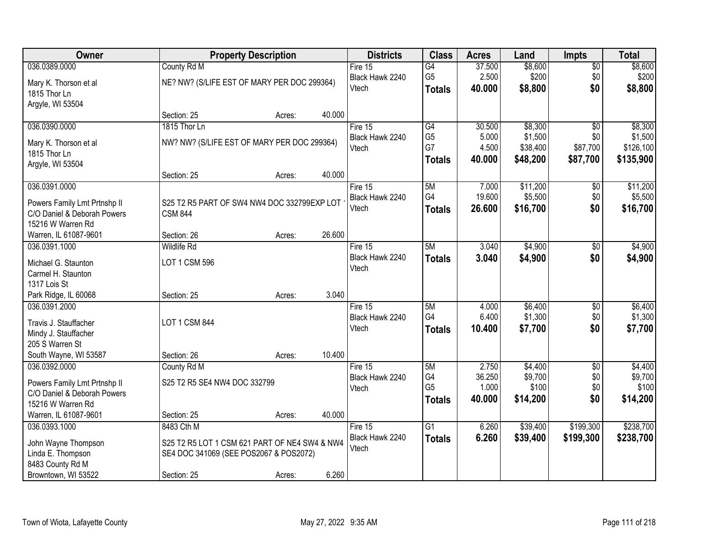| Owner                        |                                               | <b>Property Description</b> |        | <b>Districts</b> | <b>Class</b>         | <b>Acres</b>    | Land             | <b>Impts</b>    | <b>Total</b>     |
|------------------------------|-----------------------------------------------|-----------------------------|--------|------------------|----------------------|-----------------|------------------|-----------------|------------------|
| 036.0389.0000                | County Rd M                                   |                             |        | Fire $15$        | $\overline{G4}$      | 37.500          | \$8,600          | \$0             | \$8,600          |
| Mary K. Thorson et al        | NE? NW? (S/LIFE EST OF MARY PER DOC 299364)   |                             |        | Black Hawk 2240  | G <sub>5</sub>       | 2.500           | \$200            | \$0             | \$200            |
| 1815 Thor Ln                 |                                               |                             |        | Vtech            | <b>Totals</b>        | 40.000          | \$8,800          | \$0             | \$8,800          |
| Argyle, WI 53504             |                                               |                             |        |                  |                      |                 |                  |                 |                  |
|                              | Section: 25                                   | Acres:                      | 40.000 |                  |                      |                 |                  |                 |                  |
| 036.0390.0000                | 1815 Thor Ln                                  |                             |        | Fire 15          | G4                   | 30.500          | \$8,300          | $\overline{50}$ | \$8,300          |
| Mary K. Thorson et al        | NW? NW? (S/LIFE EST OF MARY PER DOC 299364)   |                             |        | Black Hawk 2240  | G <sub>5</sub>       | 5.000           | \$1,500          | \$0             | \$1,500          |
| 1815 Thor Ln                 |                                               |                             |        | Vtech            | G7                   | 4.500           | \$38,400         | \$87,700        | \$126,100        |
| Argyle, WI 53504             |                                               |                             |        |                  | <b>Totals</b>        | 40.000          | \$48,200         | \$87,700        | \$135,900        |
|                              | Section: 25                                   | Acres:                      | 40.000 |                  |                      |                 |                  |                 |                  |
| 036.0391.0000                |                                               |                             |        | Fire 15          | 5M                   | 7.000           | \$11,200         | \$0             | \$11,200         |
| Powers Family Lmt Prtnshp II | S25 T2 R5 PART OF SW4 NW4 DOC 332799EXP LOT   |                             |        | Black Hawk 2240  | G4                   | 19.600          | \$5,500          | \$0             | \$5,500          |
| C/O Daniel & Deborah Powers  | <b>CSM 844</b>                                |                             |        | Vtech            | <b>Totals</b>        | 26,600          | \$16,700         | \$0             | \$16,700         |
| 15216 W Warren Rd            |                                               |                             |        |                  |                      |                 |                  |                 |                  |
| Warren, IL 61087-9601        | Section: 26                                   | Acres:                      | 26.600 |                  |                      |                 |                  |                 |                  |
| 036.0391.1000                | <b>Wildlife Rd</b>                            |                             |        | Fire 15          | 5M                   | 3.040           | \$4,900          | $\frac{1}{20}$  | \$4,900          |
| Michael G. Staunton          | LOT 1 CSM 596                                 |                             |        | Black Hawk 2240  | <b>Totals</b>        | 3.040           | \$4,900          | \$0             | \$4,900          |
| Carmel H. Staunton           |                                               |                             |        | Vtech            |                      |                 |                  |                 |                  |
| 1317 Lois St                 |                                               |                             |        |                  |                      |                 |                  |                 |                  |
| Park Ridge, IL 60068         | Section: 25                                   | Acres:                      | 3.040  |                  |                      |                 |                  |                 |                  |
| 036.0391.2000                |                                               |                             |        | Fire 15          | 5M                   | 4.000           | \$6,400          | $\overline{50}$ | \$6,400          |
| Travis J. Stauffacher        | LOT 1 CSM 844                                 |                             |        | Black Hawk 2240  | G <sub>4</sub>       | 6.400           | \$1,300          | \$0             | \$1,300          |
| Mindy J. Stauffacher         |                                               |                             |        | Vtech            | <b>Totals</b>        | 10.400          | \$7,700          | \$0             | \$7,700          |
| 205 S Warren St              |                                               |                             |        |                  |                      |                 |                  |                 |                  |
| South Wayne, WI 53587        | Section: 26                                   | Acres:                      | 10.400 |                  |                      |                 |                  |                 |                  |
| 036.0392.0000                | County Rd M                                   |                             |        | Fire 15          | 5M                   | 2.750           | \$4,400          | $\sqrt{6}$      | \$4,400          |
| Powers Family Lmt Prtnshp II | S25 T2 R5 SE4 NW4 DOC 332799                  |                             |        | Black Hawk 2240  | G4<br>G <sub>5</sub> | 36.250          | \$9,700<br>\$100 | \$0             | \$9,700<br>\$100 |
| C/O Daniel & Deborah Powers  |                                               |                             |        | Vtech            |                      | 1.000<br>40.000 | \$14,200         | \$0<br>\$0      | \$14,200         |
| 15216 W Warren Rd            |                                               |                             |        |                  | <b>Totals</b>        |                 |                  |                 |                  |
| Warren, IL 61087-9601        | Section: 25                                   | Acres:                      | 40.000 |                  |                      |                 |                  |                 |                  |
| 036.0393.1000                | 8483 Cth M                                    |                             |        | Fire $15$        | G <sub>1</sub>       | 6.260           | \$39,400         | \$199,300       | \$238,700        |
| John Wayne Thompson          | S25 T2 R5 LOT 1 CSM 621 PART OF NE4 SW4 & NW4 |                             |        | Black Hawk 2240  | <b>Totals</b>        | 6.260           | \$39,400         | \$199,300       | \$238,700        |
| Linda E. Thompson            | SE4 DOC 341069 (SEE POS2067 & POS2072)        |                             |        | Vtech            |                      |                 |                  |                 |                  |
| 8483 County Rd M             |                                               |                             |        |                  |                      |                 |                  |                 |                  |
| Browntown, WI 53522          | Section: 25                                   | Acres:                      | 6.260  |                  |                      |                 |                  |                 |                  |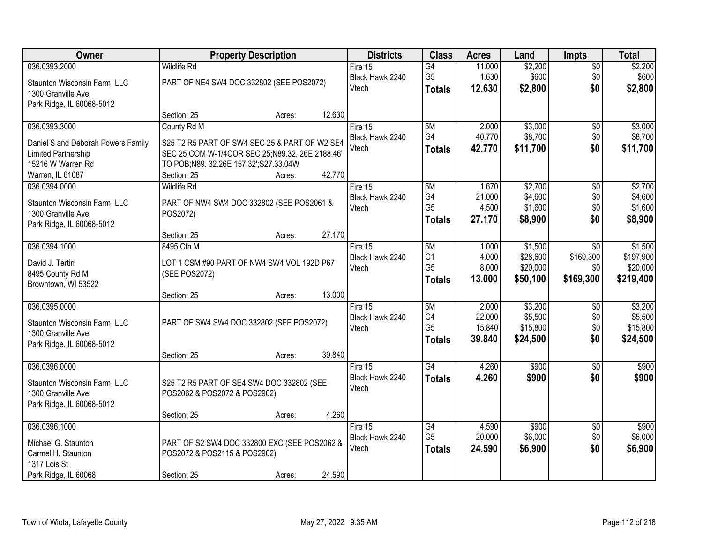| Owner                              | <b>Property Description</b>                     |        |        | <b>Districts</b> | <b>Class</b>    | <b>Acres</b> | Land     | <b>Impts</b>    | <b>Total</b> |
|------------------------------------|-------------------------------------------------|--------|--------|------------------|-----------------|--------------|----------|-----------------|--------------|
| 036.0393.2000                      | <b>Wildlife Rd</b>                              |        |        | Fire $15$        | $\overline{G4}$ | 11.000       | \$2,200  | $\sqrt{$0}$     | \$2,200      |
| Staunton Wisconsin Farm, LLC       | PART OF NE4 SW4 DOC 332802 (SEE POS2072)        |        |        | Black Hawk 2240  | G <sub>5</sub>  | 1.630        | \$600    | \$0             | \$600        |
| 1300 Granville Ave                 |                                                 |        |        | Vtech            | <b>Totals</b>   | 12.630       | \$2,800  | \$0             | \$2,800      |
| Park Ridge, IL 60068-5012          |                                                 |        |        |                  |                 |              |          |                 |              |
|                                    | Section: 25                                     | Acres: | 12.630 |                  |                 |              |          |                 |              |
| 036.0393.3000                      | County Rd M                                     |        |        | Fire 15          | 5M              | 2.000        | \$3,000  | \$0             | \$3,000      |
| Daniel S and Deborah Powers Family | S25 T2 R5 PART OF SW4 SEC 25 & PART OF W2 SE4   |        |        | Black Hawk 2240  | G4              | 40.770       | \$8,700  | \$0             | \$8,700      |
| Limited Partnership                | SEC 25 COM W-1/4COR SEC 25;N89.32. 26E 2188.46' |        |        | Vtech            | <b>Totals</b>   | 42.770       | \$11,700 | \$0             | \$11,700     |
| 15216 W Warren Rd                  | TO POB;N89. 32.26E 157.32';S27.33.04W           |        |        |                  |                 |              |          |                 |              |
| Warren, IL 61087                   | Section: 25                                     | Acres: | 42.770 |                  |                 |              |          |                 |              |
| 036.0394.0000                      | <b>Wildlife Rd</b>                              |        |        | Fire 15          | 5M              | 1.670        | \$2,700  | \$0             | \$2,700      |
| Staunton Wisconsin Farm, LLC       | PART OF NW4 SW4 DOC 332802 (SEE POS2061 &       |        |        | Black Hawk 2240  | G4              | 21.000       | \$4,600  | \$0             | \$4,600      |
| 1300 Granville Ave                 | POS2072)                                        |        |        | Vtech            | G <sub>5</sub>  | 4.500        | \$1,600  | \$0             | \$1,600      |
| Park Ridge, IL 60068-5012          |                                                 |        |        |                  | <b>Totals</b>   | 27.170       | \$8,900  | \$0             | \$8,900      |
|                                    | Section: 25                                     | Acres: | 27.170 |                  |                 |              |          |                 |              |
| 036.0394.1000                      | 8495 Cth M                                      |        |        | Fire 15          | 5M              | 1.000        | \$1,500  | $\sqrt{6}$      | \$1,500      |
| David J. Tertin                    | LOT 1 CSM #90 PART OF NW4 SW4 VOL 192D P67      |        |        | Black Hawk 2240  | G <sub>1</sub>  | 4.000        | \$28,600 | \$169,300       | \$197,900    |
| 8495 County Rd M                   | (SEE POS2072)                                   |        |        | Vtech            | G <sub>5</sub>  | 8.000        | \$20,000 | \$0             | \$20,000     |
| Browntown, WI 53522                |                                                 |        |        |                  | <b>Totals</b>   | 13.000       | \$50,100 | \$169,300       | \$219,400    |
|                                    | Section: 25                                     | Acres: | 13.000 |                  |                 |              |          |                 |              |
| 036.0395.0000                      |                                                 |        |        | Fire 15          | 5M              | 2.000        | \$3,200  | \$0             | \$3,200      |
| Staunton Wisconsin Farm, LLC       | PART OF SW4 SW4 DOC 332802 (SEE POS2072)        |        |        | Black Hawk 2240  | G4              | 22.000       | \$5,500  | \$0             | \$5,500      |
| 1300 Granville Ave                 |                                                 |        |        | Vtech            | G <sub>5</sub>  | 15.840       | \$15,800 | \$0             | \$15,800     |
| Park Ridge, IL 60068-5012          |                                                 |        |        |                  | <b>Totals</b>   | 39.840       | \$24,500 | \$0             | \$24,500     |
|                                    | Section: 25                                     | Acres: | 39.840 |                  |                 |              |          |                 |              |
| 036.0396.0000                      |                                                 |        |        | Fire 15          | G4              | 4.260        | \$900    | \$0             | \$900        |
| Staunton Wisconsin Farm, LLC       | S25 T2 R5 PART OF SE4 SW4 DOC 332802 (SEE       |        |        | Black Hawk 2240  | <b>Totals</b>   | 4.260        | \$900    | \$0             | \$900        |
| 1300 Granville Ave                 | POS2062 & POS2072 & POS2902)                    |        |        | Vtech            |                 |              |          |                 |              |
| Park Ridge, IL 60068-5012          |                                                 |        |        |                  |                 |              |          |                 |              |
|                                    | Section: 25                                     | Acres: | 4.260  |                  |                 |              |          |                 |              |
| 036.0396.1000                      |                                                 |        |        | Fire $15$        | G4              | 4.590        | \$900    | $\overline{60}$ | \$900        |
| Michael G. Staunton                | PART OF S2 SW4 DOC 332800 EXC (SEE POS2062 &    |        |        | Black Hawk 2240  | G <sub>5</sub>  | 20.000       | \$6,000  | \$0             | \$6,000      |
| Carmel H. Staunton                 | POS2072 & POS2115 & POS2902)                    |        |        | Vtech            | <b>Totals</b>   | 24.590       | \$6,900  | \$0             | \$6,900      |
| 1317 Lois St                       |                                                 |        |        |                  |                 |              |          |                 |              |
| Park Ridge, IL 60068               | Section: 25                                     | Acres: | 24.590 |                  |                 |              |          |                 |              |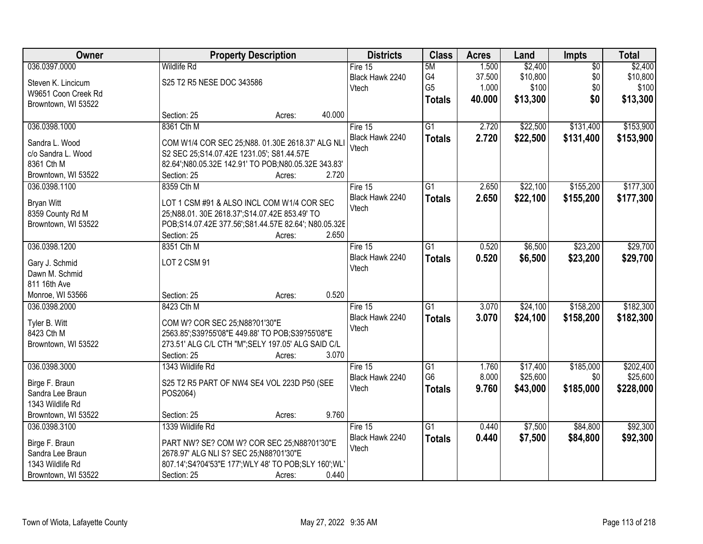| Owner               |                                                 | <b>Property Description</b>                          |                 |                 | <b>Acres</b> | Land     | <b>Impts</b>    | <b>Total</b> |
|---------------------|-------------------------------------------------|------------------------------------------------------|-----------------|-----------------|--------------|----------|-----------------|--------------|
| 036.0397.0000       | <b>Wildlife Rd</b>                              |                                                      | Fire $15$       | 5M              | 1.500        | \$2,400  | $\overline{50}$ | \$2,400      |
| Steven K. Lincicum  | S25 T2 R5 NESE DOC 343586                       |                                                      | Black Hawk 2240 | G4              | 37.500       | \$10,800 | \$0             | \$10,800     |
| W9651 Coon Creek Rd |                                                 |                                                      | Vtech           | G <sub>5</sub>  | 1.000        | \$100    | \$0             | \$100        |
| Browntown, WI 53522 |                                                 |                                                      |                 | <b>Totals</b>   | 40.000       | \$13,300 | \$0             | \$13,300     |
|                     | Section: 25                                     | 40.000<br>Acres:                                     |                 |                 |              |          |                 |              |
| 036.0398.1000       | 8361 Cth M                                      |                                                      | Fire 15         | $\overline{G1}$ | 2.720        | \$22,500 | \$131,400       | \$153,900    |
| Sandra L. Wood      |                                                 | COM W1/4 COR SEC 25;N88. 01.30E 2618.37' ALG NLI     | Black Hawk 2240 | <b>Totals</b>   | 2.720        | \$22,500 | \$131,400       | \$153,900    |
| c/o Sandra L. Wood  | S2 SEC 25; S14.07.42E 1231.05'; S81.44.57E      |                                                      | Vtech           |                 |              |          |                 |              |
| 8361 Cth M          |                                                 | 82.64';N80.05.32E 142.91' TO POB;N80.05.32E 343.83'  |                 |                 |              |          |                 |              |
| Browntown, WI 53522 | Section: 25                                     | 2.720<br>Acres:                                      |                 |                 |              |          |                 |              |
| 036.0398.1100       | 8359 Cth M                                      |                                                      | Fire 15         | $\overline{G1}$ | 2.650        | \$22,100 | \$155,200       | \$177,300    |
| <b>Bryan Witt</b>   | LOT 1 CSM #91 & ALSO INCL COM W1/4 COR SEC      |                                                      | Black Hawk 2240 | <b>Totals</b>   | 2.650        | \$22,100 | \$155,200       | \$177,300    |
| 8359 County Rd M    | 25;N88.01. 30E 2618.37';S14.07.42E 853.49' TO   |                                                      | Vtech           |                 |              |          |                 |              |
| Browntown, WI 53522 |                                                 | POB;S14.07.42E 377.56';S81.44.57E 82.64'; N80.05.32E |                 |                 |              |          |                 |              |
|                     | Section: 25                                     | 2.650<br>Acres:                                      |                 |                 |              |          |                 |              |
| 036.0398.1200       | 8351 Cth M                                      |                                                      | Fire 15         | $\overline{G1}$ | 0.520        | \$6,500  | \$23,200        | \$29,700     |
| Gary J. Schmid      | LOT 2 CSM 91                                    |                                                      | Black Hawk 2240 | <b>Totals</b>   | 0.520        | \$6,500  | \$23,200        | \$29,700     |
| Dawn M. Schmid      |                                                 |                                                      | Vtech           |                 |              |          |                 |              |
| 811 16th Ave        |                                                 |                                                      |                 |                 |              |          |                 |              |
| Monroe, WI 53566    | Section: 25                                     | 0.520<br>Acres:                                      |                 |                 |              |          |                 |              |
| 036.0398.2000       | 8423 Cth M                                      |                                                      | Fire 15         | $\overline{G1}$ | 3.070        | \$24,100 | \$158,200       | \$182,300    |
| Tyler B. Witt       | COM W? COR SEC 25;N88?01'30"E                   |                                                      | Black Hawk 2240 | <b>Totals</b>   | 3.070        | \$24,100 | \$158,200       | \$182,300    |
| 8423 Cth M          | 2563.85';S39?55'08"E 449.88' TO POB;S39?55'08"E |                                                      | Vtech           |                 |              |          |                 |              |
| Browntown, WI 53522 |                                                 | 273.51' ALG C/L CTH "M"; SELY 197.05' ALG SAID C/L   |                 |                 |              |          |                 |              |
|                     | Section: 25                                     | 3.070<br>Acres:                                      |                 |                 |              |          |                 |              |
| 036.0398.3000       | 1343 Wildlife Rd                                |                                                      | Fire $15$       | $\overline{G1}$ | 1.760        | \$17,400 | \$185,000       | \$202,400    |
| Birge F. Braun      | S25 T2 R5 PART OF NW4 SE4 VOL 223D P50 (SEE     |                                                      | Black Hawk 2240 | G <sub>6</sub>  | 8.000        | \$25,600 | \$0             | \$25,600     |
| Sandra Lee Braun    | POS2064)                                        |                                                      | Vtech           | <b>Totals</b>   | 9.760        | \$43,000 | \$185,000       | \$228,000    |
| 1343 Wildlife Rd    |                                                 |                                                      |                 |                 |              |          |                 |              |
| Browntown, WI 53522 | Section: 25                                     | 9.760<br>Acres:                                      |                 |                 |              |          |                 |              |
| 036.0398.3100       | 1339 Wildlife Rd                                |                                                      | Fire 15         | $\overline{G1}$ | 0.440        | \$7,500  | \$84,800        | \$92,300     |
| Birge F. Braun      |                                                 | PART NW? SE? COM W? COR SEC 25;N88?01'30"E           | Black Hawk 2240 | <b>Totals</b>   | 0.440        | \$7,500  | \$84,800        | \$92,300     |
| Sandra Lee Braun    | 2678.97' ALG NLI S? SEC 25:N88?01'30"E          |                                                      | Vtech           |                 |              |          |                 |              |
| 1343 Wildlife Rd    |                                                 | 807.14";S4?04'53"E 177";WLY 48' TO POB;SLY 160";WL'  |                 |                 |              |          |                 |              |
| Browntown, WI 53522 | Section: 25                                     | 0.440<br>Acres:                                      |                 |                 |              |          |                 |              |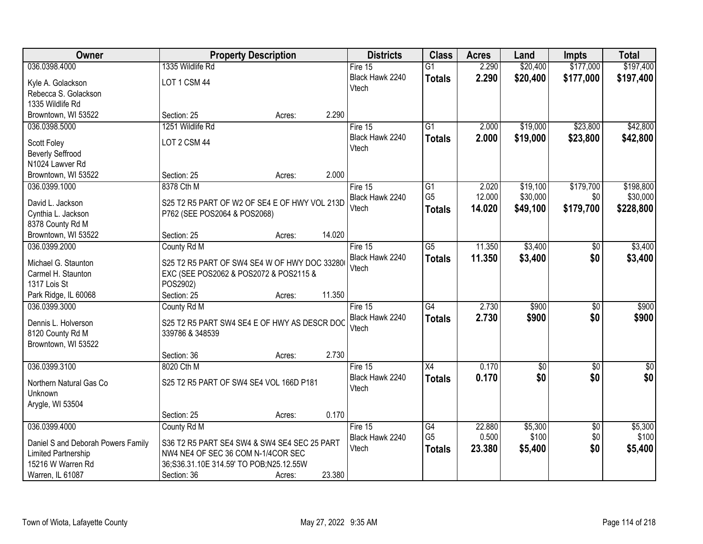| Owner                                     |                                               | <b>Property Description</b> |        | <b>Districts</b> | <b>Class</b>    | <b>Acres</b> | Land       | Impts           | <b>Total</b> |
|-------------------------------------------|-----------------------------------------------|-----------------------------|--------|------------------|-----------------|--------------|------------|-----------------|--------------|
| 036.0398.4000                             | 1335 Wildlife Rd                              |                             |        | Fire $15$        | $\overline{G1}$ | 2.290        | \$20,400   | \$177,000       | \$197,400    |
| Kyle A. Golackson                         | LOT 1 CSM 44                                  |                             |        | Black Hawk 2240  | <b>Totals</b>   | 2.290        | \$20,400   | \$177,000       | \$197,400    |
| Rebecca S. Golackson                      |                                               |                             |        | Vtech            |                 |              |            |                 |              |
| 1335 Wildlife Rd                          |                                               |                             |        |                  |                 |              |            |                 |              |
| Browntown, WI 53522                       | Section: 25                                   | Acres:                      | 2.290  |                  |                 |              |            |                 |              |
| 036.0398.5000                             | 1251 Wildlife Rd                              |                             |        | Fire $15$        | $\overline{G1}$ | 2.000        | \$19,000   | \$23,800        | \$42,800     |
|                                           |                                               |                             |        | Black Hawk 2240  | <b>Totals</b>   | 2.000        | \$19,000   | \$23,800        | \$42,800     |
| Scott Foley                               | LOT 2 CSM 44                                  |                             |        | Vtech            |                 |              |            |                 |              |
| <b>Beverly Seffrood</b>                   |                                               |                             |        |                  |                 |              |            |                 |              |
| N1024 Lawver Rd                           |                                               |                             | 2.000  |                  |                 |              |            |                 |              |
| Browntown, WI 53522                       | Section: 25                                   | Acres:                      |        |                  |                 |              |            |                 |              |
| 036.0399.1000                             | 8378 Cth M                                    |                             |        | Fire 15          | $\overline{G1}$ | 2.020        | \$19,100   | \$179,700       | \$198,800    |
| David L. Jackson                          | S25 T2 R5 PART OF W2 OF SE4 E OF HWY VOL 213D |                             |        | Black Hawk 2240  | G <sub>5</sub>  | 12.000       | \$30,000   | \$0             | \$30,000     |
| Cynthia L. Jackson                        | P762 (SEE POS2064 & POS2068)                  |                             |        | Vtech            | <b>Totals</b>   | 14.020       | \$49,100   | \$179,700       | \$228,800    |
| 8378 County Rd M                          |                                               |                             |        |                  |                 |              |            |                 |              |
| Browntown, WI 53522                       | Section: 25                                   | Acres:                      | 14.020 |                  |                 |              |            |                 |              |
| 036.0399.2000                             | County Rd M                                   |                             |        | Fire 15          | $\overline{G5}$ | 11.350       | \$3,400    | $\sqrt[6]{}$    | \$3,400      |
|                                           | S25 T2 R5 PART OF SW4 SE4 W OF HWY DOC 33280  |                             |        | Black Hawk 2240  | <b>Totals</b>   | 11.350       | \$3,400    | \$0             | \$3,400      |
| Michael G. Staunton<br>Carmel H. Staunton | EXC (SEE POS2062 & POS2072 & POS2115 &        |                             |        | Vtech            |                 |              |            |                 |              |
| 1317 Lois St                              | POS2902)                                      |                             |        |                  |                 |              |            |                 |              |
| Park Ridge, IL 60068                      | Section: 25                                   | Acres:                      | 11.350 |                  |                 |              |            |                 |              |
| 036.0399.3000                             | County Rd M                                   |                             |        | Fire $15$        | G4              | 2.730        | \$900      | $\overline{50}$ | \$900        |
|                                           |                                               |                             |        | Black Hawk 2240  |                 | 2.730        | \$900      | \$0             | \$900        |
| Dennis L. Holverson                       | S25 T2 R5 PART SW4 SE4 E OF HWY AS DESCR DOC  |                             |        | Vtech            | <b>Totals</b>   |              |            |                 |              |
| 8120 County Rd M                          | 339786 & 348539                               |                             |        |                  |                 |              |            |                 |              |
| Browntown, WI 53522                       |                                               |                             |        |                  |                 |              |            |                 |              |
|                                           | Section: 36                                   | Acres:                      | 2.730  |                  |                 |              |            |                 |              |
| 036.0399.3100                             | 8020 Cth M                                    |                             |        | Fire 15          | X4              | 0.170        | $\sqrt{6}$ | $\overline{50}$ | $\sqrt{30}$  |
| Northern Natural Gas Co                   | S25 T2 R5 PART OF SW4 SE4 VOL 166D P181       |                             |        | Black Hawk 2240  | <b>Totals</b>   | 0.170        | \$0        | \$0             | \$0          |
| Unknown                                   |                                               |                             |        | Vtech            |                 |              |            |                 |              |
| Arygle, WI 53504                          |                                               |                             |        |                  |                 |              |            |                 |              |
|                                           | Section: 25                                   | Acres:                      | 0.170  |                  |                 |              |            |                 |              |
| 036.0399.4000                             | County Rd M                                   |                             |        | Fire $15$        | G4              | 22.880       | \$5,300    | $\overline{50}$ | \$5,300      |
|                                           |                                               |                             |        | Black Hawk 2240  | G <sub>5</sub>  | 0.500        | \$100      | \$0             | \$100        |
| Daniel S and Deborah Powers Family        | S36 T2 R5 PART SE4 SW4 & SW4 SE4 SEC 25 PART  |                             |        | Vtech            | <b>Totals</b>   | 23.380       | \$5,400    | \$0             | \$5,400      |
| Limited Partnership                       | NW4 NE4 OF SEC 36 COM N-1/4COR SEC            |                             |        |                  |                 |              |            |                 |              |
| 15216 W Warren Rd                         | 36;S36.31.10E 314.59' TO POB;N25.12.55W       |                             |        |                  |                 |              |            |                 |              |
| Warren, IL 61087                          | Section: 36                                   | Acres:                      | 23.380 |                  |                 |              |            |                 |              |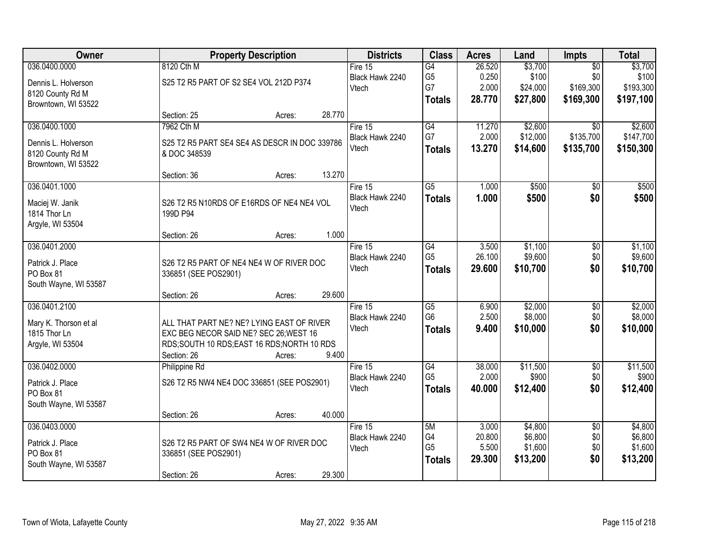| Owner                 | <b>Property Description</b>                   | <b>Districts</b> | <b>Class</b>    | <b>Acres</b> | Land     | <b>Impts</b>    | <b>Total</b> |
|-----------------------|-----------------------------------------------|------------------|-----------------|--------------|----------|-----------------|--------------|
| 036.0400.0000         | 8120 Cth M                                    | Fire $15$        | G4              | 26.520       | \$3,700  | $\overline{50}$ | \$3,700      |
| Dennis L. Holverson   | S25 T2 R5 PART OF S2 SE4 VOL 212D P374        | Black Hawk 2240  | G <sub>5</sub>  | 0.250        | \$100    | \$0             | \$100        |
| 8120 County Rd M      |                                               | Vtech            | G7              | 2.000        | \$24,000 | \$169,300       | \$193,300    |
| Browntown, WI 53522   |                                               |                  | <b>Totals</b>   | 28.770       | \$27,800 | \$169,300       | \$197,100    |
|                       | Section: 25<br>Acres:                         | 28.770           |                 |              |          |                 |              |
| 036.0400.1000         | 7962 Cth M                                    | Fire 15          | G4              | 11.270       | \$2,600  | $\overline{50}$ | \$2,600      |
| Dennis L. Holverson   | S25 T2 R5 PART SE4 SE4 AS DESCR IN DOC 339786 | Black Hawk 2240  | G7              | 2.000        | \$12,000 | \$135,700       | \$147,700    |
| 8120 County Rd M      | & DOC 348539                                  | Vtech            | <b>Totals</b>   | 13.270       | \$14,600 | \$135,700       | \$150,300    |
| Browntown, WI 53522   |                                               |                  |                 |              |          |                 |              |
|                       | Section: 36<br>Acres:                         | 13.270           |                 |              |          |                 |              |
| 036.0401.1000         |                                               | Fire 15          | $\overline{G5}$ | 1.000        | \$500    | \$0             | \$500        |
| Maciej W. Janik       | S26 T2 R5 N10RDS OF E16RDS OF NE4 NE4 VOL     | Black Hawk 2240  | <b>Totals</b>   | 1.000        | \$500    | \$0             | \$500        |
| 1814 Thor Ln          | 199D P94                                      | Vtech            |                 |              |          |                 |              |
| Argyle, WI 53504      |                                               |                  |                 |              |          |                 |              |
|                       | Section: 26<br>Acres:                         | 1.000            |                 |              |          |                 |              |
| 036.0401.2000         |                                               | Fire 15          | G4              | 3.500        | \$1,100  | \$0             | \$1,100      |
| Patrick J. Place      | S26 T2 R5 PART OF NE4 NE4 W OF RIVER DOC      | Black Hawk 2240  | G <sub>5</sub>  | 26.100       | \$9,600  | \$0             | \$9,600      |
| PO Box 81             | 336851 (SEE POS2901)                          | Vtech            | <b>Totals</b>   | 29.600       | \$10,700 | \$0             | \$10,700     |
| South Wayne, WI 53587 |                                               |                  |                 |              |          |                 |              |
|                       | Section: 26<br>Acres:                         | 29.600           |                 |              |          |                 |              |
| 036.0401.2100         |                                               | Fire $15$        | $\overline{G5}$ | 6.900        | \$2,000  | $\overline{50}$ | \$2,000      |
| Mary K. Thorson et al | ALL THAT PART NE? NE? LYING EAST OF RIVER     | Black Hawk 2240  | G <sub>6</sub>  | 2.500        | \$8,000  | \$0             | \$8,000      |
| 1815 Thor Ln          | EXC BEG NECOR SAID NE? SEC 26; WEST 16        | Vtech            | <b>Totals</b>   | 9.400        | \$10,000 | \$0             | \$10,000     |
| Argyle, WI 53504      | RDS;SOUTH 10 RDS;EAST 16 RDS;NORTH 10 RDS     |                  |                 |              |          |                 |              |
|                       | Section: 26<br>Acres:                         | 9.400            |                 |              |          |                 |              |
| 036.0402.0000         | Philippine Rd                                 | Fire $15$        | G4              | 38.000       | \$11,500 | $\overline{50}$ | \$11,500     |
| Patrick J. Place      | S26 T2 R5 NW4 NE4 DOC 336851 (SEE POS2901)    | Black Hawk 2240  | G <sub>5</sub>  | 2.000        | \$900    | \$0             | \$900        |
| PO Box 81             |                                               | Vtech            | <b>Totals</b>   | 40.000       | \$12,400 | \$0             | \$12,400     |
| South Wayne, WI 53587 |                                               |                  |                 |              |          |                 |              |
|                       | Section: 26<br>Acres:                         | 40.000           |                 |              |          |                 |              |
| 036.0403.0000         |                                               | Fire $15$        | 5M              | 3.000        | \$4,800  | $\overline{50}$ | \$4,800      |
| Patrick J. Place      | S26 T2 R5 PART OF SW4 NE4 W OF RIVER DOC      | Black Hawk 2240  | G4              | 20.800       | \$6,800  | \$0             | \$6,800      |
| PO Box 81             | 336851 (SEE POS2901)                          | Vtech            | G <sub>5</sub>  | 5.500        | \$1,600  | \$0             | \$1,600      |
| South Wayne, WI 53587 |                                               |                  | <b>Totals</b>   | 29.300       | \$13,200 | \$0             | \$13,200     |
|                       | Section: 26<br>Acres:                         | 29.300           |                 |              |          |                 |              |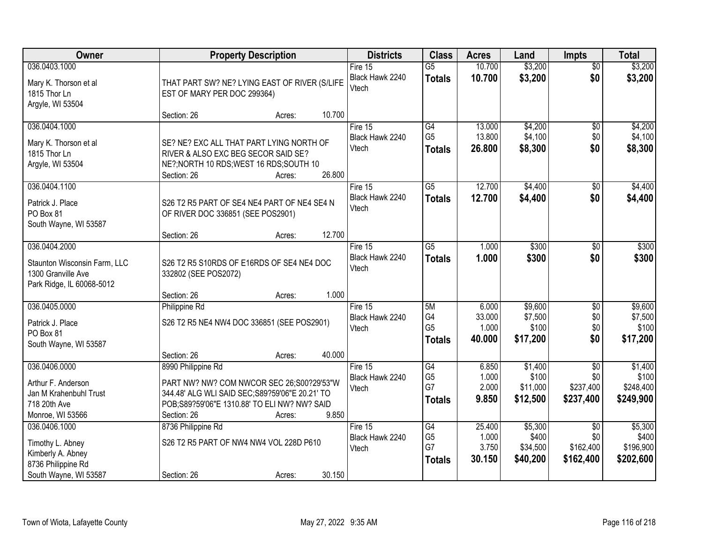| Owner                                              |                                                                   | <b>Property Description</b> |        |                            | <b>Class</b>                     | <b>Acres</b>     | Land                 | <b>Impts</b>           | <b>Total</b>           |
|----------------------------------------------------|-------------------------------------------------------------------|-----------------------------|--------|----------------------------|----------------------------------|------------------|----------------------|------------------------|------------------------|
| 036.0403.1000                                      |                                                                   |                             |        | Fire 15<br>Black Hawk 2240 | $\overline{G5}$<br><b>Totals</b> | 10.700<br>10.700 | \$3,200<br>\$3,200   | $\overline{50}$<br>\$0 | \$3,200<br>\$3,200     |
| Mary K. Thorson et al<br>1815 Thor Ln              | THAT PART SW? NE? LYING EAST OF RIVER (S/LIFE                     |                             |        | Vtech                      |                                  |                  |                      |                        |                        |
| Argyle, WI 53504                                   | EST OF MARY PER DOC 299364)                                       |                             |        |                            |                                  |                  |                      |                        |                        |
|                                                    | Section: 26                                                       | Acres:                      | 10.700 |                            |                                  |                  |                      |                        |                        |
| 036.0404.1000                                      |                                                                   |                             |        | Fire $15$                  | G4                               | 13.000           | \$4,200              | $\overline{50}$        | \$4,200                |
| Mary K. Thorson et al                              | SE? NE? EXC ALL THAT PART LYING NORTH OF                          |                             |        | Black Hawk 2240<br>Vtech   | G <sub>5</sub><br><b>Totals</b>  | 13.800<br>26.800 | \$4,100<br>\$8,300   | \$0<br>\$0             | \$4,100<br>\$8,300     |
| 1815 Thor Ln                                       | RIVER & ALSO EXC BEG SECOR SAID SE?                               |                             |        |                            |                                  |                  |                      |                        |                        |
| Argyle, WI 53504                                   | NE?; NORTH 10 RDS; WEST 16 RDS; SOUTH 10<br>Section: 26           | Acres:                      | 26.800 |                            |                                  |                  |                      |                        |                        |
| 036.0404.1100                                      |                                                                   |                             |        | Fire 15                    | $\overline{G5}$                  | 12.700           | \$4,400              | \$0                    | \$4,400                |
| Patrick J. Place                                   | S26 T2 R5 PART OF SE4 NE4 PART OF NE4 SE4 N                       |                             |        | Black Hawk 2240            | <b>Totals</b>                    | 12.700           | \$4,400              | \$0                    | \$4,400                |
| PO Box 81                                          | OF RIVER DOC 336851 (SEE POS2901)                                 |                             |        | Vtech                      |                                  |                  |                      |                        |                        |
| South Wayne, WI 53587                              |                                                                   |                             |        |                            |                                  |                  |                      |                        |                        |
| 036.0404.2000                                      | Section: 26                                                       | Acres:                      | 12.700 | Fire 15                    | $\overline{G5}$                  | 1.000            | \$300                | \$0                    | \$300                  |
|                                                    |                                                                   |                             |        | Black Hawk 2240            | <b>Totals</b>                    | 1.000            | \$300                | \$0                    | \$300                  |
| Staunton Wisconsin Farm, LLC<br>1300 Granville Ave | S26 T2 R5 S10RDS OF E16RDS OF SE4 NE4 DOC<br>332802 (SEE POS2072) |                             |        | Vtech                      |                                  |                  |                      |                        |                        |
| Park Ridge, IL 60068-5012                          |                                                                   |                             |        |                            |                                  |                  |                      |                        |                        |
|                                                    | Section: 26                                                       | Acres:                      | 1.000  |                            |                                  |                  |                      |                        |                        |
| 036.0405.0000                                      | Philippine Rd                                                     |                             |        | Fire $15$                  | 5M                               | 6.000            | \$9,600              | \$0                    | \$9,600                |
| Patrick J. Place                                   | S26 T2 R5 NE4 NW4 DOC 336851 (SEE POS2901)                        |                             |        | Black Hawk 2240<br>Vtech   | G4<br>G <sub>5</sub>             | 33.000<br>1.000  | \$7,500<br>\$100     | \$0<br>\$0             | \$7,500<br>\$100       |
| PO Box 81                                          |                                                                   |                             |        |                            | <b>Totals</b>                    | 40.000           | \$17,200             | \$0                    | \$17,200               |
| South Wayne, WI 53587                              | Section: 26                                                       | Acres:                      | 40.000 |                            |                                  |                  |                      |                        |                        |
| 036.0406.0000                                      | 8990 Philippine Rd                                                |                             |        | Fire 15                    | $\overline{G4}$                  | 6.850            | \$1,400              | $\overline{50}$        | \$1,400                |
| Arthur F. Anderson                                 | PART NW? NW? COM NWCOR SEC 26;S00?29'53"W                         |                             |        | Black Hawk 2240            | G <sub>5</sub>                   | 1.000            | \$100                | \$0                    | \$100                  |
| Jan M Krahenbuhl Trust                             | 344.48' ALG WLI SAID SEC; S89?59'06"E 20.21' TO                   |                             |        | Vtech                      | G7                               | 2.000<br>9.850   | \$11,000<br>\$12,500 | \$237,400<br>\$237,400 | \$248,400<br>\$249,900 |
| 718 20th Ave                                       | POB;S89?59'06"E 1310.88' TO ELI NW? NW? SAID                      |                             |        |                            | <b>Totals</b>                    |                  |                      |                        |                        |
| Monroe, WI 53566                                   | Section: 26                                                       | Acres:                      | 9.850  |                            |                                  |                  |                      |                        |                        |
| 036.0406.1000                                      | 8736 Philippine Rd                                                |                             |        | Fire 15<br>Black Hawk 2240 | G4<br>G <sub>5</sub>             | 25.400<br>1.000  | \$5,300<br>\$400     | $\overline{30}$<br>\$0 | \$5,300<br>\$400       |
| Timothy L. Abney                                   | S26 T2 R5 PART OF NW4 NW4 VOL 228D P610                           |                             |        | Vtech                      | G7                               | 3.750            | \$34,500             | \$162,400              | \$196,900              |
| Kimberly A. Abney<br>8736 Philippine Rd            |                                                                   |                             |        |                            | <b>Totals</b>                    | 30.150           | \$40,200             | \$162,400              | \$202,600              |
| South Wayne, WI 53587                              | Section: 26                                                       | Acres:                      | 30.150 |                            |                                  |                  |                      |                        |                        |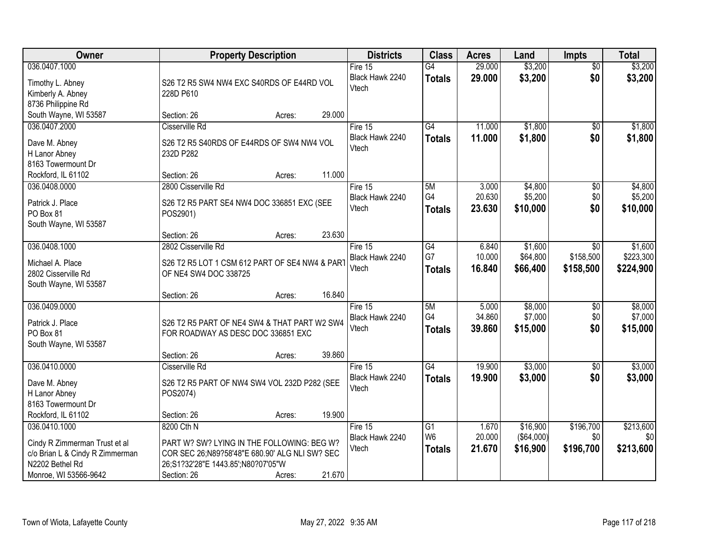| Owner                                                                                                                         | <b>Property Description</b>                                                                                                                                                         | <b>Districts</b>                      | <b>Class</b>                          | <b>Acres</b>              | Land                                | <b>Impts</b>                         | <b>Total</b>                      |
|-------------------------------------------------------------------------------------------------------------------------------|-------------------------------------------------------------------------------------------------------------------------------------------------------------------------------------|---------------------------------------|---------------------------------------|---------------------------|-------------------------------------|--------------------------------------|-----------------------------------|
| 036.0407.1000<br>Timothy L. Abney<br>Kimberly A. Abney<br>8736 Philippine Rd                                                  | S26 T2 R5 SW4 NW4 EXC S40RDS OF E44RD VOL<br>228D P610                                                                                                                              | Fire $15$<br>Black Hawk 2240<br>Vtech | $\overline{G4}$<br><b>Totals</b>      | 29.000<br>29.000          | \$3,200<br>\$3,200                  | $\overline{50}$<br>\$0               | \$3,200<br>\$3,200                |
| South Wayne, WI 53587                                                                                                         | 29.000<br>Section: 26<br>Acres:                                                                                                                                                     |                                       |                                       |                           |                                     |                                      |                                   |
| 036.0407.2000<br>Dave M. Abney<br>H Lanor Abney<br>8163 Towermount Dr                                                         | Cisserville Rd<br>S26 T2 R5 S40RDS OF E44RDS OF SW4 NW4 VOL<br>232D P282                                                                                                            | Fire 15<br>Black Hawk 2240<br>Vtech   | G4<br><b>Totals</b>                   | 11.000<br>11.000          | \$1,800<br>\$1,800                  | \$0<br>\$0                           | \$1,800<br>\$1,800                |
| Rockford, IL 61102<br>036.0408.0000                                                                                           | 11.000<br>Section: 26<br>Acres:<br>2800 Cisserville Rd                                                                                                                              | Fire 15                               | 5M                                    | 3.000                     | \$4,800                             | \$0                                  | \$4,800                           |
| Patrick J. Place<br>PO Box 81<br>South Wayne, WI 53587                                                                        | S26 T2 R5 PART SE4 NW4 DOC 336851 EXC (SEE<br>POS2901)                                                                                                                              | Black Hawk 2240<br>Vtech              | G4<br>Totals                          | 20.630<br>23.630          | \$5,200<br>\$10,000                 | \$0<br>\$0                           | \$5,200<br>\$10,000               |
|                                                                                                                               | 23.630<br>Section: 26<br>Acres:                                                                                                                                                     |                                       |                                       |                           |                                     |                                      |                                   |
| 036.0408.1000<br>Michael A. Place<br>2802 Cisserville Rd<br>South Wayne, WI 53587                                             | 2802 Cisserville Rd<br>S26 T2 R5 LOT 1 CSM 612 PART OF SE4 NW4 & PART<br>OF NE4 SW4 DOC 338725                                                                                      | Fire 15<br>Black Hawk 2240<br>Vtech   | G4<br>G7<br><b>Totals</b>             | 6.840<br>10.000<br>16.840 | \$1,600<br>\$64,800<br>\$66,400     | $\sqrt{6}$<br>\$158,500<br>\$158,500 | \$1,600<br>\$223,300<br>\$224,900 |
|                                                                                                                               | 16.840<br>Section: 26<br>Acres:                                                                                                                                                     |                                       |                                       |                           |                                     |                                      |                                   |
| 036.0409.0000<br>Patrick J. Place<br>PO Box 81<br>South Wayne, WI 53587                                                       | S26 T2 R5 PART OF NE4 SW4 & THAT PART W2 SW4<br>FOR ROADWAY AS DESC DOC 336851 EXC                                                                                                  | Fire 15<br>Black Hawk 2240<br>Vtech   | 5M<br>G4<br><b>Totals</b>             | 5.000<br>34.860<br>39.860 | \$8,000<br>\$7,000<br>\$15,000      | \$0<br>\$0<br>\$0                    | \$8,000<br>\$7,000<br>\$15,000    |
|                                                                                                                               | 39.860<br>Section: 26<br>Acres:                                                                                                                                                     |                                       |                                       |                           |                                     |                                      |                                   |
| 036.0410.0000<br>Dave M. Abney<br>H Lanor Abney<br>8163 Towermount Dr                                                         | Cisserville Rd<br>S26 T2 R5 PART OF NW4 SW4 VOL 232D P282 (SEE<br>POS2074)                                                                                                          | Fire 15<br>Black Hawk 2240<br>Vtech   | $\overline{G4}$<br><b>Totals</b>      | 19.900<br>19.900          | \$3,000<br>\$3,000                  | $\overline{50}$<br>\$0               | \$3,000<br>\$3,000                |
| Rockford, IL 61102                                                                                                            | 19.900<br>Section: 26<br>Acres:                                                                                                                                                     |                                       |                                       |                           |                                     |                                      |                                   |
| 036.0410.1000<br>Cindy R Zimmerman Trust et al<br>c/o Brian L & Cindy R Zimmerman<br>N2202 Bethel Rd<br>Monroe, WI 53566-9642 | 8200 Cth N<br>PART W? SW? LYING IN THE FOLLOWING: BEG W?<br>COR SEC 26:N89?58'48"E 680.90' ALG NLI SW? SEC<br>26;S1?32'28"E 1443.85';N80?07'05"W<br>Section: 26<br>21.670<br>Acres: | Fire 15<br>Black Hawk 2240<br>Vtech   | G1<br>W <sub>6</sub><br><b>Totals</b> | 1.670<br>20.000<br>21.670 | \$16,900<br>( \$64,000)<br>\$16,900 | \$196,700<br>\$0<br>\$196,700        | \$213,600<br>\$0<br>\$213,600     |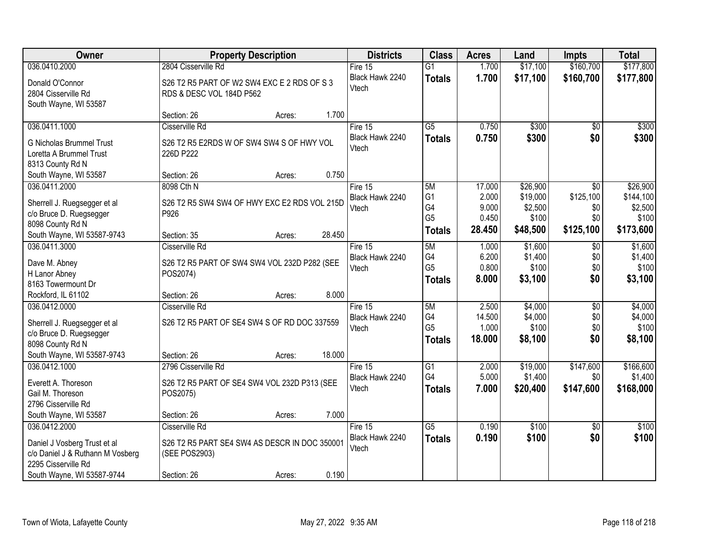| Owner                                                                                                                                  | <b>Property Description</b>                                                                                        | <b>Districts</b>                      | <b>Class</b>                                 | <b>Acres</b>                       | Land                                     | <b>Impts</b>                               | <b>Total</b>                              |
|----------------------------------------------------------------------------------------------------------------------------------------|--------------------------------------------------------------------------------------------------------------------|---------------------------------------|----------------------------------------------|------------------------------------|------------------------------------------|--------------------------------------------|-------------------------------------------|
| 036.0410.2000                                                                                                                          | 2804 Cisserville Rd                                                                                                | Fire $15$                             | $\overline{G1}$                              | 1.700                              | \$17,100                                 | \$160,700                                  | \$177,800                                 |
| Donald O'Connor<br>2804 Cisserville Rd<br>South Wayne, WI 53587                                                                        | S26 T2 R5 PART OF W2 SW4 EXC E 2 RDS OF S 3<br>RDS & DESC VOL 184D P562                                            | Black Hawk 2240<br>Vtech              | <b>Totals</b>                                | 1.700                              | \$17,100                                 | \$160,700                                  | \$177,800                                 |
|                                                                                                                                        | 1.700<br>Section: 26<br>Acres:                                                                                     |                                       |                                              |                                    |                                          |                                            |                                           |
| 036.0411.1000<br><b>G Nicholas Brummel Trust</b>                                                                                       | Cisserville Rd<br>S26 T2 R5 E2RDS W OF SW4 SW4 S OF HWY VOL                                                        | Fire 15<br>Black Hawk 2240<br>Vtech   | $\overline{G5}$<br><b>Totals</b>             | 0.750<br>0.750                     | \$300<br>\$300                           | \$0<br>\$0                                 | \$300<br>\$300                            |
| Loretta A Brummel Trust<br>8313 County Rd N                                                                                            | 226D P222                                                                                                          |                                       |                                              |                                    |                                          |                                            |                                           |
| South Wayne, WI 53587                                                                                                                  | 0.750<br>Section: 26<br>Acres:                                                                                     |                                       |                                              |                                    |                                          |                                            |                                           |
| 036.0411.2000<br>Sherrell J. Ruegsegger et al<br>c/o Bruce D. Ruegsegger<br>8098 County Rd N                                           | 8098 Cth N<br>S26 T2 R5 SW4 SW4 OF HWY EXC E2 RDS VOL 215D<br>P926                                                 | Fire 15<br>Black Hawk 2240<br>Vtech   | 5M<br>G <sub>1</sub><br>G4<br>G <sub>5</sub> | 17.000<br>2.000<br>9.000<br>0.450  | \$26,900<br>\$19,000<br>\$2,500<br>\$100 | $\overline{50}$<br>\$125,100<br>\$0<br>\$0 | \$26,900<br>\$144,100<br>\$2,500<br>\$100 |
| South Wayne, WI 53587-9743                                                                                                             | 28.450<br>Section: 35<br>Acres:                                                                                    |                                       | <b>Totals</b>                                | 28.450                             | \$48,500                                 | \$125,100                                  | \$173,600                                 |
| 036.0411.3000<br>Dave M. Abney<br>H Lanor Abney<br>8163 Towermount Dr                                                                  | Cisserville Rd<br>S26 T2 R5 PART OF SW4 SW4 VOL 232D P282 (SEE<br>POS2074)                                         | Fire 15<br>Black Hawk 2240<br>Vtech   | 5M<br>G4<br>G <sub>5</sub><br><b>Totals</b>  | 1.000<br>6.200<br>0.800<br>8.000   | \$1,600<br>\$1,400<br>\$100<br>\$3,100   | $\sqrt[6]{3}$<br>\$0<br>\$0<br>\$0         | \$1,600<br>\$1,400<br>\$100<br>\$3,100    |
| Rockford, IL 61102                                                                                                                     | 8.000<br>Section: 26<br>Acres:                                                                                     |                                       |                                              |                                    |                                          |                                            |                                           |
| 036.0412.0000<br>Sherrell J. Ruegsegger et al<br>c/o Bruce D. Ruegsegger<br>8098 County Rd N                                           | Cisserville Rd<br>S26 T2 R5 PART OF SE4 SW4 S OF RD DOC 337559                                                     | Fire 15<br>Black Hawk 2240<br>Vtech   | 5M<br>G4<br>G <sub>5</sub><br><b>Totals</b>  | 2.500<br>14.500<br>1.000<br>18.000 | \$4,000<br>\$4,000<br>\$100<br>\$8,100   | $\overline{50}$<br>\$0<br>\$0<br>\$0       | \$4,000<br>\$4,000<br>\$100<br>\$8,100    |
| South Wayne, WI 53587-9743                                                                                                             | 18.000<br>Section: 26<br>Acres:                                                                                    |                                       |                                              |                                    |                                          |                                            |                                           |
| 036.0412.1000<br>Everett A. Thoreson<br>Gail M. Thoreson<br>2796 Cisserville Rd                                                        | 2796 Cisserville Rd<br>S26 T2 R5 PART OF SE4 SW4 VOL 232D P313 (SEE<br>POS2075)                                    | Fire 15<br>Black Hawk 2240<br>Vtech   | G1<br>G4<br><b>Totals</b>                    | 2.000<br>5.000<br>7.000            | \$19,000<br>\$1,400<br>\$20,400          | \$147,600<br>\$0<br>\$147,600              | \$166,600<br>\$1,400<br>\$168,000         |
| South Wayne, WI 53587                                                                                                                  | 7.000<br>Section: 26<br>Acres:                                                                                     |                                       |                                              |                                    |                                          |                                            |                                           |
| 036.0412.2000<br>Daniel J Vosberg Trust et al<br>c/o Daniel J & Ruthann M Vosberg<br>2295 Cisserville Rd<br>South Wayne, WI 53587-9744 | Cisserville Rd<br>S26 T2 R5 PART SE4 SW4 AS DESCR IN DOC 350001<br>(SEE POS2903)<br>0.190<br>Section: 26<br>Acres: | Fire $15$<br>Black Hawk 2240<br>Vtech | $\overline{G5}$<br><b>Totals</b>             | 0.190<br>0.190                     | \$100<br>\$100                           | $\overline{30}$<br>\$0                     | \$100<br>\$100                            |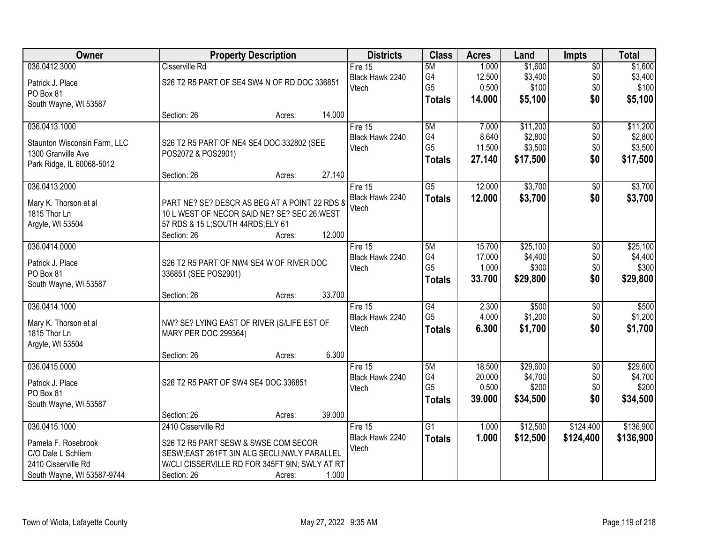| Owner                        | <b>Property Description</b>                    |        |        | <b>Districts</b> | <b>Class</b>    | <b>Acres</b> | Land     | <b>Impts</b>    | <b>Total</b> |
|------------------------------|------------------------------------------------|--------|--------|------------------|-----------------|--------------|----------|-----------------|--------------|
| 036.0412.3000                | Cisserville Rd                                 |        |        | Fire $15$        | 5M              | 1.000        | \$1,600  | $\overline{$0}$ | \$1,600      |
| Patrick J. Place             | S26 T2 R5 PART OF SE4 SW4 N OF RD DOC 336851   |        |        | Black Hawk 2240  | G4              | 12.500       | \$3,400  | \$0             | \$3,400      |
| PO Box 81                    |                                                |        |        | Vtech            | G <sub>5</sub>  | 0.500        | \$100    | \$0             | \$100        |
| South Wayne, WI 53587        |                                                |        |        |                  | <b>Totals</b>   | 14.000       | \$5,100  | \$0             | \$5,100      |
|                              | Section: 26                                    | Acres: | 14.000 |                  |                 |              |          |                 |              |
| 036.0413.1000                |                                                |        |        | Fire 15          | 5M              | 7.000        | \$11,200 | $\overline{50}$ | \$11,200     |
| Staunton Wisconsin Farm, LLC | S26 T2 R5 PART OF NE4 SE4 DOC 332802 (SEE      |        |        | Black Hawk 2240  | G4              | 8.640        | \$2,800  | \$0             | \$2,800      |
| 1300 Granville Ave           | POS2072 & POS2901)                             |        |        | Vtech            | G <sub>5</sub>  | 11.500       | \$3,500  | \$0             | \$3,500      |
| Park Ridge, IL 60068-5012    |                                                |        |        |                  | <b>Totals</b>   | 27.140       | \$17,500 | \$0             | \$17,500     |
|                              | Section: 26                                    | Acres: | 27.140 |                  |                 |              |          |                 |              |
| 036.0413.2000                |                                                |        |        | Fire 15          | $\overline{G5}$ | 12.000       | \$3,700  | \$0             | \$3,700      |
| Mary K. Thorson et al        | PART NE? SE? DESCR AS BEG AT A POINT 22 RDS 8  |        |        | Black Hawk 2240  | <b>Totals</b>   | 12.000       | \$3,700  | \$0             | \$3,700      |
| 1815 Thor Ln                 | 10 L WEST OF NECOR SAID NE? SE? SEC 26; WEST   |        |        | Vtech            |                 |              |          |                 |              |
| Argyle, WI 53504             | 57 RDS & 15 L; SOUTH 44RDS; ELY 61             |        |        |                  |                 |              |          |                 |              |
|                              | Section: 26                                    | Acres: | 12.000 |                  |                 |              |          |                 |              |
| 036.0414.0000                |                                                |        |        | Fire 15          | 5M              | 15.700       | \$25,100 | \$0             | \$25,100     |
| Patrick J. Place             | S26 T2 R5 PART OF NW4 SE4 W OF RIVER DOC       |        |        | Black Hawk 2240  | G4              | 17.000       | \$4,400  | \$0             | \$4,400      |
| PO Box 81                    | 336851 (SEE POS2901)                           |        |        | Vtech            | G <sub>5</sub>  | 1.000        | \$300    | \$0             | \$300        |
| South Wayne, WI 53587        |                                                |        |        |                  | <b>Totals</b>   | 33.700       | \$29,800 | \$0             | \$29,800     |
|                              | Section: 26                                    | Acres: | 33.700 |                  |                 |              |          |                 |              |
| 036.0414.1000                |                                                |        |        | Fire 15          | G4              | 2.300        | \$500    | $\overline{50}$ | \$500        |
| Mary K. Thorson et al        | NW? SE? LYING EAST OF RIVER (S/LIFE EST OF     |        |        | Black Hawk 2240  | G <sub>5</sub>  | 4.000        | \$1,200  | \$0             | \$1,200      |
| 1815 Thor Ln                 | MARY PER DOC 299364)                           |        |        | Vtech            | <b>Totals</b>   | 6.300        | \$1,700  | \$0             | \$1,700      |
| Argyle, WI 53504             |                                                |        |        |                  |                 |              |          |                 |              |
|                              | Section: 26                                    | Acres: | 6.300  |                  |                 |              |          |                 |              |
| 036.0415.0000                |                                                |        |        | Fire $15$        | 5M              | 18.500       | \$29,600 | $\overline{50}$ | \$29,600     |
| Patrick J. Place             | S26 T2 R5 PART OF SW4 SE4 DOC 336851           |        |        | Black Hawk 2240  | G4              | 20.000       | \$4,700  | \$0             | \$4,700      |
| PO Box 81                    |                                                |        |        | Vtech            | G <sub>5</sub>  | 0.500        | \$200    | \$0             | \$200        |
| South Wayne, WI 53587        |                                                |        |        |                  | <b>Totals</b>   | 39.000       | \$34,500 | \$0             | \$34,500     |
|                              | Section: 26                                    | Acres: | 39.000 |                  |                 |              |          |                 |              |
| 036.0415.1000                | 2410 Cisserville Rd                            |        |        | Fire 15          | G1              | 1.000        | \$12,500 | \$124,400       | \$136,900    |
| Pamela F. Rosebrook          | S26 T2 R5 PART SESW & SWSE COM SECOR           |        |        | Black Hawk 2240  | <b>Totals</b>   | 1.000        | \$12,500 | \$124,400       | \$136,900    |
| C/O Dale L Schliem           | SESW;EAST 261FT 3IN ALG SECLI;NWLY PARALLEL    |        |        | Vtech            |                 |              |          |                 |              |
| 2410 Cisserville Rd          | W/CLI CISSERVILLE RD FOR 345FT 9IN; SWLY AT RT |        |        |                  |                 |              |          |                 |              |
| South Wayne, WI 53587-9744   | Section: 26                                    | Acres: | 1.000  |                  |                 |              |          |                 |              |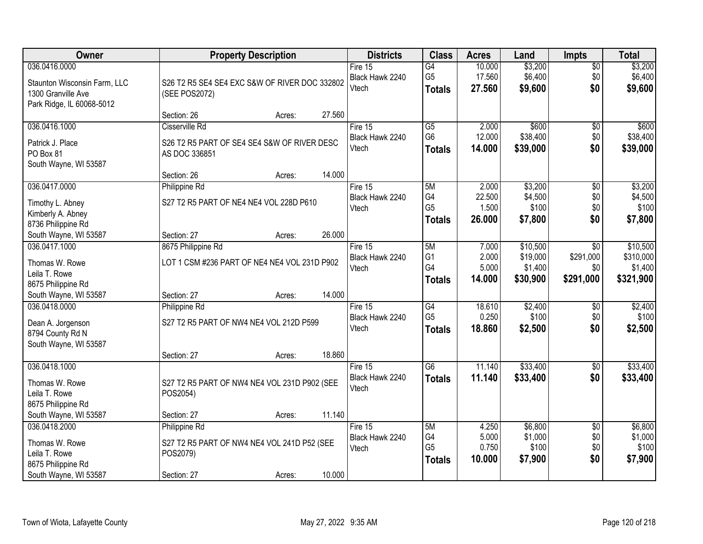| Owner                                                                                            | <b>Property Description</b>                                                                                 | <b>Districts</b>                      | <b>Class</b>                                       | <b>Acres</b>                       | Land                                        | <b>Impts</b>                         | <b>Total</b>                                  |
|--------------------------------------------------------------------------------------------------|-------------------------------------------------------------------------------------------------------------|---------------------------------------|----------------------------------------------------|------------------------------------|---------------------------------------------|--------------------------------------|-----------------------------------------------|
| 036.0416.0000<br>Staunton Wisconsin Farm, LLC<br>1300 Granville Ave<br>Park Ridge, IL 60068-5012 | S26 T2 R5 SE4 SE4 EXC S&W OF RIVER DOC 332802<br>(SEE POS2072)                                              | Fire $15$<br>Black Hawk 2240<br>Vtech | $\overline{G4}$<br>G <sub>5</sub><br><b>Totals</b> | 10.000<br>17.560<br>27.560         | \$3,200<br>\$6,400<br>\$9,600               | \$0<br>\$0<br>\$0                    | \$3,200<br>\$6,400<br>\$9,600                 |
|                                                                                                  | 27.560<br>Section: 26<br>Acres:                                                                             |                                       |                                                    |                                    |                                             |                                      |                                               |
| 036.0416.1000<br>Patrick J. Place<br>PO Box 81<br>South Wayne, WI 53587                          | Cisserville Rd<br>S26 T2 R5 PART OF SE4 SE4 S&W OF RIVER DESC<br>AS DOC 336851                              | Fire 15<br>Black Hawk 2240<br>Vtech   | $\overline{G5}$<br>G <sub>6</sub><br><b>Totals</b> | 2.000<br>12.000<br>14.000          | \$600<br>\$38,400<br>\$39,000               | \$0<br>\$0<br>\$0                    | \$600<br>\$38,400<br>\$39,000                 |
|                                                                                                  | 14.000<br>Section: 26<br>Acres:                                                                             |                                       |                                                    |                                    |                                             |                                      |                                               |
| 036.0417.0000<br>Timothy L. Abney<br>Kimberly A. Abney<br>8736 Philippine Rd                     | Philippine Rd<br>S27 T2 R5 PART OF NE4 NE4 VOL 228D P610                                                    | Fire 15<br>Black Hawk 2240<br>Vtech   | 5M<br>G4<br>G <sub>5</sub><br><b>Totals</b>        | 2.000<br>22.500<br>1.500<br>26.000 | \$3,200<br>\$4,500<br>\$100<br>\$7,800      | $\overline{50}$<br>\$0<br>\$0<br>\$0 | \$3,200<br>\$4,500<br>\$100<br>\$7,800        |
| South Wayne, WI 53587                                                                            | 26.000<br>Section: 27<br>Acres:                                                                             |                                       |                                                    |                                    |                                             |                                      |                                               |
| 036.0417.1000<br>Thomas W. Rowe<br>Leila T. Rowe<br>8675 Philippine Rd                           | 8675 Philippine Rd<br>LOT 1 CSM #236 PART OF NE4 NE4 VOL 231D P902                                          | Fire 15<br>Black Hawk 2240<br>Vtech   | 5M<br>G <sub>1</sub><br>G4<br><b>Totals</b>        | 7.000<br>2.000<br>5.000<br>14.000  | \$10,500<br>\$19,000<br>\$1,400<br>\$30,900 | \$0<br>\$291,000<br>\$0<br>\$291,000 | \$10,500<br>\$310,000<br>\$1,400<br>\$321,900 |
| South Wayne, WI 53587                                                                            | 14.000<br>Section: 27<br>Acres:                                                                             |                                       |                                                    |                                    |                                             |                                      |                                               |
| 036.0418.0000<br>Dean A. Jorgenson<br>8794 County Rd N<br>South Wayne, WI 53587                  | Philippine Rd<br>S27 T2 R5 PART OF NW4 NE4 VOL 212D P599                                                    | Fire 15<br>Black Hawk 2240<br>Vtech   | G4<br>G <sub>5</sub><br><b>Totals</b>              | 18.610<br>0.250<br>18.860          | \$2,400<br>\$100<br>\$2,500                 | \$0<br>\$0<br>\$0                    | \$2,400<br>\$100<br>\$2,500                   |
|                                                                                                  | 18.860<br>Section: 27<br>Acres:                                                                             |                                       |                                                    |                                    |                                             |                                      |                                               |
| 036.0418.1000<br>Thomas W. Rowe<br>Leila T. Rowe<br>8675 Philippine Rd                           | S27 T2 R5 PART OF NW4 NE4 VOL 231D P902 (SEE<br>POS2054)                                                    | Fire 15<br>Black Hawk 2240<br>Vtech   | $\overline{G6}$<br><b>Totals</b>                   | 11.140<br>11.140                   | \$33,400<br>\$33,400                        | $\overline{50}$<br>\$0               | \$33,400<br>\$33,400                          |
| South Wayne, WI 53587                                                                            | 11.140<br>Section: 27<br>Acres:                                                                             |                                       |                                                    |                                    |                                             |                                      |                                               |
| 036.0418.2000<br>Thomas W. Rowe<br>Leila T. Rowe<br>8675 Philippine Rd<br>South Wayne, WI 53587  | Philippine Rd<br>S27 T2 R5 PART OF NW4 NE4 VOL 241D P52 (SEE<br>POS2079)<br>10.000<br>Section: 27<br>Acres: | Fire 15<br>Black Hawk 2240<br>Vtech   | 5M<br>G4<br>G <sub>5</sub><br><b>Totals</b>        | 4.250<br>5.000<br>0.750<br>10.000  | \$6,800<br>\$1,000<br>\$100<br>\$7,900      | $\overline{50}$<br>\$0<br>\$0<br>\$0 | \$6,800<br>\$1,000<br>\$100<br>\$7,900        |
|                                                                                                  |                                                                                                             |                                       |                                                    |                                    |                                             |                                      |                                               |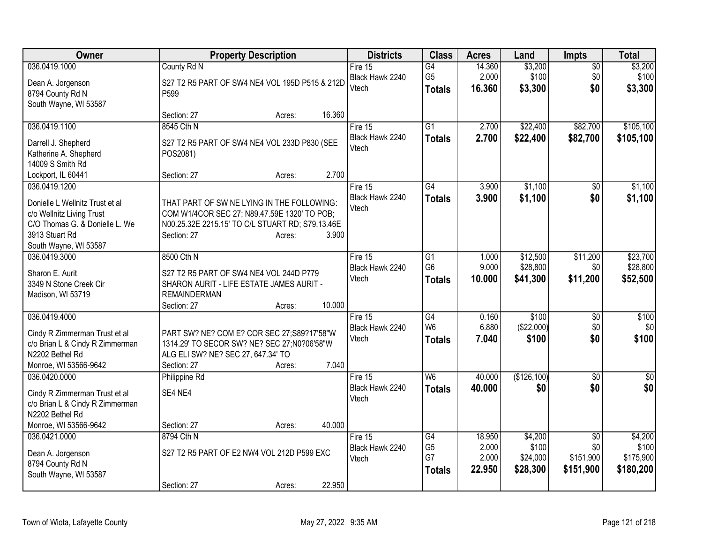| Owner                                                       | <b>Property Description</b>                                                                      |        |        | <b>Districts</b> | <b>Class</b>                      | <b>Acres</b>   | Land                | <b>Impts</b>    | <b>Total</b> |
|-------------------------------------------------------------|--------------------------------------------------------------------------------------------------|--------|--------|------------------|-----------------------------------|----------------|---------------------|-----------------|--------------|
| 036.0419.1000                                               | County Rd N                                                                                      |        |        | Fire 15          | $\overline{G4}$                   | 14.360         | \$3,200             | $\overline{50}$ | \$3,200      |
| Dean A. Jorgenson                                           | S27 T2 R5 PART OF SW4 NE4 VOL 195D P515 & 212D                                                   |        |        | Black Hawk 2240  | G <sub>5</sub>                    | 2.000          | \$100               | \$0             | \$100        |
| 8794 County Rd N                                            | P599                                                                                             |        |        | Vtech            | <b>Totals</b>                     | 16.360         | \$3,300             | \$0             | \$3,300      |
| South Wayne, WI 53587                                       |                                                                                                  |        |        |                  |                                   |                |                     |                 |              |
|                                                             | Section: 27                                                                                      | Acres: | 16.360 |                  |                                   |                |                     |                 |              |
| 036.0419.1100                                               | 8545 Cth N                                                                                       |        |        | Fire 15          | $\overline{G1}$                   | 2.700          | \$22,400            | \$82,700        | \$105,100    |
| Darrell J. Shepherd                                         | S27 T2 R5 PART OF SW4 NE4 VOL 233D P830 (SEE                                                     |        |        | Black Hawk 2240  | <b>Totals</b>                     | 2.700          | \$22,400            | \$82,700        | \$105,100    |
| Katherine A. Shepherd                                       | POS2081)                                                                                         |        |        | Vtech            |                                   |                |                     |                 |              |
| 14009 S Smith Rd                                            |                                                                                                  |        |        |                  |                                   |                |                     |                 |              |
| Lockport, IL 60441                                          | Section: 27                                                                                      | Acres: | 2.700  |                  |                                   |                |                     |                 |              |
| 036.0419.1200                                               |                                                                                                  |        |        | Fire 15          | $\overline{G4}$                   | 3.900          | \$1,100             | \$0             | \$1,100      |
|                                                             |                                                                                                  |        |        | Black Hawk 2240  | <b>Totals</b>                     | 3.900          | \$1,100             | \$0             | \$1,100      |
| Donielle L Wellnitz Trust et al                             | THAT PART OF SW NE LYING IN THE FOLLOWING:                                                       |        |        | Vtech            |                                   |                |                     |                 |              |
| c/o Wellnitz Living Trust<br>C/O Thomas G. & Donielle L. We | COM W1/4COR SEC 27; N89.47.59E 1320' TO POB;<br>N00.25.32E 2215.15' TO C/L STUART RD; S79.13.46E |        |        |                  |                                   |                |                     |                 |              |
| 3913 Stuart Rd                                              | Section: 27                                                                                      | Acres: | 3.900  |                  |                                   |                |                     |                 |              |
| South Wayne, WI 53587                                       |                                                                                                  |        |        |                  |                                   |                |                     |                 |              |
| 036.0419.3000                                               | 8500 Cth N                                                                                       |        |        | Fire 15          | G <sub>1</sub>                    | 1.000          | \$12,500            | \$11,200        | \$23,700     |
|                                                             |                                                                                                  |        |        | Black Hawk 2240  | G <sub>6</sub>                    | 9.000          | \$28,800            | \$0             | \$28,800     |
| Sharon E. Aurit                                             | S27 T2 R5 PART OF SW4 NE4 VOL 244D P779                                                          |        |        | Vtech            | <b>Totals</b>                     | 10.000         | \$41,300            | \$11,200        | \$52,500     |
| 3349 N Stone Creek Cir                                      | SHARON AURIT - LIFE ESTATE JAMES AURIT -                                                         |        |        |                  |                                   |                |                     |                 |              |
| Madison, WI 53719                                           | <b>REMAINDERMAN</b>                                                                              |        |        |                  |                                   |                |                     |                 |              |
| 036.0419.4000                                               | Section: 27                                                                                      | Acres: | 10.000 | Fire $15$        |                                   |                |                     |                 |              |
|                                                             |                                                                                                  |        |        | Black Hawk 2240  | $\overline{G4}$<br>W <sub>6</sub> | 0.160<br>6.880 | \$100<br>(\$22,000) | \$0<br>\$0      | \$100<br>\$0 |
| Cindy R Zimmerman Trust et al                               | PART SW? NE? COM E? COR SEC 27;S89?17'58"W                                                       |        |        | Vtech            |                                   | 7.040          | \$100               | \$0             | \$100        |
| c/o Brian L & Cindy R Zimmerman                             | 1314.29' TO SECOR SW? NE? SEC 27;N0?06'58"W                                                      |        |        |                  | <b>Totals</b>                     |                |                     |                 |              |
| N2202 Bethel Rd                                             | ALG ELI SW? NE? SEC 27, 647.34' TO                                                               |        |        |                  |                                   |                |                     |                 |              |
| Monroe, WI 53566-9642                                       | Section: 27                                                                                      | Acres: | 7.040  |                  |                                   |                |                     |                 |              |
| 036.0420.0000                                               | Philippine Rd                                                                                    |        |        | Fire 15          | W <sub>6</sub>                    | 40.000         | (\$126,100)         | $\overline{30}$ | $\sqrt{6}$   |
| Cindy R Zimmerman Trust et al                               | SE4 NE4                                                                                          |        |        | Black Hawk 2240  | <b>Totals</b>                     | 40.000         | \$0                 | \$0             | \$0          |
| c/o Brian L & Cindy R Zimmerman                             |                                                                                                  |        |        | Vtech            |                                   |                |                     |                 |              |
| N2202 Bethel Rd                                             |                                                                                                  |        |        |                  |                                   |                |                     |                 |              |
| Monroe, WI 53566-9642                                       | Section: 27                                                                                      | Acres: | 40.000 |                  |                                   |                |                     |                 |              |
| 036.0421.0000                                               | 8794 Cth N                                                                                       |        |        | Fire $15$        | $\overline{G4}$                   | 18.950         | \$4,200             | $\overline{50}$ | \$4,200      |
| Dean A. Jorgenson                                           | S27 T2 R5 PART OF E2 NW4 VOL 212D P599 EXC                                                       |        |        | Black Hawk 2240  | G <sub>5</sub>                    | 2.000          | \$100               | \$0             | \$100        |
| 8794 County Rd N                                            |                                                                                                  |        |        | Vtech            | G7                                | 2.000          | \$24,000            | \$151,900       | \$175,900    |
| South Wayne, WI 53587                                       |                                                                                                  |        |        |                  | <b>Totals</b>                     | 22.950         | \$28,300            | \$151,900       | \$180,200    |
|                                                             | Section: 27                                                                                      | Acres: | 22.950 |                  |                                   |                |                     |                 |              |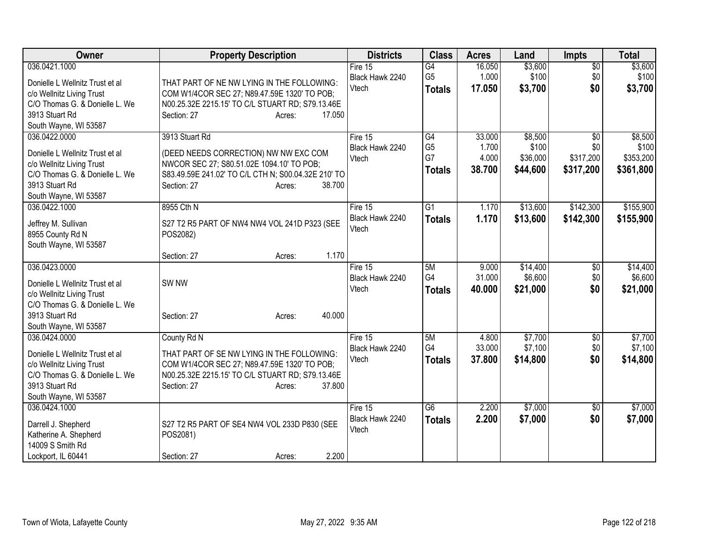| Owner                                                                                                                                                      | <b>Property Description</b>                                                                                                                                                                      | <b>Districts</b>                      | <b>Class</b>                                | <b>Acres</b>                       | Land                                     | <b>Impts</b>                                     | <b>Total</b>                               |
|------------------------------------------------------------------------------------------------------------------------------------------------------------|--------------------------------------------------------------------------------------------------------------------------------------------------------------------------------------------------|---------------------------------------|---------------------------------------------|------------------------------------|------------------------------------------|--------------------------------------------------|--------------------------------------------|
| 036.0421.1000<br>Donielle L Wellnitz Trust et al<br>c/o Wellnitz Living Trust<br>C/O Thomas G. & Donielle L. We<br>3913 Stuart Rd<br>South Wayne, WI 53587 | THAT PART OF NE NW LYING IN THE FOLLOWING:<br>COM W1/4COR SEC 27; N89.47.59E 1320' TO POB;<br>N00.25.32E 2215.15' TO C/L STUART RD; S79.13.46E<br>Section: 27<br>17.050<br>Acres:                | Fire $15$<br>Black Hawk 2240<br>Vtech | G4<br>G <sub>5</sub><br><b>Totals</b>       | 16.050<br>1.000<br>17.050          | \$3,600<br>\$100<br>\$3,700              | $\overline{50}$<br>\$0<br>\$0                    | \$3,600<br>\$100<br>\$3,700                |
| 036.0422.0000<br>Donielle L Wellnitz Trust et al<br>c/o Wellnitz Living Trust<br>C/O Thomas G. & Donielle L. We<br>3913 Stuart Rd<br>South Wayne, WI 53587 | 3913 Stuart Rd<br>(DEED NEEDS CORRECTION) NW NW EXC COM<br>NWCOR SEC 27; S80.51.02E 1094.10' TO POB;<br>S83.49.59E 241.02' TO C/L CTH N; S00.04.32E 210' TO<br>38.700<br>Section: 27<br>Acres:   | Fire 15<br>Black Hawk 2240<br>Vtech   | G4<br>G <sub>5</sub><br>G7<br><b>Totals</b> | 33.000<br>1.700<br>4.000<br>38.700 | \$8,500<br>\$100<br>\$36,000<br>\$44,600 | $\overline{50}$<br>\$0<br>\$317,200<br>\$317,200 | \$8,500<br>\$100<br>\$353,200<br>\$361,800 |
| 036.0422.1000<br>Jeffrey M. Sullivan<br>8955 County Rd N<br>South Wayne, WI 53587                                                                          | 8955 Cth N<br>S27 T2 R5 PART OF NW4 NW4 VOL 241D P323 (SEE<br>POS2082)<br>1.170<br>Section: 27<br>Acres:                                                                                         | Fire $15$<br>Black Hawk 2240<br>Vtech | $\overline{G1}$<br><b>Totals</b>            | 1.170<br>1.170                     | \$13,600<br>\$13,600                     | \$142,300<br>\$142,300                           | \$155,900<br>\$155,900                     |
| 036.0423.0000<br>Donielle L Wellnitz Trust et al<br>c/o Wellnitz Living Trust<br>C/O Thomas G. & Donielle L. We<br>3913 Stuart Rd<br>South Wayne, WI 53587 | SW <sub>NW</sub><br>40.000<br>Section: 27<br>Acres:                                                                                                                                              | Fire 15<br>Black Hawk 2240<br>Vtech   | 5M<br>G4<br><b>Totals</b>                   | 9.000<br>31.000<br>40.000          | \$14,400<br>\$6,600<br>\$21,000          | $\overline{50}$<br>\$0<br>\$0                    | \$14,400<br>\$6,600<br>\$21,000            |
| 036.0424.0000<br>Donielle L Wellnitz Trust et al<br>c/o Wellnitz Living Trust<br>C/O Thomas G. & Donielle L. We<br>3913 Stuart Rd<br>South Wayne, WI 53587 | County Rd N<br>THAT PART OF SE NW LYING IN THE FOLLOWING:<br>COM W1/4COR SEC 27; N89.47.59E 1320' TO POB;<br>N00.25.32E 2215.15' TO C/L STUART RD; S79.13.46E<br>37.800<br>Section: 27<br>Acres: | Fire 15<br>Black Hawk 2240<br>Vtech   | 5M<br>G4<br><b>Totals</b>                   | 4.800<br>33.000<br>37,800          | \$7,700<br>\$7,100<br>\$14,800           | \$0<br>\$0<br>\$0                                | \$7,700<br>\$7,100<br>\$14,800             |
| 036.0424.1000<br>Darrell J. Shepherd<br>Katherine A. Shepherd<br>14009 S Smith Rd<br>Lockport, IL 60441                                                    | S27 T2 R5 PART OF SE4 NW4 VOL 233D P830 (SEE<br>POS2081)<br>2.200<br>Section: 27<br>Acres:                                                                                                       | Fire $15$<br>Black Hawk 2240<br>Vtech | $\overline{G6}$<br><b>Totals</b>            | 2.200<br>2.200                     | \$7,000<br>\$7,000                       | $\overline{50}$<br>\$0                           | \$7,000<br>\$7,000                         |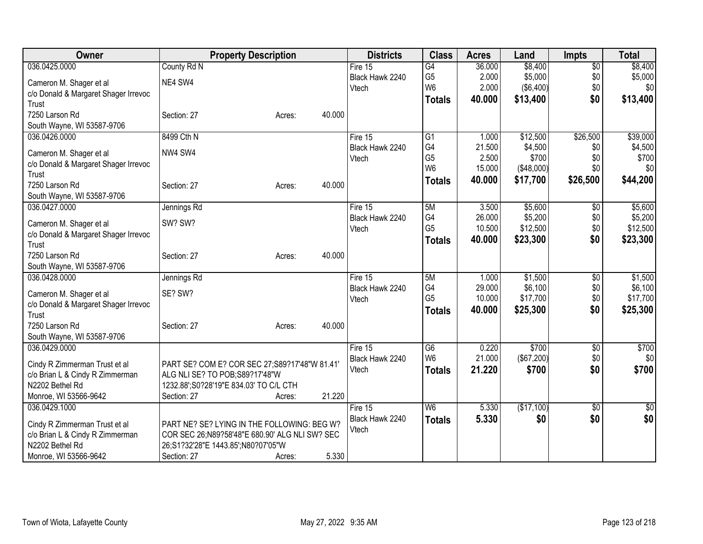| Owner                                                            | <b>Property Description</b>                                                      | <b>Districts</b> | <b>Class</b>    | <b>Acres</b> | Land       | <b>Impts</b>    | <b>Total</b> |
|------------------------------------------------------------------|----------------------------------------------------------------------------------|------------------|-----------------|--------------|------------|-----------------|--------------|
| 036.0425.0000                                                    | County Rd N                                                                      | Fire $15$        | G4              | 36.000       | \$8,400    | $\overline{50}$ | \$8,400      |
| Cameron M. Shager et al                                          | NE4 SW4                                                                          | Black Hawk 2240  | G <sub>5</sub>  | 2.000        | \$5,000    | \$0             | \$5,000      |
| c/o Donald & Margaret Shager Irrevoc                             |                                                                                  | Vtech            | W <sub>6</sub>  | 2.000        | (\$6,400)  | \$0             | \$0          |
| Trust                                                            |                                                                                  |                  | <b>Totals</b>   | 40.000       | \$13,400   | \$0             | \$13,400     |
| 7250 Larson Rd                                                   | 40.000<br>Section: 27<br>Acres:                                                  |                  |                 |              |            |                 |              |
| South Wayne, WI 53587-9706                                       |                                                                                  |                  |                 |              |            |                 |              |
| 036.0426.0000                                                    | 8499 Cth N                                                                       | Fire 15          | $\overline{G1}$ | 1.000        | \$12,500   | \$26,500        | \$39,000     |
|                                                                  |                                                                                  | Black Hawk 2240  | G4              | 21.500       | \$4,500    | \$0             | \$4,500      |
| Cameron M. Shager et al                                          | NW4 SW4                                                                          | Vtech            | G <sub>5</sub>  | 2.500        | \$700      | \$0             | \$700        |
| c/o Donald & Margaret Shager Irrevoc                             |                                                                                  |                  | W <sub>6</sub>  | 15.000       | (\$48,000) | \$0             | \$0          |
| Trust<br>7250 Larson Rd                                          | 40.000                                                                           |                  | <b>Totals</b>   | 40.000       | \$17,700   | \$26,500        | \$44,200     |
| South Wayne, WI 53587-9706                                       | Section: 27<br>Acres:                                                            |                  |                 |              |            |                 |              |
| 036.0427.0000                                                    |                                                                                  | Fire 15          | 5M              | 3.500        | \$5,600    | $\overline{50}$ | \$5,600      |
|                                                                  | Jennings Rd                                                                      | Black Hawk 2240  | G4              | 26.000       | \$5,200    | \$0             | \$5,200      |
| Cameron M. Shager et al                                          | SW? SW?                                                                          | Vtech            | G <sub>5</sub>  | 10.500       | \$12,500   | \$0             | \$12,500     |
| c/o Donald & Margaret Shager Irrevoc                             |                                                                                  |                  | <b>Totals</b>   | 40.000       | \$23,300   | \$0             | \$23,300     |
| Trust                                                            |                                                                                  |                  |                 |              |            |                 |              |
| 7250 Larson Rd                                                   | 40.000<br>Section: 27<br>Acres:                                                  |                  |                 |              |            |                 |              |
| South Wayne, WI 53587-9706                                       |                                                                                  |                  |                 |              |            |                 |              |
| 036.0428.0000                                                    | Jennings Rd                                                                      | Fire 15          | 5M              | 1.000        | \$1,500    | $\overline{30}$ | \$1,500      |
| Cameron M. Shager et al                                          | SE? SW?                                                                          | Black Hawk 2240  | G4              | 29.000       | \$6,100    | \$0             | \$6,100      |
| c/o Donald & Margaret Shager Irrevoc                             |                                                                                  | Vtech            | G <sub>5</sub>  | 10.000       | \$17,700   | \$0             | \$17,700     |
| Trust                                                            |                                                                                  |                  | <b>Totals</b>   | 40.000       | \$25,300   | \$0             | \$25,300     |
| 7250 Larson Rd                                                   | 40.000<br>Section: 27<br>Acres:                                                  |                  |                 |              |            |                 |              |
| South Wayne, WI 53587-9706                                       |                                                                                  |                  |                 |              |            |                 |              |
| 036.0429.0000                                                    |                                                                                  | Fire 15          | G6              | 0.220        | \$700      | \$0             | \$700        |
|                                                                  |                                                                                  | Black Hawk 2240  | W <sub>6</sub>  | 21.000       | (\$67,200) | \$0             | \$0          |
| Cindy R Zimmerman Trust et al<br>c/o Brian L & Cindy R Zimmerman | PART SE? COM E? COR SEC 27; S89?17'48"W 81.41'<br>ALG NLI SE? TO POB;S89?17'48"W | Vtech            | <b>Totals</b>   | 21.220       | \$700      | \$0             | \$700        |
| N2202 Bethel Rd                                                  | 1232.88';S0?28'19"E 834.03' TO C/L CTH                                           |                  |                 |              |            |                 |              |
| Monroe, WI 53566-9642                                            | 21.220<br>Section: 27<br>Acres:                                                  |                  |                 |              |            |                 |              |
| 036.0429.1000                                                    |                                                                                  | Fire 15          | W <sub>6</sub>  | 5.330        | (\$17,100) | \$0             | $\sqrt{50}$  |
|                                                                  |                                                                                  | Black Hawk 2240  |                 | 5.330        | \$0        | \$0             | \$0          |
| Cindy R Zimmerman Trust et al                                    | PART NE? SE? LYING IN THE FOLLOWING: BEG W?                                      | Vtech            | <b>Totals</b>   |              |            |                 |              |
| c/o Brian L & Cindy R Zimmerman                                  | COR SEC 26;N89?58'48"E 680.90' ALG NLI SW? SEC                                   |                  |                 |              |            |                 |              |
| N2202 Bethel Rd                                                  | 26;S1?32'28"E 1443.85';N80?07'05"W                                               |                  |                 |              |            |                 |              |
| Monroe, WI 53566-9642                                            | 5.330<br>Section: 27<br>Acres:                                                   |                  |                 |              |            |                 |              |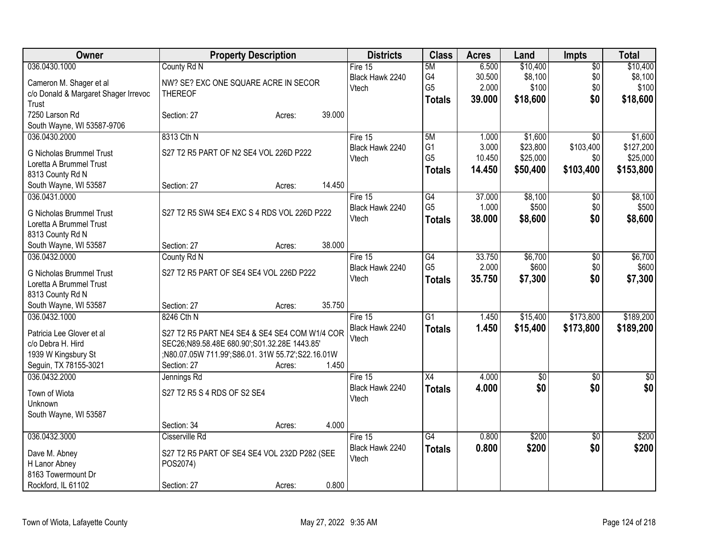| Owner                                                      | <b>Property Description</b>                      |        |        | <b>Districts</b>           | <b>Class</b>    | <b>Acres</b> | Land            | <b>Impts</b>    | <b>Total</b> |
|------------------------------------------------------------|--------------------------------------------------|--------|--------|----------------------------|-----------------|--------------|-----------------|-----------------|--------------|
| 036.0430.1000                                              | County Rd N                                      |        |        | Fire 15                    | 5M              | 6.500        | \$10,400        | $\overline{50}$ | \$10,400     |
| Cameron M. Shager et al                                    | NW? SE? EXC ONE SQUARE ACRE IN SECOR             |        |        | Black Hawk 2240            | G4              | 30.500       | \$8,100         | \$0             | \$8,100      |
| c/o Donald & Margaret Shager Irrevoc                       | <b>THEREOF</b>                                   |        |        | Vtech                      | G <sub>5</sub>  | 2.000        | \$100           | \$0             | \$100        |
| Trust                                                      |                                                  |        |        |                            | Totals          | 39.000       | \$18,600        | \$0             | \$18,600     |
| 7250 Larson Rd                                             | Section: 27                                      | Acres: | 39.000 |                            |                 |              |                 |                 |              |
| South Wayne, WI 53587-9706                                 |                                                  |        |        |                            |                 |              |                 |                 |              |
| 036.0430.2000                                              | 8313 Cth N                                       |        |        | Fire 15                    | 5M              | 1.000        | \$1,600         | $\overline{50}$ | \$1,600      |
| <b>G Nicholas Brummel Trust</b>                            | S27 T2 R5 PART OF N2 SE4 VOL 226D P222           |        |        | Black Hawk 2240            | G <sub>1</sub>  | 3.000        | \$23,800        | \$103,400       | \$127,200    |
| Loretta A Brummel Trust                                    |                                                  |        |        | Vtech                      | G <sub>5</sub>  | 10.450       | \$25,000        | \$0             | \$25,000     |
| 8313 County Rd N                                           |                                                  |        |        |                            | Totals          | 14.450       | \$50,400        | \$103,400       | \$153,800    |
| South Wayne, WI 53587                                      | Section: 27                                      | Acres: | 14.450 |                            |                 |              |                 |                 |              |
| 036.0431.0000                                              |                                                  |        |        | Fire 15                    | G4              | 37.000       | \$8,100         | $\sqrt[6]{}$    | \$8,100      |
|                                                            |                                                  |        |        | Black Hawk 2240            | G <sub>5</sub>  | 1.000        | \$500           | \$0             | \$500        |
| <b>G Nicholas Brummel Trust</b><br>Loretta A Brummel Trust | S27 T2 R5 SW4 SE4 EXC S 4 RDS VOL 226D P222      |        |        | Vtech                      | <b>Totals</b>   | 38.000       | \$8,600         | \$0             | \$8,600      |
| 8313 County Rd N                                           |                                                  |        |        |                            |                 |              |                 |                 |              |
| South Wayne, WI 53587                                      | Section: 27                                      | Acres: | 38.000 |                            |                 |              |                 |                 |              |
| 036.0432.0000                                              | County Rd N                                      |        |        | Fire 15                    | G4              | 33.750       | \$6,700         | \$0             | \$6,700      |
|                                                            |                                                  |        |        | Black Hawk 2240            | G <sub>5</sub>  | 2.000        | \$600           | \$0             | \$600        |
| <b>G Nicholas Brummel Trust</b>                            | S27 T2 R5 PART OF SE4 SE4 VOL 226D P222          |        |        | Vtech                      | <b>Totals</b>   | 35,750       | \$7,300         | \$0             | \$7,300      |
| Loretta A Brummel Trust                                    |                                                  |        |        |                            |                 |              |                 |                 |              |
| 8313 County Rd N                                           |                                                  |        |        |                            |                 |              |                 |                 |              |
| South Wayne, WI 53587                                      | Section: 27                                      | Acres: | 35.750 |                            |                 |              |                 |                 |              |
| 036.0432.1000                                              | 8246 Cth N                                       |        |        | Fire 15<br>Black Hawk 2240 | $\overline{G1}$ | 1.450        | \$15,400        | \$173,800       | \$189,200    |
| Patricia Lee Glover et al                                  | S27 T2 R5 PART NE4 SE4 & SE4 SE4 COM W1/4 COR    |        |        | Vtech                      | <b>Totals</b>   | 1.450        | \$15,400        | \$173,800       | \$189,200    |
| c/o Debra H. Hird                                          | SEC26;N89.58.48E 680.90';S01.32.28E 1443.85'     |        |        |                            |                 |              |                 |                 |              |
| 1939 W Kingsbury St                                        | ;N80.07.05W 711.99';S86.01.31W 55.72';S22.16.01W |        |        |                            |                 |              |                 |                 |              |
| Seguin, TX 78155-3021                                      | Section: 27                                      | Acres: | 1.450  |                            |                 |              |                 |                 |              |
| 036.0432.2000                                              | Jennings Rd                                      |        |        | Fire 15                    | X4              | 4.000        | $\overline{60}$ | $\overline{50}$ | $\sqrt{50}$  |
| Town of Wiota                                              | S27 T2 R5 S 4 RDS OF S2 SE4                      |        |        | Black Hawk 2240            | <b>Totals</b>   | 4.000        | \$0             | \$0             | \$0          |
| Unknown                                                    |                                                  |        |        | Vtech                      |                 |              |                 |                 |              |
| South Wayne, WI 53587                                      |                                                  |        |        |                            |                 |              |                 |                 |              |
|                                                            | Section: 34                                      | Acres: | 4.000  |                            |                 |              |                 |                 |              |
| 036.0432.3000                                              | Cisserville Rd                                   |        |        | Fire 15                    | G4              | 0.800        | \$200           | $\overline{50}$ | \$200        |
| Dave M. Abney                                              | S27 T2 R5 PART OF SE4 SE4 VOL 232D P282 (SEE     |        |        | Black Hawk 2240            | <b>Totals</b>   | 0.800        | \$200           | \$0             | \$200        |
| H Lanor Abney                                              | POS2074)                                         |        |        | Vtech                      |                 |              |                 |                 |              |
| 8163 Towermount Dr                                         |                                                  |        |        |                            |                 |              |                 |                 |              |
| Rockford, IL 61102                                         | Section: 27                                      | Acres: | 0.800  |                            |                 |              |                 |                 |              |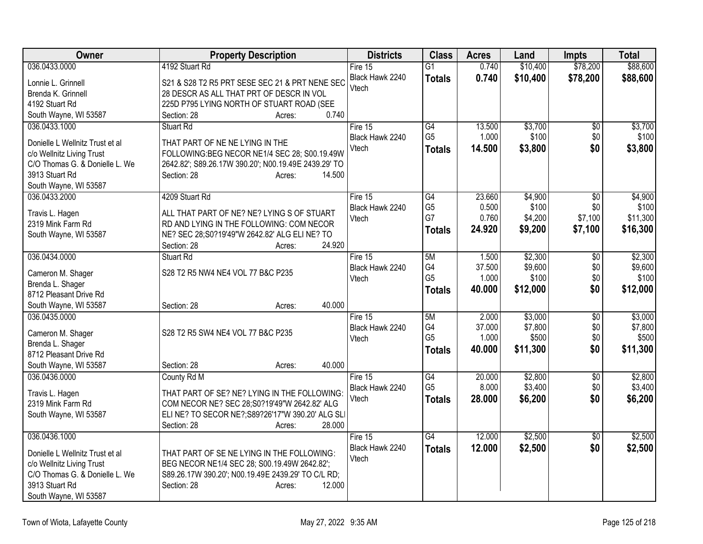| Owner                                                       | <b>Property Description</b>                                                                        | <b>Districts</b> | <b>Class</b>    | <b>Acres</b> | Land     | <b>Impts</b>    | <b>Total</b> |
|-------------------------------------------------------------|----------------------------------------------------------------------------------------------------|------------------|-----------------|--------------|----------|-----------------|--------------|
| 036.0433.0000                                               | 4192 Stuart Rd                                                                                     | Fire 15          | $\overline{G1}$ | 0.740        | \$10,400 | \$78,200        | \$88,600     |
| Lonnie L. Grinnell                                          | S21 & S28 T2 R5 PRT SESE SEC 21 & PRT NENE SEC                                                     | Black Hawk 2240  | <b>Totals</b>   | 0.740        | \$10,400 | \$78,200        | \$88,600     |
| Brenda K. Grinnell                                          | 28 DESCR AS ALL THAT PRT OF DESCR IN VOL                                                           | Vtech            |                 |              |          |                 |              |
| 4192 Stuart Rd                                              | 225D P795 LYING NORTH OF STUART ROAD (SEE                                                          |                  |                 |              |          |                 |              |
| South Wayne, WI 53587                                       | 0.740<br>Section: 28<br>Acres:                                                                     |                  |                 |              |          |                 |              |
| 036.0433.1000                                               | <b>Stuart Rd</b>                                                                                   | Fire 15          | $\overline{G4}$ | 13.500       | \$3,700  | \$0             | \$3,700      |
| Donielle L Wellnitz Trust et al                             | THAT PART OF NE NE LYING IN THE                                                                    | Black Hawk 2240  | G <sub>5</sub>  | 1.000        | \$100    | \$0             | \$100        |
| c/o Wellnitz Living Trust                                   | FOLLOWING:BEG NECOR NE1/4 SEC 28; S00.19.49W                                                       | Vtech            | <b>Totals</b>   | 14.500       | \$3,800  | \$0             | \$3,800      |
| C/O Thomas G. & Donielle L. We                              | 2642.82'; S89.26.17W 390.20'; N00.19.49E 2439.29' TO                                               |                  |                 |              |          |                 |              |
| 3913 Stuart Rd                                              | Section: 28<br>14.500<br>Acres:                                                                    |                  |                 |              |          |                 |              |
| South Wayne, WI 53587                                       |                                                                                                    |                  |                 |              |          |                 |              |
| 036.0433.2000                                               | 4209 Stuart Rd                                                                                     | Fire 15          | $\overline{G4}$ | 23.660       | \$4,900  | $\overline{50}$ | \$4,900      |
| Travis L. Hagen                                             | ALL THAT PART OF NE? NE? LYING S OF STUART                                                         | Black Hawk 2240  | G <sub>5</sub>  | 0.500        | \$100    | \$0             | \$100        |
| 2319 Mink Farm Rd                                           | RD AND LYING IN THE FOLLOWING: COM NECOR                                                           | Vtech            | G7              | 0.760        | \$4,200  | \$7,100         | \$11,300     |
| South Wayne, WI 53587                                       | NE? SEC 28;S0?19'49"W 2642.82' ALG ELI NE? TO                                                      |                  | <b>Totals</b>   | 24.920       | \$9,200  | \$7,100         | \$16,300     |
|                                                             | 24.920<br>Section: 28<br>Acres:                                                                    |                  |                 |              |          |                 |              |
| 036.0434.0000                                               | Stuart Rd                                                                                          | Fire 15          | 5M              | 1.500        | \$2,300  | $\overline{50}$ | \$2,300      |
| Cameron M. Shager                                           | S28 T2 R5 NW4 NE4 VOL 77 B&C P235                                                                  | Black Hawk 2240  | G4              | 37.500       | \$9,600  | \$0             | \$9,600      |
| Brenda L. Shager                                            |                                                                                                    | Vtech            | G <sub>5</sub>  | 1.000        | \$100    | \$0             | \$100        |
| 8712 Pleasant Drive Rd                                      |                                                                                                    |                  | <b>Totals</b>   | 40.000       | \$12,000 | \$0             | \$12,000     |
| South Wayne, WI 53587                                       | 40.000<br>Section: 28<br>Acres:                                                                    |                  |                 |              |          |                 |              |
| 036.0435.0000                                               |                                                                                                    | Fire $15$        | 5M              | 2.000        | \$3,000  | $\overline{50}$ | \$3,000      |
|                                                             | S28 T2 R5 SW4 NE4 VOL 77 B&C P235                                                                  | Black Hawk 2240  | G4              | 37.000       | \$7,800  | \$0             | \$7,800      |
| Cameron M. Shager<br>Brenda L. Shager                       |                                                                                                    | Vtech            | G <sub>5</sub>  | 1.000        | \$500    | \$0             | \$500        |
| 8712 Pleasant Drive Rd                                      |                                                                                                    |                  | <b>Totals</b>   | 40.000       | \$11,300 | \$0             | \$11,300     |
| South Wayne, WI 53587                                       | 40.000<br>Section: 28<br>Acres:                                                                    |                  |                 |              |          |                 |              |
| 036.0436.0000                                               | County Rd M                                                                                        | Fire 15          | $\overline{G4}$ | 20.000       | \$2,800  | $\sqrt{6}$      | \$2,800      |
|                                                             |                                                                                                    | Black Hawk 2240  | G <sub>5</sub>  | 8.000        | \$3,400  | \$0             | \$3,400      |
| Travis L. Hagen<br>2319 Mink Farm Rd                        | THAT PART OF SE? NE? LYING IN THE FOLLOWING:<br>COM NECOR NE? SEC 28;S0?19'49"W 2642.82' ALG       | Vtech            | <b>Totals</b>   | 28.000       | \$6,200  | \$0             | \$6,200      |
| South Wayne, WI 53587                                       | ELINE? TO SECOR NE?; S89?26'17"W 390.20' ALG SLI                                                   |                  |                 |              |          |                 |              |
|                                                             | 28.000<br>Section: 28<br>Acres:                                                                    |                  |                 |              |          |                 |              |
| 036.0436.1000                                               |                                                                                                    | Fire 15          | G4              | 12.000       | \$2,500  | $\overline{50}$ | \$2,500      |
|                                                             |                                                                                                    | Black Hawk 2240  | <b>Totals</b>   | 12.000       | \$2,500  | \$0             | \$2,500      |
| Donielle L Wellnitz Trust et al                             | THAT PART OF SE NE LYING IN THE FOLLOWING:                                                         | Vtech            |                 |              |          |                 |              |
| c/o Wellnitz Living Trust<br>C/O Thomas G. & Donielle L. We | BEG NECOR NE1/4 SEC 28; S00.19.49W 2642.82';<br>S89.26.17W 390.20'; N00.19.49E 2439.29' TO C/L RD; |                  |                 |              |          |                 |              |
| 3913 Stuart Rd                                              | Section: 28<br>12.000<br>Acres:                                                                    |                  |                 |              |          |                 |              |
| South Wayne, WI 53587                                       |                                                                                                    |                  |                 |              |          |                 |              |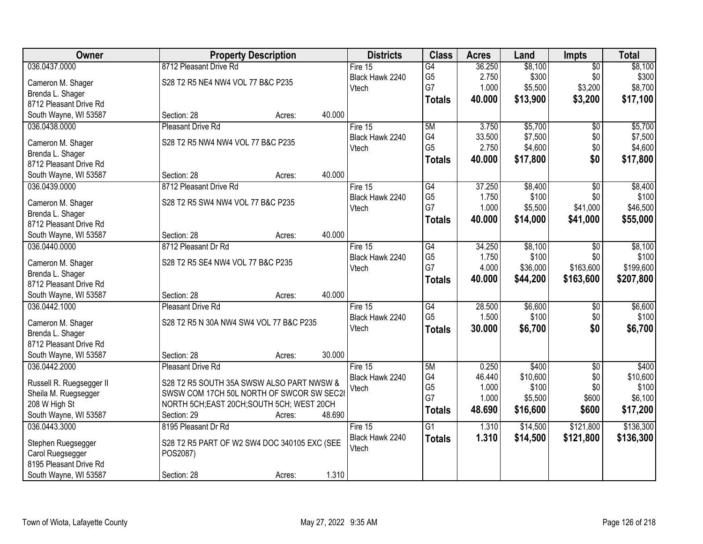| Owner                    | <b>Property Description</b>                  | <b>Districts</b> | <b>Class</b>    | <b>Acres</b> | Land     | <b>Impts</b>    | <b>Total</b> |
|--------------------------|----------------------------------------------|------------------|-----------------|--------------|----------|-----------------|--------------|
| 036.0437.0000            | 8712 Pleasant Drive Rd                       | Fire $15$        | $\overline{G4}$ | 36.250       | \$8,100  | $\overline{$0}$ | \$8,100      |
| Cameron M. Shager        | S28 T2 R5 NE4 NW4 VOL 77 B&C P235            | Black Hawk 2240  | G <sub>5</sub>  | 2.750        | \$300    | \$0             | \$300        |
| Brenda L. Shager         |                                              | Vtech            | G7              | 1.000        | \$5,500  | \$3,200         | \$8,700      |
| 8712 Pleasant Drive Rd   |                                              |                  | <b>Totals</b>   | 40.000       | \$13,900 | \$3,200         | \$17,100     |
| South Wayne, WI 53587    | 40.000<br>Section: 28<br>Acres:              |                  |                 |              |          |                 |              |
| 036.0438.0000            | Pleasant Drive Rd                            | Fire 15          | 5M              | 3.750        | \$5,700  | \$0             | \$5,700      |
|                          |                                              | Black Hawk 2240  | G4              | 33.500       | \$7,500  | \$0             | \$7,500      |
| Cameron M. Shager        | S28 T2 R5 NW4 NW4 VOL 77 B&C P235            | Vtech            | G <sub>5</sub>  | 2.750        | \$4,600  | \$0             | \$4,600      |
| Brenda L. Shager         |                                              |                  | <b>Totals</b>   | 40.000       | \$17,800 | \$0             | \$17,800     |
| 8712 Pleasant Drive Rd   |                                              |                  |                 |              |          |                 |              |
| South Wayne, WI 53587    | 40.000<br>Section: 28<br>Acres:              |                  |                 |              |          |                 |              |
| 036.0439.0000            | 8712 Pleasant Drive Rd                       | Fire 15          | G4              | 37.250       | \$8,400  | $\overline{50}$ | \$8,400      |
| Cameron M. Shager        | S28 T2 R5 SW4 NW4 VOL 77 B&C P235            | Black Hawk 2240  | G <sub>5</sub>  | 1.750        | \$100    | \$0             | \$100        |
| Brenda L. Shager         |                                              | Vtech            | G7              | 1.000        | \$5,500  | \$41,000        | \$46,500     |
| 8712 Pleasant Drive Rd   |                                              |                  | <b>Totals</b>   | 40.000       | \$14,000 | \$41,000        | \$55,000     |
| South Wayne, WI 53587    | 40.000<br>Section: 28<br>Acres:              |                  |                 |              |          |                 |              |
| 036.0440.0000            | 8712 Pleasant Dr Rd                          | Fire 15          | G4              | 34.250       | \$8,100  | $\sqrt[6]{3}$   | \$8,100      |
|                          |                                              | Black Hawk 2240  | G <sub>5</sub>  | 1.750        | \$100    | \$0             | \$100        |
| Cameron M. Shager        | S28 T2 R5 SE4 NW4 VOL 77 B&C P235            | Vtech            | G7              | 4.000        | \$36,000 | \$163,600       | \$199,600    |
| Brenda L. Shager         |                                              |                  |                 | 40.000       | \$44,200 | \$163,600       | \$207,800    |
| 8712 Pleasant Drive Rd   |                                              |                  | <b>Totals</b>   |              |          |                 |              |
| South Wayne, WI 53587    | 40.000<br>Section: 28<br>Acres:              |                  |                 |              |          |                 |              |
| 036.0442.1000            | <b>Pleasant Drive Rd</b>                     | Fire 15          | G4              | 28.500       | \$6,600  | \$0             | \$6,600      |
| Cameron M. Shager        | S28 T2 R5 N 30A NW4 SW4 VOL 77 B&C P235      | Black Hawk 2240  | G <sub>5</sub>  | 1.500        | \$100    | \$0             | \$100        |
| Brenda L. Shager         |                                              | Vtech            | <b>Totals</b>   | 30.000       | \$6,700  | \$0             | \$6,700      |
| 8712 Pleasant Drive Rd   |                                              |                  |                 |              |          |                 |              |
| South Wayne, WI 53587    | 30.000<br>Section: 28<br>Acres:              |                  |                 |              |          |                 |              |
| 036.0442.2000            | <b>Pleasant Drive Rd</b>                     | Fire 15          | 5M              | 0.250        | \$400    | $\sqrt{6}$      | \$400        |
|                          |                                              | Black Hawk 2240  | G4              | 46.440       | \$10,600 | \$0             | \$10,600     |
| Russell R. Ruegsegger II | S28 T2 R5 SOUTH 35A SWSW ALSO PART NWSW &    | Vtech            | G <sub>5</sub>  | 1.000        | \$100    | \$0             | \$100        |
| Sheila M. Ruegsegger     | SWSW COM 17CH 50L NORTH OF SWCOR SW SEC28    |                  | G7              | 1.000        | \$5,500  | \$600           | \$6,100      |
| 208 W High St            | NORTH 5CH; EAST 20CH; SOUTH 5CH; WEST 20CH   |                  | <b>Totals</b>   | 48.690       | \$16,600 | \$600           | \$17,200     |
| South Wayne, WI 53587    | 48.690<br>Section: 29<br>Acres:              |                  |                 |              |          |                 |              |
| 036.0443.3000            | 8195 Pleasant Dr Rd                          | Fire 15          | $\overline{G1}$ | 1.310        | \$14,500 | \$121,800       | \$136,300    |
| Stephen Ruegsegger       | S28 T2 R5 PART OF W2 SW4 DOC 340105 EXC (SEE | Black Hawk 2240  | <b>Totals</b>   | 1.310        | \$14,500 | \$121,800       | \$136,300    |
| Carol Ruegsegger         | POS2087)                                     | Vtech            |                 |              |          |                 |              |
| 8195 Pleasant Drive Rd   |                                              |                  |                 |              |          |                 |              |
| South Wayne, WI 53587    | 1.310<br>Section: 28<br>Acres:               |                  |                 |              |          |                 |              |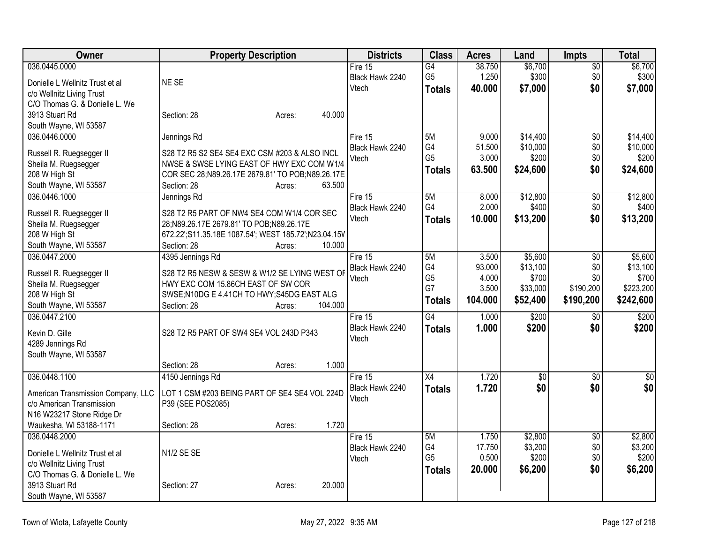| Owner                              | <b>Property Description</b>                          | <b>Districts</b> | <b>Class</b>    | <b>Acres</b> | Land         | <b>Impts</b>    | <b>Total</b> |
|------------------------------------|------------------------------------------------------|------------------|-----------------|--------------|--------------|-----------------|--------------|
| 036.0445.0000                      |                                                      | Fire $15$        | $\overline{G4}$ | 38.750       | \$6,700      | $\overline{50}$ | \$6,700      |
| Donielle L Wellnitz Trust et al    | NE SE                                                | Black Hawk 2240  | G <sub>5</sub>  | 1.250        | \$300        | \$0             | \$300        |
| c/o Wellnitz Living Trust          |                                                      | Vtech            | <b>Totals</b>   | 40.000       | \$7,000      | \$0             | \$7,000      |
| C/O Thomas G. & Donielle L. We     |                                                      |                  |                 |              |              |                 |              |
| 3913 Stuart Rd                     | 40.000<br>Section: 28<br>Acres:                      |                  |                 |              |              |                 |              |
| South Wayne, WI 53587              |                                                      |                  |                 |              |              |                 |              |
| 036.0446.0000                      | Jennings Rd                                          | Fire 15          | 5M              | 9.000        | \$14,400     | $\overline{50}$ | \$14,400     |
|                                    |                                                      | Black Hawk 2240  | G4              | 51.500       | \$10,000     | \$0             | \$10,000     |
| Russell R. Ruegsegger II           | S28 T2 R5 S2 SE4 SE4 EXC CSM #203 & ALSO INCL        | Vtech            | G <sub>5</sub>  | 3.000        | \$200        | \$0             | \$200        |
| Sheila M. Ruegsegger               | NWSE & SWSE LYING EAST OF HWY EXC COM W1/4           |                  | <b>Totals</b>   | 63.500       | \$24,600     | \$0             | \$24,600     |
| 208 W High St                      | COR SEC 28;N89.26.17E 2679.81' TO POB;N89.26.17E     |                  |                 |              |              |                 |              |
| South Wayne, WI 53587              | 63.500<br>Section: 28<br>Acres:                      |                  |                 |              |              |                 |              |
| 036.0446.1000                      | Jennings Rd                                          | Fire 15          | 5M              | 8.000        | \$12,800     | $\overline{50}$ | \$12,800     |
| Russell R. Ruegsegger II           | S28 T2 R5 PART OF NW4 SE4 COM W1/4 COR SEC           | Black Hawk 2240  | G4              | 2.000        | \$400        | \$0             | \$400        |
| Sheila M. Ruegsegger               | 28;N89.26.17E 2679.81' TO POB;N89.26.17E             | Vtech            | <b>Totals</b>   | 10.000       | \$13,200     | \$0             | \$13,200     |
| 208 W High St                      | 672.22';S11.35.18E 1087.54'; WEST 185.72';N23.04.15V |                  |                 |              |              |                 |              |
| South Wayne, WI 53587              | Section: 28<br>10.000<br>Acres:                      |                  |                 |              |              |                 |              |
| 036.0447.2000                      | 4395 Jennings Rd                                     | Fire 15          | 5M              | 3.500        | \$5,600      | \$0             | \$5,600      |
|                                    |                                                      | Black Hawk 2240  | G4              | 93.000       | \$13,100     | \$0             | \$13,100     |
| Russell R. Ruegsegger II           | S28 T2 R5 NESW & SESW & W1/2 SE LYING WEST OF        | Vtech            | G <sub>5</sub>  | 4.000        | \$700        | \$0             | \$700        |
| Sheila M. Ruegsegger               | HWY EXC COM 15.86CH EAST OF SW COR                   |                  | G7              | 3.500        | \$33,000     | \$190,200       | \$223,200    |
| 208 W High St                      | SWSE;N10DG E 4.41CH TO HWY;S45DG EAST ALG            |                  | <b>Totals</b>   | 104.000      | \$52,400     | \$190,200       | \$242,600    |
| South Wayne, WI 53587              | 104.000<br>Section: 28<br>Acres:                     |                  |                 |              |              |                 |              |
| 036.0447.2100                      |                                                      | Fire 15          | $\overline{G4}$ | 1.000        | \$200        | \$0             | \$200        |
| Kevin D. Gille                     | S28 T2 R5 PART OF SW4 SE4 VOL 243D P343              | Black Hawk 2240  | <b>Totals</b>   | 1.000        | \$200        | \$0             | \$200        |
| 4289 Jennings Rd                   |                                                      | Vtech            |                 |              |              |                 |              |
| South Wayne, WI 53587              |                                                      |                  |                 |              |              |                 |              |
|                                    | 1.000<br>Section: 28<br>Acres:                       |                  |                 |              |              |                 |              |
| 036.0448.1100                      | 4150 Jennings Rd                                     | Fire 15          | $\overline{X4}$ | 1.720        | $\sqrt[6]{}$ | \$0             | $\sqrt{50}$  |
| American Transmission Company, LLC | LOT 1 CSM #203 BEING PART OF SE4 SE4 VOL 224D        | Black Hawk 2240  | <b>Totals</b>   | 1.720        | \$0          | \$0             | \$0          |
| c/o American Transmission          | P39 (SEE POS2085)                                    | Vtech            |                 |              |              |                 |              |
| N16 W23217 Stone Ridge Dr          |                                                      |                  |                 |              |              |                 |              |
| Waukesha, WI 53188-1171            | 1.720<br>Section: 28                                 |                  |                 |              |              |                 |              |
| 036.0448.2000                      | Acres:                                               | Fire 15          | 5M              | 1.750        | \$2,800      | $\overline{50}$ | \$2,800      |
|                                    |                                                      | Black Hawk 2240  | G4              | 17.750       | \$3,200      | \$0             | \$3,200      |
| Donielle L Wellnitz Trust et al    | N <sub>1/2</sub> SE SE                               | Vtech            | G <sub>5</sub>  | 0.500        | \$200        | \$0             | \$200        |
| c/o Wellnitz Living Trust          |                                                      |                  |                 | 20.000       | \$6,200      | \$0             | \$6,200      |
| C/O Thomas G. & Donielle L. We     |                                                      |                  | <b>Totals</b>   |              |              |                 |              |
| 3913 Stuart Rd                     | 20.000<br>Section: 27<br>Acres:                      |                  |                 |              |              |                 |              |
| South Wayne, WI 53587              |                                                      |                  |                 |              |              |                 |              |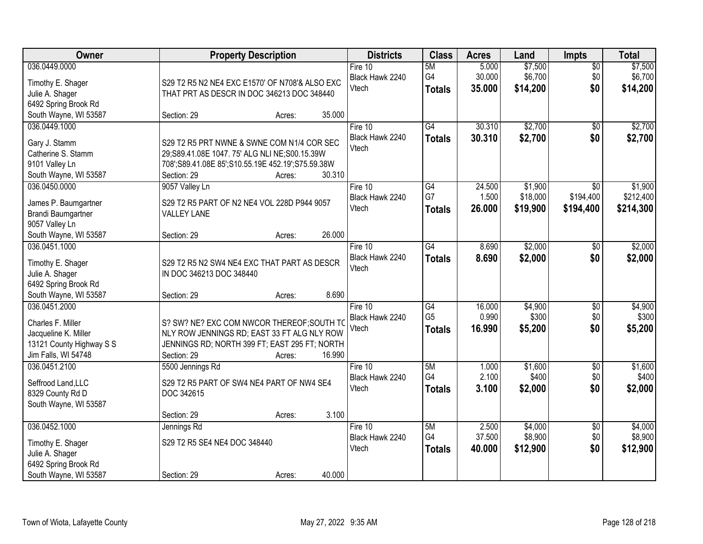| Owner                                  | <b>Property Description</b>                                       | <b>Districts</b>           | <b>Class</b>    | <b>Acres</b>    | Land             | Impts                  | <b>Total</b>     |
|----------------------------------------|-------------------------------------------------------------------|----------------------------|-----------------|-----------------|------------------|------------------------|------------------|
| 036.0449.0000                          |                                                                   | Fire 10                    | 5M              | 5.000           | \$7,500          | $\overline{50}$        | \$7,500          |
| Timothy E. Shager                      | S29 T2 R5 N2 NE4 EXC E1570' OF N708'& ALSO EXC                    | Black Hawk 2240            | G4              | 30.000          | \$6,700          | \$0                    | \$6,700          |
| Julie A. Shager                        | THAT PRT AS DESCR IN DOC 346213 DOC 348440                        | Vtech                      | <b>Totals</b>   | 35.000          | \$14,200         | \$0                    | \$14,200         |
| 6492 Spring Brook Rd                   |                                                                   |                            |                 |                 |                  |                        |                  |
| South Wayne, WI 53587                  | 35.000<br>Section: 29<br>Acres:                                   |                            |                 |                 |                  |                        |                  |
| 036.0449.1000                          |                                                                   | Fire 10                    | G4              | 30.310          | \$2,700          | $\overline{50}$        | \$2,700          |
| Gary J. Stamm                          | S29 T2 R5 PRT NWNE & SWNE COM N1/4 COR SEC                        | Black Hawk 2240            | <b>Totals</b>   | 30.310          | \$2,700          | \$0                    | \$2,700          |
| Catherine S. Stamm                     | 29;S89.41.08E 1047.75' ALG NLI NE;S00.15.39W                      | Vtech                      |                 |                 |                  |                        |                  |
| 9101 Valley Ln                         | 708';S89.41.08E 85';S10.55.19E 452.19';S75.59.38W                 |                            |                 |                 |                  |                        |                  |
| South Wayne, WI 53587                  | 30.310<br>Section: 29<br>Acres:                                   |                            |                 |                 |                  |                        |                  |
| 036.0450.0000                          | 9057 Valley Ln                                                    | Fire 10                    | $\overline{G4}$ | 24.500          | \$1,900          | $\overline{50}$        | \$1,900          |
|                                        |                                                                   | Black Hawk 2240            | G7              | 1.500           | \$18,000         | \$194,400              | \$212,400        |
| James P. Baumgartner                   | S29 T2 R5 PART OF N2 NE4 VOL 228D P944 9057<br><b>VALLEY LANE</b> | Vtech                      | <b>Totals</b>   | 26.000          | \$19,900         | \$194,400              | \$214,300        |
| Brandi Baumgartner<br>9057 Valley Ln   |                                                                   |                            |                 |                 |                  |                        |                  |
| South Wayne, WI 53587                  | 26.000<br>Section: 29<br>Acres:                                   |                            |                 |                 |                  |                        |                  |
| 036.0451.1000                          |                                                                   | Fire 10                    | $\overline{G4}$ | 8.690           | \$2,000          | \$0                    | \$2,000          |
|                                        |                                                                   | Black Hawk 2240            | <b>Totals</b>   | 8.690           | \$2,000          | \$0                    | \$2,000          |
| Timothy E. Shager                      | S29 T2 R5 N2 SW4 NE4 EXC THAT PART AS DESCR                       | Vtech                      |                 |                 |                  |                        |                  |
| Julie A. Shager                        | IN DOC 346213 DOC 348440                                          |                            |                 |                 |                  |                        |                  |
| 6492 Spring Brook Rd                   |                                                                   |                            |                 |                 |                  |                        |                  |
| South Wayne, WI 53587<br>036.0451.2000 | 8.690<br>Section: 29<br>Acres:                                    |                            | $\overline{G4}$ |                 |                  |                        |                  |
|                                        |                                                                   | Fire 10<br>Black Hawk 2240 | G <sub>5</sub>  | 16.000<br>0.990 | \$4,900<br>\$300 | $\overline{50}$<br>\$0 | \$4,900<br>\$300 |
| Charles F. Miller                      | S? SW? NE? EXC COM NWCOR THEREOF; SOUTH TO                        | Vtech                      | <b>Totals</b>   | 16.990          | \$5,200          | \$0                    | \$5,200          |
| Jacqueline K. Miller                   | NLY ROW JENNINGS RD; EAST 33 FT ALG NLY ROW                       |                            |                 |                 |                  |                        |                  |
| 13121 County Highway S S               | JENNINGS RD; NORTH 399 FT; EAST 295 FT; NORTH                     |                            |                 |                 |                  |                        |                  |
| Jim Falls, WI 54748                    | 16.990<br>Section: 29<br>Acres:                                   |                            |                 |                 |                  |                        |                  |
| 036.0451.2100                          | 5500 Jennings Rd                                                  | Fire $10$                  | 5M              | 1.000           | \$1,600          | $\sqrt{6}$             | \$1,600          |
| Seffrood Land, LLC                     | S29 T2 R5 PART OF SW4 NE4 PART OF NW4 SE4                         | Black Hawk 2240            | G4              | 2.100           | \$400            | \$0                    | \$400            |
| 8329 County Rd D                       | DOC 342615                                                        | Vtech                      | <b>Totals</b>   | 3.100           | \$2,000          | \$0                    | \$2,000          |
| South Wayne, WI 53587                  |                                                                   |                            |                 |                 |                  |                        |                  |
|                                        | 3.100<br>Section: 29<br>Acres:                                    |                            |                 |                 |                  |                        |                  |
| 036.0452.1000                          | Jennings Rd                                                       | Fire 10                    | 5M              | 2.500           | \$4,000          | $\overline{50}$        | \$4,000          |
| Timothy E. Shager                      | S29 T2 R5 SE4 NE4 DOC 348440                                      | Black Hawk 2240            | G4              | 37.500          | \$8,900          | \$0                    | \$8,900          |
| Julie A. Shager                        |                                                                   | Vtech                      | <b>Totals</b>   | 40.000          | \$12,900         | \$0                    | \$12,900         |
| 6492 Spring Brook Rd                   |                                                                   |                            |                 |                 |                  |                        |                  |
| South Wayne, WI 53587                  | 40.000<br>Section: 29<br>Acres:                                   |                            |                 |                 |                  |                        |                  |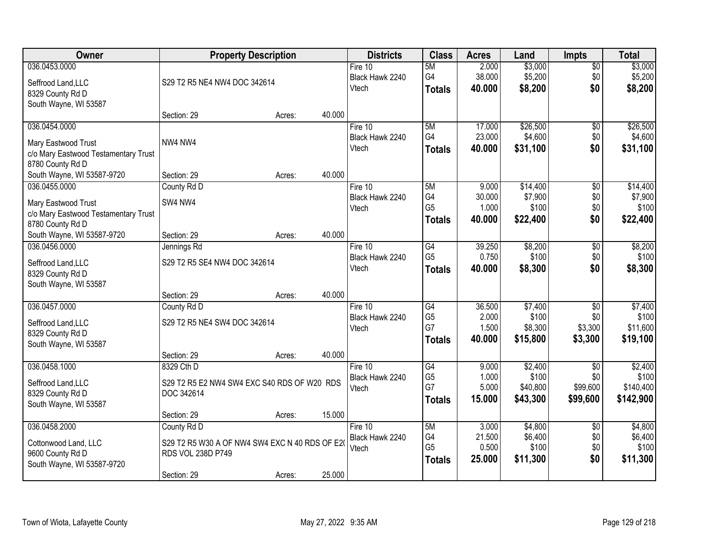| <b>Owner</b>                              |                                                | <b>Property Description</b> |        | <b>Districts</b> | <b>Class</b>    | <b>Acres</b> | Land     | <b>Impts</b>    | <b>Total</b> |
|-------------------------------------------|------------------------------------------------|-----------------------------|--------|------------------|-----------------|--------------|----------|-----------------|--------------|
| 036.0453.0000                             |                                                |                             |        | Fire $10$        | 5M              | 2.000        | \$3,000  | $\sqrt{$0}$     | \$3,000      |
| Seffrood Land, LLC                        | S29 T2 R5 NE4 NW4 DOC 342614                   |                             |        | Black Hawk 2240  | G4              | 38.000       | \$5,200  | \$0             | \$5,200      |
| 8329 County Rd D                          |                                                |                             |        | Vtech            | <b>Totals</b>   | 40.000       | \$8,200  | \$0             | \$8,200      |
| South Wayne, WI 53587                     |                                                |                             |        |                  |                 |              |          |                 |              |
|                                           | Section: 29                                    | Acres:                      | 40.000 |                  |                 |              |          |                 |              |
| 036.0454.0000                             |                                                |                             |        | Fire 10          | 5M              | 17.000       | \$26,500 | \$0             | \$26,500     |
| Mary Eastwood Trust                       | NW4 NW4                                        |                             |        | Black Hawk 2240  | G4              | 23.000       | \$4,600  | \$0             | \$4,600      |
| c/o Mary Eastwood Testamentary Trust      |                                                |                             |        | Vtech            | <b>Totals</b>   | 40.000       | \$31,100 | \$0             | \$31,100     |
| 8780 County Rd D                          |                                                |                             |        |                  |                 |              |          |                 |              |
| South Wayne, WI 53587-9720                | Section: 29                                    | Acres:                      | 40.000 |                  |                 |              |          |                 |              |
| 036.0455.0000                             | County Rd D                                    |                             |        | Fire 10          | 5M              | 9.000        | \$14,400 | $\overline{60}$ | \$14,400     |
| Mary Eastwood Trust                       | SW4 NW4                                        |                             |        | Black Hawk 2240  | G4              | 30.000       | \$7,900  | \$0             | \$7,900      |
| c/o Mary Eastwood Testamentary Trust      |                                                |                             |        | Vtech            | G <sub>5</sub>  | 1.000        | \$100    | \$0             | \$100        |
| 8780 County Rd D                          |                                                |                             |        |                  | <b>Totals</b>   | 40.000       | \$22,400 | \$0             | \$22,400     |
| South Wayne, WI 53587-9720                | Section: 29                                    | Acres:                      | 40.000 |                  |                 |              |          |                 |              |
| 036.0456.0000                             | Jennings Rd                                    |                             |        | Fire 10          | G4              | 39.250       | \$8,200  | $\sqrt[6]{3}$   | \$8,200      |
|                                           | S29 T2 R5 SE4 NW4 DOC 342614                   |                             |        | Black Hawk 2240  | G <sub>5</sub>  | 0.750        | \$100    | \$0             | \$100        |
| Seffrood Land, LLC<br>8329 County Rd D    |                                                |                             |        | Vtech            | <b>Totals</b>   | 40.000       | \$8,300  | \$0             | \$8,300      |
| South Wayne, WI 53587                     |                                                |                             |        |                  |                 |              |          |                 |              |
|                                           | Section: 29                                    | Acres:                      | 40.000 |                  |                 |              |          |                 |              |
| 036.0457.0000                             | County Rd D                                    |                             |        | Fire 10          | $\overline{G4}$ | 36.500       | \$7,400  | $\overline{50}$ | \$7,400      |
|                                           |                                                |                             |        | Black Hawk 2240  | G <sub>5</sub>  | 2.000        | \$100    | \$0             | \$100        |
| Seffrood Land, LLC                        | S29 T2 R5 NE4 SW4 DOC 342614                   |                             |        | Vtech            | G7              | 1.500        | \$8,300  | \$3,300         | \$11,600     |
| 8329 County Rd D<br>South Wayne, WI 53587 |                                                |                             |        |                  | <b>Totals</b>   | 40.000       | \$15,800 | \$3,300         | \$19,100     |
|                                           | Section: 29                                    | Acres:                      | 40.000 |                  |                 |              |          |                 |              |
| 036.0458.1000                             | 8329 Cth D                                     |                             |        | Fire 10          | G4              | 9.000        | \$2,400  | $\overline{50}$ | \$2,400      |
|                                           |                                                |                             |        | Black Hawk 2240  | G <sub>5</sub>  | 1.000        | \$100    | \$0             | \$100        |
| Seffrood Land, LLC                        | S29 T2 R5 E2 NW4 SW4 EXC S40 RDS OF W20 RDS    |                             |        | Vtech            | G7              | 5.000        | \$40,800 | \$99,600        | \$140,400    |
| 8329 County Rd D                          | DOC 342614                                     |                             |        |                  | <b>Totals</b>   | 15,000       | \$43,300 | \$99,600        | \$142,900    |
| South Wayne, WI 53587                     | Section: 29                                    | Acres:                      | 15.000 |                  |                 |              |          |                 |              |
| 036.0458.2000                             | County Rd D                                    |                             |        | Fire $10$        | 5M              | 3.000        | \$4,800  | $\overline{60}$ | \$4,800      |
|                                           |                                                |                             |        | Black Hawk 2240  | G4              | 21.500       | \$6,400  | \$0             | \$6,400      |
| Cottonwood Land, LLC                      | S29 T2 R5 W30 A OF NW4 SW4 EXC N 40 RDS OF E20 |                             |        | Vtech            | G <sub>5</sub>  | 0.500        | \$100    | \$0             | \$100        |
| 9600 County Rd D                          | RDS VOL 238D P749                              |                             |        |                  | <b>Totals</b>   | 25.000       | \$11,300 | \$0             | \$11,300     |
| South Wayne, WI 53587-9720                |                                                |                             |        |                  |                 |              |          |                 |              |
|                                           | Section: 29                                    | Acres:                      | 25.000 |                  |                 |              |          |                 |              |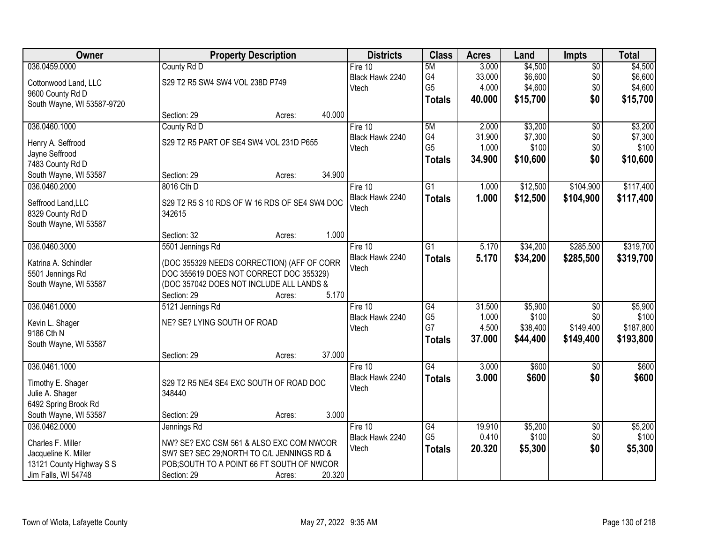| Owner                      |                                               | <b>Property Description</b> |        | <b>Districts</b>         | <b>Class</b>    | <b>Acres</b> | Land     | Impts           | <b>Total</b> |
|----------------------------|-----------------------------------------------|-----------------------------|--------|--------------------------|-----------------|--------------|----------|-----------------|--------------|
| 036.0459.0000              | County Rd D                                   |                             |        | Fire 10                  | 5M              | 3.000        | \$4,500  | $\overline{50}$ | \$4,500      |
| Cottonwood Land, LLC       | S29 T2 R5 SW4 SW4 VOL 238D P749               |                             |        | Black Hawk 2240          | G4              | 33.000       | \$6,600  | \$0             | \$6,600      |
| 9600 County Rd D           |                                               |                             |        | Vtech                    | G <sub>5</sub>  | 4.000        | \$4,600  | \$0             | \$4,600      |
| South Wayne, WI 53587-9720 |                                               |                             |        |                          | <b>Totals</b>   | 40.000       | \$15,700 | \$0             | \$15,700     |
|                            | Section: 29                                   | Acres:                      | 40.000 |                          |                 |              |          |                 |              |
| 036.0460.1000              | County Rd D                                   |                             |        | Fire 10                  | 5M              | 2.000        | \$3,200  | $\overline{50}$ | \$3,200      |
|                            |                                               |                             |        | Black Hawk 2240          | G4              | 31.900       | \$7,300  | \$0             | \$7,300      |
| Henry A. Seffrood          | S29 T2 R5 PART OF SE4 SW4 VOL 231D P655       |                             |        | Vtech                    | G <sub>5</sub>  | 1.000        | \$100    | \$0             | \$100        |
| Jayne Seffrood             |                                               |                             |        |                          | <b>Totals</b>   | 34.900       | \$10,600 | \$0             | \$10,600     |
| 7483 County Rd D           | Section: 29                                   |                             | 34.900 |                          |                 |              |          |                 |              |
| South Wayne, WI 53587      |                                               | Acres:                      |        |                          |                 |              |          |                 |              |
| 036.0460.2000              | 8016 Cth D                                    |                             |        | Fire 10                  | $\overline{G1}$ | 1.000        | \$12,500 | \$104,900       | \$117,400    |
| Seffrood Land, LLC         | S29 T2 R5 S 10 RDS OF W 16 RDS OF SE4 SW4 DOC |                             |        | Black Hawk 2240<br>Vtech | <b>Totals</b>   | 1.000        | \$12,500 | \$104,900       | \$117,400    |
| 8329 County Rd D           | 342615                                        |                             |        |                          |                 |              |          |                 |              |
| South Wayne, WI 53587      |                                               |                             |        |                          |                 |              |          |                 |              |
|                            | Section: 32                                   | Acres:                      | 1.000  |                          |                 |              |          |                 |              |
| 036.0460.3000              | 5501 Jennings Rd                              |                             |        | Fire 10                  | G1              | 5.170        | \$34,200 | \$285,500       | \$319,700    |
| Katrina A. Schindler       | (DOC 355329 NEEDS CORRECTION) (AFF OF CORR    |                             |        | Black Hawk 2240          | <b>Totals</b>   | 5.170        | \$34,200 | \$285,500       | \$319,700    |
| 5501 Jennings Rd           | DOC 355619 DOES NOT CORRECT DOC 355329)       |                             |        | Vtech                    |                 |              |          |                 |              |
| South Wayne, WI 53587      | (DOC 357042 DOES NOT INCLUDE ALL LANDS &      |                             |        |                          |                 |              |          |                 |              |
|                            | Section: 29                                   | Acres:                      | 5.170  |                          |                 |              |          |                 |              |
| 036.0461.0000              | 5121 Jennings Rd                              |                             |        | Fire 10                  | $\overline{G4}$ | 31.500       | \$5,900  | $\overline{50}$ | \$5,900      |
|                            |                                               |                             |        | Black Hawk 2240          | G <sub>5</sub>  | 1.000        | \$100    | \$0             | \$100        |
| Kevin L. Shager            | NE? SE? LYING SOUTH OF ROAD                   |                             |        | Vtech                    | G7              | 4.500        | \$38,400 | \$149,400       | \$187,800    |
| 9186 Cth N                 |                                               |                             |        |                          | <b>Totals</b>   | 37.000       | \$44,400 | \$149,400       | \$193,800    |
| South Wayne, WI 53587      |                                               |                             |        |                          |                 |              |          |                 |              |
|                            | Section: 29                                   | Acres:                      | 37.000 |                          |                 |              |          |                 |              |
| 036.0461.1000              |                                               |                             |        | Fire $10$                | $\overline{G4}$ | 3.000        | \$600    | $\overline{50}$ | \$600        |
| Timothy E. Shager          | S29 T2 R5 NE4 SE4 EXC SOUTH OF ROAD DOC       |                             |        | Black Hawk 2240          | <b>Totals</b>   | 3.000        | \$600    | \$0             | \$600        |
| Julie A. Shager            | 348440                                        |                             |        | Vtech                    |                 |              |          |                 |              |
| 6492 Spring Brook Rd       |                                               |                             |        |                          |                 |              |          |                 |              |
| South Wayne, WI 53587      | Section: 29                                   | Acres:                      | 3.000  |                          |                 |              |          |                 |              |
| 036.0462.0000              | Jennings Rd                                   |                             |        | Fire 10                  | $\overline{G4}$ | 19.910       | \$5,200  | $\overline{50}$ | \$5,200      |
| Charles F. Miller          | NW? SE? EXC CSM 561 & ALSO EXC COM NWCOR      |                             |        | Black Hawk 2240          | G <sub>5</sub>  | 0.410        | \$100    | \$0             | \$100        |
| Jacqueline K. Miller       | SW? SE? SEC 29; NORTH TO C/L JENNINGS RD &    |                             |        | Vtech                    | <b>Totals</b>   | 20.320       | \$5,300  | \$0             | \$5,300      |
| 13121 County Highway S S   | POB; SOUTH TO A POINT 66 FT SOUTH OF NWCOR    |                             |        |                          |                 |              |          |                 |              |
| Jim Falls, WI 54748        | Section: 29                                   | Acres:                      | 20.320 |                          |                 |              |          |                 |              |
|                            |                                               |                             |        |                          |                 |              |          |                 |              |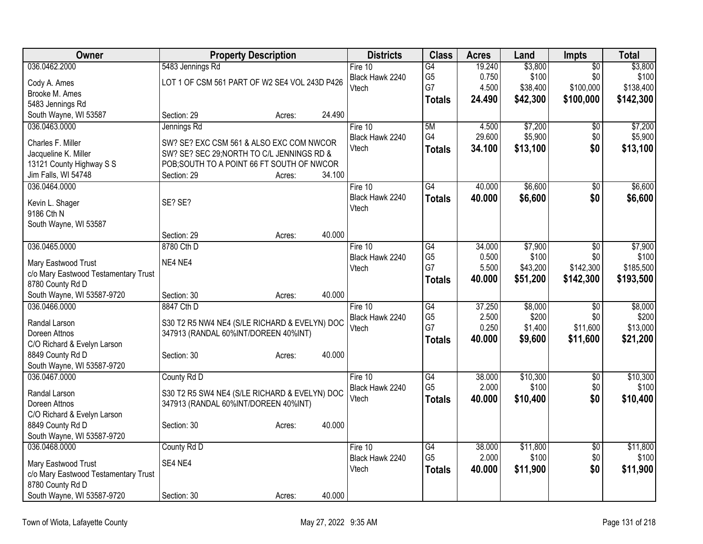| Owner                                                    |                                               | <b>Property Description</b> |        | <b>Districts</b> | <b>Class</b>    | <b>Acres</b> | Land     | Impts           | <b>Total</b> |
|----------------------------------------------------------|-----------------------------------------------|-----------------------------|--------|------------------|-----------------|--------------|----------|-----------------|--------------|
| 036.0462.2000                                            | 5483 Jennings Rd                              |                             |        | Fire $10$        | G4              | 19.240       | \$3,800  | $\overline{50}$ | \$3,800      |
| Cody A. Ames                                             | LOT 1 OF CSM 561 PART OF W2 SE4 VOL 243D P426 |                             |        | Black Hawk 2240  | G <sub>5</sub>  | 0.750        | \$100    | \$0             | \$100        |
| Brooke M. Ames                                           |                                               |                             |        | Vtech            | G7              | 4.500        | \$38,400 | \$100,000       | \$138,400    |
| 5483 Jennings Rd                                         |                                               |                             |        |                  | <b>Totals</b>   | 24.490       | \$42,300 | \$100,000       | \$142,300    |
| South Wayne, WI 53587                                    | Section: 29                                   | Acres:                      | 24.490 |                  |                 |              |          |                 |              |
| 036.0463.0000                                            | Jennings Rd                                   |                             |        | Fire 10          | 5M              | 4.500        | \$7,200  | \$0             | \$7,200      |
| Charles F. Miller                                        | SW? SE? EXC CSM 561 & ALSO EXC COM NWCOR      |                             |        | Black Hawk 2240  | G4              | 29.600       | \$5,900  | \$0             | \$5,900      |
| Jacqueline K. Miller                                     | SW? SE? SEC 29; NORTH TO C/L JENNINGS RD &    |                             |        | Vtech            | <b>Totals</b>   | 34.100       | \$13,100 | \$0             | \$13,100     |
| 13121 County Highway S S                                 | POB; SOUTH TO A POINT 66 FT SOUTH OF NWCOR    |                             |        |                  |                 |              |          |                 |              |
| Jim Falls, WI 54748                                      | Section: 29                                   | Acres:                      | 34.100 |                  |                 |              |          |                 |              |
| 036.0464.0000                                            |                                               |                             |        | Fire 10          | G4              | 40.000       | \$6,600  | $\overline{50}$ | \$6,600      |
|                                                          |                                               |                             |        | Black Hawk 2240  | <b>Totals</b>   | 40.000       | \$6,600  | \$0             | \$6,600      |
| Kevin L. Shager                                          | SE? SE?                                       |                             |        | Vtech            |                 |              |          |                 |              |
| 9186 Cth N                                               |                                               |                             |        |                  |                 |              |          |                 |              |
| South Wayne, WI 53587                                    | Section: 29                                   |                             | 40.000 |                  |                 |              |          |                 |              |
| 036.0465.0000                                            | 8780 Cth D                                    | Acres:                      |        | Fire 10          | G4              | 34.000       | \$7,900  |                 | \$7,900      |
|                                                          |                                               |                             |        | Black Hawk 2240  | G <sub>5</sub>  | 0.500        | \$100    | \$0<br>\$0      | \$100        |
| Mary Eastwood Trust                                      | NE4 NE4                                       |                             |        | Vtech            | G7              | 5.500        | \$43,200 | \$142,300       | \$185,500    |
| c/o Mary Eastwood Testamentary Trust                     |                                               |                             |        |                  | <b>Totals</b>   | 40.000       | \$51,200 | \$142,300       | \$193,500    |
| 8780 County Rd D                                         |                                               |                             |        |                  |                 |              |          |                 |              |
| South Wayne, WI 53587-9720                               | Section: 30                                   | Acres:                      | 40.000 |                  |                 |              |          |                 |              |
| 036.0466.0000                                            | 8847 Cth D                                    |                             |        | Fire 10          | $\overline{G4}$ | 37.250       | \$8,000  | $\overline{50}$ | \$8,000      |
| Randal Larson                                            | S30 T2 R5 NW4 NE4 (S/LE RICHARD & EVELYN) DOC |                             |        | Black Hawk 2240  | G <sub>5</sub>  | 2.500        | \$200    | \$0             | \$200        |
| Doreen Attnos                                            | 347913 (RANDAL 60%INT/DOREEN 40%INT)          |                             |        | Vtech            | G7              | 0.250        | \$1,400  | \$11,600        | \$13,000     |
| C/O Richard & Evelyn Larson                              |                                               |                             |        |                  | <b>Totals</b>   | 40.000       | \$9,600  | \$11,600        | \$21,200     |
| 8849 County Rd D                                         | Section: 30                                   | Acres:                      | 40.000 |                  |                 |              |          |                 |              |
| South Wayne, WI 53587-9720                               |                                               |                             |        |                  |                 |              |          |                 |              |
| 036.0467.0000                                            | County Rd D                                   |                             |        | Fire 10          | $\overline{G4}$ | 38.000       | \$10,300 | $\overline{50}$ | \$10,300     |
| Randal Larson                                            | S30 T2 R5 SW4 NE4 (S/LE RICHARD & EVELYN) DOC |                             |        | Black Hawk 2240  | G <sub>5</sub>  | 2.000        | \$100    | \$0             | \$100        |
| Doreen Attnos                                            | 347913 (RANDAL 60%INT/DOREEN 40%INT)          |                             |        | Vtech            | <b>Totals</b>   | 40.000       | \$10,400 | \$0             | \$10,400     |
| C/O Richard & Evelyn Larson                              |                                               |                             |        |                  |                 |              |          |                 |              |
| 8849 County Rd D                                         | Section: 30                                   | Acres:                      | 40.000 |                  |                 |              |          |                 |              |
| South Wayne, WI 53587-9720                               |                                               |                             |        |                  |                 |              |          |                 |              |
| 036.0468.0000                                            | County Rd D                                   |                             |        | Fire $10$        | G4              | 38.000       | \$11,800 | $\sqrt{6}$      | \$11,800     |
|                                                          |                                               |                             |        | Black Hawk 2240  | G <sub>5</sub>  | 2.000        | \$100    | \$0             | \$100        |
| Mary Eastwood Trust                                      | SE4 NE4                                       |                             |        | Vtech            | <b>Totals</b>   | 40.000       | \$11,900 | \$0             | \$11,900     |
| c/o Mary Eastwood Testamentary Trust<br>8780 County Rd D |                                               |                             |        |                  |                 |              |          |                 |              |
| South Wayne, WI 53587-9720                               | Section: 30                                   |                             | 40.000 |                  |                 |              |          |                 |              |
|                                                          |                                               | Acres:                      |        |                  |                 |              |          |                 |              |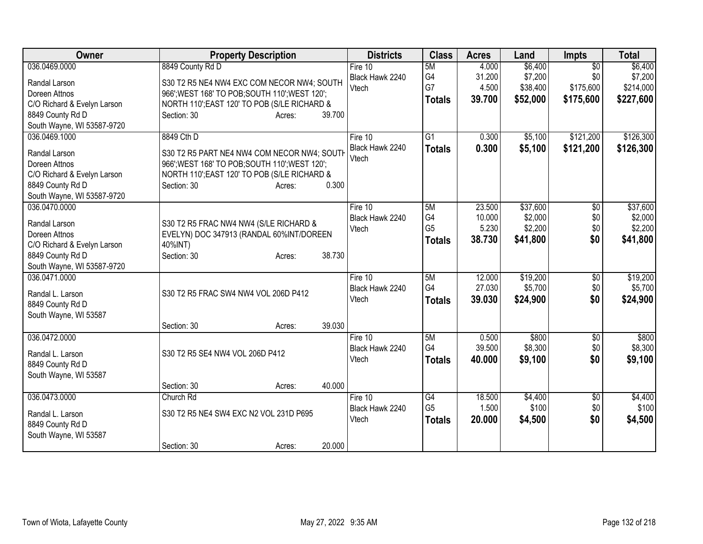| Owner                                | <b>Property Description</b>                    | <b>Districts</b> | <b>Class</b>    | <b>Acres</b> | Land     | Impts           | <b>Total</b> |
|--------------------------------------|------------------------------------------------|------------------|-----------------|--------------|----------|-----------------|--------------|
| 036.0469.0000                        | 8849 County Rd D                               | Fire 10          | 5M              | 4.000        | \$6,400  | $\overline{50}$ | \$6,400      |
| Randal Larson                        | S30 T2 R5 NE4 NW4 EXC COM NECOR NW4; SOUTH     | Black Hawk 2240  | G4              | 31.200       | \$7,200  | \$0             | \$7,200      |
| Doreen Attnos                        | 966'; WEST 168' TO POB; SOUTH 110'; WEST 120'; | Vtech            | G7              | 4.500        | \$38,400 | \$175,600       | \$214,000    |
| C/O Richard & Evelyn Larson          | NORTH 110"; EAST 120' TO POB (S/LE RICHARD &   |                  | <b>Totals</b>   | 39.700       | \$52,000 | \$175,600       | \$227,600    |
| 8849 County Rd D                     | 39.700<br>Section: 30<br>Acres:                |                  |                 |              |          |                 |              |
| South Wayne, WI 53587-9720           |                                                |                  |                 |              |          |                 |              |
| 036.0469.1000                        | 8849 Cth D                                     | Fire $10$        | $\overline{G1}$ | 0.300        | \$5,100  | \$121,200       | \$126,300    |
| Randal Larson                        | S30 T2 R5 PART NE4 NW4 COM NECOR NW4; SOUTH    | Black Hawk 2240  | <b>Totals</b>   | 0.300        | \$5,100  | \$121,200       | \$126,300    |
| Doreen Attnos                        | 966'; WEST 168' TO POB; SOUTH 110'; WEST 120'; | Vtech            |                 |              |          |                 |              |
| C/O Richard & Evelyn Larson          | NORTH 110'; EAST 120' TO POB (S/LE RICHARD &   |                  |                 |              |          |                 |              |
| 8849 County Rd D                     | 0.300<br>Section: 30<br>Acres:                 |                  |                 |              |          |                 |              |
| South Wayne, WI 53587-9720           |                                                |                  |                 |              |          |                 |              |
| 036.0470.0000                        |                                                | Fire $10$        | 5M              | 23.500       | \$37,600 | $\overline{50}$ | \$37,600     |
| Randal Larson                        | S30 T2 R5 FRAC NW4 NW4 (S/LE RICHARD &         | Black Hawk 2240  | G4              | 10.000       | \$2,000  | \$0             | \$2,000      |
| Doreen Attnos                        | EVELYN) DOC 347913 (RANDAL 60%INT/DOREEN       | Vtech            | G <sub>5</sub>  | 5.230        | \$2,200  | \$0             | \$2,200      |
| C/O Richard & Evelyn Larson          | 40%INT)                                        |                  | <b>Totals</b>   | 38.730       | \$41,800 | \$0             | \$41,800     |
| 8849 County Rd D                     | 38.730<br>Section: 30<br>Acres:                |                  |                 |              |          |                 |              |
| South Wayne, WI 53587-9720           |                                                |                  |                 |              |          |                 |              |
| 036.0471.0000                        |                                                | Fire 10          | 5M              | 12.000       | \$19,200 | $\overline{50}$ | \$19,200     |
| Randal L. Larson                     | S30 T2 R5 FRAC SW4 NW4 VOL 206D P412           | Black Hawk 2240  | G4              | 27.030       | \$5,700  | \$0             | \$5,700      |
| 8849 County Rd D                     |                                                | Vtech            | <b>Totals</b>   | 39.030       | \$24,900 | \$0             | \$24,900     |
| South Wayne, WI 53587                |                                                |                  |                 |              |          |                 |              |
|                                      | 39.030<br>Section: 30<br>Acres:                |                  |                 |              |          |                 |              |
| 036.0472.0000                        |                                                | Fire 10          | 5M              | 0.500        | \$800    | \$0             | \$800        |
|                                      |                                                | Black Hawk 2240  | G4              | 39.500       | \$8,300  | \$0             | \$8,300      |
| Randal L. Larson<br>8849 County Rd D | S30 T2 R5 SE4 NW4 VOL 206D P412                | Vtech            | <b>Totals</b>   | 40.000       | \$9,100  | \$0             | \$9,100      |
| South Wayne, WI 53587                |                                                |                  |                 |              |          |                 |              |
|                                      | 40.000<br>Section: 30<br>Acres:                |                  |                 |              |          |                 |              |
| 036.0473.0000                        | Church Rd                                      | Fire 10          | G4              | 18.500       | \$4,400  | \$0             | \$4,400      |
|                                      |                                                | Black Hawk 2240  | G <sub>5</sub>  | 1.500        | \$100    | \$0             | \$100        |
| Randal L. Larson                     | S30 T2 R5 NE4 SW4 EXC N2 VOL 231D P695         | Vtech            | <b>Totals</b>   | 20.000       | \$4,500  | \$0             | \$4,500      |
| 8849 County Rd D                     |                                                |                  |                 |              |          |                 |              |
| South Wayne, WI 53587                |                                                |                  |                 |              |          |                 |              |
|                                      | 20.000<br>Section: 30<br>Acres:                |                  |                 |              |          |                 |              |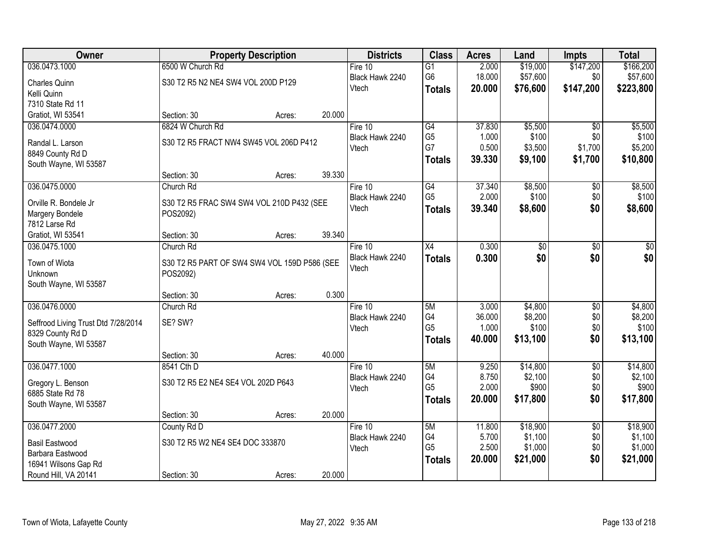| Owner                               | <b>Property Description</b>                  |        |        | <b>Districts</b> | <b>Class</b>         | <b>Acres</b>    | Land             | <b>Impts</b>    | <b>Total</b>     |
|-------------------------------------|----------------------------------------------|--------|--------|------------------|----------------------|-----------------|------------------|-----------------|------------------|
| 036.0473.1000                       | 6500 W Church Rd                             |        |        | Fire $10$        | $\overline{G1}$      | 2.000           | \$19,000         | \$147,200       | \$166,200        |
| Charles Quinn                       | S30 T2 R5 N2 NE4 SW4 VOL 200D P129           |        |        | Black Hawk 2240  | G <sub>6</sub>       | 18.000          | \$57,600         | \$0             | \$57,600         |
| Kelli Quinn                         |                                              |        |        | Vtech            | <b>Totals</b>        | 20.000          | \$76,600         | \$147,200       | \$223,800        |
| 7310 State Rd 11                    |                                              |        |        |                  |                      |                 |                  |                 |                  |
| Gratiot, WI 53541                   | Section: 30                                  | Acres: | 20.000 |                  |                      |                 |                  |                 |                  |
| 036.0474.0000                       | 6824 W Church Rd                             |        |        | Fire 10          | G4                   | 37.830          | \$5,500          | $\overline{50}$ | \$5,500          |
| Randal L. Larson                    | S30 T2 R5 FRACT NW4 SW45 VOL 206D P412       |        |        | Black Hawk 2240  | G <sub>5</sub>       | 1.000           | \$100            | \$0             | \$100            |
| 8849 County Rd D                    |                                              |        |        | Vtech            | G7                   | 0.500           | \$3,500          | \$1,700         | \$5,200          |
| South Wayne, WI 53587               |                                              |        |        |                  | <b>Totals</b>        | 39.330          | \$9,100          | \$1,700         | \$10,800         |
|                                     | Section: 30                                  | Acres: | 39.330 |                  |                      |                 |                  |                 |                  |
| 036.0475.0000                       | Church Rd                                    |        |        | Fire 10          | G4                   | 37.340          | \$8,500          | $\overline{50}$ | \$8,500          |
|                                     |                                              |        |        | Black Hawk 2240  | G <sub>5</sub>       | 2.000           | \$100            | \$0             | \$100            |
| Orville R. Bondele Jr               | S30 T2 R5 FRAC SW4 SW4 VOL 210D P432 (SEE    |        |        | Vtech            | <b>Totals</b>        | 39.340          | \$8,600          | \$0             | \$8,600          |
| Margery Bondele<br>7812 Larse Rd    | POS2092)                                     |        |        |                  |                      |                 |                  |                 |                  |
| Gratiot, WI 53541                   | Section: 30                                  | Acres: | 39.340 |                  |                      |                 |                  |                 |                  |
| 036.0475.1000                       | Church Rd                                    |        |        | Fire 10          | X4                   | 0.300           | \$0              | \$0             | \$0              |
|                                     |                                              |        |        | Black Hawk 2240  | <b>Totals</b>        | 0.300           | \$0              | \$0             | \$0              |
| Town of Wiota                       | S30 T2 R5 PART OF SW4 SW4 VOL 159D P586 (SEE |        |        | Vtech            |                      |                 |                  |                 |                  |
| Unknown                             | POS2092)                                     |        |        |                  |                      |                 |                  |                 |                  |
| South Wayne, WI 53587               |                                              |        |        |                  |                      |                 |                  |                 |                  |
|                                     | Section: 30                                  | Acres: | 0.300  |                  |                      |                 |                  |                 |                  |
| 036.0476.0000                       | Church Rd                                    |        |        | Fire 10          | 5M                   | 3.000           | \$4,800          | $\overline{50}$ | \$4,800          |
| Seffrood Living Trust Dtd 7/28/2014 | SE? SW?                                      |        |        | Black Hawk 2240  | G4<br>G <sub>5</sub> | 36.000<br>1.000 | \$8,200<br>\$100 | \$0<br>\$0      | \$8,200<br>\$100 |
| 8329 County Rd D                    |                                              |        |        | Vtech            |                      |                 |                  | \$0             |                  |
| South Wayne, WI 53587               |                                              |        |        |                  | <b>Totals</b>        | 40.000          | \$13,100         |                 | \$13,100         |
|                                     | Section: 30                                  | Acres: | 40.000 |                  |                      |                 |                  |                 |                  |
| 036.0477.1000                       | 8541 Cth D                                   |        |        | Fire 10          | 5M                   | 9.250           | \$14,800         | $\overline{60}$ | \$14,800         |
| Gregory L. Benson                   | S30 T2 R5 E2 NE4 SE4 VOL 202D P643           |        |        | Black Hawk 2240  | G4                   | 8.750           | \$2,100          | \$0             | \$2,100          |
| 6885 State Rd 78                    |                                              |        |        | Vtech            | G <sub>5</sub>       | 2.000           | \$900            | \$0             | \$900            |
| South Wayne, WI 53587               |                                              |        |        |                  | <b>Totals</b>        | 20.000          | \$17,800         | \$0             | \$17,800         |
|                                     | Section: 30                                  | Acres: | 20.000 |                  |                      |                 |                  |                 |                  |
| 036.0477.2000                       | County Rd D                                  |        |        | Fire 10          | 5M                   | 11.800          | \$18,900         | $\overline{30}$ | \$18,900         |
| <b>Basil Eastwood</b>               | S30 T2 R5 W2 NE4 SE4 DOC 333870              |        |        | Black Hawk 2240  | G4                   | 5.700           | \$1,100          | \$0             | \$1,100          |
| Barbara Eastwood                    |                                              |        |        | Vtech            | G <sub>5</sub>       | 2.500           | \$1,000          | \$0             | \$1,000          |
| 16941 Wilsons Gap Rd                |                                              |        |        |                  | <b>Totals</b>        | 20.000          | \$21,000         | \$0             | \$21,000         |
| Round Hill, VA 20141                | Section: 30                                  | Acres: | 20.000 |                  |                      |                 |                  |                 |                  |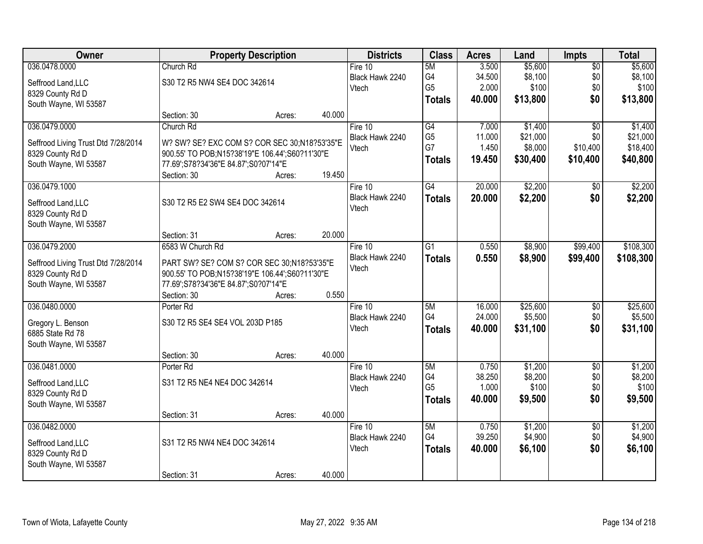| <b>Owner</b>                        |                                                     | <b>Property Description</b> |        | <b>Districts</b> | <b>Class</b>    | <b>Acres</b> | Land     | Impts           | <b>Total</b> |
|-------------------------------------|-----------------------------------------------------|-----------------------------|--------|------------------|-----------------|--------------|----------|-----------------|--------------|
| 036.0478.0000                       | Church Rd                                           |                             |        | Fire $10$        | 5M              | 3.500        | \$5,600  | $\overline{50}$ | \$5,600      |
| Seffrood Land, LLC                  | S30 T2 R5 NW4 SE4 DOC 342614                        |                             |        | Black Hawk 2240  | G4              | 34.500       | \$8,100  | \$0             | \$8,100      |
| 8329 County Rd D                    |                                                     |                             |        | Vtech            | G <sub>5</sub>  | 2.000        | \$100    | \$0             | \$100        |
| South Wayne, WI 53587               |                                                     |                             |        |                  | <b>Totals</b>   | 40.000       | \$13,800 | \$0             | \$13,800     |
|                                     | Section: 30                                         | Acres:                      | 40.000 |                  |                 |              |          |                 |              |
| 036.0479.0000                       | Church Rd                                           |                             |        | Fire 10          | G4              | 7.000        | \$1,400  | $\overline{30}$ | \$1,400      |
|                                     |                                                     |                             |        | Black Hawk 2240  | G <sub>5</sub>  | 11.000       | \$21,000 | \$0             | \$21,000     |
| Seffrood Living Trust Dtd 7/28/2014 | W? SW? SE? EXC COM S? COR SEC 30;N18?53'35"E        |                             |        | Vtech            | G7              | 1.450        | \$8,000  | \$10,400        | \$18,400     |
| 8329 County Rd D                    | 900.55' TO POB;N15?38'19"E 106.44';S60?11'30"E      |                             |        |                  | <b>Totals</b>   | 19.450       | \$30,400 | \$10,400        | \$40,800     |
| South Wayne, WI 53587               | 77.69';S78?34'36"E 84.87';S0?07'14"E<br>Section: 30 |                             | 19.450 |                  |                 |              |          |                 |              |
| 036.0479.1000                       |                                                     | Acres:                      |        | Fire 10          | $\overline{G4}$ | 20.000       | \$2,200  | $\overline{50}$ | \$2,200      |
|                                     |                                                     |                             |        | Black Hawk 2240  |                 |              |          |                 |              |
| Seffrood Land, LLC                  | S30 T2 R5 E2 SW4 SE4 DOC 342614                     |                             |        | Vtech            | <b>Totals</b>   | 20.000       | \$2,200  | \$0             | \$2,200      |
| 8329 County Rd D                    |                                                     |                             |        |                  |                 |              |          |                 |              |
| South Wayne, WI 53587               |                                                     |                             |        |                  |                 |              |          |                 |              |
|                                     | Section: 31                                         | Acres:                      | 20.000 |                  |                 |              |          |                 |              |
| 036.0479.2000                       | 6583 W Church Rd                                    |                             |        | Fire $10$        | $\overline{G1}$ | 0.550        | \$8,900  | \$99,400        | \$108,300    |
| Seffrood Living Trust Dtd 7/28/2014 | PART SW? SE? COM S? COR SEC 30;N18?53'35"E          |                             |        | Black Hawk 2240  | <b>Totals</b>   | 0.550        | \$8,900  | \$99,400        | \$108,300    |
| 8329 County Rd D                    | 900.55' TO POB;N15?38'19"E 106.44';S60?11'30"E      |                             |        | Vtech            |                 |              |          |                 |              |
| South Wayne, WI 53587               | 77.69';S78?34'36"E 84.87';S0?07'14"E                |                             |        |                  |                 |              |          |                 |              |
|                                     | Section: 30                                         | Acres:                      | 0.550  |                  |                 |              |          |                 |              |
| 036.0480.0000                       | Porter Rd                                           |                             |        | Fire $10$        | 5M              | 16.000       | \$25,600 | $\overline{60}$ | \$25,600     |
|                                     |                                                     |                             |        | Black Hawk 2240  | G4              | 24.000       | \$5,500  | \$0             | \$5,500      |
| Gregory L. Benson                   | S30 T2 R5 SE4 SE4 VOL 203D P185                     |                             |        | Vtech            | <b>Totals</b>   | 40.000       | \$31,100 | \$0             | \$31,100     |
| 6885 State Rd 78                    |                                                     |                             |        |                  |                 |              |          |                 |              |
| South Wayne, WI 53587               |                                                     |                             |        |                  |                 |              |          |                 |              |
|                                     | Section: 30                                         | Acres:                      | 40.000 |                  |                 |              |          |                 |              |
| 036.0481.0000                       | Porter Rd                                           |                             |        | Fire $10$        | 5M              | 0.750        | \$1,200  | $\sqrt{6}$      | \$1,200      |
| Seffrood Land, LLC                  | S31 T2 R5 NE4 NE4 DOC 342614                        |                             |        | Black Hawk 2240  | G4              | 38.250       | \$8,200  | \$0             | \$8,200      |
| 8329 County Rd D                    |                                                     |                             |        | Vtech            | G <sub>5</sub>  | 1.000        | \$100    | \$0             | \$100        |
| South Wayne, WI 53587               |                                                     |                             |        |                  | <b>Totals</b>   | 40.000       | \$9,500  | \$0             | \$9,500      |
|                                     | Section: 31                                         | Acres:                      | 40.000 |                  |                 |              |          |                 |              |
| 036.0482.0000                       |                                                     |                             |        | Fire 10          | 5M              | 0.750        | \$1,200  | $\overline{50}$ | \$1,200      |
| Seffrood Land, LLC                  | S31 T2 R5 NW4 NE4 DOC 342614                        |                             |        | Black Hawk 2240  | G4              | 39.250       | \$4,900  | \$0             | \$4,900      |
| 8329 County Rd D                    |                                                     |                             |        | Vtech            | <b>Totals</b>   | 40.000       | \$6,100  | \$0             | \$6,100      |
| South Wayne, WI 53587               |                                                     |                             |        |                  |                 |              |          |                 |              |
| Section: 31                         |                                                     |                             |        |                  |                 |              |          |                 |              |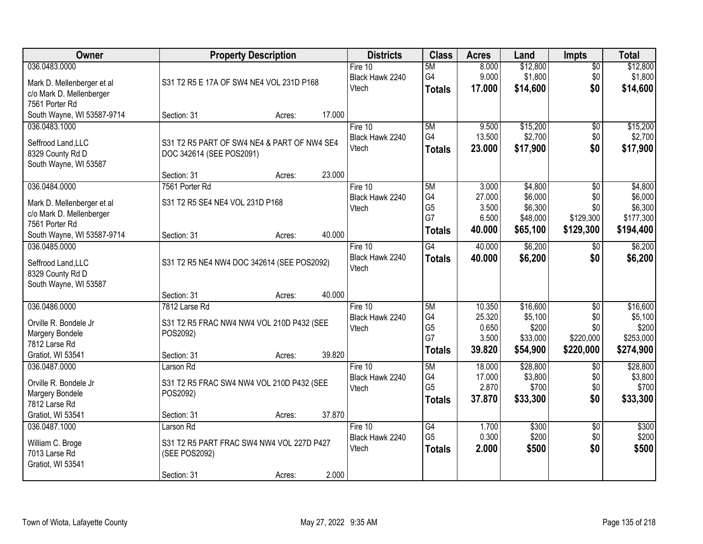| Owner                      | <b>Property Description</b>                 | <b>Districts</b> | <b>Class</b> | <b>Acres</b>    | Land           | <b>Impts</b> | <b>Total</b> |                 |           |
|----------------------------|---------------------------------------------|------------------|--------------|-----------------|----------------|--------------|--------------|-----------------|-----------|
| 036.0483.0000              |                                             |                  |              | Fire $10$       | 5M             | 8.000        | \$12,800     | $\overline{50}$ | \$12,800  |
| Mark D. Mellenberger et al | S31 T2 R5 E 17A OF SW4 NE4 VOL 231D P168    |                  |              | Black Hawk 2240 | G4             | 9.000        | \$1,800      | \$0             | \$1,800   |
| c/o Mark D. Mellenberger   |                                             |                  |              | Vtech           | <b>Totals</b>  | 17.000       | \$14,600     | \$0             | \$14,600  |
| 7561 Porter Rd             |                                             |                  |              |                 |                |              |              |                 |           |
| South Wayne, WI 53587-9714 | Section: 31                                 | Acres:           | 17.000       |                 |                |              |              |                 |           |
| 036.0483.1000              |                                             |                  |              | Fire 10         | 5M             | 9.500        | \$15,200     | $\overline{50}$ | \$15,200  |
| Seffrood Land, LLC         | S31 T2 R5 PART OF SW4 NE4 & PART OF NW4 SE4 |                  |              | Black Hawk 2240 | G4             | 13.500       | \$2,700      | \$0             | \$2,700   |
| 8329 County Rd D           | DOC 342614 (SEE POS2091)                    |                  |              | Vtech           | <b>Totals</b>  | 23.000       | \$17,900     | \$0             | \$17,900  |
| South Wayne, WI 53587      |                                             |                  |              |                 |                |              |              |                 |           |
|                            | Section: 31                                 | Acres:           | 23.000       |                 |                |              |              |                 |           |
| 036.0484.0000              | 7561 Porter Rd                              |                  |              | Fire 10         | 5M             | 3.000        | \$4,800      | \$0             | \$4,800   |
| Mark D. Mellenberger et al | S31 T2 R5 SE4 NE4 VOL 231D P168             |                  |              | Black Hawk 2240 | G4             | 27.000       | \$6,000      | \$0             | \$6,000   |
| c/o Mark D. Mellenberger   |                                             |                  |              | Vtech           | G <sub>5</sub> | 3.500        | \$6,300      | \$0             | \$6,300   |
| 7561 Porter Rd             |                                             |                  |              |                 | G7             | 6.500        | \$48,000     | \$129,300       | \$177,300 |
| South Wayne, WI 53587-9714 | Section: 31                                 | Acres:           | 40.000       |                 | <b>Totals</b>  | 40.000       | \$65,100     | \$129,300       | \$194,400 |
| 036.0485.0000              |                                             |                  |              | Fire $10$       | G4             | 40.000       | \$6,200      | $\sqrt[6]{}$    | \$6,200   |
| Seffrood Land, LLC         | S31 T2 R5 NE4 NW4 DOC 342614 (SEE POS2092)  |                  |              | Black Hawk 2240 | <b>Totals</b>  | 40.000       | \$6,200      | \$0             | \$6,200   |
| 8329 County Rd D           |                                             |                  |              | Vtech           |                |              |              |                 |           |
| South Wayne, WI 53587      |                                             |                  |              |                 |                |              |              |                 |           |
|                            | Section: 31                                 | Acres:           | 40.000       |                 |                |              |              |                 |           |
| 036.0486.0000              | 7812 Larse Rd                               |                  |              | Fire $10$       | 5M             | 10.350       | \$16,600     | $\overline{50}$ | \$16,600  |
| Orville R. Bondele Jr      | S31 T2 R5 FRAC NW4 NW4 VOL 210D P432 (SEE   |                  |              | Black Hawk 2240 | G4             | 25.320       | \$5,100      | \$0             | \$5,100   |
| Margery Bondele            | POS2092)                                    |                  |              | Vtech           | G <sub>5</sub> | 0.650        | \$200        | \$0             | \$200     |
| 7812 Larse Rd              |                                             |                  |              |                 | G7             | 3.500        | \$33,000     | \$220,000       | \$253,000 |
| Gratiot, WI 53541          | Section: 31                                 | Acres:           | 39.820       |                 | <b>Totals</b>  | 39.820       | \$54,900     | \$220,000       | \$274,900 |
| 036.0487.0000              | Larson Rd                                   |                  |              | Fire 10         | 5M             | 18.000       | \$28,800     | $\sqrt{6}$      | \$28,800  |
| Orville R. Bondele Jr      | S31 T2 R5 FRAC SW4 NW4 VOL 210D P432 (SEE   |                  |              | Black Hawk 2240 | G4             | 17.000       | \$3,800      | \$0             | \$3,800   |
| Margery Bondele            | POS2092)                                    |                  |              | Vtech           | G <sub>5</sub> | 2.870        | \$700        | \$0             | \$700     |
| 7812 Larse Rd              |                                             |                  |              |                 | <b>Totals</b>  | 37.870       | \$33,300     | \$0             | \$33,300  |
| Gratiot, WI 53541          | Section: 31                                 | Acres:           | 37.870       |                 |                |              |              |                 |           |
| 036.0487.1000              | Larson Rd                                   |                  |              | Fire 10         | G4             | 1.700        | \$300        | $\overline{50}$ | \$300     |
| William C. Broge           | S31 T2 R5 PART FRAC SW4 NW4 VOL 227D P427   |                  |              | Black Hawk 2240 | G <sub>5</sub> | 0.300        | \$200        | \$0             | \$200     |
| 7013 Larse Rd              | (SEE POS2092)                               |                  |              | Vtech           | <b>Totals</b>  | 2.000        | \$500        | \$0             | \$500     |
| Gratiot, WI 53541          |                                             |                  |              |                 |                |              |              |                 |           |
|                            | Section: 31                                 | Acres:           | 2.000        |                 |                |              |              |                 |           |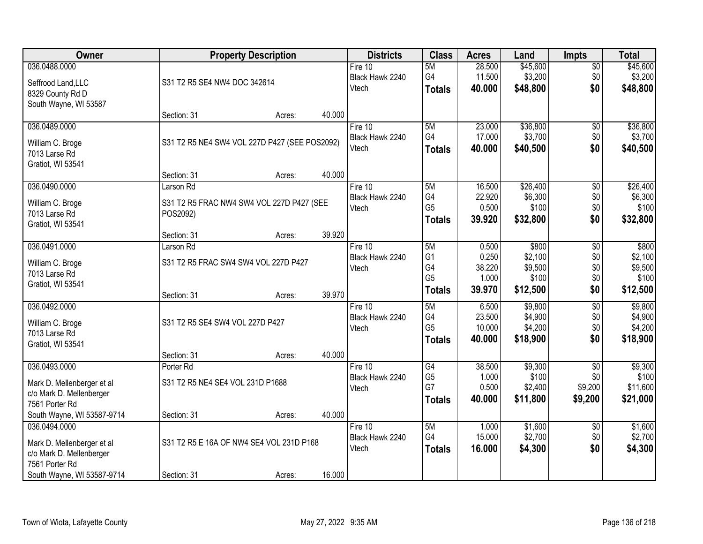| Owner                      |                                               | <b>Property Description</b>               |        | <b>Districts</b> | <b>Class</b>   | <b>Acres</b> | Land     | <b>Impts</b>    | <b>Total</b> |
|----------------------------|-----------------------------------------------|-------------------------------------------|--------|------------------|----------------|--------------|----------|-----------------|--------------|
| 036.0488.0000              |                                               |                                           |        | Fire $10$        | 5M             | 28.500       | \$45,600 | $\overline{50}$ | \$45,600     |
| Seffrood Land, LLC         | S31 T2 R5 SE4 NW4 DOC 342614                  |                                           |        | Black Hawk 2240  | G4             | 11.500       | \$3,200  | \$0             | \$3,200      |
| 8329 County Rd D           |                                               |                                           |        | Vtech            | <b>Totals</b>  | 40.000       | \$48,800 | \$0             | \$48,800     |
| South Wayne, WI 53587      |                                               |                                           |        |                  |                |              |          |                 |              |
|                            | Section: 31                                   | Acres:                                    | 40.000 |                  |                |              |          |                 |              |
| 036.0489.0000              |                                               |                                           |        | Fire 10          | 5M             | 23.000       | \$36,800 | \$0             | \$36,800     |
| William C. Broge           | S31 T2 R5 NE4 SW4 VOL 227D P427 (SEE POS2092) |                                           |        | Black Hawk 2240  | G4             | 17.000       | \$3,700  | \$0             | \$3,700      |
| 7013 Larse Rd              |                                               |                                           |        | Vtech            | <b>Totals</b>  | 40.000       | \$40,500 | \$0             | \$40,500     |
| Gratiot, WI 53541          |                                               |                                           |        |                  |                |              |          |                 |              |
|                            | Section: 31                                   | Acres:                                    | 40.000 |                  |                |              |          |                 |              |
| 036.0490.0000              | Larson Rd                                     |                                           |        | Fire 10          | 5M             | 16.500       | \$26,400 | $\overline{50}$ | \$26,400     |
| William C. Broge           |                                               | S31 T2 R5 FRAC NW4 SW4 VOL 227D P427 (SEE |        | Black Hawk 2240  | G4             | 22.920       | \$6,300  | \$0             | \$6,300      |
| 7013 Larse Rd              | POS2092)                                      |                                           |        | Vtech            | G <sub>5</sub> | 0.500        | \$100    | \$0             | \$100        |
| Gratiot, WI 53541          |                                               |                                           |        |                  | <b>Totals</b>  | 39.920       | \$32,800 | \$0             | \$32,800     |
|                            | Section: 31                                   | Acres:                                    | 39.920 |                  |                |              |          |                 |              |
| 036.0491.0000              | Larson Rd                                     |                                           |        | Fire 10          | 5M             | 0.500        | \$800    | \$0             | \$800        |
| William C. Broge           | S31 T2 R5 FRAC SW4 SW4 VOL 227D P427          |                                           |        | Black Hawk 2240  | G <sub>1</sub> | 0.250        | \$2,100  | \$0             | \$2,100      |
| 7013 Larse Rd              |                                               |                                           |        | Vtech            | G4             | 38.220       | \$9,500  | \$0             | \$9,500      |
| Gratiot, WI 53541          |                                               |                                           |        |                  | G <sub>5</sub> | 1.000        | \$100    | \$0             | \$100        |
|                            | Section: 31                                   | Acres:                                    | 39.970 |                  | <b>Totals</b>  | 39.970       | \$12,500 | \$0             | \$12,500     |
| 036.0492.0000              |                                               |                                           |        | Fire $10$        | 5M             | 6.500        | \$9,800  | $\overline{50}$ | \$9,800      |
| William C. Broge           | S31 T2 R5 SE4 SW4 VOL 227D P427               |                                           |        | Black Hawk 2240  | G4             | 23.500       | \$4,900  | \$0             | \$4,900      |
| 7013 Larse Rd              |                                               |                                           |        | Vtech            | G <sub>5</sub> | 10.000       | \$4,200  | \$0             | \$4,200      |
| Gratiot, WI 53541          |                                               |                                           |        |                  | <b>Totals</b>  | 40.000       | \$18,900 | \$0             | \$18,900     |
|                            | Section: 31                                   | Acres:                                    | 40.000 |                  |                |              |          |                 |              |
| 036.0493.0000              | Porter Rd                                     |                                           |        | Fire 10          | G4             | 38.500       | \$9,300  | $\sqrt{6}$      | \$9,300      |
| Mark D. Mellenberger et al | S31 T2 R5 NE4 SE4 VOL 231D P1688              |                                           |        | Black Hawk 2240  | G <sub>5</sub> | 1.000        | \$100    | \$0             | \$100        |
| c/o Mark D. Mellenberger   |                                               |                                           |        | Vtech            | G7             | 0.500        | \$2,400  | \$9,200         | \$11,600     |
| 7561 Porter Rd             |                                               |                                           |        |                  | <b>Totals</b>  | 40.000       | \$11,800 | \$9,200         | \$21,000     |
| South Wayne, WI 53587-9714 | Section: 31                                   | Acres:                                    | 40.000 |                  |                |              |          |                 |              |
| 036.0494.0000              |                                               |                                           |        | Fire $10$        | 5M             | 1.000        | \$1,600  | $\overline{30}$ | \$1,600      |
| Mark D. Mellenberger et al |                                               | S31 T2 R5 E 16A OF NW4 SE4 VOL 231D P168  |        | Black Hawk 2240  | G4             | 15.000       | \$2,700  | \$0             | \$2,700      |
| c/o Mark D. Mellenberger   |                                               |                                           |        | Vtech            | <b>Totals</b>  | 16.000       | \$4,300  | \$0             | \$4,300      |
| 7561 Porter Rd             |                                               |                                           |        |                  |                |              |          |                 |              |
| South Wayne, WI 53587-9714 | Section: 31                                   | Acres:                                    | 16.000 |                  |                |              |          |                 |              |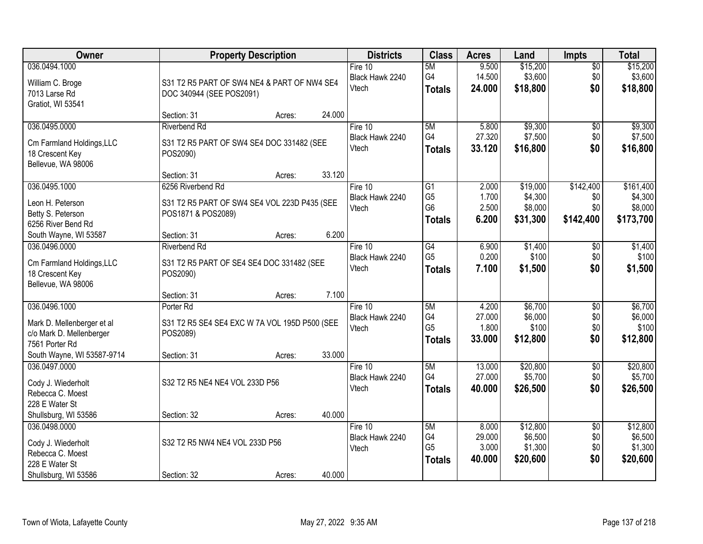| Owner                      |                                               | <b>Property Description</b> |        | <b>Districts</b> | <b>Class</b>    | <b>Acres</b> | Land     | <b>Impts</b>    | <b>Total</b> |
|----------------------------|-----------------------------------------------|-----------------------------|--------|------------------|-----------------|--------------|----------|-----------------|--------------|
| 036.0494.1000              |                                               |                             |        | Fire 10          | 5M              | 9.500        | \$15,200 | $\overline{50}$ | \$15,200     |
| William C. Broge           | S31 T2 R5 PART OF SW4 NE4 & PART OF NW4 SE4   |                             |        | Black Hawk 2240  | G4              | 14.500       | \$3,600  | \$0             | \$3,600      |
| 7013 Larse Rd              | DOC 340944 (SEE POS2091)                      |                             |        | Vtech            | <b>Totals</b>   | 24.000       | \$18,800 | \$0             | \$18,800     |
| Gratiot, WI 53541          |                                               |                             |        |                  |                 |              |          |                 |              |
|                            | Section: 31                                   | Acres:                      | 24.000 |                  |                 |              |          |                 |              |
| 036.0495.0000              | <b>Riverbend Rd</b>                           |                             |        | Fire 10          | 5M              | 5.800        | \$9,300  | \$0             | \$9,300      |
| Cm Farmland Holdings, LLC  | S31 T2 R5 PART OF SW4 SE4 DOC 331482 (SEE     |                             |        | Black Hawk 2240  | G4              | 27.320       | \$7,500  | \$0             | \$7,500      |
| 18 Crescent Key            | POS2090)                                      |                             |        | Vtech            | <b>Totals</b>   | 33.120       | \$16,800 | \$0             | \$16,800     |
| Bellevue, WA 98006         |                                               |                             |        |                  |                 |              |          |                 |              |
|                            | Section: 31                                   | Acres:                      | 33.120 |                  |                 |              |          |                 |              |
| 036.0495.1000              | 6256 Riverbend Rd                             |                             |        | Fire 10          | $\overline{G1}$ | 2.000        | \$19,000 | \$142,400       | \$161,400    |
| Leon H. Peterson           | S31 T2 R5 PART OF SW4 SE4 VOL 223D P435 (SEE  |                             |        | Black Hawk 2240  | G <sub>5</sub>  | 1.700        | \$4,300  | \$0             | \$4,300      |
| Betty S. Peterson          | POS1871 & POS2089)                            |                             |        | Vtech            | G <sub>6</sub>  | 2.500        | \$8,000  | \$0             | \$8,000      |
| 6256 River Bend Rd         |                                               |                             |        |                  | <b>Totals</b>   | 6.200        | \$31,300 | \$142,400       | \$173,700    |
| South Wayne, WI 53587      | Section: 31                                   | Acres:                      | 6.200  |                  |                 |              |          |                 |              |
| 036.0496.0000              | <b>Riverbend Rd</b>                           |                             |        | Fire 10          | G4              | 6.900        | \$1,400  | $\sqrt[6]{}$    | \$1,400      |
| Cm Farmland Holdings, LLC  | S31 T2 R5 PART OF SE4 SE4 DOC 331482 (SEE     |                             |        | Black Hawk 2240  | G <sub>5</sub>  | 0.200        | \$100    | \$0             | \$100        |
| 18 Crescent Key            | POS2090)                                      |                             |        | Vtech            | <b>Totals</b>   | 7.100        | \$1,500  | \$0             | \$1,500      |
| Bellevue, WA 98006         |                                               |                             |        |                  |                 |              |          |                 |              |
|                            | Section: 31                                   | Acres:                      | 7.100  |                  |                 |              |          |                 |              |
| 036.0496.1000              | Porter Rd                                     |                             |        | Fire $10$        | 5M              | 4.200        | \$6,700  | $\overline{30}$ | \$6,700      |
| Mark D. Mellenberger et al | S31 T2 R5 SE4 SE4 EXC W 7A VOL 195D P500 (SEE |                             |        | Black Hawk 2240  | G4              | 27.000       | \$6,000  | \$0             | \$6,000      |
| c/o Mark D. Mellenberger   | POS2089)                                      |                             |        | Vtech            | G <sub>5</sub>  | 1.800        | \$100    | \$0             | \$100        |
| 7561 Porter Rd             |                                               |                             |        |                  | <b>Totals</b>   | 33.000       | \$12,800 | \$0             | \$12,800     |
| South Wayne, WI 53587-9714 | Section: 31                                   | Acres:                      | 33.000 |                  |                 |              |          |                 |              |
| 036.0497.0000              |                                               |                             |        | Fire 10          | 5M              | 13.000       | \$20,800 | $\sqrt{$0}$     | \$20,800     |
| Cody J. Wiederholt         | S32 T2 R5 NE4 NE4 VOL 233D P56                |                             |        | Black Hawk 2240  | G4              | 27.000       | \$5,700  | \$0             | \$5,700      |
| Rebecca C. Moest           |                                               |                             |        | Vtech            | <b>Totals</b>   | 40.000       | \$26,500 | \$0             | \$26,500     |
| 228 E Water St             |                                               |                             |        |                  |                 |              |          |                 |              |
| Shullsburg, WI 53586       | Section: 32                                   | Acres:                      | 40.000 |                  |                 |              |          |                 |              |
| 036.0498.0000              |                                               |                             |        | Fire $10$        | 5M              | 8.000        | \$12,800 | $\overline{50}$ | \$12,800     |
| Cody J. Wiederholt         | S32 T2 R5 NW4 NE4 VOL 233D P56                |                             |        | Black Hawk 2240  | G4              | 29.000       | \$6,500  | \$0             | \$6,500      |
| Rebecca C. Moest           |                                               |                             |        | Vtech            | G <sub>5</sub>  | 3.000        | \$1,300  | \$0             | \$1,300      |
| 228 E Water St             |                                               |                             |        |                  | <b>Totals</b>   | 40.000       | \$20,600 | \$0             | \$20,600     |
| Shullsburg, WI 53586       | Section: 32                                   | Acres:                      | 40.000 |                  |                 |              |          |                 |              |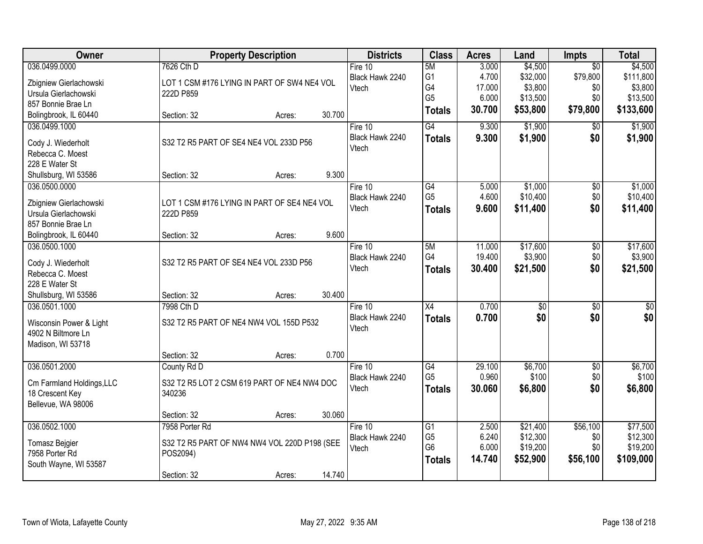| Owner                                   | <b>Property Description</b>                  |                  | <b>Districts</b> | <b>Class</b>    | <b>Acres</b> | Land             | <b>Impts</b>    | <b>Total</b>    |
|-----------------------------------------|----------------------------------------------|------------------|------------------|-----------------|--------------|------------------|-----------------|-----------------|
| 036.0499.0000                           | 7626 Cth D                                   |                  | Fire 10          | 5M              | 3.000        | \$4,500          | $\overline{30}$ | \$4,500         |
| Zbigniew Gierlachowski                  | LOT 1 CSM #176 LYING IN PART OF SW4 NE4 VOL  |                  | Black Hawk 2240  | G <sub>1</sub>  | 4.700        | \$32,000         | \$79,800        | \$111,800       |
| Ursula Gierlachowski                    | 222D P859                                    |                  | Vtech            | G4              | 17.000       | \$3,800          | \$0             | \$3,800         |
| 857 Bonnie Brae Ln                      |                                              |                  |                  | G <sub>5</sub>  | 6.000        | \$13,500         | \$0             | \$13,500        |
| Bolingbrook, IL 60440                   | Section: 32                                  | 30.700<br>Acres: |                  | <b>Totals</b>   | 30.700       | \$53,800         | \$79,800        | \$133,600       |
| 036.0499.1000                           |                                              |                  | Fire 10          | G4              | 9.300        | \$1,900          | \$0             | \$1,900         |
| Cody J. Wiederholt                      | S32 T2 R5 PART OF SE4 NE4 VOL 233D P56       |                  | Black Hawk 2240  | <b>Totals</b>   | 9.300        | \$1,900          | \$0             | \$1,900         |
| Rebecca C. Moest                        |                                              |                  | Vtech            |                 |              |                  |                 |                 |
| 228 E Water St                          |                                              |                  |                  |                 |              |                  |                 |                 |
| Shullsburg, WI 53586                    | Section: 32                                  | 9.300<br>Acres:  |                  |                 |              |                  |                 |                 |
| 036.0500.0000                           |                                              |                  | Fire 10          | G4              | 5.000        | \$1,000          | $\overline{50}$ | \$1,000         |
| Zbigniew Gierlachowski                  | LOT 1 CSM #176 LYING IN PART OF SE4 NE4 VOL  |                  | Black Hawk 2240  | G <sub>5</sub>  | 4.600        | \$10,400         | \$0             | \$10,400        |
| Ursula Gierlachowski                    | 222D P859                                    |                  | Vtech            | <b>Totals</b>   | 9.600        | \$11,400         | \$0             | \$11,400        |
| 857 Bonnie Brae Ln                      |                                              |                  |                  |                 |              |                  |                 |                 |
| Bolingbrook, IL 60440                   | Section: 32                                  | 9.600<br>Acres:  |                  |                 |              |                  |                 |                 |
| 036.0500.1000                           |                                              |                  | Fire 10          | 5M              | 11.000       | \$17,600         | \$0             | \$17,600        |
|                                         |                                              |                  | Black Hawk 2240  | G4              | 19.400       | \$3,900          | \$0             | \$3,900         |
| Cody J. Wiederholt<br>Rebecca C. Moest  | S32 T2 R5 PART OF SE4 NE4 VOL 233D P56       |                  | Vtech            | <b>Totals</b>   | 30.400       | \$21,500         | \$0             | \$21,500        |
| 228 E Water St                          |                                              |                  |                  |                 |              |                  |                 |                 |
| Shullsburg, WI 53586                    | Section: 32                                  | 30.400<br>Acres: |                  |                 |              |                  |                 |                 |
| 036.0501.1000                           | 7998 Cth D                                   |                  | Fire $10$        | $\overline{X4}$ | 0.700        | $\overline{\$0}$ | $\overline{50}$ | $\overline{50}$ |
|                                         |                                              |                  | Black Hawk 2240  | <b>Totals</b>   | 0.700        | \$0              | \$0             | \$0             |
| Wisconsin Power & Light                 | S32 T2 R5 PART OF NE4 NW4 VOL 155D P532      |                  | Vtech            |                 |              |                  |                 |                 |
| 4902 N Biltmore Ln<br>Madison, WI 53718 |                                              |                  |                  |                 |              |                  |                 |                 |
|                                         | Section: 32                                  | 0.700<br>Acres:  |                  |                 |              |                  |                 |                 |
| 036.0501.2000                           | County Rd D                                  |                  | Fire 10          | G4              | 29.100       | \$6,700          | $\overline{50}$ | \$6,700         |
|                                         |                                              |                  | Black Hawk 2240  | G <sub>5</sub>  | 0.960        | \$100            | \$0             | \$100           |
| Cm Farmland Holdings, LLC               | S32 T2 R5 LOT 2 CSM 619 PART OF NE4 NW4 DOC  |                  | Vtech            | <b>Totals</b>   | 30.060       | \$6,800          | \$0             | \$6,800         |
| 18 Crescent Key                         | 340236                                       |                  |                  |                 |              |                  |                 |                 |
| Bellevue, WA 98006                      | Section: 32                                  | 30.060           |                  |                 |              |                  |                 |                 |
| 036.0502.1000                           | 7958 Porter Rd                               | Acres:           | Fire 10          | $\overline{G1}$ | 2.500        | \$21,400         | \$56,100        | \$77,500        |
|                                         |                                              |                  | Black Hawk 2240  | G <sub>5</sub>  | 6.240        | \$12,300         | \$0             | \$12,300        |
| <b>Tomasz Bejgier</b>                   | S32 T2 R5 PART OF NW4 NW4 VOL 220D P198 (SEE |                  | Vtech            | G <sub>6</sub>  | 6.000        | \$19,200         | \$0             | \$19,200        |
| 7958 Porter Rd                          | POS2094)                                     |                  |                  | <b>Totals</b>   | 14.740       | \$52,900         | \$56,100        | \$109,000       |
| South Wayne, WI 53587                   |                                              | 14.740           |                  |                 |              |                  |                 |                 |
|                                         | Section: 32                                  | Acres:           |                  |                 |              |                  |                 |                 |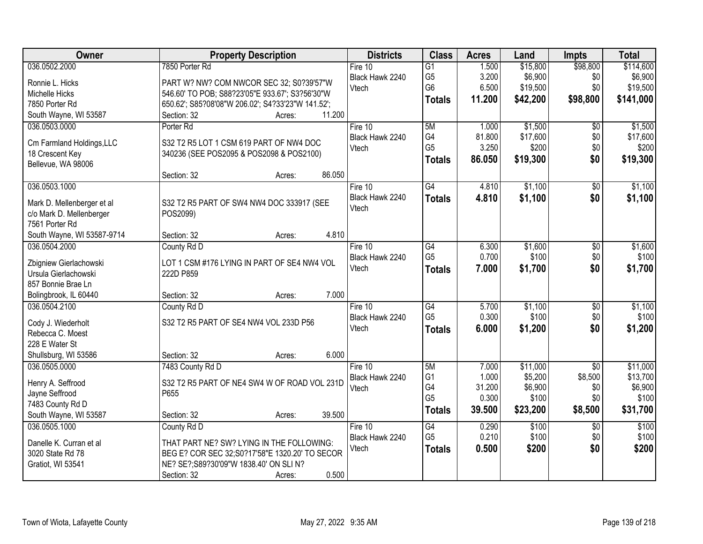| Owner                      | <b>Property Description</b>                       | <b>Districts</b> | <b>Class</b>    | <b>Acres</b> | Land     | <b>Impts</b>    | <b>Total</b> |
|----------------------------|---------------------------------------------------|------------------|-----------------|--------------|----------|-----------------|--------------|
| 036.0502.2000              | 7850 Porter Rd                                    | Fire 10          | $\overline{G1}$ | 1.500        | \$15,800 | \$98,800        | \$114,600    |
| Ronnie L. Hicks            | PART W? NW? COM NWCOR SEC 32; S0?39'57"W          | Black Hawk 2240  | G <sub>5</sub>  | 3.200        | \$6,900  | \$0             | \$6,900      |
| Michelle Hicks             | 546.60' TO POB; S88?23'05"E 933.67'; S3?56'30"W   | Vtech            | G <sub>6</sub>  | 6.500        | \$19,500 | \$0             | \$19,500     |
| 7850 Porter Rd             | 650.62'; S85?08'08"W 206.02'; S4?33'23"W 141.52'; |                  | <b>Totals</b>   | 11.200       | \$42,200 | \$98,800        | \$141,000    |
| South Wayne, WI 53587      | 11.200<br>Section: 32<br>Acres:                   |                  |                 |              |          |                 |              |
| 036.0503.0000              | Porter <sub>Rd</sub>                              | Fire $10$        | 5M              | 1.000        | \$1,500  | \$0             | \$1,500      |
|                            |                                                   | Black Hawk 2240  | G4              | 81.800       | \$17,600 | \$0             | \$17,600     |
| Cm Farmland Holdings, LLC  | S32 T2 R5 LOT 1 CSM 619 PART OF NW4 DOC           | Vtech            | G <sub>5</sub>  | 3.250        | \$200    | \$0             | \$200        |
| 18 Crescent Key            | 340236 (SEE POS2095 & POS2098 & POS2100)          |                  | <b>Totals</b>   | 86.050       | \$19,300 | \$0             | \$19,300     |
| Bellevue, WA 98006         |                                                   |                  |                 |              |          |                 |              |
|                            | 86.050<br>Section: 32<br>Acres:                   |                  |                 |              |          |                 |              |
| 036.0503.1000              |                                                   | Fire 10          | G4              | 4.810        | \$1,100  | \$0             | \$1,100      |
| Mark D. Mellenberger et al | S32 T2 R5 PART OF SW4 NW4 DOC 333917 (SEE         | Black Hawk 2240  | <b>Totals</b>   | 4.810        | \$1,100  | \$0             | \$1,100      |
| c/o Mark D. Mellenberger   | POS2099)                                          | Vtech            |                 |              |          |                 |              |
| 7561 Porter Rd             |                                                   |                  |                 |              |          |                 |              |
| South Wayne, WI 53587-9714 | 4.810<br>Section: 32<br>Acres:                    |                  |                 |              |          |                 |              |
| 036.0504.2000              | County Rd D                                       | Fire 10          | G4              | 6.300        | \$1,600  | \$0             | \$1,600      |
| Zbigniew Gierlachowski     | LOT 1 CSM #176 LYING IN PART OF SE4 NW4 VOL       | Black Hawk 2240  | G <sub>5</sub>  | 0.700        | \$100    | \$0             | \$100        |
| Ursula Gierlachowski       | 222D P859                                         | Vtech            | <b>Totals</b>   | 7.000        | \$1,700  | \$0             | \$1,700      |
| 857 Bonnie Brae Ln         |                                                   |                  |                 |              |          |                 |              |
| Bolingbrook, IL 60440      | 7.000<br>Section: 32<br>Acres:                    |                  |                 |              |          |                 |              |
| 036.0504.2100              | County Rd D                                       | Fire $10$        | $\overline{G4}$ | 5.700        | \$1,100  | $\overline{50}$ | \$1,100      |
|                            |                                                   | Black Hawk 2240  | G <sub>5</sub>  | 0.300        | \$100    | \$0             | \$100        |
| Cody J. Wiederholt         | S32 T2 R5 PART OF SE4 NW4 VOL 233D P56            | Vtech            | <b>Totals</b>   | 6.000        | \$1,200  | \$0             | \$1,200      |
| Rebecca C. Moest           |                                                   |                  |                 |              |          |                 |              |
| 228 E Water St             |                                                   |                  |                 |              |          |                 |              |
| Shullsburg, WI 53586       | 6.000<br>Section: 32<br>Acres:                    |                  |                 |              |          |                 |              |
| 036.0505.0000              | 7483 County Rd D                                  | Fire 10          | 5M              | 7.000        | \$11,000 | $\overline{50}$ | \$11,000     |
| Henry A. Seffrood          | S32 T2 R5 PART OF NE4 SW4 W OF ROAD VOL 231D      | Black Hawk 2240  | G <sub>1</sub>  | 1.000        | \$5,200  | \$8,500         | \$13,700     |
| Jayne Seffrood             | P655                                              | Vtech            | G4              | 31.200       | \$6,900  | \$0             | \$6,900      |
| 7483 County Rd D           |                                                   |                  | G <sub>5</sub>  | 0.300        | \$100    | \$0             | \$100        |
| South Wayne, WI 53587      | 39.500<br>Section: 32<br>Acres:                   |                  | <b>Totals</b>   | 39.500       | \$23,200 | \$8,500         | \$31,700     |
| 036.0505.1000              | County Rd D                                       | Fire $10$        | G4              | 0.290        | \$100    | $\overline{50}$ | \$100        |
|                            |                                                   | Black Hawk 2240  | G <sub>5</sub>  | 0.210        | \$100    | \$0             | \$100        |
| Danelle K. Curran et al    | THAT PART NE? SW? LYING IN THE FOLLOWING:         | Vtech            | <b>Totals</b>   | 0.500        | \$200    | \$0             | \$200        |
| 3020 State Rd 78           | BEG E? COR SEC 32; S0?17'58"E 1320.20' TO SECOR   |                  |                 |              |          |                 |              |
| Gratiot, WI 53541          | NE? SE?; S89?30'09"W 1838.40' ON SLI N?<br>0.500  |                  |                 |              |          |                 |              |
|                            | Section: 32<br>Acres:                             |                  |                 |              |          |                 |              |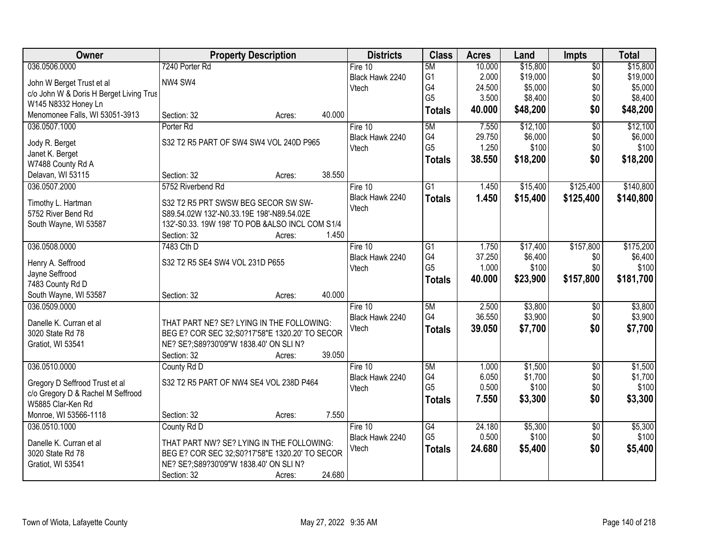| Owner                                   | <b>Property Description</b>                      | <b>Districts</b> | <b>Class</b>         | <b>Acres</b>    | Land             | <b>Impts</b>    | <b>Total</b>     |
|-----------------------------------------|--------------------------------------------------|------------------|----------------------|-----------------|------------------|-----------------|------------------|
| 036.0506.0000                           | 7240 Porter Rd                                   | Fire 10          | 5M                   | 10.000          | \$15,800         | $\overline{50}$ | \$15,800         |
| John W Berget Trust et al               | NW4 SW4                                          | Black Hawk 2240  | G1                   | 2.000           | \$19,000         | \$0             | \$19,000         |
| c/o John W & Doris H Berget Living Trus |                                                  | Vtech            | G4                   | 24.500          | \$5,000          | \$0             | \$5,000          |
| W145 N8332 Honey Ln                     |                                                  |                  | G <sub>5</sub>       | 3.500           | \$8,400          | \$0             | \$8,400          |
| Menomonee Falls, WI 53051-3913          | 40.000<br>Section: 32<br>Acres:                  |                  | <b>Totals</b>        | 40.000          | \$48,200         | \$0             | \$48,200         |
| 036.0507.1000                           | Porter <sub>Rd</sub>                             | Fire $10$        | 5M                   | 7.550           | \$12,100         | $\overline{50}$ | \$12,100         |
|                                         | S32 T2 R5 PART OF SW4 SW4 VOL 240D P965          | Black Hawk 2240  | G4                   | 29.750          | \$6,000          | \$0             | \$6,000          |
| Jody R. Berget<br>Janet K. Berget       |                                                  | Vtech            | G <sub>5</sub>       | 1.250           | \$100            | \$0             | \$100            |
| W7488 County Rd A                       |                                                  |                  | <b>Totals</b>        | 38.550          | \$18,200         | \$0             | \$18,200         |
| Delavan, WI 53115                       | 38.550<br>Section: 32<br>Acres:                  |                  |                      |                 |                  |                 |                  |
| 036.0507.2000                           | 5752 Riverbend Rd                                | Fire 10          | G1                   | 1.450           | \$15,400         | \$125,400       | \$140,800        |
|                                         |                                                  | Black Hawk 2240  | <b>Totals</b>        | 1.450           | \$15,400         | \$125,400       | \$140,800        |
| Timothy L. Hartman                      | S32 T2 R5 PRT SWSW BEG SECOR SW SW-              | Vtech            |                      |                 |                  |                 |                  |
| 5752 River Bend Rd                      | S89.54.02W 132'-N0.33.19E 198'-N89.54.02E        |                  |                      |                 |                  |                 |                  |
| South Wayne, WI 53587                   | 132'-S0.33. 19W 198' TO POB & ALSO INCL COM S1/4 |                  |                      |                 |                  |                 |                  |
|                                         | Section: 32<br>Acres:                            | 1.450            |                      |                 |                  |                 |                  |
| 036.0508.0000                           | 7483 Cth D                                       | Fire 10          | G1                   | 1.750           | \$17,400         | \$157,800       | \$175,200        |
| Henry A. Seffrood                       | S32 T2 R5 SE4 SW4 VOL 231D P655                  | Black Hawk 2240  | G4<br>G <sub>5</sub> | 37.250<br>1.000 | \$6,400<br>\$100 | \$0<br>\$0      | \$6,400<br>\$100 |
| Jayne Seffrood                          |                                                  | Vtech            |                      | 40.000          |                  | \$157,800       |                  |
| 7483 County Rd D                        |                                                  |                  | <b>Totals</b>        |                 | \$23,900         |                 | \$181,700        |
| South Wayne, WI 53587                   | 40.000<br>Section: 32<br>Acres:                  |                  |                      |                 |                  |                 |                  |
| 036.0509.0000                           |                                                  | Fire $10$        | 5M                   | 2.500           | \$3,800          | \$0             | \$3,800          |
| Danelle K. Curran et al                 | THAT PART NE? SE? LYING IN THE FOLLOWING:        | Black Hawk 2240  | G4                   | 36.550          | \$3,900          | \$0             | \$3,900          |
| 3020 State Rd 78                        | BEG E? COR SEC 32;S0?17'58"E 1320.20' TO SECOR   | Vtech            | <b>Totals</b>        | 39.050          | \$7,700          | \$0             | \$7,700          |
| Gratiot, WI 53541                       | NE? SE?; S89?30'09"W 1838.40' ON SLI N?          |                  |                      |                 |                  |                 |                  |
|                                         | 39.050<br>Section: 32<br>Acres:                  |                  |                      |                 |                  |                 |                  |
| 036.0510.0000                           | County Rd D                                      | Fire 10          | 5M                   | 1.000           | \$1,500          | $\overline{50}$ | \$1,500          |
| Gregory D Seffrood Trust et al          | S32 T2 R5 PART OF NW4 SE4 VOL 238D P464          | Black Hawk 2240  | G4                   | 6.050           | \$1,700          | \$0             | \$1,700          |
| c/o Gregory D & Rachel M Seffrood       |                                                  | Vtech            | G <sub>5</sub>       | 0.500           | \$100            | \$0             | \$100            |
| W5885 Clar-Ken Rd                       |                                                  |                  | <b>Totals</b>        | 7.550           | \$3,300          | \$0             | \$3,300          |
| Monroe, WI 53566-1118                   | Section: 32<br>Acres:                            | 7.550            |                      |                 |                  |                 |                  |
| 036.0510.1000                           | County Rd D                                      | Fire $10$        | G4                   | 24.180          | \$5,300          | $\overline{30}$ | \$5,300          |
| Danelle K. Curran et al                 | THAT PART NW? SE? LYING IN THE FOLLOWING:        | Black Hawk 2240  | G <sub>5</sub>       | 0.500           | \$100            | \$0             | \$100            |
| 3020 State Rd 78                        | BEG E? COR SEC 32; S0?17'58"E 1320.20' TO SECOR  | Vtech            | <b>Totals</b>        | 24.680          | \$5,400          | \$0             | \$5,400          |
| Gratiot, WI 53541                       | NE? SE?; S89?30'09"W 1838.40' ON SLI N?          |                  |                      |                 |                  |                 |                  |
|                                         | 24.680<br>Section: 32<br>Acres:                  |                  |                      |                 |                  |                 |                  |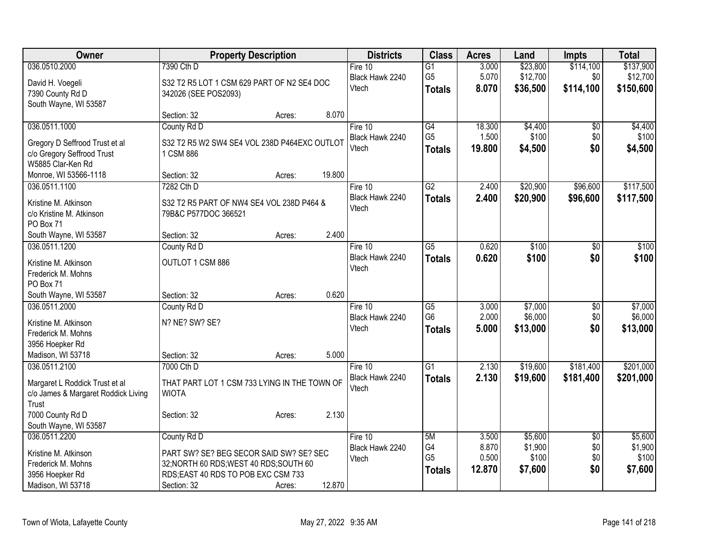| Owner                               |                                              | <b>Property Description</b> |        | <b>Districts</b>         | <b>Class</b>    | <b>Acres</b>   | Land     | <b>Impts</b>    | <b>Total</b> |
|-------------------------------------|----------------------------------------------|-----------------------------|--------|--------------------------|-----------------|----------------|----------|-----------------|--------------|
| 036.0510.2000                       | 7390 Cth D                                   |                             |        | Fire 10                  | $\overline{G1}$ | 3.000          | \$23,800 | \$114,100       | \$137,900    |
| David H. Voegeli                    | S32 T2 R5 LOT 1 CSM 629 PART OF N2 SE4 DOC   |                             |        | Black Hawk 2240<br>Vtech | G <sub>5</sub>  | 5.070<br>8.070 | \$12,700 | \$0             | \$12,700     |
| 7390 County Rd D                    | 342026 (SEE POS2093)                         |                             |        |                          | <b>Totals</b>   |                | \$36,500 | \$114,100       | \$150,600    |
| South Wayne, WI 53587               |                                              |                             |        |                          |                 |                |          |                 |              |
|                                     | Section: 32                                  | Acres:                      | 8.070  |                          |                 |                |          |                 |              |
| 036.0511.1000                       | County Rd D                                  |                             |        | Fire 10                  | G4              | 18.300         | \$4,400  | \$0             | \$4,400      |
| Gregory D Seffrood Trust et al      | S32 T2 R5 W2 SW4 SE4 VOL 238D P464EXC OUTLOT |                             |        | Black Hawk 2240          | G <sub>5</sub>  | 1.500          | \$100    | \$0             | \$100        |
| c/o Gregory Seffrood Trust          | 1 CSM 886                                    |                             |        | Vtech                    | <b>Totals</b>   | 19.800         | \$4,500  | \$0             | \$4,500      |
| W5885 Clar-Ken Rd                   |                                              |                             |        |                          |                 |                |          |                 |              |
| Monroe, WI 53566-1118               | Section: 32                                  | Acres:                      | 19.800 |                          |                 |                |          |                 |              |
| 036.0511.1100                       | 7282 Cth D                                   |                             |        | Fire 10                  | $\overline{G2}$ | 2.400          | \$20,900 | \$96,600        | \$117,500    |
| Kristine M. Atkinson                | S32 T2 R5 PART OF NW4 SE4 VOL 238D P464 &    |                             |        | Black Hawk 2240          | <b>Totals</b>   | 2.400          | \$20,900 | \$96,600        | \$117,500    |
| c/o Kristine M. Atkinson            | 79B&C P577DOC 366521                         |                             |        | Vtech                    |                 |                |          |                 |              |
| PO Box 71                           |                                              |                             |        |                          |                 |                |          |                 |              |
| South Wayne, WI 53587               | Section: 32                                  | Acres:                      | 2.400  |                          |                 |                |          |                 |              |
| 036.0511.1200                       | County Rd D                                  |                             |        | Fire 10                  | $\overline{G5}$ | 0.620          | \$100    | \$0             | \$100        |
| Kristine M. Atkinson                | OUTLOT 1 CSM 886                             |                             |        | Black Hawk 2240          | <b>Totals</b>   | 0.620          | \$100    | \$0             | \$100        |
| Frederick M. Mohns                  |                                              |                             |        | Vtech                    |                 |                |          |                 |              |
| PO Box 71                           |                                              |                             |        |                          |                 |                |          |                 |              |
| South Wayne, WI 53587               | Section: 32                                  | Acres:                      | 0.620  |                          |                 |                |          |                 |              |
| 036.0511.2000                       | County Rd D                                  |                             |        | Fire 10                  | $\overline{G5}$ | 3.000          | \$7,000  | $\overline{30}$ | \$7,000      |
| Kristine M. Atkinson                | N? NE? SW? SE?                               |                             |        | Black Hawk 2240          | G <sub>6</sub>  | 2.000          | \$6,000  | \$0             | \$6,000      |
| Frederick M. Mohns                  |                                              |                             |        | Vtech                    | <b>Totals</b>   | 5.000          | \$13,000 | \$0             | \$13,000     |
| 3956 Hoepker Rd                     |                                              |                             |        |                          |                 |                |          |                 |              |
| Madison, WI 53718                   | Section: 32                                  | Acres:                      | 5.000  |                          |                 |                |          |                 |              |
| 036.0511.2100                       | 7000 Cth D                                   |                             |        | Fire 10                  | $\overline{G1}$ | 2.130          | \$19,600 | \$181,400       | \$201,000    |
| Margaret L Roddick Trust et al      | THAT PART LOT 1 CSM 733 LYING IN THE TOWN OF |                             |        | Black Hawk 2240          | <b>Totals</b>   | 2.130          | \$19,600 | \$181,400       | \$201,000    |
| c/o James & Margaret Roddick Living | <b>WIOTA</b>                                 |                             |        | Vtech                    |                 |                |          |                 |              |
| Trust                               |                                              |                             |        |                          |                 |                |          |                 |              |
| 7000 County Rd D                    | Section: 32                                  | Acres:                      | 2.130  |                          |                 |                |          |                 |              |
| South Wayne, WI 53587               |                                              |                             |        |                          |                 |                |          |                 |              |
| 036.0511.2200                       | County Rd D                                  |                             |        | Fire 10                  | 5M              | 3.500          | \$5,600  | $\overline{30}$ | \$5,600      |
| Kristine M. Atkinson                | PART SW? SE? BEG SECOR SAID SW? SE? SEC      |                             |        | Black Hawk 2240          | G4              | 8.870          | \$1,900  | \$0             | \$1,900      |
| Frederick M. Mohns                  | 32; NORTH 60 RDS; WEST 40 RDS; SOUTH 60      |                             |        | Vtech                    | G <sub>5</sub>  | 0.500          | \$100    | \$0             | \$100        |
| 3956 Hoepker Rd                     | RDS;EAST 40 RDS TO POB EXC CSM 733           |                             |        |                          | <b>Totals</b>   | 12.870         | \$7,600  | \$0             | \$7,600      |
| Madison, WI 53718                   | Section: 32                                  | Acres:                      | 12.870 |                          |                 |                |          |                 |              |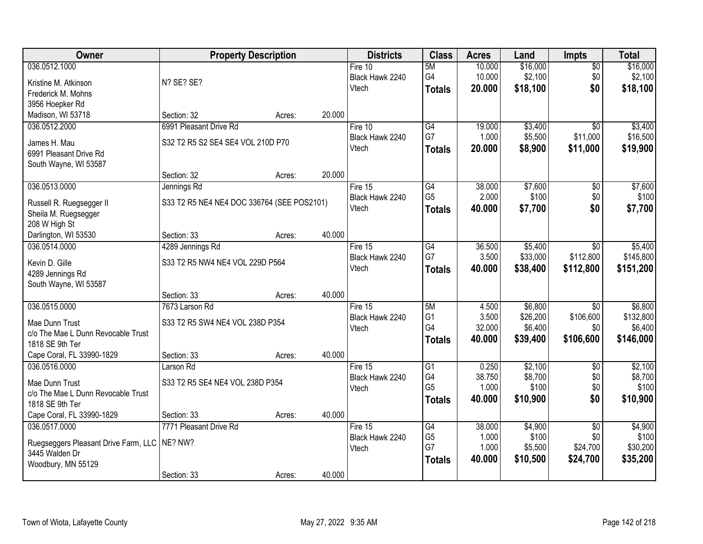| <b>Owner</b>                                     |                                            | <b>Property Description</b> |        | <b>Districts</b> | <b>Class</b>         | <b>Acres</b>    | Land                | Impts            | <b>Total</b>         |
|--------------------------------------------------|--------------------------------------------|-----------------------------|--------|------------------|----------------------|-----------------|---------------------|------------------|----------------------|
| 036.0512.1000                                    |                                            |                             |        | Fire 10          | 5M                   | 10.000          | \$16,000            | $\overline{50}$  | \$16,000             |
| Kristine M. Atkinson                             | N? SE? SE?                                 |                             |        | Black Hawk 2240  | G4                   | 10.000          | \$2,100             | \$0              | \$2,100              |
| Frederick M. Mohns                               |                                            |                             |        | Vtech            | <b>Totals</b>        | 20.000          | \$18,100            | \$0              | \$18,100             |
| 3956 Hoepker Rd                                  |                                            |                             |        |                  |                      |                 |                     |                  |                      |
| Madison, WI 53718                                | Section: 32                                | Acres:                      | 20.000 |                  |                      |                 |                     |                  |                      |
| 036.0512.2000                                    | 6991 Pleasant Drive Rd                     |                             |        | Fire 10          | G4                   | 19.000          | \$3,400             | $\overline{30}$  | \$3,400              |
| James H. Mau                                     | S32 T2 R5 S2 SE4 SE4 VOL 210D P70          |                             |        | Black Hawk 2240  | G7                   | 1.000           | \$5,500             | \$11,000         | \$16,500             |
| 6991 Pleasant Drive Rd                           |                                            |                             |        | Vtech            | <b>Totals</b>        | 20.000          | \$8,900             | \$11,000         | \$19,900             |
| South Wayne, WI 53587                            |                                            |                             |        |                  |                      |                 |                     |                  |                      |
|                                                  | Section: 32                                | Acres:                      | 20.000 |                  |                      |                 |                     |                  |                      |
| 036.0513.0000                                    | Jennings Rd                                |                             |        | Fire 15          | $\overline{G4}$      | 38.000          | \$7,600             | $\overline{50}$  | \$7,600              |
|                                                  | S33 T2 R5 NE4 NE4 DOC 336764 (SEE POS2101) |                             |        | Black Hawk 2240  | G <sub>5</sub>       | 2.000           | \$100               | \$0              | \$100                |
| Russell R. Ruegsegger II<br>Sheila M. Ruegsegger |                                            |                             |        | Vtech            | <b>Totals</b>        | 40.000          | \$7,700             | \$0              | \$7,700              |
| 208 W High St                                    |                                            |                             |        |                  |                      |                 |                     |                  |                      |
| Darlington, WI 53530                             | Section: 33                                | Acres:                      | 40.000 |                  |                      |                 |                     |                  |                      |
| 036.0514.0000                                    | 4289 Jennings Rd                           |                             |        | Fire 15          | G4                   | 36.500          | \$5,400             | \$0              | \$5,400              |
|                                                  |                                            |                             |        | Black Hawk 2240  | G7                   | 3.500           | \$33,000            | \$112,800        | \$145,800            |
| Kevin D. Gille                                   | S33 T2 R5 NW4 NE4 VOL 229D P564            |                             |        | Vtech            | <b>Totals</b>        | 40.000          | \$38,400            | \$112,800        | \$151,200            |
| 4289 Jennings Rd                                 |                                            |                             |        |                  |                      |                 |                     |                  |                      |
| South Wayne, WI 53587                            |                                            |                             |        |                  |                      |                 |                     |                  |                      |
|                                                  | Section: 33                                | Acres:                      | 40.000 |                  |                      |                 |                     |                  |                      |
| 036.0515.0000                                    | 7673 Larson Rd                             |                             |        | Fire 15          | 5M                   | 4.500           | \$6,800             | $\overline{30}$  | \$6,800              |
| Mae Dunn Trust                                   | S33 T2 R5 SW4 NE4 VOL 238D P354            |                             |        | Black Hawk 2240  | G <sub>1</sub><br>G4 | 3.500<br>32.000 | \$26,200<br>\$6,400 | \$106,600<br>\$0 | \$132,800<br>\$6,400 |
| c/o The Mae L Dunn Revocable Trust               |                                            |                             |        | Vtech            |                      | 40.000          | \$39,400            | \$106,600        | \$146,000            |
| 1818 SE 9th Ter                                  |                                            |                             |        |                  | <b>Totals</b>        |                 |                     |                  |                      |
| Cape Coral, FL 33990-1829                        | Section: 33                                | Acres:                      | 40.000 |                  |                      |                 |                     |                  |                      |
| 036.0516.0000                                    | Larson Rd                                  |                             |        | Fire 15          | G1                   | 0.250           | \$2,100             | $\overline{50}$  | \$2,100              |
| Mae Dunn Trust                                   | S33 T2 R5 SE4 NE4 VOL 238D P354            |                             |        | Black Hawk 2240  | G4                   | 38.750          | \$8,700             | \$0              | \$8,700              |
| c/o The Mae L Dunn Revocable Trust               |                                            |                             |        | Vtech            | G <sub>5</sub>       | 1.000           | \$100               | \$0              | \$100                |
| 1818 SE 9th Ter                                  |                                            |                             |        |                  | <b>Totals</b>        | 40.000          | \$10,900            | \$0              | \$10,900             |
| Cape Coral, FL 33990-1829                        | Section: 33                                | Acres:                      | 40.000 |                  |                      |                 |                     |                  |                      |
| 036.0517.0000                                    | 7771 Pleasant Drive Rd                     |                             |        | Fire $15$        | G4                   | 38.000          | \$4,900             | $\overline{50}$  | \$4,900              |
| Ruegseggers Pleasant Drive Farm, LLC             | NE? NW?                                    |                             |        | Black Hawk 2240  | G <sub>5</sub>       | 1.000           | \$100               | \$0              | \$100                |
| 3445 Walden Dr                                   |                                            |                             |        | Vtech            | G7                   | 1.000           | \$5,500             | \$24,700         | \$30,200             |
| Woodbury, MN 55129                               |                                            |                             |        |                  | <b>Totals</b>        | 40.000          | \$10,500            | \$24,700         | \$35,200             |
|                                                  | Section: 33                                | Acres:                      | 40.000 |                  |                      |                 |                     |                  |                      |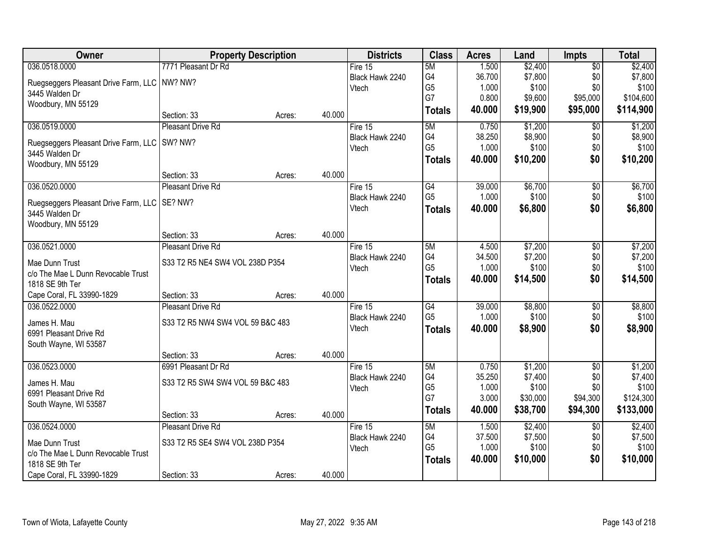| Owner                                          | <b>Property Description</b>      |        |        | <b>Districts</b> | <b>Class</b>         | <b>Acres</b>   | Land              | <b>Impts</b>    | <b>Total</b>       |
|------------------------------------------------|----------------------------------|--------|--------|------------------|----------------------|----------------|-------------------|-----------------|--------------------|
| 036.0518.0000                                  | 7771 Pleasant Dr Rd              |        |        | Fire 15          | 5M                   | 1.500          | \$2,400           | $\overline{30}$ | \$2,400            |
| Ruegseggers Pleasant Drive Farm, LLC NW? NW?   |                                  |        |        | Black Hawk 2240  | G4                   | 36.700         | \$7,800           | \$0             | \$7,800            |
| 3445 Walden Dr                                 |                                  |        |        | Vtech            | G <sub>5</sub>       | 1.000          | \$100             | \$0             | \$100              |
| Woodbury, MN 55129                             |                                  |        |        |                  | G7                   | 0.800          | \$9,600           | \$95,000        | \$104,600          |
|                                                | Section: 33                      | Acres: | 40.000 |                  | <b>Totals</b>        | 40.000         | \$19,900          | \$95,000        | \$114,900          |
| 036.0519.0000                                  | <b>Pleasant Drive Rd</b>         |        |        | Fire 15          | 5M                   | 0.750          | \$1,200           | $\overline{50}$ | \$1,200            |
| Ruegseggers Pleasant Drive Farm, LLC   SW? NW? |                                  |        |        | Black Hawk 2240  | G4                   | 38.250         | \$8,900           | \$0             | \$8,900            |
| 3445 Walden Dr                                 |                                  |        |        | Vtech            | G <sub>5</sub>       | 1.000          | \$100             | \$0             | \$100              |
| Woodbury, MN 55129                             |                                  |        |        |                  | <b>Totals</b>        | 40.000         | \$10,200          | \$0             | \$10,200           |
|                                                | Section: 33                      | Acres: | 40.000 |                  |                      |                |                   |                 |                    |
| 036.0520.0000                                  | Pleasant Drive Rd                |        |        | Fire 15          | G4                   | 39.000         | \$6,700           | \$0             | \$6,700            |
| Ruegseggers Pleasant Drive Farm, LLC   SE? NW? |                                  |        |        | Black Hawk 2240  | G <sub>5</sub>       | 1.000          | \$100             | \$0             | \$100              |
| 3445 Walden Dr                                 |                                  |        |        | Vtech            | <b>Totals</b>        | 40.000         | \$6,800           | \$0             | \$6,800            |
| Woodbury, MN 55129                             |                                  |        |        |                  |                      |                |                   |                 |                    |
|                                                | Section: 33                      | Acres: | 40.000 |                  |                      |                |                   |                 |                    |
| 036.0521.0000                                  | <b>Pleasant Drive Rd</b>         |        |        | Fire 15          | 5M                   | 4.500          | \$7,200           | \$0             | \$7,200            |
| Mae Dunn Trust                                 | S33 T2 R5 NE4 SW4 VOL 238D P354  |        |        | Black Hawk 2240  | G4                   | 34.500         | \$7,200           | \$0             | \$7,200            |
| c/o The Mae L Dunn Revocable Trust             |                                  |        |        | Vtech            | G <sub>5</sub>       | 1.000          | \$100             | \$0             | \$100              |
| 1818 SE 9th Ter                                |                                  |        |        |                  | <b>Totals</b>        | 40.000         | \$14,500          | \$0             | \$14,500           |
| Cape Coral, FL 33990-1829                      | Section: 33                      | Acres: | 40.000 |                  |                      |                |                   |                 |                    |
| 036.0522.0000                                  | <b>Pleasant Drive Rd</b>         |        |        | Fire 15          | $\overline{G4}$      | 39.000         | \$8,800           | $\overline{50}$ | \$8,800            |
| James H. Mau                                   | S33 T2 R5 NW4 SW4 VOL 59 B&C 483 |        |        | Black Hawk 2240  | G <sub>5</sub>       | 1.000          | \$100             | \$0             | \$100              |
| 6991 Pleasant Drive Rd                         |                                  |        |        | Vtech            | <b>Totals</b>        | 40.000         | \$8,900           | \$0             | \$8,900            |
| South Wayne, WI 53587                          |                                  |        |        |                  |                      |                |                   |                 |                    |
|                                                | Section: 33                      | Acres: | 40.000 |                  |                      |                |                   |                 |                    |
| 036.0523.0000                                  | 6991 Pleasant Dr Rd              |        |        | Fire 15          | 5M                   | 0.750          | \$1,200           | $\overline{50}$ | \$1,200            |
| James H. Mau                                   | S33 T2 R5 SW4 SW4 VOL 59 B&C 483 |        |        | Black Hawk 2240  | G4                   | 35.250         | \$7,400           | \$0             | \$7,400            |
| 6991 Pleasant Drive Rd                         |                                  |        |        | Vtech            | G <sub>5</sub><br>G7 | 1.000<br>3.000 | \$100<br>\$30,000 | \$0             | \$100<br>\$124,300 |
| South Wayne, WI 53587                          |                                  |        |        |                  |                      | 40.000         |                   | \$94,300        |                    |
|                                                | Section: 33                      | Acres: | 40.000 |                  | <b>Totals</b>        |                | \$38,700          | \$94,300        | \$133,000          |
| 036.0524.0000                                  | <b>Pleasant Drive Rd</b>         |        |        | Fire 15          | 5M                   | 1.500          | \$2,400           | $\overline{50}$ | \$2,400            |
| Mae Dunn Trust                                 | S33 T2 R5 SE4 SW4 VOL 238D P354  |        |        | Black Hawk 2240  | G4                   | 37.500         | \$7,500           | \$0             | \$7,500            |
| c/o The Mae L Dunn Revocable Trust             |                                  |        |        | Vtech            | G <sub>5</sub>       | 1.000          | \$100             | \$0             | \$100              |
| 1818 SE 9th Ter                                |                                  |        |        |                  | <b>Totals</b>        | 40.000         | \$10,000          | \$0             | \$10,000           |
| Cape Coral, FL 33990-1829                      | Section: 33                      | Acres: | 40.000 |                  |                      |                |                   |                 |                    |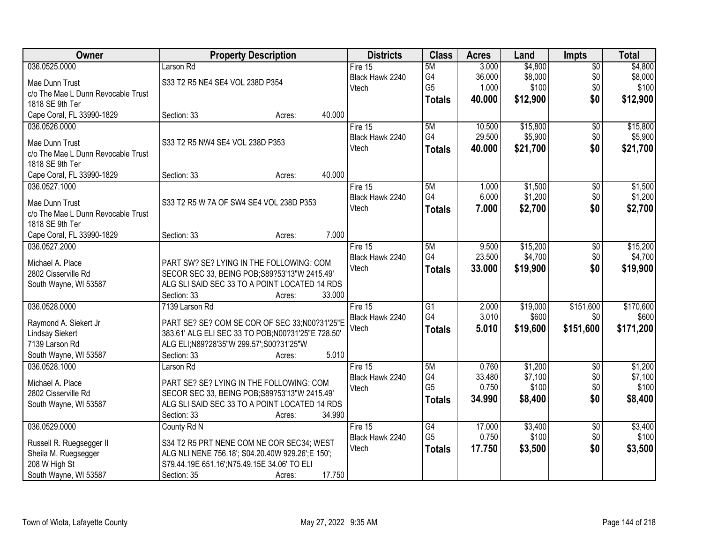| Owner                              | <b>Property Description</b>                        | <b>Districts</b> | <b>Class</b>          | <b>Acres</b>   | Land              | Impts            | <b>Total</b> |
|------------------------------------|----------------------------------------------------|------------------|-----------------------|----------------|-------------------|------------------|--------------|
| 036.0525.0000                      | Larson Rd                                          | Fire $15$        | 5M                    | 3.000          | \$4,800           | $\overline{50}$  | \$4,800      |
| Mae Dunn Trust                     | S33 T2 R5 NE4 SE4 VOL 238D P354                    | Black Hawk 2240  | G4                    | 36.000         | \$8,000           | \$0              | \$8,000      |
| c/o The Mae L Dunn Revocable Trust |                                                    | Vtech            | G <sub>5</sub>        | 1.000          | \$100             | \$0              | \$100        |
| 1818 SE 9th Ter                    |                                                    |                  | <b>Totals</b>         | 40.000         | \$12,900          | \$0              | \$12,900     |
| Cape Coral, FL 33990-1829          | 40.000<br>Section: 33<br>Acres:                    |                  |                       |                |                   |                  |              |
| 036.0526.0000                      |                                                    | Fire 15          | 5M                    | 10.500         | \$15,800          | $\overline{50}$  | \$15,800     |
|                                    |                                                    | Black Hawk 2240  | G4                    | 29.500         | \$5,900           | \$0              | \$5,900      |
| Mae Dunn Trust                     | S33 T2 R5 NW4 SE4 VOL 238D P353                    | Vtech            | <b>Totals</b>         | 40.000         | \$21,700          | \$0              | \$21,700     |
| c/o The Mae L Dunn Revocable Trust |                                                    |                  |                       |                |                   |                  |              |
| 1818 SE 9th Ter                    |                                                    |                  |                       |                |                   |                  |              |
| Cape Coral, FL 33990-1829          | 40.000<br>Section: 33<br>Acres:                    |                  |                       |                |                   |                  |              |
| 036.0527.1000                      |                                                    | Fire 15          | 5M                    | 1.000          | \$1,500           | $\overline{50}$  | \$1,500      |
| Mae Dunn Trust                     | S33 T2 R5 W 7A OF SW4 SE4 VOL 238D P353            | Black Hawk 2240  | G4                    | 6.000          | \$1,200           | \$0              | \$1,200      |
| c/o The Mae L Dunn Revocable Trust |                                                    | Vtech            | <b>Totals</b>         | 7.000          | \$2,700           | \$0              | \$2,700      |
| 1818 SE 9th Ter                    |                                                    |                  |                       |                |                   |                  |              |
| Cape Coral, FL 33990-1829          | 7.000<br>Section: 33<br>Acres:                     |                  |                       |                |                   |                  |              |
| 036.0527.2000                      |                                                    | Fire 15          | 5M                    | 9.500          | \$15,200          | \$0              | \$15,200     |
|                                    |                                                    | Black Hawk 2240  | G4                    | 23.500         | \$4,700           | \$0              | \$4,700      |
| Michael A. Place                   | PART SW? SE? LYING IN THE FOLLOWING: COM           | Vtech            | <b>Totals</b>         | 33.000         | \$19,900          | \$0              | \$19,900     |
| 2802 Cisserville Rd                | SECOR SEC 33, BEING POB; S89?53'13"W 2415.49'      |                  |                       |                |                   |                  |              |
| South Wayne, WI 53587              | ALG SLI SAID SEC 33 TO A POINT LOCATED 14 RDS      |                  |                       |                |                   |                  |              |
|                                    | Section: 33<br>33.000<br>Acres:                    |                  |                       |                |                   |                  |              |
| 036.0528.0000                      | 7139 Larson Rd                                     | Fire 15          | $\overline{G1}$<br>G4 | 2.000<br>3.010 | \$19,000<br>\$600 | \$151,600<br>\$0 | \$170,600    |
| Raymond A. Siekert Jr              | PART SE? SE? COM SE COR OF SEC 33;N00?31'25"E      | Black Hawk 2240  |                       |                |                   |                  | \$600        |
| <b>Lindsay Siekert</b>             | 383.61' ALG ELI SEC 33 TO POB; N00?31'25"E 728.50' | Vtech            | <b>Totals</b>         | 5.010          | \$19,600          | \$151,600        | \$171,200    |
| 7139 Larson Rd                     | ALG ELI;N89?28'35"W 299.57';S00?31'25"W            |                  |                       |                |                   |                  |              |
| South Wayne, WI 53587              | 5.010<br>Section: 33<br>Acres:                     |                  |                       |                |                   |                  |              |
| 036.0528.1000                      | Larson Rd                                          | Fire 15          | 5M                    | 0.760          | \$1,200           | $\overline{50}$  | \$1,200      |
| Michael A. Place                   | PART SE? SE? LYING IN THE FOLLOWING: COM           | Black Hawk 2240  | G4                    | 33.480         | \$7,100           | \$0              | \$7,100      |
| 2802 Cisserville Rd                | SECOR SEC 33, BEING POB; S89?53'13"W 2415.49'      | Vtech            | G <sub>5</sub>        | 0.750          | \$100             | \$0              | \$100        |
| South Wayne, WI 53587              | ALG SLI SAID SEC 33 TO A POINT LOCATED 14 RDS      |                  | <b>Totals</b>         | 34.990         | \$8,400           | \$0              | \$8,400      |
|                                    | 34.990<br>Section: 33<br>Acres:                    |                  |                       |                |                   |                  |              |
| 036.0529.0000                      | County Rd N                                        | Fire 15          | G4                    | 17.000         | \$3,400           | $\sqrt{6}$       | \$3,400      |
|                                    |                                                    | Black Hawk 2240  | G <sub>5</sub>        | 0.750          | \$100             | \$0              | \$100        |
| Russell R. Ruegsegger II           | S34 T2 R5 PRT NENE COM NE COR SEC34; WEST          | Vtech            | <b>Totals</b>         | 17.750         | \$3,500           | \$0              | \$3,500      |
| Sheila M. Ruegsegger               | ALG NLI NENE 756.18'; S04.20.40W 929.26';E 150';   |                  |                       |                |                   |                  |              |
| 208 W High St                      | S79.44.19E 651.16';N75.49.15E 34.06' TO ELI        |                  |                       |                |                   |                  |              |
| South Wayne, WI 53587              | 17.750<br>Section: 35<br>Acres:                    |                  |                       |                |                   |                  |              |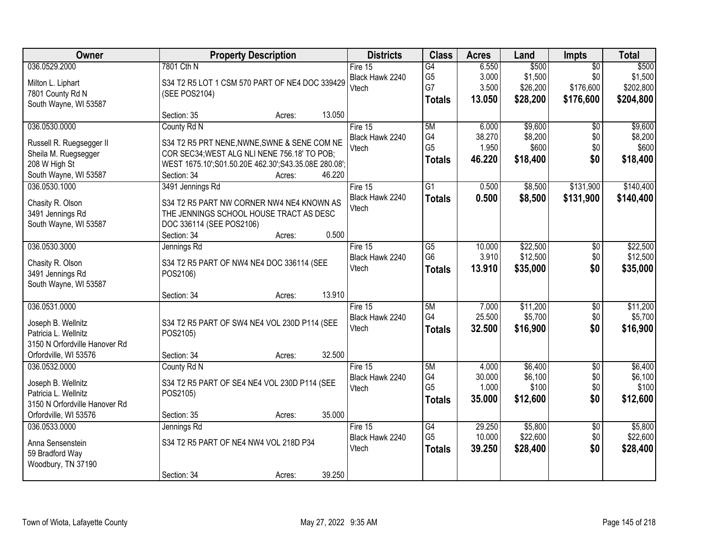| <b>Owner</b>                                                                                                          | <b>Property Description</b>                                                                                                                                                                            | <b>Districts</b>                      | <b>Class</b>                                       | <b>Acres</b>                       | Land                                     | Impts                                            | <b>Total</b>                               |
|-----------------------------------------------------------------------------------------------------------------------|--------------------------------------------------------------------------------------------------------------------------------------------------------------------------------------------------------|---------------------------------------|----------------------------------------------------|------------------------------------|------------------------------------------|--------------------------------------------------|--------------------------------------------|
| 036.0529.2000<br>Milton L. Liphart<br>7801 County Rd N<br>South Wayne, WI 53587                                       | 7801 Cth N<br>S34 T2 R5 LOT 1 CSM 570 PART OF NE4 DOC 339429<br>(SEE POS2104)                                                                                                                          | Fire 15<br>Black Hawk 2240<br>Vtech   | G4<br>G <sub>5</sub><br>G7<br><b>Totals</b>        | 6.550<br>3.000<br>3.500<br>13.050  | \$500<br>\$1,500<br>\$26,200<br>\$28,200 | $\overline{50}$<br>\$0<br>\$176,600<br>\$176,600 | \$500<br>\$1,500<br>\$202,800<br>\$204,800 |
|                                                                                                                       | 13.050<br>Section: 35<br>Acres:                                                                                                                                                                        |                                       |                                                    |                                    |                                          |                                                  |                                            |
| 036.0530.0000<br>Russell R. Ruegsegger II<br>Sheila M. Ruegsegger<br>208 W High St<br>South Wayne, WI 53587           | County Rd N<br>S34 T2 R5 PRT NENE, NWNE, SWNE & SENE COM NE<br>COR SEC34; WEST ALG NLI NENE 756.18' TO POB;<br>WEST 1675.10';S01.50.20E 462.30';S43.35.08E 280.08';<br>46.220<br>Section: 34<br>Acres: | Fire 15<br>Black Hawk 2240<br>Vtech   | 5M<br>G4<br>G <sub>5</sub><br><b>Totals</b>        | 6.000<br>38.270<br>1.950<br>46.220 | \$9,600<br>\$8,200<br>\$600<br>\$18,400  | $\overline{50}$<br>\$0<br>\$0<br>\$0             | \$9,600<br>\$8,200<br>\$600<br>\$18,400    |
| 036.0530.1000<br>Chasity R. Olson<br>3491 Jennings Rd<br>South Wayne, WI 53587                                        | 3491 Jennings Rd<br>S34 T2 R5 PART NW CORNER NW4 NE4 KNOWN AS<br>THE JENNINGS SCHOOL HOUSE TRACT AS DESC<br>DOC 336114 (SEE POS2106)<br>0.500<br>Section: 34<br>Acres:                                 | Fire 15<br>Black Hawk 2240<br>Vtech   | G1<br><b>Totals</b>                                | 0.500<br>0.500                     | \$8,500<br>\$8,500                       | \$131,900<br>\$131,900                           | \$140,400<br>\$140,400                     |
| 036.0530.3000<br>Chasity R. Olson<br>3491 Jennings Rd<br>South Wayne, WI 53587                                        | Jennings Rd<br>S34 T2 R5 PART OF NW4 NE4 DOC 336114 (SEE<br>POS2106)<br>13.910<br>Section: 34<br>Acres:                                                                                                | Fire 15<br>Black Hawk 2240<br>Vtech   | G5<br>G <sub>6</sub><br><b>Totals</b>              | 10.000<br>3.910<br>13.910          | \$22,500<br>\$12,500<br>\$35,000         | \$0<br>\$0<br>\$0                                | \$22,500<br>\$12,500<br>\$35,000           |
| 036.0531.0000<br>Joseph B. Wellnitz<br>Patricia L. Wellnitz<br>3150 N Orfordville Hanover Rd<br>Orfordville, WI 53576 | S34 T2 R5 PART OF SW4 NE4 VOL 230D P114 (SEE<br>POS2105)<br>32.500<br>Section: 34<br>Acres:                                                                                                            | Fire $15$<br>Black Hawk 2240<br>Vtech | 5M<br>G4<br><b>Totals</b>                          | 7.000<br>25.500<br>32.500          | \$11,200<br>\$5,700<br>\$16,900          | $\overline{50}$<br>\$0<br>\$0                    | \$11,200<br>\$5,700<br>\$16,900            |
| 036.0532.0000<br>Joseph B. Wellnitz<br>Patricia L. Wellnitz<br>3150 N Orfordville Hanover Rd<br>Orfordville, WI 53576 | County Rd N<br>S34 T2 R5 PART OF SE4 NE4 VOL 230D P114 (SEE<br>POS2105)<br>35.000<br>Section: 35<br>Acres:                                                                                             | Fire $15$<br>Black Hawk 2240<br>Vtech | 5M<br>G4<br>G <sub>5</sub><br><b>Totals</b>        | 4.000<br>30.000<br>1.000<br>35.000 | \$6,400<br>\$6,100<br>\$100<br>\$12,600  | $\overline{50}$<br>\$0<br>\$0<br>\$0             | \$6,400<br>\$6,100<br>\$100<br>\$12,600    |
| 036.0533.0000<br>Anna Sensenstein<br>59 Bradford Way<br>Woodbury, TN 37190                                            | Jennings Rd<br>S34 T2 R5 PART OF NE4 NW4 VOL 218D P34<br>39.250<br>Section: 34<br>Acres:                                                                                                               | Fire $15$<br>Black Hawk 2240<br>Vtech | $\overline{G4}$<br>G <sub>5</sub><br><b>Totals</b> | 29.250<br>10.000<br>39.250         | \$5,800<br>\$22,600<br>\$28,400          | $\overline{50}$<br>\$0<br>\$0                    | \$5,800<br>\$22,600<br>\$28,400            |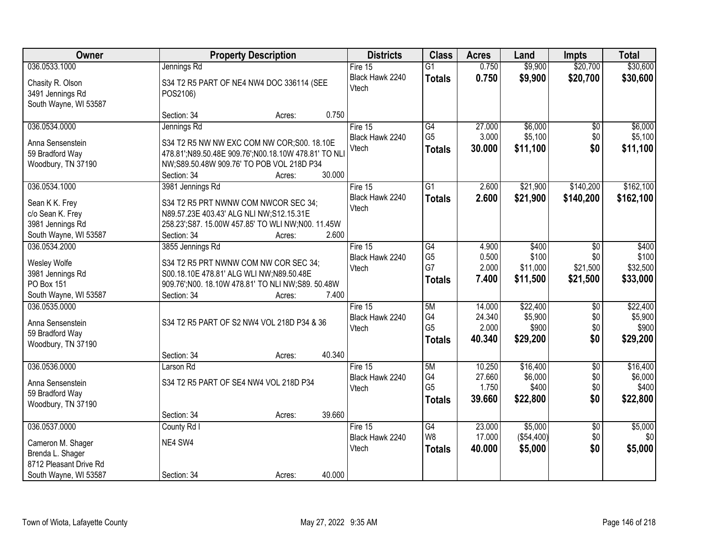| Owner                  | <b>Property Description</b>                          | <b>Districts</b> | <b>Class</b>    | <b>Acres</b> | Land       | <b>Impts</b>    | <b>Total</b> |
|------------------------|------------------------------------------------------|------------------|-----------------|--------------|------------|-----------------|--------------|
| 036.0533.1000          | Jennings Rd                                          | Fire 15          | $\overline{G1}$ | 0.750        | \$9,900    | \$20,700        | \$30,600     |
| Chasity R. Olson       | S34 T2 R5 PART OF NE4 NW4 DOC 336114 (SEE            | Black Hawk 2240  | <b>Totals</b>   | 0.750        | \$9,900    | \$20,700        | \$30,600     |
| 3491 Jennings Rd       | POS2106)                                             | Vtech            |                 |              |            |                 |              |
| South Wayne, WI 53587  |                                                      |                  |                 |              |            |                 |              |
|                        | 0.750<br>Section: 34<br>Acres:                       |                  |                 |              |            |                 |              |
| 036.0534.0000          | Jennings Rd                                          | Fire $15$        | G4              | 27.000       | \$6,000    | \$0             | \$6,000      |
| Anna Sensenstein       | S34 T2 R5 NW NW EXC COM NW COR; S00. 18.10E          | Black Hawk 2240  | G <sub>5</sub>  | 3.000        | \$5,100    | \$0             | \$5,100      |
| 59 Bradford Way        | 478.81';N89.50.48E 909.76';N00.18.10W 478.81' TO NLI | Vtech            | <b>Totals</b>   | 30.000       | \$11,100   | \$0             | \$11,100     |
| Woodbury, TN 37190     | NW;S89.50.48W 909.76' TO POB VOL 218D P34            |                  |                 |              |            |                 |              |
|                        | 30.000<br>Section: 34<br>Acres:                      |                  |                 |              |            |                 |              |
| 036.0534.1000          | 3981 Jennings Rd                                     | Fire 15          | $\overline{G1}$ | 2.600        | \$21,900   | \$140,200       | \$162,100    |
| Sean K K. Frey         | S34 T2 R5 PRT NWNW COM NWCOR SEC 34;                 | Black Hawk 2240  | <b>Totals</b>   | 2.600        | \$21,900   | \$140,200       | \$162,100    |
| c/o Sean K. Frey       | N89.57.23E 403.43' ALG NLI NW;S12.15.31E             | Vtech            |                 |              |            |                 |              |
| 3981 Jennings Rd       | 258.23'; S87. 15.00W 457.85' TO WLI NW; N00. 11.45W  |                  |                 |              |            |                 |              |
| South Wayne, WI 53587  | 2.600<br>Section: 34<br>Acres:                       |                  |                 |              |            |                 |              |
| 036.0534.2000          | 3855 Jennings Rd                                     | Fire $15$        | $\overline{G4}$ | 4.900        | \$400      | \$0             | \$400        |
| Wesley Wolfe           | S34 T2 R5 PRT NWNW COM NW COR SEC 34;                | Black Hawk 2240  | G <sub>5</sub>  | 0.500        | \$100      | \$0             | \$100        |
| 3981 Jennings Rd       | S00.18.10E 478.81' ALG WLI NW;N89.50.48E             | Vtech            | G7              | 2.000        | \$11,000   | \$21,500        | \$32,500     |
| PO Box 151             | 909.76';N00. 18.10W 478.81' TO NLI NW;S89. 50.48W    |                  | <b>Totals</b>   | 7.400        | \$11,500   | \$21,500        | \$33,000     |
| South Wayne, WI 53587  | Section: 34<br>7.400<br>Acres:                       |                  |                 |              |            |                 |              |
| 036.0535.0000          |                                                      | Fire $15$        | 5M              | 14.000       | \$22,400   | \$0             | \$22,400     |
| Anna Sensenstein       | S34 T2 R5 PART OF S2 NW4 VOL 218D P34 & 36           | Black Hawk 2240  | G4              | 24.340       | \$5,900    | \$0             | \$5,900      |
| 59 Bradford Way        |                                                      | Vtech            | G <sub>5</sub>  | 2.000        | \$900      | \$0             | \$900        |
| Woodbury, TN 37190     |                                                      |                  | <b>Totals</b>   | 40.340       | \$29,200   | \$0             | \$29,200     |
|                        | 40.340<br>Section: 34<br>Acres:                      |                  |                 |              |            |                 |              |
| 036.0536.0000          | Larson Rd                                            | Fire $15$        | 5M              | 10.250       | \$16,400   | $\overline{50}$ | \$16,400     |
| Anna Sensenstein       | S34 T2 R5 PART OF SE4 NW4 VOL 218D P34               | Black Hawk 2240  | G4              | 27.660       | \$6,000    | \$0             | \$6,000      |
| 59 Bradford Way        |                                                      | Vtech            | G <sub>5</sub>  | 1.750        | \$400      | \$0             | \$400        |
| Woodbury, TN 37190     |                                                      |                  | <b>Totals</b>   | 39.660       | \$22,800   | \$0             | \$22,800     |
|                        | 39.660<br>Section: 34<br>Acres:                      |                  |                 |              |            |                 |              |
| 036.0537.0000          | County Rd I                                          | Fire $15$        | $\overline{G4}$ | 23,000       | \$5,000    | $\overline{50}$ | \$5,000      |
| Cameron M. Shager      | NE4 SW4                                              | Black Hawk 2240  | W <sub>8</sub>  | 17.000       | (\$54,400) | \$0             | \$0          |
| Brenda L. Shager       |                                                      | Vtech            | <b>Totals</b>   | 40.000       | \$5,000    | \$0             | \$5,000      |
| 8712 Pleasant Drive Rd |                                                      |                  |                 |              |            |                 |              |
| South Wayne, WI 53587  | 40.000<br>Section: 34<br>Acres:                      |                  |                 |              |            |                 |              |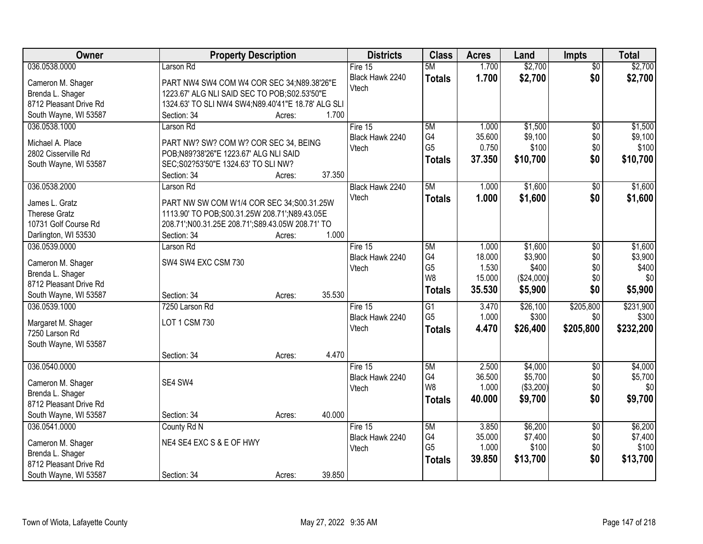| Owner                  | <b>Property Description</b>                        |        |        | <b>Districts</b>         | <b>Class</b>    | <b>Acres</b> | Land       | <b>Impts</b>           | <b>Total</b>       |
|------------------------|----------------------------------------------------|--------|--------|--------------------------|-----------------|--------------|------------|------------------------|--------------------|
| 036.0538.0000          | Larson Rd                                          |        |        | Fire $15$                | 5M              | 1.700        | \$2,700    | $\overline{50}$        | \$2,700            |
| Cameron M. Shager      | PART NW4 SW4 COM W4 COR SEC 34;N89.38'26"E         |        |        | Black Hawk 2240          | <b>Totals</b>   | 1.700        | \$2,700    | \$0                    | \$2,700            |
| Brenda L. Shager       | 1223.67' ALG NLI SAID SEC TO POB; S02.53'50"E      |        |        | Vtech                    |                 |              |            |                        |                    |
| 8712 Pleasant Drive Rd | 1324.63' TO SLI NW4 SW4;N89.40'41"E 18.78' ALG SLI |        |        |                          |                 |              |            |                        |                    |
| South Wayne, WI 53587  | Section: 34                                        | Acres: | 1.700  |                          |                 |              |            |                        |                    |
| 036.0538.1000          | Larson Rd                                          |        |        | Fire 15                  | 5M              | 1.000        | \$1,500    | $\overline{50}$        | \$1,500            |
|                        |                                                    |        |        | Black Hawk 2240          | G4              | 35.600       | \$9,100    | \$0                    | \$9,100            |
| Michael A. Place       | PART NW? SW? COM W? COR SEC 34, BEING              |        |        | Vtech                    | G <sub>5</sub>  | 0.750        | \$100      | \$0                    | \$100              |
| 2802 Cisserville Rd    | POB;N89?38'26"E 1223.67' ALG NLI SAID              |        |        |                          | <b>Totals</b>   | 37.350       | \$10,700   | \$0                    | \$10,700           |
| South Wayne, WI 53587  | SEC; S02?53'50"E 1324.63' TO SLI NW?               |        | 37.350 |                          |                 |              |            |                        |                    |
| 036.0538.2000          | Section: 34<br>Larson Rd                           | Acres: |        | Black Hawk 2240          | 5M              | 1.000        | \$1,600    |                        | \$1,600            |
|                        |                                                    |        |        | Vtech                    |                 |              |            | $\sqrt[6]{3}$<br>\$0   |                    |
| James L. Gratz         | PART NW SW COM W1/4 COR SEC 34;S00.31.25W          |        |        |                          | <b>Totals</b>   | 1.000        | \$1,600    |                        | \$1,600            |
| <b>Therese Gratz</b>   | 1113.90' TO POB; S00.31.25W 208.71'; N89.43.05E    |        |        |                          |                 |              |            |                        |                    |
| 10731 Golf Course Rd   | 208.71';N00.31.25E 208.71';S89.43.05W 208.71' TO   |        |        |                          |                 |              |            |                        |                    |
| Darlington, WI 53530   | Section: 34                                        | Acres: | 1.000  |                          |                 |              |            |                        |                    |
| 036.0539.0000          | Larson Rd                                          |        |        | Fire 15                  | 5M              | 1.000        | \$1,600    | \$0                    | \$1,600            |
| Cameron M. Shager      | SW4 SW4 EXC CSM 730                                |        |        | Black Hawk 2240          | G4              | 18.000       | \$3,900    | \$0                    | \$3,900            |
| Brenda L. Shager       |                                                    |        |        | Vtech                    | G <sub>5</sub>  | 1.530        | \$400      | \$0                    | \$400              |
| 8712 Pleasant Drive Rd |                                                    |        |        |                          | W <sub>8</sub>  | 15.000       | (\$24,000) | \$0                    | \$0                |
| South Wayne, WI 53587  | Section: 34                                        | Acres: | 35.530 |                          | <b>Totals</b>   | 35.530       | \$5,900    | \$0                    | \$5,900            |
| 036.0539.1000          | 7250 Larson Rd                                     |        |        | Fire 15                  | $\overline{G1}$ | 3.470        | \$26,100   | \$205,800              | \$231,900          |
|                        |                                                    |        |        | Black Hawk 2240          | G <sub>5</sub>  | 1.000        | \$300      | \$0                    | \$300              |
| Margaret M. Shager     | LOT 1 CSM 730                                      |        |        | Vtech                    | <b>Totals</b>   | 4.470        | \$26,400   | \$205,800              | \$232,200          |
| 7250 Larson Rd         |                                                    |        |        |                          |                 |              |            |                        |                    |
| South Wayne, WI 53587  |                                                    |        | 4.470  |                          |                 |              |            |                        |                    |
| 036.0540.0000          | Section: 34                                        | Acres: |        |                          | 5M              | 2.500        | \$4,000    |                        |                    |
|                        |                                                    |        |        | Fire 15                  | G4              | 36.500       | \$5,700    | $\overline{$0}$<br>\$0 | \$4,000<br>\$5,700 |
| Cameron M. Shager      | SE4 SW4                                            |        |        | Black Hawk 2240<br>Vtech | W <sub>8</sub>  | 1.000        | ( \$3,200) | \$0                    | \$0                |
| Brenda L. Shager       |                                                    |        |        |                          | <b>Totals</b>   | 40.000       | \$9,700    | \$0                    | \$9,700            |
| 8712 Pleasant Drive Rd |                                                    |        |        |                          |                 |              |            |                        |                    |
| South Wayne, WI 53587  | Section: 34                                        | Acres: | 40.000 |                          |                 |              |            |                        |                    |
| 036.0541.0000          | County Rd N                                        |        |        | Fire 15                  | 5M              | 3.850        | \$6,200    | $\overline{50}$        | \$6,200            |
| Cameron M. Shager      | NE4 SE4 EXC S & E OF HWY                           |        |        | Black Hawk 2240          | G4              | 35.000       | \$7,400    | \$0                    | \$7,400            |
| Brenda L. Shager       |                                                    |        |        | Vtech                    | G <sub>5</sub>  | 1.000        | \$100      | \$0                    | \$100              |
| 8712 Pleasant Drive Rd |                                                    |        |        |                          | <b>Totals</b>   | 39.850       | \$13,700   | \$0                    | \$13,700           |
| South Wayne, WI 53587  | Section: 34                                        | Acres: | 39.850 |                          |                 |              |            |                        |                    |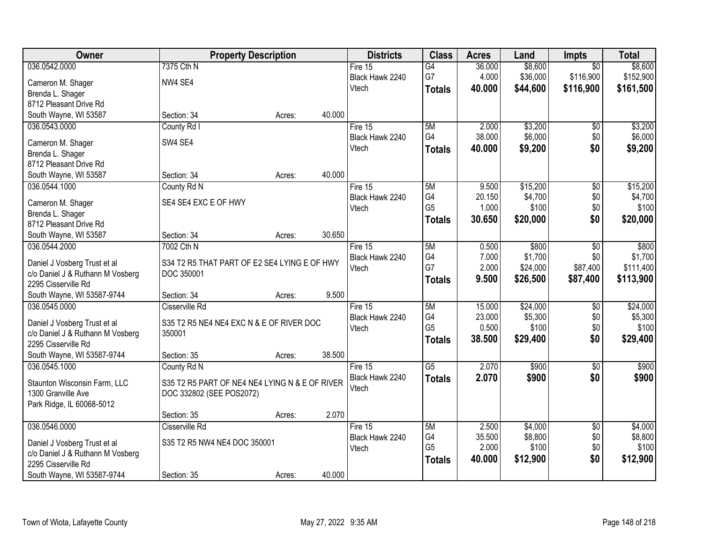| Owner                                                            |                                                | <b>Property Description</b> |        | <b>Districts</b> | <b>Class</b>    | <b>Acres</b> | Land     | <b>Impts</b>    | <b>Total</b> |
|------------------------------------------------------------------|------------------------------------------------|-----------------------------|--------|------------------|-----------------|--------------|----------|-----------------|--------------|
| 036.0542.0000                                                    | 7375 Cth N                                     |                             |        | Fire $15$        | G4              | 36.000       | \$8,600  | $\overline{50}$ | \$8,600      |
| Cameron M. Shager                                                | NW4 SE4                                        |                             |        | Black Hawk 2240  | G7              | 4.000        | \$36,000 | \$116,900       | \$152,900    |
| Brenda L. Shager                                                 |                                                |                             |        | Vtech            | <b>Totals</b>   | 40,000       | \$44,600 | \$116,900       | \$161,500    |
| 8712 Pleasant Drive Rd                                           |                                                |                             |        |                  |                 |              |          |                 |              |
| South Wayne, WI 53587                                            | Section: 34                                    | Acres:                      | 40.000 |                  |                 |              |          |                 |              |
| 036.0543.0000                                                    | County Rd I                                    |                             |        | Fire 15          | 5M              | 2.000        | \$3,200  | \$0             | \$3,200      |
|                                                                  | SW4 SE4                                        |                             |        | Black Hawk 2240  | G4              | 38.000       | \$6,000  | \$0             | \$6,000      |
| Cameron M. Shager                                                |                                                |                             |        | Vtech            | <b>Totals</b>   | 40.000       | \$9,200  | \$0             | \$9,200      |
| Brenda L. Shager<br>8712 Pleasant Drive Rd                       |                                                |                             |        |                  |                 |              |          |                 |              |
| South Wayne, WI 53587                                            | Section: 34                                    | Acres:                      | 40.000 |                  |                 |              |          |                 |              |
| 036.0544.1000                                                    | County Rd N                                    |                             |        | Fire 15          | 5M              | 9.500        | \$15,200 | $\overline{50}$ | \$15,200     |
|                                                                  |                                                |                             |        | Black Hawk 2240  | G4              | 20.150       | \$4,700  | \$0             | \$4,700      |
| Cameron M. Shager                                                | SE4 SE4 EXC E OF HWY                           |                             |        | Vtech            | G <sub>5</sub>  | 1.000        | \$100    | \$0             | \$100        |
| Brenda L. Shager                                                 |                                                |                             |        |                  | <b>Totals</b>   | 30.650       | \$20,000 | \$0             | \$20,000     |
| 8712 Pleasant Drive Rd                                           |                                                |                             |        |                  |                 |              |          |                 |              |
| South Wayne, WI 53587                                            | Section: 34                                    | Acres:                      | 30.650 |                  |                 |              |          |                 |              |
| 036.0544.2000                                                    | 7002 Cth N                                     |                             |        | Fire 15          | 5M              | 0.500        | \$800    | \$0             | \$800        |
| Daniel J Vosberg Trust et al                                     | S34 T2 R5 THAT PART OF E2 SE4 LYING E OF HWY   |                             |        | Black Hawk 2240  | G4              | 7.000        | \$1,700  | \$0             | \$1,700      |
| c/o Daniel J & Ruthann M Vosberg                                 | DOC 350001                                     |                             |        | Vtech            | G7              | 2.000        | \$24,000 | \$87,400        | \$111,400    |
| 2295 Cisserville Rd                                              |                                                |                             |        |                  | <b>Totals</b>   | 9.500        | \$26,500 | \$87,400        | \$113,900    |
| South Wayne, WI 53587-9744                                       | Section: 34                                    | Acres:                      | 9.500  |                  |                 |              |          |                 |              |
| 036.0545.0000                                                    | Cisserville Rd                                 |                             |        | Fire 15          | 5M              | 15.000       | \$24,000 | $\overline{50}$ | \$24,000     |
|                                                                  | S35 T2 R5 NE4 NE4 EXC N & E OF RIVER DOC       |                             |        | Black Hawk 2240  | G4              | 23.000       | \$5,300  | \$0             | \$5,300      |
| Daniel J Vosberg Trust et al<br>c/o Daniel J & Ruthann M Vosberg | 350001                                         |                             |        | Vtech            | G <sub>5</sub>  | 0.500        | \$100    | \$0             | \$100        |
| 2295 Cisserville Rd                                              |                                                |                             |        |                  | <b>Totals</b>   | 38.500       | \$29,400 | \$0             | \$29,400     |
| South Wayne, WI 53587-9744                                       | Section: 35                                    | Acres:                      | 38.500 |                  |                 |              |          |                 |              |
| 036.0545.1000                                                    | County Rd N                                    |                             |        | Fire 15          | $\overline{G5}$ | 2.070        | \$900    | $\overline{60}$ | \$900        |
|                                                                  |                                                |                             |        | Black Hawk 2240  | <b>Totals</b>   | 2.070        | \$900    | \$0             | \$900        |
| Staunton Wisconsin Farm, LLC                                     | S35 T2 R5 PART OF NE4 NE4 LYING N & E OF RIVER |                             |        | Vtech            |                 |              |          |                 |              |
| 1300 Granville Ave                                               | DOC 332802 (SEE POS2072)                       |                             |        |                  |                 |              |          |                 |              |
| Park Ridge, IL 60068-5012                                        |                                                |                             |        |                  |                 |              |          |                 |              |
|                                                                  | Section: 35                                    | Acres:                      | 2.070  |                  |                 |              |          |                 |              |
| 036.0546.0000                                                    | Cisserville Rd                                 |                             |        | Fire $15$        | 5M              | 2.500        | \$4,000  | $\overline{50}$ | \$4,000      |
| Daniel J Vosberg Trust et al                                     | S35 T2 R5 NW4 NE4 DOC 350001                   |                             |        | Black Hawk 2240  | G4              | 35.500       | \$8,800  | \$0             | \$8,800      |
| c/o Daniel J & Ruthann M Vosberg                                 |                                                |                             |        | Vtech            | G <sub>5</sub>  | 2.000        | \$100    | \$0             | \$100        |
| 2295 Cisserville Rd                                              |                                                |                             |        |                  | <b>Totals</b>   | 40.000       | \$12,900 | \$0             | \$12,900     |
| South Wayne, WI 53587-9744                                       | Section: 35                                    | Acres:                      | 40.000 |                  |                 |              |          |                 |              |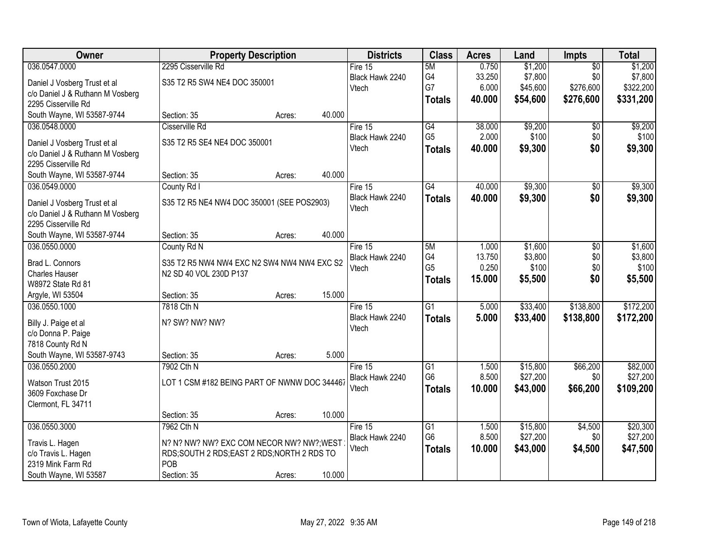| Owner                                                            |                                              | <b>Property Description</b> |        | <b>Districts</b>           | <b>Class</b>                      | <b>Acres</b>   | Land                 | <b>Impts</b>    | <b>Total</b>         |
|------------------------------------------------------------------|----------------------------------------------|-----------------------------|--------|----------------------------|-----------------------------------|----------------|----------------------|-----------------|----------------------|
| 036.0547.0000                                                    | 2295 Cisserville Rd                          |                             |        | Fire 15                    | 5M                                | 0.750          | \$1,200              | $\overline{50}$ | \$1,200              |
| Daniel J Vosberg Trust et al                                     | S35 T2 R5 SW4 NE4 DOC 350001                 |                             |        | Black Hawk 2240            | G4                                | 33.250         | \$7,800              | \$0             | \$7,800              |
| c/o Daniel J & Ruthann M Vosberg                                 |                                              |                             |        | Vtech                      | G7                                | 6.000          | \$45,600             | \$276,600       | \$322,200            |
| 2295 Cisserville Rd                                              |                                              |                             |        |                            | <b>Totals</b>                     | 40.000         | \$54,600             | \$276,600       | \$331,200            |
| South Wayne, WI 53587-9744                                       | Section: 35                                  | Acres:                      | 40.000 |                            |                                   |                |                      |                 |                      |
| 036.0548.0000                                                    | Cisserville Rd                               |                             |        | Fire 15                    | $\overline{G4}$                   | 38.000         | \$9,200              | \$0             | \$9,200              |
| Daniel J Vosberg Trust et al                                     | S35 T2 R5 SE4 NE4 DOC 350001                 |                             |        | Black Hawk 2240            | G <sub>5</sub>                    | 2.000          | \$100                | \$0             | \$100                |
| c/o Daniel J & Ruthann M Vosberg                                 |                                              |                             |        | Vtech                      | <b>Totals</b>                     | 40.000         | \$9,300              | \$0             | \$9,300              |
| 2295 Cisserville Rd                                              |                                              |                             |        |                            |                                   |                |                      |                 |                      |
| South Wayne, WI 53587-9744                                       | Section: 35                                  | Acres:                      | 40.000 |                            |                                   |                |                      |                 |                      |
| 036.0549.0000                                                    | County Rd I                                  |                             |        | Fire 15                    | G4                                | 40.000         | \$9,300              | \$0             | \$9,300              |
|                                                                  | S35 T2 R5 NE4 NW4 DOC 350001 (SEE POS2903)   |                             |        | Black Hawk 2240            | <b>Totals</b>                     | 40.000         | \$9,300              | \$0             | \$9,300              |
| Daniel J Vosberg Trust et al<br>c/o Daniel J & Ruthann M Vosberg |                                              |                             |        | Vtech                      |                                   |                |                      |                 |                      |
| 2295 Cisserville Rd                                              |                                              |                             |        |                            |                                   |                |                      |                 |                      |
| South Wayne, WI 53587-9744                                       | Section: 35                                  | Acres:                      | 40.000 |                            |                                   |                |                      |                 |                      |
| 036.0550.0000                                                    | County Rd N                                  |                             |        | Fire 15                    | 5M                                | 1.000          | \$1,600              | \$0             | \$1,600              |
|                                                                  |                                              |                             |        | Black Hawk 2240            | G4                                | 13.750         | \$3,800              | \$0             | \$3,800              |
| Brad L. Connors                                                  | S35 T2 R5 NW4 NW4 EXC N2 SW4 NW4 NW4 EXC S2  |                             |        | Vtech                      | G <sub>5</sub>                    | 0.250          | \$100                | \$0             | \$100                |
| <b>Charles Hauser</b><br>W8972 State Rd 81                       | N2 SD 40 VOL 230D P137                       |                             |        |                            | <b>Totals</b>                     | 15.000         | \$5,500              | \$0             | \$5,500              |
| Argyle, WI 53504                                                 | Section: 35                                  | Acres:                      | 15.000 |                            |                                   |                |                      |                 |                      |
| 036.0550.1000                                                    | 7818 Cth N                                   |                             |        | Fire 15                    | $\overline{G1}$                   | 5.000          | \$33,400             | \$138,800       | \$172,200            |
|                                                                  |                                              |                             |        | Black Hawk 2240            | <b>Totals</b>                     | 5.000          | \$33,400             | \$138,800       | \$172,200            |
| Billy J. Paige et al                                             | N? SW? NW? NW?                               |                             |        | Vtech                      |                                   |                |                      |                 |                      |
| c/o Donna P. Paige                                               |                                              |                             |        |                            |                                   |                |                      |                 |                      |
| 7818 County Rd N                                                 |                                              |                             |        |                            |                                   |                |                      |                 |                      |
| South Wayne, WI 53587-9743                                       | Section: 35                                  | Acres:                      | 5.000  |                            |                                   |                |                      |                 |                      |
| 036.0550.2000                                                    | 7902 Cth N                                   |                             |        | Fire 15<br>Black Hawk 2240 | $\overline{G1}$<br>G <sub>6</sub> | 1.500<br>8.500 | \$15,800<br>\$27,200 | \$66,200<br>\$0 | \$82,000<br>\$27,200 |
| Watson Trust 2015                                                | LOT 1 CSM #182 BEING PART OF NWNW DOC 344467 |                             |        | Vtech                      |                                   | 10.000         | \$43,000             | \$66,200        | \$109,200            |
| 3609 Foxchase Dr                                                 |                                              |                             |        |                            | <b>Totals</b>                     |                |                      |                 |                      |
| Clermont, FL 34711                                               |                                              |                             |        |                            |                                   |                |                      |                 |                      |
|                                                                  | Section: 35                                  | Acres:                      | 10.000 |                            |                                   |                |                      |                 |                      |
| 036.0550.3000                                                    | 7962 Cth N                                   |                             |        | Fire 15                    | $\overline{G1}$                   | 1.500          | \$15,800             | \$4,500         | \$20,300             |
| Travis L. Hagen                                                  | N? N? NW? NW? EXC COM NECOR NW? NW?; WEST    |                             |        | Black Hawk 2240            | G <sub>6</sub>                    | 8.500          | \$27,200             | \$0             | \$27,200             |
| c/o Travis L. Hagen                                              | RDS;SOUTH 2 RDS;EAST 2 RDS;NORTH 2 RDS TO    |                             |        | Vtech                      | <b>Totals</b>                     | 10.000         | \$43,000             | \$4,500         | \$47,500             |
| 2319 Mink Farm Rd                                                | POB                                          |                             |        |                            |                                   |                |                      |                 |                      |
| South Wayne, WI 53587                                            | Section: 35                                  | Acres:                      | 10.000 |                            |                                   |                |                      |                 |                      |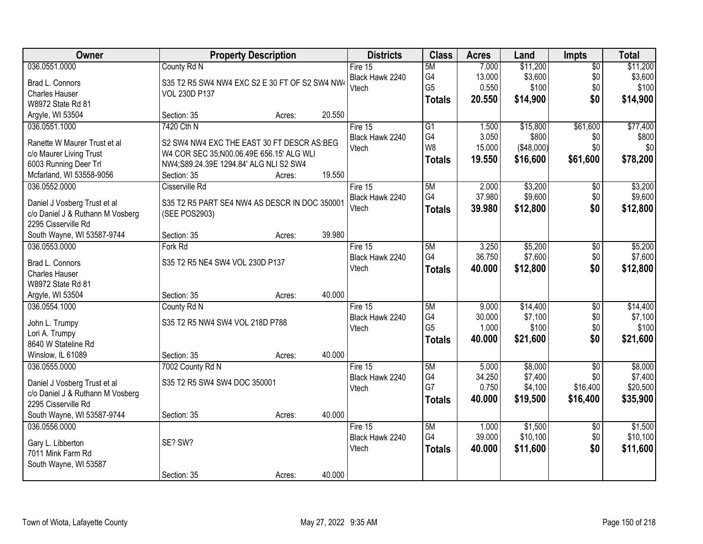| Owner                            |                                                | <b>Property Description</b> |        | <b>Districts</b> | <b>Class</b>    | <b>Acres</b> | Land       | Impts           | <b>Total</b> |
|----------------------------------|------------------------------------------------|-----------------------------|--------|------------------|-----------------|--------------|------------|-----------------|--------------|
| 036.0551.0000                    | County Rd N                                    |                             |        | Fire 15          | 5M              | 7.000        | \$11,200   | $\overline{50}$ | \$11,200     |
| Brad L. Connors                  | S35 T2 R5 SW4 NW4 EXC S2 E 30 FT OF S2 SW4 NW4 |                             |        | Black Hawk 2240  | G4              | 13.000       | \$3,600    | \$0             | \$3,600      |
| <b>Charles Hauser</b>            | VOL 230D P137                                  |                             |        | Vtech            | G <sub>5</sub>  | 0.550        | \$100      | \$0             | \$100        |
| W8972 State Rd 81                |                                                |                             |        |                  | <b>Totals</b>   | 20.550       | \$14,900   | \$0             | \$14,900     |
| Argyle, WI 53504                 | Section: 35                                    | Acres:                      | 20.550 |                  |                 |              |            |                 |              |
| 036.0551.1000                    | 7420 Cth N                                     |                             |        | Fire 15          | $\overline{G1}$ | 1.500        | \$15,800   | \$61,600        | \$77,400     |
|                                  |                                                |                             |        | Black Hawk 2240  | G4              | 3.050        | \$800      | \$0             | \$800        |
| Ranette W Maurer Trust et al     | S2 SW4 NW4 EXC THE EAST 30 FT DESCR AS:BEG     |                             |        | Vtech            | W <sub>8</sub>  | 15.000       | (\$48,000) | \$0             | \$0          |
| c/o Maurer Living Trust          | W4 COR SEC 35;N00.06.49E 656.15' ALG WLI       |                             |        |                  | <b>Totals</b>   | 19.550       | \$16,600   | \$61,600        | \$78,200     |
| 6003 Running Deer Trl            | NW4;S89.24.39E 1294.84' ALG NLI S2 SW4         |                             |        |                  |                 |              |            |                 |              |
| Mcfarland, WI 53558-9056         | Section: 35                                    | Acres:                      | 19.550 |                  |                 |              |            |                 |              |
| 036.0552.0000                    | Cisserville Rd                                 |                             |        | Fire 15          | 5M              | 2.000        | \$3,200    | $\overline{50}$ | \$3,200      |
| Daniel J Vosberg Trust et al     | S35 T2 R5 PART SE4 NW4 AS DESCR IN DOC 350001  |                             |        | Black Hawk 2240  | G4              | 37.980       | \$9,600    | \$0             | \$9,600      |
| c/o Daniel J & Ruthann M Vosberg | (SEE POS2903)                                  |                             |        | Vtech            | <b>Totals</b>   | 39.980       | \$12,800   | \$0             | \$12,800     |
| 2295 Cisserville Rd              |                                                |                             |        |                  |                 |              |            |                 |              |
| South Wayne, WI 53587-9744       | Section: 35                                    | Acres:                      | 39.980 |                  |                 |              |            |                 |              |
| 036.0553.0000                    | Fork Rd                                        |                             |        | Fire $15$        | 5M              | 3.250        | \$5,200    | $\overline{50}$ | \$5,200      |
|                                  |                                                |                             |        | Black Hawk 2240  | G4              | 36.750       | \$7,600    | \$0             | \$7,600      |
| Brad L. Connors                  | S35 T2 R5 NE4 SW4 VOL 230D P137                |                             |        | Vtech            | <b>Totals</b>   | 40.000       | \$12,800   | \$0             | \$12,800     |
| Charles Hauser                   |                                                |                             |        |                  |                 |              |            |                 |              |
| W8972 State Rd 81                |                                                |                             |        |                  |                 |              |            |                 |              |
| Argyle, WI 53504                 | Section: 35                                    | Acres:                      | 40.000 |                  |                 |              |            |                 |              |
| 036.0554.1000                    | County Rd N                                    |                             |        | Fire 15          | 5M              | 9.000        | \$14,400   | $\overline{50}$ | \$14,400     |
| John L. Trumpy                   | S35 T2 R5 NW4 SW4 VOL 218D P788                |                             |        | Black Hawk 2240  | G4              | 30.000       | \$7,100    | \$0             | \$7,100      |
| Lori A. Trumpy                   |                                                |                             |        | Vtech            | G <sub>5</sub>  | 1.000        | \$100      | \$0             | \$100        |
| 8640 W Stateline Rd              |                                                |                             |        |                  | <b>Totals</b>   | 40.000       | \$21,600   | \$0             | \$21,600     |
| Winslow, IL 61089                | Section: 35                                    | Acres:                      | 40.000 |                  |                 |              |            |                 |              |
| 036.0555.0000                    | 7002 County Rd N                               |                             |        | Fire $15$        | 5M              | 5.000        | \$8,000    | $\overline{50}$ | \$8,000      |
|                                  |                                                |                             |        | Black Hawk 2240  | G4              | 34.250       | \$7,400    | \$0             | \$7,400      |
| Daniel J Vosberg Trust et al     | S35 T2 R5 SW4 SW4 DOC 350001                   |                             |        | Vtech            | G7              | 0.750        | \$4,100    | \$16,400        | \$20,500     |
| c/o Daniel J & Ruthann M Vosberg |                                                |                             |        |                  | <b>Totals</b>   | 40.000       | \$19,500   | \$16,400        | \$35,900     |
| 2295 Cisserville Rd              |                                                |                             |        |                  |                 |              |            |                 |              |
| South Wayne, WI 53587-9744       | Section: 35                                    | Acres:                      | 40.000 |                  |                 |              |            |                 |              |
| 036.0556.0000                    |                                                |                             |        | Fire $15$        | 5M              | 1.000        | \$1,500    | $\overline{50}$ | \$1,500      |
| Gary L. Libberton                | SE? SW?                                        |                             |        | Black Hawk 2240  | G4              | 39.000       | \$10,100   | \$0             | \$10,100     |
| 7011 Mink Farm Rd                |                                                |                             |        | Vtech            | <b>Totals</b>   | 40.000       | \$11,600   | \$0             | \$11,600     |
| South Wayne, WI 53587            |                                                |                             |        |                  |                 |              |            |                 |              |
|                                  | Section: 35                                    | Acres:                      | 40.000 |                  |                 |              |            |                 |              |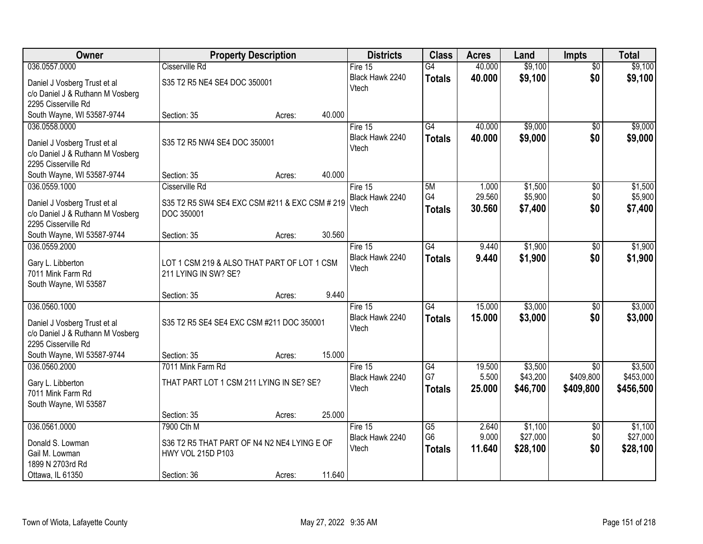| Owner                            | <b>Property Description</b>                    |        | <b>Districts</b> | <b>Class</b>    | <b>Acres</b> | Land     | <b>Impts</b>    | <b>Total</b> |
|----------------------------------|------------------------------------------------|--------|------------------|-----------------|--------------|----------|-----------------|--------------|
| 036.0557.0000                    | Cisserville Rd                                 |        | Fire $15$        | $\overline{G4}$ | 40.000       | \$9,100  | $\overline{50}$ | \$9,100      |
| Daniel J Vosberg Trust et al     | S35 T2 R5 NE4 SE4 DOC 350001                   |        | Black Hawk 2240  | <b>Totals</b>   | 40.000       | \$9,100  | \$0             | \$9,100      |
| c/o Daniel J & Ruthann M Vosberg |                                                |        | Vtech            |                 |              |          |                 |              |
| 2295 Cisserville Rd              |                                                |        |                  |                 |              |          |                 |              |
| South Wayne, WI 53587-9744       | Section: 35<br>Acres:                          | 40.000 |                  |                 |              |          |                 |              |
| 036.0558.0000                    |                                                |        | Fire 15          | $\overline{G4}$ | 40.000       | \$9,000  | $\overline{50}$ | \$9,000      |
| Daniel J Vosberg Trust et al     | S35 T2 R5 NW4 SE4 DOC 350001                   |        | Black Hawk 2240  | <b>Totals</b>   | 40.000       | \$9,000  | \$0             | \$9,000      |
| c/o Daniel J & Ruthann M Vosberg |                                                |        | Vtech            |                 |              |          |                 |              |
| 2295 Cisserville Rd              |                                                |        |                  |                 |              |          |                 |              |
| South Wayne, WI 53587-9744       | Section: 35<br>Acres:                          | 40.000 |                  |                 |              |          |                 |              |
| 036.0559.1000                    | Cisserville Rd                                 |        | Fire 15          | 5M              | 1.000        | \$1,500  | \$0             | \$1,500      |
| Daniel J Vosberg Trust et al     | S35 T2 R5 SW4 SE4 EXC CSM #211 & EXC CSM # 219 |        | Black Hawk 2240  | G4              | 29.560       | \$5,900  | \$0             | \$5,900      |
| c/o Daniel J & Ruthann M Vosberg | DOC 350001                                     |        | Vtech            | <b>Totals</b>   | 30.560       | \$7,400  | \$0             | \$7,400      |
| 2295 Cisserville Rd              |                                                |        |                  |                 |              |          |                 |              |
| South Wayne, WI 53587-9744       | Section: 35<br>Acres:                          | 30.560 |                  |                 |              |          |                 |              |
| 036.0559.2000                    |                                                |        | Fire 15          | $\overline{G4}$ | 9.440        | \$1,900  | \$0             | \$1,900      |
| Gary L. Libberton                | LOT 1 CSM 219 & ALSO THAT PART OF LOT 1 CSM    |        | Black Hawk 2240  | <b>Totals</b>   | 9.440        | \$1,900  | \$0             | \$1,900      |
| 7011 Mink Farm Rd                | 211 LYING IN SW? SE?                           |        | Vtech            |                 |              |          |                 |              |
| South Wayne, WI 53587            |                                                |        |                  |                 |              |          |                 |              |
|                                  | Section: 35<br>Acres:                          | 9.440  |                  |                 |              |          |                 |              |
| 036.0560.1000                    |                                                |        | Fire 15          | $\overline{G4}$ | 15.000       | \$3,000  | $\overline{30}$ | \$3,000      |
| Daniel J Vosberg Trust et al     | S35 T2 R5 SE4 SE4 EXC CSM #211 DOC 350001      |        | Black Hawk 2240  | <b>Totals</b>   | 15,000       | \$3,000  | \$0             | \$3,000      |
| c/o Daniel J & Ruthann M Vosberg |                                                |        | Vtech            |                 |              |          |                 |              |
| 2295 Cisserville Rd              |                                                |        |                  |                 |              |          |                 |              |
| South Wayne, WI 53587-9744       | Section: 35<br>Acres:                          | 15.000 |                  |                 |              |          |                 |              |
| 036.0560.2000                    | 7011 Mink Farm Rd                              |        | Fire 15          | G4              | 19.500       | \$3,500  | $\overline{50}$ | \$3,500      |
| Gary L. Libberton                | THAT PART LOT 1 CSM 211 LYING IN SE? SE?       |        | Black Hawk 2240  | G7              | 5.500        | \$43,200 | \$409,800       | \$453,000    |
| 7011 Mink Farm Rd                |                                                |        | Vtech            | <b>Totals</b>   | 25,000       | \$46,700 | \$409,800       | \$456,500    |
| South Wayne, WI 53587            |                                                |        |                  |                 |              |          |                 |              |
|                                  | Section: 35<br>Acres:                          | 25.000 |                  |                 |              |          |                 |              |
| 036.0561.0000                    | 7900 Cth M                                     |        | Fire 15          | $\overline{G5}$ | 2.640        | \$1,100  | $\overline{50}$ | \$1,100      |
| Donald S. Lowman                 | S36 T2 R5 THAT PART OF N4 N2 NE4 LYING E OF    |        | Black Hawk 2240  | G <sub>6</sub>  | 9.000        | \$27,000 | \$0             | \$27,000     |
| Gail M. Lowman                   | HWY VOL 215D P103                              |        | Vtech            | <b>Totals</b>   | 11.640       | \$28,100 | \$0             | \$28,100     |
| 1899 N 2703rd Rd                 |                                                |        |                  |                 |              |          |                 |              |
| Ottawa, IL 61350                 | Section: 36<br>Acres:                          | 11.640 |                  |                 |              |          |                 |              |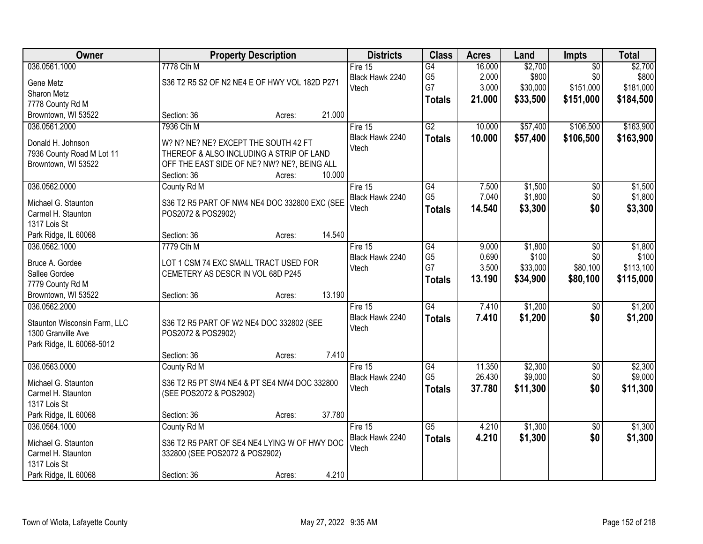| <b>Class</b><br>Owner<br><b>Districts</b><br><b>Property Description</b><br><b>Acres</b><br>Land<br>Impts                     | <b>Total</b>               |
|-------------------------------------------------------------------------------------------------------------------------------|----------------------------|
| 036.0561.1000<br>\$2,700<br>7778 Cth M<br>16.000<br>G4<br>Fire 15                                                             | \$2,700<br>$\overline{50}$ |
| \$800<br>G <sub>5</sub><br>2.000<br>Black Hawk 2240<br>S36 T2 R5 S2 OF N2 NE4 E OF HWY VOL 182D P271<br>Gene Metz             | \$0<br>\$800               |
| G7<br>\$30,000<br>3.000<br>Vtech<br>Sharon Metz                                                                               | \$151,000<br>\$181,000     |
| 21.000<br>\$33,500<br><b>Totals</b><br>7778 County Rd M                                                                       | \$151,000<br>\$184,500     |
| 21.000<br>Browntown, WI 53522<br>Section: 36<br>Acres:                                                                        |                            |
| 036.0561.2000<br>7936 Cth M<br>G2<br>10.000<br>\$57,400<br>Fire 15                                                            | \$106,500<br>\$163,900     |
| Black Hawk 2240<br>10.000<br>\$57,400<br><b>Totals</b>                                                                        | \$106,500<br>\$163,900     |
| Donald H. Johnson<br>W? N? NE? NE? EXCEPT THE SOUTH 42 FT<br>Vtech                                                            |                            |
| 7936 County Road M Lot 11<br>THEREOF & ALSO INCLUDING A STRIP OF LAND                                                         |                            |
| Browntown, WI 53522<br>OFF THE EAST SIDE OF NE? NW? NE?, BEING ALL                                                            |                            |
| 10.000<br>Section: 36<br>Acres:                                                                                               |                            |
| 036.0562.0000<br>G4<br>\$1,500<br>County Rd M<br>Fire 15<br>7.500                                                             | \$1,500<br>\$0             |
| G <sub>5</sub><br>\$1,800<br>7.040<br>Black Hawk 2240<br>S36 T2 R5 PART OF NW4 NE4 DOC 332800 EXC (SEE<br>Michael G. Staunton | \$0<br>\$1,800             |
| \$3,300<br>Vtech<br>14.540<br><b>Totals</b><br>Carmel H. Staunton<br>POS2072 & POS2902)                                       | \$0<br>\$3,300             |
| 1317 Lois St                                                                                                                  |                            |
| 14.540<br>Park Ridge, IL 60068<br>Section: 36<br>Acres:                                                                       |                            |
| 036.0562.1000<br>7779 Cth M<br>$\overline{G4}$<br>\$1,800<br>Fire 15<br>9.000                                                 | \$1,800<br>\$0             |
| G <sub>5</sub><br>\$100<br>Black Hawk 2240<br>0.690<br>Bruce A. Gordee<br>LOT 1 CSM 74 EXC SMALL TRACT USED FOR               | \$100<br>\$0               |
| G7<br>3.500<br>\$33,000<br>Vtech<br>Sallee Gordee<br>CEMETERY AS DESCR IN VOL 68D P245                                        | \$80,100<br>\$113,100      |
| \$34,900<br>13.190<br><b>Totals</b><br>7779 County Rd M                                                                       | \$80,100<br>\$115,000      |
| Browntown, WI 53522<br>13.190<br>Section: 36<br>Acres:                                                                        |                            |
| $\overline{G4}$<br>7.410<br>\$1,200<br>036.0562.2000<br>Fire $15$                                                             | \$1,200<br>$\overline{50}$ |
| 7.410<br>\$1,200<br>Black Hawk 2240<br><b>Totals</b>                                                                          | \$1,200<br>\$0             |
| Staunton Wisconsin Farm, LLC<br>S36 T2 R5 PART OF W2 NE4 DOC 332802 (SEE<br>Vtech                                             |                            |
| 1300 Granville Ave<br>POS2072 & POS2902)                                                                                      |                            |
| Park Ridge, IL 60068-5012                                                                                                     |                            |
| 7.410<br>Section: 36<br>Acres:                                                                                                |                            |
| 036.0563.0000<br>G4<br>\$2,300<br>Fire 15<br>11.350<br>County Rd M                                                            | $\overline{60}$<br>\$2,300 |
| G <sub>5</sub><br>\$9,000<br>26.430<br>Black Hawk 2240<br>Michael G. Staunton<br>S36 T2 R5 PT SW4 NE4 & PT SE4 NW4 DOC 332800 | \$0<br>\$9,000             |
| Vtech<br>37.780<br>\$11,300<br><b>Totals</b><br>Carmel H. Staunton<br>(SEE POS2072 & POS2902)                                 | \$0<br>\$11,300            |
| 1317 Lois St                                                                                                                  |                            |
| Park Ridge, IL 60068<br>37.780<br>Section: 36<br>Acres:                                                                       |                            |
| \$1,300<br>036.0564.1000<br>$\overline{G5}$<br>4.210<br>County Rd M<br>Fire $15$                                              | \$1,300<br>$\overline{50}$ |
| 4.210<br>\$1,300<br>Black Hawk 2240<br><b>Totals</b><br>S36 T2 R5 PART OF SE4 NE4 LYING W OF HWY DOC<br>Michael G. Staunton   | \$0<br>\$1,300             |
| Vtech<br>Carmel H. Staunton<br>332800 (SEE POS2072 & POS2902)                                                                 |                            |
| 1317 Lois St                                                                                                                  |                            |
| 4.210<br>Park Ridge, IL 60068<br>Section: 36<br>Acres:                                                                        |                            |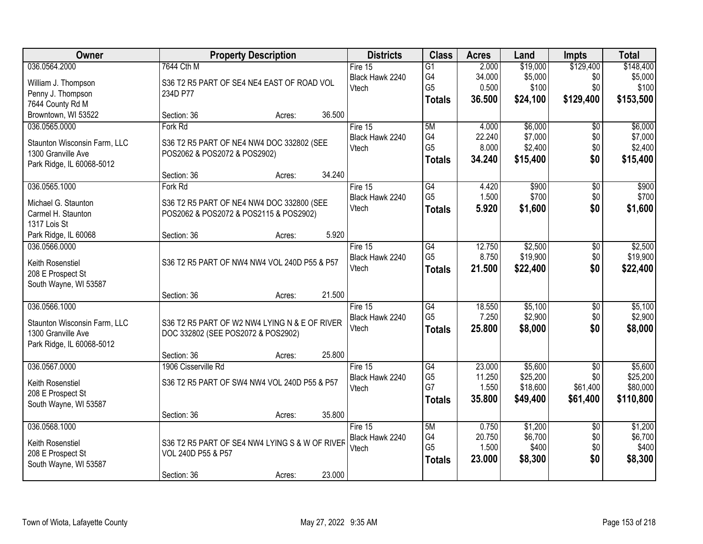| Owner                                 | <b>Property Description</b>                    | <b>Districts</b> | <b>Class</b>    | <b>Acres</b>    | Land             | <b>Impts</b>    | <b>Total</b>     |
|---------------------------------------|------------------------------------------------|------------------|-----------------|-----------------|------------------|-----------------|------------------|
| 036.0564.2000                         | 7644 Cth M                                     | Fire $15$        | $\overline{G1}$ | 2.000           | \$19,000         | \$129,400       | \$148,400        |
| William J. Thompson                   | S36 T2 R5 PART OF SE4 NE4 EAST OF ROAD VOL     | Black Hawk 2240  | G4              | 34.000          | \$5,000          | \$0             | \$5,000          |
| Penny J. Thompson                     | 234D P77                                       | Vtech            | G <sub>5</sub>  | 0.500           | \$100            | \$0             | \$100            |
| 7644 County Rd M                      |                                                |                  | <b>Totals</b>   | 36.500          | \$24,100         | \$129,400       | \$153,500        |
| Browntown, WI 53522                   | 36.500<br>Section: 36<br>Acres:                |                  |                 |                 |                  |                 |                  |
| 036.0565.0000                         | Fork Rd                                        | Fire 15          | 5M              | 4.000           | \$6,000          | $\overline{50}$ | \$6,000          |
| Staunton Wisconsin Farm, LLC          | S36 T2 R5 PART OF NE4 NW4 DOC 332802 (SEE      | Black Hawk 2240  | G4              | 22.240          | \$7,000          | \$0             | \$7,000          |
| 1300 Granville Ave                    | POS2062 & POS2072 & POS2902)                   | Vtech            | G <sub>5</sub>  | 8.000           | \$2,400          | \$0             | \$2,400          |
| Park Ridge, IL 60068-5012             |                                                |                  | <b>Totals</b>   | 34.240          | \$15,400         | \$0             | \$15,400         |
|                                       | 34.240<br>Section: 36<br>Acres:                |                  |                 |                 |                  |                 |                  |
| 036.0565.1000                         | Fork Rd                                        | Fire 15          | G4              | 4.420           | \$900            | \$0             | \$900            |
| Michael G. Staunton                   | S36 T2 R5 PART OF NE4 NW4 DOC 332800 (SEE      | Black Hawk 2240  | G <sub>5</sub>  | 1.500           | \$700            | \$0             | \$700            |
| Carmel H. Staunton                    | POS2062 & POS2072 & POS2115 & POS2902)         | Vtech            | <b>Totals</b>   | 5.920           | \$1,600          | \$0             | \$1,600          |
| 1317 Lois St                          |                                                |                  |                 |                 |                  |                 |                  |
| Park Ridge, IL 60068                  | 5.920<br>Section: 36<br>Acres:                 |                  |                 |                 |                  |                 |                  |
| 036.0566.0000                         |                                                | Fire 15          | G4              | 12.750          | \$2,500          | \$0             | \$2,500          |
|                                       |                                                | Black Hawk 2240  | G <sub>5</sub>  | 8.750           | \$19,900         | \$0             | \$19,900         |
| Keith Rosenstiel<br>208 E Prospect St | S36 T2 R5 PART OF NW4 NW4 VOL 240D P55 & P57   | Vtech            | <b>Totals</b>   | 21.500          | \$22,400         | \$0             | \$22,400         |
| South Wayne, WI 53587                 |                                                |                  |                 |                 |                  |                 |                  |
|                                       | 21.500<br>Section: 36<br>Acres:                |                  |                 |                 |                  |                 |                  |
| 036.0566.1000                         |                                                | Fire 15          | $\overline{G4}$ | 18.550          | \$5,100          | $\overline{30}$ | \$5,100          |
|                                       |                                                | Black Hawk 2240  | G <sub>5</sub>  | 7.250           | \$2,900          | \$0             | \$2,900          |
| Staunton Wisconsin Farm, LLC          | S36 T2 R5 PART OF W2 NW4 LYING N & E OF RIVER  | Vtech            | <b>Totals</b>   | 25.800          | \$8,000          | \$0             | \$8,000          |
| 1300 Granville Ave                    | DOC 332802 (SEE POS2072 & POS2902)             |                  |                 |                 |                  |                 |                  |
| Park Ridge, IL 60068-5012             | 25.800                                         |                  |                 |                 |                  |                 |                  |
| 036.0567.0000                         | Section: 36<br>Acres:<br>1906 Cisserville Rd   | Fire 15          | G4              | 23.000          | \$5,600          | $\overline{50}$ | \$5,600          |
|                                       |                                                | Black Hawk 2240  | G <sub>5</sub>  | 11.250          | \$25,200         | \$0             | \$25,200         |
| Keith Rosenstiel                      | S36 T2 R5 PART OF SW4 NW4 VOL 240D P55 & P57   | Vtech            | G7              | 1.550           | \$18,600         | \$61,400        | \$80,000         |
| 208 E Prospect St                     |                                                |                  | Totals          | 35.800          | \$49,400         | \$61,400        | \$110,800        |
| South Wayne, WI 53587                 |                                                |                  |                 |                 |                  |                 |                  |
|                                       | 35.800<br>Section: 36<br>Acres:                |                  |                 |                 |                  |                 |                  |
| 036.0568.1000                         |                                                | Fire $15$        | 5M<br>G4        | 0.750           | \$1,200          | $\overline{50}$ | \$1,200          |
| Keith Rosenstiel                      | S36 T2 R5 PART OF SE4 NW4 LYING S & W OF RIVER | Black Hawk 2240  | G <sub>5</sub>  | 20.750<br>1.500 | \$6,700<br>\$400 | \$0<br>\$0      | \$6,700<br>\$400 |
| 208 E Prospect St                     | VOL 240D P55 & P57                             | Vtech            |                 | 23.000          | \$8,300          | \$0             |                  |
| South Wayne, WI 53587                 |                                                |                  | <b>Totals</b>   |                 |                  |                 | \$8,300          |
|                                       | 23.000<br>Section: 36<br>Acres:                |                  |                 |                 |                  |                 |                  |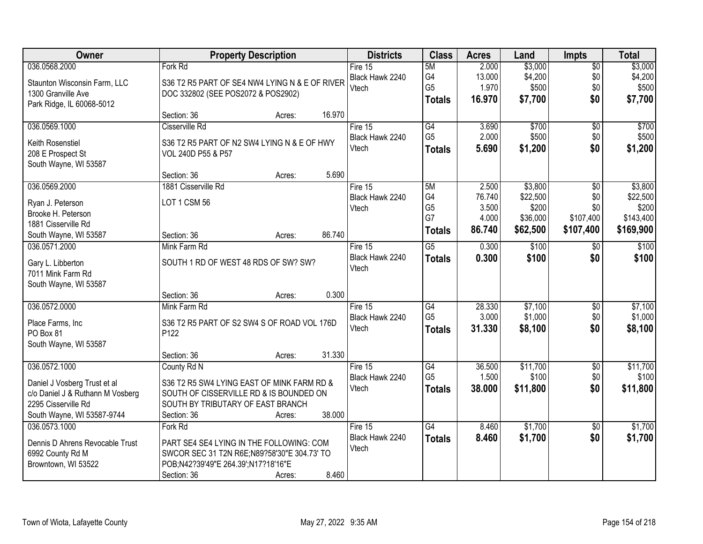| Owner                                  | <b>Property Description</b>                    |                  | <b>Districts</b> | <b>Class</b>    | <b>Acres</b> | Land     | <b>Impts</b>    | <b>Total</b> |
|----------------------------------------|------------------------------------------------|------------------|------------------|-----------------|--------------|----------|-----------------|--------------|
| 036.0568.2000                          | Fork Rd                                        |                  | Fire $15$        | 5M              | 2.000        | \$3,000  | $\overline{50}$ | \$3,000      |
| Staunton Wisconsin Farm, LLC           | S36 T2 R5 PART OF SE4 NW4 LYING N & E OF RIVER |                  | Black Hawk 2240  | G4              | 13.000       | \$4,200  | \$0             | \$4,200      |
| 1300 Granville Ave                     | DOC 332802 (SEE POS2072 & POS2902)             |                  | Vtech            | G <sub>5</sub>  | 1.970        | \$500    | \$0             | \$500        |
| Park Ridge, IL 60068-5012              |                                                |                  |                  | <b>Totals</b>   | 16.970       | \$7,700  | \$0             | \$7,700      |
|                                        | Section: 36                                    | 16.970<br>Acres: |                  |                 |              |          |                 |              |
| 036.0569.1000                          | Cisserville Rd                                 |                  | Fire 15          | G4              | 3.690        | \$700    | $\overline{50}$ | \$700        |
|                                        |                                                |                  | Black Hawk 2240  | G <sub>5</sub>  | 2.000        | \$500    | \$0             | \$500        |
| Keith Rosenstiel                       | S36 T2 R5 PART OF N2 SW4 LYING N & E OF HWY    |                  | Vtech            | <b>Totals</b>   | 5.690        | \$1,200  | \$0             | \$1,200      |
| 208 E Prospect St                      | VOL 240D P55 & P57                             |                  |                  |                 |              |          |                 |              |
| South Wayne, WI 53587                  | Section: 36                                    | 5.690            |                  |                 |              |          |                 |              |
| 036.0569.2000                          | 1881 Cisserville Rd                            | Acres:           | Fire 15          | 5M              | 2.500        | \$3,800  | $\overline{50}$ | \$3,800      |
|                                        |                                                |                  | Black Hawk 2240  | G4              | 76.740       | \$22,500 | \$0             | \$22,500     |
| Ryan J. Peterson                       | LOT 1 CSM 56                                   |                  | Vtech            | G <sub>5</sub>  | 3.500        | \$200    | \$0             | \$200        |
| Brooke H. Peterson                     |                                                |                  |                  | G7              | 4.000        | \$36,000 | \$107,400       | \$143,400    |
| 1881 Cisserville Rd                    |                                                |                  |                  |                 | 86.740       | \$62,500 | \$107,400       | \$169,900    |
| South Wayne, WI 53587                  | Section: 36                                    | 86.740<br>Acres: |                  | <b>Totals</b>   |              |          |                 |              |
| 036.0571.2000                          | Mink Farm Rd                                   |                  | Fire 15          | $\overline{G5}$ | 0.300        | \$100    | $\sqrt[6]{}$    | \$100        |
|                                        | SOUTH 1 RD OF WEST 48 RDS OF SW? SW?           |                  | Black Hawk 2240  | <b>Totals</b>   | 0.300        | \$100    | \$0             | \$100        |
| Gary L. Libberton<br>7011 Mink Farm Rd |                                                |                  | Vtech            |                 |              |          |                 |              |
| South Wayne, WI 53587                  |                                                |                  |                  |                 |              |          |                 |              |
|                                        | Section: 36                                    | 0.300<br>Acres:  |                  |                 |              |          |                 |              |
| 036.0572.0000                          | Mink Farm Rd                                   |                  | Fire 15          | $\overline{G4}$ | 28.330       | \$7,100  | $\overline{50}$ | \$7,100      |
|                                        |                                                |                  | Black Hawk 2240  | G <sub>5</sub>  | 3.000        | \$1,000  | \$0             | \$1,000      |
| Place Farms, Inc                       | S36 T2 R5 PART OF S2 SW4 S OF ROAD VOL 176D    |                  | Vtech            | <b>Totals</b>   | 31.330       | \$8,100  | \$0             | \$8,100      |
| PO Box 81                              | P <sub>122</sub>                               |                  |                  |                 |              |          |                 |              |
| South Wayne, WI 53587                  |                                                |                  |                  |                 |              |          |                 |              |
|                                        | Section: 36                                    | 31.330<br>Acres: |                  |                 |              |          |                 |              |
| 036.0572.1000                          | County Rd N                                    |                  | Fire 15          | G4              | 36.500       | \$11,700 | $\sqrt{$0}$     | \$11,700     |
| Daniel J Vosberg Trust et al           | S36 T2 R5 SW4 LYING EAST OF MINK FARM RD &     |                  | Black Hawk 2240  | G <sub>5</sub>  | 1.500        | \$100    | \$0             | \$100        |
| c/o Daniel J & Ruthann M Vosberg       | SOUTH OF CISSERVILLE RD & IS BOUNDED ON        |                  | Vtech            | <b>Totals</b>   | 38.000       | \$11,800 | \$0             | \$11,800     |
| 2295 Cisserville Rd                    | SOUTH BY TRIBUTARY OF EAST BRANCH              |                  |                  |                 |              |          |                 |              |
| South Wayne, WI 53587-9744             | Section: 36                                    | 38.000<br>Acres: |                  |                 |              |          |                 |              |
| 036.0573.1000                          | Fork Rd                                        |                  | Fire $15$        | G4              | 8.460        | \$1,700  | $\overline{30}$ | \$1,700      |
|                                        |                                                |                  | Black Hawk 2240  | <b>Totals</b>   | 8.460        | \$1,700  | \$0             | \$1,700      |
| Dennis D Ahrens Revocable Trust        | PART SE4 SE4 LYING IN THE FOLLOWING: COM       |                  | Vtech            |                 |              |          |                 |              |
| 6992 County Rd M                       | SWCOR SEC 31 T2N R6E;N89?58'30"E 304.73' TO    |                  |                  |                 |              |          |                 |              |
| Browntown, WI 53522                    | POB;N42?39'49"E 264.39';N17?18'16"E            |                  |                  |                 |              |          |                 |              |
|                                        | Section: 36                                    | 8.460<br>Acres:  |                  |                 |              |          |                 |              |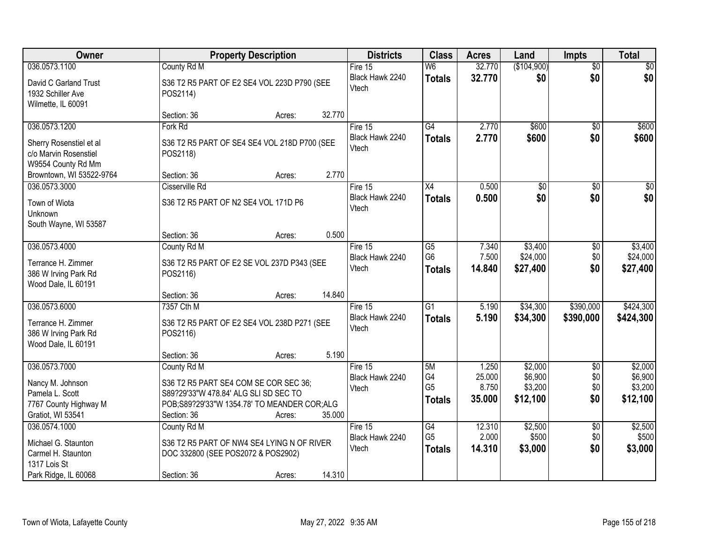| Owner                                                                  |                                                                                                                               | <b>Property Description</b> |        | <b>Districts</b>           | <b>Class</b>                          | <b>Acres</b>              | Land                           | <b>Impts</b>           | <b>Total</b>                   |
|------------------------------------------------------------------------|-------------------------------------------------------------------------------------------------------------------------------|-----------------------------|--------|----------------------------|---------------------------------------|---------------------------|--------------------------------|------------------------|--------------------------------|
| 036.0573.1100                                                          | County Rd M                                                                                                                   |                             |        | Fire $15$                  | W <sub>6</sub>                        | 32.770                    | (\$104,900)                    | $\overline{50}$        | \$0                            |
| David C Garland Trust<br>1932 Schiller Ave<br>Wilmette, IL 60091       | S36 T2 R5 PART OF E2 SE4 VOL 223D P790 (SEE<br>POS2114)                                                                       |                             |        | Black Hawk 2240<br>Vtech   | <b>Totals</b>                         | 32.770                    | \$0                            | \$0                    | \$0                            |
|                                                                        | Section: 36                                                                                                                   | Acres:                      | 32.770 |                            |                                       |                           |                                |                        |                                |
| 036.0573.1200                                                          | Fork Rd                                                                                                                       |                             |        | Fire 15                    | G4                                    | 2.770                     | \$600                          | $\overline{50}$        | \$600                          |
| Sherry Rosenstiel et al<br>c/o Marvin Rosenstiel<br>W9554 County Rd Mm | S36 T2 R5 PART OF SE4 SE4 VOL 218D P700 (SEE<br>POS2118)                                                                      |                             |        | Black Hawk 2240<br>Vtech   | <b>Totals</b>                         | 2.770                     | \$600                          | \$0                    | \$600                          |
| Browntown, WI 53522-9764                                               | Section: 36                                                                                                                   | Acres:                      | 2.770  |                            |                                       |                           |                                |                        |                                |
| 036.0573.3000                                                          | Cisserville Rd                                                                                                                |                             |        | Fire 15                    | $\overline{X4}$                       | 0.500                     | $\overline{50}$                | \$0                    | $\overline{\$0}$               |
| Town of Wiota<br>Unknown                                               | S36 T2 R5 PART OF N2 SE4 VOL 171D P6                                                                                          |                             |        | Black Hawk 2240<br>Vtech   | <b>Totals</b>                         | 0.500                     | \$0                            | \$0                    | \$0                            |
| South Wayne, WI 53587                                                  | Section: 36                                                                                                                   |                             | 0.500  |                            |                                       |                           |                                |                        |                                |
| 036.0573.4000                                                          | County Rd M                                                                                                                   | Acres:                      |        | Fire 15                    | $\overline{G5}$                       | 7.340                     | \$3,400                        | \$0                    | \$3,400                        |
| Terrance H. Zimmer<br>386 W Irving Park Rd<br>Wood Dale, IL 60191      | S36 T2 R5 PART OF E2 SE VOL 237D P343 (SEE<br>POS2116)                                                                        |                             |        | Black Hawk 2240<br>Vtech   | G <sub>6</sub><br><b>Totals</b>       | 7.500<br>14.840           | \$24,000<br>\$27,400           | \$0<br>\$0             | \$24,000<br>\$27,400           |
|                                                                        | Section: 36                                                                                                                   | Acres:                      | 14.840 |                            |                                       |                           |                                |                        |                                |
| 036.0573.6000                                                          | 7357 Cth M                                                                                                                    |                             |        | Fire 15<br>Black Hawk 2240 | $\overline{G1}$<br><b>Totals</b>      | 5.190<br>5.190            | \$34,300<br>\$34,300           | \$390,000<br>\$390,000 | \$424,300<br>\$424,300         |
| Terrance H. Zimmer<br>386 W Irving Park Rd<br>Wood Dale, IL 60191      | S36 T2 R5 PART OF E2 SE4 VOL 238D P271 (SEE<br>POS2116)                                                                       |                             |        | Vtech                      |                                       |                           |                                |                        |                                |
|                                                                        | Section: 36                                                                                                                   | Acres:                      | 5.190  |                            |                                       |                           |                                |                        |                                |
| 036.0573.7000                                                          | County Rd M                                                                                                                   |                             |        | Fire 15                    | 5M                                    | 1.250                     | \$2,000                        | $\sqrt{6}$             | \$2,000                        |
| Nancy M. Johnson<br>Pamela L. Scott<br>7767 County Highway M           | S36 T2 R5 PART SE4 COM SE COR SEC 36:<br>S89?29'33"W 478.84' ALG SLI SD SEC TO<br>POB;S89?29'33"W 1354.78' TO MEANDER COR;ALG |                             |        | Black Hawk 2240<br>Vtech   | G4<br>G <sub>5</sub><br><b>Totals</b> | 25.000<br>8.750<br>35.000 | \$6,900<br>\$3,200<br>\$12,100 | \$0<br>\$0<br>\$0      | \$6,900<br>\$3,200<br>\$12,100 |
| Gratiot, WI 53541                                                      | Section: 36                                                                                                                   | Acres:                      | 35.000 |                            |                                       |                           |                                |                        |                                |
| 036.0574.1000                                                          | County Rd M                                                                                                                   |                             |        | Fire $15$                  | G4                                    | 12.310                    | \$2,500                        | $\overline{60}$        | \$2,500                        |
| Michael G. Staunton<br>Carmel H. Staunton                              | S36 T2 R5 PART OF NW4 SE4 LYING N OF RIVER<br>DOC 332800 (SEE POS2072 & POS2902)                                              |                             |        | Black Hawk 2240<br>Vtech   | G <sub>5</sub><br><b>Totals</b>       | 2.000<br>14.310           | \$500<br>\$3,000               | \$0<br>\$0             | \$500<br>\$3,000               |
| 1317 Lois St<br>Park Ridge, IL 60068                                   | Section: 36                                                                                                                   | Acres:                      | 14.310 |                            |                                       |                           |                                |                        |                                |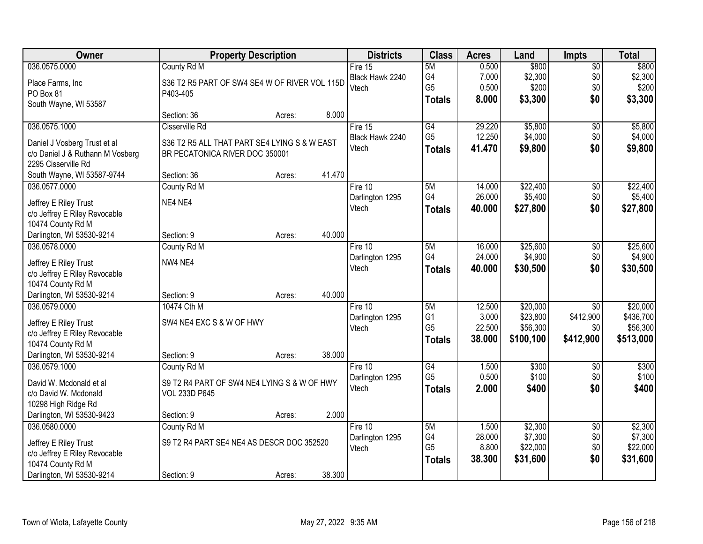| Owner                            |                                               | <b>Property Description</b> |        | <b>Districts</b>         | <b>Class</b>         | <b>Acres</b>    | Land                | Impts           | <b>Total</b>        |
|----------------------------------|-----------------------------------------------|-----------------------------|--------|--------------------------|----------------------|-----------------|---------------------|-----------------|---------------------|
| 036.0575.0000                    | County Rd M                                   |                             |        | Fire 15                  | 5M                   | 0.500           | \$800               | $\overline{50}$ | \$800               |
| Place Farms, Inc                 | S36 T2 R5 PART OF SW4 SE4 W OF RIVER VOL 115D |                             |        | Black Hawk 2240          | G4                   | 7.000           | \$2,300             | \$0             | \$2,300             |
| PO Box 81                        | P403-405                                      |                             |        | Vtech                    | G <sub>5</sub>       | 0.500           | \$200               | \$0             | \$200               |
| South Wayne, WI 53587            |                                               |                             |        |                          | <b>Totals</b>        | 8.000           | \$3,300             | \$0             | \$3,300             |
|                                  | Section: 36                                   | Acres:                      | 8.000  |                          |                      |                 |                     |                 |                     |
| 036.0575.1000                    | Cisserville Rd                                |                             |        | Fire 15                  | G4                   | 29.220          | \$5,800             | $\overline{50}$ | \$5,800             |
| Daniel J Vosberg Trust et al     | S36 T2 R5 ALL THAT PART SE4 LYING S & W EAST  |                             |        | Black Hawk 2240          | G <sub>5</sub>       | 12.250          | \$4,000             | \$0             | \$4,000             |
| c/o Daniel J & Ruthann M Vosberg | BR PECATONICA RIVER DOC 350001                |                             |        | Vtech                    | <b>Totals</b>        | 41.470          | \$9,800             | \$0             | \$9,800             |
| 2295 Cisserville Rd              |                                               |                             |        |                          |                      |                 |                     |                 |                     |
| South Wayne, WI 53587-9744       | Section: 36                                   | Acres:                      | 41.470 |                          |                      |                 |                     |                 |                     |
| 036.0577.0000                    | County Rd M                                   |                             |        | Fire 10                  | 5M                   | 14.000          | \$22,400            | $\overline{50}$ | \$22,400            |
|                                  |                                               |                             |        | Darlington 1295          | G4                   | 26.000          | \$5,400             | \$0             | \$5,400             |
| Jeffrey E Riley Trust            | NE4 NE4                                       |                             |        | Vtech                    | <b>Totals</b>        | 40.000          | \$27,800            | \$0             | \$27,800            |
| c/o Jeffrey E Riley Revocable    |                                               |                             |        |                          |                      |                 |                     |                 |                     |
| 10474 County Rd M                |                                               |                             |        |                          |                      |                 |                     |                 |                     |
| Darlington, WI 53530-9214        | Section: 9                                    | Acres:                      | 40.000 |                          |                      |                 |                     |                 |                     |
| 036.0578.0000                    | County Rd M                                   |                             |        | Fire 10                  | 5M                   | 16.000          | \$25,600            | \$0             | \$25,600            |
| Jeffrey E Riley Trust            | NW4 NE4                                       |                             |        | Darlington 1295          | G4                   | 24.000          | \$4,900             | \$0             | \$4,900             |
| c/o Jeffrey E Riley Revocable    |                                               |                             |        | Vtech                    | <b>Totals</b>        | 40.000          | \$30,500            | \$0             | \$30,500            |
| 10474 County Rd M                |                                               |                             |        |                          |                      |                 |                     |                 |                     |
| Darlington, WI 53530-9214        | Section: 9                                    | Acres:                      | 40.000 |                          |                      |                 |                     |                 |                     |
| 036.0579.0000                    | 10474 Cth M                                   |                             |        | Fire 10                  | 5M                   | 12.500          | \$20,000            | $\overline{30}$ | \$20,000            |
| Jeffrey E Riley Trust            | SW4 NE4 EXC S & W OF HWY                      |                             |        | Darlington 1295          | G <sub>1</sub>       | 3.000           | \$23,800            | \$412,900       | \$436,700           |
| c/o Jeffrey E Riley Revocable    |                                               |                             |        | Vtech                    | G <sub>5</sub>       | 22.500          | \$56,300            | \$0             | \$56,300            |
| 10474 County Rd M                |                                               |                             |        |                          | <b>Totals</b>        | 38.000          | \$100,100           | \$412,900       | \$513,000           |
| Darlington, WI 53530-9214        | Section: 9                                    | Acres:                      | 38.000 |                          |                      |                 |                     |                 |                     |
| 036.0579.1000                    | County Rd M                                   |                             |        | Fire 10                  | G4                   | 1.500           | \$300               | $\sqrt{6}$      | \$300               |
|                                  |                                               |                             |        | Darlington 1295          | G <sub>5</sub>       | 0.500           | \$100               | \$0             | \$100               |
| David W. Mcdonald et al          | S9 T2 R4 PART OF SW4 NE4 LYING S & W OF HWY   |                             |        | Vtech                    | <b>Totals</b>        | 2.000           | \$400               | \$0             | \$400               |
| c/o David W. Mcdonald            | <b>VOL 233D P645</b>                          |                             |        |                          |                      |                 |                     |                 |                     |
| 10298 High Ridge Rd              |                                               |                             |        |                          |                      |                 |                     |                 |                     |
| Darlington, WI 53530-9423        | Section: 9                                    | Acres:                      | 2.000  |                          |                      |                 |                     |                 |                     |
| 036.0580.0000                    | County Rd M                                   |                             |        | Fire 10                  | 5M                   | 1.500           | \$2,300             | $\overline{50}$ | \$2,300             |
| Jeffrey E Riley Trust            | S9 T2 R4 PART SE4 NE4 AS DESCR DOC 352520     |                             |        | Darlington 1295<br>Vtech | G4<br>G <sub>5</sub> | 28.000<br>8.800 | \$7,300<br>\$22,000 | \$0<br>\$0      | \$7,300<br>\$22,000 |
| c/o Jeffrey E Riley Revocable    |                                               |                             |        |                          |                      |                 |                     | \$0             |                     |
| 10474 County Rd M                |                                               |                             |        |                          | <b>Totals</b>        | 38.300          | \$31,600            |                 | \$31,600            |
| Darlington, WI 53530-9214        | Section: 9                                    | Acres:                      | 38.300 |                          |                      |                 |                     |                 |                     |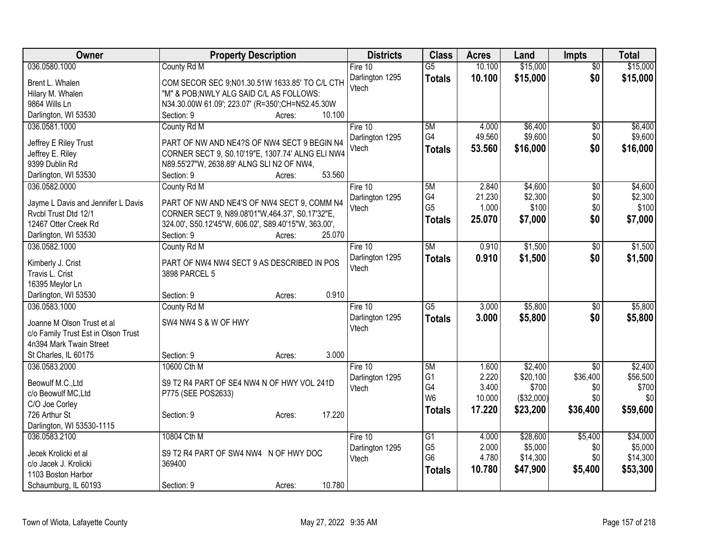| Owner                               | <b>Property Description</b>                          | <b>Districts</b> | <b>Class</b>                     | <b>Acres</b>   | Land                | <b>Impts</b>    | <b>Total</b>        |
|-------------------------------------|------------------------------------------------------|------------------|----------------------------------|----------------|---------------------|-----------------|---------------------|
| 036.0580.1000                       | County Rd M                                          | Fire 10          | $\overline{G5}$                  | 10.100         | \$15,000            | $\overline{50}$ | \$15,000            |
| Brent L. Whalen                     | COM SECOR SEC 9;N01.30.51W 1633.85' TO C/L CTH       | Darlington 1295  | <b>Totals</b>                    | 10.100         | \$15,000            | \$0             | \$15,000            |
| Hilary M. Whalen                    | "M" & POB; NWLY ALG SAID C/L AS FOLLOWS:             | Vtech            |                                  |                |                     |                 |                     |
| 9864 Wills Ln                       | N34.30.00W 61.09'; 223.07' (R=350';CH=N52.45.30W     |                  |                                  |                |                     |                 |                     |
| Darlington, WI 53530                | 10.100<br>Section: 9<br>Acres:                       |                  |                                  |                |                     |                 |                     |
| 036.0581.1000                       | County Rd M                                          | Fire $10$        | 5M                               | 4.000          | \$6,400             | $\overline{50}$ | \$6,400             |
| Jeffrey E Riley Trust               | PART OF NW AND NE4?S OF NW4 SECT 9 BEGIN N4          | Darlington 1295  | G4                               | 49.560         | \$9,600             | \$0             | \$9,600             |
| Jeffrey E. Riley                    | CORNER SECT 9, S0.10'19"E, 1307.74' ALNG ELI NW4     | Vtech            | <b>Totals</b>                    | 53.560         | \$16,000            | \$0             | \$16,000            |
| 9399 Dublin Rd                      | N89.55'27"W, 2638.89' ALNG SLI N2 OF NW4,            |                  |                                  |                |                     |                 |                     |
| Darlington, WI 53530                | 53.560<br>Section: 9<br>Acres:                       |                  |                                  |                |                     |                 |                     |
| 036.0582.0000                       | County Rd M                                          | Fire 10          | 5M                               | 2.840          | \$4,600             | $\sqrt[6]{}$    | \$4,600             |
|                                     |                                                      | Darlington 1295  | G4                               | 21.230         | \$2,300             | \$0             | \$2,300             |
| Jayme L Davis and Jennifer L Davis  | PART OF NW AND NE4'S OF NW4 SECT 9, COMM N4          | Vtech            | G <sub>5</sub>                   | 1.000          | \$100               | \$0             | \$100               |
| Rvcbl Trust Dtd 12/1                | CORNER SECT 9, N89.08'01"W, 464.37', S0.17'32"E,     |                  | <b>Totals</b>                    | 25.070         | \$7,000             | \$0             | \$7,000             |
| 12467 Otter Creek Rd                | 324.00', S50.12'45"W, 606.02', S89.40'15"W, 363.00', |                  |                                  |                |                     |                 |                     |
| Darlington, WI 53530                | 25.070<br>Section: 9<br>Acres:                       |                  |                                  |                |                     |                 |                     |
| 036.0582.1000                       | County Rd M                                          | Fire 10          | 5M                               | 0.910          | \$1,500             | \$0             | \$1,500             |
| Kimberly J. Crist                   | PART OF NW4 NW4 SECT 9 AS DESCRIBED IN POS           | Darlington 1295  | <b>Totals</b>                    | 0.910          | \$1,500             | \$0             | \$1,500             |
| Travis L. Crist                     | 3898 PARCEL 5                                        | Vtech            |                                  |                |                     |                 |                     |
| 16395 Meylor Ln                     |                                                      |                  |                                  |                |                     |                 |                     |
| Darlington, WI 53530                | 0.910<br>Section: 9<br>Acres:                        |                  |                                  |                |                     |                 |                     |
| 036.0583.1000                       | County Rd M                                          | Fire 10          | $\overline{G5}$                  | 3.000          | \$5,800             | \$0             | \$5,800             |
| Joanne M Olson Trust et al          | SW4 NW4 S & W OF HWY                                 | Darlington 1295  | <b>Totals</b>                    | 3.000          | \$5,800             | \$0             | \$5,800             |
| c/o Family Trust Est in Olson Trust |                                                      | Vtech            |                                  |                |                     |                 |                     |
| 4n394 Mark Twain Street             |                                                      |                  |                                  |                |                     |                 |                     |
| St Charles, IL 60175                | 3.000<br>Section: 9<br>Acres:                        |                  |                                  |                |                     |                 |                     |
| 036.0583.2000                       | 10600 Cth M                                          | Fire 10          | 5M                               | 1.600          | \$2,400             | $\overline{30}$ | \$2,400             |
|                                     |                                                      | Darlington 1295  | G <sub>1</sub>                   | 2.220          | \$20,100            | \$36,400        | \$56,500            |
| Beowulf M.C., Ltd                   | S9 T2 R4 PART OF SE4 NW4 N OF HWY VOL 241D           | Vtech            | G4                               | 3.400          | \$700               | \$0             | \$700               |
| c/o Beowulf MC, Ltd                 | P775 (SEE POS2633)                                   |                  | W <sub>6</sub>                   | 10.000         | (\$32,000)          | \$0             | \$0                 |
| C/O Joe Corley                      |                                                      |                  | <b>Totals</b>                    | 17.220         | \$23,200            | \$36,400        | \$59,600            |
| 726 Arthur St                       | 17.220<br>Section: 9<br>Acres:                       |                  |                                  |                |                     |                 |                     |
| Darlington, WI 53530-1115           |                                                      |                  |                                  |                |                     |                 |                     |
| 036.0583.2100                       | 10804 Cth M                                          | Fire 10          | G1                               | 4.000          | \$28,600            | \$5,400         | \$34,000            |
| Jecek Krolicki et al                | S9 T2 R4 PART OF SW4 NW4 N OF HWY DOC                | Darlington 1295  | G <sub>5</sub><br>G <sub>6</sub> | 2.000<br>4.780 | \$5,000<br>\$14,300 | \$0<br>\$0      | \$5,000<br>\$14,300 |
| c/o Jacek J. Krolicki               | 369400                                               | Vtech            |                                  |                |                     |                 |                     |
| 1103 Boston Harbor                  |                                                      |                  | <b>Totals</b>                    | 10.780         | \$47,900            | \$5,400         | \$53,300            |
| Schaumburg, IL 60193                | 10.780<br>Section: 9<br>Acres:                       |                  |                                  |                |                     |                 |                     |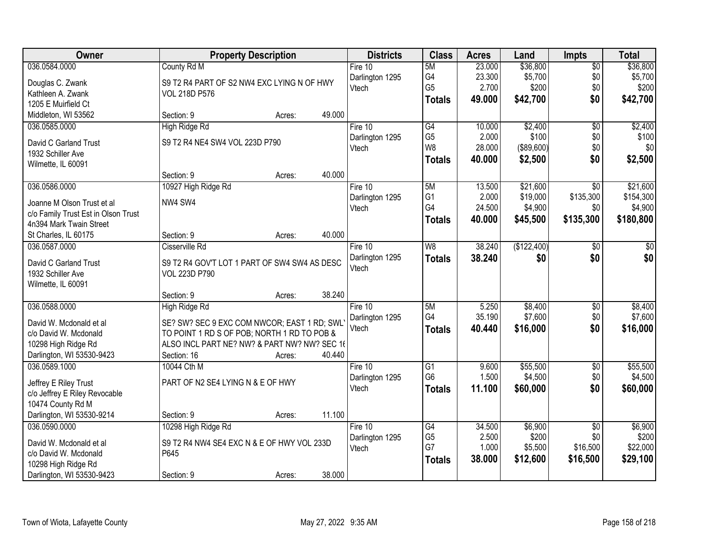| Owner                                            |                                                                                            | <b>Property Description</b> |        | <b>Districts</b> | <b>Class</b>         | <b>Acres</b> | Land        | <b>Impts</b>    | <b>Total</b> |
|--------------------------------------------------|--------------------------------------------------------------------------------------------|-----------------------------|--------|------------------|----------------------|--------------|-------------|-----------------|--------------|
| 036.0584.0000                                    | County Rd M                                                                                |                             |        | Fire $10$        | 5M                   | 23.000       | \$36,800    | $\overline{50}$ | \$36,800     |
| Douglas C. Zwank                                 | S9 T2 R4 PART OF S2 NW4 EXC LYING N OF HWY                                                 |                             |        | Darlington 1295  | G4                   | 23.300       | \$5,700     | \$0             | \$5,700      |
| Kathleen A. Zwank                                | <b>VOL 218D P576</b>                                                                       |                             |        | Vtech            | G <sub>5</sub>       | 2.700        | \$200       | \$0             | \$200        |
| 1205 E Muirfield Ct                              |                                                                                            |                             |        |                  | <b>Totals</b>        | 49.000       | \$42,700    | \$0             | \$42,700     |
| Middleton, WI 53562                              | Section: 9                                                                                 | Acres:                      | 49.000 |                  |                      |              |             |                 |              |
| 036.0585.0000                                    | High Ridge Rd                                                                              |                             |        | Fire 10          | G4                   | 10.000       | \$2,400     | $\overline{50}$ | \$2,400      |
| David C Garland Trust                            | S9 T2 R4 NE4 SW4 VOL 223D P790                                                             |                             |        | Darlington 1295  | G <sub>5</sub>       | 2.000        | \$100       | \$0             | \$100        |
| 1932 Schiller Ave                                |                                                                                            |                             |        | Vtech            | W <sub>8</sub>       | 28.000       | ( \$89,600) | \$0             | \$0          |
| Wilmette, IL 60091                               |                                                                                            |                             |        |                  | <b>Totals</b>        | 40.000       | \$2,500     | \$0             | \$2,500      |
|                                                  | Section: 9                                                                                 | Acres:                      | 40.000 |                  |                      |              |             |                 |              |
| 036.0586.0000                                    | 10927 High Ridge Rd                                                                        |                             |        | Fire 10          | 5M                   | 13.500       | \$21,600    | $\overline{50}$ | \$21,600     |
| Joanne M Olson Trust et al                       | NW4 SW4                                                                                    |                             |        | Darlington 1295  | G <sub>1</sub>       | 2.000        | \$19,000    | \$135,300       | \$154,300    |
| c/o Family Trust Est in Olson Trust              |                                                                                            |                             |        | Vtech            | G4                   | 24.500       | \$4,900     | \$0             | \$4,900      |
| 4n394 Mark Twain Street                          |                                                                                            |                             |        |                  | <b>Totals</b>        | 40.000       | \$45,500    | \$135,300       | \$180,800    |
| St Charles, IL 60175                             | Section: 9                                                                                 | Acres:                      | 40.000 |                  |                      |              |             |                 |              |
| 036.0587.0000                                    | Cisserville Rd                                                                             |                             |        | Fire 10          | W8                   | 38.240       | (\$122,400) | $\sqrt[6]{3}$   | $\sqrt{50}$  |
| David C Garland Trust                            | S9 T2 R4 GOV'T LOT 1 PART OF SW4 SW4 AS DESC                                               |                             |        | Darlington 1295  | <b>Totals</b>        | 38.240       | \$0         | \$0             | \$0          |
| 1932 Schiller Ave                                | <b>VOL 223D P790</b>                                                                       |                             |        | Vtech            |                      |              |             |                 |              |
| Wilmette, IL 60091                               |                                                                                            |                             |        |                  |                      |              |             |                 |              |
|                                                  | Section: 9                                                                                 | Acres:                      | 38.240 |                  |                      |              |             |                 |              |
| 036.0588.0000                                    | <b>High Ridge Rd</b>                                                                       |                             |        | Fire 10          | 5M                   | 5.250        | \$8,400     | \$0             | \$8,400      |
|                                                  |                                                                                            |                             |        | Darlington 1295  | G4                   | 35.190       | \$7,600     | \$0             | \$7,600      |
| David W. Mcdonald et al<br>c/o David W. Mcdonald | SE? SW? SEC 9 EXC COM NWCOR; EAST 1 RD; SWL<br>TO POINT 1 RD S OF POB; NORTH 1 RD TO POB & |                             |        | Vtech            | <b>Totals</b>        | 40.440       | \$16,000    | \$0             | \$16,000     |
| 10298 High Ridge Rd                              | ALSO INCL PART NE? NW? & PART NW? NW? SEC 16                                               |                             |        |                  |                      |              |             |                 |              |
| Darlington, WI 53530-9423                        | Section: 16                                                                                | Acres:                      | 40.440 |                  |                      |              |             |                 |              |
| 036.0589.1000                                    | 10044 Cth M                                                                                |                             |        | Fire $10$        | $\overline{G1}$      | 9.600        | \$55,500    | $\overline{$0}$ | \$55,500     |
|                                                  |                                                                                            |                             |        | Darlington 1295  | G <sub>6</sub>       | 1.500        | \$4,500     | \$0             | \$4,500      |
| Jeffrey E Riley Trust                            | PART OF N2 SE4 LYING N & E OF HWY                                                          |                             |        | Vtech            | <b>Totals</b>        | 11.100       | \$60,000    | \$0             | \$60,000     |
| c/o Jeffrey E Riley Revocable                    |                                                                                            |                             |        |                  |                      |              |             |                 |              |
| 10474 County Rd M                                |                                                                                            |                             |        |                  |                      |              |             |                 |              |
| Darlington, WI 53530-9214                        | Section: 9                                                                                 | Acres:                      | 11.100 |                  |                      |              |             |                 |              |
| 036.0590.0000                                    | 10298 High Ridge Rd                                                                        |                             |        | Fire 10          | G4                   | 34.500       | \$6,900     | $\overline{60}$ | \$6,900      |
| David W. Mcdonald et al                          | S9 T2 R4 NW4 SE4 EXC N & E OF HWY VOL 233D                                                 |                             |        | Darlington 1295  | G <sub>5</sub><br>G7 | 2.500        | \$200       | \$0             | \$200        |
| c/o David W. Mcdonald                            | P645                                                                                       |                             |        | Vtech            |                      | 1.000        | \$5,500     | \$16,500        | \$22,000     |
| 10298 High Ridge Rd                              |                                                                                            |                             |        |                  | <b>Totals</b>        | 38.000       | \$12,600    | \$16,500        | \$29,100     |
| Darlington, WI 53530-9423                        | Section: 9                                                                                 | Acres:                      | 38.000 |                  |                      |              |             |                 |              |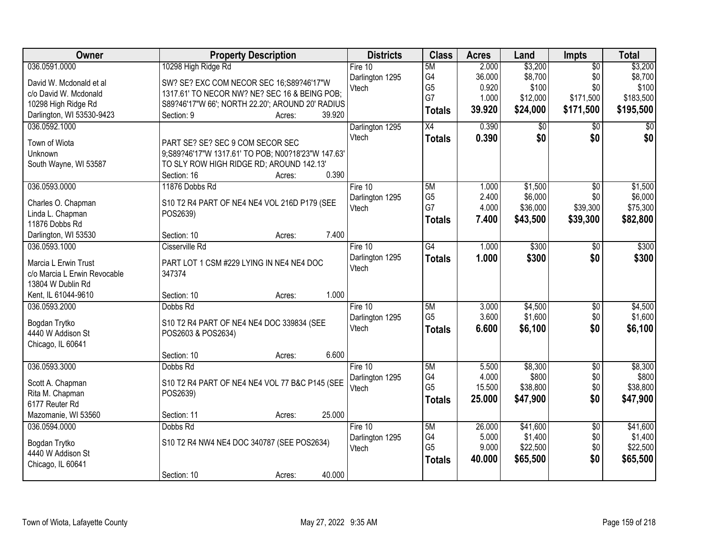| Owner                                  | <b>Property Description</b>                        | <b>Districts</b> | <b>Class</b>    | <b>Acres</b> | Land        | Impts           | <b>Total</b> |
|----------------------------------------|----------------------------------------------------|------------------|-----------------|--------------|-------------|-----------------|--------------|
| 036.0591.0000                          | 10298 High Ridge Rd                                | Fire $10$        | 5M              | 2.000        | \$3,200     | $\overline{50}$ | \$3,200      |
| David W. Mcdonald et al                | SW? SE? EXC COM NECOR SEC 16;S89?46'17"W           | Darlington 1295  | G4              | 36.000       | \$8,700     | \$0             | \$8,700      |
| c/o David W. Mcdonald                  | 1317.61' TO NECOR NW? NE? SEC 16 & BEING POB;      | Vtech            | G <sub>5</sub>  | 0.920        | \$100       | \$0             | \$100        |
| 10298 High Ridge Rd                    | S89?46'17"W 66'; NORTH 22.20'; AROUND 20' RADIUS   |                  | G7              | 1.000        | \$12,000    | \$171,500       | \$183,500    |
| Darlington, WI 53530-9423              | 39.920<br>Section: 9<br>Acres:                     |                  | <b>Totals</b>   | 39.920       | \$24,000    | \$171,500       | \$195,500    |
| 036.0592.1000                          |                                                    | Darlington 1295  | $\overline{X4}$ | 0.390        | $\sqrt{50}$ | \$0             | \$0          |
| Town of Wiota                          | PART SE? SE? SEC 9 COM SECOR SEC                   | Vtech            | <b>Totals</b>   | 0.390        | \$0         | \$0             | \$0          |
| Unknown                                | 9;S89?46'17"W 1317.61' TO POB; N00?18'23"W 147.63' |                  |                 |              |             |                 |              |
| South Wayne, WI 53587                  | TO SLY ROW HIGH RIDGE RD; AROUND 142.13'           |                  |                 |              |             |                 |              |
|                                        | 0.390<br>Section: 16<br>Acres:                     |                  |                 |              |             |                 |              |
| 036.0593.0000                          | 11876 Dobbs Rd                                     | Fire 10          | 5M              | 1.000        | \$1,500     | $\overline{50}$ | \$1,500      |
|                                        |                                                    | Darlington 1295  | G <sub>5</sub>  | 2.400        | \$6,000     | \$0             | \$6,000      |
| Charles O. Chapman                     | S10 T2 R4 PART OF NE4 NE4 VOL 216D P179 (SEE       | Vtech            | G7              | 4.000        | \$36,000    | \$39,300        | \$75,300     |
| Linda L. Chapman                       | POS2639)                                           |                  | <b>Totals</b>   | 7.400        | \$43,500    | \$39,300        | \$82,800     |
| 11876 Dobbs Rd<br>Darlington, WI 53530 | 7.400<br>Section: 10<br>Acres:                     |                  |                 |              |             |                 |              |
| 036.0593.1000                          | Cisserville Rd                                     | Fire 10          | $\overline{G4}$ | 1.000        | \$300       | \$0             | \$300        |
|                                        |                                                    | Darlington 1295  |                 | 1.000        | \$300       | \$0             | \$300        |
| Marcia L Erwin Trust                   | PART LOT 1 CSM #229 LYING IN NE4 NE4 DOC           | Vtech            | <b>Totals</b>   |              |             |                 |              |
| c/o Marcia L Erwin Revocable           | 347374                                             |                  |                 |              |             |                 |              |
| 13804 W Dublin Rd                      |                                                    |                  |                 |              |             |                 |              |
| Kent, IL 61044-9610                    | 1.000<br>Section: 10<br>Acres:                     |                  |                 |              |             |                 |              |
| 036.0593.2000                          | Dobbs Rd                                           | Fire 10          | 5M              | 3.000        | \$4,500     | $\overline{50}$ | \$4,500      |
| Bogdan Trytko                          | S10 T2 R4 PART OF NE4 NE4 DOC 339834 (SEE          | Darlington 1295  | G <sub>5</sub>  | 3.600        | \$1,600     | \$0             | \$1,600      |
| 4440 W Addison St                      | POS2603 & POS2634)                                 | Vtech            | <b>Totals</b>   | 6.600        | \$6,100     | \$0             | \$6,100      |
| Chicago, IL 60641                      |                                                    |                  |                 |              |             |                 |              |
|                                        | 6.600<br>Section: 10<br>Acres:                     |                  |                 |              |             |                 |              |
| 036.0593.3000                          | Dobbs Rd                                           | Fire 10          | 5M              | 5.500        | \$8,300     | $\overline{50}$ | \$8,300      |
| Scott A. Chapman                       | S10 T2 R4 PART OF NE4 NE4 VOL 77 B&C P145 (SEE     | Darlington 1295  | G4              | 4.000        | \$800       | \$0             | \$800        |
| Rita M. Chapman                        | POS2639)                                           | Vtech            | G <sub>5</sub>  | 15.500       | \$38,800    | \$0             | \$38,800     |
| 6177 Reuter Rd                         |                                                    |                  | <b>Totals</b>   | 25,000       | \$47,900    | \$0             | \$47,900     |
| Mazomanie, WI 53560                    | 25.000<br>Section: 11<br>Acres:                    |                  |                 |              |             |                 |              |
| 036.0594.0000                          | Dobbs Rd                                           | Fire 10          | 5M              | 26.000       | \$41,600    | $\overline{50}$ | \$41,600     |
| Bogdan Trytko                          | S10 T2 R4 NW4 NE4 DOC 340787 (SEE POS2634)         | Darlington 1295  | G4              | 5.000        | \$1,400     | \$0             | \$1,400      |
| 4440 W Addison St                      |                                                    | Vtech            | G <sub>5</sub>  | 9.000        | \$22,500    | \$0             | \$22,500     |
| Chicago, IL 60641                      |                                                    |                  | <b>Totals</b>   | 40.000       | \$65,500    | \$0             | \$65,500     |
|                                        | 40.000<br>Section: 10<br>Acres:                    |                  |                 |              |             |                 |              |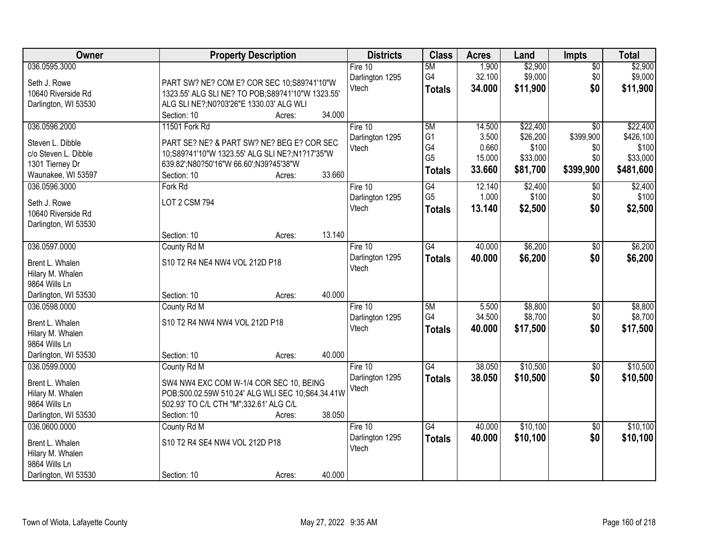| Owner                | <b>Property Description</b>                       | <b>Districts</b> | <b>Class</b>    | <b>Acres</b> | Land     | <b>Impts</b>    | <b>Total</b> |
|----------------------|---------------------------------------------------|------------------|-----------------|--------------|----------|-----------------|--------------|
| 036.0595.3000        |                                                   | Fire $10$        | 5M              | 1.900        | \$2,900  | $\overline{50}$ | \$2,900      |
| Seth J. Rowe         | PART SW? NE? COM E? COR SEC 10;S89?41'10"W        | Darlington 1295  | G4              | 32.100       | \$9,000  | \$0             | \$9,000      |
| 10640 Riverside Rd   | 1323.55' ALG SLI NE? TO POB; S89?41'10"W 1323.55' | Vtech            | <b>Totals</b>   | 34.000       | \$11,900 | \$0             | \$11,900     |
| Darlington, WI 53530 | ALG SLI NE?; N0?03'26"E 1330.03' ALG WLI          |                  |                 |              |          |                 |              |
|                      | 34.000<br>Section: 10<br>Acres:                   |                  |                 |              |          |                 |              |
| 036.0596.2000        | 11501 Fork Rd                                     | Fire 10          | 5M              | 14.500       | \$22,400 | $\overline{50}$ | \$22,400     |
|                      |                                                   | Darlington 1295  | G <sub>1</sub>  | 3.500        | \$26,200 | \$399,900       | \$426,100    |
| Steven L. Dibble     | PART SE? NE? & PART SW? NE? BEG E? COR SEC        | Vtech            | G4              | 0.660        | \$100    | \$0             | \$100        |
| c/o Steven L. Dibble | 10;S89?41'10"W 1323.55' ALG SLI NE?;N1?17'35"W    |                  | G <sub>5</sub>  | 15.000       | \$33,000 | \$0             | \$33,000     |
| 1301 Tierney Dr      | 639.82';N80?50'16"W 66.60';N39?45'38"W            |                  | <b>Totals</b>   | 33.660       | \$81,700 | \$399,900       | \$481,600    |
| Waunakee, WI 53597   | 33.660<br>Section: 10<br>Acres:                   |                  |                 |              |          |                 |              |
| 036.0596.3000        | Fork Rd                                           | Fire 10          | G4              | 12.140       | \$2,400  | $\sqrt[6]{3}$   | \$2,400      |
| Seth J. Rowe         | <b>LOT 2 CSM 794</b>                              | Darlington 1295  | G <sub>5</sub>  | 1.000        | \$100    | \$0             | \$100        |
| 10640 Riverside Rd   |                                                   | Vtech            | <b>Totals</b>   | 13.140       | \$2,500  | \$0             | \$2,500      |
| Darlington, WI 53530 |                                                   |                  |                 |              |          |                 |              |
|                      | 13.140<br>Section: 10<br>Acres:                   |                  |                 |              |          |                 |              |
| 036.0597.0000        | County Rd M                                       | Fire $10$        | $\overline{G4}$ | 40.000       | \$6,200  | $\sqrt[6]{3}$   | \$6,200      |
|                      |                                                   | Darlington 1295  | <b>Totals</b>   | 40.000       | \$6,200  | \$0             | \$6,200      |
| Brent L. Whalen      | S10 T2 R4 NE4 NW4 VOL 212D P18                    | Vtech            |                 |              |          |                 |              |
| Hilary M. Whalen     |                                                   |                  |                 |              |          |                 |              |
| 9864 Wills Ln        |                                                   |                  |                 |              |          |                 |              |
| Darlington, WI 53530 | 40.000<br>Section: 10<br>Acres:                   |                  |                 |              |          |                 |              |
| 036.0598.0000        | County Rd M                                       | Fire $10$        | 5M              | 5.500        | \$8,800  | $\overline{50}$ | \$8,800      |
| Brent L. Whalen      | S10 T2 R4 NW4 NW4 VOL 212D P18                    | Darlington 1295  | G4              | 34.500       | \$8,700  | \$0             | \$8,700      |
| Hilary M. Whalen     |                                                   | Vtech            | <b>Totals</b>   | 40.000       | \$17,500 | \$0             | \$17,500     |
| 9864 Wills Ln        |                                                   |                  |                 |              |          |                 |              |
| Darlington, WI 53530 | 40.000<br>Section: 10<br>Acres:                   |                  |                 |              |          |                 |              |
| 036.0599.0000        | County Rd M                                       | Fire 10          | G4              | 38.050       | \$10,500 | $\overline{50}$ | \$10,500     |
|                      |                                                   | Darlington 1295  | <b>Totals</b>   | 38.050       | \$10,500 | \$0             | \$10,500     |
| Brent L. Whalen      | SW4 NW4 EXC COM W-1/4 COR SEC 10, BEING           | Vtech            |                 |              |          |                 |              |
| Hilary M. Whalen     | POB;S00.02.59W 510.24' ALG WLI SEC 10;S64.34.41W  |                  |                 |              |          |                 |              |
| 9864 Wills Ln        | 502.93' TO C/L CTH "M";332.61' ALG C/L            |                  |                 |              |          |                 |              |
| Darlington, WI 53530 | 38.050<br>Section: 10<br>Acres:                   |                  |                 |              |          |                 |              |
| 036.0600.0000        | County Rd M                                       | Fire 10          | $\overline{G4}$ | 40.000       | \$10,100 | $\overline{60}$ | \$10,100     |
| Brent L. Whalen      | S10 T2 R4 SE4 NW4 VOL 212D P18                    | Darlington 1295  | <b>Totals</b>   | 40.000       | \$10,100 | \$0             | \$10,100     |
| Hilary M. Whalen     |                                                   | Vtech            |                 |              |          |                 |              |
| 9864 Wills Ln        |                                                   |                  |                 |              |          |                 |              |
| Darlington, WI 53530 | 40.000<br>Section: 10<br>Acres:                   |                  |                 |              |          |                 |              |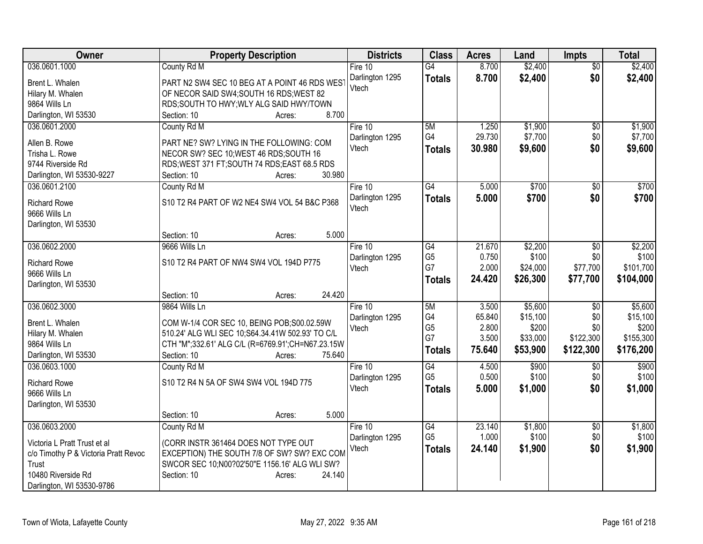| Owner                                                                | <b>Property Description</b>                                                         | <b>Districts</b> | <b>Class</b>         | <b>Acres</b>   | Land              | <b>Impts</b>     | <b>Total</b>       |
|----------------------------------------------------------------------|-------------------------------------------------------------------------------------|------------------|----------------------|----------------|-------------------|------------------|--------------------|
| 036.0601.1000                                                        | County Rd M                                                                         | Fire 10          | G4                   | 8.700          | \$2,400           | $\overline{50}$  | \$2,400            |
| Brent L. Whalen                                                      | PART N2 SW4 SEC 10 BEG AT A POINT 46 RDS WEST                                       | Darlington 1295  | <b>Totals</b>        | 8.700          | \$2,400           | \$0              | \$2,400            |
| Hilary M. Whalen                                                     | OF NECOR SAID SW4; SOUTH 16 RDS; WEST 82                                            | Vtech            |                      |                |                   |                  |                    |
| 9864 Wills Ln                                                        | RDS;SOUTH TO HWY;WLY ALG SAID HWY/TOWN                                              |                  |                      |                |                   |                  |                    |
| Darlington, WI 53530                                                 | 8.700<br>Section: 10<br>Acres:                                                      |                  |                      |                |                   |                  |                    |
| 036.0601.2000                                                        | County Rd M                                                                         | Fire 10          | 5M                   | 1.250          | \$1,900           | \$0              | \$1,900            |
| Allen B. Rowe                                                        | PART NE? SW? LYING IN THE FOLLOWING: COM                                            | Darlington 1295  | G4                   | 29.730         | \$7,700           | \$0              | \$7,700            |
| Trisha L. Rowe                                                       | NECOR SW? SEC 10; WEST 46 RDS; SOUTH 16                                             | Vtech            | <b>Totals</b>        | 30.980         | \$9,600           | \$0              | \$9,600            |
| 9744 Riverside Rd                                                    | RDS; WEST 371 FT; SOUTH 74 RDS; EAST 68.5 RDS                                       |                  |                      |                |                   |                  |                    |
| Darlington, WI 53530-9227                                            | 30.980<br>Section: 10<br>Acres:                                                     |                  |                      |                |                   |                  |                    |
| 036.0601.2100                                                        | County Rd M                                                                         | Fire 10          | $\overline{G4}$      | 5.000          | \$700             | $\sqrt{6}$       | \$700              |
|                                                                      |                                                                                     | Darlington 1295  | <b>Totals</b>        | 5.000          | \$700             | \$0              | \$700              |
| <b>Richard Rowe</b>                                                  | S10 T2 R4 PART OF W2 NE4 SW4 VOL 54 B&C P368                                        | Vtech            |                      |                |                   |                  |                    |
| 9666 Wills Ln                                                        |                                                                                     |                  |                      |                |                   |                  |                    |
| Darlington, WI 53530                                                 | 5.000<br>Section: 10<br>Acres:                                                      |                  |                      |                |                   |                  |                    |
| 036.0602.2000                                                        | 9666 Wills Ln                                                                       | Fire 10          | $\overline{G4}$      | 21.670         | \$2,200           | $\overline{50}$  | \$2,200            |
|                                                                      |                                                                                     | Darlington 1295  | G <sub>5</sub>       | 0.750          | \$100             | \$0              | \$100              |
| <b>Richard Rowe</b>                                                  | S10 T2 R4 PART OF NW4 SW4 VOL 194D P775                                             | Vtech            | G7                   | 2.000          | \$24,000          | \$77,700         | \$101,700          |
| 9666 Wills Ln                                                        |                                                                                     |                  | <b>Totals</b>        | 24.420         | \$26,300          | \$77,700         | \$104,000          |
| Darlington, WI 53530                                                 |                                                                                     |                  |                      |                |                   |                  |                    |
|                                                                      | 24.420<br>Section: 10<br>Acres:                                                     |                  |                      |                |                   |                  |                    |
| 036.0602.3000                                                        | 9864 Wills Ln                                                                       | Fire 10          | 5M                   | 3.500          | \$5,600           | $\overline{50}$  | \$5,600            |
| Brent L. Whalen                                                      | COM W-1/4 COR SEC 10, BEING POB;S00.02.59W                                          | Darlington 1295  | G4                   | 65.840         | \$15,100          | \$0              | \$15,100           |
| Hilary M. Whalen                                                     | 510.24' ALG WLI SEC 10;S64.34.41W 502.93' TO C/L                                    | Vtech            | G <sub>5</sub><br>G7 | 2.800<br>3.500 | \$200<br>\$33,000 | \$0<br>\$122,300 | \$200<br>\$155,300 |
| 9864 Wills Ln                                                        | CTH "M";332.61' ALG C/L (R=6769.91';CH=N67.23.15W                                   |                  |                      | 75.640         |                   | \$122,300        |                    |
| Darlington, WI 53530                                                 | 75.640<br>Section: 10<br>Acres:                                                     |                  | <b>Totals</b>        |                | \$53,900          |                  | \$176,200          |
| 036.0603.1000                                                        | County Rd M                                                                         | Fire 10          | $\overline{G4}$      | 4.500          | \$900             | \$0              | \$900              |
| <b>Richard Rowe</b>                                                  | S10 T2 R4 N 5A OF SW4 SW4 VOL 194D 775                                              | Darlington 1295  | G <sub>5</sub>       | 0.500          | \$100             | \$0              | \$100              |
| 9666 Wills Ln                                                        |                                                                                     | Vtech            | <b>Totals</b>        | 5.000          | \$1,000           | \$0              | \$1,000            |
| Darlington, WI 53530                                                 |                                                                                     |                  |                      |                |                   |                  |                    |
|                                                                      | 5.000<br>Section: 10<br>Acres:                                                      |                  |                      |                |                   |                  |                    |
| 036.0603.2000                                                        | County Rd M                                                                         | Fire 10          | G4                   | 23.140         | \$1,800           | $\overline{50}$  | \$1,800            |
|                                                                      |                                                                                     | Darlington 1295  | G <sub>5</sub>       | 1.000          | \$100             | \$0              | \$100              |
| Victoria L Pratt Trust et al<br>c/o Timothy P & Victoria Pratt Revoc | (CORR INSTR 361464 DOES NOT TYPE OUT<br>EXCEPTION) THE SOUTH 7/8 OF SW? SW? EXC COM | Vtech            | <b>Totals</b>        | 24.140         | \$1,900           | \$0              | \$1,900            |
| Trust                                                                | SWCOR SEC 10; N00?02'50"E 1156.16' ALG WLI SW?                                      |                  |                      |                |                   |                  |                    |
| 10480 Riverside Rd                                                   | Section: 10<br>24.140<br>Acres:                                                     |                  |                      |                |                   |                  |                    |
| Darlington, WI 53530-9786                                            |                                                                                     |                  |                      |                |                   |                  |                    |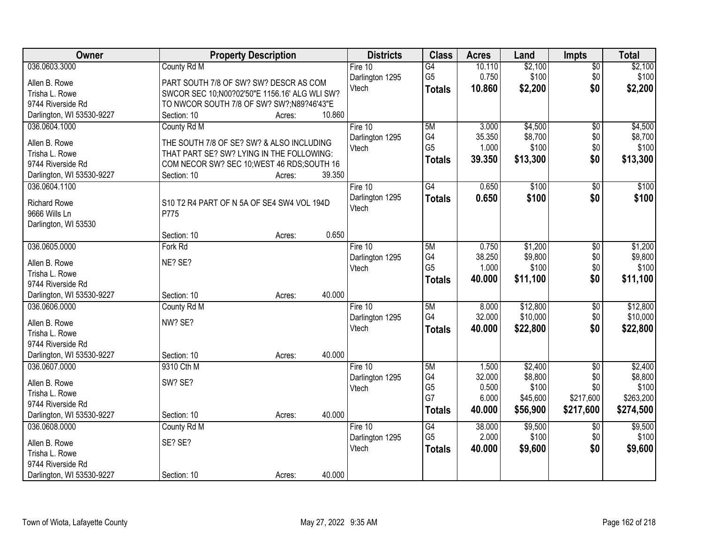| Owner                                      |                                                            | <b>Property Description</b> |        | <b>Districts</b>         | <b>Class</b>   | <b>Acres</b>    | Land               | <b>Impts</b>           | <b>Total</b>       |
|--------------------------------------------|------------------------------------------------------------|-----------------------------|--------|--------------------------|----------------|-----------------|--------------------|------------------------|--------------------|
| 036.0603.3000                              | County Rd M                                                |                             |        | Fire $10$                | G4             | 10.110          | \$2,100            | $\overline{50}$        | \$2,100            |
| Allen B. Rowe                              | PART SOUTH 7/8 OF SW? SW? DESCR AS COM                     |                             |        | Darlington 1295          | G <sub>5</sub> | 0.750           | \$100              | \$0                    | \$100              |
| Trisha L. Rowe                             | SWCOR SEC 10;N00?02'50"E 1156.16' ALG WLI SW?              |                             |        | Vtech                    | <b>Totals</b>  | 10.860          | \$2,200            | \$0                    | \$2,200            |
| 9744 Riverside Rd                          | TO NWCOR SOUTH 7/8 OF SW? SW?;N89?46'43"E                  |                             |        |                          |                |                 |                    |                        |                    |
| Darlington, WI 53530-9227                  | Section: 10                                                | Acres:                      | 10.860 |                          |                |                 |                    |                        |                    |
| 036.0604.1000                              | County Rd M                                                |                             |        | Fire $10$                | 5M             | 3.000           | \$4,500            | $\overline{50}$        | \$4,500            |
|                                            |                                                            |                             |        | Darlington 1295          | G4             | 35.350          | \$8,700            | \$0                    | \$8,700            |
| Allen B. Rowe                              | THE SOUTH 7/8 OF SE? SW? & ALSO INCLUDING                  |                             |        | Vtech                    | G <sub>5</sub> | 1.000           | \$100              | \$0                    | \$100              |
| Trisha L. Rowe                             | THAT PART SE? SW? LYING IN THE FOLLOWING:                  |                             |        |                          | <b>Totals</b>  | 39.350          | \$13,300           | \$0                    | \$13,300           |
| 9744 Riverside Rd                          | COM NECOR SW? SEC 10; WEST 46 RDS; SOUTH 16<br>Section: 10 |                             | 39.350 |                          |                |                 |                    |                        |                    |
| Darlington, WI 53530-9227<br>036.0604.1100 |                                                            | Acres:                      |        | Fire 10                  | G4             | 0.650           | \$100              |                        | \$100              |
|                                            |                                                            |                             |        | Darlington 1295          |                |                 |                    | \$0<br>\$0             |                    |
| <b>Richard Rowe</b>                        | S10 T2 R4 PART OF N 5A OF SE4 SW4 VOL 194D                 |                             |        | Vtech                    | <b>Totals</b>  | 0.650           | \$100              |                        | \$100              |
| 9666 Wills Ln                              | P775                                                       |                             |        |                          |                |                 |                    |                        |                    |
| Darlington, WI 53530                       |                                                            |                             |        |                          |                |                 |                    |                        |                    |
|                                            | Section: 10                                                | Acres:                      | 0.650  |                          |                |                 |                    |                        |                    |
| 036.0605.0000                              | Fork Rd                                                    |                             |        | Fire 10                  | 5M             | 0.750           | \$1,200            | \$0                    | \$1,200            |
| Allen B. Rowe                              | NE? SE?                                                    |                             |        | Darlington 1295          | G4             | 38.250          | \$9,800            | \$0                    | \$9,800            |
| Trisha L. Rowe                             |                                                            |                             |        | Vtech                    | G <sub>5</sub> | 1.000           | \$100              | \$0                    | \$100              |
| 9744 Riverside Rd                          |                                                            |                             |        |                          | <b>Totals</b>  | 40.000          | \$11,100           | \$0                    | \$11,100           |
| Darlington, WI 53530-9227                  | Section: 10                                                | Acres:                      | 40.000 |                          |                |                 |                    |                        |                    |
| 036.0606.0000                              | County Rd M                                                |                             |        | Fire $10$                | 5M             | 8.000           | \$12,800           | \$0                    | \$12,800           |
|                                            |                                                            |                             |        | Darlington 1295          | G4             | 32.000          | \$10,000           | \$0                    | \$10,000           |
| Allen B. Rowe                              | NW? SE?                                                    |                             |        | Vtech                    | <b>Totals</b>  | 40.000          | \$22,800           | \$0                    | \$22,800           |
| Trisha L. Rowe                             |                                                            |                             |        |                          |                |                 |                    |                        |                    |
| 9744 Riverside Rd                          | Section: 10                                                |                             | 40.000 |                          |                |                 |                    |                        |                    |
| Darlington, WI 53530-9227<br>036.0607.0000 | 9310 Cth M                                                 | Acres:                      |        |                          | 5M             |                 |                    |                        |                    |
|                                            |                                                            |                             |        | Fire 10                  | G4             | 1.500<br>32.000 | \$2,400<br>\$8,800 | $\overline{50}$<br>\$0 | \$2,400<br>\$8,800 |
| Allen B. Rowe                              | SW? SE?                                                    |                             |        | Darlington 1295<br>Vtech | G <sub>5</sub> | 0.500           | \$100              | \$0                    | \$100              |
| Trisha L. Rowe                             |                                                            |                             |        |                          | G7             | 6.000           | \$45,600           | \$217,600              | \$263,200          |
| 9744 Riverside Rd                          |                                                            |                             |        |                          | <b>Totals</b>  | 40.000          | \$56,900           | \$217,600              | \$274,500          |
| Darlington, WI 53530-9227                  | Section: 10                                                | Acres:                      | 40.000 |                          |                |                 |                    |                        |                    |
| 036.0608.0000                              | County Rd M                                                |                             |        | Fire 10                  | G4             | 38.000          | \$9,500            | $\overline{60}$        | \$9,500            |
| Allen B. Rowe                              | SE? SE?                                                    |                             |        | Darlington 1295          | G <sub>5</sub> | 2.000           | \$100              | \$0                    | \$100              |
| Trisha L. Rowe                             |                                                            |                             |        | Vtech                    | <b>Totals</b>  | 40.000          | \$9,600            | \$0                    | \$9,600            |
| 9744 Riverside Rd                          |                                                            |                             |        |                          |                |                 |                    |                        |                    |
| Darlington, WI 53530-9227                  | Section: 10                                                | Acres:                      | 40.000 |                          |                |                 |                    |                        |                    |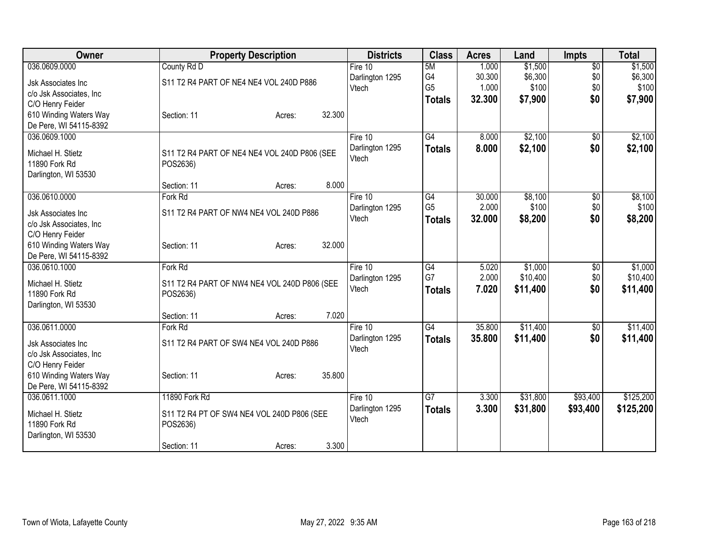| Owner                                 | <b>Property Description</b>                  | <b>Districts</b> | <b>Class</b>    | <b>Acres</b> | Land     | <b>Impts</b>    | <b>Total</b> |
|---------------------------------------|----------------------------------------------|------------------|-----------------|--------------|----------|-----------------|--------------|
| 036.0609.0000                         | County Rd D                                  | Fire $10$        | 5M              | 1.000        | \$1,500  | $\overline{50}$ | \$1,500      |
| <b>Jsk Associates Inc.</b>            | S11 T2 R4 PART OF NE4 NE4 VOL 240D P886      | Darlington 1295  | G4              | 30.300       | \$6,300  | \$0             | \$6,300      |
| c/o Jsk Associates, Inc               |                                              | Vtech            | G <sub>5</sub>  | 1.000        | \$100    | \$0             | \$100        |
| C/O Henry Feider                      |                                              |                  | <b>Totals</b>   | 32.300       | \$7,900  | \$0             | \$7,900      |
| 610 Winding Waters Way                | 32.300<br>Section: 11<br>Acres:              |                  |                 |              |          |                 |              |
| De Pere, WI 54115-8392                |                                              |                  |                 |              |          |                 |              |
| 036.0609.1000                         |                                              | Fire 10          | $\overline{G4}$ | 8.000        | \$2,100  | $\overline{50}$ | \$2,100      |
|                                       |                                              | Darlington 1295  | <b>Totals</b>   | 8.000        | \$2,100  | \$0             | \$2,100      |
| Michael H. Stietz                     | S11 T2 R4 PART OF NE4 NE4 VOL 240D P806 (SEE | Vtech            |                 |              |          |                 |              |
| 11890 Fork Rd                         | POS2636)                                     |                  |                 |              |          |                 |              |
| Darlington, WI 53530                  | 8.000<br>Section: 11<br>Acres:               |                  |                 |              |          |                 |              |
| 036.0610.0000                         | Fork Rd                                      | Fire 10          | $\overline{G4}$ | 30.000       | \$8,100  | $\overline{50}$ | \$8,100      |
|                                       |                                              | Darlington 1295  | G <sub>5</sub>  | 2.000        | \$100    | \$0             | \$100        |
| Jsk Associates Inc                    | S11 T2 R4 PART OF NW4 NE4 VOL 240D P886      | Vtech            | <b>Totals</b>   | 32.000       | \$8,200  | \$0             | \$8,200      |
| c/o Jsk Associates, Inc               |                                              |                  |                 |              |          |                 |              |
| C/O Henry Feider                      |                                              |                  |                 |              |          |                 |              |
| 610 Winding Waters Way                | 32.000<br>Section: 11<br>Acres:              |                  |                 |              |          |                 |              |
| De Pere, WI 54115-8392                |                                              |                  |                 |              |          |                 |              |
| 036.0610.1000                         | Fork Rd                                      | Fire 10          | G4              | 5.020        | \$1,000  | \$0             | \$1,000      |
| Michael H. Stietz                     | S11 T2 R4 PART OF NW4 NE4 VOL 240D P806 (SEE | Darlington 1295  | G7              | 2.000        | \$10,400 | \$0             | \$10,400     |
| 11890 Fork Rd                         | POS2636)                                     | Vtech            | <b>Totals</b>   | 7.020        | \$11,400 | \$0             | \$11,400     |
| Darlington, WI 53530                  |                                              |                  |                 |              |          |                 |              |
|                                       | 7.020<br>Section: 11<br>Acres:               |                  |                 |              |          |                 |              |
| 036.0611.0000                         | Fork Rd                                      | Fire 10          | G4              | 35.800       | \$11,400 | \$0             | \$11,400     |
| Jsk Associates Inc                    | S11 T2 R4 PART OF SW4 NE4 VOL 240D P886      | Darlington 1295  | <b>Totals</b>   | 35.800       | \$11,400 | \$0             | \$11,400     |
| c/o Jsk Associates, Inc.              |                                              | Vtech            |                 |              |          |                 |              |
| C/O Henry Feider                      |                                              |                  |                 |              |          |                 |              |
| 610 Winding Waters Way                | 35.800<br>Section: 11<br>Acres:              |                  |                 |              |          |                 |              |
| De Pere, WI 54115-8392                |                                              |                  |                 |              |          |                 |              |
| 036.0611.1000                         | 11890 Fork Rd                                | Fire 10          | G7              | 3.300        | \$31,800 | \$93,400        | \$125,200    |
|                                       |                                              | Darlington 1295  | <b>Totals</b>   | 3.300        | \$31,800 | \$93,400        | \$125,200    |
| Michael H. Stietz                     | S11 T2 R4 PT OF SW4 NE4 VOL 240D P806 (SEE   | Vtech            |                 |              |          |                 |              |
| 11890 Fork Rd<br>Darlington, WI 53530 | POS2636)                                     |                  |                 |              |          |                 |              |
|                                       | 3.300<br>Section: 11<br>Acres:               |                  |                 |              |          |                 |              |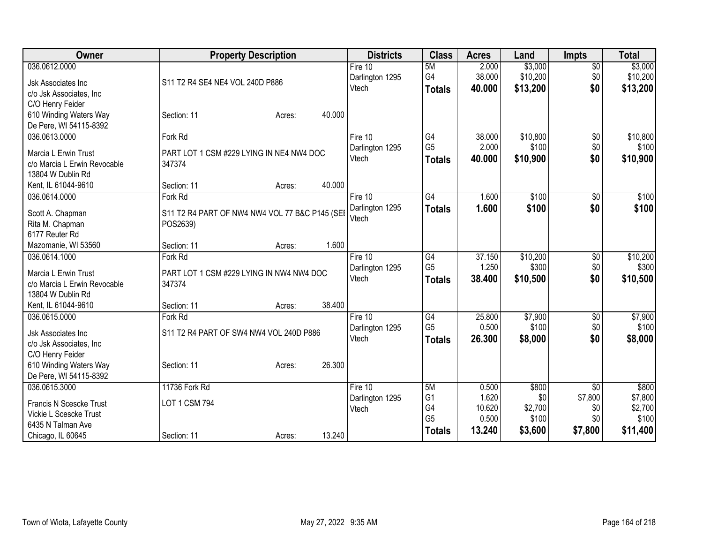| Owner                        | <b>Property Description</b>                    | <b>Districts</b> | <b>Class</b>    | <b>Acres</b> | Land     | <b>Impts</b>    | <b>Total</b> |
|------------------------------|------------------------------------------------|------------------|-----------------|--------------|----------|-----------------|--------------|
| 036.0612.0000                |                                                | Fire 10          | 5M              | 2.000        | \$3,000  | $\overline{50}$ | \$3,000      |
| Jsk Associates Inc           | S11 T2 R4 SE4 NE4 VOL 240D P886                | Darlington 1295  | G4              | 38.000       | \$10,200 | \$0             | \$10,200     |
| c/o Jsk Associates, Inc      |                                                | Vtech            | <b>Totals</b>   | 40.000       | \$13,200 | \$0             | \$13,200     |
| C/O Henry Feider             |                                                |                  |                 |              |          |                 |              |
| 610 Winding Waters Way       | 40.000<br>Section: 11<br>Acres:                |                  |                 |              |          |                 |              |
| De Pere, WI 54115-8392       |                                                |                  |                 |              |          |                 |              |
| 036.0613.0000                | Fork Rd                                        | Fire 10          | G4              | 38.000       | \$10,800 | $\overline{60}$ | \$10,800     |
| Marcia L Erwin Trust         | PART LOT 1 CSM #229 LYING IN NE4 NW4 DOC       | Darlington 1295  | G <sub>5</sub>  | 2.000        | \$100    | \$0             | \$100        |
| c/o Marcia L Erwin Revocable | 347374                                         | Vtech            | <b>Totals</b>   | 40.000       | \$10,900 | \$0             | \$10,900     |
| 13804 W Dublin Rd            |                                                |                  |                 |              |          |                 |              |
| Kent, IL 61044-9610          | 40.000<br>Section: 11<br>Acres:                |                  |                 |              |          |                 |              |
| 036.0614.0000                | Fork Rd                                        | Fire 10          | $\overline{G4}$ | 1.600        | \$100    | \$0             | \$100        |
| Scott A. Chapman             | S11 T2 R4 PART OF NW4 NW4 VOL 77 B&C P145 (SEI | Darlington 1295  | <b>Totals</b>   | 1.600        | \$100    | \$0             | \$100        |
| Rita M. Chapman              | POS2639)                                       | Vtech            |                 |              |          |                 |              |
| 6177 Reuter Rd               |                                                |                  |                 |              |          |                 |              |
| Mazomanie, WI 53560          | 1.600<br>Section: 11<br>Acres:                 |                  |                 |              |          |                 |              |
| 036.0614.1000                | Fork Rd                                        | Fire 10          | $\overline{G4}$ | 37.150       | \$10,200 | $\overline{50}$ | \$10,200     |
| Marcia L Erwin Trust         | PART LOT 1 CSM #229 LYING IN NW4 NW4 DOC       | Darlington 1295  | G <sub>5</sub>  | 1.250        | \$300    | \$0             | \$300        |
| c/o Marcia L Erwin Revocable | 347374                                         | Vtech            | <b>Totals</b>   | 38.400       | \$10,500 | \$0             | \$10,500     |
| 13804 W Dublin Rd            |                                                |                  |                 |              |          |                 |              |
| Kent, IL 61044-9610          | 38.400<br>Section: 11<br>Acres:                |                  |                 |              |          |                 |              |
| 036.0615.0000                | Fork Rd                                        | Fire 10          | G4              | 25.800       | \$7,900  | \$0             | \$7,900      |
| <b>Jsk Associates Inc</b>    | S11 T2 R4 PART OF SW4 NW4 VOL 240D P886        | Darlington 1295  | G <sub>5</sub>  | 0.500        | \$100    | \$0             | \$100        |
| c/o Jsk Associates, Inc      |                                                | Vtech            | <b>Totals</b>   | 26.300       | \$8,000  | \$0             | \$8,000      |
| C/O Henry Feider             |                                                |                  |                 |              |          |                 |              |
| 610 Winding Waters Way       | 26.300<br>Section: 11<br>Acres:                |                  |                 |              |          |                 |              |
| De Pere, WI 54115-8392       |                                                |                  |                 |              |          |                 |              |
| 036.0615.3000                | 11736 Fork Rd                                  | Fire $10$        | 5M              | 0.500        | \$800    | $\sqrt{6}$      | \$800        |
| Francis N Scescke Trust      | LOT 1 CSM 794                                  | Darlington 1295  | G <sub>1</sub>  | 1.620        | \$0      | \$7,800         | \$7,800      |
| Vickie L Scescke Trust       |                                                | Vtech            | G4              | 10.620       | \$2,700  | \$0             | \$2,700      |
| 6435 N Talman Ave            |                                                |                  | G <sub>5</sub>  | 0.500        | \$100    | \$0             | \$100        |
| Chicago, IL 60645            | 13.240<br>Section: 11<br>Acres:                |                  | <b>Totals</b>   | 13.240       | \$3,600  | \$7,800         | \$11,400     |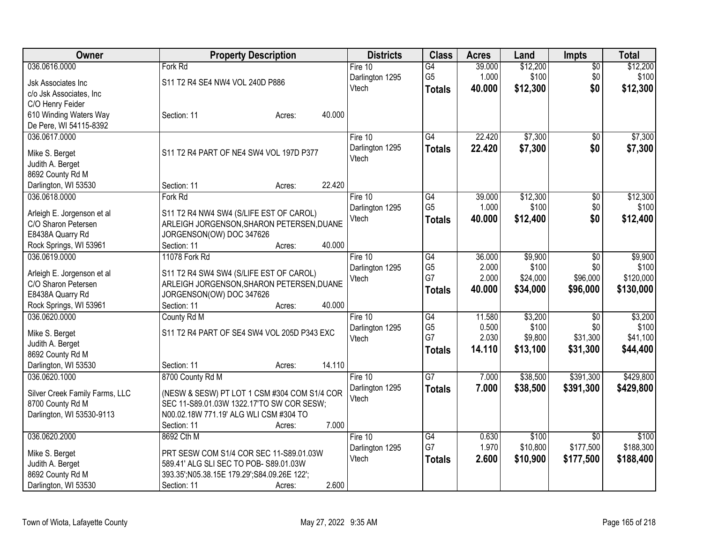| Owner                          | <b>Property Description</b>                  | <b>Districts</b>         | <b>Class</b>    | <b>Acres</b>   | Land              | Impts           | <b>Total</b> |
|--------------------------------|----------------------------------------------|--------------------------|-----------------|----------------|-------------------|-----------------|--------------|
| 036.0616.0000                  | Fork Rd                                      | Fire 10                  | $\overline{G4}$ | 39.000         | \$12,200          | $\overline{50}$ | \$12,200     |
| Jsk Associates Inc             | S11 T2 R4 SE4 NW4 VOL 240D P886              | Darlington 1295          | G <sub>5</sub>  | 1.000          | \$100             | \$0             | \$100        |
| c/o Jsk Associates, Inc        |                                              | Vtech                    | <b>Totals</b>   | 40.000         | \$12,300          | \$0             | \$12,300     |
| C/O Henry Feider               |                                              |                          |                 |                |                   |                 |              |
| 610 Winding Waters Way         | 40.000<br>Section: 11<br>Acres:              |                          |                 |                |                   |                 |              |
| De Pere, WI 54115-8392         |                                              |                          |                 |                |                   |                 |              |
| 036.0617.0000                  |                                              | Fire 10                  | G4              | 22.420         | \$7,300           | $\overline{50}$ | \$7,300      |
| Mike S. Berget                 | S11 T2 R4 PART OF NE4 SW4 VOL 197D P377      | Darlington 1295          | <b>Totals</b>   | 22.420         | \$7,300           | \$0             | \$7,300      |
| Judith A. Berget               |                                              | Vtech                    |                 |                |                   |                 |              |
| 8692 County Rd M               |                                              |                          |                 |                |                   |                 |              |
| Darlington, WI 53530           | 22.420<br>Section: 11<br>Acres:              |                          |                 |                |                   |                 |              |
| 036.0618.0000                  | Fork Rd                                      | Fire 10                  | $\overline{G4}$ | 39.000         | \$12,300          | $\overline{50}$ | \$12,300     |
|                                |                                              | Darlington 1295          | G <sub>5</sub>  | 1.000          | \$100             | \$0             | \$100        |
| Arleigh E. Jorgenson et al     | S11 T2 R4 NW4 SW4 (S/LIFE EST OF CAROL)      | Vtech                    | <b>Totals</b>   | 40.000         | \$12,400          | \$0             | \$12,400     |
| C/O Sharon Petersen            | ARLEIGH JORGENSON, SHARON PETERSEN, DUANE    |                          |                 |                |                   |                 |              |
| E8438A Quarry Rd               | JORGENSON(OW) DOC 347626                     |                          |                 |                |                   |                 |              |
| Rock Springs, WI 53961         | 40.000<br>Section: 11<br>Acres:              |                          |                 |                |                   |                 |              |
| 036.0619.0000                  | 11078 Fork Rd                                | Fire 10                  | G4              | 36.000         | \$9,900           | \$0             | \$9,900      |
| Arleigh E. Jorgenson et al     | S11 T2 R4 SW4 SW4 (S/LIFE EST OF CAROL)      | Darlington 1295          | G <sub>5</sub>  | 2.000          | \$100             | \$0             | \$100        |
| C/O Sharon Petersen            | ARLEIGH JORGENSON, SHARON PETERSEN, DUANE    | Vtech                    | G7              | 2.000          | \$24,000          | \$96,000        | \$120,000    |
| E8438A Quarry Rd               | JORGENSON(OW) DOC 347626                     |                          | <b>Totals</b>   | 40.000         | \$34,000          | \$96,000        | \$130,000    |
| Rock Springs, WI 53961         | 40.000<br>Section: 11<br>Acres:              |                          |                 |                |                   |                 |              |
| 036.0620.0000                  | County Rd M                                  | Fire 10                  | $\overline{G4}$ | 11.580         | \$3,200           | \$0             | \$3,200      |
| Mike S. Berget                 | S11 T2 R4 PART OF SE4 SW4 VOL 205D P343 EXC  | Darlington 1295          | G <sub>5</sub>  | 0.500          | \$100             | \$0             | \$100        |
| Judith A. Berget               |                                              | Vtech                    | G7              | 2.030          | \$9,800           | \$31,300        | \$41,100     |
| 8692 County Rd M               |                                              |                          | <b>Totals</b>   | 14.110         | \$13,100          | \$31,300        | \$44,400     |
| Darlington, WI 53530           | 14.110<br>Section: 11<br>Acres:              |                          |                 |                |                   |                 |              |
| 036.0620.1000                  | 8700 County Rd M                             | Fire 10                  | $\overline{G7}$ | 7.000          | \$38,500          | \$391,300       | \$429,800    |
|                                |                                              | Darlington 1295          | <b>Totals</b>   | 7.000          | \$38,500          | \$391,300       | \$429,800    |
| Silver Creek Family Farms, LLC | (NESW & SESW) PT LOT 1 CSM #304 COM S1/4 COR | Vtech                    |                 |                |                   |                 |              |
| 8700 County Rd M               | SEC 11-S89.01.03W 1322.17'TO SW COR SESW;    |                          |                 |                |                   |                 |              |
| Darlington, WI 53530-9113      | N00.02.18W 771.19' ALG WLI CSM #304 TO       |                          |                 |                |                   |                 |              |
|                                | 7.000<br>Section: 11<br>Acres:               |                          |                 |                |                   |                 |              |
| 036.0620.2000                  | 8692 Cth M                                   | Fire $10$                | G4<br>G7        | 0.630<br>1.970 | \$100<br>\$10,800 | $\overline{30}$ | \$100        |
| Mike S. Berget                 | PRT SESW COM S1/4 COR SEC 11-S89.01.03W      | Darlington 1295<br>Vtech |                 |                |                   | \$177,500       | \$188,300    |
| Judith A. Berget               | 589.41' ALG SLI SEC TO POB- S89.01.03W       |                          | <b>Totals</b>   | 2.600          | \$10,900          | \$177,500       | \$188,400    |
| 8692 County Rd M               | 393.35';N05.38.15E 179.29';S84.09.26E 122';  |                          |                 |                |                   |                 |              |
| Darlington, WI 53530           | 2.600<br>Section: 11<br>Acres:               |                          |                 |                |                   |                 |              |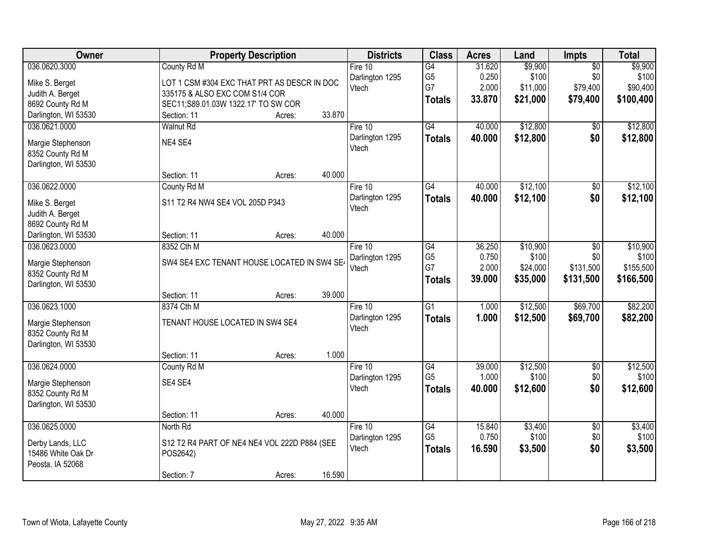| Owner                | <b>Property Description</b>                  |        |        | <b>Districts</b>         | <b>Class</b>         | <b>Acres</b>   | Land              | Impts           | <b>Total</b>      |
|----------------------|----------------------------------------------|--------|--------|--------------------------|----------------------|----------------|-------------------|-----------------|-------------------|
| 036.0620.3000        | County Rd M                                  |        |        | Fire $10$                | $\overline{G4}$      | 31.620         | \$9,900           | $\overline{50}$ | \$9,900           |
| Mike S. Berget       | LOT 1 CSM #304 EXC THAT PRT AS DESCR IN DOC  |        |        | Darlington 1295<br>Vtech | G <sub>5</sub><br>G7 | 0.250<br>2.000 | \$100<br>\$11,000 | \$0<br>\$79,400 | \$100<br>\$90,400 |
| Judith A. Berget     | 335175 & ALSO EXC COM S1/4 COR               |        |        |                          | <b>Totals</b>        | 33.870         | \$21,000          | \$79,400        | \$100,400         |
| 8692 County Rd M     | SEC11;S89.01.03W 1322.17' TO SW COR          |        |        |                          |                      |                |                   |                 |                   |
| Darlington, WI 53530 | Section: 11                                  | Acres: | 33.870 |                          |                      |                |                   |                 |                   |
| 036.0621.0000        | <b>Walnut Rd</b>                             |        |        | Fire 10                  | $\overline{G4}$      | 40.000         | \$12,800          | \$0             | \$12,800          |
| Margie Stephenson    | NE4 SE4                                      |        |        | Darlington 1295          | <b>Totals</b>        | 40.000         | \$12,800          | \$0             | \$12,800          |
| 8352 County Rd M     |                                              |        |        | Vtech                    |                      |                |                   |                 |                   |
| Darlington, WI 53530 |                                              |        |        |                          |                      |                |                   |                 |                   |
|                      | Section: 11                                  | Acres: | 40.000 |                          |                      |                |                   |                 |                   |
| 036.0622.0000        | County Rd M                                  |        |        | Fire 10                  | $\overline{G4}$      | 40.000         | \$12,100          | $\overline{50}$ | \$12,100          |
| Mike S. Berget       | S11 T2 R4 NW4 SE4 VOL 205D P343              |        |        | Darlington 1295          | <b>Totals</b>        | 40.000         | \$12,100          | \$0             | \$12,100          |
| Judith A. Berget     |                                              |        |        | Vtech                    |                      |                |                   |                 |                   |
| 8692 County Rd M     |                                              |        |        |                          |                      |                |                   |                 |                   |
| Darlington, WI 53530 | Section: 11                                  | Acres: | 40.000 |                          |                      |                |                   |                 |                   |
| 036.0623.0000        | 8352 Cth M                                   |        |        | Fire 10                  | $\overline{G4}$      | 36.250         | \$10,900          | \$0             | \$10,900          |
|                      |                                              |        |        | Darlington 1295          | G <sub>5</sub>       | 0.750          | \$100             | \$0             | \$100             |
| Margie Stephenson    | SW4 SE4 EXC TENANT HOUSE LOCATED IN SW4 SE4  |        |        | Vtech                    | G7                   | 2.000          | \$24,000          | \$131,500       | \$155,500         |
| 8352 County Rd M     |                                              |        |        |                          | <b>Totals</b>        | 39.000         | \$35,000          | \$131,500       | \$166,500         |
| Darlington, WI 53530 | Section: 11                                  |        | 39.000 |                          |                      |                |                   |                 |                   |
| 036.0623.1000        | 8374 Cth M                                   | Acres: |        |                          | $\overline{G1}$      | 1.000          | \$12,500          | \$69,700        | \$82,200          |
|                      |                                              |        |        | Fire 10                  |                      |                |                   |                 |                   |
| Margie Stephenson    | TENANT HOUSE LOCATED IN SW4 SE4              |        |        | Darlington 1295<br>Vtech | <b>Totals</b>        | 1.000          | \$12,500          | \$69,700        | \$82,200          |
| 8352 County Rd M     |                                              |        |        |                          |                      |                |                   |                 |                   |
| Darlington, WI 53530 |                                              |        |        |                          |                      |                |                   |                 |                   |
|                      | Section: 11                                  | Acres: | 1.000  |                          |                      |                |                   |                 |                   |
| 036.0624.0000        | County Rd M                                  |        |        | Fire 10                  | G4                   | 39.000         | \$12,500          | $\overline{60}$ | \$12,500          |
| Margie Stephenson    | SE4 SE4                                      |        |        | Darlington 1295          | G <sub>5</sub>       | 1.000          | \$100             | \$0             | \$100             |
| 8352 County Rd M     |                                              |        |        | Vtech                    | <b>Totals</b>        | 40.000         | \$12,600          | \$0             | \$12,600          |
| Darlington, WI 53530 |                                              |        |        |                          |                      |                |                   |                 |                   |
|                      | Section: 11                                  | Acres: | 40.000 |                          |                      |                |                   |                 |                   |
| 036.0625.0000        | North Rd                                     |        |        | Fire 10                  | G4                   | 15.840         | \$3,400           | $\overline{50}$ | \$3,400           |
| Derby Lands, LLC     | S12 T2 R4 PART OF NE4 NE4 VOL 222D P884 (SEE |        |        | Darlington 1295          | G <sub>5</sub>       | 0.750          | \$100             | \$0             | \$100             |
| 15486 White Oak Dr   | POS2642)                                     |        |        | Vtech                    | <b>Totals</b>        | 16.590         | \$3,500           | \$0             | \$3,500           |
| Peosta, IA 52068     |                                              |        |        |                          |                      |                |                   |                 |                   |
|                      | Section: 7                                   | Acres: | 16.590 |                          |                      |                |                   |                 |                   |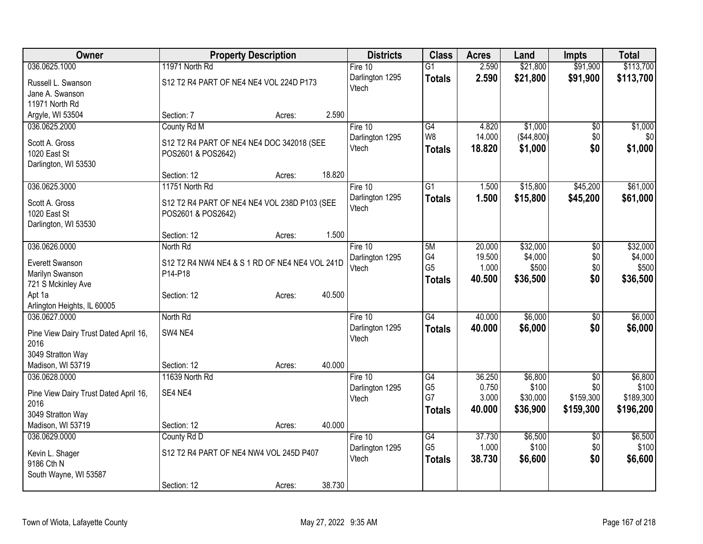| Owner                                 |                                                | <b>Property Description</b> |        | <b>Districts</b>         | <b>Class</b>    | <b>Acres</b> | Land       | <b>Impts</b>    | <b>Total</b> |
|---------------------------------------|------------------------------------------------|-----------------------------|--------|--------------------------|-----------------|--------------|------------|-----------------|--------------|
| 036.0625.1000                         | 11971 North Rd                                 |                             |        | Fire 10                  | $\overline{G1}$ | 2.590        | \$21,800   | \$91,900        | \$113,700    |
| Russell L. Swanson                    | S12 T2 R4 PART OF NE4 NE4 VOL 224D P173        |                             |        | Darlington 1295          | <b>Totals</b>   | 2.590        | \$21,800   | \$91,900        | \$113,700    |
| Jane A. Swanson                       |                                                |                             |        | Vtech                    |                 |              |            |                 |              |
| 11971 North Rd                        |                                                |                             |        |                          |                 |              |            |                 |              |
| Argyle, WI 53504                      | Section: 7                                     | Acres:                      | 2.590  |                          |                 |              |            |                 |              |
| 036.0625.2000                         | County Rd M                                    |                             |        | Fire 10                  | G4              | 4.820        | \$1,000    | \$0             | \$1,000      |
|                                       |                                                |                             |        | Darlington 1295          | W8              | 14.000       | (\$44,800) | \$0             | \$0          |
| Scott A. Gross                        | S12 T2 R4 PART OF NE4 NE4 DOC 342018 (SEE      |                             |        | Vtech                    | <b>Totals</b>   | 18.820       | \$1,000    | \$0             | \$1,000      |
| 1020 East St                          | POS2601 & POS2642)                             |                             |        |                          |                 |              |            |                 |              |
| Darlington, WI 53530                  | Section: 12                                    |                             | 18.820 |                          |                 |              |            |                 |              |
| 036.0625.3000                         | 11751 North Rd                                 | Acres:                      |        | Fire 10                  | $\overline{G1}$ | 1.500        | \$15,800   | \$45,200        | \$61,000     |
|                                       |                                                |                             |        |                          |                 |              |            |                 |              |
| Scott A. Gross                        | S12 T2 R4 PART OF NE4 NE4 VOL 238D P103 (SEE   |                             |        | Darlington 1295<br>Vtech | <b>Totals</b>   | 1.500        | \$15,800   | \$45,200        | \$61,000     |
| 1020 East St                          | POS2601 & POS2642)                             |                             |        |                          |                 |              |            |                 |              |
| Darlington, WI 53530                  |                                                |                             |        |                          |                 |              |            |                 |              |
|                                       | Section: 12                                    | Acres:                      | 1.500  |                          |                 |              |            |                 |              |
| 036.0626.0000                         | North Rd                                       |                             |        | Fire 10                  | 5M              | 20.000       | \$32,000   | $\overline{60}$ | \$32,000     |
| Everett Swanson                       | S12 T2 R4 NW4 NE4 & S 1 RD OF NE4 NE4 VOL 241D |                             |        | Darlington 1295          | G4              | 19.500       | \$4,000    | \$0             | \$4,000      |
| Marilyn Swanson                       | P14-P18                                        |                             |        | Vtech                    | G <sub>5</sub>  | 1.000        | \$500      | \$0             | \$500        |
| 721 S Mckinley Ave                    |                                                |                             |        |                          | <b>Totals</b>   | 40.500       | \$36,500   | \$0             | \$36,500     |
| Apt 1a                                | Section: 12                                    | Acres:                      | 40.500 |                          |                 |              |            |                 |              |
| Arlington Heights, IL 60005           |                                                |                             |        |                          |                 |              |            |                 |              |
| 036.0627.0000                         | North Rd                                       |                             |        | Fire 10                  | $\overline{G4}$ | 40.000       | \$6,000    | $\sqrt{6}$      | \$6,000      |
|                                       |                                                |                             |        | Darlington 1295          | <b>Totals</b>   | 40.000       | \$6,000    | \$0             | \$6,000      |
| Pine View Dairy Trust Dated April 16, | SW4 NE4                                        |                             |        | Vtech                    |                 |              |            |                 |              |
| 2016                                  |                                                |                             |        |                          |                 |              |            |                 |              |
| 3049 Stratton Way                     |                                                |                             |        |                          |                 |              |            |                 |              |
| Madison, WI 53719                     | Section: 12                                    | Acres:                      | 40.000 |                          |                 |              |            |                 |              |
| 036.0628.0000                         | 11639 North Rd                                 |                             |        | Fire 10                  | G4              | 36.250       | \$6,800    | $\sqrt{6}$      | \$6,800      |
| Pine View Dairy Trust Dated April 16, | SE4 NE4                                        |                             |        | Darlington 1295          | G <sub>5</sub>  | 0.750        | \$100      | \$0             | \$100        |
| 2016                                  |                                                |                             |        | Vtech                    | G7              | 3.000        | \$30,000   | \$159,300       | \$189,300    |
| 3049 Stratton Way                     |                                                |                             |        |                          | <b>Totals</b>   | 40.000       | \$36,900   | \$159,300       | \$196,200    |
| Madison, WI 53719                     | Section: 12                                    | Acres:                      | 40.000 |                          |                 |              |            |                 |              |
| 036.0629.0000                         | County Rd D                                    |                             |        | Fire 10                  | G4              | 37.730       | \$6,500    | $\overline{50}$ | \$6,500      |
|                                       |                                                |                             |        | Darlington 1295          | G <sub>5</sub>  | 1.000        | \$100      | \$0             | \$100        |
| Kevin L. Shager                       | S12 T2 R4 PART OF NE4 NW4 VOL 245D P407        |                             |        | Vtech                    | <b>Totals</b>   | 38.730       | \$6,600    | \$0             | \$6,600      |
| 9186 Cth N                            |                                                |                             |        |                          |                 |              |            |                 |              |
| South Wayne, WI 53587                 |                                                |                             |        |                          |                 |              |            |                 |              |
|                                       | Section: 12                                    | Acres:                      | 38.730 |                          |                 |              |            |                 |              |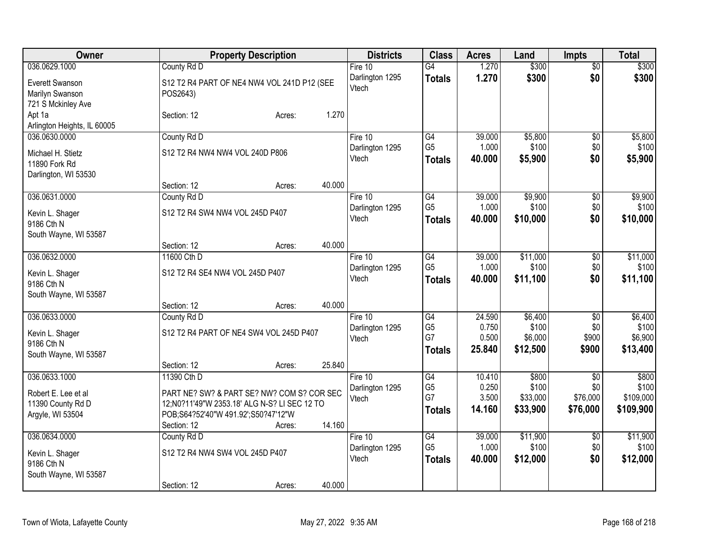| Owner                               | <b>Property Description</b>                   | <b>Districts</b> | <b>Class</b>    | <b>Acres</b> | Land     | <b>Impts</b>    | <b>Total</b> |
|-------------------------------------|-----------------------------------------------|------------------|-----------------|--------------|----------|-----------------|--------------|
| 036.0629.1000                       | County Rd D                                   | Fire 10          | $\overline{G4}$ | 1.270        | \$300    | $\overline{60}$ | \$300        |
| Everett Swanson                     | S12 T2 R4 PART OF NE4 NW4 VOL 241D P12 (SEE   | Darlington 1295  | <b>Totals</b>   | 1.270        | \$300    | \$0             | \$300        |
| Marilyn Swanson                     | POS2643)                                      | Vtech            |                 |              |          |                 |              |
| 721 S Mckinley Ave                  |                                               |                  |                 |              |          |                 |              |
| Apt 1a                              | 1.270<br>Section: 12<br>Acres:                |                  |                 |              |          |                 |              |
| Arlington Heights, IL 60005         |                                               |                  |                 |              |          |                 |              |
| 036.0630.0000                       | County Rd D                                   | Fire 10          | G4              | 39.000       | \$5,800  | $\overline{60}$ | \$5,800      |
| Michael H. Stietz                   | S12 T2 R4 NW4 NW4 VOL 240D P806               | Darlington 1295  | G <sub>5</sub>  | 1.000        | \$100    | \$0             | \$100        |
| 11890 Fork Rd                       |                                               | Vtech            | <b>Totals</b>   | 40.000       | \$5,900  | \$0             | \$5,900      |
| Darlington, WI 53530                |                                               |                  |                 |              |          |                 |              |
|                                     | 40.000<br>Section: 12<br>Acres:               |                  |                 |              |          |                 |              |
| 036.0631.0000                       | County Rd D                                   | Fire 10          | G4              | 39.000       | \$9,900  | \$0             | \$9,900      |
| Kevin L. Shager                     | S12 T2 R4 SW4 NW4 VOL 245D P407               | Darlington 1295  | G <sub>5</sub>  | 1.000        | \$100    | \$0             | \$100        |
| 9186 Cth N                          |                                               | Vtech            | <b>Totals</b>   | 40.000       | \$10,000 | \$0             | \$10,000     |
| South Wayne, WI 53587               |                                               |                  |                 |              |          |                 |              |
|                                     | 40.000<br>Section: 12<br>Acres:               |                  |                 |              |          |                 |              |
| 036.0632.0000                       | 11600 Cth D                                   | Fire 10          | G4              | 39.000       | \$11,000 | $\overline{50}$ | \$11,000     |
|                                     | S12 T2 R4 SE4 NW4 VOL 245D P407               | Darlington 1295  | G <sub>5</sub>  | 1.000        | \$100    | \$0             | \$100        |
| Kevin L. Shager<br>9186 Cth N       |                                               | Vtech            | <b>Totals</b>   | 40,000       | \$11,100 | \$0             | \$11,100     |
| South Wayne, WI 53587               |                                               |                  |                 |              |          |                 |              |
|                                     | 40.000<br>Section: 12<br>Acres:               |                  |                 |              |          |                 |              |
| 036.0633.0000                       | County Rd D                                   | Fire 10          | G4              | 24.590       | \$6,400  | \$0             | \$6,400      |
|                                     |                                               | Darlington 1295  | G <sub>5</sub>  | 0.750        | \$100    | \$0             | \$100        |
| Kevin L. Shager                     | S12 T2 R4 PART OF NE4 SW4 VOL 245D P407       | Vtech            | G7              | 0.500        | \$6,000  | \$900           | \$6,900      |
| 9186 Cth N<br>South Wayne, WI 53587 |                                               |                  | <b>Totals</b>   | 25.840       | \$12,500 | \$900           | \$13,400     |
|                                     | 25.840<br>Section: 12<br>Acres:               |                  |                 |              |          |                 |              |
| 036.0633.1000                       | 11390 Cth D                                   | Fire 10          | G4              | 10.410       | \$800    | $\overline{50}$ | \$800        |
|                                     |                                               | Darlington 1295  | G <sub>5</sub>  | 0.250        | \$100    | \$0             | \$100        |
| Robert E. Lee et al                 | PART NE? SW? & PART SE? NW? COM S? COR SEC    | Vtech            | G7              | 3.500        | \$33,000 | \$76,000        | \$109,000    |
| 11390 County Rd D                   | 12;N0?11'49"W 2353.18' ALG N-S? LI SEC 12 TO  |                  | <b>Totals</b>   | 14.160       | \$33,900 | \$76,000        | \$109,900    |
| Argyle, WI 53504                    | POB;S64?52'40"W 491.92';S50?47'12"W<br>14.160 |                  |                 |              |          |                 |              |
| 036.0634.0000                       | Section: 12<br>Acres:<br>County Rd D          | Fire 10          | $\overline{G4}$ | 39.000       | \$11,900 | $\overline{50}$ | \$11,900     |
|                                     |                                               | Darlington 1295  | G <sub>5</sub>  | 1.000        | \$100    | \$0             | \$100        |
| Kevin L. Shager                     | S12 T2 R4 NW4 SW4 VOL 245D P407               | Vtech            | <b>Totals</b>   | 40.000       | \$12,000 | \$0             | \$12,000     |
| 9186 Cth N                          |                                               |                  |                 |              |          |                 |              |
| South Wayne, WI 53587               |                                               |                  |                 |              |          |                 |              |
|                                     | 40.000<br>Section: 12<br>Acres:               |                  |                 |              |          |                 |              |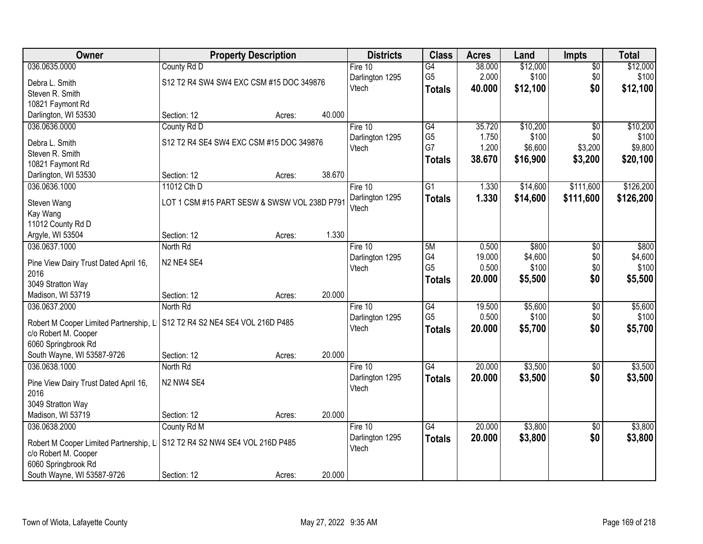| Owner                                  | <b>Property Description</b>                  | <b>Districts</b> | <b>Class</b> | <b>Acres</b>               | Land            | <b>Impts</b>    | <b>Total</b>     |                 |                  |
|----------------------------------------|----------------------------------------------|------------------|--------------|----------------------------|-----------------|-----------------|------------------|-----------------|------------------|
| 036.0635.0000                          | County Rd D                                  |                  |              | Fire 10                    | $\overline{G4}$ | 38.000          | \$12,000         | $\overline{50}$ | \$12,000         |
| Debra L. Smith                         | S12 T2 R4 SW4 SW4 EXC CSM #15 DOC 349876     |                  |              | Darlington 1295            | G <sub>5</sub>  | 2.000           | \$100            | \$0             | \$100            |
| Steven R. Smith                        |                                              |                  |              | Vtech                      | <b>Totals</b>   | 40.000          | \$12,100         | \$0             | \$12,100         |
| 10821 Faymont Rd                       |                                              |                  |              |                            |                 |                 |                  |                 |                  |
| Darlington, WI 53530                   | Section: 12                                  | Acres:           | 40.000       |                            |                 |                 |                  |                 |                  |
| 036.0636.0000                          | County Rd D                                  |                  |              | Fire 10                    | G4              | 35.720          | \$10,200         | $\overline{30}$ | \$10,200         |
| Debra L. Smith                         | S12 T2 R4 SE4 SW4 EXC CSM #15 DOC 349876     |                  |              | Darlington 1295            | G <sub>5</sub>  | 1.750           | \$100            | \$0             | \$100            |
| Steven R. Smith                        |                                              |                  |              | Vtech                      | G7              | 1.200           | \$6,600          | \$3,200         | \$9,800          |
| 10821 Faymont Rd                       |                                              |                  |              |                            | <b>Totals</b>   | 38.670          | \$16,900         | \$3,200         | \$20,100         |
| Darlington, WI 53530                   | Section: 12                                  | Acres:           | 38.670       |                            |                 |                 |                  |                 |                  |
| 036.0636.1000                          | 11012 Cth D                                  |                  |              | Fire 10                    | $\overline{G1}$ | 1.330           | \$14,600         | \$111,600       | \$126,200        |
|                                        |                                              |                  |              | Darlington 1295            | <b>Totals</b>   | 1.330           | \$14,600         | \$111,600       | \$126,200        |
| Steven Wang                            | LOT 1 CSM #15 PART SESW & SWSW VOL 238D P791 |                  |              | Vtech                      |                 |                 |                  |                 |                  |
| Kay Wang                               |                                              |                  |              |                            |                 |                 |                  |                 |                  |
| 11012 County Rd D                      |                                              |                  |              |                            |                 |                 |                  |                 |                  |
| Argyle, WI 53504<br>036.0637.1000      | Section: 12                                  | Acres:           | 1.330        |                            |                 |                 |                  |                 |                  |
|                                        | North Rd                                     |                  |              | Fire 10<br>Darlington 1295 | 5M<br>G4        | 0.500<br>19.000 | \$800<br>\$4,600 | \$0<br>\$0      | \$800<br>\$4,600 |
| Pine View Dairy Trust Dated April 16,  | N2 NE4 SE4                                   |                  |              | Vtech                      | G <sub>5</sub>  | 0.500           | \$100            | \$0             | \$100            |
| 2016                                   |                                              |                  |              |                            |                 | 20.000          | \$5,500          | \$0             | \$5,500          |
| 3049 Stratton Way                      |                                              |                  |              |                            | <b>Totals</b>   |                 |                  |                 |                  |
| Madison, WI 53719                      | Section: 12                                  | Acres:           | 20.000       |                            |                 |                 |                  |                 |                  |
| 036.0637.2000                          | North Rd                                     |                  |              | Fire 10                    | $\overline{G4}$ | 19.500          | \$5,600          | $\overline{30}$ | \$5,600          |
| Robert M Cooper Limited Partnership, L | S12 T2 R4 S2 NE4 SE4 VOL 216D P485           |                  |              | Darlington 1295            | G <sub>5</sub>  | 0.500           | \$100            | \$0             | \$100            |
| c/o Robert M. Cooper                   |                                              |                  |              | Vtech                      | <b>Totals</b>   | 20.000          | \$5,700          | \$0             | \$5,700          |
| 6060 Springbrook Rd                    |                                              |                  |              |                            |                 |                 |                  |                 |                  |
| South Wayne, WI 53587-9726             | Section: 12                                  | Acres:           | 20.000       |                            |                 |                 |                  |                 |                  |
| 036.0638.1000                          | North Rd                                     |                  |              | Fire 10                    | G4              | 20.000          | \$3,500          | $\sqrt{6}$      | \$3,500          |
| Pine View Dairy Trust Dated April 16,  | N2 NW4 SE4                                   |                  |              | Darlington 1295            | <b>Totals</b>   | 20.000          | \$3,500          | \$0             | \$3,500          |
| 2016                                   |                                              |                  |              | Vtech                      |                 |                 |                  |                 |                  |
| 3049 Stratton Way                      |                                              |                  |              |                            |                 |                 |                  |                 |                  |
| Madison, WI 53719                      | Section: 12                                  | Acres:           | 20.000       |                            |                 |                 |                  |                 |                  |
| 036.0638.2000                          | County Rd M                                  |                  |              | Fire 10                    | G4              | 20.000          | \$3,800          | $\overline{30}$ | \$3,800          |
|                                        |                                              |                  |              | Darlington 1295            | <b>Totals</b>   | 20.000          | \$3,800          | \$0             | \$3,800          |
| Robert M Cooper Limited Partnership, L | S12 T2 R4 S2 NW4 SE4 VOL 216D P485           |                  |              | Vtech                      |                 |                 |                  |                 |                  |
| c/o Robert M. Cooper                   |                                              |                  |              |                            |                 |                 |                  |                 |                  |
| 6060 Springbrook Rd                    |                                              |                  |              |                            |                 |                 |                  |                 |                  |
| South Wayne, WI 53587-9726             | Section: 12                                  | Acres:           | 20.000       |                            |                 |                 |                  |                 |                  |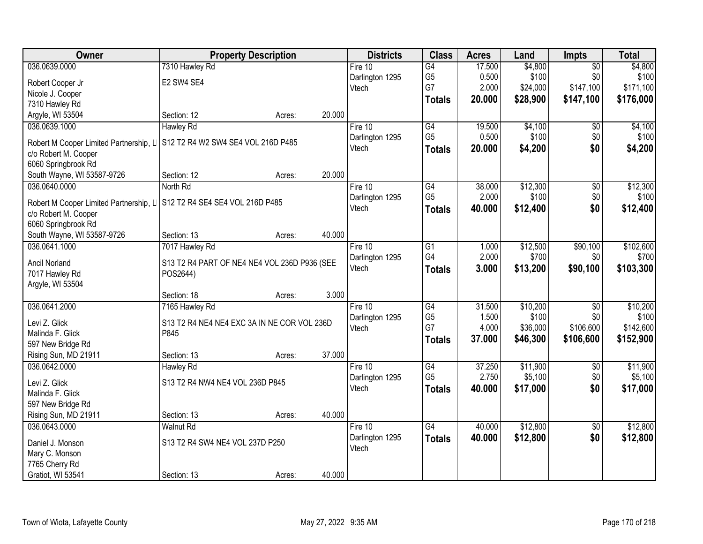| Owner                                  | <b>Property Description</b>                              |        | <b>Districts</b>         | <b>Class</b>                      | <b>Acres</b> | Land     | Impts           | <b>Total</b> |
|----------------------------------------|----------------------------------------------------------|--------|--------------------------|-----------------------------------|--------------|----------|-----------------|--------------|
| 036.0639.0000                          | 7310 Hawley Rd                                           |        | Fire $10$                | G4                                | 17.500       | \$4,800  | $\overline{50}$ | \$4,800      |
| Robert Cooper Jr                       | E2 SW4 SE4                                               |        | Darlington 1295          | G <sub>5</sub>                    | 0.500        | \$100    | \$0             | \$100        |
| Nicole J. Cooper                       |                                                          |        | Vtech                    | G7                                | 2.000        | \$24,000 | \$147,100       | \$171,100    |
| 7310 Hawley Rd                         |                                                          |        |                          | <b>Totals</b>                     | 20.000       | \$28,900 | \$147,100       | \$176,000    |
| Argyle, WI 53504                       | Section: 12<br>Acres:                                    | 20.000 |                          |                                   |              |          |                 |              |
| 036.0639.1000                          | <b>Hawley Rd</b>                                         |        | Fire 10                  | G4                                | 19.500       | \$4,100  | \$0             | \$4,100      |
|                                        |                                                          |        | Darlington 1295          | G <sub>5</sub>                    | 0.500        | \$100    | \$0             | \$100        |
| Robert M Cooper Limited Partnership, L | S12 T2 R4 W2 SW4 SE4 VOL 216D P485                       |        | Vtech                    | <b>Totals</b>                     | 20.000       | \$4,200  | \$0             | \$4,200      |
| c/o Robert M. Cooper                   |                                                          |        |                          |                                   |              |          |                 |              |
| 6060 Springbrook Rd                    |                                                          | 20.000 |                          |                                   |              |          |                 |              |
| South Wayne, WI 53587-9726             | Section: 12<br>Acres:                                    |        |                          |                                   |              |          |                 |              |
| 036.0640.0000                          | North Rd                                                 |        | Fire 10                  | $\overline{G4}$<br>G <sub>5</sub> | 38.000       | \$12,300 | $\overline{50}$ | \$12,300     |
| Robert M Cooper Limited Partnership, L | S12 T2 R4 SE4 SE4 VOL 216D P485                          |        | Darlington 1295          |                                   | 2.000        | \$100    | \$0             | \$100        |
| c/o Robert M. Cooper                   |                                                          |        | Vtech                    | <b>Totals</b>                     | 40.000       | \$12,400 | \$0             | \$12,400     |
| 6060 Springbrook Rd                    |                                                          |        |                          |                                   |              |          |                 |              |
| South Wayne, WI 53587-9726             | Section: 13<br>Acres:                                    | 40.000 |                          |                                   |              |          |                 |              |
| 036.0641.1000                          | 7017 Hawley Rd                                           |        | Fire 10                  | G1                                | 1.000        | \$12,500 | \$90,100        | \$102,600    |
|                                        |                                                          |        | Darlington 1295          | G4                                | 2.000        | \$700    | \$0             | \$700        |
| Ancil Norland                          | S13 T2 R4 PART OF NE4 NE4 VOL 236D P936 (SEE<br>POS2644) |        | Vtech                    | <b>Totals</b>                     | 3.000        | \$13,200 | \$90,100        | \$103,300    |
| 7017 Hawley Rd                         |                                                          |        |                          |                                   |              |          |                 |              |
| Argyle, WI 53504                       | Section: 18                                              | 3.000  |                          |                                   |              |          |                 |              |
| 036.0641.2000                          | Acres:<br>7165 Hawley Rd                                 |        | Fire 10                  | $\overline{G4}$                   | 31.500       | \$10,200 | $\overline{50}$ | \$10,200     |
|                                        |                                                          |        |                          | G <sub>5</sub>                    | 1.500        | \$100    | \$0             | \$100        |
| Levi Z. Glick                          | S13 T2 R4 NE4 NE4 EXC 3A IN NE COR VOL 236D              |        | Darlington 1295<br>Vtech | G7                                | 4.000        | \$36,000 | \$106,600       | \$142,600    |
| Malinda F. Glick                       | P845                                                     |        |                          |                                   | 37.000       | \$46,300 | \$106,600       | \$152,900    |
| 597 New Bridge Rd                      |                                                          |        |                          | <b>Totals</b>                     |              |          |                 |              |
| Rising Sun, MD 21911                   | Section: 13<br>Acres:                                    | 37.000 |                          |                                   |              |          |                 |              |
| 036.0642.0000                          | Hawley Rd                                                |        | Fire 10                  | G4                                | 37.250       | \$11,900 | $\sqrt{6}$      | \$11,900     |
| Levi Z. Glick                          | S13 T2 R4 NW4 NE4 VOL 236D P845                          |        | Darlington 1295          | G <sub>5</sub>                    | 2.750        | \$5,100  | \$0             | \$5,100      |
| Malinda F. Glick                       |                                                          |        | Vtech                    | <b>Totals</b>                     | 40.000       | \$17,000 | \$0             | \$17,000     |
| 597 New Bridge Rd                      |                                                          |        |                          |                                   |              |          |                 |              |
| Rising Sun, MD 21911                   | Section: 13<br>Acres:                                    | 40.000 |                          |                                   |              |          |                 |              |
| 036.0643.0000                          | <b>Walnut Rd</b>                                         |        | Fire $10$                | $\overline{G4}$                   | 40.000       | \$12,800 | $\overline{50}$ | \$12,800     |
|                                        |                                                          |        | Darlington 1295          | <b>Totals</b>                     | 40.000       | \$12,800 | \$0             | \$12,800     |
| Daniel J. Monson                       | S13 T2 R4 SW4 NE4 VOL 237D P250                          |        | Vtech                    |                                   |              |          |                 |              |
| Mary C. Monson                         |                                                          |        |                          |                                   |              |          |                 |              |
| 7765 Cherry Rd                         |                                                          |        |                          |                                   |              |          |                 |              |
| Gratiot, WI 53541                      | Section: 13<br>Acres:                                    | 40.000 |                          |                                   |              |          |                 |              |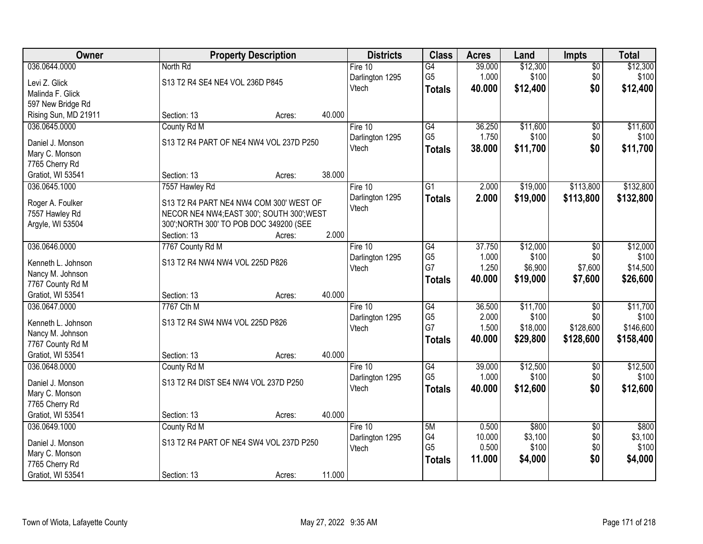| Owner                              | <b>Property Description</b>                                                          | <b>Districts</b> | <b>Class</b>    | <b>Acres</b>         | Land           | Impts             | <b>Total</b>     |                    |
|------------------------------------|--------------------------------------------------------------------------------------|------------------|-----------------|----------------------|----------------|-------------------|------------------|--------------------|
| 036.0644.0000                      | North Rd                                                                             |                  | Fire $10$       | G4                   | 39.000         | \$12,300          | $\overline{60}$  | \$12,300           |
| Levi Z. Glick                      | S13 T2 R4 SE4 NE4 VOL 236D P845                                                      |                  | Darlington 1295 | G <sub>5</sub>       | 1.000          | \$100             | \$0              | \$100              |
| Malinda F. Glick                   |                                                                                      |                  | Vtech           | <b>Totals</b>        | 40.000         | \$12,400          | \$0              | \$12,400           |
| 597 New Bridge Rd                  |                                                                                      |                  |                 |                      |                |                   |                  |                    |
| Rising Sun, MD 21911               | Section: 13<br>Acres:                                                                | 40.000           |                 |                      |                |                   |                  |                    |
| 036.0645.0000                      | County Rd M                                                                          |                  | Fire 10         | G4                   | 36.250         | \$11,600          | $\overline{50}$  | \$11,600           |
| Daniel J. Monson                   | S13 T2 R4 PART OF NE4 NW4 VOL 237D P250                                              |                  | Darlington 1295 | G <sub>5</sub>       | 1.750          | \$100             | \$0              | \$100              |
| Mary C. Monson                     |                                                                                      |                  | Vtech           | <b>Totals</b>        | 38.000         | \$11,700          | \$0              | \$11,700           |
| 7765 Cherry Rd                     |                                                                                      |                  |                 |                      |                |                   |                  |                    |
| Gratiot, WI 53541                  | Section: 13<br>Acres:                                                                | 38.000           |                 |                      |                |                   |                  |                    |
| 036.0645.1000                      | 7557 Hawley Rd                                                                       |                  | Fire 10         | $\overline{G1}$      | 2.000          | \$19,000          | \$113,800        | \$132,800          |
|                                    |                                                                                      |                  | Darlington 1295 | <b>Totals</b>        | 2.000          | \$19,000          | \$113,800        | \$132,800          |
| Roger A. Foulker                   | S13 T2 R4 PART NE4 NW4 COM 300' WEST OF                                              |                  | Vtech           |                      |                |                   |                  |                    |
| 7557 Hawley Rd<br>Argyle, WI 53504 | NECOR NE4 NW4;EAST 300'; SOUTH 300'; WEST<br>300'; NORTH 300' TO POB DOC 349200 (SEE |                  |                 |                      |                |                   |                  |                    |
|                                    | Section: 13<br>Acres:                                                                | 2.000            |                 |                      |                |                   |                  |                    |
| 036.0646.0000                      | 7767 County Rd M                                                                     |                  | Fire 10         | G4                   | 37.750         | \$12,000          | \$0              | \$12,000           |
|                                    |                                                                                      |                  | Darlington 1295 | G <sub>5</sub>       | 1.000          | \$100             | \$0              | \$100              |
| Kenneth L. Johnson                 | S13 T2 R4 NW4 NW4 VOL 225D P826                                                      |                  | Vtech           | G7                   | 1.250          | \$6,900           | \$7,600          | \$14,500           |
| Nancy M. Johnson                   |                                                                                      |                  |                 | <b>Totals</b>        | 40.000         | \$19,000          | \$7,600          | \$26,600           |
| 7767 County Rd M                   |                                                                                      |                  |                 |                      |                |                   |                  |                    |
| Gratiot, WI 53541                  | Section: 13<br>Acres:                                                                | 40.000           |                 |                      |                |                   |                  |                    |
| 036.0647.0000                      | 7767 Cth M                                                                           |                  | Fire 10         | $\overline{G4}$      | 36.500         | \$11,700          | $\overline{50}$  | \$11,700           |
| Kenneth L. Johnson                 | S13 T2 R4 SW4 NW4 VOL 225D P826                                                      |                  | Darlington 1295 | G <sub>5</sub><br>G7 | 2.000<br>1.500 | \$100<br>\$18,000 | \$0<br>\$128,600 | \$100<br>\$146,600 |
| Nancy M. Johnson                   |                                                                                      |                  | Vtech           |                      | 40.000         | \$29,800          | \$128,600        | \$158,400          |
| 7767 County Rd M                   |                                                                                      |                  |                 | <b>Totals</b>        |                |                   |                  |                    |
| Gratiot, WI 53541                  | Section: 13<br>Acres:                                                                | 40.000           |                 |                      |                |                   |                  |                    |
| 036.0648.0000                      | County Rd M                                                                          |                  | Fire 10         | G4                   | 39.000         | \$12,500          | $\sqrt{6}$       | \$12,500           |
| Daniel J. Monson                   | S13 T2 R4 DIST SE4 NW4 VOL 237D P250                                                 |                  | Darlington 1295 | G <sub>5</sub>       | 1.000          | \$100             | \$0              | \$100              |
| Mary C. Monson                     |                                                                                      |                  | Vtech           | <b>Totals</b>        | 40.000         | \$12,600          | \$0              | \$12,600           |
| 7765 Cherry Rd                     |                                                                                      |                  |                 |                      |                |                   |                  |                    |
| Gratiot, WI 53541                  | Section: 13<br>Acres:                                                                | 40.000           |                 |                      |                |                   |                  |                    |
| 036.0649.1000                      | County Rd M                                                                          |                  | Fire 10         | 5M                   | 0.500          | \$800             | $\overline{50}$  | \$800              |
| Daniel J. Monson                   | S13 T2 R4 PART OF NE4 SW4 VOL 237D P250                                              |                  | Darlington 1295 | G4                   | 10.000         | \$3,100           | \$0              | \$3,100            |
| Mary C. Monson                     |                                                                                      |                  | Vtech           | G <sub>5</sub>       | 0.500          | \$100             | \$0              | \$100              |
| 7765 Cherry Rd                     |                                                                                      |                  |                 | <b>Totals</b>        | 11.000         | \$4,000           | \$0              | \$4,000            |
| Gratiot, WI 53541                  | Section: 13<br>Acres:                                                                | 11.000           |                 |                      |                |                   |                  |                    |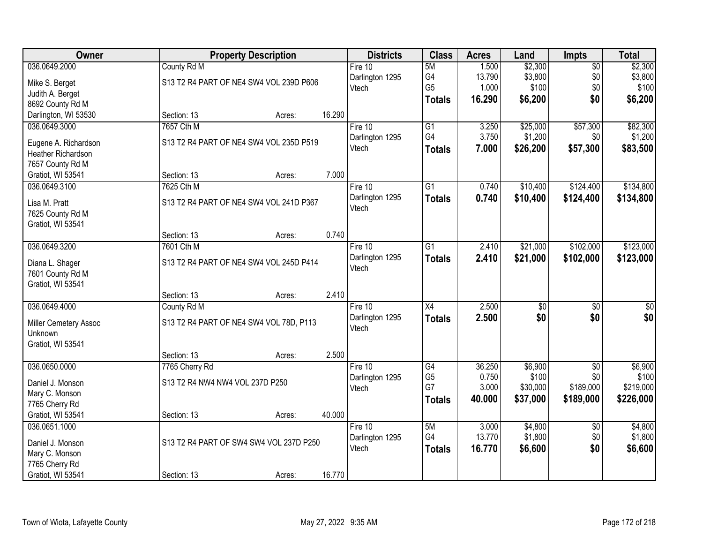| Owner                 |                                         | <b>Property Description</b> |        |                 |                 | <b>Acres</b> | Land            | Impts           | <b>Total</b>    |
|-----------------------|-----------------------------------------|-----------------------------|--------|-----------------|-----------------|--------------|-----------------|-----------------|-----------------|
| 036.0649.2000         | County Rd M                             |                             |        | Fire 10         | 5M              | 1.500        | \$2,300         | $\overline{50}$ | \$2,300         |
| Mike S. Berget        | S13 T2 R4 PART OF NE4 SW4 VOL 239D P606 |                             |        | Darlington 1295 | G4              | 13.790       | \$3,800         | \$0             | \$3,800         |
| Judith A. Berget      |                                         |                             |        | Vtech           | G <sub>5</sub>  | 1.000        | \$100           | \$0             | \$100           |
| 8692 County Rd M      |                                         |                             |        |                 | <b>Totals</b>   | 16.290       | \$6,200         | \$0             | \$6,200         |
| Darlington, WI 53530  | Section: 13                             | Acres:                      | 16.290 |                 |                 |              |                 |                 |                 |
| 036.0649.3000         | 7657 Cth M                              |                             |        | Fire $10$       | $\overline{G1}$ | 3.250        | \$25,000        | \$57,300        | \$82,300        |
|                       |                                         |                             |        | Darlington 1295 | G4              | 3.750        | \$1,200         | \$0             | \$1,200         |
| Eugene A. Richardson  | S13 T2 R4 PART OF NE4 SW4 VOL 235D P519 |                             |        | Vtech           | <b>Totals</b>   | 7.000        | \$26,200        | \$57,300        | \$83,500        |
| Heather Richardson    |                                         |                             |        |                 |                 |              |                 |                 |                 |
| 7657 County Rd M      |                                         |                             |        |                 |                 |              |                 |                 |                 |
| Gratiot, WI 53541     | Section: 13                             | Acres:                      | 7.000  |                 |                 |              |                 |                 |                 |
| 036.0649.3100         | 7625 Cth M                              |                             |        | Fire 10         | G1              | 0.740        | \$10,400        | \$124,400       | \$134,800       |
| Lisa M. Pratt         | S13 T2 R4 PART OF NE4 SW4 VOL 241D P367 |                             |        | Darlington 1295 | <b>Totals</b>   | 0.740        | \$10,400        | \$124,400       | \$134,800       |
| 7625 County Rd M      |                                         |                             |        | Vtech           |                 |              |                 |                 |                 |
| Gratiot, WI 53541     |                                         |                             |        |                 |                 |              |                 |                 |                 |
|                       | Section: 13                             | Acres:                      | 0.740  |                 |                 |              |                 |                 |                 |
| 036.0649.3200         | 7601 Cth M                              |                             |        | Fire 10         | G1              | 2.410        | \$21,000        | \$102,000       | \$123,000       |
| Diana L. Shager       | S13 T2 R4 PART OF NE4 SW4 VOL 245D P414 |                             |        | Darlington 1295 | <b>Totals</b>   | 2.410        | \$21,000        | \$102,000       | \$123,000       |
| 7601 County Rd M      |                                         |                             |        | Vtech           |                 |              |                 |                 |                 |
| Gratiot, WI 53541     |                                         |                             |        |                 |                 |              |                 |                 |                 |
|                       | Section: 13                             | Acres:                      | 2.410  |                 |                 |              |                 |                 |                 |
| 036.0649.4000         | County Rd M                             |                             |        | Fire $10$       | $\overline{X4}$ | 2.500        | $\overline{50}$ | $\overline{50}$ | $\overline{50}$ |
|                       |                                         |                             |        | Darlington 1295 | <b>Totals</b>   | 2.500        | \$0             | \$0             | \$0             |
| Miller Cemetery Assoc | S13 T2 R4 PART OF NE4 SW4 VOL 78D, P113 |                             |        | Vtech           |                 |              |                 |                 |                 |
| Unknown               |                                         |                             |        |                 |                 |              |                 |                 |                 |
| Gratiot, WI 53541     |                                         |                             |        |                 |                 |              |                 |                 |                 |
|                       | Section: 13                             | Acres:                      | 2.500  |                 |                 |              |                 |                 |                 |
| 036.0650.0000         | 7765 Cherry Rd                          |                             |        | Fire 10         | $\overline{G4}$ | 36.250       | \$6,900         | $\overline{50}$ | \$6,900         |
| Daniel J. Monson      | S13 T2 R4 NW4 NW4 VOL 237D P250         |                             |        | Darlington 1295 | G <sub>5</sub>  | 0.750        | \$100           | \$0             | \$100           |
| Mary C. Monson        |                                         |                             |        | Vtech           | G7              | 3.000        | \$30,000        | \$189,000       | \$219,000       |
| 7765 Cherry Rd        |                                         |                             |        |                 | <b>Totals</b>   | 40.000       | \$37,000        | \$189,000       | \$226,000       |
| Gratiot, WI 53541     | Section: 13                             | Acres:                      | 40.000 |                 |                 |              |                 |                 |                 |
| 036.0651.1000         |                                         |                             |        | Fire $10$       | 5M              | 3.000        | \$4,800         | $\overline{50}$ | \$4,800         |
|                       |                                         |                             |        | Darlington 1295 | G4              | 13.770       | \$1,800         | \$0             | \$1,800         |
| Daniel J. Monson      | S13 T2 R4 PART OF SW4 SW4 VOL 237D P250 |                             |        | Vtech           | <b>Totals</b>   | 16.770       | \$6,600         | \$0             | \$6,600         |
| Mary C. Monson        |                                         |                             |        |                 |                 |              |                 |                 |                 |
| 7765 Cherry Rd        |                                         |                             |        |                 |                 |              |                 |                 |                 |
| Gratiot, WI 53541     | Section: 13                             | Acres:                      | 16.770 |                 |                 |              |                 |                 |                 |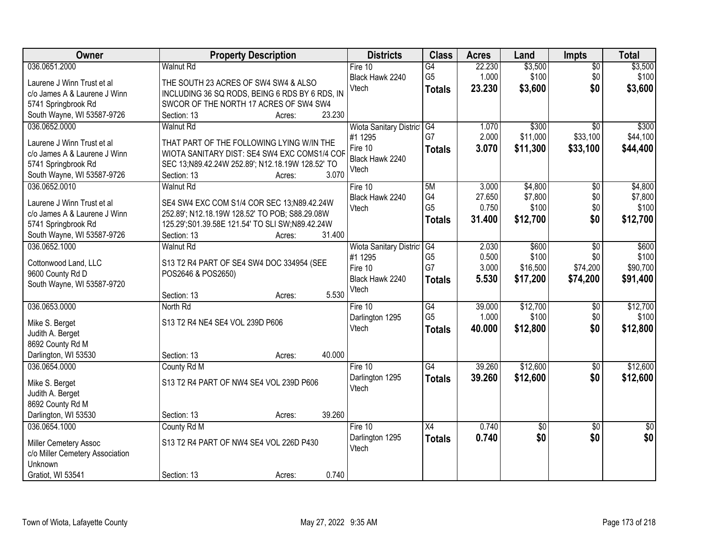| Owner                           | <b>Property Description</b>                               | <b>Districts</b>               | <b>Class</b>    | <b>Acres</b>    | Land               | Impts           | <b>Total</b>       |
|---------------------------------|-----------------------------------------------------------|--------------------------------|-----------------|-----------------|--------------------|-----------------|--------------------|
| 036.0651.2000                   | <b>Walnut Rd</b>                                          | Fire 10                        | G4              | 22.230          | \$3,500            | $\overline{50}$ | \$3,500            |
| Laurene J Winn Trust et al      | THE SOUTH 23 ACRES OF SW4 SW4 & ALSO                      | Black Hawk 2240                | G <sub>5</sub>  | 1.000           | \$100              | \$0             | \$100              |
| c/o James A & Laurene J Winn    | INCLUDING 36 SQ RODS, BEING 6 RDS BY 6 RDS, IN            | Vtech                          | <b>Totals</b>   | 23.230          | \$3,600            | \$0             | \$3,600            |
| 5741 Springbrook Rd             | SWCOR OF THE NORTH 17 ACRES OF SW4 SW4                    |                                |                 |                 |                    |                 |                    |
| South Wayne, WI 53587-9726      | 23.230<br>Section: 13<br>Acres:                           |                                |                 |                 |                    |                 |                    |
| 036.0652.0000                   | <b>Walnut Rd</b>                                          | <b>Wiota Sanitary District</b> | G4              | 1.070           | \$300              | $\overline{30}$ | \$300              |
|                                 |                                                           | #1 1295                        | G7              | 2.000           | \$11,000           | \$33,100        | \$44,100           |
| Laurene J Winn Trust et al      | THAT PART OF THE FOLLOWING LYING W/IN THE                 | Fire 10                        | <b>Totals</b>   | 3.070           | \$11,300           | \$33,100        | \$44,400           |
| c/o James A & Laurene J Winn    | WIOTA SANITARY DIST: SE4 SW4 EXC COMS1/4 COF              | Black Hawk 2240                |                 |                 |                    |                 |                    |
| 5741 Springbrook Rd             | SEC 13;N89.42.24W 252.89'; N12.18.19W 128.52' TO<br>3.070 | Vtech                          |                 |                 |                    |                 |                    |
| South Wayne, WI 53587-9726      | Section: 13<br>Acres:                                     |                                |                 |                 |                    |                 |                    |
| 036.0652.0010                   | <b>Walnut Rd</b>                                          | Fire 10                        | 5M<br>G4        | 3.000<br>27.650 | \$4,800<br>\$7,800 | \$0<br>\$0      | \$4,800<br>\$7,800 |
| Laurene J Winn Trust et al      | SE4 SW4 EXC COM S1/4 COR SEC 13;N89.42.24W                | Black Hawk 2240<br>Vtech       | G <sub>5</sub>  | 0.750           | \$100              | \$0             | \$100              |
| c/o James A & Laurene J Winn    | 252.89'; N12.18.19W 128.52' TO POB; S88.29.08W            |                                |                 | 31.400          | \$12,700           | \$0             | \$12,700           |
| 5741 Springbrook Rd             | 125.29';S01.39.58E 121.54' TO SLI SW;N89.42.24W           |                                | <b>Totals</b>   |                 |                    |                 |                    |
| South Wayne, WI 53587-9726      | 31.400<br>Section: 13<br>Acres:                           |                                |                 |                 |                    |                 |                    |
| 036.0652.1000                   | <b>Walnut Rd</b>                                          | Wiota Sanitary District G4     |                 | 2.030           | \$600              | \$0             | \$600              |
| Cottonwood Land, LLC            | S13 T2 R4 PART OF SE4 SW4 DOC 334954 (SEE                 | #1 1295                        | G <sub>5</sub>  | 0.500           | \$100              | \$0             | \$100              |
| 9600 County Rd D                | POS2646 & POS2650)                                        | Fire 10                        | G7              | 3.000           | \$16,500           | \$74,200        | \$90,700           |
| South Wayne, WI 53587-9720      |                                                           | Black Hawk 2240                | <b>Totals</b>   | 5.530           | \$17,200           | \$74,200        | \$91,400           |
|                                 | 5.530<br>Section: 13<br>Acres:                            | Vtech                          |                 |                 |                    |                 |                    |
| 036.0653.0000                   | North Rd                                                  | Fire $10$                      | G4              | 39.000          | \$12,700           | $\overline{50}$ | \$12,700           |
|                                 |                                                           | Darlington 1295                | G <sub>5</sub>  | 1.000           | \$100              | \$0             | \$100              |
| Mike S. Berget                  | S13 T2 R4 NE4 SE4 VOL 239D P606                           | Vtech                          | <b>Totals</b>   | 40.000          | \$12,800           | \$0             | \$12,800           |
| Judith A. Berget                |                                                           |                                |                 |                 |                    |                 |                    |
| 8692 County Rd M                |                                                           |                                |                 |                 |                    |                 |                    |
| Darlington, WI 53530            | 40.000<br>Section: 13<br>Acres:                           |                                |                 |                 |                    |                 |                    |
| 036.0654.0000                   | County Rd M                                               | Fire 10                        | $\overline{G4}$ | 39.260          | \$12,600           | $\overline{50}$ | \$12,600           |
| Mike S. Berget                  | S13 T2 R4 PART OF NW4 SE4 VOL 239D P606                   | Darlington 1295                | <b>Totals</b>   | 39.260          | \$12,600           | \$0             | \$12,600           |
| Judith A. Berget                |                                                           | Vtech                          |                 |                 |                    |                 |                    |
| 8692 County Rd M                |                                                           |                                |                 |                 |                    |                 |                    |
| Darlington, WI 53530            | 39.260<br>Section: 13<br>Acres:                           |                                |                 |                 |                    |                 |                    |
| 036.0654.1000                   | County Rd M                                               | Fire 10                        | $\overline{X4}$ | 0.740           | $\sqrt{50}$        | $\overline{50}$ | $\overline{50}$    |
| Miller Cemetery Assoc           | S13 T2 R4 PART OF NW4 SE4 VOL 226D P430                   | Darlington 1295                | <b>Totals</b>   | 0.740           | \$0                | \$0             | \$0                |
| c/o Miller Cemetery Association |                                                           | Vtech                          |                 |                 |                    |                 |                    |
| Unknown                         |                                                           |                                |                 |                 |                    |                 |                    |
| Gratiot, WI 53541               | 0.740<br>Section: 13<br>Acres:                            |                                |                 |                 |                    |                 |                    |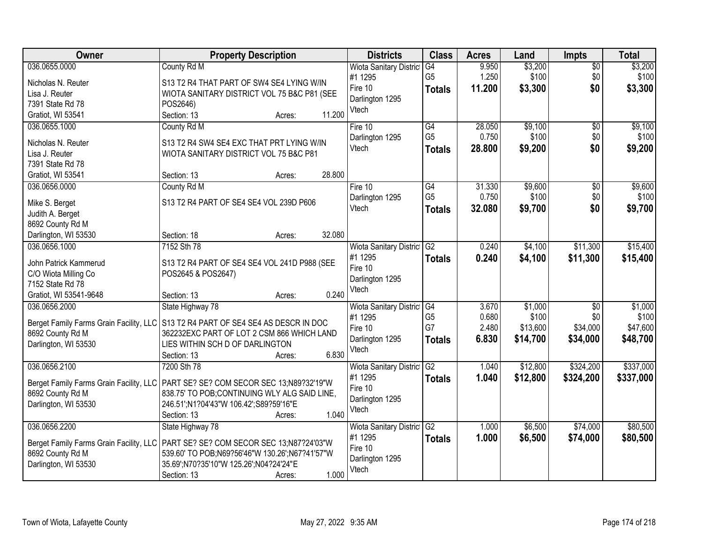| Owner                                    | <b>Property Description</b>                                                                                                     | <b>Districts</b>               | <b>Class</b>    | <b>Acres</b>    | Land             | <b>Impts</b>    | <b>Total</b>     |
|------------------------------------------|---------------------------------------------------------------------------------------------------------------------------------|--------------------------------|-----------------|-----------------|------------------|-----------------|------------------|
| 036.0655.0000                            | County Rd M                                                                                                                     | <b>Wiota Sanitary District</b> | G4              | 9.950           | \$3,200          | $\overline{50}$ | \$3,200          |
| Nicholas N. Reuter                       | S13 T2 R4 THAT PART OF SW4 SE4 LYING W/IN                                                                                       | #1 1295                        | G <sub>5</sub>  | 1.250           | \$100            | \$0             | \$100            |
| Lisa J. Reuter                           | WIOTA SANITARY DISTRICT VOL 75 B&C P81 (SEE                                                                                     | Fire 10                        | <b>Totals</b>   | 11.200          | \$3,300          | \$0             | \$3,300          |
| 7391 State Rd 78                         | POS2646)                                                                                                                        | Darlington 1295                |                 |                 |                  |                 |                  |
| Gratiot, WI 53541                        | 11.200<br>Section: 13<br>Acres:                                                                                                 | Vtech                          |                 |                 |                  |                 |                  |
| 036.0655.1000                            | County Rd M                                                                                                                     | Fire 10                        | G4              | 28.050          | \$9,100          | \$0             | \$9,100          |
|                                          |                                                                                                                                 | Darlington 1295                | G <sub>5</sub>  | 0.750           | \$100            | \$0             | \$100            |
| Nicholas N. Reuter                       | S13 T2 R4 SW4 SE4 EXC THAT PRT LYING W/IN                                                                                       | Vtech                          | <b>Totals</b>   | 28.800          | \$9,200          | \$0             | \$9,200          |
| Lisa J. Reuter                           | WIOTA SANITARY DISTRICT VOL 75 B&C P81                                                                                          |                                |                 |                 |                  |                 |                  |
| 7391 State Rd 78                         | 28.800<br>Section: 13                                                                                                           |                                |                 |                 |                  |                 |                  |
| Gratiot, WI 53541                        | Acres:                                                                                                                          |                                | $\overline{G4}$ |                 |                  |                 |                  |
| 036.0656.0000                            | County Rd M                                                                                                                     | Fire 10                        | G <sub>5</sub>  | 31.330<br>0.750 | \$9,600<br>\$100 | \$0<br>\$0      | \$9,600<br>\$100 |
| Mike S. Berget                           | S13 T2 R4 PART OF SE4 SE4 VOL 239D P606                                                                                         | Darlington 1295<br>Vtech       |                 | 32.080          | \$9,700          | \$0             |                  |
| Judith A. Berget                         |                                                                                                                                 |                                | <b>Totals</b>   |                 |                  |                 | \$9,700          |
| 8692 County Rd M                         |                                                                                                                                 |                                |                 |                 |                  |                 |                  |
| Darlington, WI 53530                     | 32.080<br>Section: 18<br>Acres:                                                                                                 |                                |                 |                 |                  |                 |                  |
| 036.0656.1000                            | 7152 Sth 78                                                                                                                     | Wiota Sanitary District        | G2              | 0.240           | \$4,100          | \$11,300        | \$15,400         |
| John Patrick Kammerud                    | S13 T2 R4 PART OF SE4 SE4 VOL 241D P988 (SEE                                                                                    | #1 1295                        | <b>Totals</b>   | 0.240           | \$4,100          | \$11,300        | \$15,400         |
| C/O Wiota Milling Co                     | POS2645 & POS2647)                                                                                                              | Fire 10                        |                 |                 |                  |                 |                  |
| 7152 State Rd 78                         |                                                                                                                                 | Darlington 1295                |                 |                 |                  |                 |                  |
| Gratiot, WI 53541-9648                   | 0.240<br>Section: 13<br>Acres:                                                                                                  | Vtech                          |                 |                 |                  |                 |                  |
| 036.0656.2000                            | State Highway 78                                                                                                                | Wiota Sanitary District        | G4              | 3.670           | \$1,000          | $\overline{30}$ | \$1,000          |
|                                          |                                                                                                                                 | #1 1295                        | G <sub>5</sub>  | 0.680           | \$100            | \$0             | \$100            |
|                                          | Berget Family Farms Grain Facility, LLC S13 T2 R4 PART OF SE4 SE4 AS DESCR IN DOC<br>362232EXC PART OF LOT 2 CSM 866 WHICH LAND | Fire 10                        | G7              | 2.480           | \$13,600         | \$34,000        | \$47,600         |
| 8692 County Rd M<br>Darlington, WI 53530 | LIES WITHIN SCH D OF DARLINGTON                                                                                                 | Darlington 1295                | <b>Totals</b>   | 6.830           | \$14,700         | \$34,000        | \$48,700         |
|                                          | 6.830<br>Section: 13<br>Acres:                                                                                                  | Vtech                          |                 |                 |                  |                 |                  |
| 036.0656.2100                            | 7200 Sth 78                                                                                                                     | Wiota Sanitary District G2     |                 | 1.040           | \$12,800         | \$324,200       | \$337,000        |
|                                          |                                                                                                                                 | #1 1295                        |                 | 1.040           | \$12,800         | \$324,200       | \$337,000        |
|                                          | Berget Family Farms Grain Facility, LLC   PART SE? SE? COM SECOR SEC 13;N89?32'19"W                                             | Fire 10                        | <b>Totals</b>   |                 |                  |                 |                  |
| 8692 County Rd M                         | 838.75' TO POB;CONTINUING WLY ALG SAID LINE,                                                                                    | Darlington 1295                |                 |                 |                  |                 |                  |
| Darlington, WI 53530                     | 246.51';N1?04'43"W 106.42';S89?59'16"E                                                                                          | Vtech                          |                 |                 |                  |                 |                  |
|                                          | 1.040<br>Section: 13<br>Acres:                                                                                                  |                                |                 |                 |                  |                 |                  |
| 036.0656.2200                            | State Highway 78                                                                                                                | Wiota Sanitary District        | G2              | 1.000           | \$6,500          | \$74,000        | \$80,500         |
|                                          | Berget Family Farms Grain Facility, LLC   PART SE? SE? COM SECOR SEC 13;N87?24'03"W                                             | #1 1295                        | <b>Totals</b>   | 1.000           | \$6,500          | \$74,000        | \$80,500         |
| 8692 County Rd M                         | 539.60' TO POB:N69?56'46"W 130.26':N67?41'57"W                                                                                  | Fire 10                        |                 |                 |                  |                 |                  |
| Darlington, WI 53530                     | 35.69';N70?35'10"W 125.26';N04?24'24"E                                                                                          | Darlington 1295                |                 |                 |                  |                 |                  |
|                                          | 1.000<br>Section: 13<br>Acres:                                                                                                  | Vtech                          |                 |                 |                  |                 |                  |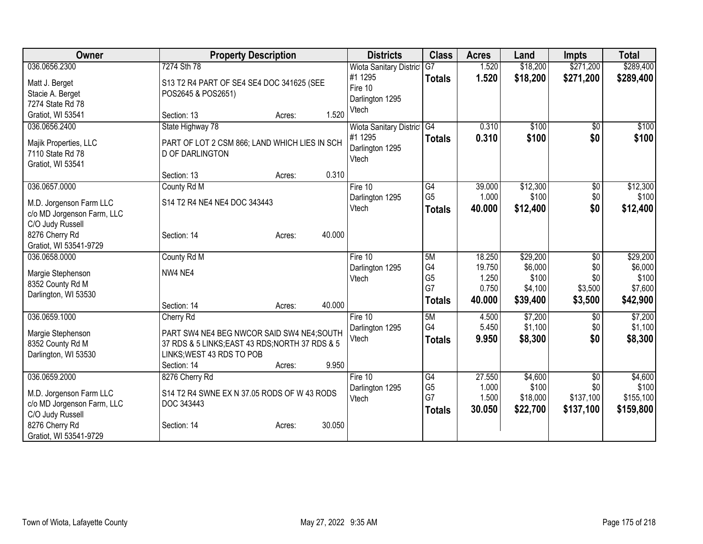| <b>Owner</b>               | <b>Property Description</b>                     |                  | <b>Districts</b>               | <b>Class</b>         | <b>Acres</b>   | Land             | <b>Impts</b>    | <b>Total</b>     |
|----------------------------|-------------------------------------------------|------------------|--------------------------------|----------------------|----------------|------------------|-----------------|------------------|
| 036.0656.2300              | 7274 Sth 78                                     |                  | <b>Wiota Sanitary District</b> | $\overline{G}$ 7     | 1.520          | \$18,200         | \$271,200       | \$289,400        |
| Matt J. Berget             | S13 T2 R4 PART OF SE4 SE4 DOC 341625 (SEE       |                  | #1 1295                        | <b>Totals</b>        | 1.520          | \$18,200         | \$271,200       | \$289,400        |
| Stacie A. Berget           | POS2645 & POS2651)                              |                  | Fire 10                        |                      |                |                  |                 |                  |
| 7274 State Rd 78           |                                                 |                  | Darlington 1295                |                      |                |                  |                 |                  |
| Gratiot, WI 53541          | Section: 13                                     | Acres:           | Vtech<br>1.520                 |                      |                |                  |                 |                  |
| 036.0656.2400              | State Highway 78                                |                  | Wiota Sanitary District G4     |                      | 0.310          | \$100            | $\sqrt[6]{}$    | \$100            |
| Majik Properties, LLC      | PART OF LOT 2 CSM 866; LAND WHICH LIES IN SCH   |                  | #1 1295                        | <b>Totals</b>        | 0.310          | \$100            | \$0             | \$100            |
| 7110 State Rd 78           | <b>D OF DARLINGTON</b>                          |                  | Darlington 1295                |                      |                |                  |                 |                  |
| Gratiot, WI 53541          |                                                 |                  | Vtech                          |                      |                |                  |                 |                  |
|                            | Section: 13                                     | Acres:           | 0.310                          |                      |                |                  |                 |                  |
| 036.0657.0000              | County Rd M                                     |                  | Fire 10                        | G4                   | 39.000         | \$12,300         | \$0             | \$12,300         |
| M.D. Jorgenson Farm LLC    | S14 T2 R4 NE4 NE4 DOC 343443                    |                  | Darlington 1295                | G <sub>5</sub>       | 1.000          | \$100            | \$0             | \$100            |
| c/o MD Jorgenson Farm, LLC |                                                 |                  | Vtech                          | <b>Totals</b>        | 40.000         | \$12,400         | \$0             | \$12,400         |
| C/O Judy Russell           |                                                 |                  |                                |                      |                |                  |                 |                  |
| 8276 Cherry Rd             | Section: 14                                     | 40.000<br>Acres: |                                |                      |                |                  |                 |                  |
| Gratiot, WI 53541-9729     |                                                 |                  |                                |                      |                |                  |                 |                  |
| 036.0658.0000              | County Rd M                                     |                  | Fire 10                        | 5M                   | 18.250         | \$29,200         | $\overline{50}$ | \$29,200         |
| Margie Stephenson          | NW4 NE4                                         |                  | Darlington 1295                | G4                   | 19.750         | \$6,000          | \$0             | \$6,000          |
| 8352 County Rd M           |                                                 |                  | Vtech                          | G <sub>5</sub><br>G7 | 1.250<br>0.750 | \$100<br>\$4,100 | \$0<br>\$3,500  | \$100<br>\$7,600 |
| Darlington, WI 53530       |                                                 |                  |                                |                      | 40.000         | \$39,400         | \$3,500         |                  |
|                            | Section: 14                                     | 40.000<br>Acres: |                                | <b>Totals</b>        |                |                  |                 | \$42,900         |
| 036.0659.1000              | Cherry Rd                                       |                  | Fire 10                        | 5M                   | 4.500          | \$7,200          | \$0             | \$7,200          |
| Margie Stephenson          | PART SW4 NE4 BEG NWCOR SAID SW4 NE4; SOUTH      |                  | Darlington 1295                | G4                   | 5.450          | \$1,100          | \$0             | \$1,100          |
| 8352 County Rd M           | 37 RDS & 5 LINKS; EAST 43 RDS; NORTH 37 RDS & 5 |                  | Vtech                          | <b>Totals</b>        | 9.950          | \$8,300          | \$0             | \$8,300          |
| Darlington, WI 53530       | LINKS; WEST 43 RDS TO POB                       |                  |                                |                      |                |                  |                 |                  |
|                            | Section: 14                                     | Acres:           | 9.950                          |                      |                |                  |                 |                  |
| 036.0659.2000              | 8276 Cherry Rd                                  |                  | Fire $10$                      | G4                   | 27.550         | \$4,600          | \$0             | \$4,600          |
| M.D. Jorgenson Farm LLC    | S14 T2 R4 SWNE EX N 37.05 RODS OF W 43 RODS     |                  | Darlington 1295                | G <sub>5</sub>       | 1.000          | \$100            | \$0             | \$100            |
| c/o MD Jorgenson Farm, LLC | DOC 343443                                      |                  | Vtech                          | G7                   | 1.500          | \$18,000         | \$137,100       | \$155,100        |
| C/O Judy Russell           |                                                 |                  |                                | <b>Totals</b>        | 30.050         | \$22,700         | \$137,100       | \$159,800        |
| 8276 Cherry Rd             | Section: 14                                     | 30.050<br>Acres: |                                |                      |                |                  |                 |                  |
| Gratiot, WI 53541-9729     |                                                 |                  |                                |                      |                |                  |                 |                  |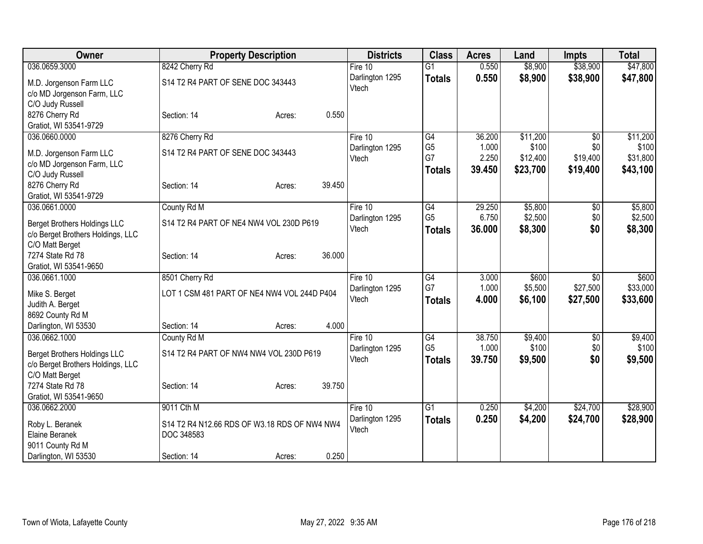| Owner                                                                    | <b>Property Description</b>                  | <b>Districts</b> | <b>Class</b>    | <b>Acres</b> | Land     | <b>Impts</b>    | <b>Total</b> |
|--------------------------------------------------------------------------|----------------------------------------------|------------------|-----------------|--------------|----------|-----------------|--------------|
| 036.0659.3000                                                            | 8242 Cherry Rd                               | Fire $10$        | $\overline{G1}$ | 0.550        | \$8,900  | \$38,900        | \$47,800     |
| M.D. Jorgenson Farm LLC                                                  | S14 T2 R4 PART OF SENE DOC 343443            | Darlington 1295  | <b>Totals</b>   | 0.550        | \$8,900  | \$38,900        | \$47,800     |
| c/o MD Jorgenson Farm, LLC                                               |                                              | Vtech            |                 |              |          |                 |              |
| C/O Judy Russell                                                         |                                              |                  |                 |              |          |                 |              |
| 8276 Cherry Rd                                                           | 0.550<br>Section: 14<br>Acres:               |                  |                 |              |          |                 |              |
| Gratiot, WI 53541-9729                                                   |                                              |                  |                 |              |          |                 |              |
| 036.0660.0000                                                            | 8276 Cherry Rd                               | Fire 10          | G4              | 36.200       | \$11,200 | \$0             | \$11,200     |
| M.D. Jorgenson Farm LLC                                                  | S14 T2 R4 PART OF SENE DOC 343443            | Darlington 1295  | G <sub>5</sub>  | 1.000        | \$100    | \$0             | \$100        |
| c/o MD Jorgenson Farm, LLC                                               |                                              | Vtech            | G7              | 2.250        | \$12,400 | \$19,400        | \$31,800     |
| C/O Judy Russell                                                         |                                              |                  | <b>Totals</b>   | 39.450       | \$23,700 | \$19,400        | \$43,100     |
| 8276 Cherry Rd                                                           | 39.450<br>Section: 14<br>Acres:              |                  |                 |              |          |                 |              |
| Gratiot, WI 53541-9729                                                   |                                              |                  |                 |              |          |                 |              |
| 036.0661.0000                                                            | County Rd M                                  | Fire 10          | G4              | 29.250       | \$5,800  | \$0             | \$5,800      |
|                                                                          | S14 T2 R4 PART OF NE4 NW4 VOL 230D P619      | Darlington 1295  | G <sub>5</sub>  | 6.750        | \$2,500  | \$0             | \$2,500      |
| <b>Berget Brothers Holdings LLC</b><br>c/o Berget Brothers Holdings, LLC |                                              | Vtech            | <b>Totals</b>   | 36,000       | \$8,300  | \$0             | \$8,300      |
| C/O Matt Berget                                                          |                                              |                  |                 |              |          |                 |              |
| 7274 State Rd 78                                                         | 36.000<br>Section: 14<br>Acres:              |                  |                 |              |          |                 |              |
| Gratiot, WI 53541-9650                                                   |                                              |                  |                 |              |          |                 |              |
| 036.0661.1000                                                            | 8501 Cherry Rd                               | Fire 10          | G4              | 3.000        | \$600    | $\overline{50}$ | \$600        |
|                                                                          |                                              | Darlington 1295  | G7              | 1.000        | \$5,500  | \$27,500        | \$33,000     |
| Mike S. Berget                                                           | LOT 1 CSM 481 PART OF NE4 NW4 VOL 244D P404  | Vtech            | <b>Totals</b>   | 4.000        | \$6,100  | \$27,500        | \$33,600     |
| Judith A. Berget<br>8692 County Rd M                                     |                                              |                  |                 |              |          |                 |              |
| Darlington, WI 53530                                                     | 4.000<br>Section: 14<br>Acres:               |                  |                 |              |          |                 |              |
| 036.0662.1000                                                            | County Rd M                                  | Fire 10          | G4              | 38.750       | \$9,400  | \$0             | \$9,400      |
|                                                                          |                                              | Darlington 1295  | G <sub>5</sub>  | 1.000        | \$100    | \$0             | \$100        |
| <b>Berget Brothers Holdings LLC</b>                                      | S14 T2 R4 PART OF NW4 NW4 VOL 230D P619      | Vtech            | <b>Totals</b>   | 39.750       | \$9,500  | \$0             | \$9,500      |
| c/o Berget Brothers Holdings, LLC                                        |                                              |                  |                 |              |          |                 |              |
| C/O Matt Berget                                                          |                                              |                  |                 |              |          |                 |              |
| 7274 State Rd 78                                                         | 39.750<br>Section: 14<br>Acres:              |                  |                 |              |          |                 |              |
| Gratiot, WI 53541-9650<br>036.0662.2000                                  | 9011 Cth M                                   | Fire 10          | $\overline{G1}$ | 0.250        | \$4,200  | \$24,700        | \$28,900     |
|                                                                          |                                              | Darlington 1295  |                 |              |          |                 |              |
| Roby L. Beranek                                                          | S14 T2 R4 N12.66 RDS OF W3.18 RDS OF NW4 NW4 | Vtech            | <b>Totals</b>   | 0.250        | \$4,200  | \$24,700        | \$28,900     |
| Elaine Beranek                                                           | DOC 348583                                   |                  |                 |              |          |                 |              |
| 9011 County Rd M                                                         |                                              |                  |                 |              |          |                 |              |
| Darlington, WI 53530                                                     | 0.250<br>Section: 14<br>Acres:               |                  |                 |              |          |                 |              |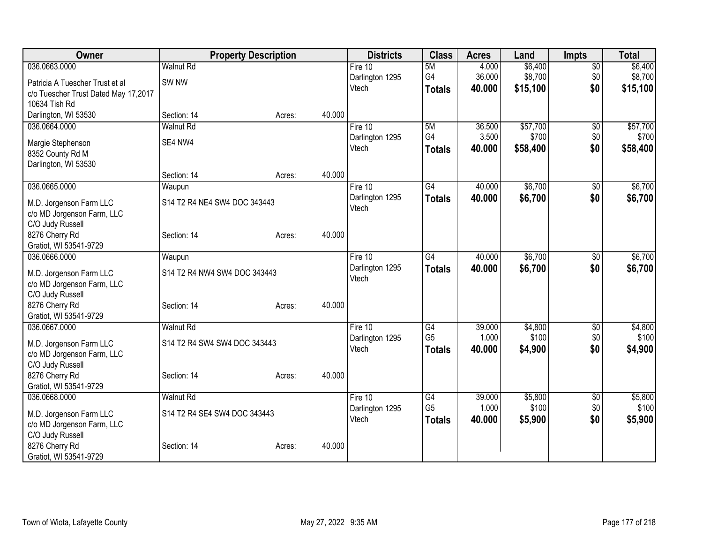| Owner                                |                              | <b>Property Description</b> |        | <b>Districts</b> | <b>Class</b>    | <b>Acres</b> | Land     | <b>Impts</b>    | <b>Total</b> |
|--------------------------------------|------------------------------|-----------------------------|--------|------------------|-----------------|--------------|----------|-----------------|--------------|
| 036.0663.0000                        | Walnut Rd                    |                             |        | Fire $10$        | 5M              | 4.000        | \$6,400  | $\overline{50}$ | \$6,400      |
| Patricia A Tuescher Trust et al      | SW <sub>NW</sub>             |                             |        | Darlington 1295  | G4              | 36.000       | \$8,700  | \$0             | \$8,700      |
| c/o Tuescher Trust Dated May 17,2017 |                              |                             |        | Vtech            | <b>Totals</b>   | 40.000       | \$15,100 | \$0             | \$15,100     |
| 10634 Tish Rd                        |                              |                             |        |                  |                 |              |          |                 |              |
| Darlington, WI 53530                 | Section: 14                  | Acres:                      | 40.000 |                  |                 |              |          |                 |              |
| 036.0664.0000                        | <b>Walnut Rd</b>             |                             |        | Fire 10          | 5M              | 36.500       | \$57,700 | $\sqrt{6}$      | \$57,700     |
| Margie Stephenson                    | SE4 NW4                      |                             |        | Darlington 1295  | G4              | 3.500        | \$700    | \$0             | \$700        |
| 8352 County Rd M                     |                              |                             |        | Vtech            | <b>Totals</b>   | 40.000       | \$58,400 | \$0             | \$58,400     |
| Darlington, WI 53530                 |                              |                             |        |                  |                 |              |          |                 |              |
|                                      | Section: 14                  | Acres:                      | 40.000 |                  |                 |              |          |                 |              |
| 036.0665.0000                        | Waupun                       |                             |        | Fire 10          | G4              | 40.000       | \$6,700  | \$0             | \$6,700      |
| M.D. Jorgenson Farm LLC              | S14 T2 R4 NE4 SW4 DOC 343443 |                             |        | Darlington 1295  | <b>Totals</b>   | 40.000       | \$6,700  | \$0             | \$6,700      |
| c/o MD Jorgenson Farm, LLC           |                              |                             |        | Vtech            |                 |              |          |                 |              |
| C/O Judy Russell                     |                              |                             |        |                  |                 |              |          |                 |              |
| 8276 Cherry Rd                       | Section: 14                  | Acres:                      | 40.000 |                  |                 |              |          |                 |              |
| Gratiot, WI 53541-9729               |                              |                             |        |                  |                 |              |          |                 |              |
| 036.0666.0000                        | Waupun                       |                             |        | Fire 10          | $\overline{G4}$ | 40.000       | \$6,700  | \$0             | \$6,700      |
| M.D. Jorgenson Farm LLC              | S14 T2 R4 NW4 SW4 DOC 343443 |                             |        | Darlington 1295  | <b>Totals</b>   | 40.000       | \$6,700  | \$0             | \$6,700      |
| c/o MD Jorgenson Farm, LLC           |                              |                             |        | Vtech            |                 |              |          |                 |              |
| C/O Judy Russell                     |                              |                             |        |                  |                 |              |          |                 |              |
| 8276 Cherry Rd                       | Section: 14                  | Acres:                      | 40.000 |                  |                 |              |          |                 |              |
| Gratiot, WI 53541-9729               |                              |                             |        |                  |                 |              |          |                 |              |
| 036.0667.0000                        | <b>Walnut Rd</b>             |                             |        | Fire 10          | G4              | 39.000       | \$4,800  | \$0             | \$4,800      |
| M.D. Jorgenson Farm LLC              | S14 T2 R4 SW4 SW4 DOC 343443 |                             |        | Darlington 1295  | G <sub>5</sub>  | 1.000        | \$100    | \$0             | \$100        |
| c/o MD Jorgenson Farm, LLC           |                              |                             |        | Vtech            | <b>Totals</b>   | 40.000       | \$4,900  | \$0             | \$4,900      |
| C/O Judy Russell                     |                              |                             |        |                  |                 |              |          |                 |              |
| 8276 Cherry Rd                       | Section: 14                  | Acres:                      | 40.000 |                  |                 |              |          |                 |              |
| Gratiot, WI 53541-9729               |                              |                             |        |                  |                 |              |          |                 |              |
| 036.0668.0000                        | <b>Walnut Rd</b>             |                             |        | Fire 10          | G4              | 39.000       | \$5,800  | $\frac{1}{20}$  | \$5,800      |
| M.D. Jorgenson Farm LLC              | S14 T2 R4 SE4 SW4 DOC 343443 |                             |        | Darlington 1295  | G <sub>5</sub>  | 1.000        | \$100    | \$0             | \$100        |
| c/o MD Jorgenson Farm, LLC           |                              |                             |        | Vtech            | <b>Totals</b>   | 40.000       | \$5,900  | \$0             | \$5,900      |
| C/O Judy Russell                     |                              |                             |        |                  |                 |              |          |                 |              |
| 8276 Cherry Rd                       | Section: 14                  | Acres:                      | 40.000 |                  |                 |              |          |                 |              |
| Gratiot, WI 53541-9729               |                              |                             |        |                  |                 |              |          |                 |              |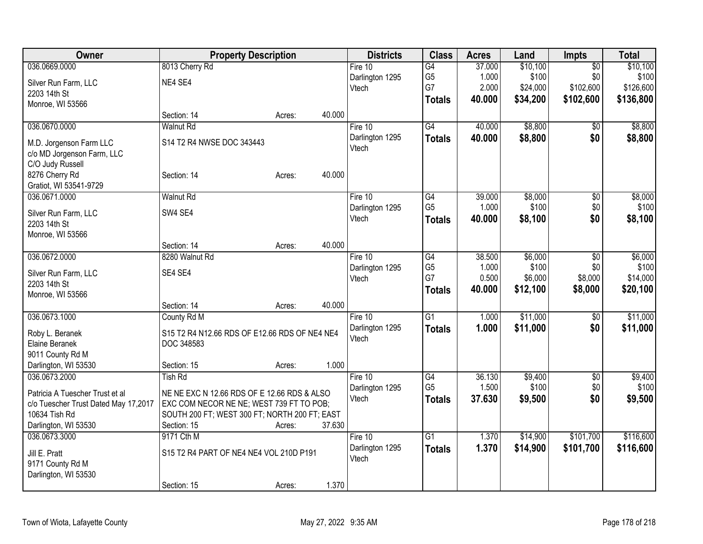| Owner                                | <b>Property Description</b>                   | <b>Districts</b> | <b>Class</b> | <b>Acres</b>    | Land            | <b>Impts</b> | <b>Total</b> |                 |           |
|--------------------------------------|-----------------------------------------------|------------------|--------------|-----------------|-----------------|--------------|--------------|-----------------|-----------|
| 036.0669.0000                        | 8013 Cherry Rd                                |                  |              | Fire 10         | $\overline{G4}$ | 37.000       | \$10,100     | $\overline{50}$ | \$10,100  |
| Silver Run Farm, LLC                 | NE4 SE4                                       |                  |              | Darlington 1295 | G <sub>5</sub>  | 1.000        | \$100        | \$0             | \$100     |
| 2203 14th St                         |                                               |                  |              | Vtech           | G7              | 2.000        | \$24,000     | \$102,600       | \$126,600 |
| Monroe, WI 53566                     |                                               |                  |              |                 | <b>Totals</b>   | 40.000       | \$34,200     | \$102,600       | \$136,800 |
|                                      | Section: 14                                   | Acres:           | 40.000       |                 |                 |              |              |                 |           |
| 036.0670.0000                        | <b>Walnut Rd</b>                              |                  |              | Fire 10         | G4              | 40.000       | \$8,800      | $\overline{30}$ | \$8,800   |
| M.D. Jorgenson Farm LLC              | S14 T2 R4 NWSE DOC 343443                     |                  |              | Darlington 1295 | <b>Totals</b>   | 40.000       | \$8,800      | \$0             | \$8,800   |
| c/o MD Jorgenson Farm, LLC           |                                               |                  |              | Vtech           |                 |              |              |                 |           |
| C/O Judy Russell                     |                                               |                  |              |                 |                 |              |              |                 |           |
| 8276 Cherry Rd                       | Section: 14                                   | Acres:           | 40.000       |                 |                 |              |              |                 |           |
| Gratiot, WI 53541-9729               |                                               |                  |              |                 |                 |              |              |                 |           |
| 036.0671.0000                        | <b>Walnut Rd</b>                              |                  |              | Fire 10         | G4              | 39.000       | \$8,000      | \$0             | \$8,000   |
|                                      |                                               |                  |              | Darlington 1295 | G <sub>5</sub>  | 1.000        | \$100        | \$0             | \$100     |
| Silver Run Farm, LLC                 | SW4 SE4                                       |                  |              | Vtech           | <b>Totals</b>   | 40.000       | \$8,100      | \$0             | \$8,100   |
| 2203 14th St                         |                                               |                  |              |                 |                 |              |              |                 |           |
| Monroe, WI 53566                     | Section: 14                                   | Acres:           | 40.000       |                 |                 |              |              |                 |           |
| 036.0672.0000                        | 8280 Walnut Rd                                |                  |              | Fire 10         | G4              | 38.500       | \$6,000      | \$0             | \$6,000   |
|                                      |                                               |                  |              | Darlington 1295 | G <sub>5</sub>  | 1.000        | \$100        | \$0             | \$100     |
| Silver Run Farm, LLC                 | SE4 SE4                                       |                  |              | Vtech           | G7              | 0.500        | \$6,000      | \$8,000         | \$14,000  |
| 2203 14th St                         |                                               |                  |              |                 | <b>Totals</b>   | 40.000       | \$12,100     | \$8,000         | \$20,100  |
| Monroe, WI 53566                     |                                               |                  |              |                 |                 |              |              |                 |           |
|                                      | Section: 14                                   | Acres:           | 40.000       |                 |                 |              |              |                 |           |
| 036.0673.1000                        | County Rd M                                   |                  |              | Fire 10         | G1              | 1.000        | \$11,000     | \$0             | \$11,000  |
| Roby L. Beranek                      | S15 T2 R4 N12.66 RDS OF E12.66 RDS OF NE4 NE4 |                  |              | Darlington 1295 | <b>Totals</b>   | 1.000        | \$11,000     | \$0             | \$11,000  |
| Elaine Beranek                       | DOC 348583                                    |                  |              | Vtech           |                 |              |              |                 |           |
| 9011 County Rd M                     |                                               |                  |              |                 |                 |              |              |                 |           |
| Darlington, WI 53530                 | Section: 15                                   | Acres:           | 1.000        |                 |                 |              |              |                 |           |
| 036.0673.2000                        | <b>Tish Rd</b>                                |                  |              | Fire 10         | G4              | 36.130       | \$9,400      | $\sqrt{6}$      | \$9,400   |
| Patricia A Tuescher Trust et al      | NE NE EXC N 12.66 RDS OF E 12.66 RDS & ALSO   |                  |              | Darlington 1295 | G <sub>5</sub>  | 1.500        | \$100        | \$0             | \$100     |
| c/o Tuescher Trust Dated May 17,2017 | EXC COM NECOR NE NE; WEST 739 FT TO POB;      |                  |              | Vtech           | <b>Totals</b>   | 37.630       | \$9,500      | \$0             | \$9,500   |
| 10634 Tish Rd                        | SOUTH 200 FT; WEST 300 FT; NORTH 200 FT; EAST |                  |              |                 |                 |              |              |                 |           |
| Darlington, WI 53530                 | Section: 15                                   | Acres:           | 37.630       |                 |                 |              |              |                 |           |
| 036.0673.3000                        | 9171 Cth M                                    |                  |              | Fire 10         | $\overline{G1}$ | 1.370        | \$14,900     | \$101,700       | \$116,600 |
|                                      |                                               |                  |              | Darlington 1295 | <b>Totals</b>   | 1.370        | \$14,900     | \$101,700       | \$116,600 |
| Jill E. Pratt                        | S15 T2 R4 PART OF NE4 NE4 VOL 210D P191       |                  |              | Vtech           |                 |              |              |                 |           |
| 9171 County Rd M                     |                                               |                  |              |                 |                 |              |              |                 |           |
| Darlington, WI 53530                 |                                               |                  |              |                 |                 |              |              |                 |           |
|                                      | Section: 15                                   | Acres:           | 1.370        |                 |                 |              |              |                 |           |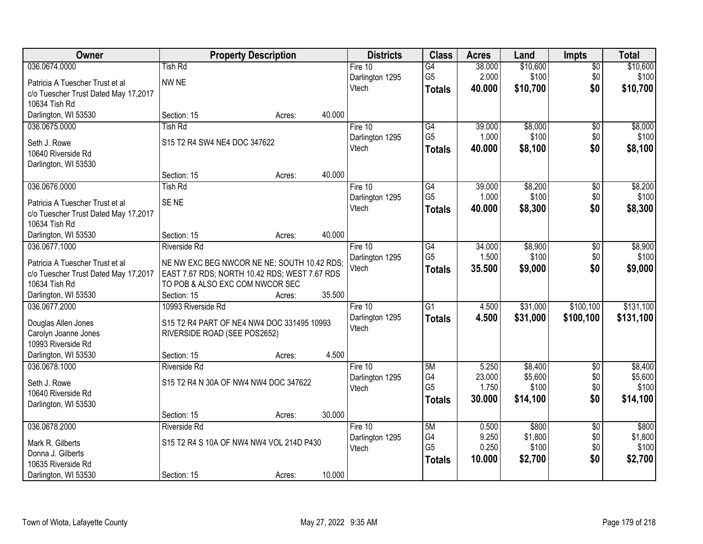| Owner                                      |                                               | <b>Property Description</b> |        | <b>Districts</b>         | <b>Class</b>    | <b>Acres</b>    | Land               | <b>Impts</b>      | <b>Total</b>       |
|--------------------------------------------|-----------------------------------------------|-----------------------------|--------|--------------------------|-----------------|-----------------|--------------------|-------------------|--------------------|
| 036.0674.0000                              | <b>Tish Rd</b>                                |                             |        | Fire $10$                | $\overline{G4}$ | 38.000          | \$10,600           | $\overline{50}$   | \$10,600           |
| Patricia A Tuescher Trust et al            | NW NE                                         |                             |        | Darlington 1295          | G <sub>5</sub>  | 2.000           | \$100              | \$0               | \$100              |
| c/o Tuescher Trust Dated May 17,2017       |                                               |                             |        | Vtech                    | <b>Totals</b>   | 40.000          | \$10,700           | \$0               | \$10,700           |
| 10634 Tish Rd                              |                                               |                             |        |                          |                 |                 |                    |                   |                    |
| Darlington, WI 53530                       | Section: 15                                   | Acres:                      | 40.000 |                          |                 |                 |                    |                   |                    |
| 036.0675.0000                              | <b>Tish Rd</b>                                |                             |        | Fire 10                  | G4              | 39.000          | \$8,000            | \$0               | \$8,000            |
|                                            |                                               |                             |        | Darlington 1295          | G <sub>5</sub>  | 1.000           | \$100              | \$0               | \$100              |
| Seth J. Rowe                               | S15 T2 R4 SW4 NE4 DOC 347622                  |                             |        | Vtech                    | <b>Totals</b>   | 40.000          | \$8,100            | \$0               | \$8,100            |
| 10640 Riverside Rd                         |                                               |                             |        |                          |                 |                 |                    |                   |                    |
| Darlington, WI 53530                       | Section: 15                                   |                             | 40.000 |                          |                 |                 |                    |                   |                    |
| 036.0676.0000                              | <b>Tish Rd</b>                                | Acres:                      |        | Fire 10                  | $\overline{G4}$ | 39.000          | \$8,200            | \$0               | \$8,200            |
|                                            |                                               |                             |        | Darlington 1295          | G <sub>5</sub>  | 1.000           | \$100              | \$0               | \$100              |
| Patricia A Tuescher Trust et al            | SE <sub>NE</sub>                              |                             |        | Vtech                    | <b>Totals</b>   | 40.000          | \$8,300            | \$0               | \$8,300            |
| c/o Tuescher Trust Dated May 17,2017       |                                               |                             |        |                          |                 |                 |                    |                   |                    |
| 10634 Tish Rd                              |                                               |                             |        |                          |                 |                 |                    |                   |                    |
| Darlington, WI 53530                       | Section: 15                                   | Acres:                      | 40.000 |                          |                 |                 |                    |                   |                    |
| 036.0677.1000                              | Riverside Rd                                  |                             |        | Fire 10                  | G4              | 34.000          | \$8,900            | $\sqrt[6]{3}$     | \$8,900            |
| Patricia A Tuescher Trust et al            | NE NW EXC BEG NWCOR NE NE; SOUTH 10.42 RDS;   |                             |        | Darlington 1295          | G <sub>5</sub>  | 1.500           | \$100              | \$0               | \$100              |
| c/o Tuescher Trust Dated May 17,2017       | EAST 7.67 RDS; NORTH 10.42 RDS; WEST 7.67 RDS |                             |        | Vtech                    | <b>Totals</b>   | 35.500          | \$9,000            | \$0               | \$9,000            |
| 10634 Tish Rd                              | TO POB & ALSO EXC COM NWCOR SEC               |                             |        |                          |                 |                 |                    |                   |                    |
| Darlington, WI 53530                       | Section: 15                                   | Acres:                      | 35.500 |                          |                 |                 |                    |                   |                    |
| 036.0677.2000                              | 10993 Riverside Rd                            |                             |        | Fire $10$                | $\overline{G1}$ | 4.500           | \$31,000           | \$100, 100        | \$131,100          |
|                                            |                                               |                             |        | Darlington 1295          | <b>Totals</b>   | 4.500           | \$31,000           | \$100,100         | \$131,100          |
| Douglas Allen Jones                        | S15 T2 R4 PART OF NE4 NW4 DOC 331495 10993    |                             |        | Vtech                    |                 |                 |                    |                   |                    |
| Carolyn Joanne Jones<br>10993 Riverside Rd | RIVERSIDE ROAD (SEE POS2652)                  |                             |        |                          |                 |                 |                    |                   |                    |
|                                            |                                               |                             | 4.500  |                          |                 |                 |                    |                   |                    |
| Darlington, WI 53530                       | Section: 15                                   | Acres:                      |        |                          | 5M              |                 |                    |                   |                    |
| 036.0678.1000                              | Riverside Rd                                  |                             |        | Fire 10                  | G4              | 5.250<br>23.000 | \$8,400<br>\$5,600 | $\sqrt{6}$<br>\$0 | \$8,400<br>\$5,600 |
| Seth J. Rowe                               | S15 T2 R4 N 30A OF NW4 NW4 DOC 347622         |                             |        | Darlington 1295<br>Vtech | G <sub>5</sub>  | 1.750           | \$100              | \$0               | \$100              |
| 10640 Riverside Rd                         |                                               |                             |        |                          | <b>Totals</b>   | 30.000          | \$14,100           | \$0               | \$14,100           |
| Darlington, WI 53530                       |                                               |                             |        |                          |                 |                 |                    |                   |                    |
|                                            | Section: 15                                   | Acres:                      | 30.000 |                          |                 |                 |                    |                   |                    |
| 036.0678.2000                              | <b>Riverside Rd</b>                           |                             |        | Fire 10                  | 5M              | 0.500           | \$800              | $\overline{50}$   | \$800              |
| Mark R. Gilberts                           | S15 T2 R4 S 10A OF NW4 NW4 VOL 214D P430      |                             |        | Darlington 1295          | G4              | 9.250           | \$1,800            | \$0               | \$1,800            |
| Donna J. Gilberts                          |                                               |                             |        | Vtech                    | G <sub>5</sub>  | 0.250           | \$100              | \$0               | \$100              |
| 10635 Riverside Rd                         |                                               |                             |        |                          | <b>Totals</b>   | 10.000          | \$2,700            | \$0               | \$2,700            |
| Darlington, WI 53530                       | Section: 15                                   | Acres:                      | 10.000 |                          |                 |                 |                    |                   |                    |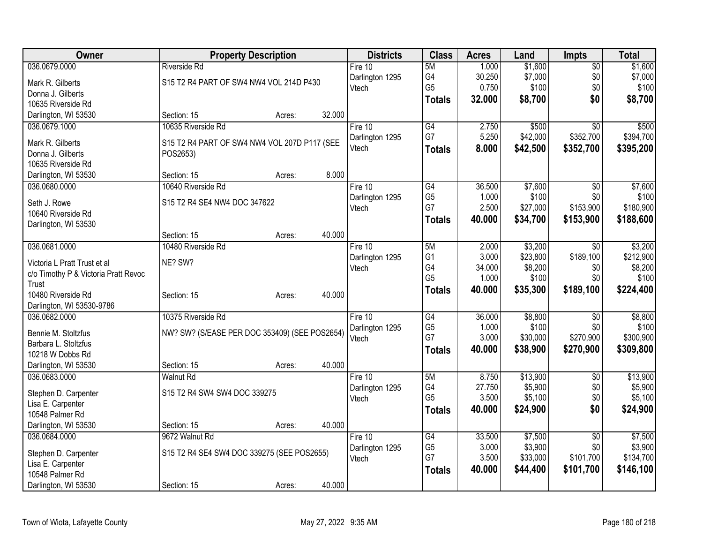| Owner                                                                |                                               | <b>Property Description</b> |        | <b>Districts</b> | <b>Class</b>    | <b>Acres</b> | Land     | <b>Impts</b>    | <b>Total</b> |
|----------------------------------------------------------------------|-----------------------------------------------|-----------------------------|--------|------------------|-----------------|--------------|----------|-----------------|--------------|
| 036.0679.0000                                                        | <b>Riverside Rd</b>                           |                             |        | Fire 10          | 5M              | 1.000        | \$1,600  | $\overline{50}$ | \$1,600      |
| Mark R. Gilberts                                                     | S15 T2 R4 PART OF SW4 NW4 VOL 214D P430       |                             |        | Darlington 1295  | G4              | 30.250       | \$7,000  | \$0             | \$7,000      |
| Donna J. Gilberts                                                    |                                               |                             |        | Vtech            | G <sub>5</sub>  | 0.750        | \$100    | \$0             | \$100        |
| 10635 Riverside Rd                                                   |                                               |                             |        |                  | Totals          | 32.000       | \$8,700  | \$0             | \$8,700      |
| Darlington, WI 53530                                                 | Section: 15                                   | Acres:                      | 32.000 |                  |                 |              |          |                 |              |
| 036.0679.1000                                                        | 10635 Riverside Rd                            |                             |        | Fire 10          | G4              | 2.750        | \$500    | $\overline{50}$ | \$500        |
| Mark R. Gilberts                                                     | S15 T2 R4 PART OF SW4 NW4 VOL 207D P117 (SEE  |                             |        | Darlington 1295  | G7              | 5.250        | \$42,000 | \$352,700       | \$394,700    |
| Donna J. Gilberts                                                    | POS2653)                                      |                             |        | Vtech            | <b>Totals</b>   | 8.000        | \$42,500 | \$352,700       | \$395,200    |
| 10635 Riverside Rd                                                   |                                               |                             |        |                  |                 |              |          |                 |              |
| Darlington, WI 53530                                                 | Section: 15                                   | Acres:                      | 8.000  |                  |                 |              |          |                 |              |
| 036.0680.0000                                                        | 10640 Riverside Rd                            |                             |        | Fire 10          | $\overline{G4}$ | 36.500       | \$7,600  | $\sqrt{6}$      | \$7,600      |
| Seth J. Rowe                                                         | S15 T2 R4 SE4 NW4 DOC 347622                  |                             |        | Darlington 1295  | G <sub>5</sub>  | 1.000        | \$100    | \$0             | \$100        |
| 10640 Riverside Rd                                                   |                                               |                             |        | Vtech            | G7              | 2.500        | \$27,000 | \$153,900       | \$180,900    |
| Darlington, WI 53530                                                 |                                               |                             |        |                  | <b>Totals</b>   | 40.000       | \$34,700 | \$153,900       | \$188,600    |
|                                                                      | Section: 15                                   | Acres:                      | 40.000 |                  |                 |              |          |                 |              |
| 036.0681.0000                                                        | 10480 Riverside Rd                            |                             |        | Fire 10          | 5M              | 2.000        | \$3,200  | \$0             | \$3,200      |
|                                                                      |                                               |                             |        | Darlington 1295  | G <sub>1</sub>  | 3.000        | \$23,800 | \$189,100       | \$212,900    |
| Victoria L Pratt Trust et al<br>c/o Timothy P & Victoria Pratt Revoc | NE? SW?                                       |                             |        | Vtech            | G4              | 34.000       | \$8,200  | \$0             | \$8,200      |
| Trust                                                                |                                               |                             |        |                  | G <sub>5</sub>  | 1.000        | \$100    | \$0             | \$100        |
| 10480 Riverside Rd                                                   | Section: 15                                   | Acres:                      | 40.000 |                  | <b>Totals</b>   | 40.000       | \$35,300 | \$189,100       | \$224,400    |
| Darlington, WI 53530-9786                                            |                                               |                             |        |                  |                 |              |          |                 |              |
| 036.0682.0000                                                        | 10375 Riverside Rd                            |                             |        | Fire 10          | G4              | 36.000       | \$8,800  | $\sqrt{6}$      | \$8,800      |
|                                                                      |                                               |                             |        | Darlington 1295  | G <sub>5</sub>  | 1.000        | \$100    | \$0             | \$100        |
| Bennie M. Stoltzfus<br>Barbara L. Stoltzfus                          | NW? SW? (S/EASE PER DOC 353409) (SEE POS2654) |                             |        | Vtech            | G7              | 3.000        | \$30,000 | \$270,900       | \$300,900    |
| 10218 W Dobbs Rd                                                     |                                               |                             |        |                  | <b>Totals</b>   | 40.000       | \$38,900 | \$270,900       | \$309,800    |
| Darlington, WI 53530                                                 | Section: 15                                   | Acres:                      | 40.000 |                  |                 |              |          |                 |              |
| 036.0683.0000                                                        | <b>Walnut Rd</b>                              |                             |        | Fire 10          | 5M              | 8.750        | \$13,900 | \$0             | \$13,900     |
|                                                                      |                                               |                             |        | Darlington 1295  | G4              | 27.750       | \$5,900  | \$0             | \$5,900      |
| Stephen D. Carpenter                                                 | S15 T2 R4 SW4 SW4 DOC 339275                  |                             |        | Vtech            | G <sub>5</sub>  | 3.500        | \$5,100  | \$0             | \$5,100      |
| Lisa E. Carpenter<br>10548 Palmer Rd                                 |                                               |                             |        |                  | <b>Totals</b>   | 40.000       | \$24,900 | \$0             | \$24,900     |
| Darlington, WI 53530                                                 | Section: 15                                   | Acres:                      | 40.000 |                  |                 |              |          |                 |              |
| 036.0684.0000                                                        | 9672 Walnut Rd                                |                             |        | Fire 10          | G4              | 33.500       | \$7,500  | $\overline{50}$ | \$7,500      |
|                                                                      |                                               |                             |        | Darlington 1295  | G <sub>5</sub>  | 3.000        | \$3,900  | \$0             | \$3,900      |
| Stephen D. Carpenter                                                 | S15 T2 R4 SE4 SW4 DOC 339275 (SEE POS2655)    |                             |        | Vtech            | G7              | 3.500        | \$33,000 | \$101,700       | \$134,700    |
| Lisa E. Carpenter                                                    |                                               |                             |        |                  | <b>Totals</b>   | 40.000       | \$44,400 | \$101,700       | \$146,100    |
| 10548 Palmer Rd                                                      |                                               |                             | 40.000 |                  |                 |              |          |                 |              |
| Darlington, WI 53530                                                 | Section: 15                                   | Acres:                      |        |                  |                 |              |          |                 |              |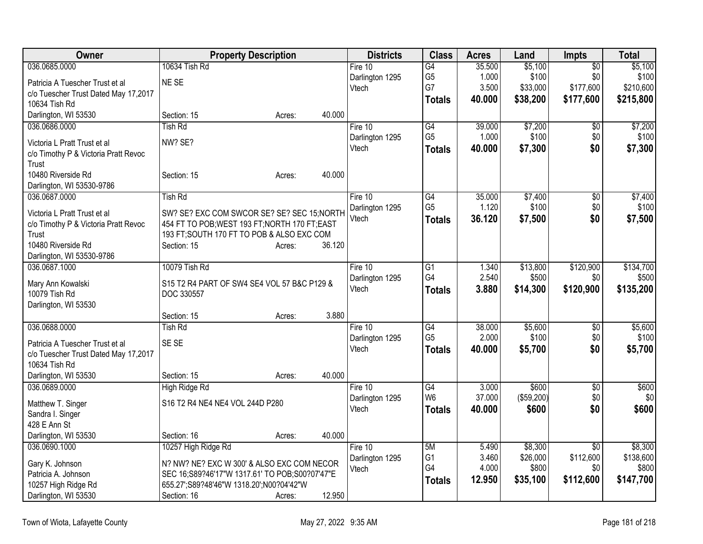| Owner                                | <b>Property Description</b>                    | <b>Districts</b>         | <b>Class</b>                      | <b>Acres</b>    | Land                | <b>Impts</b>     | <b>Total</b>       |
|--------------------------------------|------------------------------------------------|--------------------------|-----------------------------------|-----------------|---------------------|------------------|--------------------|
| 036.0685.0000                        | 10634 Tish Rd                                  | Fire 10                  | $\overline{G4}$                   | 35.500          | \$5,100             | $\overline{50}$  | \$5,100            |
| Patricia A Tuescher Trust et al      | NE SE                                          | Darlington 1295          | G <sub>5</sub>                    | 1.000           | \$100               | \$0              | \$100              |
| c/o Tuescher Trust Dated May 17,2017 |                                                | Vtech                    | G7                                | 3.500           | \$33,000            | \$177,600        | \$210,600          |
| 10634 Tish Rd                        |                                                |                          | <b>Totals</b>                     | 40.000          | \$38,200            | \$177,600        | \$215,800          |
| Darlington, WI 53530                 | 40.000<br>Section: 15<br>Acres:                |                          |                                   |                 |                     |                  |                    |
| 036.0686.0000                        | <b>Tish Rd</b>                                 | Fire 10                  | G4                                | 39.000          | \$7,200             | \$0              | \$7,200            |
| Victoria L Pratt Trust et al         | NW? SE?                                        | Darlington 1295          | G <sub>5</sub>                    | 1.000           | \$100               | \$0              | \$100              |
| c/o Timothy P & Victoria Pratt Revoc |                                                | Vtech                    | <b>Totals</b>                     | 40.000          | \$7,300             | \$0              | \$7,300            |
| Trust                                |                                                |                          |                                   |                 |                     |                  |                    |
| 10480 Riverside Rd                   | 40.000<br>Section: 15<br>Acres:                |                          |                                   |                 |                     |                  |                    |
| Darlington, WI 53530-9786            |                                                |                          |                                   |                 |                     |                  |                    |
| 036.0687.0000                        | <b>Tish Rd</b>                                 | Fire 10                  | $\overline{G4}$                   | 35.000          | \$7,400             | \$0              | \$7,400            |
| Victoria L Pratt Trust et al         | SW? SE? EXC COM SWCOR SE? SE? SEC 15; NORTH    | Darlington 1295          | G <sub>5</sub>                    | 1.120           | \$100               | \$0              | \$100              |
| c/o Timothy P & Victoria Pratt Revoc | 454 FT TO POB; WEST 193 FT; NORTH 170 FT; EAST | Vtech                    | <b>Totals</b>                     | 36.120          | \$7,500             | \$0              | \$7,500            |
| Trust                                | 193 FT; SOUTH 170 FT TO POB & ALSO EXC COM     |                          |                                   |                 |                     |                  |                    |
| 10480 Riverside Rd                   | 36.120<br>Section: 15<br>Acres:                |                          |                                   |                 |                     |                  |                    |
| Darlington, WI 53530-9786            |                                                |                          |                                   |                 |                     |                  |                    |
| 036.0687.1000                        | 10079 Tish Rd                                  | Fire 10                  | G1<br>G4                          | 1.340           | \$13,800            | \$120,900        | \$134,700          |
| Mary Ann Kowalski                    | S15 T2 R4 PART OF SW4 SE4 VOL 57 B&C P129 &    | Darlington 1295<br>Vtech | <b>Totals</b>                     | 2.540<br>3.880  | \$500<br>\$14,300   | \$0<br>\$120,900 | \$500<br>\$135,200 |
| 10079 Tish Rd                        | DOC 330557                                     |                          |                                   |                 |                     |                  |                    |
| Darlington, WI 53530                 |                                                |                          |                                   |                 |                     |                  |                    |
|                                      | 3.880<br>Section: 15<br>Acres:                 |                          |                                   |                 |                     |                  |                    |
| 036.0688.0000                        | <b>Tish Rd</b>                                 | Fire $10$                | $\overline{G4}$<br>G <sub>5</sub> | 38.000<br>2.000 | \$5,600             | \$0              | \$5,600            |
| Patricia A Tuescher Trust et al      | SE SE                                          | Darlington 1295<br>Vtech |                                   | 40.000          | \$100               | \$0<br>\$0       | \$100<br>\$5,700   |
| c/o Tuescher Trust Dated May 17,2017 |                                                |                          | <b>Totals</b>                     |                 | \$5,700             |                  |                    |
| 10634 Tish Rd                        |                                                |                          |                                   |                 |                     |                  |                    |
| Darlington, WI 53530                 | 40.000<br>Section: 15<br>Acres:                |                          |                                   |                 |                     |                  |                    |
| 036.0689.0000                        | <b>High Ridge Rd</b>                           | Fire 10                  | $\overline{G4}$<br>W <sub>6</sub> | 3.000<br>37.000 | \$600               | \$0              | \$600<br>\$0       |
| Matthew T. Singer                    | S16 T2 R4 NE4 NE4 VOL 244D P280                | Darlington 1295<br>Vtech |                                   | 40.000          | (\$59,200)<br>\$600 | \$0<br>\$0       | \$600              |
| Sandra I. Singer                     |                                                |                          | <b>Totals</b>                     |                 |                     |                  |                    |
| 428 E Ann St                         |                                                |                          |                                   |                 |                     |                  |                    |
| Darlington, WI 53530                 | 40.000<br>Section: 16<br>Acres:                |                          |                                   |                 |                     |                  |                    |
| 036.0690.1000                        | 10257 High Ridge Rd                            | Fire 10                  | 5M                                | 5.490           | \$8,300             | $\overline{30}$  | \$8,300            |
| Gary K. Johnson                      | N? NW? NE? EXC W 300' & ALSO EXC COM NECOR     | Darlington 1295<br>Vtech | G <sub>1</sub><br>G4              | 3.460<br>4.000  | \$26,000<br>\$800   | \$112,600<br>\$0 | \$138,600<br>\$800 |
| Patricia A. Johnson                  | SEC 16;S89?46'17"W 1317.61' TO POB;S00?07'47"E |                          | <b>Totals</b>                     | 12.950          | \$35,100            | \$112,600        | \$147,700          |
| 10257 High Ridge Rd                  | 655.27';S89?48'46"W 1318.20';N00?04'42"W       |                          |                                   |                 |                     |                  |                    |
| Darlington, WI 53530                 | 12.950<br>Section: 16<br>Acres:                |                          |                                   |                 |                     |                  |                    |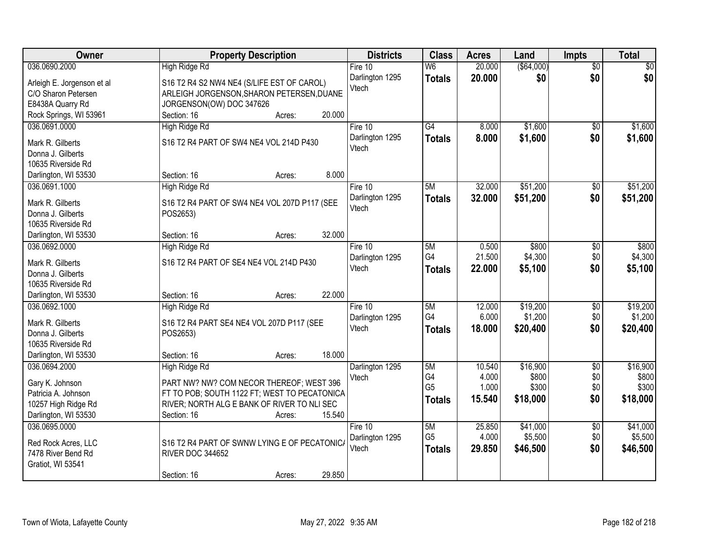| Owner                      | <b>Property Description</b>                  | <b>Districts</b> | <b>Class</b>   | <b>Acres</b> | Land       | <b>Impts</b>    | <b>Total</b>    |
|----------------------------|----------------------------------------------|------------------|----------------|--------------|------------|-----------------|-----------------|
| 036.0690.2000              | <b>High Ridge Rd</b>                         | Fire $10$        | W <sub>6</sub> | 20.000       | (\$64,000) | $\overline{50}$ | $\overline{30}$ |
| Arleigh E. Jorgenson et al | S16 T2 R4 S2 NW4 NE4 (S/LIFE EST OF CAROL)   | Darlington 1295  | <b>Totals</b>  | 20.000       | \$0        | \$0             | \$0             |
| C/O Sharon Petersen        | ARLEIGH JORGENSON, SHARON PETERSEN, DUANE    | Vtech            |                |              |            |                 |                 |
| E8438A Quarry Rd           | JORGENSON(OW) DOC 347626                     |                  |                |              |            |                 |                 |
| Rock Springs, WI 53961     | 20.000<br>Section: 16<br>Acres:              |                  |                |              |            |                 |                 |
| 036.0691.0000              | High Ridge Rd                                | Fire $10$        | G4             | 8.000        | \$1,600    | $\overline{50}$ | \$1,600         |
|                            |                                              | Darlington 1295  | <b>Totals</b>  | 8.000        | \$1,600    | \$0             | \$1,600         |
| Mark R. Gilberts           | S16 T2 R4 PART OF SW4 NE4 VOL 214D P430      | Vtech            |                |              |            |                 |                 |
| Donna J. Gilberts          |                                              |                  |                |              |            |                 |                 |
| 10635 Riverside Rd         |                                              |                  |                |              |            |                 |                 |
| Darlington, WI 53530       | 8.000<br>Section: 16<br>Acres:               |                  |                |              |            |                 |                 |
| 036.0691.1000              | High Ridge Rd                                | Fire 10          | 5M             | 32.000       | \$51,200   | \$0             | \$51,200        |
| Mark R. Gilberts           | S16 T2 R4 PART OF SW4 NE4 VOL 207D P117 (SEE | Darlington 1295  | <b>Totals</b>  | 32.000       | \$51,200   | \$0             | \$51,200        |
| Donna J. Gilberts          | POS2653)                                     | Vtech            |                |              |            |                 |                 |
| 10635 Riverside Rd         |                                              |                  |                |              |            |                 |                 |
| Darlington, WI 53530       | 32.000<br>Section: 16<br>Acres:              |                  |                |              |            |                 |                 |
| 036.0692.0000              | <b>High Ridge Rd</b>                         | Fire 10          | 5M             | 0.500        | \$800      | \$0             | \$800           |
|                            |                                              | Darlington 1295  | G4             | 21.500       | \$4,300    | \$0             | \$4,300         |
| Mark R. Gilberts           | S16 T2 R4 PART OF SE4 NE4 VOL 214D P430      | Vtech            | <b>Totals</b>  | 22.000       | \$5,100    | \$0             | \$5,100         |
| Donna J. Gilberts          |                                              |                  |                |              |            |                 |                 |
| 10635 Riverside Rd         |                                              |                  |                |              |            |                 |                 |
| Darlington, WI 53530       | 22.000<br>Section: 16<br>Acres:              |                  |                |              |            |                 |                 |
| 036.0692.1000              | High Ridge Rd                                | Fire 10          | 5M             | 12.000       | \$19,200   | \$0             | \$19,200        |
| Mark R. Gilberts           | S16 T2 R4 PART SE4 NE4 VOL 207D P117 (SEE    | Darlington 1295  | G4             | 6.000        | \$1,200    | \$0             | \$1,200         |
| Donna J. Gilberts          | POS2653)                                     | Vtech            | <b>Totals</b>  | 18.000       | \$20,400   | \$0             | \$20,400        |
| 10635 Riverside Rd         |                                              |                  |                |              |            |                 |                 |
| Darlington, WI 53530       | 18.000<br>Section: 16<br>Acres:              |                  |                |              |            |                 |                 |
| 036.0694.2000              | High Ridge Rd                                | Darlington 1295  | 5M             | 10.540       | \$16,900   | $\overline{60}$ | \$16,900        |
|                            |                                              | Vtech            | G4             | 4.000        | \$800      | \$0             | \$800           |
| Gary K. Johnson            | PART NW? NW? COM NECOR THEREOF; WEST 396     |                  | G <sub>5</sub> | 1.000        | \$300      | \$0             | \$300           |
| Patricia A. Johnson        | FT TO POB; SOUTH 1122 FT; WEST TO PECATONICA |                  | Totals         | 15.540       | \$18,000   | \$0             | \$18,000        |
| 10257 High Ridge Rd        | RIVER; NORTH ALG E BANK OF RIVER TO NLI SEC  |                  |                |              |            |                 |                 |
| Darlington, WI 53530       | 15.540<br>Section: 16<br>Acres:              |                  |                |              |            |                 |                 |
| 036.0695.0000              |                                              | Fire $10$        | 5M             | 25.850       | \$41,000   | $\overline{30}$ | \$41,000        |
| Red Rock Acres, LLC        | S16 T2 R4 PART OF SWNW LYING E OF PECATONIC/ | Darlington 1295  | G <sub>5</sub> | 4.000        | \$5,500    | \$0             | \$5,500         |
| 7478 River Bend Rd         | <b>RIVER DOC 344652</b>                      | Vtech            | <b>Totals</b>  | 29.850       | \$46,500   | \$0             | \$46,500        |
| Gratiot, WI 53541          |                                              |                  |                |              |            |                 |                 |
|                            | 29.850<br>Section: 16<br>Acres:              |                  |                |              |            |                 |                 |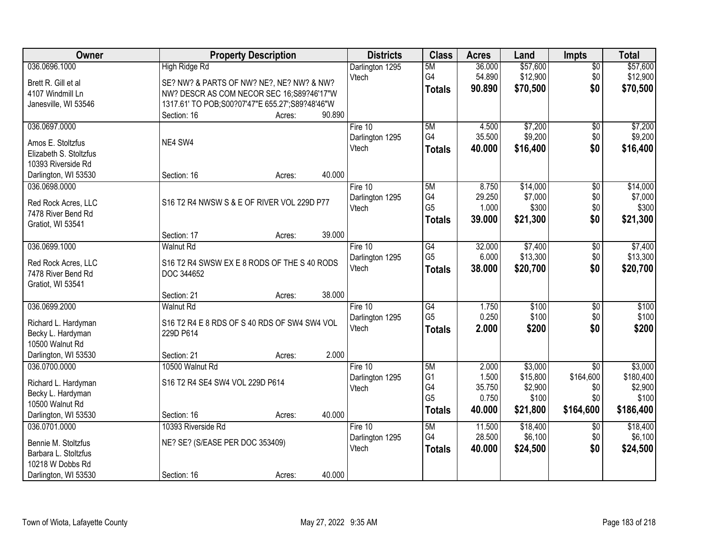| Owner                  | <b>Property Description</b>                     | <b>Districts</b> | <b>Class</b>   | <b>Acres</b> | Land     | <b>Impts</b>         | <b>Total</b> |
|------------------------|-------------------------------------------------|------------------|----------------|--------------|----------|----------------------|--------------|
| 036.0696.1000          | <b>High Ridge Rd</b>                            | Darlington 1295  | 5M             | 36.000       | \$57,600 | $\overline{50}$      | \$57,600     |
| Brett R. Gill et al    | SE? NW? & PARTS OF NW? NE?, NE? NW? & NW?       | Vtech            | G4             | 54.890       | \$12,900 | \$0                  | \$12,900     |
| 4107 Windmill Ln       | NW? DESCR AS COM NECOR SEC 16;S89?46'17"W       |                  | <b>Totals</b>  | 90.890       | \$70,500 | \$0                  | \$70,500     |
| Janesville, WI 53546   | 1317.61' TO POB;S00?07'47"E 655.27';S89?48'46"W |                  |                |              |          |                      |              |
|                        | 90.890<br>Section: 16<br>Acres:                 |                  |                |              |          |                      |              |
| 036.0697.0000          |                                                 | Fire 10          | 5M             | 4.500        | \$7,200  | $\overline{50}$      | \$7,200      |
| Amos E. Stoltzfus      | NE4 SW4                                         | Darlington 1295  | G4             | 35.500       | \$9,200  | \$0                  | \$9,200      |
| Elizabeth S. Stoltzfus |                                                 | Vtech            | <b>Totals</b>  | 40.000       | \$16,400 | \$0                  | \$16,400     |
| 10393 Riverside Rd     |                                                 |                  |                |              |          |                      |              |
| Darlington, WI 53530   | 40.000<br>Section: 16<br>Acres:                 |                  |                |              |          |                      |              |
| 036.0698.0000          |                                                 | Fire 10          | 5M             | 8.750        | \$14,000 | \$0                  | \$14,000     |
|                        |                                                 | Darlington 1295  | G4             | 29.250       | \$7,000  | \$0                  | \$7,000      |
| Red Rock Acres, LLC    | S16 T2 R4 NWSW S & E OF RIVER VOL 229D P77      | Vtech            | G <sub>5</sub> | 1.000        | \$300    | \$0                  | \$300        |
| 7478 River Bend Rd     |                                                 |                  | <b>Totals</b>  | 39.000       | \$21,300 | \$0                  | \$21,300     |
| Gratiot, WI 53541      | 39.000                                          |                  |                |              |          |                      |              |
| 036.0699.1000          | Section: 17<br>Acres:<br><b>Walnut Rd</b>       | Fire 10          | G4             | 32.000       | \$7,400  |                      | \$7,400      |
|                        |                                                 | Darlington 1295  | G <sub>5</sub> | 6.000        | \$13,300 | $\sqrt[6]{3}$<br>\$0 | \$13,300     |
| Red Rock Acres, LLC    | S16 T2 R4 SWSW EX E 8 RODS OF THE S 40 RODS     | Vtech            |                | 38.000       | \$20,700 | \$0                  | \$20,700     |
| 7478 River Bend Rd     | DOC 344652                                      |                  | <b>Totals</b>  |              |          |                      |              |
| Gratiot, WI 53541      |                                                 |                  |                |              |          |                      |              |
|                        | 38.000<br>Section: 21<br>Acres:                 |                  |                |              |          |                      |              |
| 036.0699.2000          | <b>Walnut Rd</b>                                | Fire 10          | G4             | 1.750        | \$100    | $\overline{50}$      | \$100        |
| Richard L. Hardyman    | S16 T2 R4 E 8 RDS OF S 40 RDS OF SW4 SW4 VOL    | Darlington 1295  | G <sub>5</sub> | 0.250        | \$100    | \$0                  | \$100        |
| Becky L. Hardyman      | 229D P614                                       | Vtech            | <b>Totals</b>  | 2.000        | \$200    | \$0                  | \$200        |
| 10500 Walnut Rd        |                                                 |                  |                |              |          |                      |              |
| Darlington, WI 53530   | 2.000<br>Section: 21<br>Acres:                  |                  |                |              |          |                      |              |
| 036.0700.0000          | 10500 Walnut Rd                                 | Fire 10          | 5M             | 2.000        | \$3,000  | $\overline{50}$      | \$3,000      |
| Richard L. Hardyman    | S16 T2 R4 SE4 SW4 VOL 229D P614                 | Darlington 1295  | G <sub>1</sub> | 1.500        | \$15,800 | \$164,600            | \$180,400    |
| Becky L. Hardyman      |                                                 | Vtech            | G4             | 35.750       | \$2,900  | \$0                  | \$2,900      |
| 10500 Walnut Rd        |                                                 |                  | G <sub>5</sub> | 0.750        | \$100    | \$0                  | \$100        |
| Darlington, WI 53530   | 40.000<br>Section: 16<br>Acres:                 |                  | <b>Totals</b>  | 40.000       | \$21,800 | \$164,600            | \$186,400    |
| 036.0701.0000          | 10393 Riverside Rd                              | Fire $10$        | 5M             | 11.500       | \$18,400 | \$0                  | \$18,400     |
|                        |                                                 | Darlington 1295  | G4             | 28.500       | \$6,100  | \$0                  | \$6,100      |
| Bennie M. Stoltzfus    | NE? SE? (S/EASE PER DOC 353409)                 | Vtech            | <b>Totals</b>  | 40.000       | \$24,500 | \$0                  | \$24,500     |
| Barbara L. Stoltzfus   |                                                 |                  |                |              |          |                      |              |
| 10218 W Dobbs Rd       |                                                 |                  |                |              |          |                      |              |
| Darlington, WI 53530   | 40.000<br>Section: 16<br>Acres:                 |                  |                |              |          |                      |              |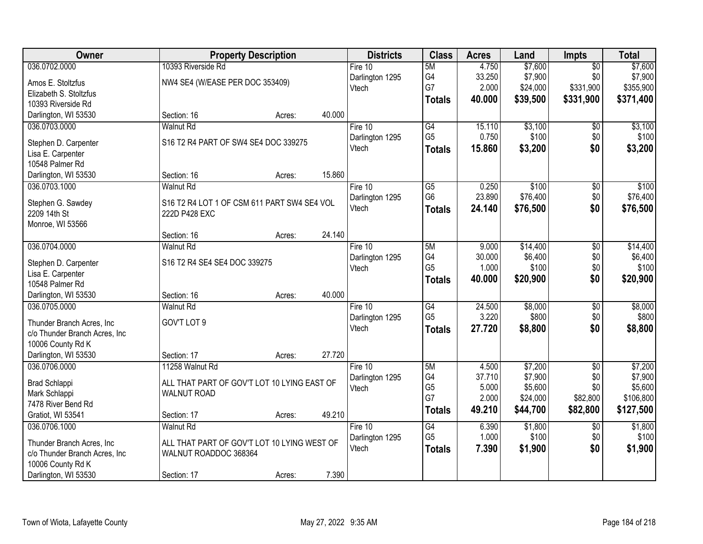| Owner                                     |                                             | <b>Property Description</b> |        | <b>Districts</b>         | <b>Class</b>         | <b>Acres</b>   | Land     | <b>Impts</b>    | <b>Total</b>     |
|-------------------------------------------|---------------------------------------------|-----------------------------|--------|--------------------------|----------------------|----------------|----------|-----------------|------------------|
| 036.0702.0000                             | 10393 Riverside Rd                          |                             |        | Fire $10$                | 5M                   | 4.750          | \$7,600  | $\overline{50}$ | \$7,600          |
| Amos E. Stoltzfus                         | NW4 SE4 (W/EASE PER DOC 353409)             |                             |        | Darlington 1295          | G4                   | 33.250         | \$7,900  | \$0             | \$7,900          |
| Elizabeth S. Stoltzfus                    |                                             |                             |        | Vtech                    | G7                   | 2.000          | \$24,000 | \$331,900       | \$355,900        |
| 10393 Riverside Rd                        |                                             |                             |        |                          | <b>Totals</b>        | 40.000         | \$39,500 | \$331,900       | \$371,400        |
| Darlington, WI 53530                      | Section: 16                                 | Acres:                      | 40.000 |                          |                      |                |          |                 |                  |
| 036.0703.0000                             | <b>Walnut Rd</b>                            |                             |        | Fire 10                  | G4                   | 15.110         | \$3,100  | \$0             | \$3,100          |
| Stephen D. Carpenter                      | S16 T2 R4 PART OF SW4 SE4 DOC 339275        |                             |        | Darlington 1295          | G <sub>5</sub>       | 0.750          | \$100    | \$0             | \$100            |
| Lisa E. Carpenter                         |                                             |                             |        | Vtech                    | <b>Totals</b>        | 15.860         | \$3,200  | \$0             | \$3,200          |
| 10548 Palmer Rd                           |                                             |                             |        |                          |                      |                |          |                 |                  |
| Darlington, WI 53530                      | Section: 16                                 | Acres:                      | 15.860 |                          |                      |                |          |                 |                  |
| 036.0703.1000                             | <b>Walnut Rd</b>                            |                             |        | Fire 10                  | $\overline{G5}$      | 0.250          | \$100    | $\overline{50}$ | \$100            |
| Stephen G. Sawdey                         | S16 T2 R4 LOT 1 OF CSM 611 PART SW4 SE4 VOL |                             |        | Darlington 1295          | G <sub>6</sub>       | 23.890         | \$76,400 | \$0             | \$76,400         |
| 2209 14th St                              | 222D P428 EXC                               |                             |        | Vtech                    | <b>Totals</b>        | 24.140         | \$76,500 | \$0             | \$76,500         |
| Monroe, WI 53566                          |                                             |                             |        |                          |                      |                |          |                 |                  |
|                                           | Section: 16                                 | Acres:                      | 24.140 |                          |                      |                |          |                 |                  |
| 036.0704.0000                             | <b>Walnut Rd</b>                            |                             |        | Fire 10                  | 5M                   | 9.000          | \$14,400 | \$0             | \$14,400         |
|                                           |                                             |                             |        | Darlington 1295          | G4                   | 30.000         | \$6,400  | \$0             | \$6,400          |
| Stephen D. Carpenter<br>Lisa E. Carpenter | S16 T2 R4 SE4 SE4 DOC 339275                |                             |        | Vtech                    | G <sub>5</sub>       | 1.000          | \$100    | \$0             | \$100            |
| 10548 Palmer Rd                           |                                             |                             |        |                          | <b>Totals</b>        | 40.000         | \$20,900 | \$0             | \$20,900         |
| Darlington, WI 53530                      | Section: 16                                 | Acres:                      | 40.000 |                          |                      |                |          |                 |                  |
| 036.0705.0000                             | <b>Walnut Rd</b>                            |                             |        | Fire 10                  | G4                   | 24.500         | \$8,000  | $\overline{30}$ | \$8,000          |
|                                           |                                             |                             |        | Darlington 1295          | G <sub>5</sub>       | 3.220          | \$800    | \$0             | \$800            |
| Thunder Branch Acres, Inc.                | GOV'T LOT 9                                 |                             |        | Vtech                    | <b>Totals</b>        | 27.720         | \$8,800  | \$0             | \$8,800          |
| c/o Thunder Branch Acres, Inc             |                                             |                             |        |                          |                      |                |          |                 |                  |
| 10006 County Rd K                         | Section: 17                                 |                             | 27.720 |                          |                      |                |          |                 |                  |
| Darlington, WI 53530<br>036.0706.0000     | 11258 Walnut Rd                             | Acres:                      |        | Fire 10                  | 5M                   | 4.500          | \$7,200  | $\sqrt{6}$      | \$7,200          |
|                                           |                                             |                             |        | Darlington 1295          | G4                   | 37.710         | \$7,900  | \$0             | \$7,900          |
| Brad Schlappi                             | ALL THAT PART OF GOV'T LOT 10 LYING EAST OF |                             |        | Vtech                    | G <sub>5</sub>       | 5.000          | \$5,600  | \$0             | \$5,600          |
| Mark Schlappi                             | <b>WALNUT ROAD</b>                          |                             |        |                          | G7                   | 2.000          | \$24,000 | \$82,800        | \$106,800        |
| 7478 River Bend Rd                        |                                             |                             |        |                          | <b>Totals</b>        | 49.210         | \$44,700 | \$82,800        | \$127,500        |
| Gratiot, WI 53541                         | Section: 17                                 | Acres:                      | 49.210 |                          |                      |                |          |                 |                  |
| 036.0706.1000                             | <b>Walnut Rd</b>                            |                             |        | Fire 10                  | G4<br>G <sub>5</sub> | 6.390<br>1.000 | \$1,800  | $\overline{30}$ | \$1,800<br>\$100 |
| Thunder Branch Acres, Inc                 | ALL THAT PART OF GOV'T LOT 10 LYING WEST OF |                             |        | Darlington 1295<br>Vtech |                      |                | \$100    | \$0             |                  |
| c/o Thunder Branch Acres, Inc             | WALNUT ROADDOC 368364                       |                             |        |                          | <b>Totals</b>        | 7.390          | \$1,900  | \$0             | \$1,900          |
| 10006 County Rd K                         |                                             |                             |        |                          |                      |                |          |                 |                  |
| Darlington, WI 53530                      | Section: 17                                 | Acres:                      | 7.390  |                          |                      |                |          |                 |                  |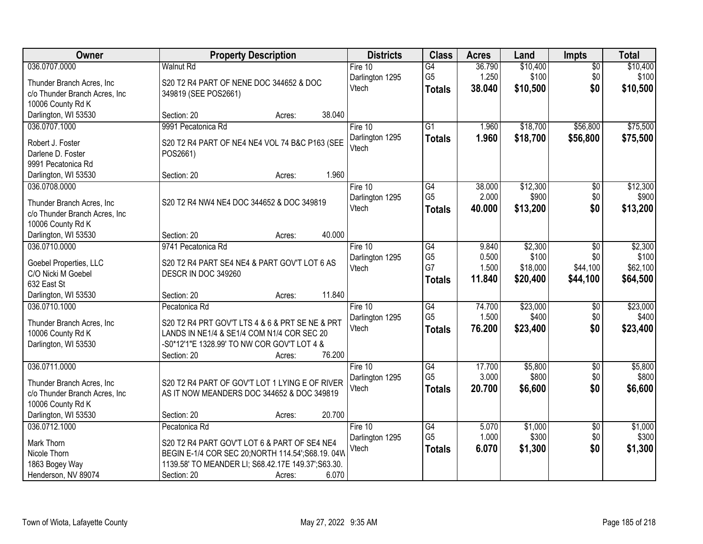| Owner                                                       | <b>Property Description</b>                         | <b>Districts</b>         | <b>Class</b>                      | <b>Acres</b>    | Land     | <b>Impts</b>    | <b>Total</b> |
|-------------------------------------------------------------|-----------------------------------------------------|--------------------------|-----------------------------------|-----------------|----------|-----------------|--------------|
| 036.0707.0000                                               | <b>Walnut Rd</b>                                    | Fire $10$                | $\overline{G4}$                   | 36.790          | \$10,400 | $\overline{50}$ | \$10,400     |
| Thunder Branch Acres, Inc.                                  | S20 T2 R4 PART OF NENE DOC 344652 & DOC             | Darlington 1295          | G <sub>5</sub>                    | 1.250           | \$100    | \$0             | \$100        |
| c/o Thunder Branch Acres, Inc                               | 349819 (SEE POS2661)                                | Vtech                    | <b>Totals</b>                     | 38.040          | \$10,500 | \$0             | \$10,500     |
| 10006 County Rd K                                           |                                                     |                          |                                   |                 |          |                 |              |
| Darlington, WI 53530                                        | 38.040<br>Section: 20<br>Acres:                     |                          |                                   |                 |          |                 |              |
| 036.0707.1000                                               | 9991 Pecatonica Rd                                  | Fire 10                  | $\overline{G1}$                   | 1.960           | \$18,700 | \$56,800        | \$75,500     |
| Robert J. Foster                                            | S20 T2 R4 PART OF NE4 NE4 VOL 74 B&C P163 (SEE      | Darlington 1295          | Totals                            | 1.960           | \$18,700 | \$56,800        | \$75,500     |
| Darlene D. Foster                                           | POS2661)                                            | Vtech                    |                                   |                 |          |                 |              |
| 9991 Pecatonica Rd                                          |                                                     |                          |                                   |                 |          |                 |              |
| Darlington, WI 53530                                        | 1.960<br>Section: 20<br>Acres:                      |                          |                                   |                 |          |                 |              |
| 036.0708.0000                                               |                                                     | Fire 10                  | $\overline{G4}$                   | 38.000          | \$12,300 | $\overline{50}$ | \$12,300     |
|                                                             |                                                     | Darlington 1295          | G <sub>5</sub>                    | 2.000           | \$900    | \$0             | \$900        |
| Thunder Branch Acres, Inc.<br>c/o Thunder Branch Acres, Inc | S20 T2 R4 NW4 NE4 DOC 344652 & DOC 349819           | Vtech                    | <b>Totals</b>                     | 40.000          | \$13,200 | \$0             | \$13,200     |
| 10006 County Rd K                                           |                                                     |                          |                                   |                 |          |                 |              |
| Darlington, WI 53530                                        | 40.000<br>Section: 20<br>Acres:                     |                          |                                   |                 |          |                 |              |
| 036.0710.0000                                               | 9741 Pecatonica Rd                                  | Fire 10                  | $\overline{G4}$                   | 9.840           | \$2,300  | \$0             | \$2,300      |
|                                                             |                                                     | Darlington 1295          | G <sub>5</sub>                    | 0.500           | \$100    | \$0             | \$100        |
| Goebel Properties, LLC                                      | S20 T2 R4 PART SE4 NE4 & PART GOV'T LOT 6 AS        | Vtech                    | G7                                | 1.500           | \$18,000 | \$44,100        | \$62,100     |
| C/O Nicki M Goebel                                          | DESCR IN DOC 349260                                 |                          | <b>Totals</b>                     | 11.840          | \$20,400 | \$44,100        | \$64,500     |
| 632 East St<br>Darlington, WI 53530                         | 11.840<br>Section: 20<br>Acres:                     |                          |                                   |                 |          |                 |              |
| 036.0710.1000                                               | Pecatonica Rd                                       | Fire 10                  | $\overline{G4}$                   | 74.700          | \$23,000 | $\overline{30}$ | \$23,000     |
|                                                             |                                                     | Darlington 1295          | G <sub>5</sub>                    | 1.500           | \$400    | \$0             | \$400        |
| Thunder Branch Acres, Inc.                                  | S20 T2 R4 PRT GOV'T LTS 4 & 6 & PRT SE NE & PRT     | Vtech                    | <b>Totals</b>                     | 76.200          | \$23,400 | \$0             | \$23,400     |
| 10006 County Rd K                                           | LANDS IN NE1/4 & SE1/4 COM N1/4 COR SEC 20          |                          |                                   |                 |          |                 |              |
| Darlington, WI 53530                                        | -S0*12'1"E 1328.99' TO NW COR GOV'T LOT 4 &         |                          |                                   |                 |          |                 |              |
|                                                             | 76.200<br>Section: 20<br>Acres:                     |                          |                                   |                 |          |                 |              |
| 036.0711.0000                                               |                                                     | Fire 10                  | $\overline{G4}$<br>G <sub>5</sub> | 17.700<br>3.000 | \$5,800  | $\overline{60}$ | \$5,800      |
| Thunder Branch Acres, Inc.                                  | S20 T2 R4 PART OF GOV'T LOT 1 LYING E OF RIVER      | Darlington 1295<br>Vtech |                                   |                 | \$800    | \$0             | \$800        |
| c/o Thunder Branch Acres, Inc                               | AS IT NOW MEANDERS DOC 344652 & DOC 349819          |                          | <b>Totals</b>                     | 20.700          | \$6,600  | \$0             | \$6,600      |
| 10006 County Rd K                                           |                                                     |                          |                                   |                 |          |                 |              |
| Darlington, WI 53530                                        | 20.700<br>Section: 20<br>Acres:                     |                          |                                   |                 |          |                 |              |
| 036.0712.1000                                               | Pecatonica Rd                                       | Fire 10                  | G4                                | 5.070           | \$1,000  | $\overline{50}$ | \$1,000      |
| Mark Thorn                                                  | S20 T2 R4 PART GOV'T LOT 6 & PART OF SE4 NE4        | Darlington 1295          | G <sub>5</sub>                    | 1.000           | \$300    | \$0             | \$300        |
| Nicole Thorn                                                | BEGIN E-1/4 COR SEC 20; NORTH 114.54'; S68.19. 04W  | Vtech                    | <b>Totals</b>                     | 6.070           | \$1,300  | \$0             | \$1,300      |
| 1863 Bogey Way                                              | 1139.58' TO MEANDER LI; S68.42.17E 149.37'; S63.30. |                          |                                   |                 |          |                 |              |
| Henderson, NV 89074                                         | 6.070<br>Section: 20<br>Acres:                      |                          |                                   |                 |          |                 |              |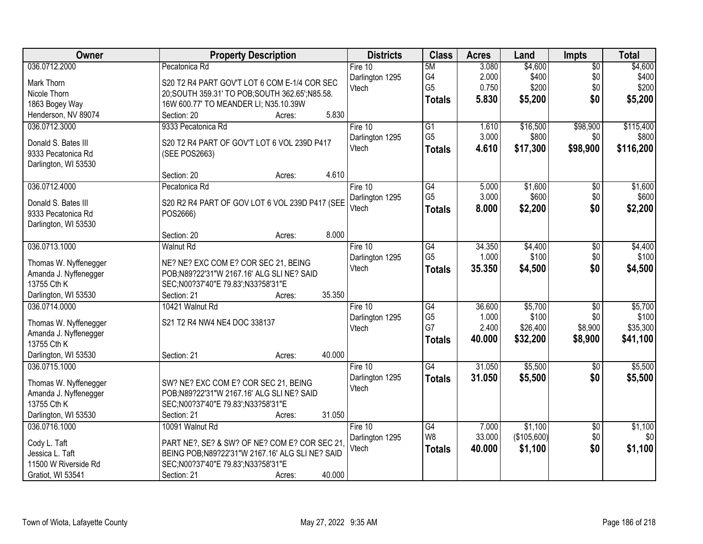| Owner                                   | <b>Property Description</b>                                                            | <b>Districts</b> | <b>Class</b>    | <b>Acres</b> | Land        | Impts           | <b>Total</b> |
|-----------------------------------------|----------------------------------------------------------------------------------------|------------------|-----------------|--------------|-------------|-----------------|--------------|
| 036.0712.2000                           | Pecatonica Rd                                                                          | Fire $10$        | 5M              | 3.080        | \$4,600     | $\overline{50}$ | \$4,600      |
| Mark Thorn                              | S20 T2 R4 PART GOV'T LOT 6 COM E-1/4 COR SEC                                           | Darlington 1295  | G4              | 2.000        | \$400       | \$0             | \$400        |
| Nicole Thorn                            | 20; SOUTH 359.31' TO POB; SOUTH 362.65'; N85.58.                                       | Vtech            | G <sub>5</sub>  | 0.750        | \$200       | \$0             | \$200        |
| 1863 Bogey Way                          | 16W 600.77' TO MEANDER LI; N35.10.39W                                                  |                  | <b>Totals</b>   | 5.830        | \$5,200     | \$0             | \$5,200      |
| Henderson, NV 89074                     | 5.830<br>Section: 20<br>Acres:                                                         |                  |                 |              |             |                 |              |
| 036.0712.3000                           | 9333 Pecatonica Rd                                                                     | Fire 10          | G1              | 1.610        | \$16,500    | \$98,900        | \$115,400    |
|                                         |                                                                                        | Darlington 1295  | G <sub>5</sub>  | 3.000        | \$800       | \$0             | \$800        |
| Donald S. Bates III                     | S20 T2 R4 PART OF GOV'T LOT 6 VOL 239D P417                                            | Vtech            | <b>Totals</b>   | 4.610        | \$17,300    | \$98,900        | \$116,200    |
| 9333 Pecatonica Rd                      | (SEE POS2663)                                                                          |                  |                 |              |             |                 |              |
| Darlington, WI 53530                    |                                                                                        |                  |                 |              |             |                 |              |
|                                         | 4.610<br>Section: 20<br>Acres:                                                         |                  |                 |              |             |                 |              |
| 036.0712.4000                           | Pecatonica Rd                                                                          | Fire 10          | $\overline{G4}$ | 5.000        | \$1,600     | $\overline{50}$ | \$1,600      |
| Donald S. Bates III                     | S20 R2 R4 PART OF GOV LOT 6 VOL 239D P417 (SEE                                         | Darlington 1295  | G <sub>5</sub>  | 3.000        | \$600       | \$0             | \$600        |
| 9333 Pecatonica Rd                      | POS2666)                                                                               | Vtech            | <b>Totals</b>   | 8.000        | \$2,200     | \$0             | \$2,200      |
| Darlington, WI 53530                    |                                                                                        |                  |                 |              |             |                 |              |
|                                         | 8.000<br>Section: 20<br>Acres:                                                         |                  |                 |              |             |                 |              |
| 036.0713.1000                           | <b>Walnut Rd</b>                                                                       | Fire 10          | G4              | 34.350       | \$4,400     | \$0             | \$4,400      |
| Thomas W. Nyffenegger                   | NE? NE? EXC COM E? COR SEC 21, BEING                                                   | Darlington 1295  | G <sub>5</sub>  | 1.000        | \$100       | \$0             | \$100        |
| Amanda J. Nyffenegger                   | POB;N89?22'31"W 2167.16' ALG SLI NE? SAID                                              | Vtech            | <b>Totals</b>   | 35.350       | \$4,500     | \$0             | \$4,500      |
| 13755 Cth K                             | SEC;N00?37'40"E 79.83';N33?58'31"E                                                     |                  |                 |              |             |                 |              |
| Darlington, WI 53530                    | 35.350<br>Section: 21<br>Acres:                                                        |                  |                 |              |             |                 |              |
| 036.0714.0000                           | 10421 Walnut Rd                                                                        | Fire 10          | $\overline{G4}$ | 36.600       | \$5,700     | $\overline{50}$ | \$5,700      |
|                                         |                                                                                        | Darlington 1295  | G <sub>5</sub>  | 1.000        | \$100       | \$0             | \$100        |
| Thomas W. Nyffenegger                   | S21 T2 R4 NW4 NE4 DOC 338137                                                           | Vtech            | G7              | 2.400        | \$26,400    | \$8,900         | \$35,300     |
| Amanda J. Nyffenegger                   |                                                                                        |                  | <b>Totals</b>   | 40.000       | \$32,200    | \$8,900         | \$41,100     |
| 13755 Cth K                             |                                                                                        |                  |                 |              |             |                 |              |
| Darlington, WI 53530                    | 40.000<br>Section: 21<br>Acres:                                                        |                  |                 |              |             |                 |              |
| 036.0715.1000                           |                                                                                        | Fire 10          | G4              | 31.050       | \$5,500     | $\sqrt{6}$      | \$5,500      |
| Thomas W. Nyffenegger                   | SW? NE? EXC COM E? COR SEC 21, BEING                                                   | Darlington 1295  | <b>Totals</b>   | 31.050       | \$5,500     | \$0             | \$5,500      |
| Amanda J. Nyffenegger                   | POB;N89?22'31"W 2167.16' ALG SLI NE? SAID                                              | Vtech            |                 |              |             |                 |              |
| 13755 Cth K                             | SEC;N00?37'40"E 79.83';N33?58'31"E                                                     |                  |                 |              |             |                 |              |
| Darlington, WI 53530                    | 31.050<br>Section: 21<br>Acres:                                                        |                  |                 |              |             |                 |              |
| 036.0716.1000                           | 10091 Walnut Rd                                                                        | Fire 10          | G4              | 7.000        | \$1,100     | $\overline{50}$ | \$1,100      |
|                                         |                                                                                        | Darlington 1295  | W <sub>8</sub>  | 33.000       | (\$105,600) | \$0             | \$0          |
| Cody L. Taft                            | PART NE?, SE? & SW? OF NE? COM E? COR SEC 21                                           | Vtech            | <b>Totals</b>   | 40.000       | \$1,100     | \$0             | \$1,100      |
| Jessica L. Taft<br>11500 W Riverside Rd | BEING POB; N89?22'31"W 2167.16' ALG SLI NE? SAID<br>SEC;N00?37'40"E 79.83';N33?58'31"E |                  |                 |              |             |                 |              |
|                                         | 40.000                                                                                 |                  |                 |              |             |                 |              |
| Gratiot, WI 53541                       | Section: 21<br>Acres:                                                                  |                  |                 |              |             |                 |              |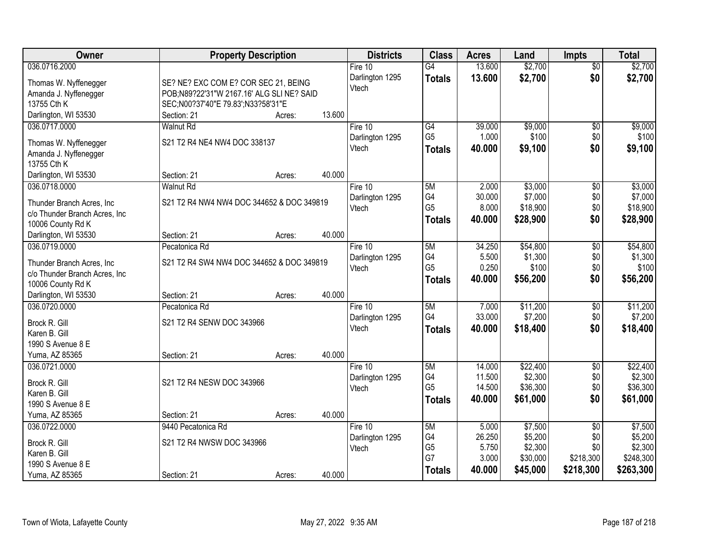| Owner                         | <b>Property Description</b>               |        |        | <b>Districts</b>         | <b>Class</b>    | <b>Acres</b>     | Land                | <b>Impts</b>    | <b>Total</b>        |
|-------------------------------|-------------------------------------------|--------|--------|--------------------------|-----------------|------------------|---------------------|-----------------|---------------------|
| 036.0716.2000                 |                                           |        |        | Fire $10$                | $\overline{G4}$ | 13.600           | \$2,700             | $\overline{50}$ | \$2,700             |
| Thomas W. Nyffenegger         | SE? NE? EXC COM E? COR SEC 21, BEING      |        |        | Darlington 1295          | <b>Totals</b>   | 13.600           | \$2,700             | \$0             | \$2,700             |
| Amanda J. Nyffenegger         | POB;N89?22'31"W 2167.16' ALG SLI NE? SAID |        |        | Vtech                    |                 |                  |                     |                 |                     |
| 13755 Cth K                   | SEC;N00?37'40"E 79.83';N33?58'31"E        |        |        |                          |                 |                  |                     |                 |                     |
| Darlington, WI 53530          | Section: 21                               | Acres: | 13.600 |                          |                 |                  |                     |                 |                     |
| 036.0717.0000                 | <b>Walnut Rd</b>                          |        |        | Fire 10                  | G4              | 39.000           | \$9,000             | \$0             | \$9,000             |
|                               |                                           |        |        | Darlington 1295          | G <sub>5</sub>  | 1.000            | \$100               | \$0             | \$100               |
| Thomas W. Nyffenegger         | S21 T2 R4 NE4 NW4 DOC 338137              |        |        | Vtech                    | <b>Totals</b>   | 40.000           | \$9,100             | \$0             | \$9,100             |
| Amanda J. Nyffenegger         |                                           |        |        |                          |                 |                  |                     |                 |                     |
| 13755 Cth K                   |                                           |        | 40.000 |                          |                 |                  |                     |                 |                     |
| Darlington, WI 53530          | Section: 21<br><b>Walnut Rd</b>           | Acres: |        |                          | 5M              | 2.000            | \$3,000             |                 |                     |
| 036.0718.0000                 |                                           |        |        | Fire 10                  | G4              | 30.000           | \$7,000             | \$0             | \$3,000<br>\$7,000  |
| Thunder Branch Acres, Inc.    | S21 T2 R4 NW4 NW4 DOC 344652 & DOC 349819 |        |        | Darlington 1295<br>Vtech | G <sub>5</sub>  | 8.000            | \$18,900            | \$0<br>\$0      | \$18,900            |
| c/o Thunder Branch Acres, Inc |                                           |        |        |                          |                 | 40.000           | \$28,900            | \$0             | \$28,900            |
| 10006 County Rd K             |                                           |        |        |                          | <b>Totals</b>   |                  |                     |                 |                     |
| Darlington, WI 53530          | Section: 21                               | Acres: | 40.000 |                          |                 |                  |                     |                 |                     |
| 036.0719.0000                 | Pecatonica Rd                             |        |        | Fire 10                  | 5M              | 34.250           | \$54,800            | \$0             | \$54,800            |
| Thunder Branch Acres, Inc.    | S21 T2 R4 SW4 NW4 DOC 344652 & DOC 349819 |        |        | Darlington 1295          | G4              | 5.500            | \$1,300             | \$0             | \$1,300             |
| c/o Thunder Branch Acres, Inc |                                           |        |        | Vtech                    | G <sub>5</sub>  | 0.250            | \$100               | \$0             | \$100               |
| 10006 County Rd K             |                                           |        |        |                          | <b>Totals</b>   | 40.000           | \$56,200            | \$0             | \$56,200            |
| Darlington, WI 53530          | Section: 21                               | Acres: | 40.000 |                          |                 |                  |                     |                 |                     |
| 036.0720.0000                 | Pecatonica Rd                             |        |        | Fire 10                  | 5M              | 7.000            | \$11,200            | $\overline{50}$ | \$11,200            |
|                               |                                           |        |        | Darlington 1295          | G4              | 33.000           | \$7,200             | \$0             | \$7,200             |
| Brock R. Gill                 | S21 T2 R4 SENW DOC 343966                 |        |        | Vtech                    | <b>Totals</b>   | 40.000           | \$18,400            | \$0             | \$18,400            |
| Karen B. Gill                 |                                           |        |        |                          |                 |                  |                     |                 |                     |
| 1990 S Avenue 8 E             |                                           |        |        |                          |                 |                  |                     |                 |                     |
| Yuma, AZ 85365                | Section: 21                               | Acres: | 40.000 |                          |                 |                  |                     |                 |                     |
| 036.0721.0000                 |                                           |        |        | Fire 10                  | 5M<br>G4        | 14.000           | \$22,400            | $\sqrt{6}$      | \$22,400<br>\$2,300 |
| Brock R. Gill                 | S21 T2 R4 NESW DOC 343966                 |        |        | Darlington 1295          | G <sub>5</sub>  | 11.500<br>14.500 | \$2,300<br>\$36,300 | \$0<br>\$0      | \$36,300            |
| Karen B. Gill                 |                                           |        |        | Vtech                    |                 | 40,000           |                     | \$0             |                     |
| 1990 S Avenue 8 E             |                                           |        |        |                          | <b>Totals</b>   |                  | \$61,000            |                 | \$61,000            |
| Yuma, AZ 85365                | Section: 21                               | Acres: | 40.000 |                          |                 |                  |                     |                 |                     |
| 036.0722.0000                 | 9440 Pecatonica Rd                        |        |        | Fire 10                  | 5M              | 5.000            | \$7,500             | $\overline{50}$ | \$7,500             |
| Brock R. Gill                 | S21 T2 R4 NWSW DOC 343966                 |        |        | Darlington 1295          | G4              | 26.250           | \$5,200             | \$0             | \$5,200             |
| Karen B. Gill                 |                                           |        |        | Vtech                    | G <sub>5</sub>  | 5.750            | \$2,300             | \$0             | \$2,300             |
| 1990 S Avenue 8 E             |                                           |        |        |                          | G7              | 3.000            | \$30,000            | \$218,300       | \$248,300           |
| Yuma, AZ 85365                | Section: 21                               | Acres: | 40.000 |                          | <b>Totals</b>   | 40,000           | \$45,000            | \$218,300       | \$263,300           |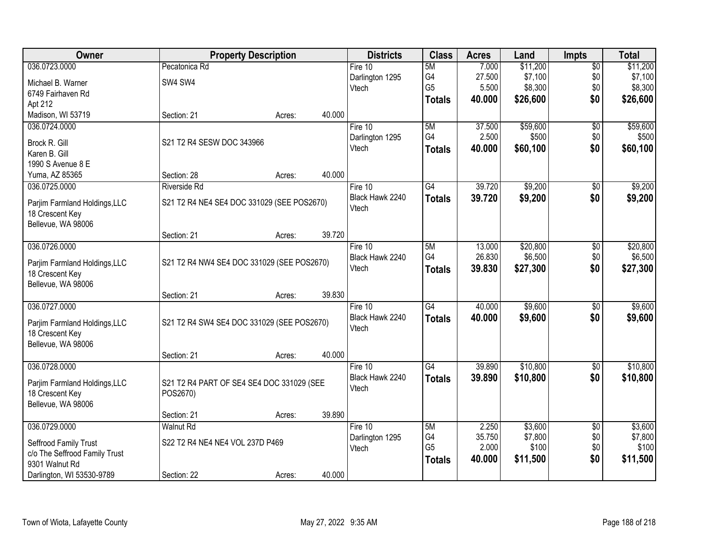| Owner                         |                                            | <b>Property Description</b> |        | <b>Districts</b> | <b>Class</b>    | <b>Acres</b> | Land     | <b>Impts</b>    | <b>Total</b> |
|-------------------------------|--------------------------------------------|-----------------------------|--------|------------------|-----------------|--------------|----------|-----------------|--------------|
| 036.0723.0000                 | Pecatonica Rd                              |                             |        | Fire 10          | 5M              | 7.000        | \$11,200 | $\overline{50}$ | \$11,200     |
| Michael B. Warner             | SW4 SW4                                    |                             |        | Darlington 1295  | G4              | 27.500       | \$7,100  | \$0             | \$7,100      |
| 6749 Fairhaven Rd             |                                            |                             |        | Vtech            | G <sub>5</sub>  | 5.500        | \$8,300  | \$0             | \$8,300      |
| Apt 212                       |                                            |                             |        |                  | <b>Totals</b>   | 40.000       | \$26,600 | \$0             | \$26,600     |
| Madison, WI 53719             | Section: 21                                | Acres:                      | 40.000 |                  |                 |              |          |                 |              |
| 036.0724.0000                 |                                            |                             |        | Fire 10          | 5M              | 37.500       | \$59,600 | $\overline{50}$ | \$59,600     |
| Brock R. Gill                 | S21 T2 R4 SESW DOC 343966                  |                             |        | Darlington 1295  | G <sub>4</sub>  | 2.500        | \$500    | \$0             | \$500        |
| Karen B. Gill                 |                                            |                             |        | Vtech            | <b>Totals</b>   | 40.000       | \$60,100 | \$0             | \$60,100     |
| 1990 S Avenue 8 E             |                                            |                             |        |                  |                 |              |          |                 |              |
| Yuma, AZ 85365                | Section: 28                                | Acres:                      | 40.000 |                  |                 |              |          |                 |              |
| 036.0725.0000                 | Riverside Rd                               |                             |        | Fire 10          | G4              | 39.720       | \$9,200  | \$0             | \$9,200      |
| Parjim Farmland Holdings, LLC | S21 T2 R4 NE4 SE4 DOC 331029 (SEE POS2670) |                             |        | Black Hawk 2240  | <b>Totals</b>   | 39.720       | \$9,200  | \$0             | \$9,200      |
| 18 Crescent Key               |                                            |                             |        | Vtech            |                 |              |          |                 |              |
| Bellevue, WA 98006            |                                            |                             |        |                  |                 |              |          |                 |              |
|                               | Section: 21                                | Acres:                      | 39.720 |                  |                 |              |          |                 |              |
| 036.0726.0000                 |                                            |                             |        | Fire 10          | 5M              | 13.000       | \$20,800 | $\overline{50}$ | \$20,800     |
| Parjim Farmland Holdings, LLC | S21 T2 R4 NW4 SE4 DOC 331029 (SEE POS2670) |                             |        | Black Hawk 2240  | G4              | 26.830       | \$6,500  | \$0             | \$6,500      |
| 18 Crescent Key               |                                            |                             |        | Vtech            | <b>Totals</b>   | 39.830       | \$27,300 | \$0             | \$27,300     |
| Bellevue, WA 98006            |                                            |                             |        |                  |                 |              |          |                 |              |
|                               | Section: 21                                | Acres:                      | 39.830 |                  |                 |              |          |                 |              |
| 036.0727.0000                 |                                            |                             |        | Fire $10$        | $\overline{G4}$ | 40.000       | \$9,600  | $\overline{50}$ | \$9,600      |
| Parjim Farmland Holdings, LLC | S21 T2 R4 SW4 SE4 DOC 331029 (SEE POS2670) |                             |        | Black Hawk 2240  | <b>Totals</b>   | 40.000       | \$9,600  | \$0             | \$9,600      |
| 18 Crescent Key               |                                            |                             |        | Vtech            |                 |              |          |                 |              |
| Bellevue, WA 98006            |                                            |                             |        |                  |                 |              |          |                 |              |
|                               | Section: 21                                | Acres:                      | 40.000 |                  |                 |              |          |                 |              |
| 036.0728.0000                 |                                            |                             |        | Fire 10          | $\overline{G4}$ | 39.890       | \$10,800 | $\overline{60}$ | \$10,800     |
| Parjim Farmland Holdings, LLC | S21 T2 R4 PART OF SE4 SE4 DOC 331029 (SEE  |                             |        | Black Hawk 2240  | <b>Totals</b>   | 39.890       | \$10,800 | \$0             | \$10,800     |
| 18 Crescent Key               | POS2670)                                   |                             |        | Vtech            |                 |              |          |                 |              |
| Bellevue, WA 98006            |                                            |                             |        |                  |                 |              |          |                 |              |
|                               | Section: 21                                | Acres:                      | 39.890 |                  |                 |              |          |                 |              |
| 036.0729.0000                 | <b>Walnut Rd</b>                           |                             |        | Fire 10          | 5M              | 2.250        | \$3,600  | $\overline{50}$ | \$3,600      |
| Seffrood Family Trust         | S22 T2 R4 NE4 NE4 VOL 237D P469            |                             |        | Darlington 1295  | G4              | 35.750       | \$7,800  | \$0             | \$7,800      |
| c/o The Seffrood Family Trust |                                            |                             |        | Vtech            | G <sub>5</sub>  | 2.000        | \$100    | \$0             | \$100        |
| 9301 Walnut Rd                |                                            |                             |        |                  | <b>Totals</b>   | 40.000       | \$11,500 | \$0             | \$11,500     |
| Darlington, WI 53530-9789     | Section: 22                                | Acres:                      | 40.000 |                  |                 |              |          |                 |              |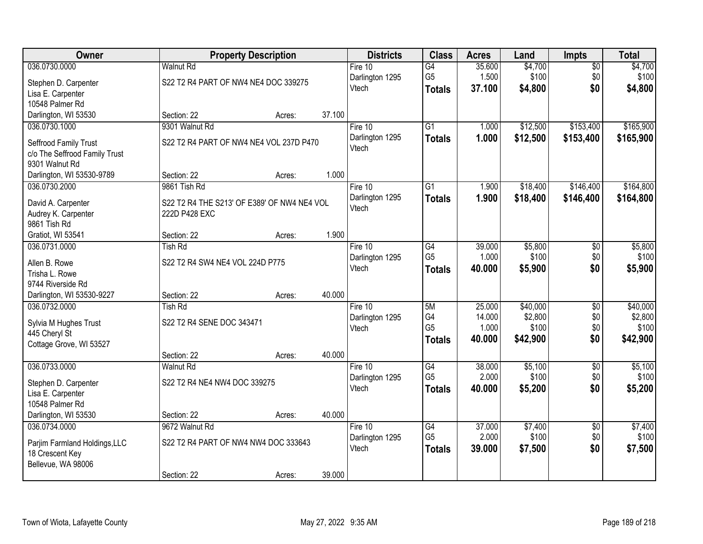| <b>Owner</b>                                     |                                             | <b>Property Description</b> |        | <b>Districts</b> | <b>Class</b>    | <b>Acres</b> | Land     | Impts           | <b>Total</b> |
|--------------------------------------------------|---------------------------------------------|-----------------------------|--------|------------------|-----------------|--------------|----------|-----------------|--------------|
| 036.0730.0000                                    | <b>Walnut Rd</b>                            |                             |        | Fire $10$        | G4              | 35.600       | \$4,700  | $\overline{50}$ | \$4,700      |
| Stephen D. Carpenter                             | S22 T2 R4 PART OF NW4 NE4 DOC 339275        |                             |        | Darlington 1295  | G <sub>5</sub>  | 1.500        | \$100    | \$0             | \$100        |
| Lisa E. Carpenter                                |                                             |                             |        | Vtech            | <b>Totals</b>   | 37.100       | \$4,800  | \$0             | \$4,800      |
| 10548 Palmer Rd                                  |                                             |                             |        |                  |                 |              |          |                 |              |
| Darlington, WI 53530                             | Section: 22                                 | Acres:                      | 37.100 |                  |                 |              |          |                 |              |
| 036.0730.1000                                    | 9301 Walnut Rd                              |                             |        | Fire 10          | $\overline{G1}$ | 1.000        | \$12,500 | \$153,400       | \$165,900    |
| Seffrood Family Trust                            | S22 T2 R4 PART OF NW4 NE4 VOL 237D P470     |                             |        | Darlington 1295  | <b>Totals</b>   | 1.000        | \$12,500 | \$153,400       | \$165,900    |
| c/o The Seffrood Family Trust                    |                                             |                             |        | Vtech            |                 |              |          |                 |              |
| 9301 Walnut Rd                                   |                                             |                             |        |                  |                 |              |          |                 |              |
| Darlington, WI 53530-9789                        | Section: 22                                 | Acres:                      | 1.000  |                  |                 |              |          |                 |              |
| 036.0730.2000                                    | 9861 Tish Rd                                |                             |        | Fire 10          | G1              | 1.900        | \$18,400 | \$146,400       | \$164,800    |
| David A. Carpenter                               | S22 T2 R4 THE S213' OF E389' OF NW4 NE4 VOL |                             |        | Darlington 1295  | <b>Totals</b>   | 1.900        | \$18,400 | \$146,400       | \$164,800    |
| Audrey K. Carpenter                              | 222D P428 EXC                               |                             |        | Vtech            |                 |              |          |                 |              |
| 9861 Tish Rd                                     |                                             |                             |        |                  |                 |              |          |                 |              |
| Gratiot, WI 53541                                | Section: 22                                 | Acres:                      | 1.900  |                  |                 |              |          |                 |              |
| 036.0731.0000                                    | <b>Tish Rd</b>                              |                             |        | Fire 10          | G4              | 39.000       | \$5,800  | \$0             | \$5,800      |
| Allen B. Rowe                                    | S22 T2 R4 SW4 NE4 VOL 224D P775             |                             |        | Darlington 1295  | G <sub>5</sub>  | 1.000        | \$100    | \$0             | \$100        |
| Trisha L. Rowe                                   |                                             |                             |        | Vtech            | <b>Totals</b>   | 40.000       | \$5,900  | \$0             | \$5,900      |
| 9744 Riverside Rd                                |                                             |                             |        |                  |                 |              |          |                 |              |
| Darlington, WI 53530-9227                        | Section: 22                                 | Acres:                      | 40.000 |                  |                 |              |          |                 |              |
| 036.0732.0000                                    | <b>Tish Rd</b>                              |                             |        | Fire $10$        | 5M              | 25.000       | \$40,000 | $\overline{50}$ | \$40,000     |
| Sylvia M Hughes Trust                            | S22 T2 R4 SENE DOC 343471                   |                             |        | Darlington 1295  | G4              | 14.000       | \$2,800  | \$0             | \$2,800      |
| 445 Cheryl St                                    |                                             |                             |        | Vtech            | G <sub>5</sub>  | 1.000        | \$100    | \$0             | \$100        |
| Cottage Grove, WI 53527                          |                                             |                             |        |                  | <b>Totals</b>   | 40.000       | \$42,900 | \$0             | \$42,900     |
|                                                  | Section: 22                                 | Acres:                      | 40.000 |                  |                 |              |          |                 |              |
| 036.0733.0000                                    | <b>Walnut Rd</b>                            |                             |        | Fire 10          | $\overline{G4}$ | 38.000       | \$5,100  | $\overline{50}$ | \$5,100      |
|                                                  | S22 T2 R4 NE4 NW4 DOC 339275                |                             |        | Darlington 1295  | G <sub>5</sub>  | 2.000        | \$100    | \$0             | \$100        |
| Stephen D. Carpenter<br>Lisa E. Carpenter        |                                             |                             |        | Vtech            | <b>Totals</b>   | 40.000       | \$5,200  | \$0             | \$5,200      |
| 10548 Palmer Rd                                  |                                             |                             |        |                  |                 |              |          |                 |              |
| Darlington, WI 53530                             | Section: 22                                 | Acres:                      | 40.000 |                  |                 |              |          |                 |              |
| 036.0734.0000                                    | 9672 Walnut Rd                              |                             |        | Fire $10$        | $\overline{G4}$ | 37,000       | \$7,400  | $\overline{50}$ | \$7,400      |
|                                                  | S22 T2 R4 PART OF NW4 NW4 DOC 333643        |                             |        | Darlington 1295  | G <sub>5</sub>  | 2.000        | \$100    | \$0             | \$100        |
| Parjim Farmland Holdings, LLC<br>18 Crescent Key |                                             |                             |        | Vtech            | <b>Totals</b>   | 39.000       | \$7,500  | \$0             | \$7,500      |
| Bellevue, WA 98006                               |                                             |                             |        |                  |                 |              |          |                 |              |
|                                                  | Section: 22                                 | Acres:                      | 39.000 |                  |                 |              |          |                 |              |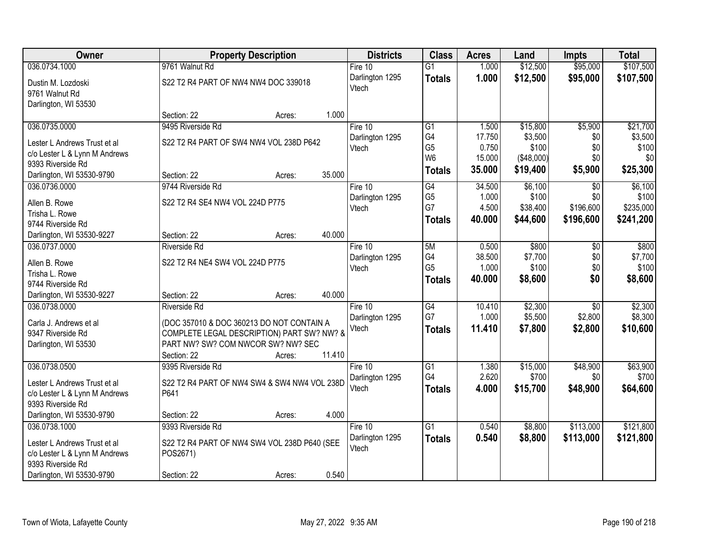| Owner                         |                                                                                  | <b>Property Description</b> |        | <b>Districts</b>         | <b>Class</b>    | <b>Acres</b> | Land       | <b>Impts</b>    | <b>Total</b> |
|-------------------------------|----------------------------------------------------------------------------------|-----------------------------|--------|--------------------------|-----------------|--------------|------------|-----------------|--------------|
| 036.0734.1000                 | 9761 Walnut Rd                                                                   |                             |        | Fire 10                  | $\overline{G1}$ | 1.000        | \$12,500   | \$95,000        | \$107,500    |
| Dustin M. Lozdoski            | S22 T2 R4 PART OF NW4 NW4 DOC 339018                                             |                             |        | Darlington 1295          | <b>Totals</b>   | 1.000        | \$12,500   | \$95,000        | \$107,500    |
| 9761 Walnut Rd                |                                                                                  |                             |        | Vtech                    |                 |              |            |                 |              |
| Darlington, WI 53530          |                                                                                  |                             |        |                          |                 |              |            |                 |              |
|                               | Section: 22                                                                      | Acres:                      | 1.000  |                          |                 |              |            |                 |              |
| 036.0735.0000                 | 9495 Riverside Rd                                                                |                             |        | Fire 10                  | $\overline{G1}$ | 1.500        | \$15,800   | \$5,900         | \$21,700     |
| Lester L Andrews Trust et al  | S22 T2 R4 PART OF SW4 NW4 VOL 238D P642                                          |                             |        | Darlington 1295          | G4              | 17.750       | \$3,500    | \$0             | \$3,500      |
| c/o Lester L & Lynn M Andrews |                                                                                  |                             |        | Vtech                    | G <sub>5</sub>  | 0.750        | \$100      | \$0             | \$100        |
| 9393 Riverside Rd             |                                                                                  |                             |        |                          | W <sub>6</sub>  | 15.000       | (\$48,000) | \$0             | \$0          |
| Darlington, WI 53530-9790     | Section: 22                                                                      | Acres:                      | 35.000 |                          | <b>Totals</b>   | 35.000       | \$19,400   | \$5,900         | \$25,300     |
| 036.0736.0000                 | 9744 Riverside Rd                                                                |                             |        | Fire 10                  | G4              | 34.500       | \$6,100    | \$0             | \$6,100      |
| Allen B. Rowe                 | S22 T2 R4 SE4 NW4 VOL 224D P775                                                  |                             |        | Darlington 1295          | G <sub>5</sub>  | 1.000        | \$100      | \$0             | \$100        |
| Trisha L. Rowe                |                                                                                  |                             |        | Vtech                    | G7              | 4.500        | \$38,400   | \$196,600       | \$235,000    |
| 9744 Riverside Rd             |                                                                                  |                             |        |                          | <b>Totals</b>   | 40.000       | \$44,600   | \$196,600       | \$241,200    |
| Darlington, WI 53530-9227     | Section: 22                                                                      | Acres:                      | 40.000 |                          |                 |              |            |                 |              |
| 036.0737.0000                 | Riverside Rd                                                                     |                             |        | Fire 10                  | 5M              | 0.500        | \$800      | \$0             | \$800        |
| Allen B. Rowe                 | S22 T2 R4 NE4 SW4 VOL 224D P775                                                  |                             |        | Darlington 1295          | G4              | 38.500       | \$7,700    | \$0             | \$7,700      |
| Trisha L. Rowe                |                                                                                  |                             |        | Vtech                    | G <sub>5</sub>  | 1.000        | \$100      | \$0             | \$100        |
| 9744 Riverside Rd             |                                                                                  |                             |        |                          | <b>Totals</b>   | 40.000       | \$8,600    | \$0             | \$8,600      |
| Darlington, WI 53530-9227     | Section: 22                                                                      | Acres:                      | 40.000 |                          |                 |              |            |                 |              |
| 036.0738.0000                 | <b>Riverside Rd</b>                                                              |                             |        | Fire $10$                | $\overline{G4}$ | 10.410       | \$2,300    | $\overline{50}$ | \$2,300      |
|                               |                                                                                  |                             |        | Darlington 1295          | G7              | 1.000        | \$5,500    | \$2,800         | \$8,300      |
| Carla J. Andrews et al        | (DOC 357010 & DOC 360213 DO NOT CONTAIN A                                        |                             |        | Vtech                    | <b>Totals</b>   | 11.410       | \$7,800    | \$2,800         | \$10,600     |
| 9347 Riverside Rd             | COMPLETE LEGAL DESCRIPTION) PART SW? NW? &<br>PART NW? SW? COM NWCOR SW? NW? SEC |                             |        |                          |                 |              |            |                 |              |
| Darlington, WI 53530          | Section: 22                                                                      | Acres:                      | 11.410 |                          |                 |              |            |                 |              |
| 036.0738.0500                 | 9395 Riverside Rd                                                                |                             |        | Fire 10                  | $\overline{G1}$ | 1.380        | \$15,000   | \$48,900        | \$63,900     |
|                               |                                                                                  |                             |        | Darlington 1295          | G4              | 2.620        | \$700      | \$0             | \$700        |
| Lester L Andrews Trust et al  | S22 T2 R4 PART OF NW4 SW4 & SW4 NW4 VOL 238D                                     |                             |        | Vtech                    | <b>Totals</b>   | 4.000        | \$15,700   | \$48,900        | \$64,600     |
| c/o Lester L & Lynn M Andrews | P641                                                                             |                             |        |                          |                 |              |            |                 |              |
| 9393 Riverside Rd             |                                                                                  |                             |        |                          |                 |              |            |                 |              |
| Darlington, WI 53530-9790     | Section: 22                                                                      | Acres:                      | 4.000  |                          |                 |              |            |                 |              |
| 036.0738.1000                 | 9393 Riverside Rd                                                                |                             |        | Fire 10                  | $\overline{G1}$ | 0.540        | \$8,800    | \$113,000       | \$121,800    |
| Lester L Andrews Trust et al  | S22 T2 R4 PART OF NW4 SW4 VOL 238D P640 (SEE                                     |                             |        | Darlington 1295<br>Vtech | <b>Totals</b>   | 0.540        | \$8,800    | \$113,000       | \$121,800    |
| c/o Lester L & Lynn M Andrews | POS2671)                                                                         |                             |        |                          |                 |              |            |                 |              |
| 9393 Riverside Rd             |                                                                                  |                             |        |                          |                 |              |            |                 |              |
| Darlington, WI 53530-9790     | Section: 22                                                                      | Acres:                      | 0.540  |                          |                 |              |            |                 |              |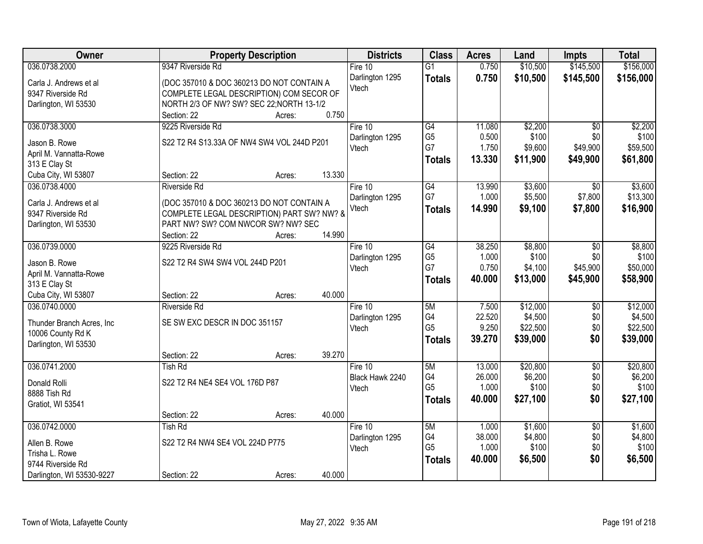| Owner                      | <b>Property Description</b>                | <b>Districts</b> | <b>Class</b>    | <b>Acres</b> | Land     | <b>Impts</b>    | <b>Total</b> |
|----------------------------|--------------------------------------------|------------------|-----------------|--------------|----------|-----------------|--------------|
| 036.0738.2000              | 9347 Riverside Rd                          | Fire $10$        | $\overline{G1}$ | 0.750        | \$10,500 | \$145,500       | \$156,000    |
| Carla J. Andrews et al     | (DOC 357010 & DOC 360213 DO NOT CONTAIN A  | Darlington 1295  | <b>Totals</b>   | 0.750        | \$10,500 | \$145,500       | \$156,000    |
| 9347 Riverside Rd          | COMPLETE LEGAL DESCRIPTION) COM SECOR OF   | Vtech            |                 |              |          |                 |              |
| Darlington, WI 53530       | NORTH 2/3 OF NW? SW? SEC 22; NORTH 13-1/2  |                  |                 |              |          |                 |              |
|                            | 0.750<br>Section: 22<br>Acres:             |                  |                 |              |          |                 |              |
| 036.0738.3000              | 9225 Riverside Rd                          | Fire 10          | G4              | 11.080       | \$2,200  | $\overline{50}$ | \$2,200      |
|                            |                                            | Darlington 1295  | G <sub>5</sub>  | 0.500        | \$100    | \$0             | \$100        |
| Jason B. Rowe              | S22 T2 R4 S13.33A OF NW4 SW4 VOL 244D P201 | Vtech            | G7              | 1.750        | \$9,600  | \$49,900        | \$59,500     |
| April M. Vannatta-Rowe     |                                            |                  | <b>Totals</b>   | 13.330       | \$11,900 | \$49,900        | \$61,800     |
| 313 E Clay St              |                                            |                  |                 |              |          |                 |              |
| Cuba City, WI 53807        | 13.330<br>Section: 22<br>Acres:            |                  |                 |              |          |                 |              |
| 036.0738.4000              | <b>Riverside Rd</b>                        | Fire 10          | $\overline{G4}$ | 13.990       | \$3,600  | $\overline{50}$ | \$3,600      |
| Carla J. Andrews et al     | (DOC 357010 & DOC 360213 DO NOT CONTAIN A  | Darlington 1295  | G7              | 1.000        | \$5,500  | \$7,800         | \$13,300     |
| 9347 Riverside Rd          | COMPLETE LEGAL DESCRIPTION) PART SW? NW? & | Vtech            | <b>Totals</b>   | 14.990       | \$9,100  | \$7,800         | \$16,900     |
| Darlington, WI 53530       | PART NW? SW? COM NWCOR SW? NW? SEC         |                  |                 |              |          |                 |              |
|                            | 14.990<br>Section: 22<br>Acres:            |                  |                 |              |          |                 |              |
| 036.0739.0000              | 9225 Riverside Rd                          | Fire 10          | G4              | 38.250       | \$8,800  | \$0             | \$8,800      |
|                            |                                            | Darlington 1295  | G <sub>5</sub>  | 1.000        | \$100    | \$0             | \$100        |
| Jason B. Rowe              | S22 T2 R4 SW4 SW4 VOL 244D P201            | Vtech            | G7              | 0.750        | \$4,100  | \$45,900        | \$50,000     |
| April M. Vannatta-Rowe     |                                            |                  | <b>Totals</b>   | 40.000       | \$13,000 | \$45,900        | \$58,900     |
| 313 E Clay St              |                                            |                  |                 |              |          |                 |              |
| Cuba City, WI 53807        | 40.000<br>Section: 22<br>Acres:            |                  |                 |              |          |                 |              |
| 036.0740.0000              | <b>Riverside Rd</b>                        | Fire 10          | 5M              | 7.500        | \$12,000 | $\overline{50}$ | \$12,000     |
| Thunder Branch Acres, Inc. | SE SW EXC DESCR IN DOC 351157              | Darlington 1295  | G4              | 22.520       | \$4,500  | \$0             | \$4,500      |
| 10006 County Rd K          |                                            | Vtech            | G <sub>5</sub>  | 9.250        | \$22,500 | \$0             | \$22,500     |
| Darlington, WI 53530       |                                            |                  | <b>Totals</b>   | 39.270       | \$39,000 | \$0             | \$39,000     |
|                            | 39.270<br>Section: 22<br>Acres:            |                  |                 |              |          |                 |              |
| 036.0741.2000              | <b>Tish Rd</b>                             | Fire 10          | 5M              | 13.000       | \$20,800 | $\overline{60}$ | \$20,800     |
| Donald Rolli               | S22 T2 R4 NE4 SE4 VOL 176D P87             | Black Hawk 2240  | G4              | 26.000       | \$6,200  | \$0             | \$6,200      |
| 8888 Tish Rd               |                                            | Vtech            | G <sub>5</sub>  | 1.000        | \$100    | \$0             | \$100        |
|                            |                                            |                  | <b>Totals</b>   | 40.000       | \$27,100 | \$0             | \$27,100     |
| Gratiot, WI 53541          | 40.000<br>Section: 22<br>Acres:            |                  |                 |              |          |                 |              |
| 036.0742.0000              | <b>Tish Rd</b>                             | Fire 10          | 5M              | 1.000        | \$1,600  | $\overline{50}$ | \$1,600      |
|                            |                                            | Darlington 1295  | G4              | 38.000       | \$4,800  | \$0             | \$4,800      |
| Allen B. Rowe              | S22 T2 R4 NW4 SE4 VOL 224D P775            | Vtech            | G <sub>5</sub>  | 1.000        | \$100    | \$0             | \$100        |
| Trisha L. Rowe             |                                            |                  | <b>Totals</b>   | 40.000       | \$6,500  | \$0             | \$6,500      |
| 9744 Riverside Rd          |                                            |                  |                 |              |          |                 |              |
| Darlington, WI 53530-9227  | 40.000<br>Section: 22<br>Acres:            |                  |                 |              |          |                 |              |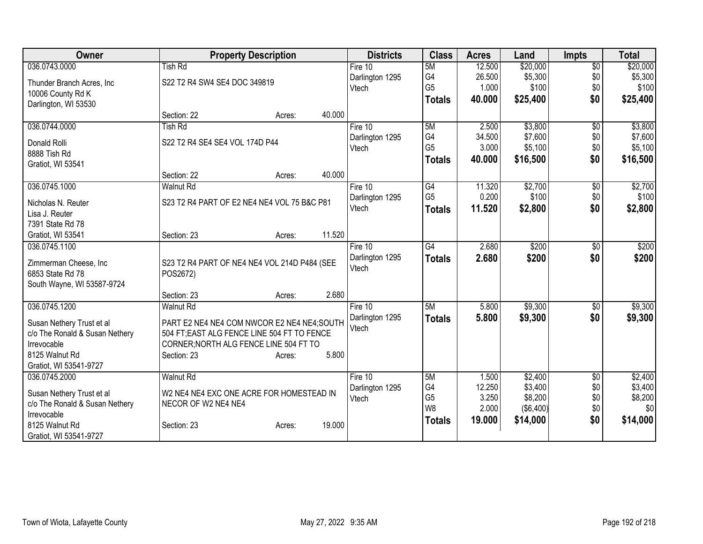| Owner                          |                                              | <b>Property Description</b> |        | <b>Districts</b> | <b>Class</b>                     | <b>Acres</b>   | Land                        | <b>Impts</b>    | <b>Total</b>   |
|--------------------------------|----------------------------------------------|-----------------------------|--------|------------------|----------------------------------|----------------|-----------------------------|-----------------|----------------|
| 036.0743.0000                  | <b>Tish Rd</b>                               |                             |        | Fire $10$        | 5M                               | 12.500         | \$20,000                    | $\overline{50}$ | \$20,000       |
| Thunder Branch Acres, Inc      | S22 T2 R4 SW4 SE4 DOC 349819                 |                             |        | Darlington 1295  | G4                               | 26.500         | \$5,300                     | \$0             | \$5,300        |
| 10006 County Rd K              |                                              |                             |        | Vtech            | G <sub>5</sub>                   | 1.000          | \$100                       | \$0             | \$100          |
| Darlington, WI 53530           |                                              |                             |        |                  | <b>Totals</b>                    | 40.000         | \$25,400                    | \$0             | \$25,400       |
|                                | Section: 22                                  | Acres:                      | 40.000 |                  |                                  |                |                             |                 |                |
| 036.0744.0000                  | <b>Tish Rd</b>                               |                             |        | Fire 10          | 5M                               | 2.500          | \$3,800                     | \$0             | \$3,800        |
|                                |                                              |                             |        | Darlington 1295  | G4                               | 34.500         | \$7,600                     | \$0             | \$7,600        |
| Donald Rolli                   | S22 T2 R4 SE4 SE4 VOL 174D P44               |                             |        | Vtech            | G <sub>5</sub>                   | 3.000          | \$5,100                     | \$0             | \$5,100        |
| 8888 Tish Rd                   |                                              |                             |        |                  | <b>Totals</b>                    | 40.000         | \$16,500                    | \$0             | \$16,500       |
| Gratiot, WI 53541              |                                              |                             |        |                  |                                  |                |                             |                 |                |
|                                | Section: 22                                  | Acres:                      | 40.000 |                  |                                  |                |                             |                 |                |
| 036.0745.1000                  | <b>Walnut Rd</b>                             |                             |        | Fire 10          | G4                               | 11.320         | \$2,700                     | \$0             | \$2,700        |
| Nicholas N. Reuter             | S23 T2 R4 PART OF E2 NE4 NE4 VOL 75 B&C P81  |                             |        | Darlington 1295  | G <sub>5</sub>                   | 0.200          | \$100                       | \$0             | \$100          |
| Lisa J. Reuter                 |                                              |                             |        | Vtech            | <b>Totals</b>                    | 11.520         | \$2,800                     | \$0             | \$2,800        |
| 7391 State Rd 78               |                                              |                             |        |                  |                                  |                |                             |                 |                |
| Gratiot, WI 53541              | Section: 23                                  | Acres:                      | 11.520 |                  |                                  |                |                             |                 |                |
| 036.0745.1100                  |                                              |                             |        | Fire 10          | $\overline{G4}$                  | 2.680          | \$200                       | \$0             | \$200          |
| Zimmerman Cheese, Inc          | S23 T2 R4 PART OF NE4 NE4 VOL 214D P484 (SEE |                             |        | Darlington 1295  | <b>Totals</b>                    | 2.680          | \$200                       | \$0             | \$200          |
| 6853 State Rd 78               | POS2672)                                     |                             |        | Vtech            |                                  |                |                             |                 |                |
| South Wayne, WI 53587-9724     |                                              |                             |        |                  |                                  |                |                             |                 |                |
|                                | Section: 23                                  | Acres:                      | 2.680  |                  |                                  |                |                             |                 |                |
| 036.0745.1200                  | <b>Walnut Rd</b>                             |                             |        | Fire 10          | 5M                               | 5.800          | \$9,300                     | \$0             | \$9,300        |
|                                |                                              |                             |        | Darlington 1295  | <b>Totals</b>                    | 5.800          | \$9,300                     | \$0             | \$9,300        |
| Susan Nethery Trust et al      | PART E2 NE4 NE4 COM NWCOR E2 NE4 NE4;SOUTH   |                             |        | Vtech            |                                  |                |                             |                 |                |
| c/o The Ronald & Susan Nethery | 504 FT; EAST ALG FENCE LINE 504 FT TO FENCE  |                             |        |                  |                                  |                |                             |                 |                |
| Irrevocable                    | CORNER; NORTH ALG FENCE LINE 504 FT TO       |                             |        |                  |                                  |                |                             |                 |                |
| 8125 Walnut Rd                 | Section: 23                                  | Acres:                      | 5.800  |                  |                                  |                |                             |                 |                |
| Gratiot, WI 53541-9727         |                                              |                             |        |                  |                                  |                |                             |                 |                |
| 036.0745.2000                  | <b>Walnut Rd</b>                             |                             |        | Fire $10$        | 5M                               | 1.500          | \$2,400                     | $\sqrt{6}$      | \$2,400        |
| Susan Nethery Trust et al      | W2 NE4 NE4 EXC ONE ACRE FOR HOMESTEAD IN     |                             |        | Darlington 1295  | G4                               | 12.250         | \$3,400                     | \$0             | \$3,400        |
| c/o The Ronald & Susan Nethery | NECOR OF W2 NE4 NE4                          |                             |        | Vtech            | G <sub>5</sub><br>W <sub>8</sub> | 3.250<br>2.000 | \$8,200<br>$($ \$6,400) $ $ | \$0<br>\$0      | \$8,200<br>\$0 |
| Irrevocable                    |                                              |                             |        |                  |                                  |                |                             | \$0             |                |
| 8125 Walnut Rd                 | Section: 23                                  | Acres:                      | 19.000 |                  | <b>Totals</b>                    | 19.000         | \$14,000                    |                 | \$14,000       |
| Gratiot, WI 53541-9727         |                                              |                             |        |                  |                                  |                |                             |                 |                |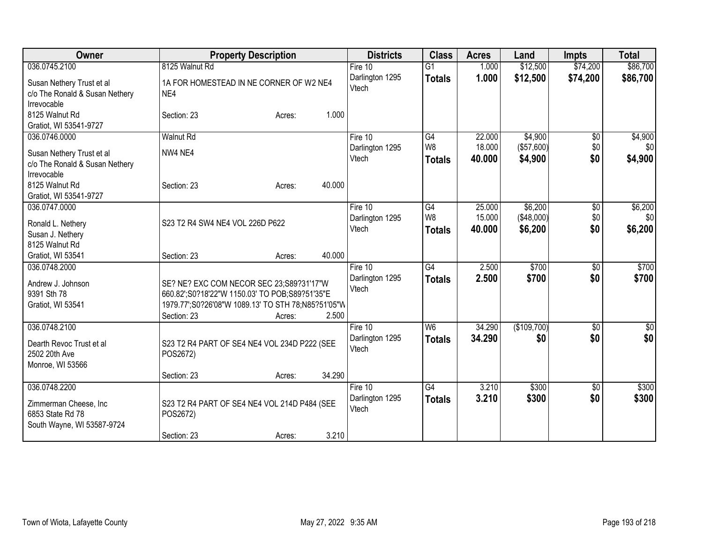| Owner                                                                      | <b>Property Description</b>                                                                          | <b>Districts</b>         | <b>Class</b>                    | <b>Acres</b>     | Land                  | <b>Impts</b>    | <b>Total</b>    |
|----------------------------------------------------------------------------|------------------------------------------------------------------------------------------------------|--------------------------|---------------------------------|------------------|-----------------------|-----------------|-----------------|
| 036.0745.2100                                                              | 8125 Walnut Rd                                                                                       | Fire 10                  | $\overline{G1}$                 | 1.000            | \$12,500              | \$74,200        | \$86,700        |
| Susan Nethery Trust et al<br>c/o The Ronald & Susan Nethery<br>Irrevocable | 1A FOR HOMESTEAD IN NE CORNER OF W2 NE4<br>NE4                                                       | Darlington 1295<br>Vtech | <b>Totals</b>                   | 1.000            | \$12,500              | \$74,200        | \$86,700        |
| 8125 Walnut Rd<br>Gratiot, WI 53541-9727                                   | 1.000<br>Section: 23<br>Acres:                                                                       |                          |                                 |                  |                       |                 |                 |
| 036.0746.0000                                                              | <b>Walnut Rd</b>                                                                                     | Fire 10                  | G4                              | 22.000           | \$4,900               | $\overline{50}$ | \$4,900         |
| Susan Nethery Trust et al<br>c/o The Ronald & Susan Nethery                | NW4 NE4                                                                                              | Darlington 1295<br>Vtech | W <sub>8</sub><br><b>Totals</b> | 18.000<br>40.000 | (\$57,600)<br>\$4,900 | \$0<br>\$0      | \$0<br>\$4,900  |
| Irrevocable<br>8125 Walnut Rd<br>Gratiot, WI 53541-9727                    | 40.000<br>Section: 23<br>Acres:                                                                      |                          |                                 |                  |                       |                 |                 |
| 036.0747.0000                                                              |                                                                                                      | Fire 10                  | G4                              | 25.000           | \$6,200               | \$0             | \$6,200         |
| Ronald L. Nethery                                                          | S23 T2 R4 SW4 NE4 VOL 226D P622                                                                      | Darlington 1295          | W <sub>8</sub>                  | 15.000           | (\$48,000)            | \$0             | \$0             |
| Susan J. Nethery                                                           |                                                                                                      | Vtech                    | <b>Totals</b>                   | 40.000           | \$6,200               | \$0             | \$6,200         |
| 8125 Walnut Rd                                                             |                                                                                                      |                          |                                 |                  |                       |                 |                 |
| Gratiot, WI 53541                                                          | 40.000<br>Section: 23<br>Acres:                                                                      |                          |                                 |                  |                       |                 |                 |
| 036.0748.2000                                                              |                                                                                                      | Fire 10                  | $\overline{G4}$                 | 2.500            | \$700                 | \$0             | \$700           |
|                                                                            |                                                                                                      | Darlington 1295          | <b>Totals</b>                   | 2.500            | \$700                 | \$0             | \$700           |
| Andrew J. Johnson<br>9391 Sth 78                                           | SE? NE? EXC COM NECOR SEC 23;S89?31'17"W                                                             | Vtech                    |                                 |                  |                       |                 |                 |
| Gratiot, WI 53541                                                          | 660.82';S0?18'22"W 1150.03' TO POB;S89?51'35"E<br>1979.77";S0?26'08"W 1089.13' TO STH 78;N85?51'05"W |                          |                                 |                  |                       |                 |                 |
|                                                                            | 2.500<br>Section: 23<br>Acres:                                                                       |                          |                                 |                  |                       |                 |                 |
| 036.0748.2100                                                              |                                                                                                      | Fire 10                  | W6                              | 34.290           | (\$109,700)           | \$0             | $\overline{50}$ |
| Dearth Revoc Trust et al<br>2502 20th Ave<br>Monroe, WI 53566              | S23 T2 R4 PART OF SE4 NE4 VOL 234D P222 (SEE<br>POS2672)                                             | Darlington 1295<br>Vtech | <b>Totals</b>                   | 34.290           | \$0                   | \$0             | \$0             |
|                                                                            | 34.290<br>Section: 23<br>Acres:                                                                      |                          |                                 |                  |                       |                 |                 |
| 036.0748.2200                                                              |                                                                                                      | Fire 10                  | G4                              | 3.210            | \$300                 | $\overline{50}$ | \$300           |
| Zimmerman Cheese, Inc<br>6853 State Rd 78<br>South Wayne, WI 53587-9724    | S23 T2 R4 PART OF SE4 NE4 VOL 214D P484 (SEE<br>POS2672)                                             | Darlington 1295<br>Vtech | <b>Totals</b>                   | 3.210            | \$300                 | \$0             | \$300           |
|                                                                            | 3.210<br>Section: 23<br>Acres:                                                                       |                          |                                 |                  |                       |                 |                 |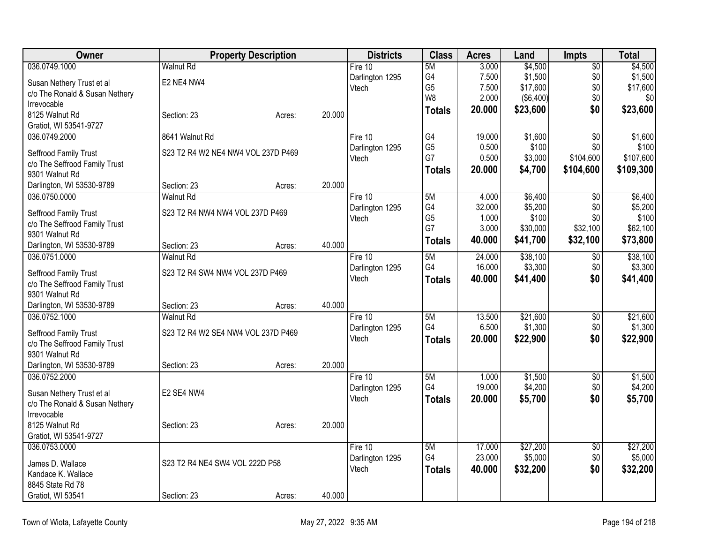| Owner                                           |                                    | <b>Property Description</b> |        | <b>Districts</b>         | <b>Class</b>   | <b>Acres</b>    | Land               | <b>Impts</b>           | <b>Total</b>       |
|-------------------------------------------------|------------------------------------|-----------------------------|--------|--------------------------|----------------|-----------------|--------------------|------------------------|--------------------|
| 036.0749.1000                                   | <b>Walnut Rd</b>                   |                             |        | Fire 10                  | 5M             | 3.000           | \$4,500            | $\overline{50}$        | \$4,500            |
| Susan Nethery Trust et al                       | E2 NE4 NW4                         |                             |        | Darlington 1295          | G4             | 7.500           | \$1,500            | \$0                    | \$1,500            |
| c/o The Ronald & Susan Nethery                  |                                    |                             |        | Vtech                    | G <sub>5</sub> | 7.500           | \$17,600           | \$0                    | \$17,600           |
| Irrevocable                                     |                                    |                             |        |                          | W <sub>8</sub> | 2.000           | ( \$6,400)         | \$0                    | \$0                |
| 8125 Walnut Rd                                  | Section: 23                        | Acres:                      | 20.000 |                          | <b>Totals</b>  | 20.000          | \$23,600           | \$0                    | \$23,600           |
| Gratiot, WI 53541-9727                          |                                    |                             |        |                          |                |                 |                    |                        |                    |
| 036.0749.2000                                   | 8641 Walnut Rd                     |                             |        | Fire 10                  | G4             | 19.000          | \$1,600            | $\overline{50}$        | \$1,600            |
| Seffrood Family Trust                           | S23 T2 R4 W2 NE4 NW4 VOL 237D P469 |                             |        | Darlington 1295          | G <sub>5</sub> | 0.500           | \$100              | \$0                    | \$100              |
| c/o The Seffrood Family Trust                   |                                    |                             |        | Vtech                    | G7             | 0.500           | \$3,000            | \$104,600              | \$107,600          |
| 9301 Walnut Rd                                  |                                    |                             |        |                          | <b>Totals</b>  | 20.000          | \$4,700            | \$104,600              | \$109,300          |
| Darlington, WI 53530-9789                       | Section: 23                        | Acres:                      | 20.000 |                          |                |                 |                    |                        |                    |
| 036.0750.0000                                   | <b>Walnut Rd</b>                   |                             |        | Fire 10                  | 5M             | 4.000           | \$6,400            | $\overline{30}$        | \$6,400            |
| Seffrood Family Trust                           | S23 T2 R4 NW4 NW4 VOL 237D P469    |                             |        | Darlington 1295          | G4             | 32.000          | \$5,200            | \$0                    | \$5,200            |
| c/o The Seffrood Family Trust                   |                                    |                             |        | Vtech                    | G <sub>5</sub> | 1.000           | \$100              | \$0                    | \$100              |
| 9301 Walnut Rd                                  |                                    |                             |        |                          | G7             | 3.000           | \$30,000           | \$32,100               | \$62,100           |
| Darlington, WI 53530-9789                       | Section: 23                        | Acres:                      | 40.000 |                          | <b>Totals</b>  | 40.000          | \$41,700           | \$32,100               | \$73,800           |
| 036.0751.0000                                   | <b>Walnut Rd</b>                   |                             |        | Fire 10                  | 5M             | 24.000          | \$38,100           | \$0                    | \$38,100           |
|                                                 |                                    |                             |        | Darlington 1295          | G4             | 16.000          | \$3,300            | \$0                    | \$3,300            |
| Seffrood Family Trust                           | S23 T2 R4 SW4 NW4 VOL 237D P469    |                             |        | Vtech                    | <b>Totals</b>  | 40.000          | \$41,400           | \$0                    | \$41,400           |
| c/o The Seffrood Family Trust<br>9301 Walnut Rd |                                    |                             |        |                          |                |                 |                    |                        |                    |
| Darlington, WI 53530-9789                       | Section: 23                        | Acres:                      | 40.000 |                          |                |                 |                    |                        |                    |
| 036.0752.1000                                   | <b>Walnut Rd</b>                   |                             |        | Fire 10                  | 5M             | 13.500          | \$21,600           | \$0                    | \$21,600           |
|                                                 |                                    |                             |        | Darlington 1295          | G4             | 6.500           | \$1,300            | \$0                    | \$1,300            |
| Seffrood Family Trust                           | S23 T2 R4 W2 SE4 NW4 VOL 237D P469 |                             |        | Vtech                    | <b>Totals</b>  | 20.000          | \$22,900           | \$0                    | \$22,900           |
| c/o The Seffrood Family Trust                   |                                    |                             |        |                          |                |                 |                    |                        |                    |
| 9301 Walnut Rd                                  |                                    |                             |        |                          |                |                 |                    |                        |                    |
| Darlington, WI 53530-9789                       | Section: 23                        | Acres:                      | 20.000 |                          |                |                 |                    |                        |                    |
| 036.0752.2000                                   |                                    |                             |        | Fire 10                  | 5M<br>G4       | 1.000<br>19.000 | \$1,500<br>\$4,200 | $\overline{60}$<br>\$0 | \$1,500<br>\$4,200 |
| Susan Nethery Trust et al                       | E2 SE4 NW4                         |                             |        | Darlington 1295<br>Vtech |                |                 |                    |                        |                    |
| c/o The Ronald & Susan Nethery                  |                                    |                             |        |                          | <b>Totals</b>  | 20.000          | \$5,700            | \$0                    | \$5,700            |
| Irrevocable                                     |                                    |                             |        |                          |                |                 |                    |                        |                    |
| 8125 Walnut Rd                                  | Section: 23                        | Acres:                      | 20.000 |                          |                |                 |                    |                        |                    |
| Gratiot, WI 53541-9727                          |                                    |                             |        |                          |                |                 |                    |                        |                    |
| 036.0753.0000                                   |                                    |                             |        | Fire 10                  | 5M             | 17.000          | \$27,200           | $\overline{50}$        | \$27,200           |
| James D. Wallace                                | S23 T2 R4 NE4 SW4 VOL 222D P58     |                             |        | Darlington 1295          | G4             | 23.000          | \$5,000            | \$0                    | \$5,000            |
| Kandace K. Wallace                              |                                    |                             |        | Vtech                    | <b>Totals</b>  | 40.000          | \$32,200           | \$0                    | \$32,200           |
| 8845 State Rd 78                                |                                    |                             |        |                          |                |                 |                    |                        |                    |
| Gratiot, WI 53541                               | Section: 23                        | Acres:                      | 40.000 |                          |                |                 |                    |                        |                    |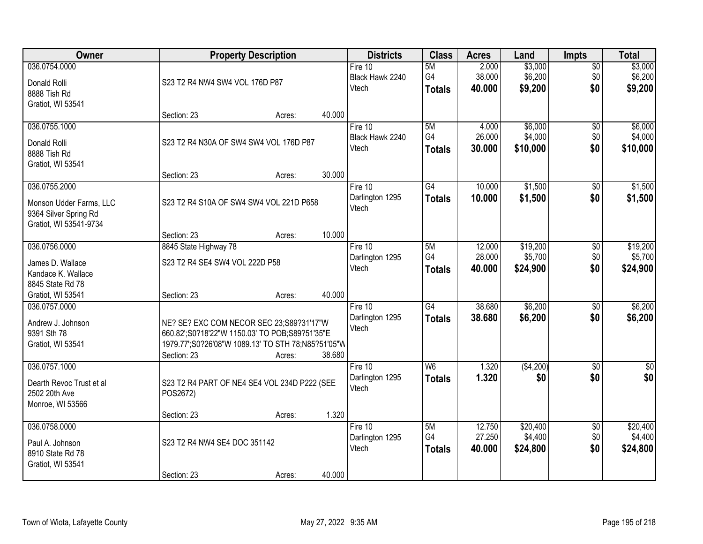| Owner                                                                          |                                                                                                                                                                 | <b>Property Description</b> |        | <b>Districts</b>                      | <b>Class</b>                     | <b>Acres</b>               | Land                            | <b>Impts</b>                  | <b>Total</b>                    |
|--------------------------------------------------------------------------------|-----------------------------------------------------------------------------------------------------------------------------------------------------------------|-----------------------------|--------|---------------------------------------|----------------------------------|----------------------------|---------------------------------|-------------------------------|---------------------------------|
| 036.0754.0000<br>Donald Rolli<br>8888 Tish Rd<br>Gratiot, WI 53541             | S23 T2 R4 NW4 SW4 VOL 176D P87                                                                                                                                  |                             |        | Fire $10$<br>Black Hawk 2240<br>Vtech | 5M<br>G4<br><b>Totals</b>        | 2.000<br>38.000<br>40.000  | \$3,000<br>\$6,200<br>\$9,200   | $\overline{50}$<br>\$0<br>\$0 | \$3,000<br>\$6,200<br>\$9,200   |
|                                                                                | Section: 23                                                                                                                                                     | Acres:                      | 40.000 |                                       |                                  |                            |                                 |                               |                                 |
| 036.0755.1000<br>Donald Rolli<br>8888 Tish Rd<br>Gratiot, WI 53541             | S23 T2 R4 N30A OF SW4 SW4 VOL 176D P87                                                                                                                          |                             |        | Fire 10<br>Black Hawk 2240<br>Vtech   | 5M<br>G4<br><b>Totals</b>        | 4.000<br>26.000<br>30.000  | \$6,000<br>\$4,000<br>\$10,000  | $\overline{50}$<br>\$0<br>\$0 | \$6,000<br>\$4,000<br>\$10,000  |
| 036.0755.2000                                                                  | Section: 23                                                                                                                                                     | Acres:                      | 30.000 | Fire 10                               | $\overline{G4}$                  | 10.000                     | \$1,500                         | \$0                           | \$1,500                         |
| Monson Udder Farms, LLC<br>9364 Silver Spring Rd<br>Gratiot, WI 53541-9734     | S23 T2 R4 S10A OF SW4 SW4 VOL 221D P658                                                                                                                         |                             |        | Darlington 1295<br>Vtech              | <b>Totals</b>                    | 10.000                     | \$1,500                         | \$0                           | \$1,500                         |
|                                                                                | Section: 23                                                                                                                                                     | Acres:                      | 10.000 |                                       |                                  |                            |                                 |                               |                                 |
| 036.0756.0000<br>James D. Wallace<br>Kandace K. Wallace<br>8845 State Rd 78    | 8845 State Highway 78<br>S23 T2 R4 SE4 SW4 VOL 222D P58                                                                                                         |                             |        | Fire 10<br>Darlington 1295<br>Vtech   | 5M<br>G4<br><b>Totals</b>        | 12.000<br>28.000<br>40.000 | \$19,200<br>\$5,700<br>\$24,900 | \$0<br>\$0<br>\$0             | \$19,200<br>\$5,700<br>\$24,900 |
| Gratiot, WI 53541                                                              | Section: 23                                                                                                                                                     | Acres:                      | 40.000 |                                       |                                  |                            |                                 |                               |                                 |
| 036.0757.0000<br>Andrew J. Johnson<br>9391 Sth 78<br>Gratiot, WI 53541         | NE? SE? EXC COM NECOR SEC 23;S89?31'17"W<br>660.82';S0?18'22"W 1150.03' TO POB;S89?51'35"E<br>1979.77";S0?26'08"W 1089.13' TO STH 78;N85?51'05"W<br>Section: 23 | Acres:                      | 38.680 | Fire 10<br>Darlington 1295<br>Vtech   | $\overline{G4}$<br><b>Totals</b> | 38.680<br>38.680           | \$6,200<br>\$6,200              | $\overline{30}$<br>\$0        | \$6,200<br>\$6,200              |
| 036.0757.1000<br>Dearth Revoc Trust et al<br>2502 20th Ave<br>Monroe, WI 53566 | S23 T2 R4 PART OF NE4 SE4 VOL 234D P222 (SEE<br>POS2672)<br>Section: 23                                                                                         | Acres:                      | 1.320  | Fire 10<br>Darlington 1295<br>Vtech   | W6<br><b>Totals</b>              | 1.320<br>1.320             | (\$4,200)<br>\$0                | $\overline{50}$<br>\$0        | $\overline{\$0}$<br>\$0         |
| 036.0758.0000                                                                  |                                                                                                                                                                 |                             |        | Fire $10$                             | 5M                               | 12.750                     | \$20,400                        | $\overline{50}$               | \$20,400                        |
| Paul A. Johnson<br>8910 State Rd 78<br>Gratiot, WI 53541                       | S23 T2 R4 NW4 SE4 DOC 351142                                                                                                                                    |                             |        | Darlington 1295<br>Vtech              | G4<br><b>Totals</b>              | 27.250<br>40.000           | \$4,400<br>\$24,800             | \$0<br>\$0                    | \$4,400<br>\$24,800             |
|                                                                                | Section: 23                                                                                                                                                     | Acres:                      | 40.000 |                                       |                                  |                            |                                 |                               |                                 |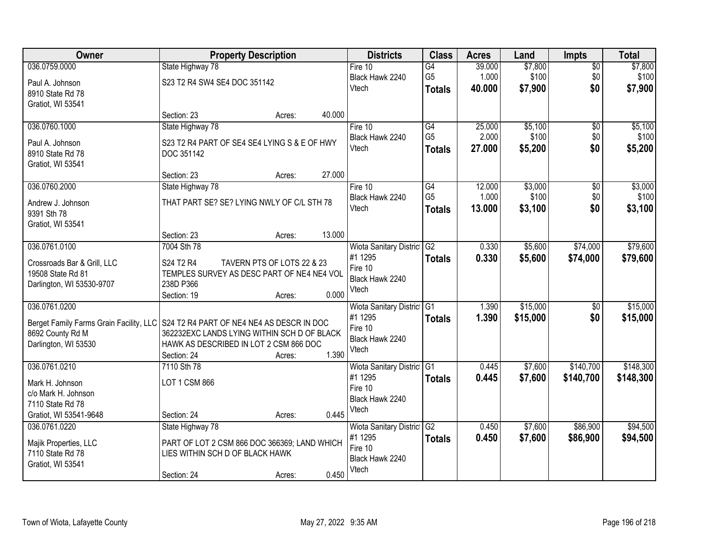| Owner                                                                               |                                              | <b>Property Description</b> |        | <b>Districts</b>           | <b>Class</b>    | <b>Acres</b> | Land     | <b>Impts</b>    | <b>Total</b> |
|-------------------------------------------------------------------------------------|----------------------------------------------|-----------------------------|--------|----------------------------|-----------------|--------------|----------|-----------------|--------------|
| 036.0759.0000                                                                       | State Highway 78                             |                             |        | Fire $10$                  | G4              | 39.000       | \$7,800  | $\overline{50}$ | \$7,800      |
| Paul A. Johnson                                                                     | S23 T2 R4 SW4 SE4 DOC 351142                 |                             |        | Black Hawk 2240            | G <sub>5</sub>  | 1.000        | \$100    | \$0             | \$100        |
| 8910 State Rd 78                                                                    |                                              |                             |        | Vtech                      | <b>Totals</b>   | 40.000       | \$7,900  | \$0             | \$7,900      |
| Gratiot, WI 53541                                                                   |                                              |                             |        |                            |                 |              |          |                 |              |
|                                                                                     | Section: 23                                  | Acres:                      | 40.000 |                            |                 |              |          |                 |              |
| 036.0760.1000                                                                       | State Highway 78                             |                             |        | Fire 10                    | $\overline{G4}$ | 25.000       | \$5,100  | \$0             | \$5,100      |
| Paul A. Johnson                                                                     | S23 T2 R4 PART OF SE4 SE4 LYING S & E OF HWY |                             |        | Black Hawk 2240            | G <sub>5</sub>  | 2.000        | \$100    | \$0             | \$100        |
| 8910 State Rd 78                                                                    | DOC 351142                                   |                             |        | Vtech                      | <b>Totals</b>   | 27.000       | \$5,200  | \$0             | \$5,200      |
| Gratiot, WI 53541                                                                   |                                              |                             |        |                            |                 |              |          |                 |              |
|                                                                                     | Section: 23                                  | Acres:                      | 27.000 |                            |                 |              |          |                 |              |
| 036.0760.2000                                                                       | State Highway 78                             |                             |        | Fire 10                    | $\overline{G4}$ | 12.000       | \$3,000  | $\overline{50}$ | \$3,000      |
| Andrew J. Johnson                                                                   | THAT PART SE? SE? LYING NWLY OF C/L STH 78   |                             |        | Black Hawk 2240            | G <sub>5</sub>  | 1.000        | \$100    | \$0             | \$100        |
| 9391 Sth 78                                                                         |                                              |                             |        | Vtech                      | <b>Totals</b>   | 13.000       | \$3,100  | \$0             | \$3,100      |
| Gratiot, WI 53541                                                                   |                                              |                             |        |                            |                 |              |          |                 |              |
|                                                                                     | Section: 23                                  | Acres:                      | 13.000 |                            |                 |              |          |                 |              |
| 036.0761.0100                                                                       | 7004 Sth 78                                  |                             |        | Wiota Sanitary District    | G2              | 0.330        | \$5,600  | \$74,000        | \$79,600     |
| Crossroads Bar & Grill, LLC                                                         | S24 T2 R4                                    | TAVERN PTS OF LOTS 22 & 23  |        | #1 1295                    | <b>Totals</b>   | 0.330        | \$5,600  | \$74,000        | \$79,600     |
| 19508 State Rd 81                                                                   | TEMPLES SURVEY AS DESC PART OF NE4 NE4 VOL   |                             |        | Fire 10                    |                 |              |          |                 |              |
| Darlington, WI 53530-9707                                                           | 238D P366                                    |                             |        | Black Hawk 2240            |                 |              |          |                 |              |
|                                                                                     | Section: 19                                  | Acres:                      | 0.000  | Vtech                      |                 |              |          |                 |              |
| 036.0761.0200                                                                       |                                              |                             |        | Wiota Sanitary District    | IG <sub>1</sub> | 1.390        | \$15,000 | \$0             | \$15,000     |
| Berget Family Farms Grain Facility, LLC   S24 T2 R4 PART OF NE4 NE4 AS DESCR IN DOC |                                              |                             |        | #1 1295                    | <b>Totals</b>   | 1.390        | \$15,000 | \$0             | \$15,000     |
| 8692 County Rd M                                                                    | 362232EXC LANDS LYING WITHIN SCH D OF BLACK  |                             |        | Fire 10                    |                 |              |          |                 |              |
| Darlington, WI 53530                                                                | HAWK AS DESCRIBED IN LOT 2 CSM 866 DOC       |                             |        | Black Hawk 2240            |                 |              |          |                 |              |
|                                                                                     | Section: 24                                  | Acres:                      | 1.390  | Vtech                      |                 |              |          |                 |              |
| 036.0761.0210                                                                       | 7110 Sth 78                                  |                             |        | Wiota Sanitary District G1 |                 | 0.445        | \$7,600  | \$140,700       | \$148,300    |
| Mark H. Johnson                                                                     | LOT 1 CSM 866                                |                             |        | #1 1295                    | <b>Totals</b>   | 0.445        | \$7,600  | \$140,700       | \$148,300    |
| c/o Mark H. Johnson                                                                 |                                              |                             |        | Fire 10                    |                 |              |          |                 |              |
| 7110 State Rd 78                                                                    |                                              |                             |        | Black Hawk 2240            |                 |              |          |                 |              |
| Gratiot, WI 53541-9648                                                              | Section: 24                                  | Acres:                      | 0.445  | Vtech                      |                 |              |          |                 |              |
| 036.0761.0220                                                                       | State Highway 78                             |                             |        | Wiota Sanitary District    | G <sub>2</sub>  | 0.450        | \$7,600  | \$86,900        | \$94,500     |
| Majik Properties, LLC                                                               | PART OF LOT 2 CSM 866 DOC 366369; LAND WHICH |                             |        | #1 1295                    | <b>Totals</b>   | 0.450        | \$7,600  | \$86,900        | \$94,500     |
| 7110 State Rd 78                                                                    | LIES WITHIN SCH D OF BLACK HAWK              |                             |        | Fire 10                    |                 |              |          |                 |              |
| Gratiot, WI 53541                                                                   |                                              |                             |        | Black Hawk 2240            |                 |              |          |                 |              |
|                                                                                     | Section: 24                                  | Acres:                      | 0.450  | Vtech                      |                 |              |          |                 |              |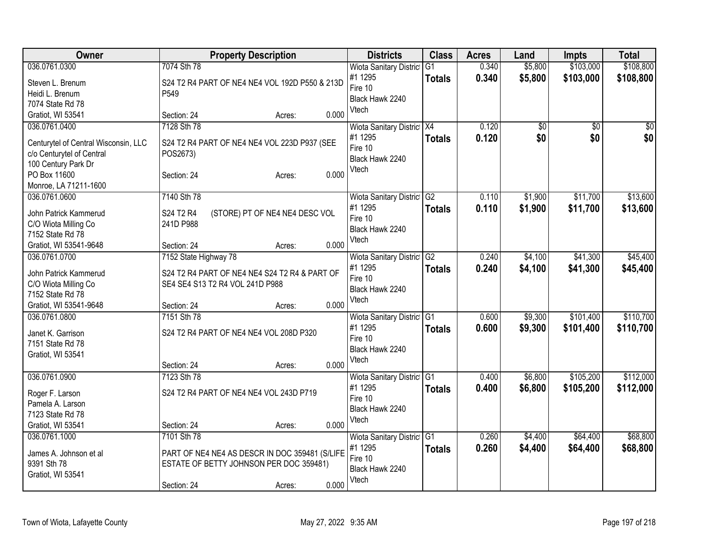| 036.0761.0300<br>7074 Sth 78<br>\$5,800<br>\$103,000<br>\$108,800<br>0.340<br>Wiota Sanitary District<br>G1<br>#1 1295<br>0.340<br>\$5,800<br>\$103,000<br>\$108,800<br><b>Totals</b><br>Steven L. Brenum<br>S24 T2 R4 PART OF NE4 NE4 VOL 192D P550 & 213D<br>Fire 10<br>Heidi L. Brenum<br>P <sub>549</sub><br>Black Hawk 2240<br>7074 State Rd 78<br>Vtech<br>0.000<br>Gratiot, WI 53541<br>Section: 24<br>Acres:<br>7128 Sth 78<br>036.0761.0400<br>0.120<br>Wiota Sanitary District X4<br>\$0<br>\$0<br>\$0<br>\$0<br>0.120<br>\$0<br>\$0<br>#1 1295<br><b>Totals</b><br>Centurytel of Central Wisconsin, LLC<br>S24 T2 R4 PART OF NE4 NE4 VOL 223D P937 (SEE<br>Fire 10<br>c/o Centurytel of Central<br>POS2673)<br>Black Hawk 2240<br>100 Century Park Dr<br>Vtech<br>0.000<br>PO Box 11600<br>Section: 24<br>Acres:<br>Monroe, LA 71211-1600<br>036.0761.0600<br>7140 Sth 78<br>\$1,900<br>\$11,700<br>\$13,600<br>Wiota Sanitary District G2<br>0.110<br>#1 1295<br>0.110<br>\$1,900<br>\$11,700<br>\$13,600<br><b>Totals</b><br>S24 T2 R4<br>John Patrick Kammerud<br>(STORE) PT OF NE4 NE4 DESC VOL<br>Fire 10<br>241D P988<br>C/O Wiota Milling Co<br>Black Hawk 2240<br>7152 State Rd 78<br>Vtech<br>0.000<br>Gratiot, WI 53541-9648<br>Section: 24<br>Acres: |
|----------------------------------------------------------------------------------------------------------------------------------------------------------------------------------------------------------------------------------------------------------------------------------------------------------------------------------------------------------------------------------------------------------------------------------------------------------------------------------------------------------------------------------------------------------------------------------------------------------------------------------------------------------------------------------------------------------------------------------------------------------------------------------------------------------------------------------------------------------------------------------------------------------------------------------------------------------------------------------------------------------------------------------------------------------------------------------------------------------------------------------------------------------------------------------------------------------------------------------------------------------------------------|
|                                                                                                                                                                                                                                                                                                                                                                                                                                                                                                                                                                                                                                                                                                                                                                                                                                                                                                                                                                                                                                                                                                                                                                                                                                                                            |
|                                                                                                                                                                                                                                                                                                                                                                                                                                                                                                                                                                                                                                                                                                                                                                                                                                                                                                                                                                                                                                                                                                                                                                                                                                                                            |
|                                                                                                                                                                                                                                                                                                                                                                                                                                                                                                                                                                                                                                                                                                                                                                                                                                                                                                                                                                                                                                                                                                                                                                                                                                                                            |
|                                                                                                                                                                                                                                                                                                                                                                                                                                                                                                                                                                                                                                                                                                                                                                                                                                                                                                                                                                                                                                                                                                                                                                                                                                                                            |
|                                                                                                                                                                                                                                                                                                                                                                                                                                                                                                                                                                                                                                                                                                                                                                                                                                                                                                                                                                                                                                                                                                                                                                                                                                                                            |
|                                                                                                                                                                                                                                                                                                                                                                                                                                                                                                                                                                                                                                                                                                                                                                                                                                                                                                                                                                                                                                                                                                                                                                                                                                                                            |
|                                                                                                                                                                                                                                                                                                                                                                                                                                                                                                                                                                                                                                                                                                                                                                                                                                                                                                                                                                                                                                                                                                                                                                                                                                                                            |
|                                                                                                                                                                                                                                                                                                                                                                                                                                                                                                                                                                                                                                                                                                                                                                                                                                                                                                                                                                                                                                                                                                                                                                                                                                                                            |
|                                                                                                                                                                                                                                                                                                                                                                                                                                                                                                                                                                                                                                                                                                                                                                                                                                                                                                                                                                                                                                                                                                                                                                                                                                                                            |
|                                                                                                                                                                                                                                                                                                                                                                                                                                                                                                                                                                                                                                                                                                                                                                                                                                                                                                                                                                                                                                                                                                                                                                                                                                                                            |
|                                                                                                                                                                                                                                                                                                                                                                                                                                                                                                                                                                                                                                                                                                                                                                                                                                                                                                                                                                                                                                                                                                                                                                                                                                                                            |
|                                                                                                                                                                                                                                                                                                                                                                                                                                                                                                                                                                                                                                                                                                                                                                                                                                                                                                                                                                                                                                                                                                                                                                                                                                                                            |
|                                                                                                                                                                                                                                                                                                                                                                                                                                                                                                                                                                                                                                                                                                                                                                                                                                                                                                                                                                                                                                                                                                                                                                                                                                                                            |
|                                                                                                                                                                                                                                                                                                                                                                                                                                                                                                                                                                                                                                                                                                                                                                                                                                                                                                                                                                                                                                                                                                                                                                                                                                                                            |
|                                                                                                                                                                                                                                                                                                                                                                                                                                                                                                                                                                                                                                                                                                                                                                                                                                                                                                                                                                                                                                                                                                                                                                                                                                                                            |
|                                                                                                                                                                                                                                                                                                                                                                                                                                                                                                                                                                                                                                                                                                                                                                                                                                                                                                                                                                                                                                                                                                                                                                                                                                                                            |
| 036.0761.0700<br>\$45,400<br>7152 State Highway 78<br>Wiota Sanitary District G2<br>0.240<br>\$4,100<br>\$41,300                                                                                                                                                                                                                                                                                                                                                                                                                                                                                                                                                                                                                                                                                                                                                                                                                                                                                                                                                                                                                                                                                                                                                           |
| #1 1295<br>0.240<br>\$4,100<br>\$41,300<br>\$45,400<br><b>Totals</b><br>S24 T2 R4 PART OF NE4 NE4 S24 T2 R4 & PART OF<br>John Patrick Kammerud                                                                                                                                                                                                                                                                                                                                                                                                                                                                                                                                                                                                                                                                                                                                                                                                                                                                                                                                                                                                                                                                                                                             |
| Fire 10<br>C/O Wiota Milling Co<br>SE4 SE4 S13 T2 R4 VOL 241D P988                                                                                                                                                                                                                                                                                                                                                                                                                                                                                                                                                                                                                                                                                                                                                                                                                                                                                                                                                                                                                                                                                                                                                                                                         |
| Black Hawk 2240<br>7152 State Rd 78                                                                                                                                                                                                                                                                                                                                                                                                                                                                                                                                                                                                                                                                                                                                                                                                                                                                                                                                                                                                                                                                                                                                                                                                                                        |
| Vtech<br>0.000<br>Gratiot, WI 53541-9648<br>Section: 24<br>Acres:                                                                                                                                                                                                                                                                                                                                                                                                                                                                                                                                                                                                                                                                                                                                                                                                                                                                                                                                                                                                                                                                                                                                                                                                          |
| 036.0761.0800<br>7151 Sth 78<br>\$9,300<br>\$101,400<br>\$110,700<br>Wiota Sanitary District G1<br>0.600                                                                                                                                                                                                                                                                                                                                                                                                                                                                                                                                                                                                                                                                                                                                                                                                                                                                                                                                                                                                                                                                                                                                                                   |
| #1 1295<br>0.600<br>\$9,300<br>\$101,400<br>\$110,700<br><b>Totals</b>                                                                                                                                                                                                                                                                                                                                                                                                                                                                                                                                                                                                                                                                                                                                                                                                                                                                                                                                                                                                                                                                                                                                                                                                     |
| S24 T2 R4 PART OF NE4 NE4 VOL 208D P320<br>Janet K. Garrison<br>Fire 10                                                                                                                                                                                                                                                                                                                                                                                                                                                                                                                                                                                                                                                                                                                                                                                                                                                                                                                                                                                                                                                                                                                                                                                                    |
| 7151 State Rd 78<br>Black Hawk 2240                                                                                                                                                                                                                                                                                                                                                                                                                                                                                                                                                                                                                                                                                                                                                                                                                                                                                                                                                                                                                                                                                                                                                                                                                                        |
| Gratiot, WI 53541<br>Vtech<br>0.000<br>Section: 24                                                                                                                                                                                                                                                                                                                                                                                                                                                                                                                                                                                                                                                                                                                                                                                                                                                                                                                                                                                                                                                                                                                                                                                                                         |
| Acres:<br>036.0761.0900<br>7123 Sth 78<br>0.400<br>\$6,800<br>\$105,200<br>\$112,000                                                                                                                                                                                                                                                                                                                                                                                                                                                                                                                                                                                                                                                                                                                                                                                                                                                                                                                                                                                                                                                                                                                                                                                       |
| Wiota Sanitary District G1                                                                                                                                                                                                                                                                                                                                                                                                                                                                                                                                                                                                                                                                                                                                                                                                                                                                                                                                                                                                                                                                                                                                                                                                                                                 |
| #1 1295<br>0.400<br>\$6,800<br>\$105,200<br>\$112,000<br><b>Totals</b><br>S24 T2 R4 PART OF NE4 NE4 VOL 243D P719<br>Roger F. Larson<br>Fire 10                                                                                                                                                                                                                                                                                                                                                                                                                                                                                                                                                                                                                                                                                                                                                                                                                                                                                                                                                                                                                                                                                                                            |
| Pamela A. Larson<br>Black Hawk 2240                                                                                                                                                                                                                                                                                                                                                                                                                                                                                                                                                                                                                                                                                                                                                                                                                                                                                                                                                                                                                                                                                                                                                                                                                                        |
| 7123 State Rd 78<br>Vtech                                                                                                                                                                                                                                                                                                                                                                                                                                                                                                                                                                                                                                                                                                                                                                                                                                                                                                                                                                                                                                                                                                                                                                                                                                                  |
| 0.000<br>Gratiot, WI 53541<br>Section: 24<br>Acres:                                                                                                                                                                                                                                                                                                                                                                                                                                                                                                                                                                                                                                                                                                                                                                                                                                                                                                                                                                                                                                                                                                                                                                                                                        |
| \$64,400<br>\$68,800<br>036.0761.1000<br>7101 Sth 78<br>Wiota Sanitary District G1<br>0.260<br>\$4,400                                                                                                                                                                                                                                                                                                                                                                                                                                                                                                                                                                                                                                                                                                                                                                                                                                                                                                                                                                                                                                                                                                                                                                     |
| #1 1295<br>0.260<br>\$4,400<br>\$64,400<br>\$68,800<br><b>Totals</b><br>James A. Johnson et al<br>PART OF NE4 NE4 AS DESCR IN DOC 359481 (S/LIFE                                                                                                                                                                                                                                                                                                                                                                                                                                                                                                                                                                                                                                                                                                                                                                                                                                                                                                                                                                                                                                                                                                                           |
| Fire 10<br>9391 Sth 78<br>ESTATE OF BETTY JOHNSON PER DOC 359481)                                                                                                                                                                                                                                                                                                                                                                                                                                                                                                                                                                                                                                                                                                                                                                                                                                                                                                                                                                                                                                                                                                                                                                                                          |
| Black Hawk 2240<br>Gratiot, WI 53541                                                                                                                                                                                                                                                                                                                                                                                                                                                                                                                                                                                                                                                                                                                                                                                                                                                                                                                                                                                                                                                                                                                                                                                                                                       |
| Vtech<br>0.000<br>Section: 24<br>Acres:                                                                                                                                                                                                                                                                                                                                                                                                                                                                                                                                                                                                                                                                                                                                                                                                                                                                                                                                                                                                                                                                                                                                                                                                                                    |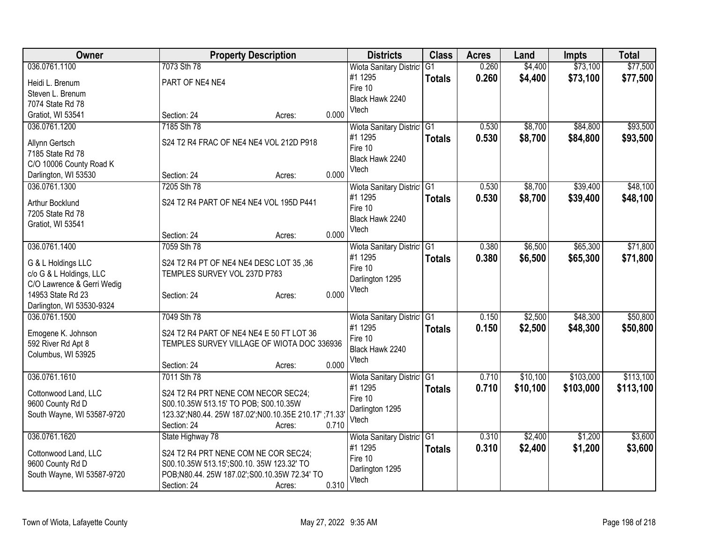| 0.260<br>\$73,100<br>\$77,500<br>036.0761.1100<br>7073 Sth 78<br>\$4,400<br>Wiota Sanitary District G1<br>#1 1295<br>0.260<br>\$4,400<br>\$73,100<br>\$77,500<br><b>Totals</b><br>PART OF NE4 NE4<br>Heidi L. Brenum<br>Fire 10<br>Steven L. Brenum<br>Black Hawk 2240<br>7074 State Rd 78<br>Vtech<br>0.000<br>Gratiot, WI 53541<br>Section: 24<br>Acres:<br>036.0761.1200<br>7185 Sth 78<br>\$8,700<br>\$84,800<br>Wiota Sanitary District G1<br>0.530<br>0.530<br>\$8,700<br>#1 1295<br>\$84,800<br><b>Totals</b><br>S24 T2 R4 FRAC OF NE4 NE4 VOL 212D P918<br>Allynn Gertsch<br>Fire 10<br>7185 State Rd 78<br>Black Hawk 2240<br>C/O 10006 County Road K<br>Vtech<br>0.000<br>Section: 24<br>Darlington, WI 53530<br>Acres:<br>7205 Sth 78<br>\$8,700<br>\$39,400<br>036.0761.1300<br>Wiota Sanitary District G1<br>0.530<br>#1 1295<br>0.530<br>\$8,700<br>\$39,400<br><b>Totals</b><br>S24 T2 R4 PART OF NE4 NE4 VOL 195D P441<br>Arthur Bocklund<br>Fire 10<br>7205 State Rd 78<br>Black Hawk 2240<br>Gratiot, WI 53541<br>Vtech<br>0.000<br>Section: 24<br>Acres:<br>7059 Sth 78<br>\$6,500<br>\$65,300<br>036.0761.1400<br>Wiota Sanitary District G1<br>0.380<br>#1 1295<br>0.380<br>\$6,500<br>\$65,300<br><b>Totals</b><br>G & L Holdings LLC<br>S24 T2 R4 PT OF NE4 NE4 DESC LOT 35,36<br>Fire 10<br>c/o G & L Holdings, LLC<br>TEMPLES SURVEY VOL 237D P783<br>Darlington 1295<br>C/O Lawrence & Gerri Wedig<br>Vtech<br>0.000<br>14953 State Rd 23<br>Section: 24<br>Acres:<br>Darlington, WI 53530-9324<br>7049 Sth 78<br>\$2,500<br>\$48,300<br>036.0761.1500<br>Wiota Sanitary District G1<br>0.150<br>#1 1295<br>0.150<br>\$48,300<br>\$2,500<br><b>Totals</b><br>S24 T2 R4 PART OF NE4 NE4 E 50 FT LOT 36<br>Emogene K. Johnson<br>Fire 10<br>592 River Rd Apt 8<br>TEMPLES SURVEY VILLAGE OF WIOTA DOC 336936<br>Black Hawk 2240<br>Columbus, WI 53925<br>Vtech<br>0.000<br>Section: 24<br>Acres:<br>\$103,000<br>036.0761.1610<br>7011 Sth 78<br>Wiota Sanitary District G1<br>0.710<br>\$10,100<br>0.710<br>#1 1295<br>\$10,100<br>\$103,000<br><b>Totals</b><br>S24 T2 R4 PRT NENE COM NECOR SEC24;<br>Cottonwood Land, LLC<br>Fire 10<br>9600 County Rd D<br>S00.10.35W 513.15' TO POB; S00.10.35W<br>Darlington 1295<br>123.32';N80.44. 25W 187.02';N00.10.35E 210.17' ;71.33'<br>South Wayne, WI 53587-9720<br>Vtech<br>0.710<br>Section: 24<br>Acres:<br>036.0761.1620<br>Wiota Sanitary District G1<br>\$2,400<br>\$1,200<br>State Highway 78<br>0.310<br>#1 1295<br>0.310<br>\$2,400<br>\$1,200<br><b>Totals</b><br>S24 T2 R4 PRT NENE COM NE COR SEC24;<br>Cottonwood Land, LLC<br>Fire 10<br>9600 County Rd D<br>S00.10.35W 513.15';S00.10. 35W 123.32' TO<br>Darlington 1295<br>POB;N80.44. 25W 187.02';S00.10.35W 72.34' TO<br>South Wayne, WI 53587-9720<br>Vtech<br>0.310 | Owner |             | <b>Property Description</b> | <b>Districts</b> | <b>Class</b> | <b>Acres</b> | Land | Impts | <b>Total</b> |
|-----------------------------------------------------------------------------------------------------------------------------------------------------------------------------------------------------------------------------------------------------------------------------------------------------------------------------------------------------------------------------------------------------------------------------------------------------------------------------------------------------------------------------------------------------------------------------------------------------------------------------------------------------------------------------------------------------------------------------------------------------------------------------------------------------------------------------------------------------------------------------------------------------------------------------------------------------------------------------------------------------------------------------------------------------------------------------------------------------------------------------------------------------------------------------------------------------------------------------------------------------------------------------------------------------------------------------------------------------------------------------------------------------------------------------------------------------------------------------------------------------------------------------------------------------------------------------------------------------------------------------------------------------------------------------------------------------------------------------------------------------------------------------------------------------------------------------------------------------------------------------------------------------------------------------------------------------------------------------------------------------------------------------------------------------------------------------------------------------------------------------------------------------------------------------------------------------------------------------------------------------------------------------------------------------------------------------------------------------------------------------------------------------------------------------------------------------------------------------------------------------------------------------------------------------------------------------------------------------------------------------------------------------------------------------------------------------------------------------------------------------------------------------------------------------------------|-------|-------------|-----------------------------|------------------|--------------|--------------|------|-------|--------------|
|                                                                                                                                                                                                                                                                                                                                                                                                                                                                                                                                                                                                                                                                                                                                                                                                                                                                                                                                                                                                                                                                                                                                                                                                                                                                                                                                                                                                                                                                                                                                                                                                                                                                                                                                                                                                                                                                                                                                                                                                                                                                                                                                                                                                                                                                                                                                                                                                                                                                                                                                                                                                                                                                                                                                                                                                                 |       |             |                             |                  |              |              |      |       |              |
| \$93,500<br>\$93,500                                                                                                                                                                                                                                                                                                                                                                                                                                                                                                                                                                                                                                                                                                                                                                                                                                                                                                                                                                                                                                                                                                                                                                                                                                                                                                                                                                                                                                                                                                                                                                                                                                                                                                                                                                                                                                                                                                                                                                                                                                                                                                                                                                                                                                                                                                                                                                                                                                                                                                                                                                                                                                                                                                                                                                                            |       |             |                             |                  |              |              |      |       |              |
|                                                                                                                                                                                                                                                                                                                                                                                                                                                                                                                                                                                                                                                                                                                                                                                                                                                                                                                                                                                                                                                                                                                                                                                                                                                                                                                                                                                                                                                                                                                                                                                                                                                                                                                                                                                                                                                                                                                                                                                                                                                                                                                                                                                                                                                                                                                                                                                                                                                                                                                                                                                                                                                                                                                                                                                                                 |       |             |                             |                  |              |              |      |       |              |
|                                                                                                                                                                                                                                                                                                                                                                                                                                                                                                                                                                                                                                                                                                                                                                                                                                                                                                                                                                                                                                                                                                                                                                                                                                                                                                                                                                                                                                                                                                                                                                                                                                                                                                                                                                                                                                                                                                                                                                                                                                                                                                                                                                                                                                                                                                                                                                                                                                                                                                                                                                                                                                                                                                                                                                                                                 |       |             |                             |                  |              |              |      |       |              |
|                                                                                                                                                                                                                                                                                                                                                                                                                                                                                                                                                                                                                                                                                                                                                                                                                                                                                                                                                                                                                                                                                                                                                                                                                                                                                                                                                                                                                                                                                                                                                                                                                                                                                                                                                                                                                                                                                                                                                                                                                                                                                                                                                                                                                                                                                                                                                                                                                                                                                                                                                                                                                                                                                                                                                                                                                 |       |             |                             |                  |              |              |      |       |              |
|                                                                                                                                                                                                                                                                                                                                                                                                                                                                                                                                                                                                                                                                                                                                                                                                                                                                                                                                                                                                                                                                                                                                                                                                                                                                                                                                                                                                                                                                                                                                                                                                                                                                                                                                                                                                                                                                                                                                                                                                                                                                                                                                                                                                                                                                                                                                                                                                                                                                                                                                                                                                                                                                                                                                                                                                                 |       |             |                             |                  |              |              |      |       |              |
|                                                                                                                                                                                                                                                                                                                                                                                                                                                                                                                                                                                                                                                                                                                                                                                                                                                                                                                                                                                                                                                                                                                                                                                                                                                                                                                                                                                                                                                                                                                                                                                                                                                                                                                                                                                                                                                                                                                                                                                                                                                                                                                                                                                                                                                                                                                                                                                                                                                                                                                                                                                                                                                                                                                                                                                                                 |       |             |                             |                  |              |              |      |       |              |
| \$48,100<br>\$48,100<br>\$50,800<br>\$50,800<br>\$113,100<br>\$3,600<br>\$3,600                                                                                                                                                                                                                                                                                                                                                                                                                                                                                                                                                                                                                                                                                                                                                                                                                                                                                                                                                                                                                                                                                                                                                                                                                                                                                                                                                                                                                                                                                                                                                                                                                                                                                                                                                                                                                                                                                                                                                                                                                                                                                                                                                                                                                                                                                                                                                                                                                                                                                                                                                                                                                                                                                                                                 |       |             |                             |                  |              |              |      |       |              |
|                                                                                                                                                                                                                                                                                                                                                                                                                                                                                                                                                                                                                                                                                                                                                                                                                                                                                                                                                                                                                                                                                                                                                                                                                                                                                                                                                                                                                                                                                                                                                                                                                                                                                                                                                                                                                                                                                                                                                                                                                                                                                                                                                                                                                                                                                                                                                                                                                                                                                                                                                                                                                                                                                                                                                                                                                 |       |             |                             |                  |              |              |      |       |              |
|                                                                                                                                                                                                                                                                                                                                                                                                                                                                                                                                                                                                                                                                                                                                                                                                                                                                                                                                                                                                                                                                                                                                                                                                                                                                                                                                                                                                                                                                                                                                                                                                                                                                                                                                                                                                                                                                                                                                                                                                                                                                                                                                                                                                                                                                                                                                                                                                                                                                                                                                                                                                                                                                                                                                                                                                                 |       |             |                             |                  |              |              |      |       |              |
|                                                                                                                                                                                                                                                                                                                                                                                                                                                                                                                                                                                                                                                                                                                                                                                                                                                                                                                                                                                                                                                                                                                                                                                                                                                                                                                                                                                                                                                                                                                                                                                                                                                                                                                                                                                                                                                                                                                                                                                                                                                                                                                                                                                                                                                                                                                                                                                                                                                                                                                                                                                                                                                                                                                                                                                                                 |       |             |                             |                  |              |              |      |       |              |
|                                                                                                                                                                                                                                                                                                                                                                                                                                                                                                                                                                                                                                                                                                                                                                                                                                                                                                                                                                                                                                                                                                                                                                                                                                                                                                                                                                                                                                                                                                                                                                                                                                                                                                                                                                                                                                                                                                                                                                                                                                                                                                                                                                                                                                                                                                                                                                                                                                                                                                                                                                                                                                                                                                                                                                                                                 |       |             |                             |                  |              |              |      |       |              |
|                                                                                                                                                                                                                                                                                                                                                                                                                                                                                                                                                                                                                                                                                                                                                                                                                                                                                                                                                                                                                                                                                                                                                                                                                                                                                                                                                                                                                                                                                                                                                                                                                                                                                                                                                                                                                                                                                                                                                                                                                                                                                                                                                                                                                                                                                                                                                                                                                                                                                                                                                                                                                                                                                                                                                                                                                 |       |             |                             |                  |              |              |      |       |              |
|                                                                                                                                                                                                                                                                                                                                                                                                                                                                                                                                                                                                                                                                                                                                                                                                                                                                                                                                                                                                                                                                                                                                                                                                                                                                                                                                                                                                                                                                                                                                                                                                                                                                                                                                                                                                                                                                                                                                                                                                                                                                                                                                                                                                                                                                                                                                                                                                                                                                                                                                                                                                                                                                                                                                                                                                                 |       |             |                             |                  |              |              |      |       |              |
| \$71,800<br>\$71,800<br>\$113,100                                                                                                                                                                                                                                                                                                                                                                                                                                                                                                                                                                                                                                                                                                                                                                                                                                                                                                                                                                                                                                                                                                                                                                                                                                                                                                                                                                                                                                                                                                                                                                                                                                                                                                                                                                                                                                                                                                                                                                                                                                                                                                                                                                                                                                                                                                                                                                                                                                                                                                                                                                                                                                                                                                                                                                               |       |             |                             |                  |              |              |      |       |              |
|                                                                                                                                                                                                                                                                                                                                                                                                                                                                                                                                                                                                                                                                                                                                                                                                                                                                                                                                                                                                                                                                                                                                                                                                                                                                                                                                                                                                                                                                                                                                                                                                                                                                                                                                                                                                                                                                                                                                                                                                                                                                                                                                                                                                                                                                                                                                                                                                                                                                                                                                                                                                                                                                                                                                                                                                                 |       |             |                             |                  |              |              |      |       |              |
|                                                                                                                                                                                                                                                                                                                                                                                                                                                                                                                                                                                                                                                                                                                                                                                                                                                                                                                                                                                                                                                                                                                                                                                                                                                                                                                                                                                                                                                                                                                                                                                                                                                                                                                                                                                                                                                                                                                                                                                                                                                                                                                                                                                                                                                                                                                                                                                                                                                                                                                                                                                                                                                                                                                                                                                                                 |       |             |                             |                  |              |              |      |       |              |
|                                                                                                                                                                                                                                                                                                                                                                                                                                                                                                                                                                                                                                                                                                                                                                                                                                                                                                                                                                                                                                                                                                                                                                                                                                                                                                                                                                                                                                                                                                                                                                                                                                                                                                                                                                                                                                                                                                                                                                                                                                                                                                                                                                                                                                                                                                                                                                                                                                                                                                                                                                                                                                                                                                                                                                                                                 |       |             |                             |                  |              |              |      |       |              |
|                                                                                                                                                                                                                                                                                                                                                                                                                                                                                                                                                                                                                                                                                                                                                                                                                                                                                                                                                                                                                                                                                                                                                                                                                                                                                                                                                                                                                                                                                                                                                                                                                                                                                                                                                                                                                                                                                                                                                                                                                                                                                                                                                                                                                                                                                                                                                                                                                                                                                                                                                                                                                                                                                                                                                                                                                 |       |             |                             |                  |              |              |      |       |              |
|                                                                                                                                                                                                                                                                                                                                                                                                                                                                                                                                                                                                                                                                                                                                                                                                                                                                                                                                                                                                                                                                                                                                                                                                                                                                                                                                                                                                                                                                                                                                                                                                                                                                                                                                                                                                                                                                                                                                                                                                                                                                                                                                                                                                                                                                                                                                                                                                                                                                                                                                                                                                                                                                                                                                                                                                                 |       |             |                             |                  |              |              |      |       |              |
|                                                                                                                                                                                                                                                                                                                                                                                                                                                                                                                                                                                                                                                                                                                                                                                                                                                                                                                                                                                                                                                                                                                                                                                                                                                                                                                                                                                                                                                                                                                                                                                                                                                                                                                                                                                                                                                                                                                                                                                                                                                                                                                                                                                                                                                                                                                                                                                                                                                                                                                                                                                                                                                                                                                                                                                                                 |       |             |                             |                  |              |              |      |       |              |
|                                                                                                                                                                                                                                                                                                                                                                                                                                                                                                                                                                                                                                                                                                                                                                                                                                                                                                                                                                                                                                                                                                                                                                                                                                                                                                                                                                                                                                                                                                                                                                                                                                                                                                                                                                                                                                                                                                                                                                                                                                                                                                                                                                                                                                                                                                                                                                                                                                                                                                                                                                                                                                                                                                                                                                                                                 |       |             |                             |                  |              |              |      |       |              |
|                                                                                                                                                                                                                                                                                                                                                                                                                                                                                                                                                                                                                                                                                                                                                                                                                                                                                                                                                                                                                                                                                                                                                                                                                                                                                                                                                                                                                                                                                                                                                                                                                                                                                                                                                                                                                                                                                                                                                                                                                                                                                                                                                                                                                                                                                                                                                                                                                                                                                                                                                                                                                                                                                                                                                                                                                 |       |             |                             |                  |              |              |      |       |              |
|                                                                                                                                                                                                                                                                                                                                                                                                                                                                                                                                                                                                                                                                                                                                                                                                                                                                                                                                                                                                                                                                                                                                                                                                                                                                                                                                                                                                                                                                                                                                                                                                                                                                                                                                                                                                                                                                                                                                                                                                                                                                                                                                                                                                                                                                                                                                                                                                                                                                                                                                                                                                                                                                                                                                                                                                                 |       |             |                             |                  |              |              |      |       |              |
|                                                                                                                                                                                                                                                                                                                                                                                                                                                                                                                                                                                                                                                                                                                                                                                                                                                                                                                                                                                                                                                                                                                                                                                                                                                                                                                                                                                                                                                                                                                                                                                                                                                                                                                                                                                                                                                                                                                                                                                                                                                                                                                                                                                                                                                                                                                                                                                                                                                                                                                                                                                                                                                                                                                                                                                                                 |       |             |                             |                  |              |              |      |       |              |
|                                                                                                                                                                                                                                                                                                                                                                                                                                                                                                                                                                                                                                                                                                                                                                                                                                                                                                                                                                                                                                                                                                                                                                                                                                                                                                                                                                                                                                                                                                                                                                                                                                                                                                                                                                                                                                                                                                                                                                                                                                                                                                                                                                                                                                                                                                                                                                                                                                                                                                                                                                                                                                                                                                                                                                                                                 |       |             |                             |                  |              |              |      |       |              |
|                                                                                                                                                                                                                                                                                                                                                                                                                                                                                                                                                                                                                                                                                                                                                                                                                                                                                                                                                                                                                                                                                                                                                                                                                                                                                                                                                                                                                                                                                                                                                                                                                                                                                                                                                                                                                                                                                                                                                                                                                                                                                                                                                                                                                                                                                                                                                                                                                                                                                                                                                                                                                                                                                                                                                                                                                 |       |             |                             |                  |              |              |      |       |              |
|                                                                                                                                                                                                                                                                                                                                                                                                                                                                                                                                                                                                                                                                                                                                                                                                                                                                                                                                                                                                                                                                                                                                                                                                                                                                                                                                                                                                                                                                                                                                                                                                                                                                                                                                                                                                                                                                                                                                                                                                                                                                                                                                                                                                                                                                                                                                                                                                                                                                                                                                                                                                                                                                                                                                                                                                                 |       |             |                             |                  |              |              |      |       |              |
|                                                                                                                                                                                                                                                                                                                                                                                                                                                                                                                                                                                                                                                                                                                                                                                                                                                                                                                                                                                                                                                                                                                                                                                                                                                                                                                                                                                                                                                                                                                                                                                                                                                                                                                                                                                                                                                                                                                                                                                                                                                                                                                                                                                                                                                                                                                                                                                                                                                                                                                                                                                                                                                                                                                                                                                                                 |       |             |                             |                  |              |              |      |       |              |
|                                                                                                                                                                                                                                                                                                                                                                                                                                                                                                                                                                                                                                                                                                                                                                                                                                                                                                                                                                                                                                                                                                                                                                                                                                                                                                                                                                                                                                                                                                                                                                                                                                                                                                                                                                                                                                                                                                                                                                                                                                                                                                                                                                                                                                                                                                                                                                                                                                                                                                                                                                                                                                                                                                                                                                                                                 |       |             |                             |                  |              |              |      |       |              |
|                                                                                                                                                                                                                                                                                                                                                                                                                                                                                                                                                                                                                                                                                                                                                                                                                                                                                                                                                                                                                                                                                                                                                                                                                                                                                                                                                                                                                                                                                                                                                                                                                                                                                                                                                                                                                                                                                                                                                                                                                                                                                                                                                                                                                                                                                                                                                                                                                                                                                                                                                                                                                                                                                                                                                                                                                 |       |             |                             |                  |              |              |      |       |              |
|                                                                                                                                                                                                                                                                                                                                                                                                                                                                                                                                                                                                                                                                                                                                                                                                                                                                                                                                                                                                                                                                                                                                                                                                                                                                                                                                                                                                                                                                                                                                                                                                                                                                                                                                                                                                                                                                                                                                                                                                                                                                                                                                                                                                                                                                                                                                                                                                                                                                                                                                                                                                                                                                                                                                                                                                                 |       |             |                             |                  |              |              |      |       |              |
|                                                                                                                                                                                                                                                                                                                                                                                                                                                                                                                                                                                                                                                                                                                                                                                                                                                                                                                                                                                                                                                                                                                                                                                                                                                                                                                                                                                                                                                                                                                                                                                                                                                                                                                                                                                                                                                                                                                                                                                                                                                                                                                                                                                                                                                                                                                                                                                                                                                                                                                                                                                                                                                                                                                                                                                                                 |       |             |                             |                  |              |              |      |       |              |
|                                                                                                                                                                                                                                                                                                                                                                                                                                                                                                                                                                                                                                                                                                                                                                                                                                                                                                                                                                                                                                                                                                                                                                                                                                                                                                                                                                                                                                                                                                                                                                                                                                                                                                                                                                                                                                                                                                                                                                                                                                                                                                                                                                                                                                                                                                                                                                                                                                                                                                                                                                                                                                                                                                                                                                                                                 |       |             |                             |                  |              |              |      |       |              |
|                                                                                                                                                                                                                                                                                                                                                                                                                                                                                                                                                                                                                                                                                                                                                                                                                                                                                                                                                                                                                                                                                                                                                                                                                                                                                                                                                                                                                                                                                                                                                                                                                                                                                                                                                                                                                                                                                                                                                                                                                                                                                                                                                                                                                                                                                                                                                                                                                                                                                                                                                                                                                                                                                                                                                                                                                 |       |             |                             |                  |              |              |      |       |              |
|                                                                                                                                                                                                                                                                                                                                                                                                                                                                                                                                                                                                                                                                                                                                                                                                                                                                                                                                                                                                                                                                                                                                                                                                                                                                                                                                                                                                                                                                                                                                                                                                                                                                                                                                                                                                                                                                                                                                                                                                                                                                                                                                                                                                                                                                                                                                                                                                                                                                                                                                                                                                                                                                                                                                                                                                                 |       |             |                             |                  |              |              |      |       |              |
|                                                                                                                                                                                                                                                                                                                                                                                                                                                                                                                                                                                                                                                                                                                                                                                                                                                                                                                                                                                                                                                                                                                                                                                                                                                                                                                                                                                                                                                                                                                                                                                                                                                                                                                                                                                                                                                                                                                                                                                                                                                                                                                                                                                                                                                                                                                                                                                                                                                                                                                                                                                                                                                                                                                                                                                                                 |       | Section: 24 | Acres:                      |                  |              |              |      |       |              |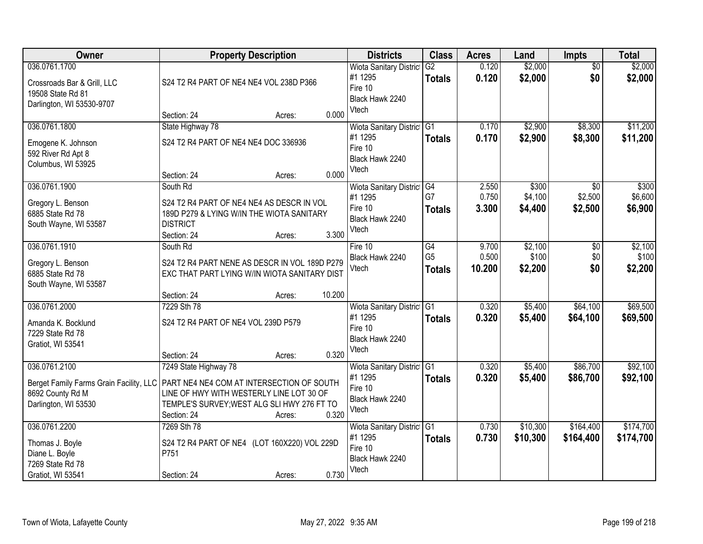| Owner                                                                                          | <b>Property Description</b>                                                                                                                                                                                                               | <b>Districts</b>                                                                 | <b>Class</b>                                       | <b>Acres</b>             | Land                        | <b>Impts</b>              | <b>Total</b>                |
|------------------------------------------------------------------------------------------------|-------------------------------------------------------------------------------------------------------------------------------------------------------------------------------------------------------------------------------------------|----------------------------------------------------------------------------------|----------------------------------------------------|--------------------------|-----------------------------|---------------------------|-----------------------------|
| 036.0761.1700<br>Crossroads Bar & Grill, LLC<br>19508 State Rd 81<br>Darlington, WI 53530-9707 | S24 T2 R4 PART OF NE4 NE4 VOL 238D P366                                                                                                                                                                                                   | <b>Wiota Sanitary District</b><br>#1 1295<br>Fire 10<br>Black Hawk 2240          | $\overline{G2}$<br><b>Totals</b>                   | 0.120<br>0.120           | \$2,000<br>\$2,000          | $\overline{50}$<br>\$0    | \$2,000<br>\$2,000          |
|                                                                                                | 0.000<br>Section: 24<br>Acres:                                                                                                                                                                                                            | Vtech                                                                            |                                                    |                          |                             |                           |                             |
| 036.0761.1800<br>Emogene K. Johnson<br>592 River Rd Apt 8<br>Columbus, WI 53925                | State Highway 78<br>S24 T2 R4 PART OF NE4 NE4 DOC 336936<br>0.000<br>Section: 24<br>Acres:                                                                                                                                                | <b>Wiota Sanitary District</b><br>#1 1295<br>Fire 10<br>Black Hawk 2240<br>Vtech | G <sub>1</sub><br><b>Totals</b>                    | 0.170<br>0.170           | \$2,900<br>\$2,900          | \$8,300<br>\$8,300        | \$11,200<br>\$11,200        |
| 036.0761.1900<br>Gregory L. Benson<br>6885 State Rd 78<br>South Wayne, WI 53587                | South Rd<br>S24 T2 R4 PART OF NE4 NE4 AS DESCR IN VOL<br>189D P279 & LYING W/IN THE WIOTA SANITARY<br><b>DISTRICT</b><br>3.300<br>Section: 24<br>Acres:                                                                                   | Wiota Sanitary District G4<br>#1 1295<br>Fire 10<br>Black Hawk 2240<br>Vtech     | G7<br><b>Totals</b>                                | 2.550<br>0.750<br>3.300  | \$300<br>\$4,100<br>\$4,400 | \$0<br>\$2,500<br>\$2,500 | \$300<br>\$6,600<br>\$6,900 |
| 036.0761.1910<br>Gregory L. Benson<br>6885 State Rd 78<br>South Wayne, WI 53587                | South Rd<br>S24 T2 R4 PART NENE AS DESCR IN VOL 189D P279<br>EXC THAT PART LYING W/IN WIOTA SANITARY DIST                                                                                                                                 | Fire 10<br>Black Hawk 2240<br>Vtech                                              | $\overline{G4}$<br>G <sub>5</sub><br><b>Totals</b> | 9.700<br>0.500<br>10.200 | \$2,100<br>\$100<br>\$2,200 | \$0<br>\$0<br>\$0         | \$2,100<br>\$100<br>\$2,200 |
| 036.0761.2000<br>Amanda K. Bocklund<br>7229 State Rd 78<br>Gratiot, WI 53541                   | 10.200<br>Section: 24<br>Acres:<br>7229 Sth 78<br>S24 T2 R4 PART OF NE4 VOL 239D P579<br>0.320<br>Section: 24<br>Acres:                                                                                                                   | Wiota Sanitary District<br>#1 1295<br>Fire 10<br>Black Hawk 2240<br>Vtech        | G1<br><b>Totals</b>                                | 0.320<br>0.320           | \$5,400<br>\$5,400          | \$64,100<br>\$64,100      | \$69,500<br>\$69,500        |
| 036.0761.2100<br>8692 County Rd M<br>Darlington, WI 53530                                      | 7249 State Highway 78<br>Berget Family Farms Grain Facility, LLC   PART NE4 NE4 COM AT INTERSECTION OF SOUTH<br>LINE OF HWY WITH WESTERLY LINE LOT 30 OF<br>TEMPLE'S SURVEY; WEST ALG SLI HWY 276 FT TO<br>0.320<br>Section: 24<br>Acres: | Wiota Sanitary District G1<br>#1 1295<br>Fire 10<br>Black Hawk 2240<br>Vtech     | <b>Totals</b>                                      | 0.320<br>0.320           | \$5,400<br>\$5,400          | \$86,700<br>\$86,700      | \$92,100<br>\$92,100        |
| 036.0761.2200<br>Thomas J. Boyle<br>Diane L. Boyle<br>7269 State Rd 78<br>Gratiot, WI 53541    | 7269 Sth 78<br>S24 T2 R4 PART OF NE4 (LOT 160X220) VOL 229D<br>P751<br>0.730<br>Section: 24<br>Acres:                                                                                                                                     | Wiota Sanitary District G1<br>#1 1295<br>Fire 10<br>Black Hawk 2240<br>Vtech     | <b>Totals</b>                                      | 0.730<br>0.730           | \$10,300<br>\$10,300        | \$164,400<br>\$164,400    | \$174,700<br>\$174,700      |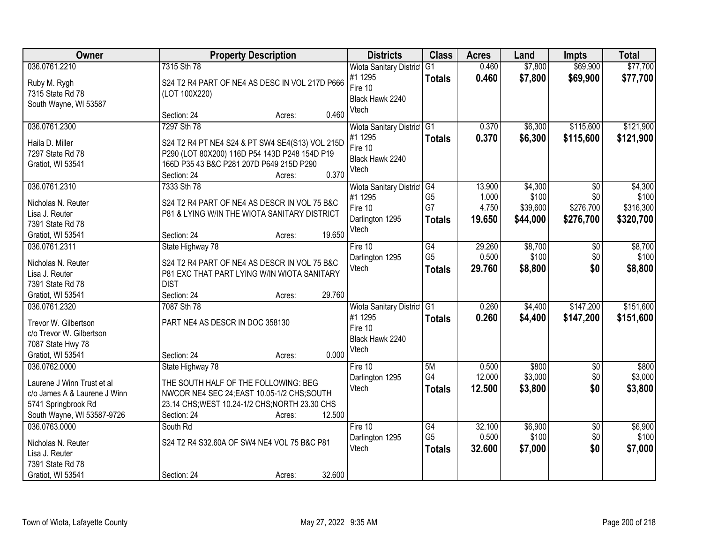| Owner                        | <b>Property Description</b>                                                               | <b>Districts</b>                   | <b>Class</b>    | <b>Acres</b> | Land     | <b>Impts</b>    | <b>Total</b> |
|------------------------------|-------------------------------------------------------------------------------------------|------------------------------------|-----------------|--------------|----------|-----------------|--------------|
| 036.0761.2210                | 7315 Sth 78                                                                               | <b>Wiota Sanitary District</b>     | G1              | 0.460        | \$7,800  | \$69,900        | \$77,700     |
| Ruby M. Rygh                 | S24 T2 R4 PART OF NE4 AS DESC IN VOL 217D P666                                            | #1 1295                            | <b>Totals</b>   | 0.460        | \$7,800  | \$69,900        | \$77,700     |
| 7315 State Rd 78             | (LOT 100X220)                                                                             | Fire 10                            |                 |              |          |                 |              |
| South Wayne, WI 53587        |                                                                                           | Black Hawk 2240                    |                 |              |          |                 |              |
|                              | 0.460<br>Section: 24<br>Acres:                                                            | Vtech                              |                 |              |          |                 |              |
| 036.0761.2300                | 7297 Sth 78                                                                               | <b>Wiota Sanitary District G1</b>  |                 | 0.370        | \$6,300  | \$115,600       | \$121,900    |
|                              |                                                                                           | #1 1295                            | <b>Totals</b>   | 0.370        | \$6,300  | \$115,600       | \$121,900    |
| Haila D. Miller              | S24 T2 R4 PT NE4 S24 & PT SW4 SE4(S13) VOL 215D                                           | Fire 10                            |                 |              |          |                 |              |
| 7297 State Rd 78             | P290 (LOT 80X200) 116D P54 143D P248 154D P19<br>166D P35 43 B&C P281 207D P649 215D P290 | Black Hawk 2240                    |                 |              |          |                 |              |
| Gratiot, WI 53541            | 0.370<br>Section: 24                                                                      | Vtech                              |                 |              |          |                 |              |
| 036.0761.2310                | Acres:<br>7333 Sth 78                                                                     | Wiota Sanitary District G4         |                 | 13.900       | \$4,300  | \$0             | \$4,300      |
|                              |                                                                                           | #1 1295                            | G <sub>5</sub>  | 1.000        | \$100    | \$0             | \$100        |
| Nicholas N. Reuter           | S24 T2 R4 PART OF NE4 AS DESCR IN VOL 75 B&C                                              | Fire 10                            | G7              | 4.750        | \$39,600 | \$276,700       | \$316,300    |
| Lisa J. Reuter               | P81 & LYING W/IN THE WIOTA SANITARY DISTRICT                                              | Darlington 1295                    |                 |              |          |                 |              |
| 7391 State Rd 78             |                                                                                           | Vtech                              | <b>Totals</b>   | 19.650       | \$44,000 | \$276,700       | \$320,700    |
| Gratiot, WI 53541            | 19.650<br>Section: 24<br>Acres:                                                           |                                    |                 |              |          |                 |              |
| 036.0761.2311                | State Highway 78                                                                          | Fire 10                            | $\overline{G4}$ | 29.260       | \$8,700  | \$0             | \$8,700      |
| Nicholas N. Reuter           | S24 T2 R4 PART OF NE4 AS DESCR IN VOL 75 B&C                                              | Darlington 1295                    | G <sub>5</sub>  | 0.500        | \$100    | \$0             | \$100        |
| Lisa J. Reuter               | P81 EXC THAT PART LYING W/IN WIOTA SANITARY                                               | Vtech                              | <b>Totals</b>   | 29.760       | \$8,800  | \$0             | \$8,800      |
| 7391 State Rd 78             | <b>DIST</b>                                                                               |                                    |                 |              |          |                 |              |
| Gratiot, WI 53541            | 29.760<br>Section: 24<br>Acres:                                                           |                                    |                 |              |          |                 |              |
| 036.0761.2320                | 7087 Sth 78                                                                               |                                    | $\overline{G1}$ | 0.260        | \$4,400  | \$147,200       | \$151,600    |
|                              |                                                                                           | Wiota Sanitary District<br>#1 1295 |                 | 0.260        |          |                 |              |
| Trevor W. Gilbertson         | PART NE4 AS DESCR IN DOC 358130                                                           | Fire 10                            | <b>Totals</b>   |              | \$4,400  | \$147,200       | \$151,600    |
| c/o Trevor W. Gilbertson     |                                                                                           | Black Hawk 2240                    |                 |              |          |                 |              |
| 7087 State Hwy 78            |                                                                                           | Vtech                              |                 |              |          |                 |              |
| Gratiot, WI 53541            | 0.000<br>Section: 24<br>Acres:                                                            |                                    |                 |              |          |                 |              |
| 036.0762.0000                | State Highway 78                                                                          | Fire 10                            | 5M              | 0.500        | \$800    | $\overline{60}$ | \$800        |
| Laurene J Winn Trust et al   | THE SOUTH HALF OF THE FOLLOWING: BEG                                                      | Darlington 1295                    | G4              | 12.000       | \$3,000  | \$0             | \$3,000      |
| c/o James A & Laurene J Winn | NWCOR NE4 SEC 24; EAST 10.05-1/2 CHS; SOUTH                                               | Vtech                              | <b>Totals</b>   | 12.500       | \$3,800  | \$0             | \$3,800      |
| 5741 Springbrook Rd          | 23.14 CHS; WEST 10.24-1/2 CHS; NORTH 23.30 CHS                                            |                                    |                 |              |          |                 |              |
| South Wayne, WI 53587-9726   | 12.500<br>Section: 24<br>Acres:                                                           |                                    |                 |              |          |                 |              |
| 036.0763.0000                | South Rd                                                                                  | Fire 10                            | G4              | 32.100       | \$6,900  | $\overline{50}$ | \$6,900      |
|                              |                                                                                           | Darlington 1295                    | G <sub>5</sub>  | 0.500        | \$100    | \$0             | \$100        |
| Nicholas N. Reuter           | S24 T2 R4 S32.60A OF SW4 NE4 VOL 75 B&C P81                                               | Vtech                              | <b>Totals</b>   | 32,600       | \$7,000  | \$0             | \$7,000      |
| Lisa J. Reuter               |                                                                                           |                                    |                 |              |          |                 |              |
| 7391 State Rd 78             |                                                                                           |                                    |                 |              |          |                 |              |
| Gratiot, WI 53541            | 32.600<br>Section: 24<br>Acres:                                                           |                                    |                 |              |          |                 |              |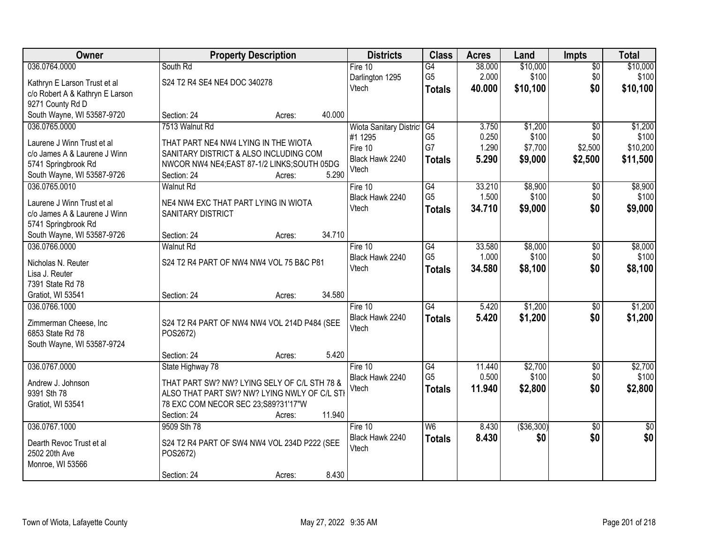| 036.0764.0000<br>\$10,000<br>\$10,000<br>South Rd<br>Fire $10$<br>G4<br>38.000<br>$\overline{50}$<br>G <sub>5</sub><br>2.000<br>\$100<br>\$0<br>\$100<br>Darlington 1295<br>S24 T2 R4 SE4 NE4 DOC 340278<br>Kathryn E Larson Trust et al<br>Vtech<br>\$0<br>\$10,100<br>40.000<br>\$10,100<br><b>Totals</b><br>c/o Robert A & Kathryn E Larson<br>9271 County Rd D<br>South Wayne, WI 53587-9720<br>40.000<br>Section: 24<br>Acres:<br>\$1,200<br>036.0765.0000<br>7513 Walnut Rd<br>$\overline{G4}$<br>3.750<br>$\overline{30}$<br>Wiota Sanitary District<br>G <sub>5</sub><br>\$100<br>0.250<br>\$0<br>#1 1295<br>THAT PART NE4 NW4 LYING IN THE WIOTA<br>Laurene J Winn Trust et al<br>G7<br>1.290<br>\$7,700<br>\$2,500<br>Fire 10<br>c/o James A & Laurene J Winn<br>SANITARY DISTRICT & ALSO INCLUDING COM<br>Black Hawk 2240<br>5.290<br>\$9,000<br>\$2,500<br><b>Totals</b><br>NWCOR NW4 NE4;EAST 87-1/2 LINKS;SOUTH 05DG<br>5741 Springbrook Rd<br>Vtech<br>5.290<br>South Wayne, WI 53587-9726<br>Section: 24<br>Acres:<br>\$8,900<br>036.0765.0010<br>G4<br>33.210<br>\$0<br><b>Walnut Rd</b><br>Fire 10<br>G <sub>5</sub><br>\$100<br>\$0<br>1.500<br>Black Hawk 2240<br>NE4 NW4 EXC THAT PART LYING IN WIOTA<br>Laurene J Winn Trust et al<br>34.710<br>\$9,000<br>\$0<br>Vtech<br><b>Totals</b><br>SANITARY DISTRICT<br>c/o James A & Laurene J Winn<br>5741 Springbrook Rd<br>34.710<br>South Wayne, WI 53587-9726<br>Section: 24<br>Acres:<br>036.0766.0000<br>33.580<br>\$8,000<br><b>Walnut Rd</b><br>Fire 10<br>G4<br>\$0<br>G <sub>5</sub><br>1.000<br>\$100<br>\$0<br>Black Hawk 2240<br>S24 T2 R4 PART OF NW4 NW4 VOL 75 B&C P81<br>Nicholas N. Reuter<br>\$0<br>Vtech<br>34.580<br>\$8,100<br><b>Totals</b><br>Lisa J. Reuter<br>7391 State Rd 78<br>34.580<br>Gratiot, WI 53541<br>Section: 24<br>Acres:<br>\$1,200<br>036.0766.1000<br>$\overline{G4}$<br>5.420<br>$\overline{50}$<br>Fire $10$<br>5.420<br>\$1,200<br>Black Hawk 2240<br>\$0<br><b>Totals</b><br>Zimmerman Cheese, Inc<br>S24 T2 R4 PART OF NW4 NW4 VOL 214D P484 (SEE<br>Vtech<br>6853 State Rd 78<br>POS2672)<br>South Wayne, WI 53587-9724<br>5.420<br>Section: 24<br>Acres:<br>036.0767.0000<br>$\overline{G4}$<br>\$2,700<br>Fire 10<br>11.440<br>$\overline{50}$<br>State Highway 78 | Owner | <b>Property Description</b> | <b>Districts</b> | <b>Class</b> | <b>Acres</b> | Land | Impts | <b>Total</b> |
|---------------------------------------------------------------------------------------------------------------------------------------------------------------------------------------------------------------------------------------------------------------------------------------------------------------------------------------------------------------------------------------------------------------------------------------------------------------------------------------------------------------------------------------------------------------------------------------------------------------------------------------------------------------------------------------------------------------------------------------------------------------------------------------------------------------------------------------------------------------------------------------------------------------------------------------------------------------------------------------------------------------------------------------------------------------------------------------------------------------------------------------------------------------------------------------------------------------------------------------------------------------------------------------------------------------------------------------------------------------------------------------------------------------------------------------------------------------------------------------------------------------------------------------------------------------------------------------------------------------------------------------------------------------------------------------------------------------------------------------------------------------------------------------------------------------------------------------------------------------------------------------------------------------------------------------------------------------------------------------------------------------------------------------------------------------------------------------------------------------------------------------------------------------------------------------------------------------------------------------------------------------------------------------|-------|-----------------------------|------------------|--------------|--------------|------|-------|--------------|
|                                                                                                                                                                                                                                                                                                                                                                                                                                                                                                                                                                                                                                                                                                                                                                                                                                                                                                                                                                                                                                                                                                                                                                                                                                                                                                                                                                                                                                                                                                                                                                                                                                                                                                                                                                                                                                                                                                                                                                                                                                                                                                                                                                                                                                                                                       |       |                             |                  |              |              |      |       |              |
|                                                                                                                                                                                                                                                                                                                                                                                                                                                                                                                                                                                                                                                                                                                                                                                                                                                                                                                                                                                                                                                                                                                                                                                                                                                                                                                                                                                                                                                                                                                                                                                                                                                                                                                                                                                                                                                                                                                                                                                                                                                                                                                                                                                                                                                                                       |       |                             |                  |              |              |      |       |              |
| \$1,200<br>\$11,500<br>\$8,900<br>\$9,000<br>\$8,000<br>\$100<br>\$1,200<br>\$1,200<br>\$2,700                                                                                                                                                                                                                                                                                                                                                                                                                                                                                                                                                                                                                                                                                                                                                                                                                                                                                                                                                                                                                                                                                                                                                                                                                                                                                                                                                                                                                                                                                                                                                                                                                                                                                                                                                                                                                                                                                                                                                                                                                                                                                                                                                                                        |       |                             |                  |              |              |      |       |              |
|                                                                                                                                                                                                                                                                                                                                                                                                                                                                                                                                                                                                                                                                                                                                                                                                                                                                                                                                                                                                                                                                                                                                                                                                                                                                                                                                                                                                                                                                                                                                                                                                                                                                                                                                                                                                                                                                                                                                                                                                                                                                                                                                                                                                                                                                                       |       |                             |                  |              |              |      |       |              |
|                                                                                                                                                                                                                                                                                                                                                                                                                                                                                                                                                                                                                                                                                                                                                                                                                                                                                                                                                                                                                                                                                                                                                                                                                                                                                                                                                                                                                                                                                                                                                                                                                                                                                                                                                                                                                                                                                                                                                                                                                                                                                                                                                                                                                                                                                       |       |                             |                  |              |              |      |       |              |
| \$100<br>\$10,200<br>\$100<br>\$8,100                                                                                                                                                                                                                                                                                                                                                                                                                                                                                                                                                                                                                                                                                                                                                                                                                                                                                                                                                                                                                                                                                                                                                                                                                                                                                                                                                                                                                                                                                                                                                                                                                                                                                                                                                                                                                                                                                                                                                                                                                                                                                                                                                                                                                                                 |       |                             |                  |              |              |      |       |              |
|                                                                                                                                                                                                                                                                                                                                                                                                                                                                                                                                                                                                                                                                                                                                                                                                                                                                                                                                                                                                                                                                                                                                                                                                                                                                                                                                                                                                                                                                                                                                                                                                                                                                                                                                                                                                                                                                                                                                                                                                                                                                                                                                                                                                                                                                                       |       |                             |                  |              |              |      |       |              |
|                                                                                                                                                                                                                                                                                                                                                                                                                                                                                                                                                                                                                                                                                                                                                                                                                                                                                                                                                                                                                                                                                                                                                                                                                                                                                                                                                                                                                                                                                                                                                                                                                                                                                                                                                                                                                                                                                                                                                                                                                                                                                                                                                                                                                                                                                       |       |                             |                  |              |              |      |       |              |
|                                                                                                                                                                                                                                                                                                                                                                                                                                                                                                                                                                                                                                                                                                                                                                                                                                                                                                                                                                                                                                                                                                                                                                                                                                                                                                                                                                                                                                                                                                                                                                                                                                                                                                                                                                                                                                                                                                                                                                                                                                                                                                                                                                                                                                                                                       |       |                             |                  |              |              |      |       |              |
|                                                                                                                                                                                                                                                                                                                                                                                                                                                                                                                                                                                                                                                                                                                                                                                                                                                                                                                                                                                                                                                                                                                                                                                                                                                                                                                                                                                                                                                                                                                                                                                                                                                                                                                                                                                                                                                                                                                                                                                                                                                                                                                                                                                                                                                                                       |       |                             |                  |              |              |      |       |              |
|                                                                                                                                                                                                                                                                                                                                                                                                                                                                                                                                                                                                                                                                                                                                                                                                                                                                                                                                                                                                                                                                                                                                                                                                                                                                                                                                                                                                                                                                                                                                                                                                                                                                                                                                                                                                                                                                                                                                                                                                                                                                                                                                                                                                                                                                                       |       |                             |                  |              |              |      |       |              |
|                                                                                                                                                                                                                                                                                                                                                                                                                                                                                                                                                                                                                                                                                                                                                                                                                                                                                                                                                                                                                                                                                                                                                                                                                                                                                                                                                                                                                                                                                                                                                                                                                                                                                                                                                                                                                                                                                                                                                                                                                                                                                                                                                                                                                                                                                       |       |                             |                  |              |              |      |       |              |
|                                                                                                                                                                                                                                                                                                                                                                                                                                                                                                                                                                                                                                                                                                                                                                                                                                                                                                                                                                                                                                                                                                                                                                                                                                                                                                                                                                                                                                                                                                                                                                                                                                                                                                                                                                                                                                                                                                                                                                                                                                                                                                                                                                                                                                                                                       |       |                             |                  |              |              |      |       |              |
|                                                                                                                                                                                                                                                                                                                                                                                                                                                                                                                                                                                                                                                                                                                                                                                                                                                                                                                                                                                                                                                                                                                                                                                                                                                                                                                                                                                                                                                                                                                                                                                                                                                                                                                                                                                                                                                                                                                                                                                                                                                                                                                                                                                                                                                                                       |       |                             |                  |              |              |      |       |              |
|                                                                                                                                                                                                                                                                                                                                                                                                                                                                                                                                                                                                                                                                                                                                                                                                                                                                                                                                                                                                                                                                                                                                                                                                                                                                                                                                                                                                                                                                                                                                                                                                                                                                                                                                                                                                                                                                                                                                                                                                                                                                                                                                                                                                                                                                                       |       |                             |                  |              |              |      |       |              |
|                                                                                                                                                                                                                                                                                                                                                                                                                                                                                                                                                                                                                                                                                                                                                                                                                                                                                                                                                                                                                                                                                                                                                                                                                                                                                                                                                                                                                                                                                                                                                                                                                                                                                                                                                                                                                                                                                                                                                                                                                                                                                                                                                                                                                                                                                       |       |                             |                  |              |              |      |       |              |
|                                                                                                                                                                                                                                                                                                                                                                                                                                                                                                                                                                                                                                                                                                                                                                                                                                                                                                                                                                                                                                                                                                                                                                                                                                                                                                                                                                                                                                                                                                                                                                                                                                                                                                                                                                                                                                                                                                                                                                                                                                                                                                                                                                                                                                                                                       |       |                             |                  |              |              |      |       |              |
|                                                                                                                                                                                                                                                                                                                                                                                                                                                                                                                                                                                                                                                                                                                                                                                                                                                                                                                                                                                                                                                                                                                                                                                                                                                                                                                                                                                                                                                                                                                                                                                                                                                                                                                                                                                                                                                                                                                                                                                                                                                                                                                                                                                                                                                                                       |       |                             |                  |              |              |      |       |              |
|                                                                                                                                                                                                                                                                                                                                                                                                                                                                                                                                                                                                                                                                                                                                                                                                                                                                                                                                                                                                                                                                                                                                                                                                                                                                                                                                                                                                                                                                                                                                                                                                                                                                                                                                                                                                                                                                                                                                                                                                                                                                                                                                                                                                                                                                                       |       |                             |                  |              |              |      |       |              |
|                                                                                                                                                                                                                                                                                                                                                                                                                                                                                                                                                                                                                                                                                                                                                                                                                                                                                                                                                                                                                                                                                                                                                                                                                                                                                                                                                                                                                                                                                                                                                                                                                                                                                                                                                                                                                                                                                                                                                                                                                                                                                                                                                                                                                                                                                       |       |                             |                  |              |              |      |       |              |
|                                                                                                                                                                                                                                                                                                                                                                                                                                                                                                                                                                                                                                                                                                                                                                                                                                                                                                                                                                                                                                                                                                                                                                                                                                                                                                                                                                                                                                                                                                                                                                                                                                                                                                                                                                                                                                                                                                                                                                                                                                                                                                                                                                                                                                                                                       |       |                             |                  |              |              |      |       |              |
|                                                                                                                                                                                                                                                                                                                                                                                                                                                                                                                                                                                                                                                                                                                                                                                                                                                                                                                                                                                                                                                                                                                                                                                                                                                                                                                                                                                                                                                                                                                                                                                                                                                                                                                                                                                                                                                                                                                                                                                                                                                                                                                                                                                                                                                                                       |       |                             |                  |              |              |      |       |              |
|                                                                                                                                                                                                                                                                                                                                                                                                                                                                                                                                                                                                                                                                                                                                                                                                                                                                                                                                                                                                                                                                                                                                                                                                                                                                                                                                                                                                                                                                                                                                                                                                                                                                                                                                                                                                                                                                                                                                                                                                                                                                                                                                                                                                                                                                                       |       |                             |                  |              |              |      |       |              |
|                                                                                                                                                                                                                                                                                                                                                                                                                                                                                                                                                                                                                                                                                                                                                                                                                                                                                                                                                                                                                                                                                                                                                                                                                                                                                                                                                                                                                                                                                                                                                                                                                                                                                                                                                                                                                                                                                                                                                                                                                                                                                                                                                                                                                                                                                       |       |                             |                  |              |              |      |       |              |
|                                                                                                                                                                                                                                                                                                                                                                                                                                                                                                                                                                                                                                                                                                                                                                                                                                                                                                                                                                                                                                                                                                                                                                                                                                                                                                                                                                                                                                                                                                                                                                                                                                                                                                                                                                                                                                                                                                                                                                                                                                                                                                                                                                                                                                                                                       |       |                             |                  |              |              |      |       |              |
|                                                                                                                                                                                                                                                                                                                                                                                                                                                                                                                                                                                                                                                                                                                                                                                                                                                                                                                                                                                                                                                                                                                                                                                                                                                                                                                                                                                                                                                                                                                                                                                                                                                                                                                                                                                                                                                                                                                                                                                                                                                                                                                                                                                                                                                                                       |       |                             |                  |              |              |      |       |              |
|                                                                                                                                                                                                                                                                                                                                                                                                                                                                                                                                                                                                                                                                                                                                                                                                                                                                                                                                                                                                                                                                                                                                                                                                                                                                                                                                                                                                                                                                                                                                                                                                                                                                                                                                                                                                                                                                                                                                                                                                                                                                                                                                                                                                                                                                                       |       |                             |                  |              |              |      |       |              |
| G <sub>5</sub><br>0.500<br>\$100<br>\$0<br>\$100<br>Black Hawk 2240<br>THAT PART SW? NW? LYING SELY OF C/L STH 78 &<br>Andrew J. Johnson                                                                                                                                                                                                                                                                                                                                                                                                                                                                                                                                                                                                                                                                                                                                                                                                                                                                                                                                                                                                                                                                                                                                                                                                                                                                                                                                                                                                                                                                                                                                                                                                                                                                                                                                                                                                                                                                                                                                                                                                                                                                                                                                              |       |                             |                  |              |              |      |       |              |
| \$0<br>Vtech<br>11.940<br>\$2,800<br>\$2,800<br><b>Totals</b><br>ALSO THAT PART SW? NW? LYING NWLY OF C/L STI<br>9391 Sth 78                                                                                                                                                                                                                                                                                                                                                                                                                                                                                                                                                                                                                                                                                                                                                                                                                                                                                                                                                                                                                                                                                                                                                                                                                                                                                                                                                                                                                                                                                                                                                                                                                                                                                                                                                                                                                                                                                                                                                                                                                                                                                                                                                          |       |                             |                  |              |              |      |       |              |
| Gratiot, WI 53541<br>78 EXC COM NECOR SEC 23;S89?31'17"W                                                                                                                                                                                                                                                                                                                                                                                                                                                                                                                                                                                                                                                                                                                                                                                                                                                                                                                                                                                                                                                                                                                                                                                                                                                                                                                                                                                                                                                                                                                                                                                                                                                                                                                                                                                                                                                                                                                                                                                                                                                                                                                                                                                                                              |       |                             |                  |              |              |      |       |              |
| 11.940<br>Section: 24<br>Acres:                                                                                                                                                                                                                                                                                                                                                                                                                                                                                                                                                                                                                                                                                                                                                                                                                                                                                                                                                                                                                                                                                                                                                                                                                                                                                                                                                                                                                                                                                                                                                                                                                                                                                                                                                                                                                                                                                                                                                                                                                                                                                                                                                                                                                                                       |       |                             |                  |              |              |      |       |              |
| (\$36,300)<br>036.0767.1000<br>9509 Sth 78<br>$\overline{\mathsf{W6}}$<br>8.430<br>$\overline{30}$<br>Fire $10$<br>$\overline{50}$                                                                                                                                                                                                                                                                                                                                                                                                                                                                                                                                                                                                                                                                                                                                                                                                                                                                                                                                                                                                                                                                                                                                                                                                                                                                                                                                                                                                                                                                                                                                                                                                                                                                                                                                                                                                                                                                                                                                                                                                                                                                                                                                                    |       |                             |                  |              |              |      |       |              |
| \$0<br>\$0<br>Black Hawk 2240<br>8.430<br>\$0<br><b>Totals</b>                                                                                                                                                                                                                                                                                                                                                                                                                                                                                                                                                                                                                                                                                                                                                                                                                                                                                                                                                                                                                                                                                                                                                                                                                                                                                                                                                                                                                                                                                                                                                                                                                                                                                                                                                                                                                                                                                                                                                                                                                                                                                                                                                                                                                        |       |                             |                  |              |              |      |       |              |
| S24 T2 R4 PART OF SW4 NW4 VOL 234D P222 (SEE<br>Dearth Revoc Trust et al<br>Vtech                                                                                                                                                                                                                                                                                                                                                                                                                                                                                                                                                                                                                                                                                                                                                                                                                                                                                                                                                                                                                                                                                                                                                                                                                                                                                                                                                                                                                                                                                                                                                                                                                                                                                                                                                                                                                                                                                                                                                                                                                                                                                                                                                                                                     |       |                             |                  |              |              |      |       |              |
| 2502 20th Ave<br>POS2672)<br>Monroe, WI 53566                                                                                                                                                                                                                                                                                                                                                                                                                                                                                                                                                                                                                                                                                                                                                                                                                                                                                                                                                                                                                                                                                                                                                                                                                                                                                                                                                                                                                                                                                                                                                                                                                                                                                                                                                                                                                                                                                                                                                                                                                                                                                                                                                                                                                                         |       |                             |                  |              |              |      |       |              |
| 8.430<br>Section: 24<br>Acres:                                                                                                                                                                                                                                                                                                                                                                                                                                                                                                                                                                                                                                                                                                                                                                                                                                                                                                                                                                                                                                                                                                                                                                                                                                                                                                                                                                                                                                                                                                                                                                                                                                                                                                                                                                                                                                                                                                                                                                                                                                                                                                                                                                                                                                                        |       |                             |                  |              |              |      |       |              |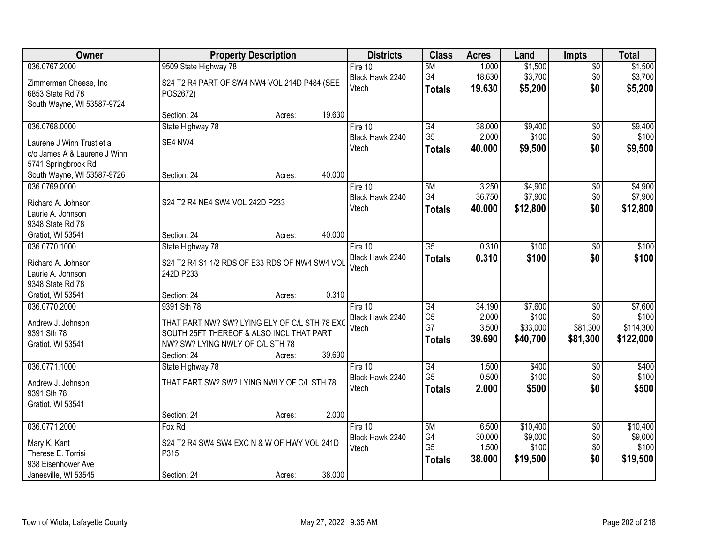| Owner                                   | <b>Property Description</b>                                 | <b>Districts</b> | <b>Class</b>    | <b>Acres</b> | Land     | <b>Impts</b>           | <b>Total</b> |
|-----------------------------------------|-------------------------------------------------------------|------------------|-----------------|--------------|----------|------------------------|--------------|
| 036.0767.2000                           | 9509 State Highway 78                                       | Fire 10          | 5M              | 1.000        | \$1,500  | $\overline{60}$        | \$1,500      |
| Zimmerman Cheese, Inc                   | S24 T2 R4 PART OF SW4 NW4 VOL 214D P484 (SEE                | Black Hawk 2240  | G4              | 18.630       | \$3,700  | \$0                    | \$3,700      |
| 6853 State Rd 78                        | POS2672)                                                    | Vtech            | <b>Totals</b>   | 19.630       | \$5,200  | \$0                    | \$5,200      |
| South Wayne, WI 53587-9724              |                                                             |                  |                 |              |          |                        |              |
|                                         | 19.630<br>Section: 24<br>Acres:                             |                  |                 |              |          |                        |              |
| 036.0768.0000                           | State Highway 78                                            | Fire 10          | $\overline{G4}$ | 38.000       | \$9,400  | $\overline{50}$        | \$9,400      |
| Laurene J Winn Trust et al              | SE4 NW4                                                     | Black Hawk 2240  | G <sub>5</sub>  | 2.000        | \$100    | \$0                    | \$100        |
| c/o James A & Laurene J Winn            |                                                             | Vtech            | <b>Totals</b>   | 40.000       | \$9,500  | \$0                    | \$9,500      |
| 5741 Springbrook Rd                     |                                                             |                  |                 |              |          |                        |              |
| South Wayne, WI 53587-9726              | 40.000<br>Section: 24<br>Acres:                             |                  |                 |              |          |                        |              |
| 036.0769.0000                           |                                                             | Fire 10          | 5M              | 3.250        | \$4,900  | $\sqrt[6]{30}$         | \$4,900      |
| Richard A. Johnson                      | S24 T2 R4 NE4 SW4 VOL 242D P233                             | Black Hawk 2240  | G4              | 36.750       | \$7,900  | \$0                    | \$7,900      |
| Laurie A. Johnson                       |                                                             | Vtech            | <b>Totals</b>   | 40.000       | \$12,800 | \$0                    | \$12,800     |
| 9348 State Rd 78                        |                                                             |                  |                 |              |          |                        |              |
| Gratiot, WI 53541                       | 40.000<br>Section: 24<br>Acres:                             |                  |                 |              |          |                        |              |
| 036.0770.1000                           | State Highway 78                                            | Fire 10          | $\overline{G5}$ | 0.310        | \$100    | \$0                    | \$100        |
|                                         |                                                             | Black Hawk 2240  | <b>Totals</b>   | 0.310        | \$100    | \$0                    | \$100        |
| Richard A. Johnson<br>Laurie A. Johnson | S24 T2 R4 S1 1/2 RDS OF E33 RDS OF NW4 SW4 VOL<br>242D P233 | Vtech            |                 |              |          |                        |              |
| 9348 State Rd 78                        |                                                             |                  |                 |              |          |                        |              |
| Gratiot, WI 53541                       | 0.310<br>Section: 24<br>Acres:                              |                  |                 |              |          |                        |              |
| 036.0770.2000                           | 9391 Sth 78                                                 | Fire $10$        | G4              | 34.190       | \$7,600  | $\overline{50}$        | \$7,600      |
|                                         |                                                             | Black Hawk 2240  | G <sub>5</sub>  | 2.000        | \$100    | \$0                    | \$100        |
| Andrew J. Johnson                       | THAT PART NW? SW? LYING ELY OF C/L STH 78 EXO               | Vtech            | G7              | 3.500        | \$33,000 | \$81,300               | \$114,300    |
| 9391 Sth 78                             | SOUTH 25FT THEREOF & ALSO INCL THAT PART                    |                  | <b>Totals</b>   | 39.690       | \$40,700 | \$81,300               | \$122,000    |
| Gratiot, WI 53541                       | NW? SW? LYING NWLY OF C/L STH 78                            |                  |                 |              |          |                        |              |
| 036.0771.1000                           | 39.690<br>Section: 24<br>Acres:                             | Fire 10          | $\overline{G4}$ | 1.500        | \$400    |                        | \$400        |
|                                         | State Highway 78                                            | Black Hawk 2240  | G <sub>5</sub>  | 0.500        | \$100    | $\overline{60}$<br>\$0 | \$100        |
| Andrew J. Johnson                       | THAT PART SW? SW? LYING NWLY OF C/L STH 78                  | Vtech            | <b>Totals</b>   | 2.000        | \$500    | \$0                    | \$500        |
| 9391 Sth 78                             |                                                             |                  |                 |              |          |                        |              |
| Gratiot, WI 53541                       |                                                             |                  |                 |              |          |                        |              |
|                                         | 2.000<br>Section: 24<br>Acres:                              |                  |                 |              |          |                        |              |
| 036.0771.2000                           | Fox Rd                                                      | Fire $10$        | 5M              | 6.500        | \$10,400 | $\overline{50}$        | \$10,400     |
| Mary K. Kant                            | S24 T2 R4 SW4 SW4 EXC N & W OF HWY VOL 241D                 | Black Hawk 2240  | G4              | 30.000       | \$9,000  | \$0                    | \$9,000      |
| Therese E. Torrisi                      | P315                                                        | Vtech            | G <sub>5</sub>  | 1.500        | \$100    | \$0                    | \$100        |
| 938 Eisenhower Ave                      |                                                             |                  | <b>Totals</b>   | 38.000       | \$19,500 | \$0                    | \$19,500     |
| Janesville, WI 53545                    | 38.000<br>Section: 24<br>Acres:                             |                  |                 |              |          |                        |              |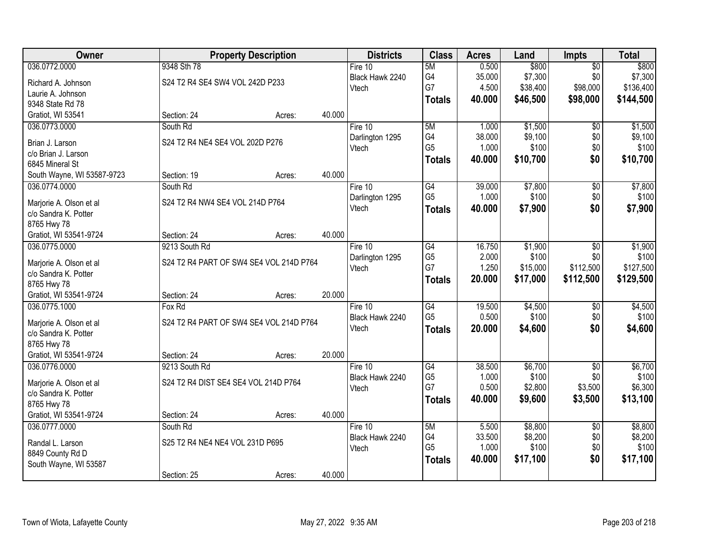| Owner                                 |                                         | <b>Property Description</b> |        | <b>Districts</b> | <b>Class</b>    | <b>Acres</b> | Land     | <b>Impts</b>    | <b>Total</b> |
|---------------------------------------|-----------------------------------------|-----------------------------|--------|------------------|-----------------|--------------|----------|-----------------|--------------|
| 036.0772.0000                         | 9348 Sth 78                             |                             |        | Fire $10$        | 5M              | 0.500        | \$800    | $\overline{50}$ | \$800        |
| Richard A. Johnson                    | S24 T2 R4 SE4 SW4 VOL 242D P233         |                             |        | Black Hawk 2240  | G4              | 35.000       | \$7,300  | \$0             | \$7,300      |
| Laurie A. Johnson                     |                                         |                             |        | Vtech            | G7              | 4.500        | \$38,400 | \$98,000        | \$136,400    |
| 9348 State Rd 78                      |                                         |                             |        |                  | <b>Totals</b>   | 40.000       | \$46,500 | \$98,000        | \$144,500    |
| Gratiot, WI 53541                     | Section: 24                             | Acres:                      | 40.000 |                  |                 |              |          |                 |              |
| 036.0773.0000                         | South Rd                                |                             |        | Fire 10          | 5M              | 1.000        | \$1,500  | $\overline{50}$ | \$1,500      |
| Brian J. Larson                       | S24 T2 R4 NE4 SE4 VOL 202D P276         |                             |        | Darlington 1295  | G4              | 38.000       | \$9,100  | \$0             | \$9,100      |
| c/o Brian J. Larson                   |                                         |                             |        | Vtech            | G <sub>5</sub>  | 1.000        | \$100    | \$0             | \$100        |
| 6845 Mineral St                       |                                         |                             |        |                  | <b>Totals</b>   | 40.000       | \$10,700 | \$0             | \$10,700     |
| South Wayne, WI 53587-9723            | Section: 19                             | Acres:                      | 40.000 |                  |                 |              |          |                 |              |
| 036.0774.0000                         | South Rd                                |                             |        | Fire 10          | G4              | 39.000       | \$7,800  | \$0             | \$7,800      |
|                                       |                                         |                             |        | Darlington 1295  | G <sub>5</sub>  | 1.000        | \$100    | \$0             | \$100        |
| Marjorie A. Olson et al               | S24 T2 R4 NW4 SE4 VOL 214D P764         |                             |        | Vtech            | <b>Totals</b>   | 40.000       | \$7,900  | \$0             | \$7,900      |
| c/o Sandra K. Potter                  |                                         |                             |        |                  |                 |              |          |                 |              |
| 8765 Hwy 78                           |                                         |                             |        |                  |                 |              |          |                 |              |
| Gratiot, WI 53541-9724                | Section: 24                             | Acres:                      | 40.000 |                  |                 |              |          |                 |              |
| 036.0775.0000                         | 9213 South Rd                           |                             |        | Fire 10          | G4              | 16.750       | \$1,900  | \$0             | \$1,900      |
| Marjorie A. Olson et al               | S24 T2 R4 PART OF SW4 SE4 VOL 214D P764 |                             |        | Darlington 1295  | G <sub>5</sub>  | 2.000        | \$100    | \$0             | \$100        |
| c/o Sandra K. Potter                  |                                         |                             |        | Vtech            | G7              | 1.250        | \$15,000 | \$112,500       | \$127,500    |
| 8765 Hwy 78                           |                                         |                             |        |                  | <b>Totals</b>   | 20.000       | \$17,000 | \$112,500       | \$129,500    |
| Gratiot, WI 53541-9724                | Section: 24                             | Acres:                      | 20.000 |                  |                 |              |          |                 |              |
| 036.0775.1000                         | Fox Rd                                  |                             |        | Fire $10$        | $\overline{G4}$ | 19.500       | \$4,500  | $\overline{30}$ | \$4,500      |
| Marjorie A. Olson et al               | S24 T2 R4 PART OF SW4 SE4 VOL 214D P764 |                             |        | Black Hawk 2240  | G <sub>5</sub>  | 0.500        | \$100    | \$0             | \$100        |
| c/o Sandra K. Potter                  |                                         |                             |        | Vtech            | <b>Totals</b>   | 20.000       | \$4,600  | \$0             | \$4,600      |
| 8765 Hwy 78                           |                                         |                             |        |                  |                 |              |          |                 |              |
| Gratiot, WI 53541-9724                | Section: 24                             | Acres:                      | 20.000 |                  |                 |              |          |                 |              |
| 036.0776.0000                         | 9213 South Rd                           |                             |        | Fire $10$        | $\overline{G4}$ | 38.500       | \$6,700  | $\overline{50}$ | \$6,700      |
|                                       |                                         |                             |        | Black Hawk 2240  | G <sub>5</sub>  | 1.000        | \$100    | \$0             | \$100        |
| Marjorie A. Olson et al               | S24 T2 R4 DIST SE4 SE4 VOL 214D P764    |                             |        | Vtech            | G7              | 0.500        | \$2,800  | \$3,500         | \$6,300      |
| c/o Sandra K. Potter                  |                                         |                             |        |                  | <b>Totals</b>   | 40.000       | \$9,600  | \$3,500         | \$13,100     |
| 8765 Hwy 78<br>Gratiot, WI 53541-9724 | Section: 24                             | Acres:                      | 40.000 |                  |                 |              |          |                 |              |
| 036.0777.0000                         | South Rd                                |                             |        | Fire $10$        | 5M              | 5.500        | \$8,800  | $\overline{50}$ | \$8,800      |
|                                       |                                         |                             |        | Black Hawk 2240  | G4              | 33.500       | \$8,200  | \$0             | \$8,200      |
| Randal L. Larson                      | S25 T2 R4 NE4 NE4 VOL 231D P695         |                             |        | Vtech            | G <sub>5</sub>  | 1.000        | \$100    | \$0             | \$100        |
| 8849 County Rd D                      |                                         |                             |        |                  | <b>Totals</b>   | 40.000       | \$17,100 | \$0             | \$17,100     |
| South Wayne, WI 53587                 |                                         |                             |        |                  |                 |              |          |                 |              |
|                                       | Section: 25                             | Acres:                      | 40.000 |                  |                 |              |          |                 |              |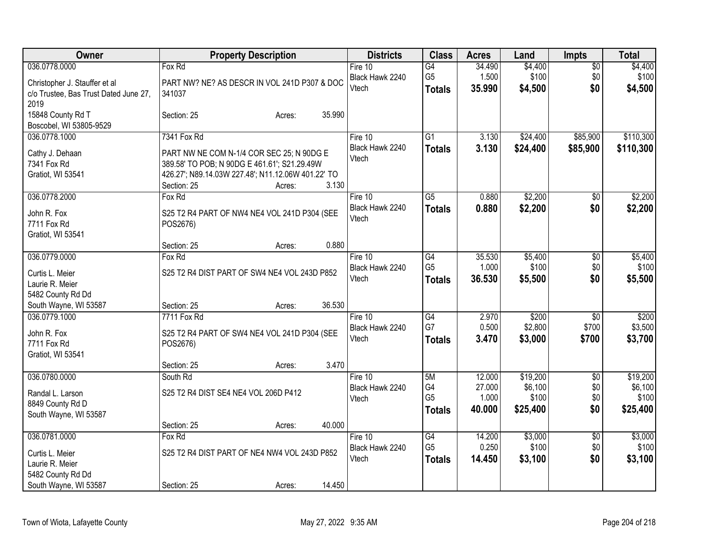| Owner                                  | <b>Property Description</b>                              | <b>Districts</b> | <b>Class</b>         | <b>Acres</b>    | Land             | <b>Impts</b>    | <b>Total</b>     |
|----------------------------------------|----------------------------------------------------------|------------------|----------------------|-----------------|------------------|-----------------|------------------|
| 036.0778.0000                          | Fox Rd                                                   | Fire 10          | $\overline{G4}$      | 34.490          | \$4,400          | $\overline{50}$ | \$4,400          |
| Christopher J. Stauffer et al          | PART NW? NE? AS DESCR IN VOL 241D P307 & DOC             | Black Hawk 2240  | G <sub>5</sub>       | 1.500           | \$100            | \$0             | \$100            |
| c/o Trustee, Bas Trust Dated June 27,  | 341037                                                   | Vtech            | <b>Totals</b>        | 35.990          | \$4,500          | \$0             | \$4,500          |
| 2019                                   |                                                          |                  |                      |                 |                  |                 |                  |
| 15848 County Rd T                      | 35.990<br>Section: 25<br>Acres:                          |                  |                      |                 |                  |                 |                  |
| Boscobel, WI 53805-9529                |                                                          |                  |                      |                 |                  |                 |                  |
| 036.0778.1000                          | 7341 Fox Rd                                              | Fire 10          | $\overline{G1}$      | 3.130           | \$24,400         | \$85,900        | \$110,300        |
| Cathy J. Dehaan                        | PART NW NE COM N-1/4 COR SEC 25: N 90DG E                | Black Hawk 2240  | <b>Totals</b>        | 3.130           | \$24,400         | \$85,900        | \$110,300        |
| 7341 Fox Rd                            | 389.58' TO POB; N 90DG E 461.61'; S21.29.49W             | Vtech            |                      |                 |                  |                 |                  |
| Gratiot, WI 53541                      | 426.27'; N89.14.03W 227.48'; N11.12.06W 401.22' TO       |                  |                      |                 |                  |                 |                  |
|                                        | 3.130<br>Section: 25<br>Acres:                           |                  |                      |                 |                  |                 |                  |
| 036.0778.2000                          | Fox Rd                                                   | Fire 10          | $\overline{G5}$      | 0.880           | \$2,200          | \$0             | \$2,200          |
| John R. Fox                            |                                                          | Black Hawk 2240  | <b>Totals</b>        | 0.880           | \$2,200          | \$0             | \$2,200          |
| 7711 Fox Rd                            | S25 T2 R4 PART OF NW4 NE4 VOL 241D P304 (SEE<br>POS2676) | Vtech            |                      |                 |                  |                 |                  |
| Gratiot, WI 53541                      |                                                          |                  |                      |                 |                  |                 |                  |
|                                        | 0.880<br>Section: 25<br>Acres:                           |                  |                      |                 |                  |                 |                  |
| 036.0779.0000                          | Fox Rd                                                   | Fire 10          | G4                   | 35.530          | \$5,400          | $\overline{50}$ | \$5,400          |
|                                        |                                                          | Black Hawk 2240  | G <sub>5</sub>       | 1.000           | \$100            | \$0             | \$100            |
| Curtis L. Meier                        | S25 T2 R4 DIST PART OF SW4 NE4 VOL 243D P852             | Vtech            | <b>Totals</b>        | 36.530          | \$5,500          | \$0             | \$5,500          |
| Laurie R. Meier                        |                                                          |                  |                      |                 |                  |                 |                  |
| 5482 County Rd Dd                      | 36.530                                                   |                  |                      |                 |                  |                 |                  |
| South Wayne, WI 53587<br>036.0779.1000 | Section: 25<br>Acres:<br>7711 Fox Rd                     | Fire 10          | $\overline{G4}$      | 2.970           | \$200            | $\sqrt{6}$      | \$200            |
|                                        |                                                          | Black Hawk 2240  | G7                   | 0.500           | \$2,800          | \$700           | \$3,500          |
| John R. Fox                            | S25 T2 R4 PART OF SW4 NE4 VOL 241D P304 (SEE             | Vtech            | <b>Totals</b>        | 3.470           | \$3,000          | \$700           | \$3,700          |
| 7711 Fox Rd                            | POS2676)                                                 |                  |                      |                 |                  |                 |                  |
| Gratiot, WI 53541                      |                                                          |                  |                      |                 |                  |                 |                  |
|                                        | 3.470<br>Section: 25<br>Acres:                           |                  |                      |                 |                  |                 |                  |
| 036.0780.0000                          | South Rd                                                 | Fire 10          | 5M                   | 12.000          | \$19,200         | $\overline{50}$ | \$19,200         |
| Randal L. Larson                       | S25 T2 R4 DIST SE4 NE4 VOL 206D P412                     | Black Hawk 2240  | G4<br>G <sub>5</sub> | 27.000<br>1.000 | \$6,100<br>\$100 | \$0<br>\$0      | \$6,100<br>\$100 |
| 8849 County Rd D                       |                                                          | Vtech            |                      | 40.000          | \$25,400         | \$0             |                  |
| South Wayne, WI 53587                  |                                                          |                  | <b>Totals</b>        |                 |                  |                 | \$25,400         |
|                                        | 40.000<br>Section: 25<br>Acres:                          |                  |                      |                 |                  |                 |                  |
| 036.0781.0000                          | Fox Rd                                                   | Fire 10          | $\overline{G4}$      | 14.200          | \$3,000          | $\overline{50}$ | \$3,000          |
| Curtis L. Meier                        | S25 T2 R4 DIST PART OF NE4 NW4 VOL 243D P852             | Black Hawk 2240  | G <sub>5</sub>       | 0.250           | \$100            | \$0             | \$100            |
| Laurie R. Meier                        |                                                          | Vtech            | <b>Totals</b>        | 14.450          | \$3,100          | \$0             | \$3,100          |
| 5482 County Rd Dd                      |                                                          |                  |                      |                 |                  |                 |                  |
| South Wayne, WI 53587                  | 14.450<br>Section: 25<br>Acres:                          |                  |                      |                 |                  |                 |                  |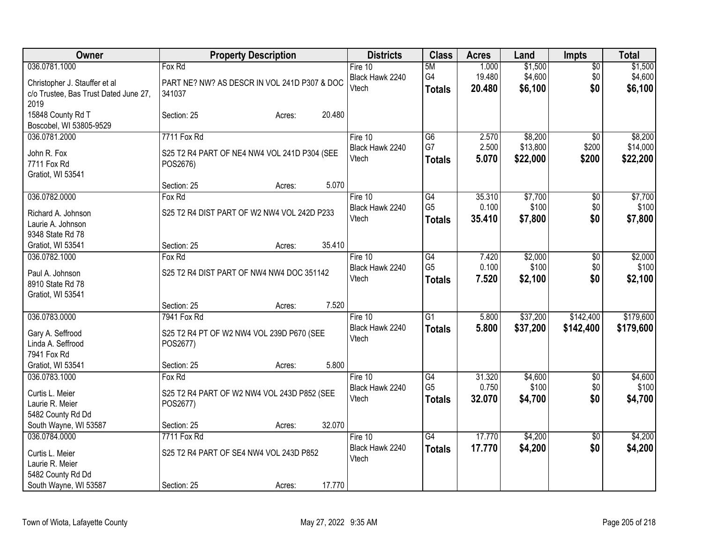| Owner                                 | <b>Property Description</b>                  | <b>Districts</b> | <b>Class</b>    | <b>Acres</b> | Land     | <b>Impts</b>    | <b>Total</b> |
|---------------------------------------|----------------------------------------------|------------------|-----------------|--------------|----------|-----------------|--------------|
| 036.0781.1000                         | Fox Rd                                       | Fire 10          | 5M              | 1.000        | \$1,500  | $\sqrt{$0}$     | \$1,500      |
| Christopher J. Stauffer et al         | PART NE? NW? AS DESCR IN VOL 241D P307 & DOC | Black Hawk 2240  | G4              | 19.480       | \$4,600  | \$0             | \$4,600      |
| c/o Trustee, Bas Trust Dated June 27, | 341037                                       | Vtech            | <b>Totals</b>   | 20.480       | \$6,100  | \$0             | \$6,100      |
| 2019                                  |                                              |                  |                 |              |          |                 |              |
| 15848 County Rd T                     | 20.480<br>Section: 25<br>Acres:              |                  |                 |              |          |                 |              |
| Boscobel, WI 53805-9529               |                                              |                  |                 |              |          |                 |              |
| 036.0781.2000                         | 7711 Fox Rd                                  | Fire 10          | G6              | 2.570        | \$8,200  | \$0             | \$8,200      |
| John R. Fox                           | S25 T2 R4 PART OF NE4 NW4 VOL 241D P304 (SEE | Black Hawk 2240  | G7              | 2.500        | \$13,800 | \$200           | \$14,000     |
| 7711 Fox Rd                           | POS2676)                                     | Vtech            | <b>Totals</b>   | 5.070        | \$22,000 | \$200           | \$22,200     |
| Gratiot, WI 53541                     |                                              |                  |                 |              |          |                 |              |
|                                       | 5.070<br>Section: 25<br>Acres:               |                  |                 |              |          |                 |              |
| 036.0782.0000                         | Fox Rd                                       | Fire 10          | G4              | 35.310       | \$7,700  | \$0             | \$7,700      |
| Richard A. Johnson                    | S25 T2 R4 DIST PART OF W2 NW4 VOL 242D P233  | Black Hawk 2240  | G <sub>5</sub>  | 0.100        | \$100    | \$0             | \$100        |
| Laurie A. Johnson                     |                                              | Vtech            | <b>Totals</b>   | 35.410       | \$7,800  | \$0             | \$7,800      |
| 9348 State Rd 78                      |                                              |                  |                 |              |          |                 |              |
| Gratiot, WI 53541                     | 35.410<br>Section: 25<br>Acres:              |                  |                 |              |          |                 |              |
| 036.0782.1000                         | Fox Rd                                       | Fire 10          | G4              | 7.420        | \$2,000  | \$0             | \$2,000      |
|                                       |                                              | Black Hawk 2240  | G <sub>5</sub>  | 0.100        | \$100    | \$0             | \$100        |
| Paul A. Johnson                       | S25 T2 R4 DIST PART OF NW4 NW4 DOC 351142    | Vtech            | <b>Totals</b>   | 7.520        | \$2,100  | \$0             | \$2,100      |
| 8910 State Rd 78                      |                                              |                  |                 |              |          |                 |              |
| Gratiot, WI 53541                     | 7.520<br>Section: 25<br>Acres:               |                  |                 |              |          |                 |              |
| 036.0783.0000                         | 7941 Fox Rd                                  | Fire 10          | $\overline{G1}$ | 5.800        | \$37,200 | \$142,400       | \$179,600    |
|                                       |                                              | Black Hawk 2240  | <b>Totals</b>   | 5.800        | \$37,200 | \$142,400       | \$179,600    |
| Gary A. Seffrood                      | S25 T2 R4 PT OF W2 NW4 VOL 239D P670 (SEE    | Vtech            |                 |              |          |                 |              |
| Linda A. Seffrood                     | POS2677)                                     |                  |                 |              |          |                 |              |
| 7941 Fox Rd                           |                                              |                  |                 |              |          |                 |              |
| Gratiot, WI 53541                     | 5.800<br>Section: 25<br>Acres:               |                  |                 |              |          |                 |              |
| 036.0783.1000                         | Fox Rd                                       | Fire 10          | G4              | 31.320       | \$4,600  | $\sqrt{6}$      | \$4,600      |
| Curtis L. Meier                       | S25 T2 R4 PART OF W2 NW4 VOL 243D P852 (SEE  | Black Hawk 2240  | G <sub>5</sub>  | 0.750        | \$100    | \$0             | \$100        |
| Laurie R. Meier                       | POS2677)                                     | Vtech            | <b>Totals</b>   | 32.070       | \$4,700  | \$0             | \$4,700      |
| 5482 County Rd Dd                     |                                              |                  |                 |              |          |                 |              |
| South Wayne, WI 53587                 | 32.070<br>Section: 25<br>Acres:              |                  |                 |              |          |                 |              |
| 036.0784.0000                         | 7711 Fox Rd                                  | Fire 10          | $\overline{G4}$ | 17.770       | \$4,200  | $\overline{50}$ | \$4,200      |
| Curtis L. Meier                       | S25 T2 R4 PART OF SE4 NW4 VOL 243D P852      | Black Hawk 2240  | <b>Totals</b>   | 17.770       | \$4,200  | \$0             | \$4,200      |
| Laurie R. Meier                       |                                              | Vtech            |                 |              |          |                 |              |
| 5482 County Rd Dd                     |                                              |                  |                 |              |          |                 |              |
| South Wayne, WI 53587                 | 17.770<br>Section: 25<br>Acres:              |                  |                 |              |          |                 |              |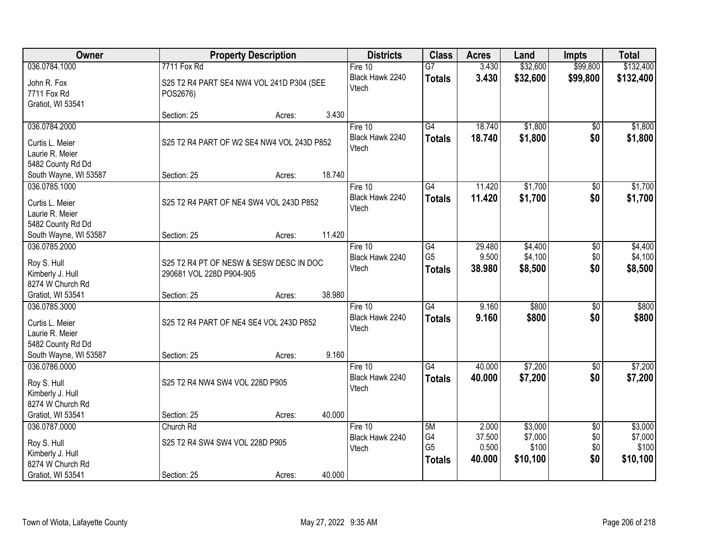| Owner                                |                                            | <b>Property Description</b> |        | <b>Districts</b> | <b>Class</b>    | <b>Acres</b> | Land     | <b>Impts</b>    | <b>Total</b> |
|--------------------------------------|--------------------------------------------|-----------------------------|--------|------------------|-----------------|--------------|----------|-----------------|--------------|
| 036.0784.1000                        | 7711 Fox Rd                                |                             |        | Fire $10$        | $\overline{G}$  | 3.430        | \$32,600 | \$99,800        | \$132,400    |
| John R. Fox                          | S25 T2 R4 PART SE4 NW4 VOL 241D P304 (SEE  |                             |        | Black Hawk 2240  | <b>Totals</b>   | 3.430        | \$32,600 | \$99,800        | \$132,400    |
| 7711 Fox Rd                          | POS2676)                                   |                             |        | Vtech            |                 |              |          |                 |              |
| Gratiot, WI 53541                    |                                            |                             |        |                  |                 |              |          |                 |              |
|                                      | Section: 25                                | Acres:                      | 3.430  |                  |                 |              |          |                 |              |
| 036.0784.2000                        |                                            |                             |        | Fire 10          | G4              | 18.740       | \$1,800  | $\overline{50}$ | \$1,800      |
| Curtis L. Meier                      | S25 T2 R4 PART OF W2 SE4 NW4 VOL 243D P852 |                             |        | Black Hawk 2240  | <b>Totals</b>   | 18.740       | \$1,800  | \$0             | \$1,800      |
| Laurie R. Meier                      |                                            |                             |        | Vtech            |                 |              |          |                 |              |
| 5482 County Rd Dd                    |                                            |                             |        |                  |                 |              |          |                 |              |
| South Wayne, WI 53587                | Section: 25                                | Acres:                      | 18.740 |                  |                 |              |          |                 |              |
| 036.0785.1000                        |                                            |                             |        | Fire 10          | $\overline{G4}$ | 11.420       | \$1,700  | $\overline{50}$ | \$1,700      |
|                                      |                                            |                             |        | Black Hawk 2240  | <b>Totals</b>   | 11.420       | \$1,700  | \$0             | \$1,700      |
| Curtis L. Meier                      | S25 T2 R4 PART OF NE4 SW4 VOL 243D P852    |                             |        | Vtech            |                 |              |          |                 |              |
| Laurie R. Meier<br>5482 County Rd Dd |                                            |                             |        |                  |                 |              |          |                 |              |
| South Wayne, WI 53587                | Section: 25                                | Acres:                      | 11.420 |                  |                 |              |          |                 |              |
| 036.0785.2000                        |                                            |                             |        | Fire 10          | G4              | 29.480       | \$4,400  | \$0             | \$4,400      |
|                                      |                                            |                             |        | Black Hawk 2240  | G <sub>5</sub>  | 9.500        | \$4,100  | \$0             | \$4,100      |
| Roy S. Hull                          | S25 T2 R4 PT OF NESW & SESW DESC IN DOC    |                             |        | Vtech            | <b>Totals</b>   | 38.980       | \$8,500  | \$0             | \$8,500      |
| Kimberly J. Hull                     | 290681 VOL 228D P904-905                   |                             |        |                  |                 |              |          |                 |              |
| 8274 W Church Rd                     |                                            |                             |        |                  |                 |              |          |                 |              |
| Gratiot, WI 53541                    | Section: 25                                | Acres:                      | 38.980 |                  |                 |              |          |                 |              |
| 036.0785.3000                        |                                            |                             |        | Fire 10          | G4              | 9.160        | \$800    | $\overline{50}$ | \$800        |
| Curtis L. Meier                      | S25 T2 R4 PART OF NE4 SE4 VOL 243D P852    |                             |        | Black Hawk 2240  | <b>Totals</b>   | 9.160        | \$800    | \$0             | \$800        |
| Laurie R. Meier                      |                                            |                             |        | Vtech            |                 |              |          |                 |              |
| 5482 County Rd Dd                    |                                            |                             |        |                  |                 |              |          |                 |              |
| South Wayne, WI 53587                | Section: 25                                | Acres:                      | 9.160  |                  |                 |              |          |                 |              |
| 036.0786.0000                        |                                            |                             |        | Fire 10          | G4              | 40.000       | \$7,200  | $\sqrt{6}$      | \$7,200      |
| Roy S. Hull                          | S25 T2 R4 NW4 SW4 VOL 228D P905            |                             |        | Black Hawk 2240  | <b>Totals</b>   | 40.000       | \$7,200  | \$0             | \$7,200      |
| Kimberly J. Hull                     |                                            |                             |        | Vtech            |                 |              |          |                 |              |
| 8274 W Church Rd                     |                                            |                             |        |                  |                 |              |          |                 |              |
| Gratiot, WI 53541                    | Section: 25                                | Acres:                      | 40.000 |                  |                 |              |          |                 |              |
| 036.0787.0000                        | Church Rd                                  |                             |        | Fire $10$        | 5M              | 2.000        | \$3,000  | $\overline{50}$ | \$3,000      |
| Roy S. Hull                          | S25 T2 R4 SW4 SW4 VOL 228D P905            |                             |        | Black Hawk 2240  | G4              | 37.500       | \$7,000  | \$0             | \$7,000      |
| Kimberly J. Hull                     |                                            |                             |        | Vtech            | G <sub>5</sub>  | 0.500        | \$100    | \$0             | \$100        |
| 8274 W Church Rd                     |                                            |                             |        |                  | <b>Totals</b>   | 40.000       | \$10,100 | \$0             | \$10,100     |
| Gratiot, WI 53541                    | Section: 25                                | Acres:                      | 40.000 |                  |                 |              |          |                 |              |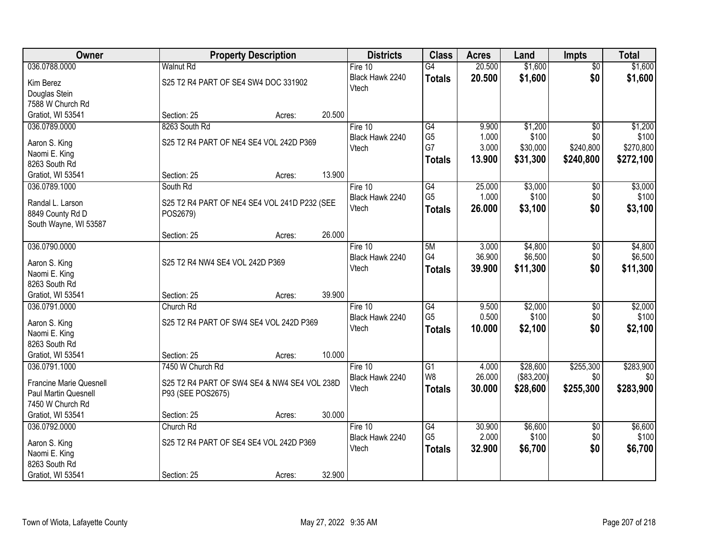| Owner                                |                                                          | <b>Property Description</b> |        | <b>Districts</b>             | <b>Class</b>         | <b>Acres</b>    | Land             | <b>Impts</b>           | <b>Total</b>     |
|--------------------------------------|----------------------------------------------------------|-----------------------------|--------|------------------------------|----------------------|-----------------|------------------|------------------------|------------------|
| 036.0788.0000                        | <b>Walnut Rd</b>                                         |                             |        | Fire $10$                    | $\overline{G4}$      | 20.500          | \$1,600          | $\overline{50}$        | \$1,600          |
| Kim Berez                            | S25 T2 R4 PART OF SE4 SW4 DOC 331902                     |                             |        | Black Hawk 2240              | <b>Totals</b>        | 20.500          | \$1,600          | \$0                    | \$1,600          |
| Douglas Stein                        |                                                          |                             |        | Vtech                        |                      |                 |                  |                        |                  |
| 7588 W Church Rd                     |                                                          |                             |        |                              |                      |                 |                  |                        |                  |
| Gratiot, WI 53541                    | Section: 25                                              | Acres:                      | 20.500 |                              |                      |                 |                  |                        |                  |
| 036.0789.0000                        | 8263 South Rd                                            |                             |        | Fire $10$                    | G4                   | 9.900           | \$1,200          | $\overline{50}$        | \$1,200          |
| Aaron S. King                        | S25 T2 R4 PART OF NE4 SE4 VOL 242D P369                  |                             |        | Black Hawk 2240              | G <sub>5</sub>       | 1.000           | \$100            | \$0                    | \$100            |
| Naomi E. King                        |                                                          |                             |        | Vtech                        | G7                   | 3.000           | \$30,000         | \$240,800              | \$270,800        |
| 8263 South Rd                        |                                                          |                             |        |                              | <b>Totals</b>        | 13.900          | \$31,300         | \$240,800              | \$272,100        |
| Gratiot, WI 53541                    | Section: 25                                              | Acres:                      | 13.900 |                              |                      |                 |                  |                        |                  |
| 036.0789.1000                        | South Rd                                                 |                             |        | Fire 10                      | G4                   | 25.000          | \$3,000          | \$0                    | \$3,000          |
|                                      |                                                          |                             |        | Black Hawk 2240              | G <sub>5</sub>       | 1.000           | \$100            | \$0                    | \$100            |
| Randal L. Larson<br>8849 County Rd D | S25 T2 R4 PART OF NE4 SE4 VOL 241D P232 (SEE<br>POS2679) |                             |        | Vtech                        | <b>Totals</b>        | 26.000          | \$3,100          | \$0                    | \$3,100          |
| South Wayne, WI 53587                |                                                          |                             |        |                              |                      |                 |                  |                        |                  |
|                                      | Section: 25                                              | Acres:                      | 26.000 |                              |                      |                 |                  |                        |                  |
| 036.0790.0000                        |                                                          |                             |        | Fire 10                      | 5M                   | 3.000           | \$4,800          | \$0                    | \$4,800          |
|                                      |                                                          |                             |        | Black Hawk 2240              | G4                   | 36.900          | \$6,500          | \$0                    | \$6,500          |
| Aaron S. King                        | S25 T2 R4 NW4 SE4 VOL 242D P369                          |                             |        | Vtech                        | <b>Totals</b>        | 39.900          | \$11,300         | \$0                    | \$11,300         |
| Naomi E. King<br>8263 South Rd       |                                                          |                             |        |                              |                      |                 |                  |                        |                  |
| Gratiot, WI 53541                    | Section: 25                                              | Acres:                      | 39.900 |                              |                      |                 |                  |                        |                  |
| 036.0791.0000                        | Church Rd                                                |                             |        | Fire 10                      | $\overline{G4}$      | 9.500           | \$2,000          | $\overline{50}$        | \$2,000          |
|                                      |                                                          |                             |        | Black Hawk 2240              | G <sub>5</sub>       | 0.500           | \$100            | \$0                    | \$100            |
| Aaron S. King                        | S25 T2 R4 PART OF SW4 SE4 VOL 242D P369                  |                             |        | Vtech                        | <b>Totals</b>        | 10.000          | \$2,100          | \$0                    | \$2,100          |
| Naomi E. King                        |                                                          |                             |        |                              |                      |                 |                  |                        |                  |
| 8263 South Rd<br>Gratiot, WI 53541   | Section: 25                                              |                             | 10.000 |                              |                      |                 |                  |                        |                  |
| 036.0791.1000                        | 7450 W Church Rd                                         | Acres:                      |        | Fire 10                      | $\overline{G1}$      | 4.000           | \$28,600         | \$255,300              | \$283,900        |
|                                      |                                                          |                             |        | Black Hawk 2240              | W8                   | 26.000          | (\$83,200)       | \$0                    | \$0              |
| <b>Francine Marie Quesnell</b>       | S25 T2 R4 PART OF SW4 SE4 & NW4 SE4 VOL 238D             |                             |        | Vtech                        | <b>Totals</b>        | 30,000          | \$28,600         | \$255,300              | \$283,900        |
| Paul Martin Quesnell                 | P93 (SEE POS2675)                                        |                             |        |                              |                      |                 |                  |                        |                  |
| 7450 W Church Rd                     |                                                          |                             |        |                              |                      |                 |                  |                        |                  |
| Gratiot, WI 53541                    | Section: 25                                              | Acres:                      | 30.000 |                              |                      |                 |                  |                        |                  |
| 036.0792.0000                        | Church Rd                                                |                             |        | Fire $10$<br>Black Hawk 2240 | G4<br>G <sub>5</sub> | 30.900<br>2.000 | \$6,600<br>\$100 | $\overline{50}$<br>\$0 | \$6,600<br>\$100 |
| Aaron S. King                        | S25 T2 R4 PART OF SE4 SE4 VOL 242D P369                  |                             |        | Vtech                        |                      | 32.900          |                  | \$0                    |                  |
| Naomi E. King                        |                                                          |                             |        |                              | <b>Totals</b>        |                 | \$6,700          |                        | \$6,700          |
| 8263 South Rd                        |                                                          |                             |        |                              |                      |                 |                  |                        |                  |
| Gratiot, WI 53541                    | Section: 25                                              | Acres:                      | 32.900 |                              |                      |                 |                  |                        |                  |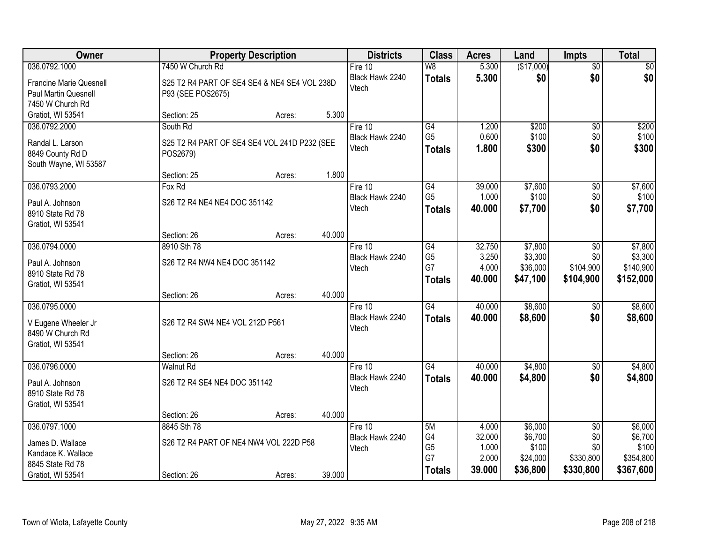| Owner                                                                          |                                                       | <b>Property Description</b>                  |        | <b>Districts</b>                      | <b>Class</b>                                       | <b>Acres</b>                                | Land                                                | <b>Impts</b>                                            | <b>Total</b>                                          |
|--------------------------------------------------------------------------------|-------------------------------------------------------|----------------------------------------------|--------|---------------------------------------|----------------------------------------------------|---------------------------------------------|-----------------------------------------------------|---------------------------------------------------------|-------------------------------------------------------|
| 036.0792.1000                                                                  | 7450 W Church Rd                                      |                                              |        | Fire $10$                             | W8                                                 | 5.300                                       | (\$17,000)                                          | $\overline{50}$                                         | $\sqrt{50}$                                           |
| <b>Francine Marie Quesnell</b><br>Paul Martin Quesnell<br>7450 W Church Rd     | P93 (SEE POS2675)                                     | S25 T2 R4 PART OF SE4 SE4 & NE4 SE4 VOL 238D |        | Black Hawk 2240<br>Vtech              | <b>Totals</b>                                      | 5.300                                       | \$0                                                 | \$0                                                     | \$0                                                   |
| Gratiot, WI 53541                                                              | Section: 25                                           | Acres:                                       | 5.300  |                                       |                                                    |                                             |                                                     |                                                         |                                                       |
| 036.0792.2000<br>Randal L. Larson<br>8849 County Rd D<br>South Wayne, WI 53587 | South Rd<br>POS2679)                                  | S25 T2 R4 PART OF SE4 SE4 VOL 241D P232 (SEE |        | Fire 10<br>Black Hawk 2240<br>Vtech   | $\overline{G4}$<br>G <sub>5</sub><br><b>Totals</b> | 1.200<br>0.600<br>1.800                     | \$200<br>\$100<br>\$300                             | $\overline{50}$<br>\$0<br>\$0                           | \$200<br>\$100<br>\$300                               |
|                                                                                | Section: 25                                           | Acres:                                       | 1.800  |                                       |                                                    |                                             |                                                     |                                                         |                                                       |
| 036.0793.2000<br>Paul A. Johnson<br>8910 State Rd 78<br>Gratiot, WI 53541      | Fox Rd<br>S26 T2 R4 NE4 NE4 DOC 351142<br>Section: 26 | Acres:                                       | 40.000 | Fire 10<br>Black Hawk 2240<br>Vtech   | $\overline{G4}$<br>G <sub>5</sub><br><b>Totals</b> | 39.000<br>1.000<br>40.000                   | \$7,600<br>\$100<br>\$7,700                         | $\overline{50}$<br>\$0<br>\$0                           | \$7,600<br>\$100<br>\$7,700                           |
| 036.0794.0000                                                                  | 8910 Sth 78                                           |                                              |        | Fire 10                               | $\overline{G4}$                                    | 32.750                                      | \$7,800                                             | \$0                                                     | \$7,800                                               |
| Paul A. Johnson<br>8910 State Rd 78<br>Gratiot, WI 53541                       | S26 T2 R4 NW4 NE4 DOC 351142                          |                                              |        | Black Hawk 2240<br>Vtech              | G <sub>5</sub><br>G7<br><b>Totals</b>              | 3.250<br>4.000<br>40.000                    | \$3,300<br>\$36,000<br>\$47,100                     | \$0<br>\$104,900<br>\$104,900                           | \$3,300<br>\$140,900<br>\$152,000                     |
|                                                                                | Section: 26                                           | Acres:                                       | 40.000 |                                       |                                                    |                                             |                                                     |                                                         |                                                       |
| 036.0795.0000<br>V Eugene Wheeler Jr<br>8490 W Church Rd<br>Gratiot, WI 53541  | S26 T2 R4 SW4 NE4 VOL 212D P561                       |                                              |        | Fire 10<br>Black Hawk 2240<br>Vtech   | G4<br><b>Totals</b>                                | 40.000<br>40.000                            | \$8,600<br>\$8,600                                  | $\overline{50}$<br>\$0                                  | \$8,600<br>\$8,600                                    |
| 036.0796.0000                                                                  | Section: 26<br>Walnut Rd                              | Acres:                                       | 40.000 | Fire 10                               | G4                                                 | 40.000                                      | \$4,800                                             |                                                         | \$4,800                                               |
| Paul A. Johnson<br>8910 State Rd 78<br>Gratiot, WI 53541                       | S26 T2 R4 SE4 NE4 DOC 351142                          |                                              |        | Black Hawk 2240<br>Vtech              | <b>Totals</b>                                      | 40.000                                      | \$4,800                                             | $\sqrt{6}$<br>\$0                                       | \$4,800                                               |
|                                                                                | Section: 26                                           | Acres:                                       | 40.000 |                                       |                                                    |                                             |                                                     |                                                         |                                                       |
| 036.0797.1000<br>James D. Wallace<br>Kandace K. Wallace<br>8845 State Rd 78    | 8845 Sth 78                                           | S26 T2 R4 PART OF NE4 NW4 VOL 222D P58       | 39.000 | Fire $10$<br>Black Hawk 2240<br>Vtech | 5M<br>G4<br>G <sub>5</sub><br>G7<br><b>Totals</b>  | 4.000<br>32.000<br>1.000<br>2.000<br>39.000 | \$6,000<br>\$6,700<br>\$100<br>\$24,000<br>\$36,800 | $\overline{50}$<br>\$0<br>\$0<br>\$330,800<br>\$330,800 | \$6,000<br>\$6,700<br>\$100<br>\$354,800<br>\$367,600 |
| Gratiot, WI 53541                                                              | Section: 26                                           | Acres:                                       |        |                                       |                                                    |                                             |                                                     |                                                         |                                                       |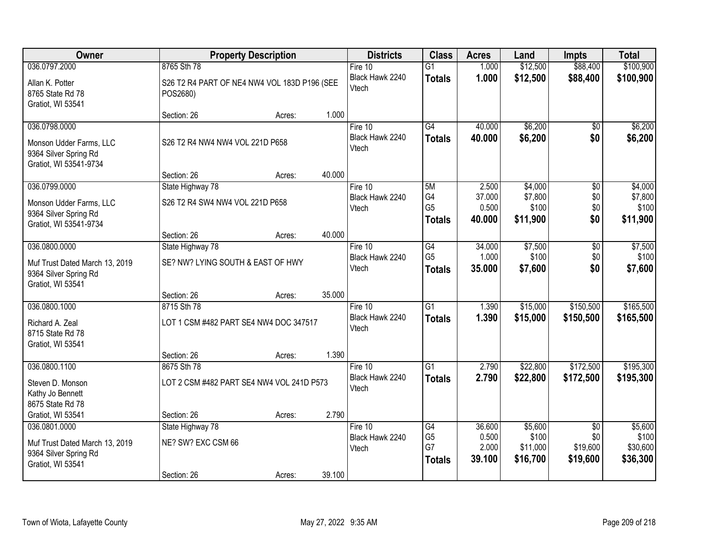| Owner                                                                                          | <b>Property Description</b>                                             |        |        | <b>Districts</b>                      | <b>Class</b>                                       | <b>Acres</b>                       | Land                                    | <b>Impts</b>                  | <b>Total</b>                            |
|------------------------------------------------------------------------------------------------|-------------------------------------------------------------------------|--------|--------|---------------------------------------|----------------------------------------------------|------------------------------------|-----------------------------------------|-------------------------------|-----------------------------------------|
| 036.0797.2000                                                                                  | 8765 Sth 78                                                             |        |        | Fire $10$                             | $\overline{G1}$                                    | 1.000                              | \$12,500                                | \$88,400                      | \$100,900                               |
| Allan K. Potter<br>8765 State Rd 78<br>Gratiot, WI 53541                                       | S26 T2 R4 PART OF NE4 NW4 VOL 183D P196 (SEE<br>POS2680)                |        |        | Black Hawk 2240<br>Vtech              | <b>Totals</b>                                      | 1.000                              | \$12,500                                | \$88,400                      | \$100,900                               |
|                                                                                                | Section: 26                                                             | Acres: | 1.000  |                                       |                                                    |                                    |                                         |                               |                                         |
| 036.0798.0000<br>Monson Udder Farms, LLC<br>9364 Silver Spring Rd<br>Gratiot, WI 53541-9734    | S26 T2 R4 NW4 NW4 VOL 221D P658                                         |        |        | Fire 10<br>Black Hawk 2240<br>Vtech   | G4<br><b>Totals</b>                                | 40.000<br>40.000                   | \$6,200<br>\$6,200                      | \$0<br>\$0                    | \$6,200<br>\$6,200                      |
|                                                                                                | Section: 26                                                             | Acres: | 40.000 |                                       |                                                    |                                    |                                         |                               |                                         |
| 036.0799.0000<br>Monson Udder Farms, LLC<br>9364 Silver Spring Rd<br>Gratiot, WI 53541-9734    | State Highway 78<br>S26 T2 R4 SW4 NW4 VOL 221D P658                     |        |        | Fire 10<br>Black Hawk 2240<br>Vtech   | 5M<br>G4<br>G <sub>5</sub><br><b>Totals</b>        | 2.500<br>37.000<br>0.500<br>40.000 | \$4,000<br>\$7,800<br>\$100<br>\$11,900 | \$0<br>\$0<br>\$0<br>\$0      | \$4,000<br>\$7,800<br>\$100<br>\$11,900 |
|                                                                                                | Section: 26                                                             | Acres: | 40.000 |                                       |                                                    |                                    |                                         |                               |                                         |
| 036.0800.0000<br>Muf Trust Dated March 13, 2019<br>9364 Silver Spring Rd<br>Gratiot, WI 53541  | State Highway 78<br>SE? NW? LYING SOUTH & EAST OF HWY                   |        |        | Fire 10<br>Black Hawk 2240<br>Vtech   | $\overline{G4}$<br>G <sub>5</sub><br><b>Totals</b> | 34.000<br>1.000<br>35.000          | \$7,500<br>\$100<br>\$7,600             | $\overline{50}$<br>\$0<br>\$0 | \$7,500<br>\$100<br>\$7,600             |
|                                                                                                | Section: 26                                                             | Acres: | 35.000 |                                       |                                                    |                                    |                                         |                               |                                         |
| 036.0800.1000<br>Richard A. Zeal<br>8715 State Rd 78<br>Gratiot, WI 53541                      | 8715 Sth 78<br>LOT 1 CSM #482 PART SE4 NW4 DOC 347517                   |        |        | Fire $10$<br>Black Hawk 2240<br>Vtech | $\overline{G1}$<br><b>Totals</b>                   | 1.390<br>1.390                     | \$15,000<br>\$15,000                    | \$150,500<br>\$150,500        | \$165,500<br>\$165,500                  |
|                                                                                                | Section: 26                                                             | Acres: | 1.390  |                                       |                                                    |                                    |                                         |                               |                                         |
| 036.0800.1100<br>Steven D. Monson<br>Kathy Jo Bennett<br>8675 State Rd 78<br>Gratiot, WI 53541 | 8675 Sth 78<br>LOT 2 CSM #482 PART SE4 NW4 VOL 241D P573<br>Section: 26 | Acres: | 2.790  | Fire 10<br>Black Hawk 2240<br>Vtech   | $\overline{G1}$<br><b>Totals</b>                   | 2.790<br>2.790                     | \$22,800<br>\$22,800                    | \$172,500<br>\$172,500        | \$195,300<br>\$195,300                  |
| 036.0801.0000                                                                                  | State Highway 78                                                        |        |        | Fire $10$                             | G4                                                 | 36.600                             | \$5,600                                 | $\overline{50}$               | \$5,600                                 |
| Muf Trust Dated March 13, 2019<br>9364 Silver Spring Rd<br>Gratiot, WI 53541                   | NE? SW? EXC CSM 66<br>Section: 26                                       | Acres: | 39.100 | Black Hawk 2240<br>Vtech              | G <sub>5</sub><br>G7<br><b>Totals</b>              | 0.500<br>2.000<br>39.100           | \$100<br>\$11,000<br>\$16,700           | \$0<br>\$19,600<br>\$19,600   | \$100<br>\$30,600<br>\$36,300           |
|                                                                                                |                                                                         |        |        |                                       |                                                    |                                    |                                         |                               |                                         |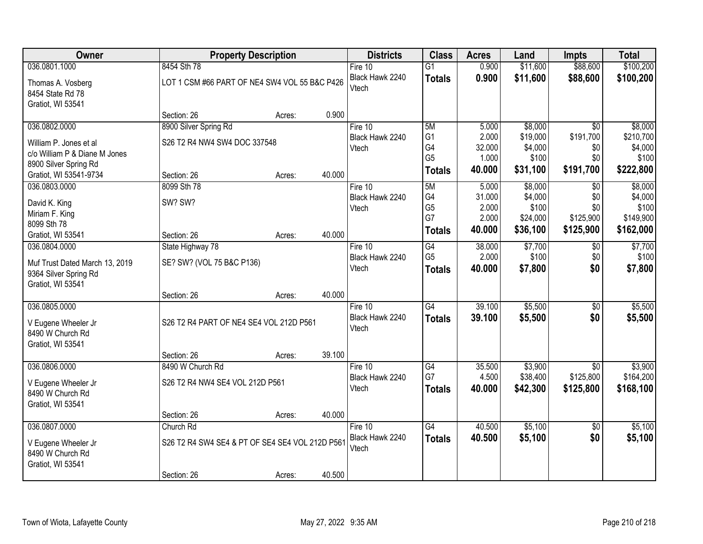| Owner                          |                                                 | <b>Property Description</b> |        | <b>Districts</b>         | <b>Class</b>         | <b>Acres</b>    | Land              | <b>Impts</b>     | <b>Total</b>       |
|--------------------------------|-------------------------------------------------|-----------------------------|--------|--------------------------|----------------------|-----------------|-------------------|------------------|--------------------|
| 036.0801.1000                  | 8454 Sth 78                                     |                             |        | Fire $10$                | $\overline{G1}$      | 0.900           | \$11,600          | \$88,600         | \$100,200          |
| Thomas A. Vosberg              | LOT 1 CSM #66 PART OF NE4 SW4 VOL 55 B&C P426   |                             |        | Black Hawk 2240          | <b>Totals</b>        | 0.900           | \$11,600          | \$88,600         | \$100,200          |
| 8454 State Rd 78               |                                                 |                             |        | Vtech                    |                      |                 |                   |                  |                    |
| Gratiot, WI 53541              |                                                 |                             |        |                          |                      |                 |                   |                  |                    |
|                                | Section: 26                                     | Acres:                      | 0.900  |                          |                      |                 |                   |                  |                    |
| 036.0802.0000                  | 8900 Silver Spring Rd                           |                             |        | Fire $10$                | 5M                   | 5.000           | \$8,000           | $\overline{50}$  | \$8,000            |
| William P. Jones et al         | S26 T2 R4 NW4 SW4 DOC 337548                    |                             |        | Black Hawk 2240          | G <sub>1</sub>       | 2.000           | \$19,000          | \$191,700        | \$210,700          |
| c/o William P & Diane M Jones  |                                                 |                             |        | Vtech                    | G4<br>G <sub>5</sub> | 32.000<br>1.000 | \$4,000<br>\$100  | \$0<br>\$0       | \$4,000<br>\$100   |
| 8900 Silver Spring Rd          |                                                 |                             |        |                          | <b>Totals</b>        | 40.000          | \$31,100          | \$191,700        | \$222,800          |
| Gratiot, WI 53541-9734         | Section: 26                                     | Acres:                      | 40.000 |                          |                      |                 |                   |                  |                    |
| 036.0803.0000                  | 8099 Sth 78                                     |                             |        | Fire 10                  | 5M                   | 5.000           | \$8,000           | \$0              | \$8,000            |
| David K. King                  | SW? SW?                                         |                             |        | Black Hawk 2240          | G4                   | 31.000          | \$4,000           | \$0              | \$4,000            |
| Miriam F. King                 |                                                 |                             |        | Vtech                    | G <sub>5</sub><br>G7 | 2.000<br>2.000  | \$100<br>\$24,000 | \$0<br>\$125,900 | \$100<br>\$149,900 |
| 8099 Sth 78                    |                                                 |                             |        |                          | <b>Totals</b>        | 40.000          | \$36,100          | \$125,900        | \$162,000          |
| Gratiot, WI 53541              | Section: 26                                     | Acres:                      | 40.000 |                          |                      |                 |                   |                  |                    |
| 036.0804.0000                  | State Highway 78                                |                             |        | Fire $10$                | G4                   | 38.000          | \$7,700           | $\sqrt[6]{3}$    | \$7,700            |
| Muf Trust Dated March 13, 2019 | SE? SW? (VOL 75 B&C P136)                       |                             |        | Black Hawk 2240          | G <sub>5</sub>       | 2.000           | \$100             | \$0              | \$100              |
| 9364 Silver Spring Rd          |                                                 |                             |        | Vtech                    | <b>Totals</b>        | 40.000          | \$7,800           | \$0              | \$7,800            |
| Gratiot, WI 53541              |                                                 |                             |        |                          |                      |                 |                   |                  |                    |
|                                | Section: 26                                     | Acres:                      | 40.000 |                          |                      |                 |                   |                  |                    |
| 036.0805.0000                  |                                                 |                             |        | Fire $10$                | $\overline{G4}$      | 39.100          | \$5,500           | \$0              | \$5,500            |
| V Eugene Wheeler Jr            | S26 T2 R4 PART OF NE4 SE4 VOL 212D P561         |                             |        | Black Hawk 2240          | <b>Totals</b>        | 39,100          | \$5,500           | \$0              | \$5,500            |
| 8490 W Church Rd               |                                                 |                             |        | Vtech                    |                      |                 |                   |                  |                    |
| Gratiot, WI 53541              |                                                 |                             |        |                          |                      |                 |                   |                  |                    |
|                                | Section: 26                                     | Acres:                      | 39.100 |                          |                      |                 |                   |                  |                    |
| 036.0806.0000                  | 8490 W Church Rd                                |                             |        | Fire $10$                | G4                   | 35.500          | \$3,900           | \$0              | \$3,900            |
| V Eugene Wheeler Jr            | S26 T2 R4 NW4 SE4 VOL 212D P561                 |                             |        | Black Hawk 2240<br>Vtech | G7                   | 4.500           | \$38,400          | \$125,800        | \$164,200          |
| 8490 W Church Rd               |                                                 |                             |        |                          | <b>Totals</b>        | 40.000          | \$42,300          | \$125,800        | \$168,100          |
| Gratiot, WI 53541              |                                                 |                             |        |                          |                      |                 |                   |                  |                    |
|                                | Section: 26                                     | Acres:                      | 40.000 |                          |                      |                 |                   |                  |                    |
| 036.0807.0000                  | Church Rd                                       |                             |        | Fire 10                  | $\overline{G4}$      | 40.500          | \$5,100           | $\overline{50}$  | \$5,100            |
| V Eugene Wheeler Jr            | S26 T2 R4 SW4 SE4 & PT OF SE4 SE4 VOL 212D P561 |                             |        | Black Hawk 2240<br>Vtech | <b>Totals</b>        | 40.500          | \$5,100           | \$0              | \$5,100            |
| 8490 W Church Rd               |                                                 |                             |        |                          |                      |                 |                   |                  |                    |
| Gratiot, WI 53541              |                                                 |                             |        |                          |                      |                 |                   |                  |                    |
|                                | Section: 26                                     | Acres:                      | 40.500 |                          |                      |                 |                   |                  |                    |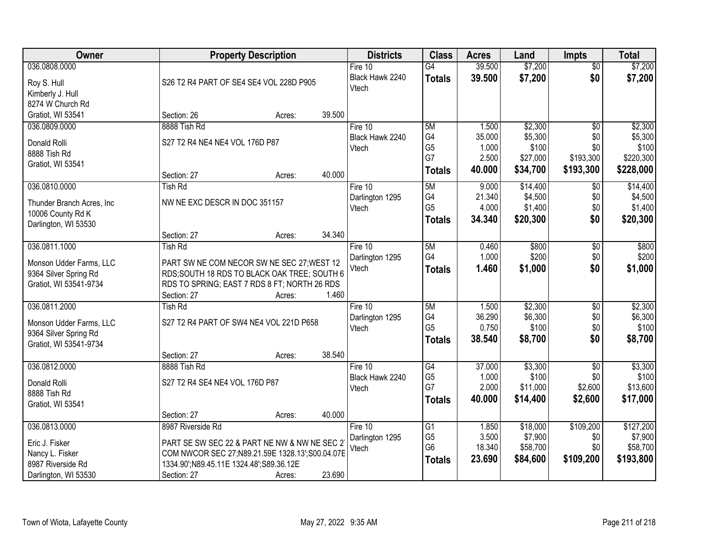| Owner                                                                                           |                                                                                                                                                                                                 | <b>Property Description</b> |                  | <b>Districts</b>                      | <b>Class</b>                                             | <b>Acres</b>                                | Land                                                | <b>Impts</b>                                            | <b>Total</b>                                          |
|-------------------------------------------------------------------------------------------------|-------------------------------------------------------------------------------------------------------------------------------------------------------------------------------------------------|-----------------------------|------------------|---------------------------------------|----------------------------------------------------------|---------------------------------------------|-----------------------------------------------------|---------------------------------------------------------|-------------------------------------------------------|
| 036.0808.0000<br>Roy S. Hull<br>Kimberly J. Hull                                                | S26 T2 R4 PART OF SE4 SE4 VOL 228D P905                                                                                                                                                         |                             |                  | Fire $10$<br>Black Hawk 2240<br>Vtech | $\overline{G4}$<br><b>Totals</b>                         | 39.500<br>39.500                            | \$7,200<br>\$7,200                                  | $\overline{50}$<br>\$0                                  | \$7,200<br>\$7,200                                    |
| 8274 W Church Rd<br>Gratiot, WI 53541                                                           | Section: 26                                                                                                                                                                                     | Acres:                      | 39.500           |                                       |                                                          |                                             |                                                     |                                                         |                                                       |
| 036.0809.0000<br>Donald Rolli<br>8888 Tish Rd<br>Gratiot, WI 53541                              | 8888 Tish Rd<br>S27 T2 R4 NE4 NE4 VOL 176D P87<br>Section: 27                                                                                                                                   | Acres:                      | 40.000           | Fire 10<br>Black Hawk 2240<br>Vtech   | 5M<br>G4<br>G <sub>5</sub><br>G7<br><b>Totals</b>        | 1.500<br>35.000<br>1.000<br>2.500<br>40.000 | \$2,300<br>\$5,300<br>\$100<br>\$27,000<br>\$34,700 | $\overline{50}$<br>\$0<br>\$0<br>\$193,300<br>\$193,300 | \$2,300<br>\$5,300<br>\$100<br>\$220,300<br>\$228,000 |
| 036.0810.0000<br>Thunder Branch Acres, Inc.<br>10006 County Rd K<br>Darlington, WI 53530        | <b>Tish Rd</b><br>NW NE EXC DESCR IN DOC 351157<br>Section: 27                                                                                                                                  |                             | 34.340           | Fire 10<br>Darlington 1295<br>Vtech   | 5M<br>G4<br>G <sub>5</sub><br><b>Totals</b>              | 9.000<br>21.340<br>4.000<br>34.340          | \$14,400<br>\$4,500<br>\$1,400<br>\$20,300          | $\sqrt[6]{}$<br>\$0<br>\$0<br>\$0                       | \$14,400<br>\$4,500<br>\$1,400<br>\$20,300            |
| 036.0811.1000<br>Monson Udder Farms, LLC<br>9364 Silver Spring Rd<br>Gratiot, WI 53541-9734     | <b>Tish Rd</b><br>PART SW NE COM NECOR SW NE SEC 27; WEST 12<br>RDS;SOUTH 18 RDS TO BLACK OAK TREE; SOUTH 6<br>RDS TO SPRING; EAST 7 RDS 8 FT; NORTH 26 RDS<br>Section: 27                      | Acres:<br>Acres:            | 1.460            | Fire 10<br>Darlington 1295<br>Vtech   | 5M<br>G4<br><b>Totals</b>                                | 0.460<br>1.000<br>1.460                     | \$800<br>\$200<br>\$1,000                           | \$0<br>\$0<br>\$0                                       | \$800<br>\$200<br>\$1,000                             |
| 036.0811.2000<br>Monson Udder Farms, LLC<br>9364 Silver Spring Rd<br>Gratiot, WI 53541-9734     | <b>Tish Rd</b><br>S27 T2 R4 PART OF SW4 NE4 VOL 221D P658<br>Section: 27                                                                                                                        | Acres:                      | 38.540           | Fire 10<br>Darlington 1295<br>Vtech   | 5M<br>G4<br>G <sub>5</sub><br><b>Totals</b>              | 1.500<br>36.290<br>0.750<br>38.540          | \$2,300<br>\$6,300<br>\$100<br>\$8,700              | $\overline{50}$<br>\$0<br>\$0<br>\$0                    | \$2,300<br>\$6,300<br>\$100<br>\$8,700                |
| 036.0812.0000<br>Donald Rolli<br>8888 Tish Rd<br>Gratiot, WI 53541                              | 8888 Tish Rd<br>S27 T2 R4 SE4 NE4 VOL 176D P87                                                                                                                                                  |                             |                  | Fire $10$<br>Black Hawk 2240<br>Vtech | $\overline{G4}$<br>G <sub>5</sub><br>G7<br><b>Totals</b> | 37.000<br>1.000<br>2.000<br>40.000          | \$3,300<br>\$100<br>\$11,000<br>\$14,400            | $\overline{50}$<br>\$0<br>\$2,600<br>\$2,600            | \$3,300<br>\$100<br>\$13,600<br>\$17,000              |
| 036.0813.0000<br>Eric J. Fisker<br>Nancy L. Fisker<br>8987 Riverside Rd<br>Darlington, WI 53530 | Section: 27<br>8987 Riverside Rd<br>PART SE SW SEC 22 & PART NE NW & NW NE SEC 2<br>COM NWCOR SEC 27; N89.21.59E 1328.13'; S00.04.07E<br>1334.90';N89.45.11E 1324.48';S89.36.12E<br>Section: 27 | Acres:<br>Acres:            | 40.000<br>23.690 | Fire 10<br>Darlington 1295<br>Vtech   | G1<br>G <sub>5</sub><br>G <sub>6</sub><br><b>Totals</b>  | 1.850<br>3.500<br>18.340<br>23.690          | \$18,000<br>\$7,900<br>\$58,700<br>\$84,600         | \$109,200<br>\$0<br>\$0<br>\$109,200                    | \$127,200<br>\$7,900<br>\$58,700<br>\$193,800         |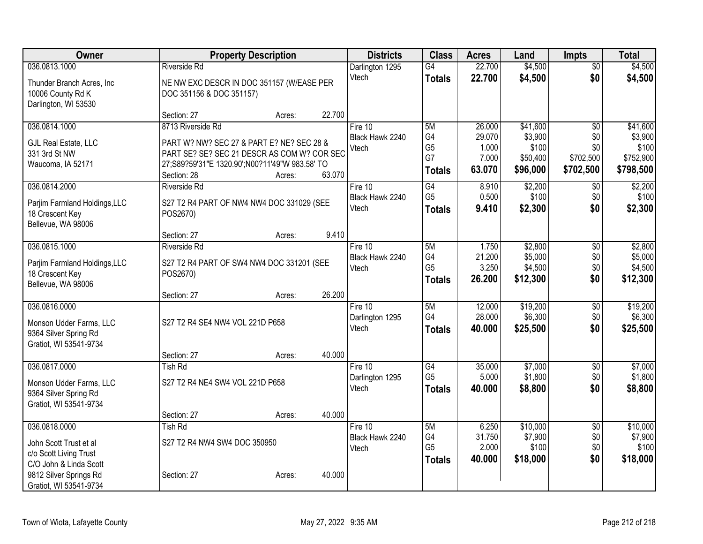| Owner                                           |                                                | <b>Property Description</b> |        | <b>Districts</b>           | <b>Class</b>         | <b>Acres</b>    | Land             | <b>Impts</b>      | <b>Total</b>     |
|-------------------------------------------------|------------------------------------------------|-----------------------------|--------|----------------------------|----------------------|-----------------|------------------|-------------------|------------------|
| 036.0813.1000                                   | <b>Riverside Rd</b>                            |                             |        | Darlington 1295            | $\overline{G4}$      | 22.700          | \$4,500          | $\overline{50}$   | \$4,500          |
| Thunder Branch Acres, Inc                       | NE NW EXC DESCR IN DOC 351157 (W/EASE PER      |                             |        | Vtech                      | <b>Totals</b>        | 22.700          | \$4,500          | \$0               | \$4,500          |
| 10006 County Rd K                               | DOC 351156 & DOC 351157)                       |                             |        |                            |                      |                 |                  |                   |                  |
| Darlington, WI 53530                            |                                                |                             |        |                            |                      |                 |                  |                   |                  |
|                                                 | Section: 27                                    | Acres:                      | 22.700 |                            |                      |                 |                  |                   |                  |
| 036.0814.1000                                   | 8713 Riverside Rd                              |                             |        | Fire 10                    | 5M                   | 26.000          | \$41,600         | \$0               | \$41,600         |
| GJL Real Estate, LLC                            | PART W? NW? SEC 27 & PART E? NE? SEC 28 &      |                             |        | Black Hawk 2240<br>Vtech   | G4<br>G <sub>5</sub> | 29.070<br>1.000 | \$3,900<br>\$100 | \$0<br>\$0        | \$3,900<br>\$100 |
| 331 3rd St NW                                   | PART SE? SE? SEC 21 DESCR AS COM W? COR SEC    |                             |        |                            | G7                   | 7.000           | \$50,400         | \$702,500         | \$752,900        |
| Waucoma, IA 52171                               | 27;S89?59'31"E 1320.90';N00?11'49"W 983.58' TO |                             |        |                            | <b>Totals</b>        | 63.070          | \$96,000         | \$702,500         | \$798,500        |
|                                                 | Section: 28                                    | Acres:                      | 63.070 |                            |                      |                 |                  |                   |                  |
| 036.0814.2000                                   | <b>Riverside Rd</b>                            |                             |        | Fire 10<br>Black Hawk 2240 | G4<br>G <sub>5</sub> | 8.910<br>0.500  | \$2,200<br>\$100 | $\sqrt{6}$<br>\$0 | \$2,200<br>\$100 |
| Parjim Farmland Holdings, LLC                   | S27 T2 R4 PART OF NW4 NW4 DOC 331029 (SEE      |                             |        | Vtech                      | <b>Totals</b>        | 9.410           | \$2,300          | \$0               | \$2,300          |
| 18 Crescent Key                                 | POS2670)                                       |                             |        |                            |                      |                 |                  |                   |                  |
| Bellevue, WA 98006                              | Section: 27                                    |                             | 9.410  |                            |                      |                 |                  |                   |                  |
| 036.0815.1000                                   | <b>Riverside Rd</b>                            | Acres:                      |        | Fire $10$                  | 5M                   | 1.750           | \$2,800          | $\overline{50}$   | \$2,800          |
|                                                 |                                                |                             |        | Black Hawk 2240            | G4                   | 21.200          | \$5,000          | \$0               | \$5,000          |
| Parjim Farmland Holdings, LLC                   | S27 T2 R4 PART OF SW4 NW4 DOC 331201 (SEE      |                             |        | Vtech                      | G <sub>5</sub>       | 3.250           | \$4,500          | \$0               | \$4,500          |
| 18 Crescent Key                                 | POS2670)                                       |                             |        |                            | <b>Totals</b>        | 26.200          | \$12,300         | \$0               | \$12,300         |
| Bellevue, WA 98006                              | Section: 27                                    | Acres:                      | 26.200 |                            |                      |                 |                  |                   |                  |
| 036.0816.0000                                   |                                                |                             |        | Fire 10                    | 5M                   | 12.000          | \$19,200         | \$0               | \$19,200         |
|                                                 |                                                |                             |        | Darlington 1295            | G4                   | 28.000          | \$6,300          | \$0               | \$6,300          |
| Monson Udder Farms, LLC                         | S27 T2 R4 SE4 NW4 VOL 221D P658                |                             |        | Vtech                      | <b>Totals</b>        | 40.000          | \$25,500         | \$0               | \$25,500         |
| 9364 Silver Spring Rd<br>Gratiot, WI 53541-9734 |                                                |                             |        |                            |                      |                 |                  |                   |                  |
|                                                 | Section: 27                                    | Acres:                      | 40.000 |                            |                      |                 |                  |                   |                  |
| 036.0817.0000                                   | <b>Tish Rd</b>                                 |                             |        | Fire 10                    | G4                   | 35.000          | \$7,000          | $\overline{50}$   | \$7,000          |
| Monson Udder Farms, LLC                         | S27 T2 R4 NE4 SW4 VOL 221D P658                |                             |        | Darlington 1295            | G <sub>5</sub>       | 5.000           | \$1,800          | \$0               | \$1,800          |
| 9364 Silver Spring Rd                           |                                                |                             |        | Vtech                      | <b>Totals</b>        | 40.000          | \$8,800          | \$0               | \$8,800          |
| Gratiot, WI 53541-9734                          |                                                |                             |        |                            |                      |                 |                  |                   |                  |
|                                                 | Section: 27                                    | Acres:                      | 40.000 |                            |                      |                 |                  |                   |                  |
| 036.0818.0000                                   | <b>Tish Rd</b>                                 |                             |        | Fire 10                    | 5M                   | 6.250           | \$10,000         | $\overline{50}$   | \$10,000         |
| John Scott Trust et al                          | S27 T2 R4 NW4 SW4 DOC 350950                   |                             |        | Black Hawk 2240            | G4                   | 31.750          | \$7,900          | \$0               | \$7,900          |
| c/o Scott Living Trust                          |                                                |                             |        | Vtech                      | G <sub>5</sub>       | 2.000           | \$100            | \$0               | \$100            |
| C/O John & Linda Scott                          |                                                |                             |        |                            | <b>Totals</b>        | 40.000          | \$18,000         | \$0               | \$18,000         |
| 9812 Silver Springs Rd                          | Section: 27                                    | Acres:                      | 40.000 |                            |                      |                 |                  |                   |                  |
| Gratiot, WI 53541-9734                          |                                                |                             |        |                            |                      |                 |                  |                   |                  |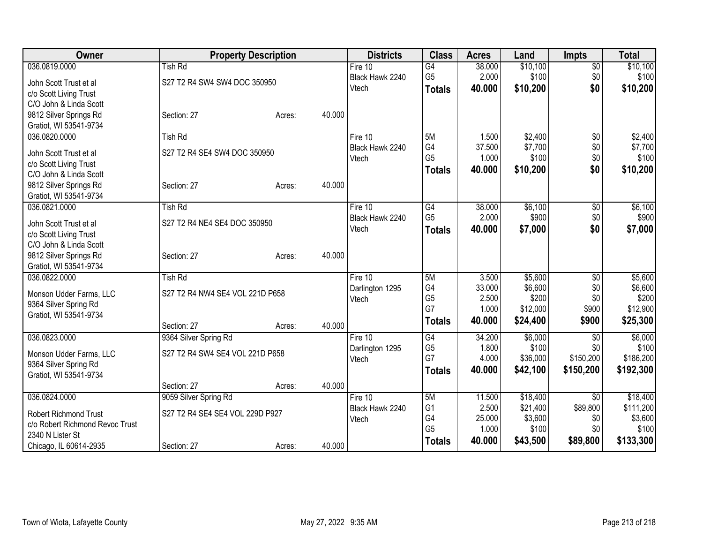| Owner                                            |                                 | <b>Property Description</b> |        | <b>Districts</b> | <b>Class</b>    | <b>Acres</b> | Land     | <b>Impts</b>    | <b>Total</b> |
|--------------------------------------------------|---------------------------------|-----------------------------|--------|------------------|-----------------|--------------|----------|-----------------|--------------|
| 036.0819.0000                                    | <b>Tish Rd</b>                  |                             |        | Fire $10$        | $\overline{G4}$ | 38.000       | \$10,100 | $\overline{50}$ | \$10,100     |
| John Scott Trust et al                           | S27 T2 R4 SW4 SW4 DOC 350950    |                             |        | Black Hawk 2240  | G <sub>5</sub>  | 2.000        | \$100    | \$0             | \$100        |
| c/o Scott Living Trust                           |                                 |                             |        | Vtech            | <b>Totals</b>   | 40.000       | \$10,200 | \$0             | \$10,200     |
| C/O John & Linda Scott                           |                                 |                             |        |                  |                 |              |          |                 |              |
| 9812 Silver Springs Rd                           | Section: 27                     | Acres:                      | 40.000 |                  |                 |              |          |                 |              |
| Gratiot, WI 53541-9734                           |                                 |                             |        |                  |                 |              |          |                 |              |
| 036.0820.0000                                    | <b>Tish Rd</b>                  |                             |        | Fire 10          | 5M              | 1.500        | \$2,400  | $\overline{50}$ | \$2,400      |
| John Scott Trust et al                           | S27 T2 R4 SE4 SW4 DOC 350950    |                             |        | Black Hawk 2240  | G4              | 37.500       | \$7,700  | \$0             | \$7,700      |
| c/o Scott Living Trust                           |                                 |                             |        | Vtech            | G <sub>5</sub>  | 1.000        | \$100    | \$0             | \$100        |
| C/O John & Linda Scott                           |                                 |                             |        |                  | <b>Totals</b>   | 40.000       | \$10,200 | \$0             | \$10,200     |
| 9812 Silver Springs Rd                           | Section: 27                     | Acres:                      | 40.000 |                  |                 |              |          |                 |              |
| Gratiot, WI 53541-9734                           |                                 |                             |        |                  |                 |              |          |                 |              |
| 036.0821.0000                                    | <b>Tish Rd</b>                  |                             |        | Fire 10          | G4              | 38.000       | \$6,100  | \$0             | \$6,100      |
|                                                  | S27 T2 R4 NE4 SE4 DOC 350950    |                             |        | Black Hawk 2240  | G <sub>5</sub>  | 2.000        | \$900    | \$0             | \$900        |
| John Scott Trust et al                           |                                 |                             |        | Vtech            | <b>Totals</b>   | 40.000       | \$7,000  | \$0             | \$7,000      |
| c/o Scott Living Trust<br>C/O John & Linda Scott |                                 |                             |        |                  |                 |              |          |                 |              |
| 9812 Silver Springs Rd                           | Section: 27                     | Acres:                      | 40.000 |                  |                 |              |          |                 |              |
| Gratiot, WI 53541-9734                           |                                 |                             |        |                  |                 |              |          |                 |              |
| 036.0822.0000                                    | <b>Tish Rd</b>                  |                             |        | Fire $10$        | 5M              | 3.500        | \$5,600  | $\overline{50}$ | \$5,600      |
|                                                  |                                 |                             |        | Darlington 1295  | G4              | 33.000       | \$6,600  | \$0             | \$6,600      |
| Monson Udder Farms, LLC                          | S27 T2 R4 NW4 SE4 VOL 221D P658 |                             |        | Vtech            | G <sub>5</sub>  | 2.500        | \$200    | \$0             | \$200        |
| 9364 Silver Spring Rd                            |                                 |                             |        |                  | G7              | 1.000        | \$12,000 | \$900           | \$12,900     |
| Gratiot, WI 53541-9734                           | Section: 27                     |                             | 40.000 |                  | <b>Totals</b>   | 40.000       | \$24,400 | \$900           | \$25,300     |
| 036.0823.0000                                    | 9364 Silver Spring Rd           | Acres:                      |        | Fire 10          | G4              | 34.200       | \$6,000  | \$0             | \$6,000      |
|                                                  |                                 |                             |        | Darlington 1295  | G <sub>5</sub>  | 1.800        | \$100    | \$0             | \$100        |
| Monson Udder Farms, LLC                          | S27 T2 R4 SW4 SE4 VOL 221D P658 |                             |        | Vtech            | G7              | 4.000        | \$36,000 | \$150,200       | \$186,200    |
| 9364 Silver Spring Rd                            |                                 |                             |        |                  | <b>Totals</b>   | 40.000       | \$42,100 | \$150,200       | \$192,300    |
| Gratiot, WI 53541-9734                           |                                 |                             |        |                  |                 |              |          |                 |              |
|                                                  | Section: 27                     | Acres:                      | 40.000 |                  |                 |              |          |                 |              |
| 036.0824.0000                                    | 9059 Silver Spring Rd           |                             |        | Fire 10          | 5M              | 11.500       | \$18,400 | $\sqrt{6}$      | \$18,400     |
| <b>Robert Richmond Trust</b>                     | S27 T2 R4 SE4 SE4 VOL 229D P927 |                             |        | Black Hawk 2240  | G <sub>1</sub>  | 2.500        | \$21,400 | \$89,800        | \$111,200    |
| c/o Robert Richmond Revoc Trust                  |                                 |                             |        | Vtech            | G <sub>4</sub>  | 25.000       | \$3,600  | \$0             | \$3,600      |
| 2340 N Lister St                                 |                                 |                             |        |                  | G <sub>5</sub>  | 1.000        | \$100    | \$0             | \$100        |
| Chicago, IL 60614-2935                           | Section: 27                     | Acres:                      | 40.000 |                  | <b>Totals</b>   | 40.000       | \$43,500 | \$89,800        | \$133,300    |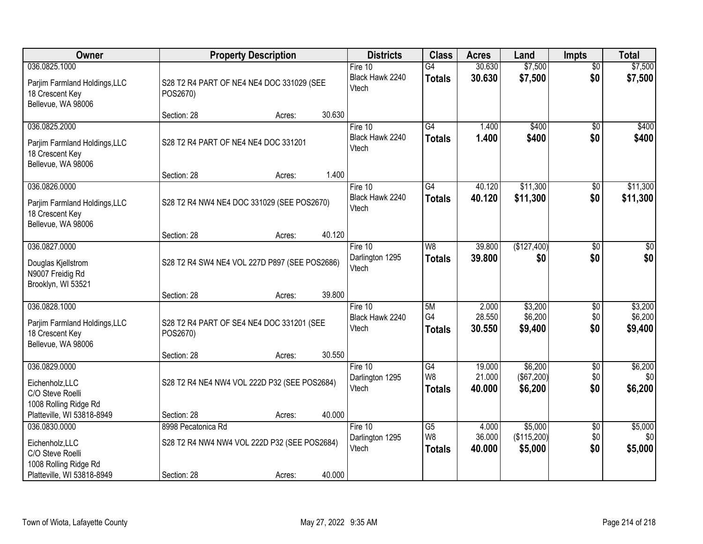| Owner                                                                                                       |                                                                                   | <b>Property Description</b> |        | <b>Districts</b>                      | <b>Class</b>                           | <b>Acres</b>              | Land                              | <b>Impts</b>                  | <b>Total</b>                  |
|-------------------------------------------------------------------------------------------------------------|-----------------------------------------------------------------------------------|-----------------------------|--------|---------------------------------------|----------------------------------------|---------------------------|-----------------------------------|-------------------------------|-------------------------------|
| 036.0825.1000<br>Parjim Farmland Holdings, LLC<br>18 Crescent Key<br>Bellevue, WA 98006                     | S28 T2 R4 PART OF NE4 NE4 DOC 331029 (SEE<br>POS2670)                             |                             |        | Fire $10$<br>Black Hawk 2240<br>Vtech | G4<br><b>Totals</b>                    | 30.630<br>30.630          | \$7,500<br>\$7,500                | $\overline{30}$<br>\$0        | \$7,500<br>\$7,500            |
|                                                                                                             | Section: 28                                                                       | Acres:                      | 30.630 |                                       |                                        |                           |                                   |                               |                               |
| 036.0825.2000<br>Parjim Farmland Holdings, LLC<br>18 Crescent Key<br>Bellevue, WA 98006                     | S28 T2 R4 PART OF NE4 NE4 DOC 331201                                              |                             |        | Fire 10<br>Black Hawk 2240<br>Vtech   | G4<br><b>Totals</b>                    | 1.400<br>1.400            | \$400<br>\$400                    | $\overline{30}$<br>\$0        | \$400<br>\$400                |
| 036.0826.0000                                                                                               | Section: 28                                                                       | Acres:                      | 1.400  | Fire 10                               | G4                                     | 40.120                    | \$11,300                          | \$0                           | \$11,300                      |
| Parjim Farmland Holdings, LLC<br>18 Crescent Key<br>Bellevue, WA 98006                                      | S28 T2 R4 NW4 NE4 DOC 331029 (SEE POS2670)                                        |                             |        | Black Hawk 2240<br>Vtech              | <b>Totals</b>                          | 40.120                    | \$11,300                          | \$0                           | \$11,300                      |
|                                                                                                             | Section: 28                                                                       | Acres:                      | 40.120 |                                       |                                        |                           |                                   |                               |                               |
| 036.0827.0000<br>Douglas Kjellstrom<br>N9007 Freidig Rd<br>Brooklyn, WI 53521                               | S28 T2 R4 SW4 NE4 VOL 227D P897 (SEE POS2686)                                     |                             |        | Fire 10<br>Darlington 1295<br>Vtech   | W <sub>8</sub><br><b>Totals</b>        | 39.800<br>39,800          | (\$127,400)<br>\$0                | \$0<br>\$0                    | \$0<br>\$0                    |
|                                                                                                             | Section: 28                                                                       | Acres:                      | 39.800 |                                       |                                        |                           |                                   |                               |                               |
| 036.0828.1000<br>Parjim Farmland Holdings, LLC<br>18 Crescent Key<br>Bellevue, WA 98006                     | S28 T2 R4 PART OF SE4 NE4 DOC 331201 (SEE<br>POS2670)<br>Section: 28              | Acres:                      | 30.550 | Fire $10$<br>Black Hawk 2240<br>Vtech | 5M<br>G <sub>4</sub><br><b>Totals</b>  | 2.000<br>28.550<br>30.550 | \$3,200<br>\$6,200<br>\$9,400     | $\overline{30}$<br>\$0<br>\$0 | \$3,200<br>\$6,200<br>\$9,400 |
| 036.0829.0000                                                                                               |                                                                                   |                             |        | Fire 10                               | $\overline{G4}$                        | 19.000                    | \$6,200                           | $\overline{50}$               | \$6,200                       |
| Eichenholz, LLC<br>C/O Steve Roelli<br>1008 Rolling Ridge Rd                                                | S28 T2 R4 NE4 NW4 VOL 222D P32 (SEE POS2684)                                      |                             |        | Darlington 1295<br>Vtech              | W8<br><b>Totals</b>                    | 21.000<br>40.000          | (\$67,200)<br>\$6,200             | \$0<br>\$0                    | \$0<br>\$6,200                |
| Platteville, WI 53818-8949                                                                                  | Section: 28                                                                       | Acres:                      | 40.000 |                                       |                                        |                           |                                   |                               |                               |
| 036.0830.0000<br>Eichenholz, LLC<br>C/O Steve Roelli<br>1008 Rolling Ridge Rd<br>Platteville, WI 53818-8949 | 8998 Pecatonica Rd<br>S28 T2 R4 NW4 NW4 VOL 222D P32 (SEE POS2684)<br>Section: 28 | Acres:                      | 40.000 | Fire $10$<br>Darlington 1295<br>Vtech | $\overline{G5}$<br>W8<br><b>Totals</b> | 4.000<br>36.000<br>40.000 | \$5,000<br>(\$115,200)<br>\$5,000 | $\overline{50}$<br>\$0<br>\$0 | \$5,000<br>\$0<br>\$5,000     |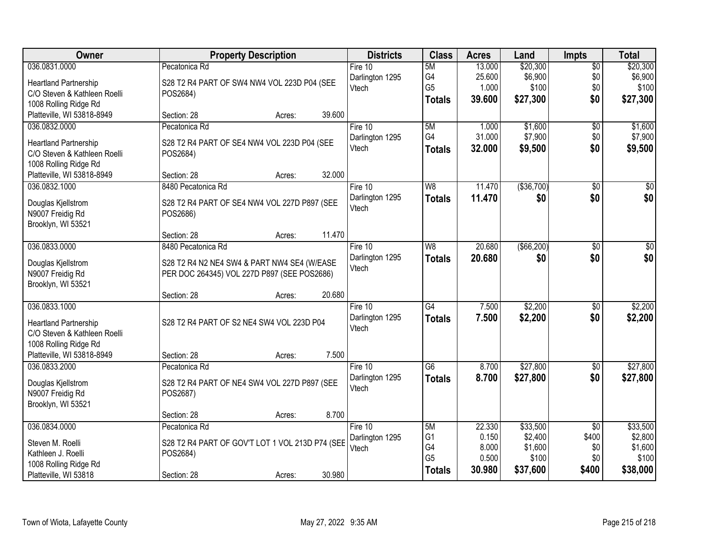| Owner                                                        | <b>Property Description</b>                                                                | <b>Districts</b> | <b>Class</b>    | <b>Acres</b> | Land         | <b>Impts</b>    | <b>Total</b> |
|--------------------------------------------------------------|--------------------------------------------------------------------------------------------|------------------|-----------------|--------------|--------------|-----------------|--------------|
| 036.0831.0000                                                | Pecatonica Rd                                                                              | Fire $10$        | 5M              | 13.000       | \$20,300     | $\overline{50}$ | \$20,300     |
| <b>Heartland Partnership</b>                                 | S28 T2 R4 PART OF SW4 NW4 VOL 223D P04 (SEE                                                | Darlington 1295  | G4              | 25.600       | \$6,900      | \$0             | \$6,900      |
| C/O Steven & Kathleen Roelli                                 | POS2684)                                                                                   | Vtech            | G <sub>5</sub>  | 1.000        | \$100        | \$0             | \$100        |
| 1008 Rolling Ridge Rd                                        |                                                                                            |                  | <b>Totals</b>   | 39.600       | \$27,300     | \$0             | \$27,300     |
| Platteville, WI 53818-8949                                   | 39.600<br>Section: 28<br>Acres:                                                            |                  |                 |              |              |                 |              |
| 036.0832.0000                                                | Pecatonica Rd                                                                              | Fire 10          | 5M              | 1.000        | \$1,600      | \$0             | \$1,600      |
| <b>Heartland Partnership</b>                                 | S28 T2 R4 PART OF SE4 NW4 VOL 223D P04 (SEE                                                | Darlington 1295  | G4              | 31.000       | \$7,900      | \$0             | \$7,900      |
| C/O Steven & Kathleen Roelli                                 | POS2684)                                                                                   | Vtech            | <b>Totals</b>   | 32.000       | \$9,500      | \$0             | \$9,500      |
| 1008 Rolling Ridge Rd                                        |                                                                                            |                  |                 |              |              |                 |              |
| Platteville, WI 53818-8949                                   | 32.000<br>Section: 28<br>Acres:                                                            |                  |                 |              |              |                 |              |
| 036.0832.1000                                                | 8480 Pecatonica Rd                                                                         | Fire 10          | W <sub>8</sub>  | 11.470       | ( \$36, 700) | \$0             | $\sqrt{50}$  |
|                                                              | S28 T2 R4 PART OF SE4 NW4 VOL 227D P897 (SEE                                               | Darlington 1295  | <b>Totals</b>   | 11.470       | \$0          | \$0             | \$0          |
| Douglas Kjellstrom<br>N9007 Freidig Rd                       | POS2686)                                                                                   | Vtech            |                 |              |              |                 |              |
| Brooklyn, WI 53521                                           |                                                                                            |                  |                 |              |              |                 |              |
|                                                              | 11.470<br>Section: 28<br>Acres:                                                            |                  |                 |              |              |                 |              |
| 036.0833.0000                                                | 8480 Pecatonica Rd                                                                         | Fire 10          | W <sub>8</sub>  | 20.680       | ( \$66, 200) | \$0             | $\sqrt{50}$  |
|                                                              |                                                                                            | Darlington 1295  | <b>Totals</b>   | 20.680       | \$0          | \$0             | \$0          |
| Douglas Kjellstrom<br>N9007 Freidig Rd                       | S28 T2 R4 N2 NE4 SW4 & PART NW4 SE4 (W/EASE<br>PER DOC 264345) VOL 227D P897 (SEE POS2686) | Vtech            |                 |              |              |                 |              |
| Brooklyn, WI 53521                                           |                                                                                            |                  |                 |              |              |                 |              |
|                                                              | 20.680<br>Section: 28<br>Acres:                                                            |                  |                 |              |              |                 |              |
| 036.0833.1000                                                |                                                                                            | Fire 10          | $\overline{G4}$ | 7.500        | \$2,200      | \$0             | \$2,200      |
|                                                              | S28 T2 R4 PART OF S2 NE4 SW4 VOL 223D P04                                                  | Darlington 1295  | <b>Totals</b>   | 7.500        | \$2,200      | \$0             | \$2,200      |
| <b>Heartland Partnership</b><br>C/O Steven & Kathleen Roelli |                                                                                            | Vtech            |                 |              |              |                 |              |
| 1008 Rolling Ridge Rd                                        |                                                                                            |                  |                 |              |              |                 |              |
| Platteville, WI 53818-8949                                   | 7.500<br>Section: 28<br>Acres:                                                             |                  |                 |              |              |                 |              |
| 036.0833.2000                                                | Pecatonica Rd                                                                              | Fire 10          | $\overline{G6}$ | 8.700        | \$27,800     | $\sqrt{6}$      | \$27,800     |
|                                                              |                                                                                            | Darlington 1295  | <b>Totals</b>   | 8.700        | \$27,800     | \$0             | \$27,800     |
| Douglas Kjellstrom                                           | S28 T2 R4 PART OF NE4 SW4 VOL 227D P897 (SEE                                               | Vtech            |                 |              |              |                 |              |
| N9007 Freidig Rd<br>Brooklyn, WI 53521                       | POS2687)                                                                                   |                  |                 |              |              |                 |              |
|                                                              | 8.700<br>Section: 28<br>Acres:                                                             |                  |                 |              |              |                 |              |
| 036.0834.0000                                                | Pecatonica Rd                                                                              | Fire $10$        | 5M              | 22.330       | \$33,500     | $\overline{50}$ | \$33,500     |
|                                                              |                                                                                            | Darlington 1295  | G <sub>1</sub>  | 0.150        | \$2,400      | \$400           | \$2,800      |
| Steven M. Roelli                                             | S28 T2 R4 PART OF GOV'T LOT 1 VOL 213D P74 (SEE                                            | Vtech            | G4              | 8.000        | \$1,600      | \$0             | \$1,600      |
| Kathleen J. Roelli                                           | POS2684)                                                                                   |                  | G <sub>5</sub>  | 0.500        | \$100        | \$0             | \$100        |
| 1008 Rolling Ridge Rd<br>Platteville, WI 53818               | 30.980<br>Section: 28<br>Acres:                                                            |                  | <b>Totals</b>   | 30.980       | \$37,600     | \$400           | \$38,000     |
|                                                              |                                                                                            |                  |                 |              |              |                 |              |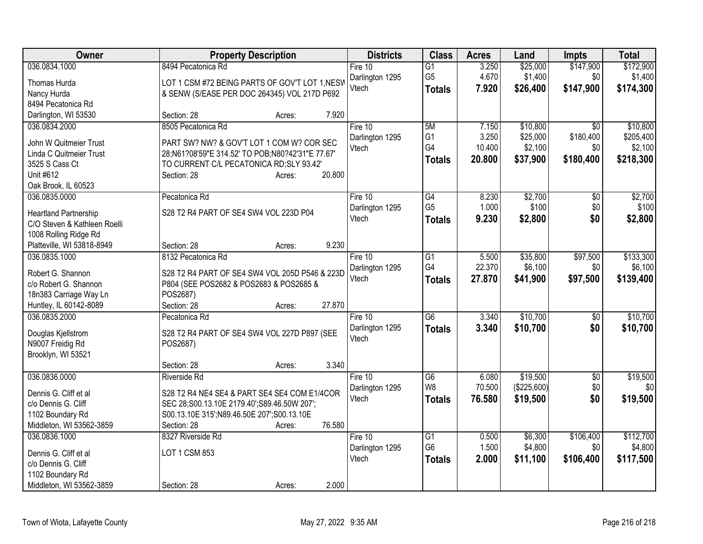| Owner                                                        | <b>Property Description</b>                      | <b>Districts</b>         | <b>Class</b>    | <b>Acres</b> | Land        | <b>Impts</b>    | <b>Total</b> |
|--------------------------------------------------------------|--------------------------------------------------|--------------------------|-----------------|--------------|-------------|-----------------|--------------|
| 036.0834.1000                                                | 8494 Pecatonica Rd                               | Fire 10                  | $\overline{G1}$ | 3.250        | \$25,000    | \$147,900       | \$172,900    |
| Thomas Hurda                                                 | LOT 1 CSM #72 BEING PARTS OF GOV'T LOT 1, NESV   | Darlington 1295          | G <sub>5</sub>  | 4.670        | \$1,400     | \$0             | \$1,400      |
| Nancy Hurda                                                  | & SENW (S/EASE PER DOC 264345) VOL 217D P692     | Vtech                    | <b>Totals</b>   | 7.920        | \$26,400    | \$147,900       | \$174,300    |
| 8494 Pecatonica Rd                                           |                                                  |                          |                 |              |             |                 |              |
| Darlington, WI 53530                                         | 7.920<br>Section: 28<br>Acres:                   |                          |                 |              |             |                 |              |
| 036.0834.2000                                                | 8505 Pecatonica Rd                               | Fire $10$                | 5M              | 7.150        | \$10,800    | \$0             | \$10,800     |
| John W Quitmeier Trust                                       | PART SW? NW? & GOV'T LOT 1 COM W? COR SEC        | Darlington 1295          | G <sub>1</sub>  | 3.250        | \$25,000    | \$180,400       | \$205,400    |
| Linda C Quitmeier Trust                                      | 28;N61?08'59"E 314.52' TO POB;N80?42'31"E 77.67' | Vtech                    | G4              | 10.400       | \$2,100     | \$0             | \$2,100      |
| 3525 S Cass Ct                                               | TO CURRENT C/L PECATONICA RD; SLY 93.42'         |                          | <b>Totals</b>   | 20.800       | \$37,900    | \$180,400       | \$218,300    |
| Unit #612                                                    | 20.800<br>Section: 28<br>Acres:                  |                          |                 |              |             |                 |              |
| Oak Brook, IL 60523                                          |                                                  |                          |                 |              |             |                 |              |
| 036.0835.0000                                                | Pecatonica Rd                                    | Fire $10$                | $\overline{G4}$ | 8.230        | \$2,700     | \$0             | \$2,700      |
|                                                              |                                                  | Darlington 1295          | G <sub>5</sub>  | 1.000        | \$100       | \$0             | \$100        |
| <b>Heartland Partnership</b><br>C/O Steven & Kathleen Roelli | S28 T2 R4 PART OF SE4 SW4 VOL 223D P04           | Vtech                    | <b>Totals</b>   | 9.230        | \$2,800     | \$0             | \$2,800      |
| 1008 Rolling Ridge Rd                                        |                                                  |                          |                 |              |             |                 |              |
| Platteville, WI 53818-8949                                   | 9.230<br>Section: 28<br>Acres:                   |                          |                 |              |             |                 |              |
| 036.0835.1000                                                | 8132 Pecatonica Rd                               | Fire 10                  | $\overline{G1}$ | 5.500        | \$35,800    | \$97,500        | \$133,300    |
|                                                              |                                                  | Darlington 1295          | G4              | 22.370       | \$6,100     | \$0             | \$6,100      |
| Robert G. Shannon                                            | S28 T2 R4 PART OF SE4 SW4 VOL 205D P546 & 223D   | Vtech                    | <b>Totals</b>   | 27.870       | \$41,900    | \$97,500        | \$139,400    |
| c/o Robert G. Shannon                                        | P804 (SEE POS2682 & POS2683 & POS2685 &          |                          |                 |              |             |                 |              |
| 18n383 Carriage Way Ln                                       | POS2687)                                         |                          |                 |              |             |                 |              |
| Huntley, IL 60142-8089                                       | 27.870<br>Section: 28<br>Acres:                  |                          |                 |              |             |                 |              |
| 036.0835.2000                                                | Pecatonica Rd                                    | Fire 10                  | $\overline{G6}$ | 3.340        | \$10,700    | $\sqrt[6]{}$    | \$10,700     |
| Douglas Kjellstrom                                           | S28 T2 R4 PART OF SE4 SW4 VOL 227D P897 (SEE     | Darlington 1295<br>Vtech | <b>Totals</b>   | 3.340        | \$10,700    | \$0             | \$10,700     |
| N9007 Freidig Rd                                             | POS2687)                                         |                          |                 |              |             |                 |              |
| Brooklyn, WI 53521                                           |                                                  |                          |                 |              |             |                 |              |
|                                                              | 3.340<br>Section: 28<br>Acres:                   |                          |                 |              |             |                 |              |
| 036.0836.0000                                                | <b>Riverside Rd</b>                              | Fire 10                  | $\overline{G6}$ | 6.080        | \$19,500    | $\overline{50}$ | \$19,500     |
| Dennis G. Cliff et al                                        | S28 T2 R4 NE4 SE4 & PART SE4 SE4 COM E1/4COR     | Darlington 1295          | W <sub>8</sub>  | 70.500       | (\$225,600) | \$0             | \$0          |
| c/o Dennis G. Cliff                                          | SEC 28;S00.13.10E 2179.40';S89.46.50W 207';      | Vtech                    | <b>Totals</b>   | 76.580       | \$19,500    | \$0             | \$19,500     |
| 1102 Boundary Rd                                             | S00.13.10E 315';N89.46.50E 207';S00.13.10E       |                          |                 |              |             |                 |              |
| Middleton, WI 53562-3859                                     | 76.580<br>Section: 28<br>Acres:                  |                          |                 |              |             |                 |              |
| 036.0836.1000                                                | 8327 Riverside Rd                                | Fire 10                  | $\overline{G1}$ | 0.500        | \$6,300     | \$106,400       | \$112,700    |
| Dennis G. Cliff et al                                        | LOT 1 CSM 853                                    | Darlington 1295          | G <sub>6</sub>  | 1.500        | \$4,800     | \$0             | \$4,800      |
| c/o Dennis G. Cliff                                          |                                                  | Vtech                    | <b>Totals</b>   | 2.000        | \$11,100    | \$106,400       | \$117,500    |
| 1102 Boundary Rd                                             |                                                  |                          |                 |              |             |                 |              |
| Middleton, WI 53562-3859                                     | 2.000<br>Section: 28<br>Acres:                   |                          |                 |              |             |                 |              |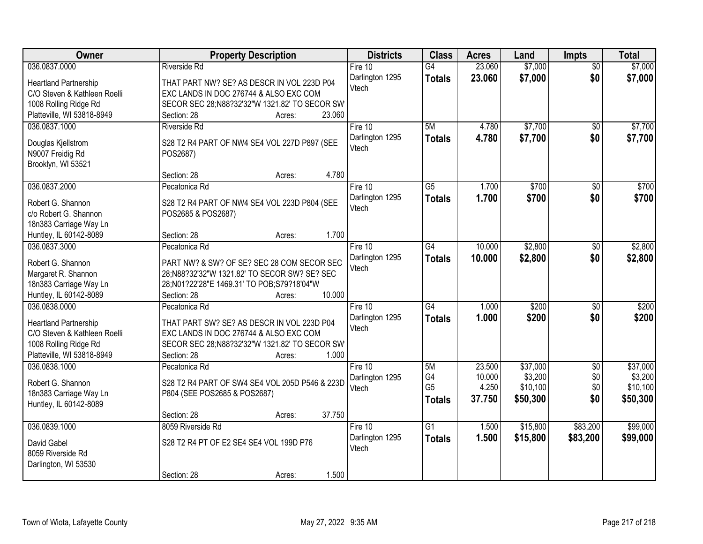| \$7,000<br>036.0837.0000<br>23.060<br>\$7,000<br><b>Riverside Rd</b><br>Fire 10<br>$\overline{G4}$<br>$\overline{50}$<br>\$0<br>23.060<br>\$7,000<br>\$7,000<br>Darlington 1295<br><b>Totals</b><br><b>Heartland Partnership</b><br>THAT PART NW? SE? AS DESCR IN VOL 223D P04<br>Vtech<br>C/O Steven & Kathleen Roelli<br>EXC LANDS IN DOC 276744 & ALSO EXC COM<br>1008 Rolling Ridge Rd<br>SECOR SEC 28;N88?32'32"W 1321.82' TO SECOR SW<br>Platteville, WI 53818-8949<br>23.060<br>Section: 28<br>Acres:<br>5M<br>\$7,700<br>\$7,700<br>036.0837.1000<br>Fire 10<br>4.780<br><b>Riverside Rd</b><br>$\overline{50}$<br>4.780<br>\$7,700<br>\$0<br>\$7,700<br>Darlington 1295<br>Totals<br>S28 T2 R4 PART OF NW4 SE4 VOL 227D P897 (SEE<br>Douglas Kjellstrom<br>Vtech<br>N9007 Freidig Rd<br>POS2687)<br>Brooklyn, WI 53521<br>4.780<br>Section: 28<br>Acres: |
|-------------------------------------------------------------------------------------------------------------------------------------------------------------------------------------------------------------------------------------------------------------------------------------------------------------------------------------------------------------------------------------------------------------------------------------------------------------------------------------------------------------------------------------------------------------------------------------------------------------------------------------------------------------------------------------------------------------------------------------------------------------------------------------------------------------------------------------------------------------------|
|                                                                                                                                                                                                                                                                                                                                                                                                                                                                                                                                                                                                                                                                                                                                                                                                                                                                   |
|                                                                                                                                                                                                                                                                                                                                                                                                                                                                                                                                                                                                                                                                                                                                                                                                                                                                   |
|                                                                                                                                                                                                                                                                                                                                                                                                                                                                                                                                                                                                                                                                                                                                                                                                                                                                   |
|                                                                                                                                                                                                                                                                                                                                                                                                                                                                                                                                                                                                                                                                                                                                                                                                                                                                   |
|                                                                                                                                                                                                                                                                                                                                                                                                                                                                                                                                                                                                                                                                                                                                                                                                                                                                   |
|                                                                                                                                                                                                                                                                                                                                                                                                                                                                                                                                                                                                                                                                                                                                                                                                                                                                   |
|                                                                                                                                                                                                                                                                                                                                                                                                                                                                                                                                                                                                                                                                                                                                                                                                                                                                   |
|                                                                                                                                                                                                                                                                                                                                                                                                                                                                                                                                                                                                                                                                                                                                                                                                                                                                   |
|                                                                                                                                                                                                                                                                                                                                                                                                                                                                                                                                                                                                                                                                                                                                                                                                                                                                   |
|                                                                                                                                                                                                                                                                                                                                                                                                                                                                                                                                                                                                                                                                                                                                                                                                                                                                   |
|                                                                                                                                                                                                                                                                                                                                                                                                                                                                                                                                                                                                                                                                                                                                                                                                                                                                   |
| 036.0837.2000<br>$\overline{G5}$<br>\$700<br>\$700<br>Fire 10<br>1.700<br>\$0<br>Pecatonica Rd                                                                                                                                                                                                                                                                                                                                                                                                                                                                                                                                                                                                                                                                                                                                                                    |
| \$0<br>Darlington 1295<br>1.700<br>\$700<br>\$700<br><b>Totals</b><br>Robert G. Shannon<br>S28 T2 R4 PART OF NW4 SE4 VOL 223D P804 (SEE<br>Vtech                                                                                                                                                                                                                                                                                                                                                                                                                                                                                                                                                                                                                                                                                                                  |
| c/o Robert G. Shannon<br>POS2685 & POS2687)                                                                                                                                                                                                                                                                                                                                                                                                                                                                                                                                                                                                                                                                                                                                                                                                                       |
| 18n383 Carriage Way Ln                                                                                                                                                                                                                                                                                                                                                                                                                                                                                                                                                                                                                                                                                                                                                                                                                                            |
| 1.700<br>Huntley, IL 60142-8089<br>Section: 28<br>Acres:                                                                                                                                                                                                                                                                                                                                                                                                                                                                                                                                                                                                                                                                                                                                                                                                          |
| \$2,800<br>036.0837.3000<br>Fire 10<br>$\overline{G4}$<br>10.000<br>\$2,800<br>Pecatonica Rd<br>\$0                                                                                                                                                                                                                                                                                                                                                                                                                                                                                                                                                                                                                                                                                                                                                               |
| Darlington 1295<br>\$2,800<br>\$0<br>\$2,800<br>10.000<br><b>Totals</b><br>Robert G. Shannon<br>PART NW? & SW? OF SE? SEC 28 COM SECOR SEC                                                                                                                                                                                                                                                                                                                                                                                                                                                                                                                                                                                                                                                                                                                        |
| Vtech<br>Margaret R. Shannon<br>28;N88?32'32"W 1321.82' TO SECOR SW? SE? SEC                                                                                                                                                                                                                                                                                                                                                                                                                                                                                                                                                                                                                                                                                                                                                                                      |
| 18n383 Carriage Way Ln<br>28;N01?22'28"E 1469.31' TO POB;S79?18'04"W                                                                                                                                                                                                                                                                                                                                                                                                                                                                                                                                                                                                                                                                                                                                                                                              |
| Huntley, IL 60142-8089<br>10.000<br>Section: 28<br>Acres:                                                                                                                                                                                                                                                                                                                                                                                                                                                                                                                                                                                                                                                                                                                                                                                                         |
| $\overline{G4}$<br>036.0838.0000<br>1.000<br>\$200<br>\$200<br>Pecatonica Rd<br>Fire 10<br>\$0                                                                                                                                                                                                                                                                                                                                                                                                                                                                                                                                                                                                                                                                                                                                                                    |
| 1.000<br>\$200<br>\$200<br>\$0<br>Darlington 1295<br><b>Totals</b>                                                                                                                                                                                                                                                                                                                                                                                                                                                                                                                                                                                                                                                                                                                                                                                                |
| <b>Heartland Partnership</b><br>THAT PART SW? SE? AS DESCR IN VOL 223D P04<br>Vtech                                                                                                                                                                                                                                                                                                                                                                                                                                                                                                                                                                                                                                                                                                                                                                               |
| EXC LANDS IN DOC 276744 & ALSO EXC COM<br>C/O Steven & Kathleen Roelli                                                                                                                                                                                                                                                                                                                                                                                                                                                                                                                                                                                                                                                                                                                                                                                            |
| 1008 Rolling Ridge Rd<br>SECOR SEC 28;N88?32'32"W 1321.82' TO SECOR SW                                                                                                                                                                                                                                                                                                                                                                                                                                                                                                                                                                                                                                                                                                                                                                                            |
| Platteville, WI 53818-8949<br>Section: 28<br>1.000<br>Acres:                                                                                                                                                                                                                                                                                                                                                                                                                                                                                                                                                                                                                                                                                                                                                                                                      |
| 036.0838.1000<br>5M<br>23.500<br>\$37,000<br>\$37,000<br>Pecatonica Rd<br>Fire 10<br>$\overline{50}$                                                                                                                                                                                                                                                                                                                                                                                                                                                                                                                                                                                                                                                                                                                                                              |
| G4<br>10.000<br>\$3,200<br>\$0<br>\$3,200<br>Darlington 1295<br>S28 T2 R4 PART OF SW4 SE4 VOL 205D P546 & 223D<br>Robert G. Shannon                                                                                                                                                                                                                                                                                                                                                                                                                                                                                                                                                                                                                                                                                                                               |
| G <sub>5</sub><br>\$10,100<br>\$0<br>4.250<br>\$10,100<br>Vtech<br>18n383 Carriage Way Ln<br>P804 (SEE POS2685 & POS2687)                                                                                                                                                                                                                                                                                                                                                                                                                                                                                                                                                                                                                                                                                                                                         |
| 37.750<br>\$0<br>\$50,300<br>\$50,300<br><b>Totals</b><br>Huntley, IL 60142-8089                                                                                                                                                                                                                                                                                                                                                                                                                                                                                                                                                                                                                                                                                                                                                                                  |
| 37.750<br>Section: 28<br>Acres:                                                                                                                                                                                                                                                                                                                                                                                                                                                                                                                                                                                                                                                                                                                                                                                                                                   |
| 036.0839.1000<br>$\overline{G1}$<br>\$15,800<br>\$83,200<br>\$99,000<br>8059 Riverside Rd<br>Fire 10<br>1.500                                                                                                                                                                                                                                                                                                                                                                                                                                                                                                                                                                                                                                                                                                                                                     |
| 1.500<br>\$83,200<br>Darlington 1295<br>Totals<br>\$15,800<br>\$99,000<br>S28 T2 R4 PT OF E2 SE4 SE4 VOL 199D P76<br>David Gabel                                                                                                                                                                                                                                                                                                                                                                                                                                                                                                                                                                                                                                                                                                                                  |
| Vtech<br>8059 Riverside Rd                                                                                                                                                                                                                                                                                                                                                                                                                                                                                                                                                                                                                                                                                                                                                                                                                                        |
| Darlington, WI 53530                                                                                                                                                                                                                                                                                                                                                                                                                                                                                                                                                                                                                                                                                                                                                                                                                                              |
| 1.500<br>Section: 28<br>Acres:                                                                                                                                                                                                                                                                                                                                                                                                                                                                                                                                                                                                                                                                                                                                                                                                                                    |